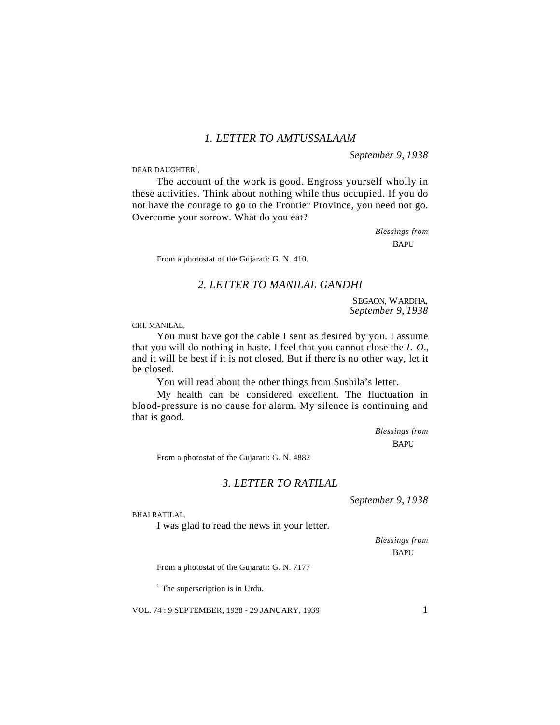## *1. LETTER TO AMTUSSALAAM*

*September 9*, *1938*

 $DEAR$  DAUGHTER<sup>1</sup>,

The account of the work is good. Engross yourself wholly in these activities. Think about nothing while thus occupied. If you do not have the courage to go to the Frontier Province, you need not go. Overcome your sorrow. What do you eat?

> *Blessings from* **BAPU**

From a photostat of the Gujarati: G. N. 410.

# *2. LETTER TO MANILAL GANDHI*

SEGAON, WARDHA, *September 9*, *1938*

CHI. MANILAL,

You must have got the cable I sent as desired by you. I assume that you will do nothing in haste. I feel that you cannot close the *I*. *O*., and it will be best if it is not closed. But if there is no other way, let it be closed.

You will read about the other things from Sushila's letter.

My health can be considered excellent. The fluctuation in blood-pressure is no cause for alarm. My silence is continuing and that is good.

> *Blessings from* **BAPU**

From a photostat of the Gujarati: G. N. 4882

# *3. LETTER TO RATILAL*

*September 9*, *1938*

BHAI RATILAL,

I was glad to read the news in your letter.

*Blessings from* **BAPU** 

From a photostat of the Gujarati: G. N. 7177

<sup>1</sup> The superscription is in Urdu.

VOL. 74 : 9 SEPTEMBER, 1938 - 29 JANUARY, 1939 1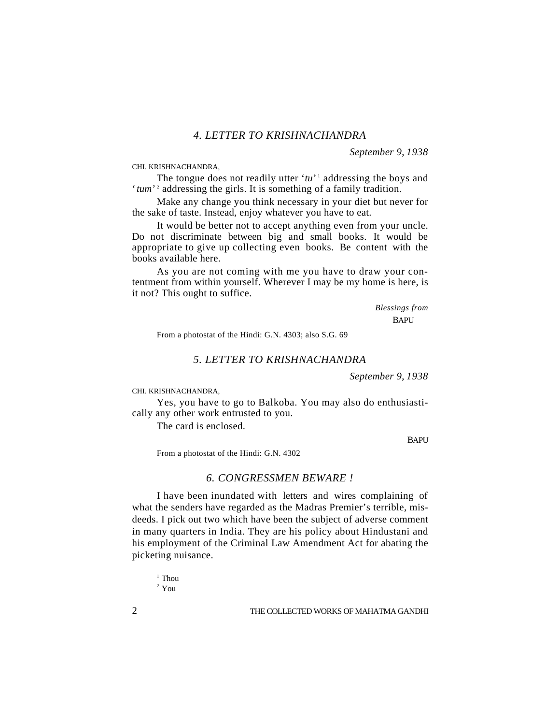*September 9*, *1938*

CHI. KRISHNACHANDRA,

The tongue does not readily utter '*tu*' 1 addressing the boys and 'tum'<sup>2</sup> addressing the girls. It is something of a family tradition.

Make any change you think necessary in your diet but never for the sake of taste. Instead, enjoy whatever you have to eat.

It would be better not to accept anything even from your uncle. Do not discriminate between big and small books. It would be appropriate to give up collecting even books. Be content with the books available here.

As you are not coming with me you have to draw your contentment from within yourself. Wherever I may be my home is here, is it not? This ought to suffice.

> *Blessings from* BAPU

From a photostat of the Hindi: G.N. 4303; also S.G. 69

# *5. LETTER TO KRISHNACHANDRA*

*September 9*, *1938*

CHI. KRISHNACHANDRA,

Yes, you have to go to Balkoba. You may also do enthusiastically any other work entrusted to you.

The card is enclosed.

**BAPU** 

From a photostat of the Hindi: G.N. 4302

#### *6. CONGRESSMEN BEWARE !*

I have been inundated with letters and wires complaining of what the senders have regarded as the Madras Premier's terrible, misdeeds. I pick out two which have been the subject of adverse comment in many quarters in India. They are his policy about Hindustani and his employment of the Criminal Law Amendment Act for abating the picketing nuisance.

<sup>1</sup> Thou 2 You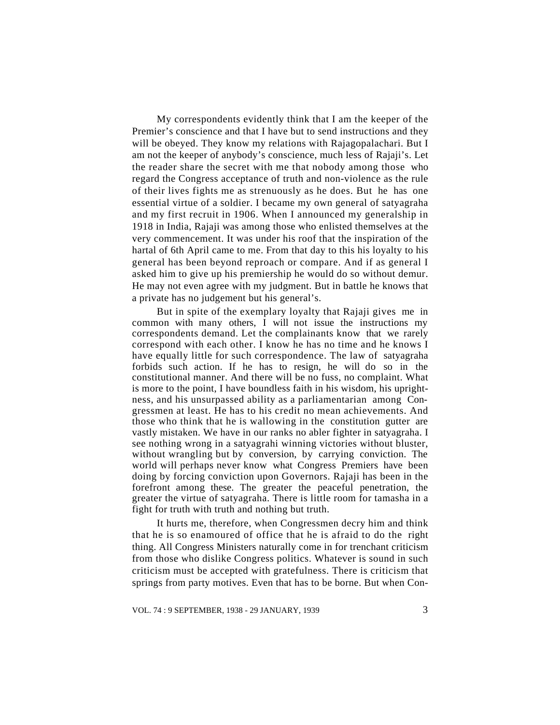My correspondents evidently think that I am the keeper of the Premier's conscience and that I have but to send instructions and they will be obeyed. They know my relations with Rajagopalachari. But I am not the keeper of anybody's conscience, much less of Rajaji's. Let the reader share the secret with me that nobody among those who regard the Congress acceptance of truth and non-violence as the rule of their lives fights me as strenuously as he does. But he has one essential virtue of a soldier. I became my own general of satyagraha and my first recruit in 1906. When I announced my generalship in 1918 in India, Rajaji was among those who enlisted themselves at the very commencement. It was under his roof that the inspiration of the hartal of 6th April came to me. From that day to this his loyalty to his general has been beyond reproach or compare. And if as general I asked him to give up his premiership he would do so without demur. He may not even agree with my judgment. But in battle he knows that a private has no judgement but his general's.

But in spite of the exemplary loyalty that Rajaji gives me in common with many others, I will not issue the instructions my correspondents demand. Let the complainants know that we rarely correspond with each other. I know he has no time and he knows I have equally little for such correspondence. The law of satyagraha forbids such action. If he has to resign, he will do so in the constitutional manner. And there will be no fuss, no complaint. What is more to the point, I have boundless faith in his wisdom, his uprightness, and his unsurpassed ability as a parliamentarian among Congressmen at least. He has to his credit no mean achievements. And those who think that he is wallowing in the constitution gutter are vastly mistaken. We have in our ranks no abler fighter in satyagraha. I see nothing wrong in a satyagrahi winning victories without bluster, without wrangling but by conversion, by carrying conviction. The world will perhaps never know what Congress Premiers have been doing by forcing conviction upon Governors. Rajaji has been in the forefront among these. The greater the peaceful penetration, the greater the virtue of satyagraha. There is little room for tamasha in a fight for truth with truth and nothing but truth.

It hurts me, therefore, when Congressmen decry him and think that he is so enamoured of office that he is afraid to do the right thing. All Congress Ministers naturally come in for trenchant criticism from those who dislike Congress politics. Whatever is sound in such criticism must be accepted with gratefulness. There is criticism that springs from party motives. Even that has to be borne. But when Con-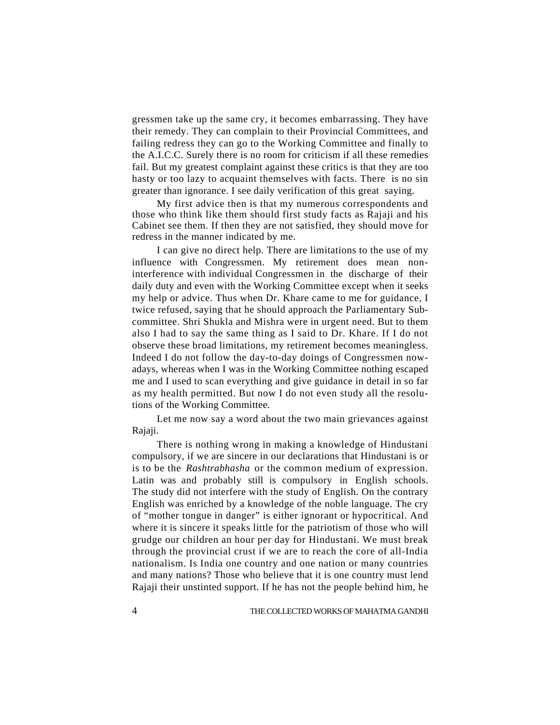gressmen take up the same cry, it becomes embarrassing. They have their remedy. They can complain to their Provincial Committees, and failing redress they can go to the Working Committee and finally to the A.I.C.C. Surely there is no room for criticism if all these remedies fail. But my greatest complaint against these critics is that they are too hasty or too lazy to acquaint themselves with facts. There is no sin greater than ignorance. I see daily verification of this great saying.

My first advice then is that my numerous correspondents and those who think like them should first study facts as Rajaji and his Cabinet see them. If then they are not satisfied, they should move for redress in the manner indicated by me.

I can give no direct help. There are limitations to the use of my influence with Congressmen. My retirement does mean noninterference with individual Congressmen in the discharge of their daily duty and even with the Working Committee except when it seeks my help or advice. Thus when Dr. Khare came to me for guidance, I twice refused, saying that he should approach the Parliamentary Subcommittee. Shri Shukla and Mishra were in urgent need. But to them also I had to say the same thing as I said to Dr. Khare. If I do not observe these broad limitations, my retirement becomes meaningless. Indeed I do not follow the day-to-day doings of Congressmen nowadays, whereas when I was in the Working Committee nothing escaped me and I used to scan everything and give guidance in detail in so far as my health permitted. But now I do not even study all the resolutions of the Working Committee.

Let me now say a word about the two main grievances against Rajaji.

There is nothing wrong in making a knowledge of Hindustani compulsory, if we are sincere in our declarations that Hindustani is or is to be the *Rashtrabhasha* or the common medium of expression. Latin was and probably still is compulsory in English schools. The study did not interfere with the study of English. On the contrary English was enriched by a knowledge of the noble language. The cry of "mother tongue in danger" is either ignorant or hypocritical. And where it is sincere it speaks little for the patriotism of those who will grudge our children an hour per day for Hindustani. We must break through the provincial crust if we are to reach the core of all-India nationalism. Is India one country and one nation or many countries and many nations? Those who believe that it is one country must lend Rajaji their unstinted support. If he has not the people behind him, he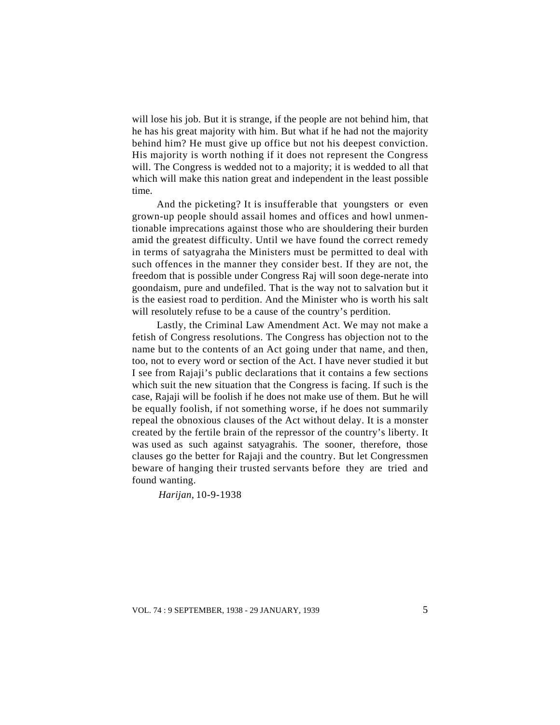will lose his job. But it is strange, if the people are not behind him, that he has his great majority with him. But what if he had not the majority behind him? He must give up office but not his deepest conviction. His majority is worth nothing if it does not represent the Congress will. The Congress is wedded not to a majority; it is wedded to all that which will make this nation great and independent in the least possible time.

And the picketing? It is insufferable that youngsters or even grown-up people should assail homes and offices and howl unmentionable imprecations against those who are shouldering their burden amid the greatest difficulty. Until we have found the correct remedy in terms of satyagraha the Ministers must be permitted to deal with such offences in the manner they consider best. If they are not, the freedom that is possible under Congress Raj will soon dege-nerate into goondaism, pure and undefiled. That is the way not to salvation but it is the easiest road to perdition. And the Minister who is worth his salt will resolutely refuse to be a cause of the country's perdition.

Lastly, the Criminal Law Amendment Act. We may not make a fetish of Congress resolutions. The Congress has objection not to the name but to the contents of an Act going under that name, and then, too, not to every word or section of the Act. I have never studied it but I see from Rajaji's public declarations that it contains a few sections which suit the new situation that the Congress is facing. If such is the case, Rajaji will be foolish if he does not make use of them. But he will be equally foolish, if not something worse, if he does not summarily repeal the obnoxious clauses of the Act without delay. It is a monster created by the fertile brain of the repressor of the country's liberty. It was used as such against satyagrahis. The sooner, therefore, those clauses go the better for Rajaji and the country. But let Congressmen beware of hanging their trusted servants before they are tried and found wanting.

*Harijan*, 10-9-1938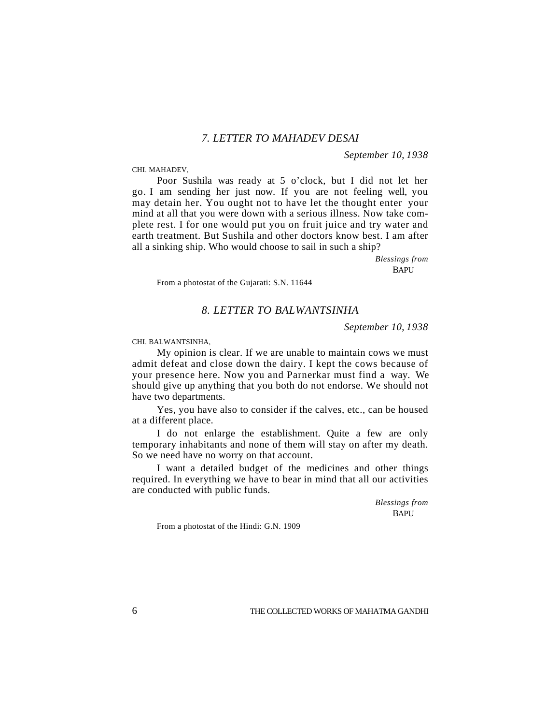*September 10*, *1938*

CHI. MAHADEV,

Poor Sushila was ready at 5 o'clock, but I did not let her go. I am sending her just now. If you are not feeling well, you may detain her. You ought not to have let the thought enter your mind at all that you were down with a serious illness. Now take complete rest. I for one would put you on fruit juice and try water and earth treatment. But Sushila and other doctors know best. I am after all a sinking ship. Who would choose to sail in such a ship?

> *Blessings from* **BAPU**

From a photostat of the Gujarati: S.N. 11644

# *8. LETTER TO BALWANTSINHA*

*September 10*, *1938*

CHI. BALWANTSINHA,

My opinion is clear. If we are unable to maintain cows we must admit defeat and close down the dairy. I kept the cows because of your presence here. Now you and Parnerkar must find a way. We should give up anything that you both do not endorse. We should not have two departments.

Yes, you have also to consider if the calves, etc., can be housed at a different place.

I do not enlarge the establishment. Quite a few are only temporary inhabitants and none of them will stay on after my death. So we need have no worry on that account.

I want a detailed budget of the medicines and other things required. In everything we have to bear in mind that all our activities are conducted with public funds.

> *Blessings from* **BAPU**

From a photostat of the Hindi: G.N. 1909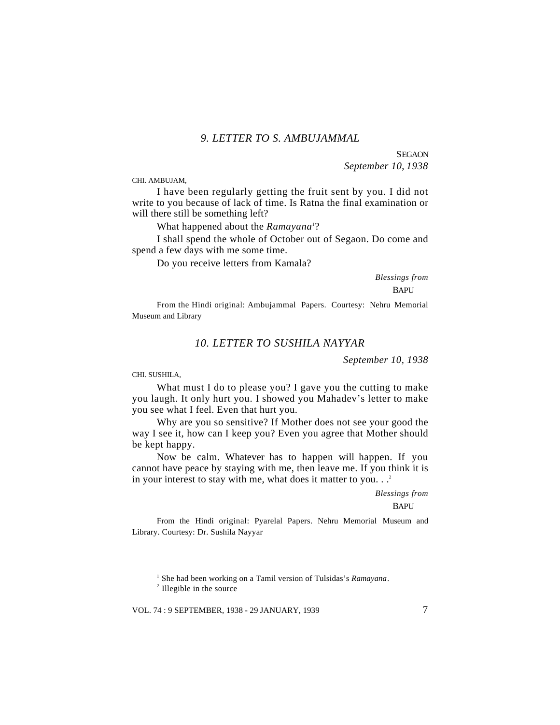# *9. LETTER TO S. AMBUJAMMAL*

**SEGAON** *September 10*, *1938*

CHI. AMBUJAM,

I have been regularly getting the fruit sent by you. I did not write to you because of lack of time. Is Ratna the final examination or will there still be something left?

What happened about the *Ramayana*<sup>1</sup>?

I shall spend the whole of October out of Segaon. Do come and spend a few days with me some time.

Do you receive letters from Kamala?

*Blessings from* **BAPU** 

From the Hindi original: Ambujammal Papers. Courtesy: Nehru Memorial Museum and Library

### *10. LETTER TO SUSHILA NAYYAR*

*September 10, 1938*

CHI. SUSHILA,

What must I do to please you? I gave you the cutting to make you laugh. It only hurt you. I showed you Mahadev's letter to make you see what I feel. Even that hurt you.

Why are you so sensitive? If Mother does not see your good the way I see it, how can I keep you? Even you agree that Mother should be kept happy.

Now be calm. Whatever has to happen will happen. If you cannot have peace by staying with me, then leave me. If you think it is in your interest to stay with me, what does it matter to you...<sup>2</sup>

> *Blessings from* **BAPU**

From the Hindi original: Pyarelal Papers. Nehru Memorial Museum and Library. Courtesy: Dr. Sushila Nayyar

<sup>1</sup> She had been working on a Tamil version of Tulsidas's Ramayana.

<sup>2</sup> Illegible in the source

VOL. 74 : 9 SEPTEMBER, 1938 - 29 JANUARY, 1939 7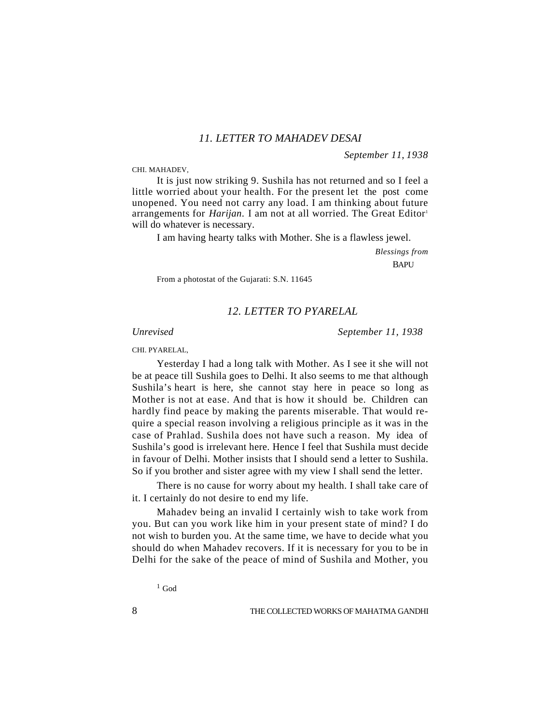### *11. LETTER TO MAHADEV DESAI*

*September 11*, *1938*

CHI. MAHADEV,

It is just now striking 9. Sushila has not returned and so I feel a little worried about your health. For the present let the post come unopened. You need not carry any load. I am thinking about future arrangements for *Harijan*. I am not at all worried. The Great Editor<sup>1</sup> will do whatever is necessary.

I am having hearty talks with Mother. She is a flawless jewel.

*Blessings from* **BAPU** 

From a photostat of the Gujarati: S.N. 11645

# *12. LETTER TO PYARELAL*

*Unrevised September 11, 1938*

CHI. PYARELAL,

Yesterday I had a long talk with Mother. As I see it she will not be at peace till Sushila goes to Delhi. It also seems to me that although Sushila's heart is here, she cannot stay here in peace so long as Mother is not at ease. And that is how it should be. Children can hardly find peace by making the parents miserable. That would require a special reason involving a religious principle as it was in the case of Prahlad. Sushila does not have such a reason. My idea of Sushila's good is irrelevant here. Hence I feel that Sushila must decide in favour of Delhi. Mother insists that I should send a letter to Sushila. So if you brother and sister agree with my view I shall send the letter.

There is no cause for worry about my health. I shall take care of it. I certainly do not desire to end my life.

Mahadev being an invalid I certainly wish to take work from you. But can you work like him in your present state of mind? I do not wish to burden you. At the same time, we have to decide what you should do when Mahadev recovers. If it is necessary for you to be in Delhi for the sake of the peace of mind of Sushila and Mother, you

1 God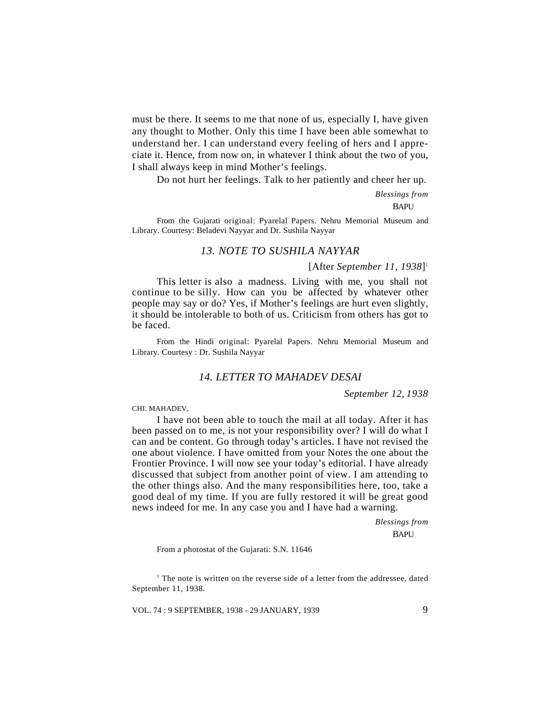must be there. It seems to me that none of us, especially I, have given any thought to Mother. Only this time I have been able somewhat to understand her. I can understand every feeling of hers and I appreciate it. Hence, from now on, in whatever I think about the two of you, I shall always keep in mind Mother's feelings.

Do not hurt her feelings. Talk to her patiently and cheer her up.

*Blessings from* **BAPU** 

From the Gujarati original: Pyarelal Papers. Nehru Memorial Museum and Library. Courtesy: Beladevi Nayyar and Dr. Sushila Nayyar

# *13. NOTE TO SUSHILA NAYYAR*

#### [After *September 11, 1938*] 1

This letter is also a madness. Living with me, you shall not continue to be silly. How can you be affected by whatever other people may say or do? Yes, if Mother's feelings are hurt even slightly, it should be intolerable to both of us. Criticism from others has got to be faced.

From the Hindi original: Pyarelal Papers. Nehru Memorial Museum and Library. Courtesy : Dr. Sushila Nayyar

# *14. LETTER TO MAHADEV DESAI*

*September 12*, *1938*

CHI. MAHADEV,

I have not been able to touch the mail at all today. After it has been passed on to me, is not your responsibility over? I will do what I can and be content. Go through today's articles. I have not revised the one about violence. I have omitted from your Notes the one about the Frontier Province. I will now see your today's editorial. I have already discussed that subject from another point of view. I am attending to the other things also. And the many responsibilities here, too, take a good deal of my time. If you are fully restored it will be great good news indeed for me. In any case you and I have had a warning.

> *Blessings from* **BAPU**

From a photostat of the Gujarati: S.N. 11646

<sup>1</sup> The note is written on the reverse side of a letter from the addressee, dated September 11, 1938.

VOL. 74 : 9 SEPTEMBER, 1938 - 29 JANUARY, 1939 9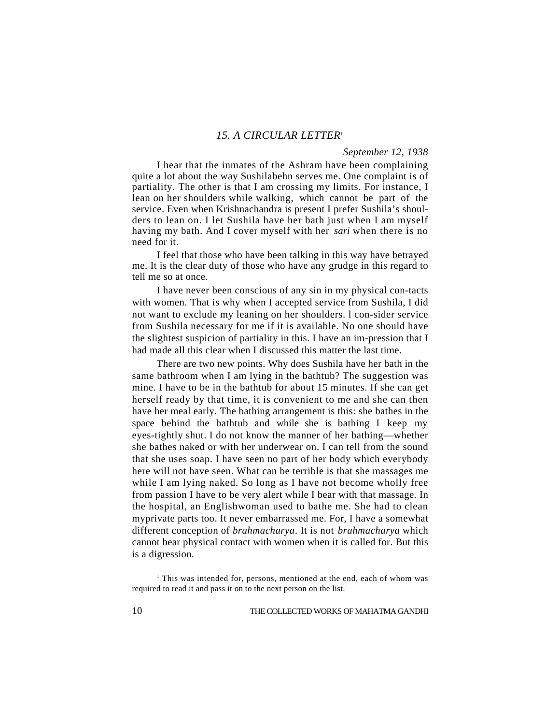# *15. A CIRCULAR LETTER*<sup>1</sup>

#### *September 12, 1938*

I hear that the inmates of the Ashram have been complaining quite a lot about the way Sushilabehn serves me. One complaint is of partiality. The other is that I am crossing my limits. For instance, I lean on her shoulders while walking, which cannot be part of the service. Even when Krishnachandra is present I prefer Sushila's shoulders to lean on. I let Sushila have her bath just when I am myself having my bath. And I cover myself with her *sari* when there is no need for it.

I feel that those who have been talking in this way have betrayed me. It is the clear duty of those who have any grudge in this regard to tell me so at once.

I have never been conscious of any sin in my physical con-tacts with women. That is why when I accepted service from Sushila, I did not want to exclude my leaning on her shoulders. l con-sider service from Sushila necessary for me if it is available. No one should have the slightest suspicion of partiality in this. I have an im-pression that I had made all this clear when I discussed this matter the last time.

There are two new points. Why does Sushila have her bath in the same bathroom when I am lying in the bathtub? The suggestion was mine. I have to be in the bathtub for about 15 minutes. If she can get herself ready by that time, it is convenient to me and she can then have her meal early. The bathing arrangement is this: she bathes in the space behind the bathtub and while she is bathing I keep my eyes-tightly shut. I do not know the manner of her bathing—whether she bathes naked or with her underwear on. I can tell from the sound that she uses soap. I have seen no part of her body which everybody here will not have seen. What can be terrible is that she massages me while I am lying naked. So long as I have not become wholly free from passion I have to be very alert while I bear with that massage. In the hospital, an Englishwoman used to bathe me. She had to clean myprivate parts too. It never embarrassed me. For, I have a somewhat different conception of *brahmacharya*. It is not *brahmacharya* which cannot bear physical contact with women when it is called for. But this is a digression.

<sup>&</sup>lt;sup>1</sup> This was intended for, persons, mentioned at the end, each of whom was required to read it and pass it on to the next person on the list.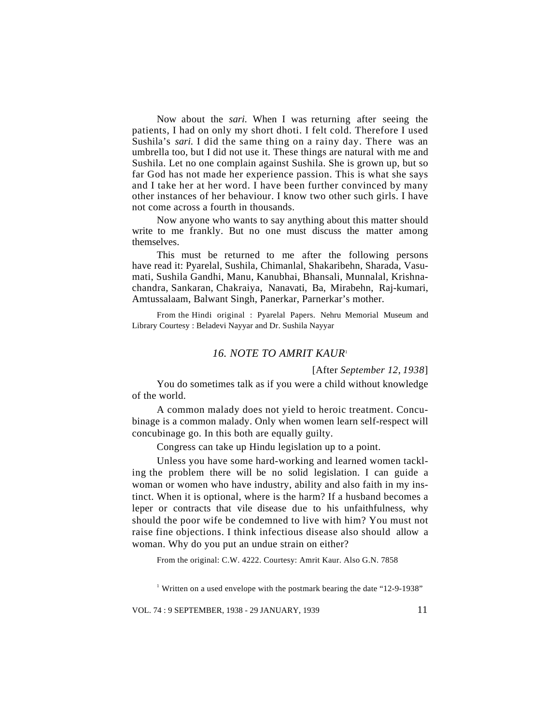Now about the *sari*. When I was returning after seeing the patients, I had on only my short dhoti. I felt cold. Therefore I used Sushila's *sari*. I did the same thing on a rainy day. There was an umbrella too, but I did not use it. These things are natural with me and Sushila. Let no one complain against Sushila. She is grown up, but so far God has not made her experience passion. This is what she says and I take her at her word. I have been further convinced by many other instances of her behaviour. I know two other such girls. I have not come across a fourth in thousands.

Now anyone who wants to say anything about this matter should write to me frankly. But no one must discuss the matter among themselves.

This must be returned to me after the following persons have read it: Pyarelal, Sushila, Chimanlal, Shakaribehn, Sharada, Vasumati, Sushila Gandhi, Manu, Kanubhai, Bhansali, Munnalal, Krishnachandra, Sankaran, Chakraiya, Nanavati, Ba, Mirabehn, Raj-kumari, Amtussalaam, Balwant Singh, Panerkar, Parnerkar's mother.

From the Hindi original : Pyarelal Papers. Nehru Memorial Museum and Library Courtesy : Beladevi Nayyar and Dr. Sushila Nayyar

# *16. NOTE TO AMRIT KAUR*<sup>1</sup>

[After *September 12*, *1938*]

You do sometimes talk as if you were a child without knowledge of the world.

A common malady does not yield to heroic treatment. Concubinage is a common malady. Only when women learn self-respect will concubinage go. In this both are equally guilty.

Congress can take up Hindu legislation up to a point.

Unless you have some hard-working and learned women tackling the problem there will be no solid legislation. I can guide a woman or women who have industry, ability and also faith in my instinct. When it is optional, where is the harm? If a husband becomes a leper or contracts that vile disease due to his unfaithfulness, why should the poor wife be condemned to live with him? You must not raise fine objections. I think infectious disease also should allow a woman. Why do you put an undue strain on either?

From the original: C.W. 4222. Courtesy: Amrit Kaur. Also G.N. 7858

<sup>1</sup> Written on a used envelope with the postmark bearing the date "12-9-1938"

VOL. 74 : 9 SEPTEMBER, 1938 - 29 JANUARY, 1939 11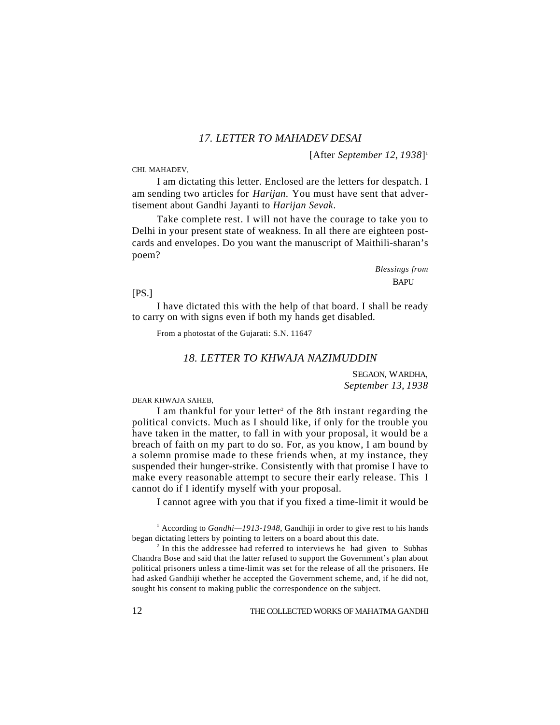### *17. LETTER TO MAHADEV DESAI*

[After *September 12*, *1938*] 1

CHI. MAHADEV,

I am dictating this letter. Enclosed are the letters for despatch. I am sending two articles for *Harijan*. You must have sent that advertisement about Gandhi Jayanti to *Harijan Sevak*.

Take complete rest. I will not have the courage to take you to Delhi in your present state of weakness. In all there are eighteen postcards and envelopes. Do you want the manuscript of Maithili-sharan's poem?

> *Blessings from* **BAPU**

 $[PS.]$ 

I have dictated this with the help of that board. I shall be ready to carry on with signs even if both my hands get disabled.

From a photostat of the Gujarati: S.N. 11647

# *18. LETTER TO KHWAJA NAZIMUDDIN*

SEGAON, WARDHA, *September 13*, *1938*

DEAR KHWAJA SAHEB,

I am thankful for your letter<sup>2</sup> of the 8th instant regarding the political convicts. Much as I should like, if only for the trouble you have taken in the matter, to fall in with your proposal, it would be a breach of faith on my part to do so. For, as you know, I am bound by a solemn promise made to these friends when, at my instance, they suspended their hunger-strike. Consistently with that promise I have to make every reasonable attempt to secure their early release. This I cannot do if I identify myself with your proposal.

I cannot agree with you that if you fixed a time-limit it would be

<sup>1</sup> According to *Gandhi*—1913-1948, Gandhiji in order to give rest to his hands began dictating letters by pointing to letters on a board about this date.

<sup>2</sup> In this the addressee had referred to interviews he had given to Subhas Chandra Bose and said that the latter refused to support the Government's plan about political prisoners unless a time-limit was set for the release of all the prisoners. He had asked Gandhiji whether he accepted the Government scheme, and, if he did not, sought his consent to making public the correspondence on the subject.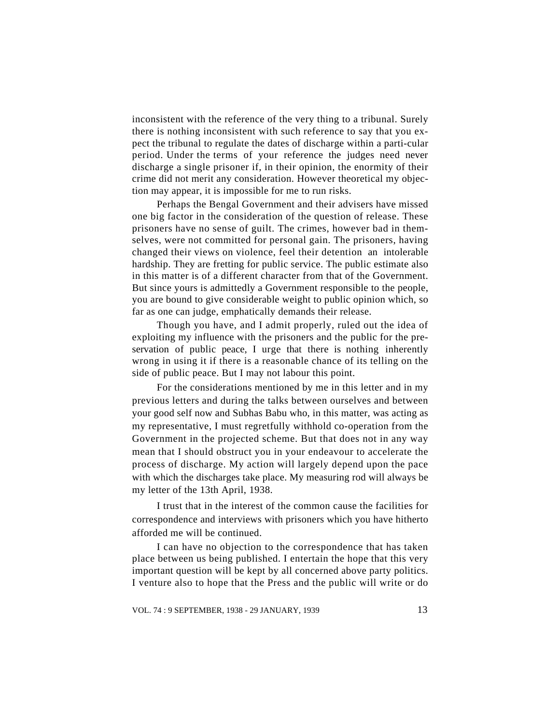inconsistent with the reference of the very thing to a tribunal. Surely there is nothing inconsistent with such reference to say that you expect the tribunal to regulate the dates of discharge within a parti-cular period. Under the terms of your reference the judges need never discharge a single prisoner if, in their opinion, the enormity of their crime did not merit any consideration. However theoretical my objection may appear, it is impossible for me to run risks.

Perhaps the Bengal Government and their advisers have missed one big factor in the consideration of the question of release. These prisoners have no sense of guilt. The crimes, however bad in themselves, were not committed for personal gain. The prisoners, having changed their views on violence, feel their detention an intolerable hardship. They are fretting for public service. The public estimate also in this matter is of a different character from that of the Government. But since yours is admittedly a Government responsible to the people, you are bound to give considerable weight to public opinion which, so far as one can judge, emphatically demands their release.

Though you have, and I admit properly, ruled out the idea of exploiting my influence with the prisoners and the public for the preservation of public peace, I urge that there is nothing inherently wrong in using it if there is a reasonable chance of its telling on the side of public peace. But I may not labour this point.

For the considerations mentioned by me in this letter and in my previous letters and during the talks between ourselves and between your good self now and Subhas Babu who, in this matter, was acting as my representative, I must regretfully withhold co-operation from the Government in the projected scheme. But that does not in any way mean that I should obstruct you in your endeavour to accelerate the process of discharge. My action will largely depend upon the pace with which the discharges take place. My measuring rod will always be my letter of the 13th April, 1938.

I trust that in the interest of the common cause the facilities for correspondence and interviews with prisoners which you have hitherto afforded me will be continued.

I can have no objection to the correspondence that has taken place between us being published. I entertain the hope that this very important question will be kept by all concerned above party politics. I venture also to hope that the Press and the public will write or do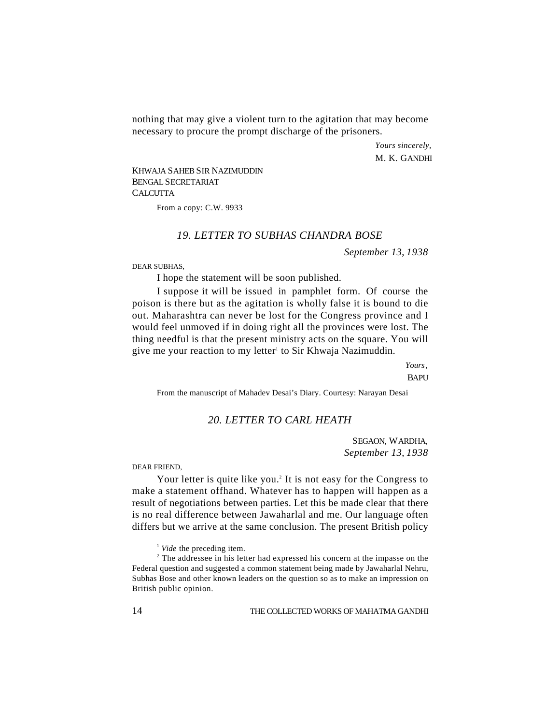nothing that may give a violent turn to the agitation that may become necessary to procure the prompt discharge of the prisoners.

> *Yours sincerely*, M. K. GANDHI

### KHWAJA SAHEB SIR NAZIMUDDIN BENGAL SECRETARIAT CALCUTTA

From a copy: C.W. 9933

# *19. LETTER TO SUBHAS CHANDRA BOSE*

*September 13*, *1938*

DEAR SUBHAS,

I hope the statement will be soon published.

I suppose it will be issued in pamphlet form. Of course the poison is there but as the agitation is wholly false it is bound to die out. Maharashtra can never be lost for the Congress province and I would feel unmoved if in doing right all the provinces were lost. The thing needful is that the present ministry acts on the square. You will give me your reaction to my letter<sup>1</sup> to Sir Khwaja Nazimuddin.

> *Yours*, **BAPU**

From the manuscript of Mahadev Desai's Diary. Courtesy: Narayan Desai

# *20. LETTER TO CARL HEATH*

SEGAON, WARDHA, *September 13*, *1938*

DEAR FRIEND,

Your letter is quite like you.<sup>2</sup> It is not easy for the Congress to make a statement offhand. Whatever has to happen will happen as a result of negotiations between parties. Let this be made clear that there is no real difference between Jawaharlal and me. Our language often differs but we arrive at the same conclusion. The present British policy

<sup>1</sup> *Vide* the preceding item.

<sup>2</sup> The addressee in his letter had expressed his concern at the impasse on the Federal question and suggested a common statement being made by Jawaharlal Nehru, Subhas Bose and other known leaders on the question so as to make an impression on British public opinion.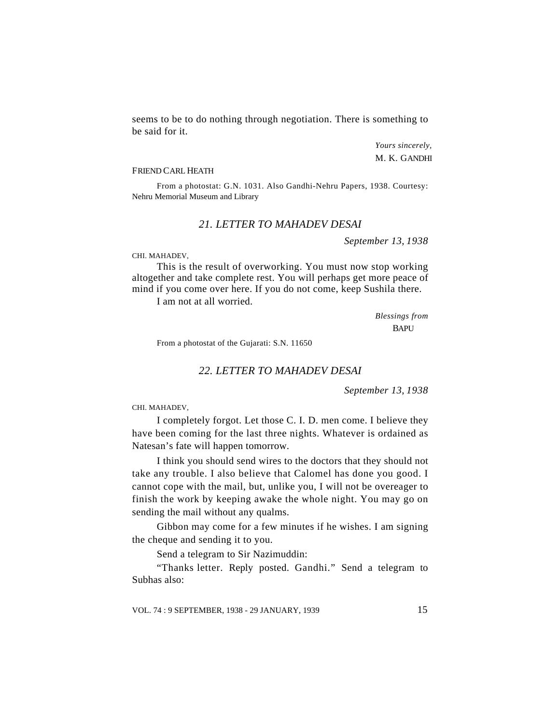seems to be to do nothing through negotiation. There is something to be said for it.

> *Yours sincerely,* M. K. GANDHI

#### FRIEND CARL HEATH

From a photostat: G.N. 1031. Also Gandhi-Nehru Papers, 1938. Courtesy: Nehru Memorial Museum and Library

# *21. LETTER TO MAHADEV DESAI*

*September 13*, *1938*

CHI. MAHADEV,

This is the result of overworking. You must now stop working altogether and take complete rest. You will perhaps get more peace of mind if you come over here. If you do not come, keep Sushila there.

I am not at all worried.

*Blessings from* BAPU

From a photostat of the Gujarati: S.N. 11650

# *22. LETTER TO MAHADEV DESAI*

*September 13*, *1938*

CHI. MAHADEV,

I completely forgot. Let those C. I. D. men come. I believe they have been coming for the last three nights. Whatever is ordained as Natesan's fate will happen tomorrow.

I think you should send wires to the doctors that they should not take any trouble. I also believe that Calomel has done you good. I cannot cope with the mail, but, unlike you, I will not be overeager to finish the work by keeping awake the whole night. You may go on sending the mail without any qualms.

Gibbon may come for a few minutes if he wishes. I am signing the cheque and sending it to you.

Send a telegram to Sir Nazimuddin:

"Thanks letter. Reply posted. Gandhi." Send a telegram to Subhas also: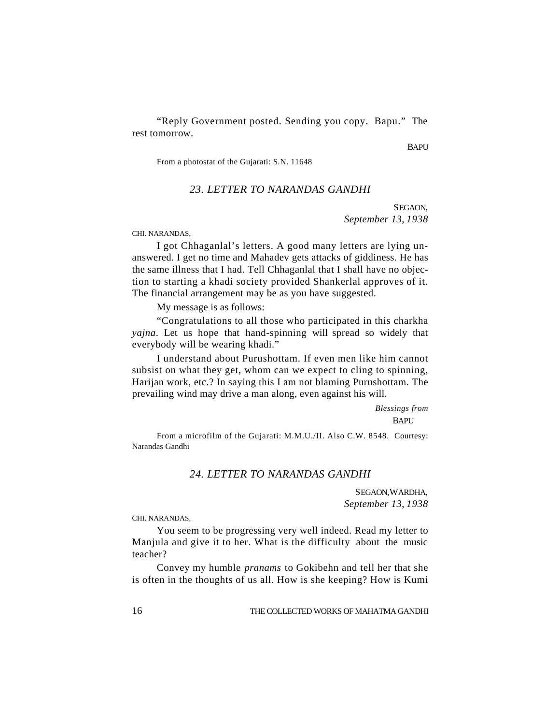"Reply Government posted. Sending you copy. Bapu." The rest tomorrow.

**BAPU** 

From a photostat of the Gujarati: S.N. 11648

# *23. LETTER TO NARANDAS GANDHI*

SEGAON, *September 13*, *1938*

CHI. NARANDAS,

I got Chhaganlal's letters. A good many letters are lying unanswered. I get no time and Mahadev gets attacks of giddiness. He has the same illness that I had. Tell Chhaganlal that I shall have no objection to starting a khadi society provided Shankerlal approves of it. The financial arrangement may be as you have suggested.

My message is as follows:

"Congratulations to all those who participated in this charkha *yajna*. Let us hope that hand-spinning will spread so widely that everybody will be wearing khadi."

I understand about Purushottam. If even men like him cannot subsist on what they get, whom can we expect to cling to spinning, Harijan work, etc.? In saying this I am not blaming Purushottam. The prevailing wind may drive a man along, even against his will.

> *Blessings from* **BAPU**

From a microfilm of the Gujarati: M.M.U./II. Also C.W. 8548. Courtesy: Narandas Gandhi

### *24. LETTER TO NARANDAS GANDHI*

SEGAON,WARDHA, *September 13*, *1938*

CHI. NARANDAS,

You seem to be progressing very well indeed. Read my letter to Manjula and give it to her. What is the difficulty about the music teacher?

Convey my humble *pranams* to Gokibehn and tell her that she is often in the thoughts of us all. How is she keeping? How is Kumi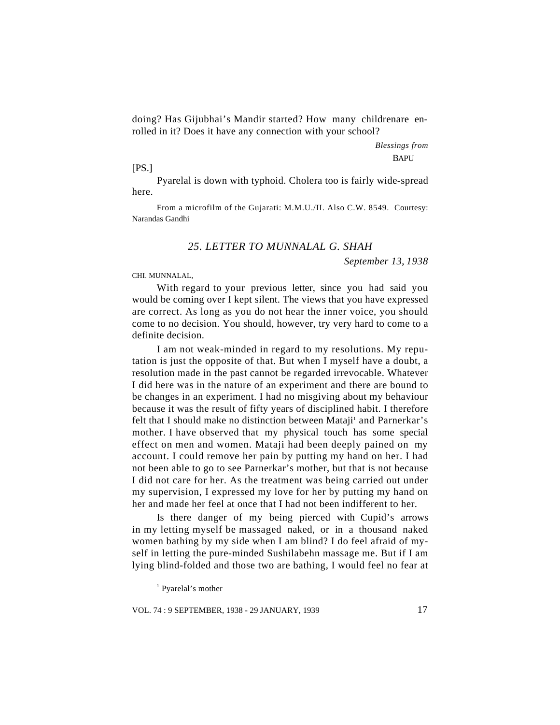doing? Has Gijubhai's Mandir started? How many childrenare enrolled in it? Does it have any connection with your school?

*Blessings from*

**BAPU** 

[PS.]

Pyarelal is down with typhoid. Cholera too is fairly wide-spread here.

From a microfilm of the Gujarati: M.M.U./II. Also C.W. 8549. Courtesy: Narandas Gandhi

# *25. LETTER TO MUNNALAL G. SHAH*

*September 13*, *1938*

#### CHI. MUNNALAL,

With regard to your previous letter, since you had said you would be coming over I kept silent. The views that you have expressed are correct. As long as you do not hear the inner voice, you should come to no decision. You should, however, try very hard to come to a definite decision.

I am not weak-minded in regard to my resolutions. My reputation is just the opposite of that. But when I myself have a doubt, a resolution made in the past cannot be regarded irrevocable. Whatever I did here was in the nature of an experiment and there are bound to be changes in an experiment. I had no misgiving about my behaviour because it was the result of fifty years of disciplined habit. I therefore felt that I should make no distinction between Mataji<sup>1</sup> and Parnerkar's mother. I have observed that my physical touch has some special effect on men and women. Mataji had been deeply pained on my account. I could remove her pain by putting my hand on her. I had not been able to go to see Parnerkar's mother, but that is not because I did not care for her. As the treatment was being carried out under my supervision, I expressed my love for her by putting my hand on her and made her feel at once that I had not been indifferent to her.

Is there danger of my being pierced with Cupid's arrows in my letting myself be massaged naked, or in a thousand naked women bathing by my side when I am blind? I do feel afraid of myself in letting the pure-minded Sushilabehn massage me. But if I am lying blind-folded and those two are bathing, I would feel no fear at

<sup>&</sup>lt;sup>1</sup> Pyarelal's mother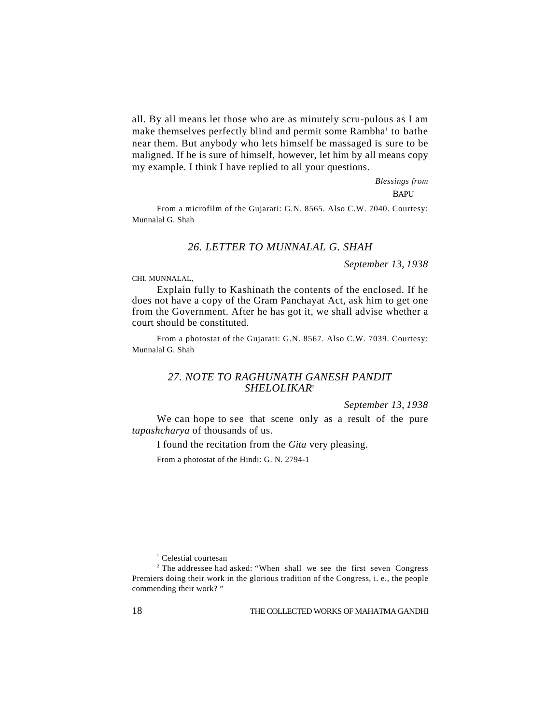all. By all means let those who are as minutely scru-pulous as I am make themselves perfectly blind and permit some Rambha<sup>1</sup> to bathe near them. But anybody who lets himself be massaged is sure to be maligned. If he is sure of himself, however, let him by all means copy my example. I think I have replied to all your questions.

> *Blessings from* BAPU

From a microfilm of the Gujarati: G.N. 8565. Also C.W. 7040. Courtesy: Munnalal G. Shah

# *26. LETTER TO MUNNALAL G. SHAH*

*September 13*, *1938*

#### CHI. MUNNALAL,

Explain fully to Kashinath the contents of the enclosed. If he does not have a copy of the Gram Panchayat Act, ask him to get one from the Government. After he has got it, we shall advise whether a court should be constituted.

From a photostat of the Gujarati: G.N. 8567. Also C.W. 7039. Courtesy: Munnalal G. Shah

# *27. NOTE TO RAGHUNATH GANESH PANDIT SHELOLIKAR*<sup>2</sup>

*September 13*, *1938*

We can hope to see that scene only as a result of the pure *tapashcharya* of thousands of us.

I found the recitation from the *Gita* very pleasing.

From a photostat of the Hindi: G. N. 2794-1

<sup>1</sup> Celestial courtesan

<sup>&</sup>lt;sup>2</sup> The addressee had asked: "When shall we see the first seven Congress Premiers doing their work in the glorious tradition of the Congress, i. e., the people commending their work? "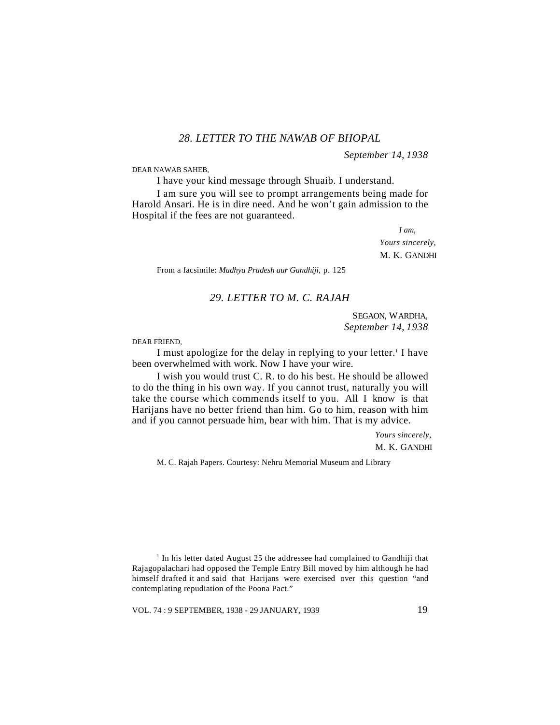#### *28. LETTER TO THE NAWAB OF BHOPAL*

*September 14*, *1938*

DEAR NAWAB SAHEB,

I have your kind message through Shuaib. I understand.

I am sure you will see to prompt arrangements being made for Harold Ansari. He is in dire need. And he won't gain admission to the Hospital if the fees are not guaranteed.

> *I am*, *Yours sincerely*, M. K. GANDHI

From a facsimile: *Madhya Pradesh aur Gandhiji*, p. 125

# *29. LETTER TO M. C. RAJAH*

SEGAON, WARDHA, *September 14*, *1938*

DEAR FRIEND,

I must apologize for the delay in replying to your letter.<sup>1</sup> I have been overwhelmed with work. Now I have your wire.

I wish you would trust C. R. to do his best. He should be allowed to do the thing in his own way. If you cannot trust, naturally you will take the course which commends itself to you. All I know is that Harijans have no better friend than him. Go to him, reason with him and if you cannot persuade him, bear with him. That is my advice.

> *Yours sincerely*, M. K. GANDHI

M. C. Rajah Papers. Courtesy: Nehru Memorial Museum and Library

 $<sup>1</sup>$  In his letter dated August 25 the addressee had complained to Gandhiji that</sup> Rajagopalachari had opposed the Temple Entry Bill moved by him although he had himself drafted it and said that Harijans were exercised over this question "and contemplating repudiation of the Poona Pact."

VOL. 74 : 9 SEPTEMBER, 1938 - 29 JANUARY, 1939 19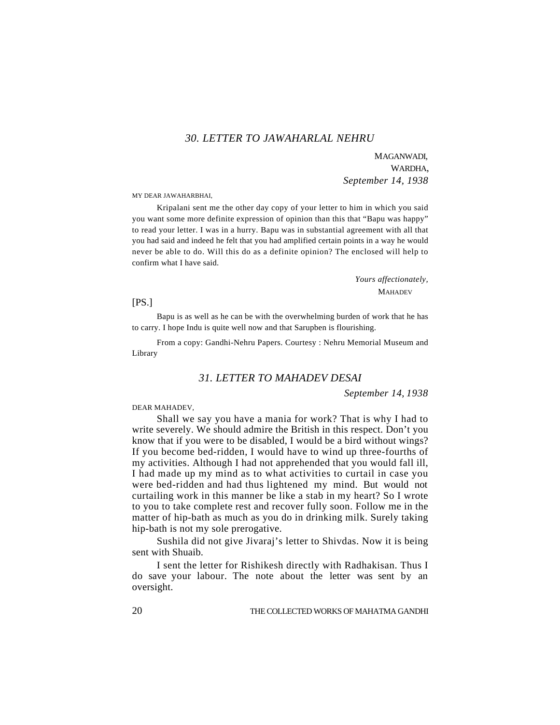# *30. LETTER TO JAWAHARLAL NEHRU*

MAGANWADI, WARDHA, *September 14, 1938*

MY DEAR JAWAHARBHAI,

Kripalani sent me the other day copy of your letter to him in which you said you want some more definite expression of opinion than this that "Bapu was happy" to read your letter. I was in a hurry. Bapu was in substantial agreement with all that you had said and indeed he felt that you had amplified certain points in a way he would never be able to do. Will this do as a definite opinion? The enclosed will help to confirm what I have said.

> *Yours affectionately,* **MAHADEV**

[PS.]

Bapu is as well as he can be with the overwhelming burden of work that he has to carry. I hope Indu is quite well now and that Sarupben is flourishing.

From a copy: Gandhi-Nehru Papers. Courtesy : Nehru Memorial Museum and Library

# *31. LETTER TO MAHADEV DESAI*

*September 14*, *1938*

#### DEAR MAHADEV,

Shall we say you have a mania for work? That is why I had to write severely. We should admire the British in this respect. Don't you know that if you were to be disabled, I would be a bird without wings? If you become bed-ridden, I would have to wind up three-fourths of my activities. Although I had not apprehended that you would fall ill, I had made up my mind as to what activities to curtail in case you were bed-ridden and had thus lightened my mind. But would not curtailing work in this manner be like a stab in my heart? So I wrote to you to take complete rest and recover fully soon. Follow me in the matter of hip-bath as much as you do in drinking milk. Surely taking hip-bath is not my sole prerogative.

Sushila did not give Jivaraj's letter to Shivdas. Now it is being sent with Shuaib.

I sent the letter for Rishikesh directly with Radhakisan. Thus I do save your labour. The note about the letter was sent by an oversight.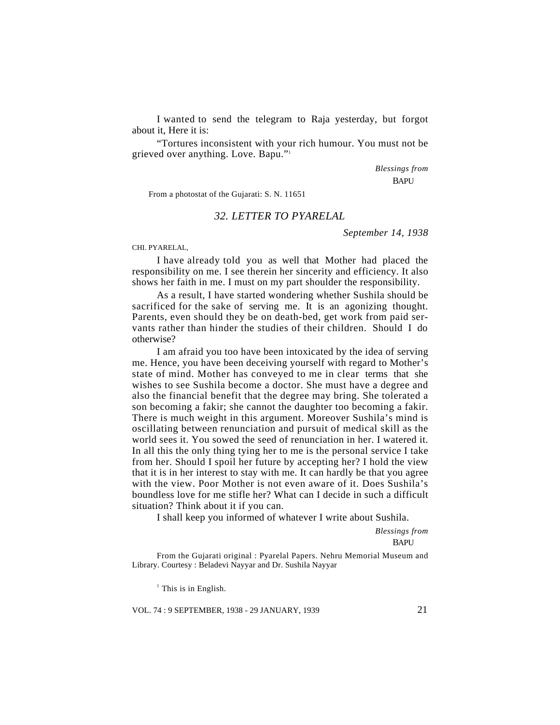I wanted to send the telegram to Raja yesterday, but forgot about it, Here it is:

"Tortures inconsistent with your rich humour. You must not be grieved over anything. Love. Bapu."<sup>1</sup>

> *Blessings from* **BAPU**

From a photostat of the Gujarati: S. N. 11651

# *32. LETTER TO PYARELAL*

*September 14, 1938*

CHI. PYARELAL,

I have already told you as well that Mother had placed the responsibility on me. I see therein her sincerity and efficiency. It also shows her faith in me. I must on my part shoulder the responsibility.

As a result, I have started wondering whether Sushila should be sacrificed for the sake of serving me. It is an agonizing thought. Parents, even should they be on death-bed, get work from paid servants rather than hinder the studies of their children. Should I do otherwise?

I am afraid you too have been intoxicated by the idea of serving me. Hence, you have been deceiving yourself with regard to Mother's state of mind. Mother has conveyed to me in clear terms that she wishes to see Sushila become a doctor. She must have a degree and also the financial benefit that the degree may bring. She tolerated a son becoming a fakir; she cannot the daughter too becoming a fakir. There is much weight in this argument. Moreover Sushila's mind is oscillating between renunciation and pursuit of medical skill as the world sees it. You sowed the seed of renunciation in her. I watered it. In all this the only thing tying her to me is the personal service I take from her. Should I spoil her future by accepting her? I hold the view that it is in her interest to stay with me. It can hardly be that you agree with the view. Poor Mother is not even aware of it. Does Sushila's boundless love for me stifle her? What can I decide in such a difficult situation? Think about it if you can.

I shall keep you informed of whatever I write about Sushila.

*Blessings from*

**BAPU** 

From the Gujarati original : Pyarelal Papers. Nehru Memorial Museum and Library. Courtesy : Beladevi Nayyar and Dr. Sushila Nayyar

<sup>1</sup> This is in English.

VOL. 74 : 9 SEPTEMBER, 1938 - 29 JANUARY, 1939 21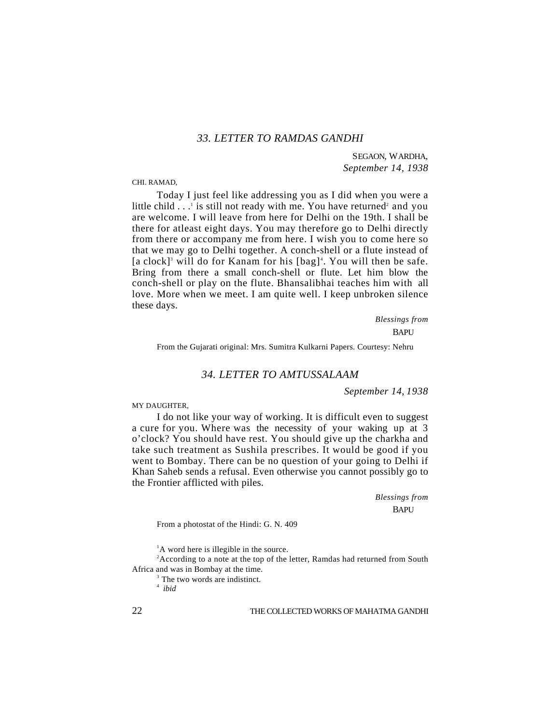# *33. LETTER TO RAMDAS GANDHI*

SEGAON, WARDHA, *September 14, 1938*

CHI. RAMAD,

Today I just feel like addressing you as I did when you were a little child  $\dots$ <sup>1</sup> is still not ready with me. You have returned<sup>2</sup> and you are welcome. I will leave from here for Delhi on the 19th. I shall be there for atleast eight days. You may therefore go to Delhi directly from there or accompany me from here. I wish you to come here so that we may go to Delhi together. A conch-shell or a flute instead of [a clock]<sup>3</sup> will do for Kanam for his [bag]<sup>4</sup>. You will then be safe. Bring from there a small conch-shell or flute. Let him blow the conch-shell or play on the flute. Bhansalibhai teaches him with all love. More when we meet. I am quite well. I keep unbroken silence these days.

*Blessings from*

**BAPU** 

From the Gujarati original: Mrs. Sumitra Kulkarni Papers. Courtesy: Nehru

# *34. LETTER TO AMTUSSALAAM*

*September 14*, *1938*

MY DAUGHTER,

I do not like your way of working. It is difficult even to suggest a cure for you. Where was the necessity of your waking up at 3 o'clock? You should have rest. You should give up the charkha and take such treatment as Sushila prescribes. It would be good if you went to Bombay. There can be no question of your going to Delhi if Khan Saheb sends a refusal. Even otherwise you cannot possibly go to the Frontier afflicted with piles.

> *Blessings from* **BAPU**

From a photostat of the Hindi: G. N. 409

 ${}^{1}$ A word here is illegible in the source.

<sup>2</sup> According to a note at the top of the letter, Ramdas had returned from South Africa and was in Bombay at the time.

<sup>3</sup> The two words are indistinct.

4 *ibid*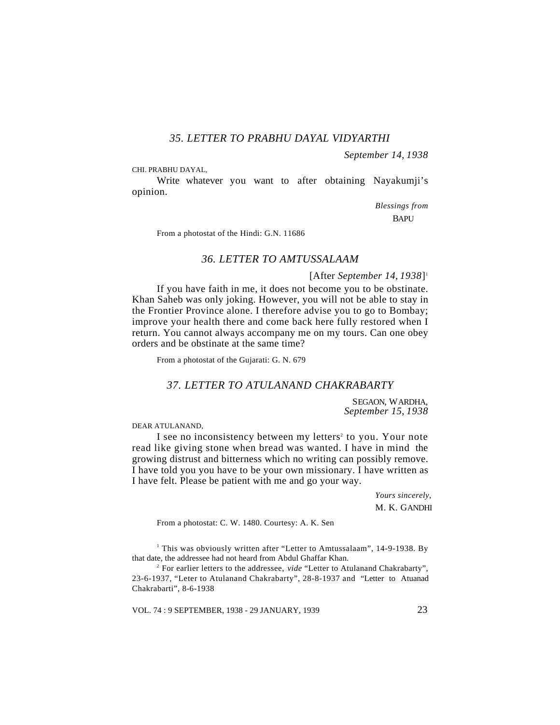*September 14*, *1938*

#### CHI. PRABHU DAYAL,

Write whatever you want to after obtaining Nayakumji's opinion.

> *Blessings from* **BAPU**

From a photostat of the Hindi: G.N. 11686

### *36. LETTER TO AMTUSSALAAM*

[After *September 14*, *1938*] 1

If you have faith in me, it does not become you to be obstinate. Khan Saheb was only joking. However, you will not be able to stay in the Frontier Province alone. I therefore advise you to go to Bombay; improve your health there and come back here fully restored when I return. You cannot always accompany me on my tours. Can one obey orders and be obstinate at the same time?

From a photostat of the Gujarati: G. N. 679

# *37. LETTER TO ATULANAND CHAKRABARTY*

SEGAON, WARDHA, *September 15*, *1938*

DEAR ATULANAND,

I see no inconsistency between my letters<sup>2</sup> to you. Your note read like giving stone when bread was wanted. I have in mind the growing distrust and bitterness which no writing can possibly remove. I have told you you have to be your own missionary. I have written as I have felt. Please be patient with me and go your way.

> *Yours sincerely*, M. K. GANDHI

From a photostat: C. W. 1480. Courtesy: A. K. Sen

<sup>1</sup> This was obviously written after "Letter to Amtussalaam", 14-9-1938. By that date, the addressee had not heard from Abdul Ghaffar Khan.

<sup>2</sup> For earlier letters to the addressee, *vide* "Letter to Atulanand Chakrabarty", 23-6-1937, "Leter to Atulanand Chakrabarty", 28-8-1937 and "Letter to Atuanad Chakrabarti", 8-6-1938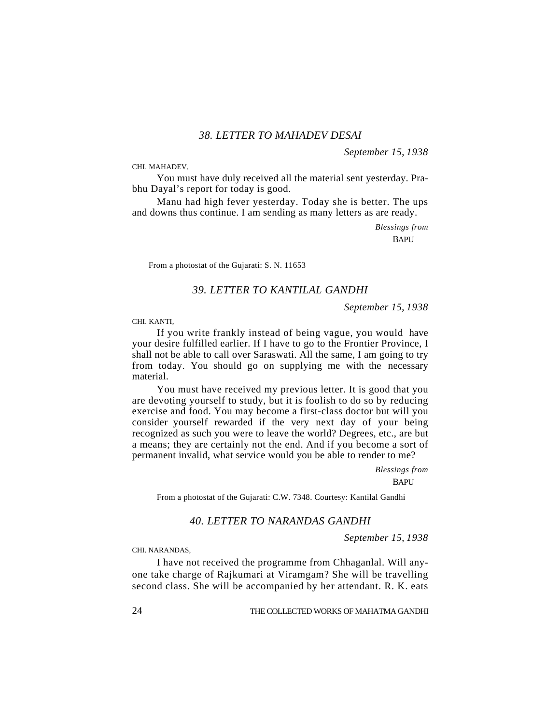*September 15*, *1938*

CHI. MAHADEV,

You must have duly received all the material sent yesterday. Prabhu Dayal's report for today is good.

Manu had high fever yesterday. Today she is better. The ups and downs thus continue. I am sending as many letters as are ready.

> *Blessings from* **BAPU**

From a photostat of the Gujarati: S. N. 11653

# *39. LETTER TO KANTILAL GANDHI*

*September 15*, *1938*

CHI. KANTI,

If you write frankly instead of being vague, you would have your desire fulfilled earlier. If I have to go to the Frontier Province, I shall not be able to call over Saraswati. All the same, I am going to try from today. You should go on supplying me with the necessary material.

You must have received my previous letter. It is good that you are devoting yourself to study, but it is foolish to do so by reducing exercise and food. You may become a first-class doctor but will you consider yourself rewarded if the very next day of your being recognized as such you were to leave the world? Degrees, etc., are but a means; they are certainly not the end. And if you become a sort of permanent invalid, what service would you be able to render to me?

*Blessings from*

BAPU

From a photostat of the Gujarati: C.W. 7348. Courtesy: Kantilal Gandhi

# *40. LETTER TO NARANDAS GANDHI*

*September 15*, *1938*

CHI. NARANDAS,

I have not received the programme from Chhaganlal. Will anyone take charge of Rajkumari at Viramgam? She will be travelling second class. She will be accompanied by her attendant. R. K. eats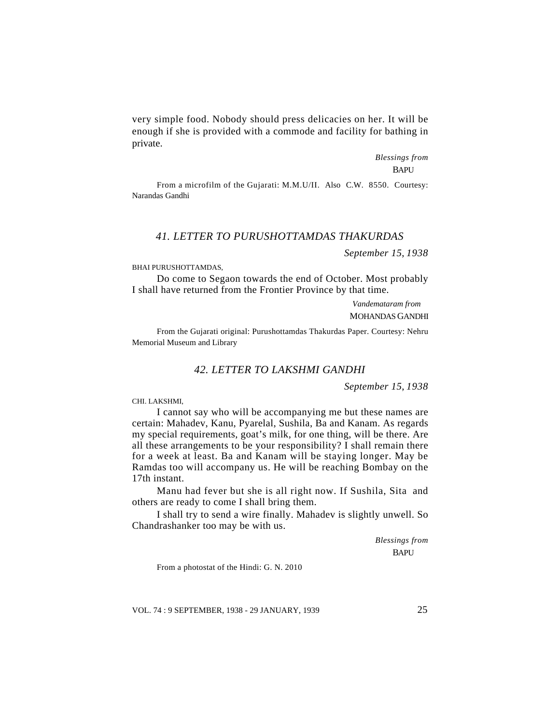very simple food. Nobody should press delicacies on her. It will be enough if she is provided with a commode and facility for bathing in private.

> *Blessings from* BAPU

From a microfilm of the Gujarati: M.M.U/II. Also C.W. 8550. Courtesy: Narandas Gandhi

# *41. LETTER TO PURUSHOTTAMDAS THAKURDAS*

*September 15*, *1938*

BHAI PURUSHOTTAMDAS,

Do come to Segaon towards the end of October. Most probably I shall have returned from the Frontier Province by that time.

> *Vandemataram from* MOHANDAS GANDHI

From the Gujarati original: Purushottamdas Thakurdas Paper. Courtesy: Nehru Memorial Museum and Library

# *42. LETTER TO LAKSHMI GANDHI*

*September 15*, *1938*

CHI. LAKSHMI,

I cannot say who will be accompanying me but these names are certain: Mahadev, Kanu, Pyarelal, Sushila, Ba and Kanam. As regards my special requirements, goat's milk, for one thing, will be there. Are all these arrangements to be your responsibility? I shall remain there for a week at least. Ba and Kanam will be staying longer. May be Ramdas too will accompany us. He will be reaching Bombay on the 17th instant.

Manu had fever but she is all right now. If Sushila, Sita and others are ready to come I shall bring them.

I shall try to send a wire finally. Mahadev is slightly unwell. So Chandrashanker too may be with us.

> *Blessings from* **BAPU**

From a photostat of the Hindi: G. N. 2010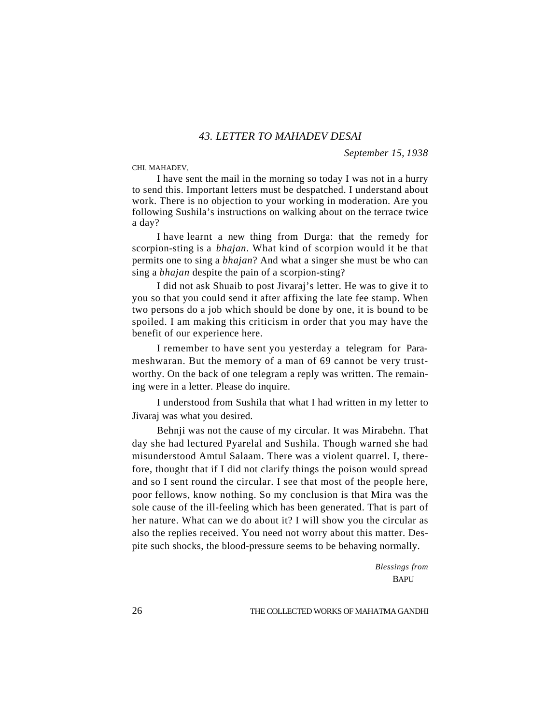*September 15*, *1938*

CHI. MAHADEV,

I have sent the mail in the morning so today I was not in a hurry to send this. Important letters must be despatched. I understand about work. There is no objection to your working in moderation. Are you following Sushila's instructions on walking about on the terrace twice a day?

I have learnt a new thing from Durga: that the remedy for scorpion-sting is a *bhajan*. What kind of scorpion would it be that permits one to sing a *bhajan*? And what a singer she must be who can sing a *bhajan* despite the pain of a scorpion-sting?

I did not ask Shuaib to post Jivaraj's letter. He was to give it to you so that you could send it after affixing the late fee stamp. When two persons do a job which should be done by one, it is bound to be spoiled. I am making this criticism in order that you may have the benefit of our experience here.

I remember to have sent you yesterday a telegram for Parameshwaran. But the memory of a man of 69 cannot be very trustworthy. On the back of one telegram a reply was written. The remaining were in a letter. Please do inquire.

I understood from Sushila that what I had written in my letter to Jivaraj was what you desired.

Behnji was not the cause of my circular. It was Mirabehn. That day she had lectured Pyarelal and Sushila. Though warned she had misunderstood Amtul Salaam. There was a violent quarrel. I, therefore, thought that if I did not clarify things the poison would spread and so I sent round the circular. I see that most of the people here, poor fellows, know nothing. So my conclusion is that Mira was the sole cause of the ill-feeling which has been generated. That is part of her nature. What can we do about it? I will show you the circular as also the replies received. You need not worry about this matter. Despite such shocks, the blood-pressure seems to be behaving normally.

> *Blessings from* BAPU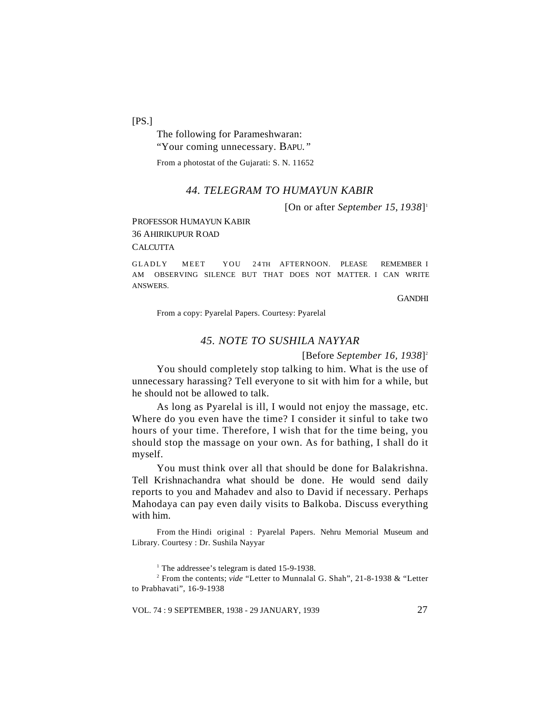[PS.]

The following for Parameshwaran:

"Your coming unnecessary. BAPU. "

From a photostat of the Gujarati: S. N. 11652

# *44. TELEGRAM TO HUMAYUN KABIR*

[On or after *September 15*, *1938*] 1

PROFESSOR HUMAYUN KABIR 36 AHIRIKUPUR ROAD **CALCUTTA** 

GLADLY MEET YOU 24TH AFTERNOON. PLEASE REMEMBER I AM OBSERVING SILENCE BUT THAT DOES NOT MATTER. I CAN WRITE ANSWERS.

**GANDHI** 

From a copy: Pyarelal Papers. Courtesy: Pyarelal

## *45. NOTE TO SUSHILA NAYYAR*

[Before *September 16, 1938*] 2

You should completely stop talking to him. What is the use of unnecessary harassing? Tell everyone to sit with him for a while, but he should not be allowed to talk.

As long as Pyarelal is ill, I would not enjoy the massage, etc. Where do you even have the time? I consider it sinful to take two hours of your time. Therefore, I wish that for the time being, you should stop the massage on your own. As for bathing, I shall do it myself.

You must think over all that should be done for Balakrishna. Tell Krishnachandra what should be done. He would send daily reports to you and Mahadev and also to David if necessary. Perhaps Mahodaya can pay even daily visits to Balkoba. Discuss everything with him.

From the Hindi original : Pyarelal Papers. Nehru Memorial Museum and Library. Courtesy : Dr. Sushila Nayyar

<sup>1</sup> The addressee's telegram is dated 15-9-1938.

<sup>2</sup> From the contents; *vide* "Letter to Munnalal G. Shah", 21-8-1938 & "Letter to Prabhavati", 16-9-1938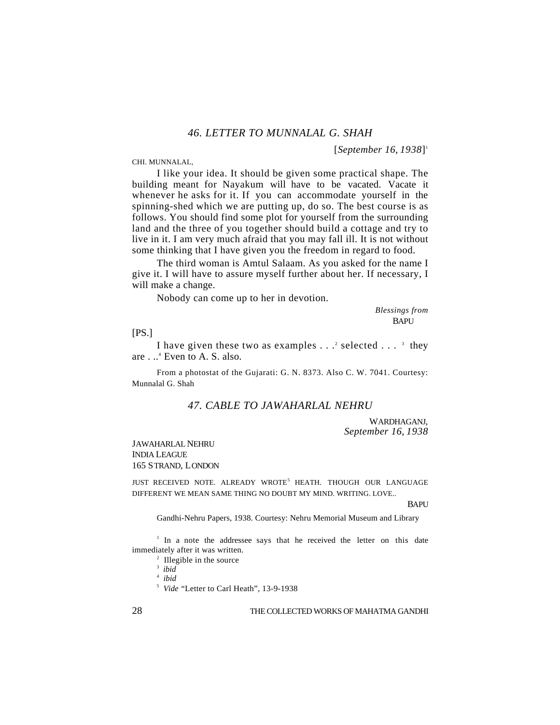[*September 16*, *1938*]1

CHI. MUNNALAL,

I like your idea. It should be given some practical shape. The building meant for Nayakum will have to be vacated. Vacate it whenever he asks for it. If you can accommodate yourself in the spinning-shed which we are putting up, do so. The best course is as follows. You should find some plot for yourself from the surrounding land and the three of you together should build a cottage and try to live in it. I am very much afraid that you may fall ill. It is not without some thinking that I have given you the freedom in regard to food.

The third woman is Amtul Salaam. As you asked for the name I give it. I will have to assure myself further about her. If necessary, I will make a change.

Nobody can come up to her in devotion.

*Blessings from* **BAPU** 

[PS.]

I have given these two as examples . . .<sup>2</sup> selected . . . <sup>3</sup> they are . ..4 Even to A. S. also.

From a photostat of the Gujarati: G. N. 8373. Also C. W. 7041. Courtesy: Munnalal G. Shah

# *47. CABLE TO JAWAHARLAL NEHRU*

 WARDHAGANJ, *September 16*, *1938*

JAWAHARLAL NEHRU INDIA LEAGUE 165 STRAND, LONDON

JUST RECEIVED NOTE. ALREADY WROTE<sup>5</sup> HEATH. THOUGH OUR LANGUAGE DIFFERENT WE MEAN SAME THING NO DOUBT MY MIND. WRITING. LOVE..

**BAPU** 

Gandhi-Nehru Papers, 1938. Courtesy: Nehru Memorial Museum and Library

<sup>1</sup> In a note the addressee says that he received the letter on this date immediately after it was written.

<sup>2</sup> Illegible in the source

3 *ibid*

<sup>4</sup> *ibid*

<sup>5</sup> *Vide* "Letter to Carl Heath", 13-9-1938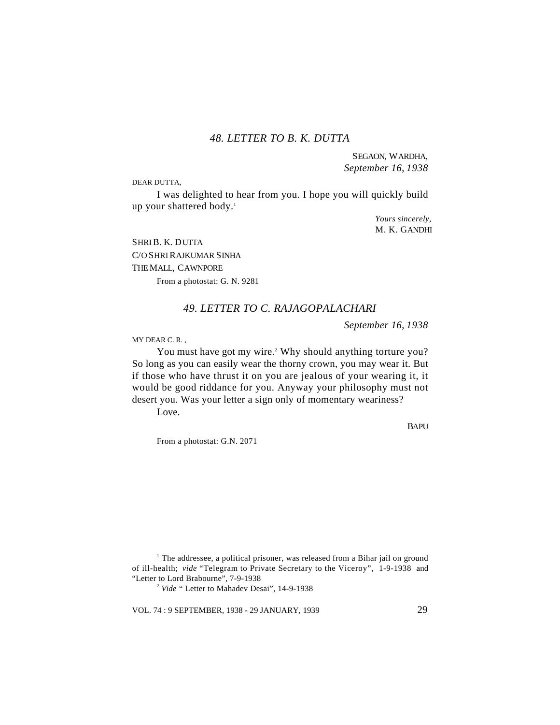# *48. LETTER TO B. K. DUTTA*

SEGAON, WARDHA, *September 16*, *1938*

DEAR DUTTA,

I was delighted to hear from you. I hope you will quickly build up your shattered body.<sup>1</sup>

> *Yours sincerely*, M. K. GANDHI

SHRI B. K. DUTTA C/O SHRI RAJKUMAR SINHA THE MALL, CAWNPORE From a photostat: G. N. 9281

# *49. LETTER TO C. RAJAGOPALACHARI*

*September 16*, *1938*

MY DEAR C. R. ,

You must have got my wire.<sup>2</sup> Why should anything torture you? So long as you can easily wear the thorny crown, you may wear it. But if those who have thrust it on you are jealous of your wearing it, it would be good riddance for you. Anyway your philosophy must not desert you. Was your letter a sign only of momentary weariness?

Love.

**BAPU** 

From a photostat: G.N. 2071

<sup>1</sup> The addressee, a political prisoner, was released from a Bihar jail on ground of ill-health; *vide* "Telegram to Private Secretary to the Viceroy", 1-9-1938 and "Letter to Lord Brabourne", 7-9-1938

<sup>2</sup> Vide " Letter to Mahadev Desai", 14-9-1938

VOL. 74 : 9 SEPTEMBER, 1938 - 29 JANUARY, 1939 29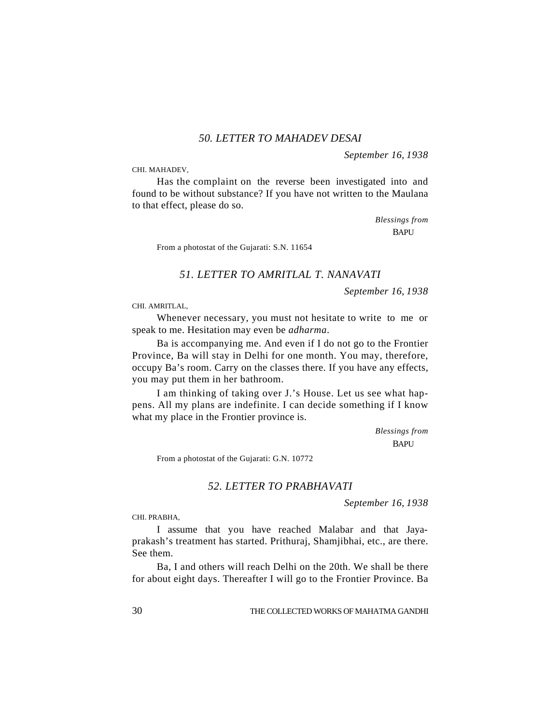*September 16*, *1938*

CHI. MAHADEV,

Has the complaint on the reverse been investigated into and found to be without substance? If you have not written to the Maulana to that effect, please do so.

> *Blessings from* **BAPU**

From a photostat of the Gujarati: S.N. 11654

# *51. LETTER TO AMRITLAL T. NANAVATI*

*September 16*, *1938*

CHI. AMRITLAL,

Whenever necessary, you must not hesitate to write to me or speak to me. Hesitation may even be *adharma*.

Ba is accompanying me. And even if I do not go to the Frontier Province, Ba will stay in Delhi for one month. You may, therefore, occupy Ba's room. Carry on the classes there. If you have any effects, you may put them in her bathroom.

I am thinking of taking over J.'s House. Let us see what happens. All my plans are indefinite. I can decide something if I know what my place in the Frontier province is.

> *Blessings from* **BAPU**

From a photostat of the Gujarati: G.N. 10772

# *52. LETTER TO PRABHAVATI*

*September 16*, *1938*

CHI. PRABHA,

I assume that you have reached Malabar and that Jayaprakash's treatment has started. Prithuraj, Shamjibhai, etc., are there. See them.

Ba, I and others will reach Delhi on the 20th. We shall be there for about eight days. Thereafter I will go to the Frontier Province. Ba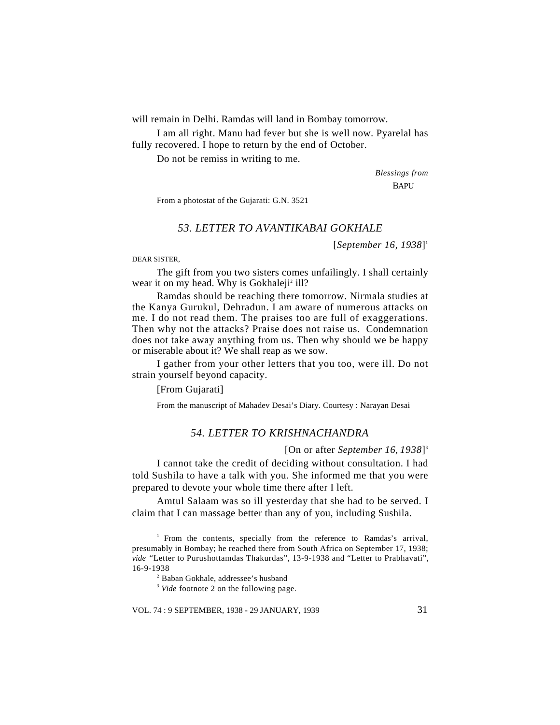will remain in Delhi. Ramdas will land in Bombay tomorrow.

I am all right. Manu had fever but she is well now. Pyarelal has fully recovered. I hope to return by the end of October.

Do not be remiss in writing to me.

*Blessings from* BAPU

From a photostat of the Gujarati: G.N. 3521

# *53. LETTER TO AVANTIKABAI GOKHALE*

[*September 16, 1938*] 1

DEAR SISTER,

The gift from you two sisters comes unfailingly. I shall certainly wear it on my head. Why is Gokhaleji<sup>2</sup> ill?

Ramdas should be reaching there tomorrow. Nirmala studies at the Kanya Gurukul, Dehradun. I am aware of numerous attacks on me. I do not read them. The praises too are full of exaggerations. Then why not the attacks? Praise does not raise us. Condemnation does not take away anything from us. Then why should we be happy or miserable about it? We shall reap as we sow.

I gather from your other letters that you too, were ill. Do not strain yourself beyond capacity.

[From Gujarati]

From the manuscript of Mahadev Desai's Diary. Courtesy : Narayan Desai

# *54. LETTER TO KRISHNACHANDRA*

[On or after *September 16*, *1938*] 3

I cannot take the credit of deciding without consultation. I had told Sushila to have a talk with you. She informed me that you were prepared to devote your whole time there after I left.

Amtul Salaam was so ill yesterday that she had to be served. I claim that I can massage better than any of you, including Sushila.

<sup>1</sup> From the contents, specially from the reference to Ramdas's arrival, presumably in Bombay; he reached there from South Africa on September 17, 1938; *vide* "Letter to Purushottamdas Thakurdas", 13-9-1938 and "Letter to Prabhavati", 16-9-1938

<sup>3</sup> *Vide* footnote 2 on the following page.

<sup>2</sup> Baban Gokhale, addressee's husband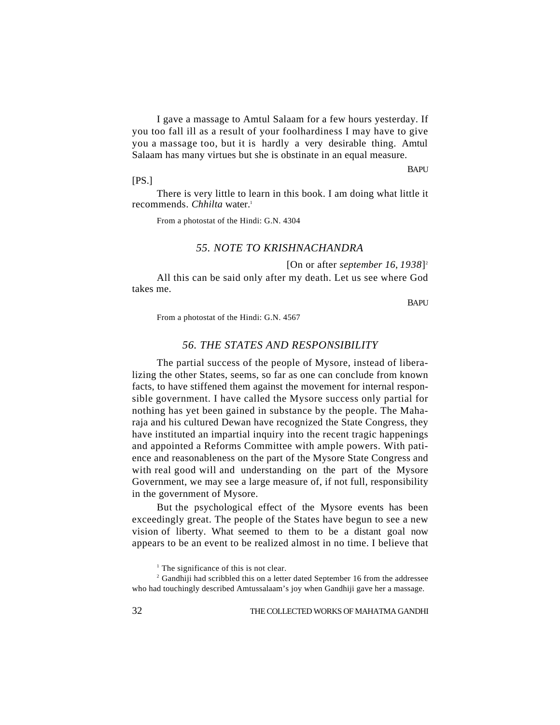I gave a massage to Amtul Salaam for a few hours yesterday. If you too fall ill as a result of your foolhardiness I may have to give you a massage too, but it is hardly a very desirable thing. Amtul Salaam has many virtues but she is obstinate in an equal measure.

[PS.]

There is very little to learn in this book. I am doing what little it recommends. *Chhilta* water.<sup>1</sup>

From a photostat of the Hindi: G.N. 4304

# *55. NOTE TO KRISHNACHANDRA*

[On or after *september 16*, *1938*] 2

All this can be said only after my death. Let us see where God takes me.

**BAPU** 

**BAPU** 

From a photostat of the Hindi: G.N. 4567

#### *56. THE STATES AND RESPONSIBILITY*

The partial success of the people of Mysore, instead of liberalizing the other States, seems, so far as one can conclude from known facts, to have stiffened them against the movement for internal responsible government. I have called the Mysore success only partial for nothing has yet been gained in substance by the people. The Maharaja and his cultured Dewan have recognized the State Congress, they have instituted an impartial inquiry into the recent tragic happenings and appointed a Reforms Committee with ample powers. With patience and reasonableness on the part of the Mysore State Congress and with real good will and understanding on the part of the Mysore Government, we may see a large measure of, if not full, responsibility in the government of Mysore.

But the psychological effect of the Mysore events has been exceedingly great. The people of the States have begun to see a new vision of liberty. What seemed to them to be a distant goal now appears to be an event to be realized almost in no time. I believe that

 $2$  Gandhiji had scribbled this on a letter dated September 16 from the addressee who had touchingly described Amtussalaam's joy when Gandhiji gave her a massage.

<sup>&</sup>lt;sup>1</sup> The significance of this is not clear.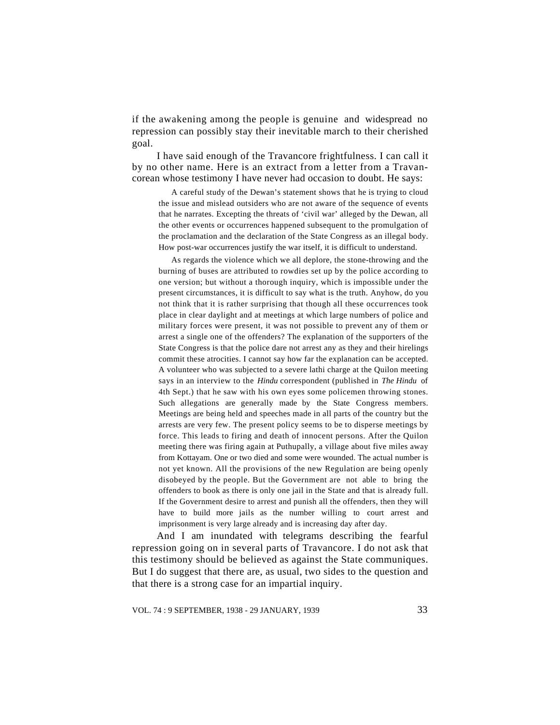if the awakening among the people is genuine and widespread no repression can possibly stay their inevitable march to their cherished goal.

I have said enough of the Travancore frightfulness. I can call it by no other name. Here is an extract from a letter from a Travancorean whose testimony I have never had occasion to doubt. He says:

A careful study of the Dewan's statement shows that he is trying to cloud the issue and mislead outsiders who are not aware of the sequence of events that he narrates. Excepting the threats of 'civil war' alleged by the Dewan, all the other events or occurrences happened subsequent to the promulgation of the proclamation and the declaration of the State Congress as an illegal body. How post-war occurrences justify the war itself, it is difficult to understand.

As regards the violence which we all deplore, the stone-throwing and the burning of buses are attributed to rowdies set up by the police according to one version; but without a thorough inquiry, which is impossible under the present circumstances, it is difficult to say what is the truth. Anyhow, do you not think that it is rather surprising that though all these occurrences took place in clear daylight and at meetings at which large numbers of police and military forces were present, it was not possible to prevent any of them or arrest a single one of the offenders? The explanation of the supporters of the State Congress is that the police dare not arrest any as they and their hirelings commit these atrocities. I cannot say how far the explanation can be accepted. A volunteer who was subjected to a severe lathi charge at the Quilon meeting says in an interview to the *Hindu* correspondent (published in *The Hindu* of 4th Sept.) that he saw with his own eyes some policemen throwing stones. Such allegations are generally made by the State Congress members. Meetings are being held and speeches made in all parts of the country but the arrests are very few. The present policy seems to be to disperse meetings by force. This leads to firing and death of innocent persons. After the Quilon meeting there was firing again at Puthupally, a village about five miles away from Kottayam. One or two died and some were wounded. The actual number is not yet known. All the provisions of the new Regulation are being openly disobeyed by the people. But the Government are not able to bring the offenders to book as there is only one jail in the State and that is already full. If the Government desire to arrest and punish all the offenders, then they will have to build more jails as the number willing to court arrest and imprisonment is very large already and is increasing day after day.

And I am inundated with telegrams describing the fearful repression going on in several parts of Travancore. I do not ask that this testimony should be believed as against the State communiques. But I do suggest that there are, as usual, two sides to the question and that there is a strong case for an impartial inquiry.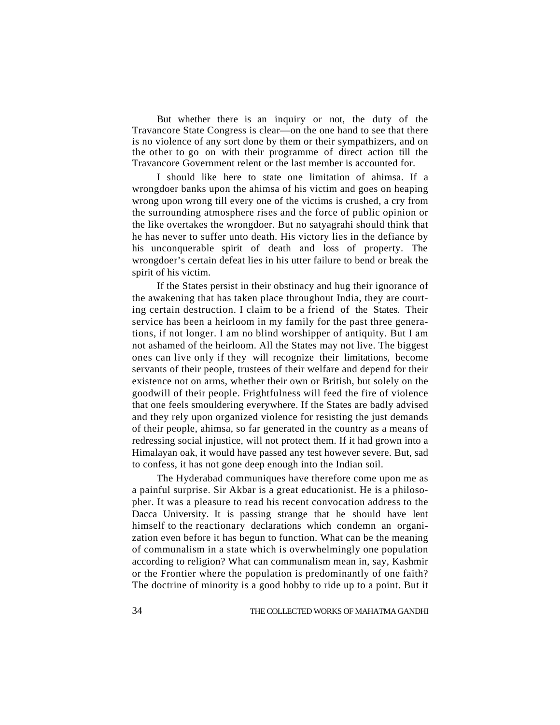But whether there is an inquiry or not, the duty of the Travancore State Congress is clear—on the one hand to see that there is no violence of any sort done by them or their sympathizers, and on the other to go on with their programme of direct action till the Travancore Government relent or the last member is accounted for.

I should like here to state one limitation of ahimsa. If a wrongdoer banks upon the ahimsa of his victim and goes on heaping wrong upon wrong till every one of the victims is crushed, a cry from the surrounding atmosphere rises and the force of public opinion or the like overtakes the wrongdoer. But no satyagrahi should think that he has never to suffer unto death. His victory lies in the defiance by his unconquerable spirit of death and loss of property. The wrongdoer's certain defeat lies in his utter failure to bend or break the spirit of his victim.

If the States persist in their obstinacy and hug their ignorance of the awakening that has taken place throughout India, they are courting certain destruction. I claim to be a friend of the States. Their service has been a heirloom in my family for the past three generations, if not longer. I am no blind worshipper of antiquity. But I am not ashamed of the heirloom. All the States may not live. The biggest ones can live only if they will recognize their limitations, become servants of their people, trustees of their welfare and depend for their existence not on arms, whether their own or British, but solely on the goodwill of their people. Frightfulness will feed the fire of violence that one feels smouldering everywhere. If the States are badly advised and they rely upon organized violence for resisting the just demands of their people, ahimsa, so far generated in the country as a means of redressing social injustice, will not protect them. If it had grown into a Himalayan oak, it would have passed any test however severe. But, sad to confess, it has not gone deep enough into the Indian soil.

The Hyderabad communiques have therefore come upon me as a painful surprise. Sir Akbar is a great educationist. He is a philosopher. It was a pleasure to read his recent convocation address to the Dacca University. It is passing strange that he should have lent himself to the reactionary declarations which condemn an organization even before it has begun to function. What can be the meaning of communalism in a state which is overwhelmingly one population according to religion? What can communalism mean in, say, Kashmir or the Frontier where the population is predominantly of one faith? The doctrine of minority is a good hobby to ride up to a point. But it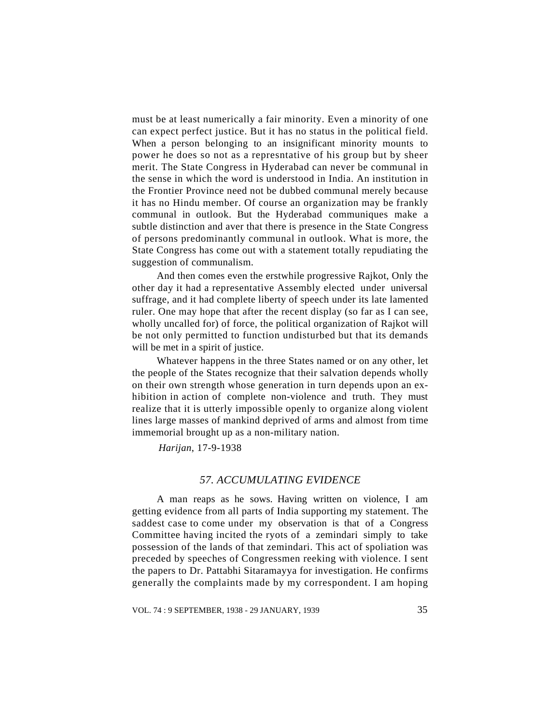must be at least numerically a fair minority. Even a minority of one can expect perfect justice. But it has no status in the political field. When a person belonging to an insignificant minority mounts to power he does so not as a represntative of his group but by sheer merit. The State Congress in Hyderabad can never be communal in the sense in which the word is understood in India. An institution in the Frontier Province need not be dubbed communal merely because it has no Hindu member. Of course an organization may be frankly communal in outlook. But the Hyderabad communiques make a subtle distinction and aver that there is presence in the State Congress of persons predominantly communal in outlook. What is more, the State Congress has come out with a statement totally repudiating the suggestion of communalism.

And then comes even the erstwhile progressive Rajkot, Only the other day it had a representative Assembly elected under universal suffrage, and it had complete liberty of speech under its late lamented ruler. One may hope that after the recent display (so far as I can see, wholly uncalled for) of force, the political organization of Rajkot will be not only permitted to function undisturbed but that its demands will be met in a spirit of justice.

Whatever happens in the three States named or on any other, let the people of the States recognize that their salvation depends wholly on their own strength whose generation in turn depends upon an exhibition in action of complete non-violence and truth. They must realize that it is utterly impossible openly to organize along violent lines large masses of mankind deprived of arms and almost from time immemorial brought up as a non-military nation.

*Harijan*, 17-9-1938

# *57. ACCUMULATING EVIDENCE*

A man reaps as he sows. Having written on violence, I am getting evidence from all parts of India supporting my statement. The saddest case to come under my observation is that of a Congress Committee having incited the ryots of a zemindari simply to take possession of the lands of that zemindari. This act of spoliation was preceded by speeches of Congressmen reeking with violence. I sent the papers to Dr. Pattabhi Sitaramayya for investigation. He confirms generally the complaints made by my correspondent. I am hoping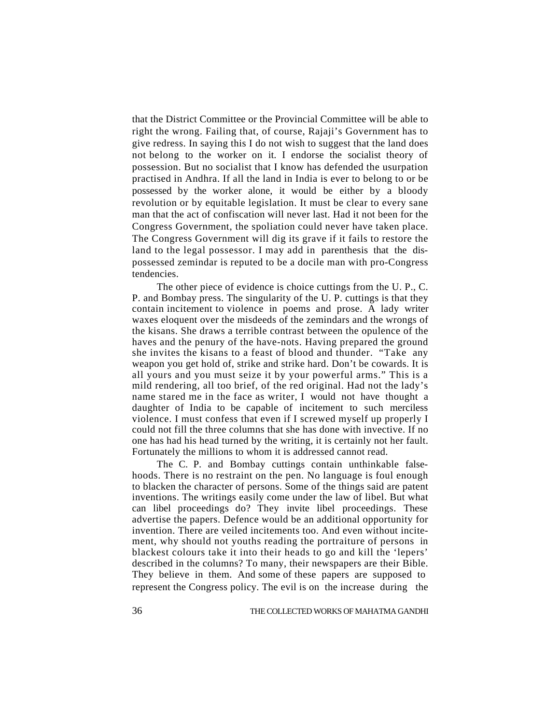that the District Committee or the Provincial Committee will be able to right the wrong. Failing that, of course, Rajaji's Government has to give redress. In saying this I do not wish to suggest that the land does not belong to the worker on it. I endorse the socialist theory of possession. But no socialist that I know has defended the usurpation practised in Andhra. If all the land in India is ever to belong to or be possessed by the worker alone, it would be either by a bloody revolution or by equitable legislation. It must be clear to every sane man that the act of confiscation will never last. Had it not been for the Congress Government, the spoliation could never have taken place. The Congress Government will dig its grave if it fails to restore the land to the legal possessor. I may add in parenthesis that the dispossessed zemindar is reputed to be a docile man with pro-Congress tendencies.

The other piece of evidence is choice cuttings from the U. P., C. P. and Bombay press. The singularity of the U. P. cuttings is that they contain incitement to violence in poems and prose. A lady writer waxes eloquent over the misdeeds of the zemindars and the wrongs of the kisans. She draws a terrible contrast between the opulence of the haves and the penury of the have-nots. Having prepared the ground she invites the kisans to a feast of blood and thunder. "Take any weapon you get hold of, strike and strike hard. Don't be cowards. It is all yours and you must seize it by your powerful arms." This is a mild rendering, all too brief, of the red original. Had not the lady's name stared me in the face as writer, I would not have thought a daughter of India to be capable of incitement to such merciless violence. I must confess that even if I screwed myself up properly I could not fill the three columns that she has done with invective. If no one has had his head turned by the writing, it is certainly not her fault. Fortunately the millions to whom it is addressed cannot read.

The C. P. and Bombay cuttings contain unthinkable falsehoods. There is no restraint on the pen. No language is foul enough to blacken the character of persons. Some of the things said are patent inventions. The writings easily come under the law of libel. But what can libel proceedings do? They invite libel proceedings. These advertise the papers. Defence would be an additional opportunity for invention. There are veiled incitements too. And even without incitement, why should not youths reading the portraiture of persons in blackest colours take it into their heads to go and kill the 'lepers' described in the columns? To many, their newspapers are their Bible. They believe in them. And some of these papers are supposed to represent the Congress policy. The evil is on the increase during the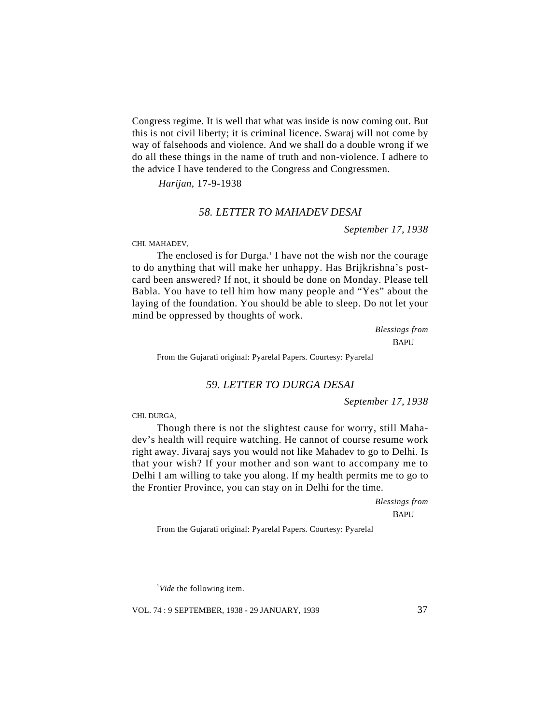Congress regime. It is well that what was inside is now coming out. But this is not civil liberty; it is criminal licence. Swaraj will not come by way of falsehoods and violence. And we shall do a double wrong if we do all these things in the name of truth and non-violence. I adhere to the advice I have tendered to the Congress and Congressmen.

*Harijan*, 17-9-1938

# *58. LETTER TO MAHADEV DESAI*

*September 17*, *1938*

CHI. MAHADEV,

The enclosed is for Durga.<sup>1</sup> I have not the wish nor the courage to do anything that will make her unhappy. Has Brijkrishna's postcard been answered? If not, it should be done on Monday. Please tell Babla. You have to tell him how many people and "Yes" about the laying of the foundation. You should be able to sleep. Do not let your mind be oppressed by thoughts of work.

> *Blessings from* **BAPU**

From the Gujarati original: Pyarelal Papers. Courtesy: Pyarelal

# *59. LETTER TO DURGA DESAI*

*September 17*, *1938*

CHI. DURGA,

Though there is not the slightest cause for worry, still Mahadev's health will require watching. He cannot of course resume work right away. Jivaraj says you would not like Mahadev to go to Delhi. Is that your wish? If your mother and son want to accompany me to Delhi I am willing to take you along. If my health permits me to go to the Frontier Province, you can stay on in Delhi for the time.

> *Blessings from* **BAPU**

From the Gujarati original: Pyarelal Papers. Courtesy: Pyarelal

<sup>1</sup>Vide the following item.

VOL. 74 : 9 SEPTEMBER, 1938 - 29 JANUARY, 1939 37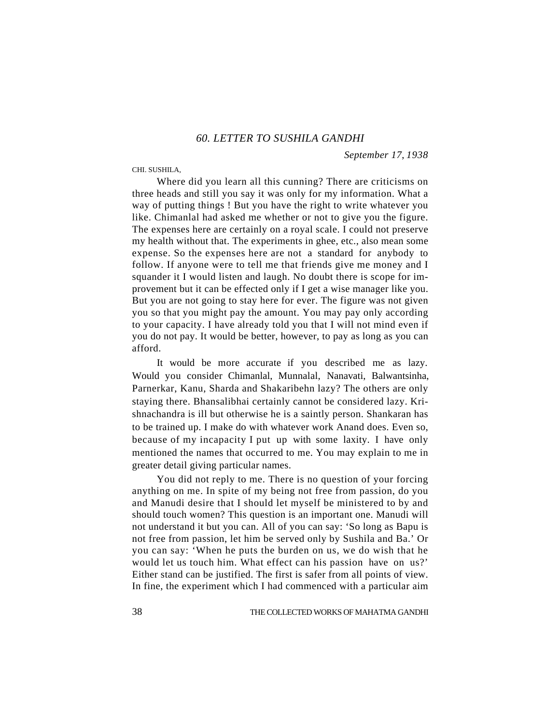# *60. LETTER TO SUSHILA GANDHI*

*September 17*, *1938*

CHI. SUSHILA,

Where did you learn all this cunning? There are criticisms on three heads and still you say it was only for my information. What a way of putting things ! But you have the right to write whatever you like. Chimanlal had asked me whether or not to give you the figure. The expenses here are certainly on a royal scale. I could not preserve my health without that. The experiments in ghee, etc., also mean some expense. So the expenses here are not a standard for anybody to follow. If anyone were to tell me that friends give me money and I squander it I would listen and laugh. No doubt there is scope for improvement but it can be effected only if I get a wise manager like you. But you are not going to stay here for ever. The figure was not given you so that you might pay the amount. You may pay only according to your capacity. I have already told you that I will not mind even if you do not pay. It would be better, however, to pay as long as you can afford.

It would be more accurate if you described me as lazy. Would you consider Chimanlal, Munnalal, Nanavati, Balwantsinha, Parnerkar, Kanu, Sharda and Shakaribehn lazy? The others are only staying there. Bhansalibhai certainly cannot be considered lazy. Krishnachandra is ill but otherwise he is a saintly person. Shankaran has to be trained up. I make do with whatever work Anand does. Even so, because of my incapacity I put up with some laxity. I have only mentioned the names that occurred to me. You may explain to me in greater detail giving particular names.

You did not reply to me. There is no question of your forcing anything on me. In spite of my being not free from passion, do you and Manudi desire that I should let myself be ministered to by and should touch women? This question is an important one. Manudi will not understand it but you can. All of you can say: 'So long as Bapu is not free from passion, let him be served only by Sushila and Ba.' Or you can say: 'When he puts the burden on us, we do wish that he would let us touch him. What effect can his passion have on us?' Either stand can be justified. The first is safer from all points of view. In fine, the experiment which I had commenced with a particular aim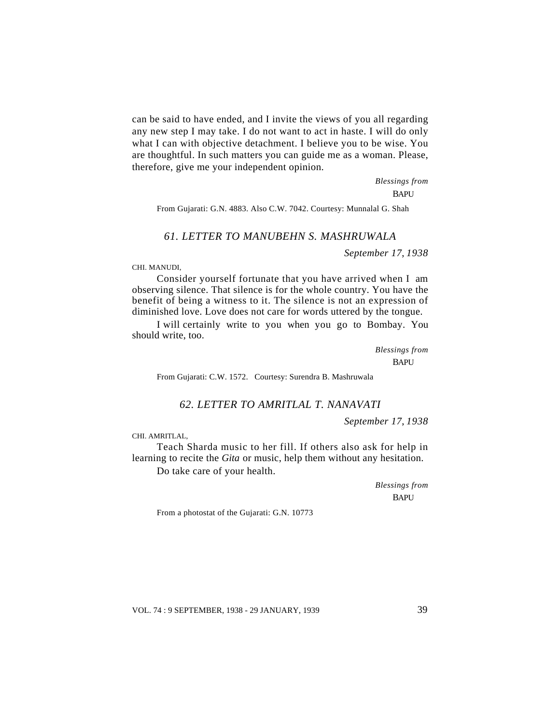can be said to have ended, and I invite the views of you all regarding any new step I may take. I do not want to act in haste. I will do only what I can with objective detachment. I believe you to be wise. You are thoughtful. In such matters you can guide me as a woman. Please, therefore, give me your independent opinion.

> *Blessings from* **BAPU**

From Gujarati: G.N. 4883. Also C.W. 7042. Courtesy: Munnalal G. Shah

# *61. LETTER TO MANUBEHN S. MASHRUWALA*

*September 17*, *1938*

CHI. MANUDI,

Consider yourself fortunate that you have arrived when I am observing silence. That silence is for the whole country. You have the benefit of being a witness to it. The silence is not an expression of diminished love. Love does not care for words uttered by the tongue.

I will certainly write to you when you go to Bombay. You should write, too.

> *Blessings from* **BAPU**

From Gujarati: C.W. 1572. Courtesy: Surendra B. Mashruwala

#### *62. LETTER TO AMRITLAL T. NANAVATI*

*September 17*, *1938*

CHI. AMRITLAL,

Teach Sharda music to her fill. If others also ask for help in learning to recite the *Gita* or music, help them without any hesitation. Do take care of your health.

> *Blessings from* **BAPU**

From a photostat of the Gujarati: G.N. 10773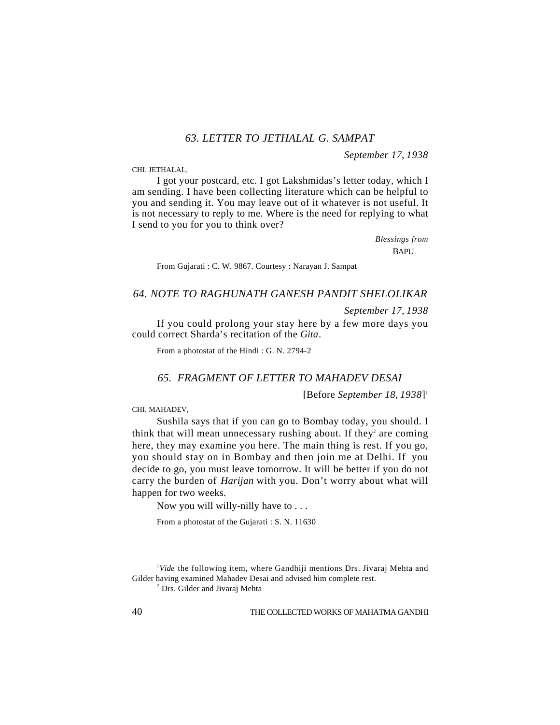### *63. LETTER TO JETHALAL G. SAMPAT*

*September 17*, *1938*

CHI. JETHALAL,

I got your postcard, etc. I got Lakshmidas's letter today, which I am sending. I have been collecting literature which can be helpful to you and sending it. You may leave out of it whatever is not useful. It is not necessary to reply to me. Where is the need for replying to what I send to you for you to think over?

> *Blessings from* BAPU

From Gujarati : C. W. 9867. Courtesy : Narayan J. Sampat

#### *64. NOTE TO RAGHUNATH GANESH PANDIT SHELOLIKAR*

## *September 17*, *1938*

If you could prolong your stay here by a few more days you could correct Sharda's recitation of the *Gita*.

From a photostat of the Hindi : G. N. 2794-2

# *65. FRAGMENT OF LETTER TO MAHADEV DESAI*

[Before *September 18*, *1938*] 1

CHI. MAHADEV,

Sushila says that if you can go to Bombay today, you should. I think that will mean unnecessary rushing about. If they<sup>2</sup> are coming here, they may examine you here. The main thing is rest. If you go, you should stay on in Bombay and then join me at Delhi. If you decide to go, you must leave tomorrow. It will be better if you do not carry the burden of *Harijan* with you. Don't worry about what will happen for two weeks.

Now you will willy-nilly have to . . .

From a photostat of the Gujarati : S. N. 11630

<sup>1</sup>Vide the following item, where Gandhiji mentions Drs. Jivaraj Mehta and Gilder having examined Mahadev Desai and advised him complete rest.

<sup>2</sup> Drs. Gilder and Jivaraj Mehta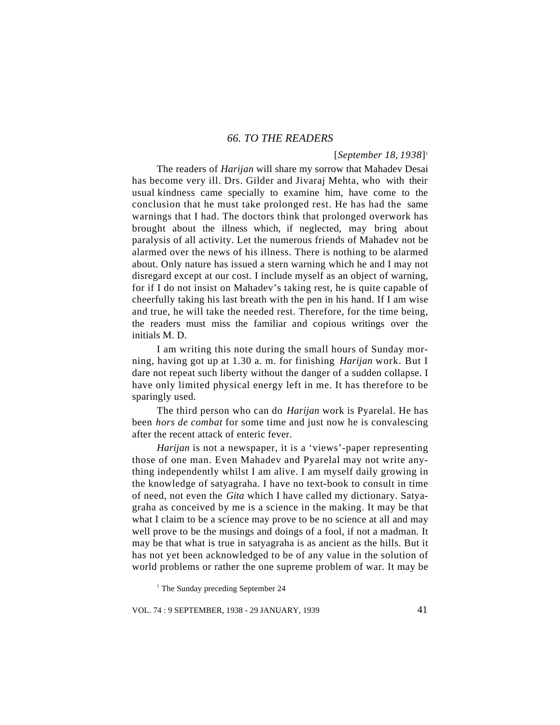### *66. TO THE READERS*

#### [*September 18*, *1938*] 1

The readers of *Harijan* will share my sorrow that Mahadev Desai has become very ill. Drs. Gilder and Jivaraj Mehta, who with their usual kindness came specially to examine him, have come to the conclusion that he must take prolonged rest. He has had the same warnings that I had. The doctors think that prolonged overwork has brought about the illness which, if neglected, may bring about paralysis of all activity. Let the numerous friends of Mahadev not be alarmed over the news of his illness. There is nothing to be alarmed about. Only nature has issued a stern warning which he and I may not disregard except at our cost. I include myself as an object of warning, for if I do not insist on Mahadev's taking rest, he is quite capable of cheerfully taking his last breath with the pen in his hand. If I am wise and true, he will take the needed rest. Therefore, for the time being, the readers must miss the familiar and copious writings over the initials M. D.

I am writing this note during the small hours of Sunday morning, having got up at 1.30 a. m. for finishing *Harijan* work. But I dare not repeat such liberty without the danger of a sudden collapse. I have only limited physical energy left in me. It has therefore to be sparingly used.

The third person who can do *Harijan* work is Pyarelal. He has been *hors de combat* for some time and just now he is convalescing after the recent attack of enteric fever.

*Harijan* is not a newspaper, it is a 'views'-paper representing those of one man. Even Mahadev and Pyarelal may not write anything independently whilst I am alive. I am myself daily growing in the knowledge of satyagraha. I have no text-book to consult in time of need, not even the *Gita* which I have called my dictionary. Satyagraha as conceived by me is a science in the making. It may be that what I claim to be a science may prove to be no science at all and may well prove to be the musings and doings of a fool, if not a madman. It may be that what is true in satyagraha is as ancient as the hills. But it has not yet been acknowledged to be of any value in the solution of world problems or rather the one supreme problem of war. It may be

<sup>1</sup> The Sunday preceding September 24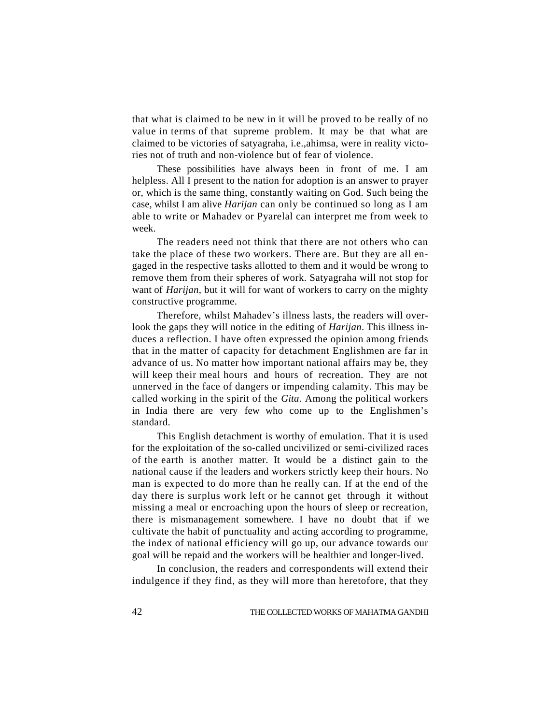that what is claimed to be new in it will be proved to be really of no value in terms of that supreme problem. It may be that what are claimed to be victories of satyagraha, i.e.,ahimsa, were in reality victories not of truth and non-violence but of fear of violence.

These possibilities have always been in front of me. I am helpless. All I present to the nation for adoption is an answer to prayer or, which is the same thing, constantly waiting on God. Such being the case, whilst I am alive *Harijan* can only be continued so long as I am able to write or Mahadev or Pyarelal can interpret me from week to week.

The readers need not think that there are not others who can take the place of these two workers. There are. But they are all engaged in the respective tasks allotted to them and it would be wrong to remove them from their spheres of work. Satyagraha will not stop for want of *Harijan*, but it will for want of workers to carry on the mighty constructive programme.

Therefore, whilst Mahadev's illness lasts, the readers will overlook the gaps they will notice in the editing of *Harijan*. This illness induces a reflection. I have often expressed the opinion among friends that in the matter of capacity for detachment Englishmen are far in advance of us. No matter how important national affairs may be, they will keep their meal hours and hours of recreation. They are not unnerved in the face of dangers or impending calamity. This may be called working in the spirit of the *Gita*. Among the political workers in India there are very few who come up to the Englishmen's standard.

This English detachment is worthy of emulation. That it is used for the exploitation of the so-called uncivilized or semi-civilized races of the earth is another matter. It would be a distinct gain to the national cause if the leaders and workers strictly keep their hours. No man is expected to do more than he really can. If at the end of the day there is surplus work left or he cannot get through it without missing a meal or encroaching upon the hours of sleep or recreation, there is mismanagement somewhere. I have no doubt that if we cultivate the habit of punctuality and acting according to programme, the index of national efficiency will go up, our advance towards our goal will be repaid and the workers will be healthier and longer-lived.

In conclusion, the readers and correspondents will extend their indulgence if they find, as they will more than heretofore, that they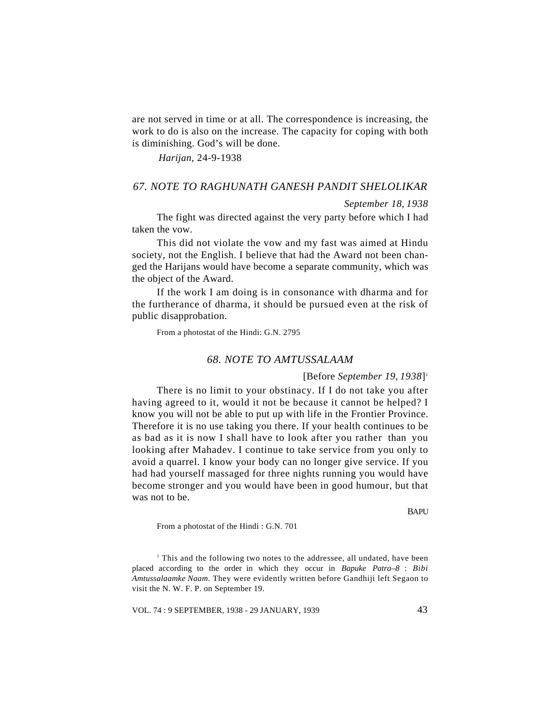are not served in time or at all. The correspondence is increasing, the work to do is also on the increase. The capacity for coping with both is diminishing. God's will be done.

*Harijan*, 24-9-1938

# *67. NOTE TO RAGHUNATH GANESH PANDIT SHELOLIKAR*

*September 18*, *1938*

The fight was directed against the very party before which I had taken the vow.

This did not violate the vow and my fast was aimed at Hindu society, not the English. I believe that had the Award not been changed the Harijans would have become a separate community, which was the object of the Award.

If the work I am doing is in consonance with dharma and for the furtherance of dharma, it should be pursued even at the risk of public disapprobation.

From a photostat of the Hindi: G.N. 2795

### *68. NOTE TO AMTUSSALAAM*

[Before *September 19*, *1938*] 1

There is no limit to your obstinacy. If I do not take you after having agreed to it, would it not be because it cannot be helped? I know you will not be able to put up with life in the Frontier Province. Therefore it is no use taking you there. If your health continues to be as bad as it is now I shall have to look after you rather than you looking after Mahadev. I continue to take service from you only to avoid a quarrel. I know your body can no longer give service. If you had had yourself massaged for three nights running you would have become stronger and you would have been in good humour, but that was not to be.

**BAPU** 

From a photostat of the Hindi : G.N. 701

<sup>1</sup> This and the following two notes to the addressee, all undated, have been placed according to the order in which they occur in *Bapuke Patra–8* : *Bibi Amtussalaamke Naam*. They were evidently written before Gandhiji left Segaon to visit the N. W. F. P. on September 19.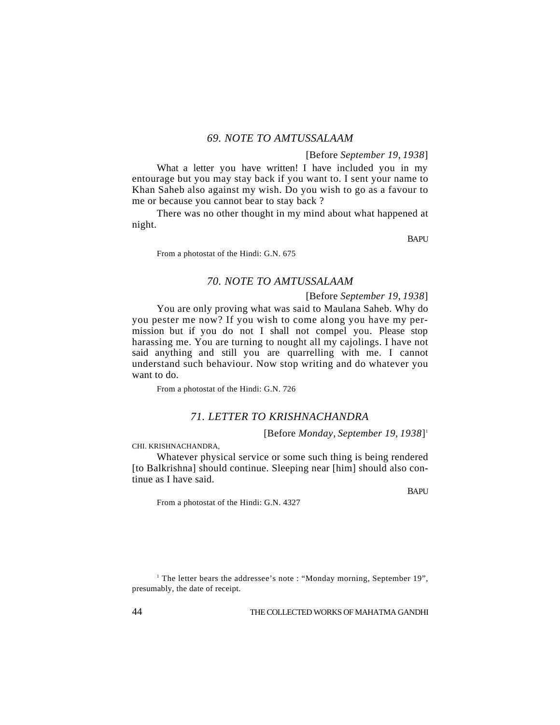#### *69. NOTE TO AMTUSSALAAM*

[Before *September 19*, *1938*]

What a letter you have written! I have included you in my entourage but you may stay back if you want to. I sent your name to Khan Saheb also against my wish. Do you wish to go as a favour to me or because you cannot bear to stay back ?

There was no other thought in my mind about what happened at night.

**BAPU** 

From a photostat of the Hindi: G.N. 675

# *70. NOTE TO AMTUSSALAAM*

[Before *September 19*, *1938*]

You are only proving what was said to Maulana Saheb. Why do you pester me now? If you wish to come along you have my permission but if you do not I shall not compel you. Please stop harassing me. You are turning to nought all my cajolings. I have not said anything and still you are quarrelling with me. I cannot understand such behaviour. Now stop writing and do whatever you want to do.

From a photostat of the Hindi: G.N. 726

# *71. LETTER TO KRISHNACHANDRA*

[Before *Monday*, *September 19*, *1938*] 1

CHI. KRISHNACHANDRA,

Whatever physical service or some such thing is being rendered [to Balkrishna] should continue. Sleeping near [him] should also continue as I have said.

**BAPU** 

From a photostat of the Hindi: G.N. 4327

<sup>1</sup> The letter bears the addressee's note : "Monday morning, September 19", presumably, the date of receipt.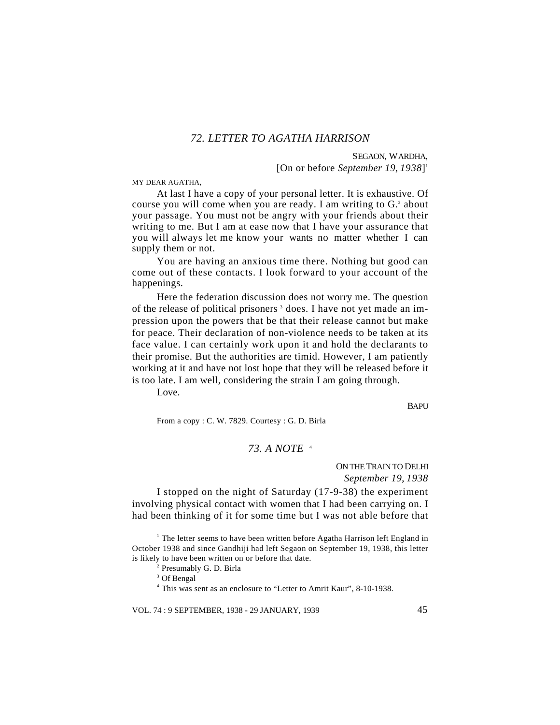#### *72. LETTER TO AGATHA HARRISON*

SEGAON, WARDHA, [On or before *September 19*, *1938*] 1

MY DEAR AGATHA,

At last I have a copy of your personal letter. It is exhaustive. Of course you will come when you are ready. I am writing to G.<sup>2</sup> about your passage. You must not be angry with your friends about their writing to me. But I am at ease now that I have your assurance that you will always let me know your wants no matter whether I can supply them or not.

You are having an anxious time there. Nothing but good can come out of these contacts. I look forward to your account of the happenings.

Here the federation discussion does not worry me. The question of the release of political prisoners<sup>3</sup> does. I have not yet made an impression upon the powers that be that their release cannot but make for peace. Their declaration of non-violence needs to be taken at its face value. I can certainly work upon it and hold the declarants to their promise. But the authorities are timid. However, I am patiently working at it and have not lost hope that they will be released before it is too late. I am well, considering the strain I am going through.

Love.

**BAPU** 

From a copy : C. W. 7829. Courtesy : G. D. Birla

# *73. A NOTE* <sup>4</sup>

ON THE TRAIN TO DELHI *September 19*, *1938*

I stopped on the night of Saturday (17-9-38) the experiment involving physical contact with women that I had been carrying on. I had been thinking of it for some time but I was not able before that

<sup>1</sup> The letter seems to have been written before Agatha Harrison left England in October 1938 and since Gandhiji had left Segaon on September 19, 1938, this letter is likely to have been written on or before that date.

VOL. 74 : 9 SEPTEMBER, 1938 - 29 JANUARY, 1939 45

<sup>&</sup>lt;sup>2</sup> Presumably G. D. Birla

<sup>&</sup>lt;sup>3</sup> Of Bengal

<sup>4</sup> This was sent as an enclosure to "Letter to Amrit Kaur", 8-10-1938.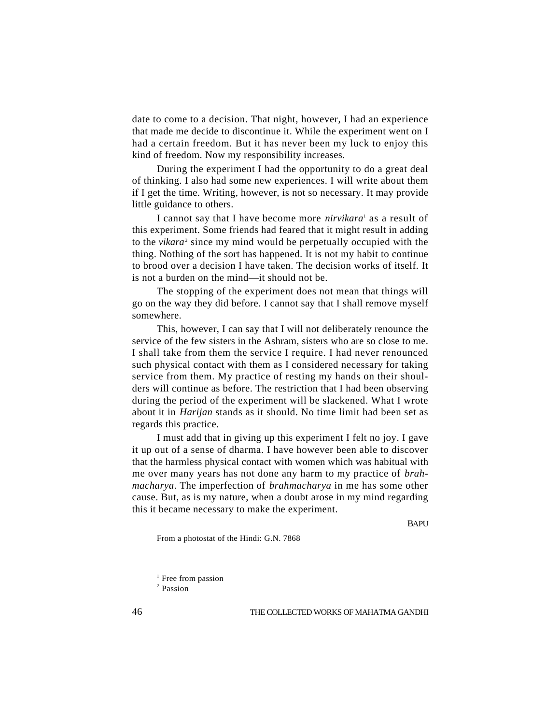date to come to a decision. That night, however, I had an experience that made me decide to discontinue it. While the experiment went on I had a certain freedom. But it has never been my luck to enjoy this kind of freedom. Now my responsibility increases.

During the experiment I had the opportunity to do a great deal of thinking. I also had some new experiences. I will write about them if I get the time. Writing, however, is not so necessary. It may provide little guidance to others.

I cannot say that I have become more *nirvikara*<sup>1</sup> as a result of this experiment. Some friends had feared that it might result in adding to the *vikara*<sup>2</sup> since my mind would be perpetually occupied with the thing. Nothing of the sort has happened. It is not my habit to continue to brood over a decision I have taken. The decision works of itself. It is not a burden on the mind—it should not be.

The stopping of the experiment does not mean that things will go on the way they did before. I cannot say that I shall remove myself somewhere.

This, however, I can say that I will not deliberately renounce the service of the few sisters in the Ashram, sisters who are so close to me. I shall take from them the service I require. I had never renounced such physical contact with them as I considered necessary for taking service from them. My practice of resting my hands on their shoulders will continue as before. The restriction that I had been observing during the period of the experiment will be slackened. What I wrote about it in *Harijan* stands as it should. No time limit had been set as regards this practice.

I must add that in giving up this experiment I felt no joy. I gave it up out of a sense of dharma. I have however been able to discover that the harmless physical contact with women which was habitual with me over many years has not done any harm to my practice of *brahmacharya*. The imperfection of *brahmacharya* in me has some other cause. But, as is my nature, when a doubt arose in my mind regarding this it became necessary to make the experiment.

BAPU

From a photostat of the Hindi: G.N. 7868

<sup>1</sup> Free from passion

2 Passion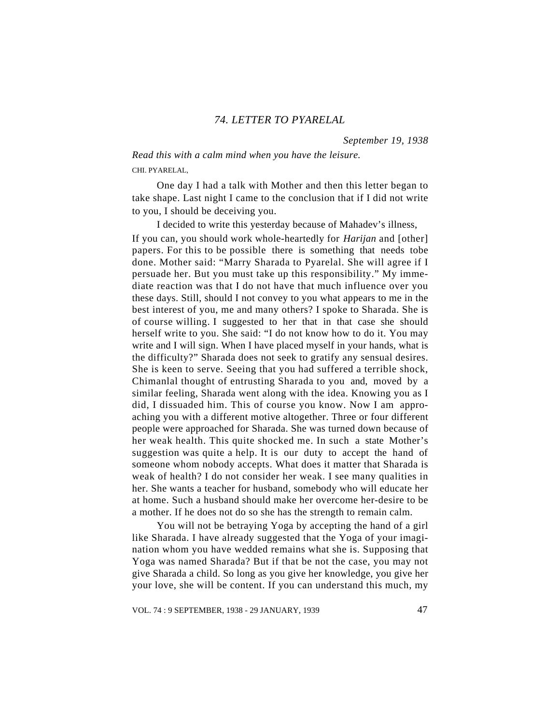# *74. LETTER TO PYARELAL*

*September 19, 1938*

*Read this with a calm mind when you have the leisure.* CHI. PYARELAL,

One day I had a talk with Mother and then this letter began to take shape. Last night I came to the conclusion that if I did not write to you, I should be deceiving you.

I decided to write this yesterday because of Mahadev's illness, If you can, you should work whole-heartedly for *Harijan* and [other] papers. For this to be possible there is something that needs tobe done. Mother said: "Marry Sharada to Pyarelal. She will agree if I persuade her. But you must take up this responsibility." My immediate reaction was that I do not have that much influence over you these days. Still, should I not convey to you what appears to me in the best interest of you, me and many others? I spoke to Sharada. She is of course willing. I suggested to her that in that case she should herself write to you. She said: "I do not know how to do it. You may write and I will sign. When I have placed myself in your hands, what is the difficulty?" Sharada does not seek to gratify any sensual desires. She is keen to serve. Seeing that you had suffered a terrible shock, Chimanlal thought of entrusting Sharada to you and, moved by a similar feeling, Sharada went along with the idea. Knowing you as I did, I dissuaded him. This of course you know. Now I am approaching you with a different motive altogether. Three or four different people were approached for Sharada. She was turned down because of her weak health. This quite shocked me. In such a state Mother's suggestion was quite a help. It is our duty to accept the hand of someone whom nobody accepts. What does it matter that Sharada is weak of health? I do not consider her weak. I see many qualities in her. She wants a teacher for husband, somebody who will educate her at home. Such a husband should make her overcome her-desire to be a mother. If he does not do so she has the strength to remain calm.

You will not be betraying Yoga by accepting the hand of a girl like Sharada. I have already suggested that the Yoga of your imagination whom you have wedded remains what she is. Supposing that Yoga was named Sharada? But if that be not the case, you may not give Sharada a child. So long as you give her knowledge, you give her your love, she will be content. If you can understand this much, my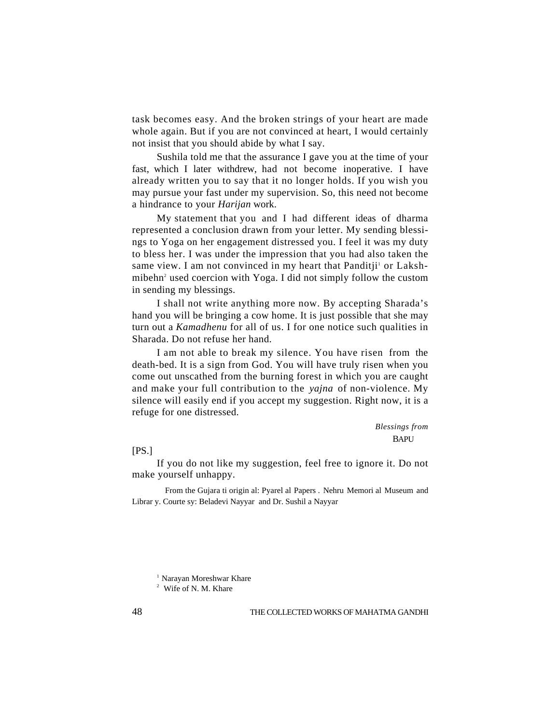task becomes easy. And the broken strings of your heart are made whole again. But if you are not convinced at heart, I would certainly not insist that you should abide by what I say.

Sushila told me that the assurance I gave you at the time of your fast, which I later withdrew, had not become inoperative. I have already written you to say that it no longer holds. If you wish you may pursue your fast under my supervision. So, this need not become a hindrance to your *Harijan* work.

My statement that you and I had different ideas of dharma represented a conclusion drawn from your letter. My sending blessings to Yoga on her engagement distressed you. I feel it was my duty to bless her. I was under the impression that you had also taken the same view. I am not convinced in my heart that Panditji' or Lakshmibehn<sup>2</sup> used coercion with Yoga. I did not simply follow the custom in sending my blessings.

I shall not write anything more now. By accepting Sharada's hand you will be bringing a cow home. It is just possible that she may turn out a *Kamadhenu* for all of us. I for one notice such qualities in Sharada. Do not refuse her hand.

I am not able to break my silence. You have risen from the death-bed. It is a sign from God. You will have truly risen when you come out unscathed from the burning forest in which you are caught and make your full contribution to the *yajna* of non-violence. My silence will easily end if you accept my suggestion. Right now, it is a refuge for one distressed.

> *Blessings from* **BAPU**

[PS.]

If you do not like my suggestion, feel free to ignore it. Do not make yourself unhappy.

From the Gujara ti origin al: Pyarel al Papers . Nehru Memori al Museum and Librar y. Courte sy: Beladevi Nayyar and Dr. Sushil a Nayyar

<sup>&</sup>lt;sup>1</sup> Narayan Moreshwar Khare

<sup>2</sup> Wife of N. M. Khare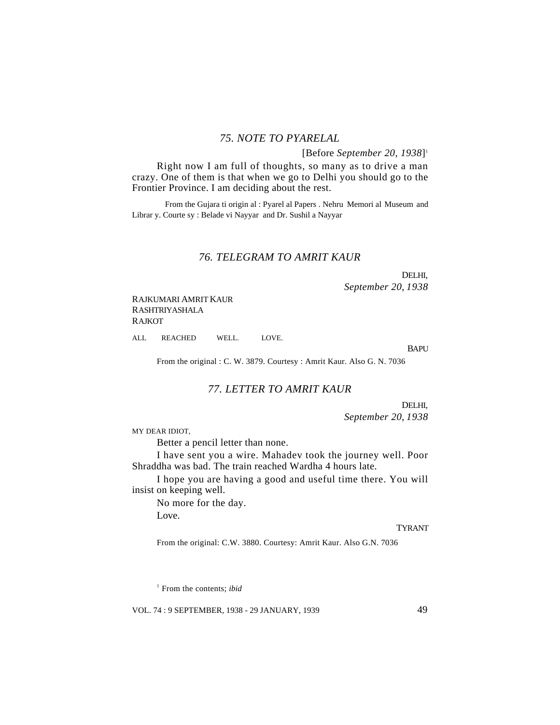# *75. NOTE TO PYARELAL*

[Before *September 20, 1938*] 1

Right now I am full of thoughts, so many as to drive a man crazy. One of them is that when we go to Delhi you should go to the Frontier Province. I am deciding about the rest.

From the Gujara ti origin al : Pyarel al Papers . Nehru Memori al Museum and Librar y. Courte sy : Belade vi Nayyar and Dr. Sushil a Nayyar

## *76. TELEGRAM TO AMRIT KAUR*

DELHI, *September 20*, *1938*

RAJKUMARI AMRIT KAUR RASHTRIYASHALA RAJKOT

ALL REACHED WELL. LOVE.

**BAPU** 

From the original : C. W. 3879. Courtesy : Amrit Kaur. Also G. N. 7036

# *77. LETTER TO AMRIT KAUR*

DELHI, *September 20*, *1938*

MY DEAR IDIOT,

Better a pencil letter than none.

I have sent you a wire. Mahadev took the journey well. Poor Shraddha was bad. The train reached Wardha 4 hours late.

I hope you are having a good and useful time there. You will insist on keeping well.

No more for the day. Love.

#### TYRANT

From the original: C.W. 3880. Courtesy: Amrit Kaur. Also G.N. 7036

1 From the contents; *ibid*

VOL. 74 : 9 SEPTEMBER, 1938 - 29 JANUARY, 1939 49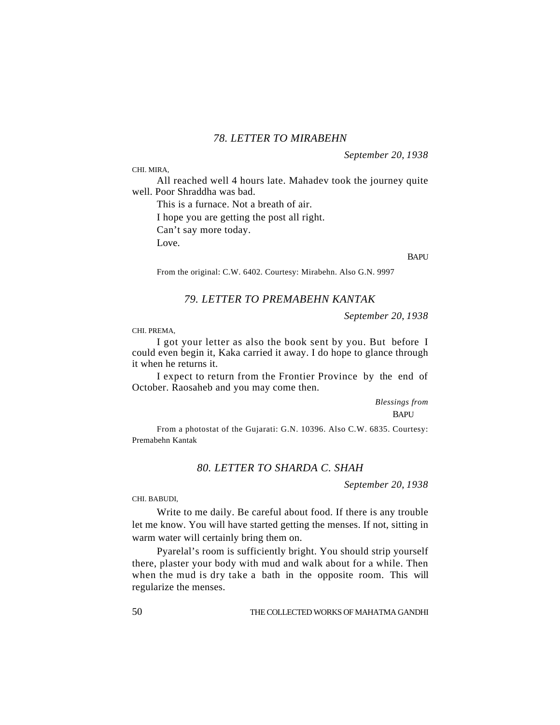*September 20*, *1938*

CHI. MIRA,

All reached well 4 hours late. Mahadev took the journey quite well. Poor Shraddha was bad.

This is a furnace. Not a breath of air. I hope you are getting the post all right. Can't say more today. Love.

**BAPU** 

From the original: C.W. 6402. Courtesy: Mirabehn. Also G.N. 9997

# *79. LETTER TO PREMABEHN KANTAK*

*September 20*, *1938*

CHI. PREMA,

I got your letter as also the book sent by you. But before I could even begin it, Kaka carried it away. I do hope to glance through it when he returns it.

I expect to return from the Frontier Province by the end of October. Raosaheb and you may come then.

> *Blessings from* **BAPU**

From a photostat of the Gujarati: G.N. 10396. Also C.W. 6835. Courtesy: Premabehn Kantak

# *80. LETTER TO SHARDA C. SHAH*

*September 20*, *1938*

CHI. BABUDI,

Write to me daily. Be careful about food. If there is any trouble let me know. You will have started getting the menses. If not, sitting in warm water will certainly bring them on.

Pyarelal's room is sufficiently bright. You should strip yourself there, plaster your body with mud and walk about for a while. Then when the mud is dry take a bath in the opposite room. This will regularize the menses.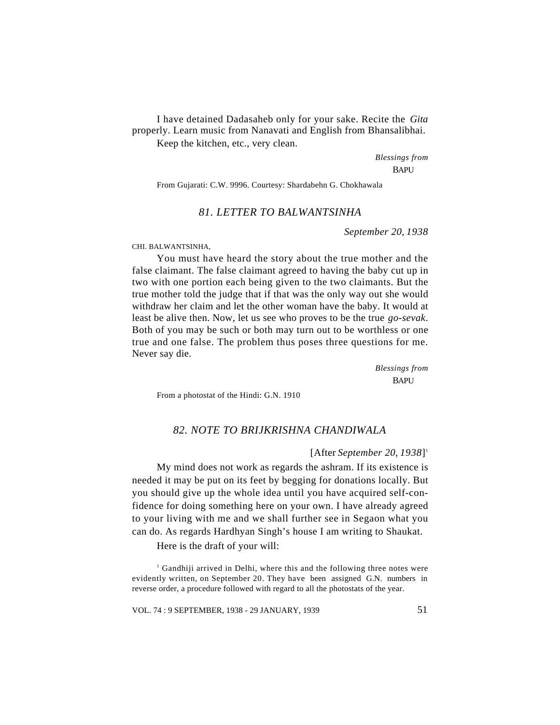I have detained Dadasaheb only for your sake. Recite the *Gita* properly. Learn music from Nanavati and English from Bhansalibhai. Keep the kitchen, etc., very clean.

> *Blessings from* BAPU

From Gujarati: C.W. 9996. Courtesy: Shardabehn G. Chokhawala

# *81. LETTER TO BALWANTSINHA*

*September 20*, *1938*

CHI. BALWANTSINHA,

You must have heard the story about the true mother and the false claimant. The false claimant agreed to having the baby cut up in two with one portion each being given to the two claimants. But the true mother told the judge that if that was the only way out she would withdraw her claim and let the other woman have the baby. It would at least be alive then. Now, let us see who proves to be the true *go-sevak*. Both of you may be such or both may turn out to be worthless or one true and one false. The problem thus poses three questions for me. Never say die.

> *Blessings from* **BAPU**

From a photostat of the Hindi: G.N. 1910

# *82. NOTE TO BRIJKRISHNA CHANDIWALA*

[After *September 20*, *1938*] 1

My mind does not work as regards the ashram. If its existence is needed it may be put on its feet by begging for donations locally. But you should give up the whole idea until you have acquired self-confidence for doing something here on your own. I have already agreed to your living with me and we shall further see in Segaon what you can do. As regards Hardhyan Singh's house I am writing to Shaukat.

Here is the draft of your will:

<sup>1</sup> Gandhiji arrived in Delhi, where this and the following three notes were evidently written, on September 20. They have been assigned G.N. numbers in reverse order, a procedure followed with regard to all the photostats of the year.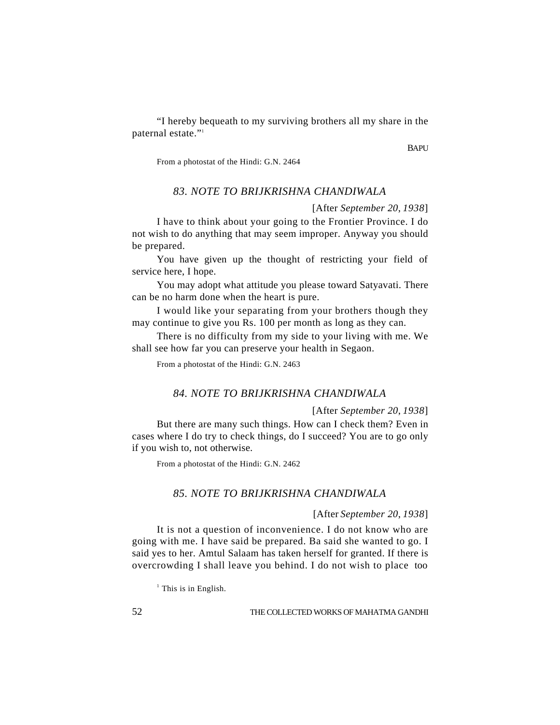"I hereby bequeath to my surviving brothers all my share in the paternal estate."<sup>1</sup>

**BAPU** 

From a photostat of the Hindi: G.N. 2464

#### *83. NOTE TO BRIJKRISHNA CHANDIWALA*

[After *September 20*, *1938*]

I have to think about your going to the Frontier Province. I do not wish to do anything that may seem improper. Anyway you should be prepared.

You have given up the thought of restricting your field of service here, I hope.

You may adopt what attitude you please toward Satyavati. There can be no harm done when the heart is pure.

I would like your separating from your brothers though they may continue to give you Rs. 100 per month as long as they can.

There is no difficulty from my side to your living with me. We shall see how far you can preserve your health in Segaon.

From a photostat of the Hindi: G.N. 2463

# *84. NOTE TO BRIJKRISHNA CHANDIWALA*

[After *September 20*, *1938*]

But there are many such things. How can I check them? Even in cases where I do try to check things, do I succeed? You are to go only if you wish to, not otherwise.

From a photostat of the Hindi: G.N. 2462

#### *85. NOTE TO BRIJKRISHNA CHANDIWALA*

## [After *September 20*, *1938*]

It is not a question of inconvenience. I do not know who are going with me. I have said be prepared. Ba said she wanted to go. I said yes to her. Amtul Salaam has taken herself for granted. If there is overcrowding I shall leave you behind. I do not wish to place too

<sup>1</sup> This is in English.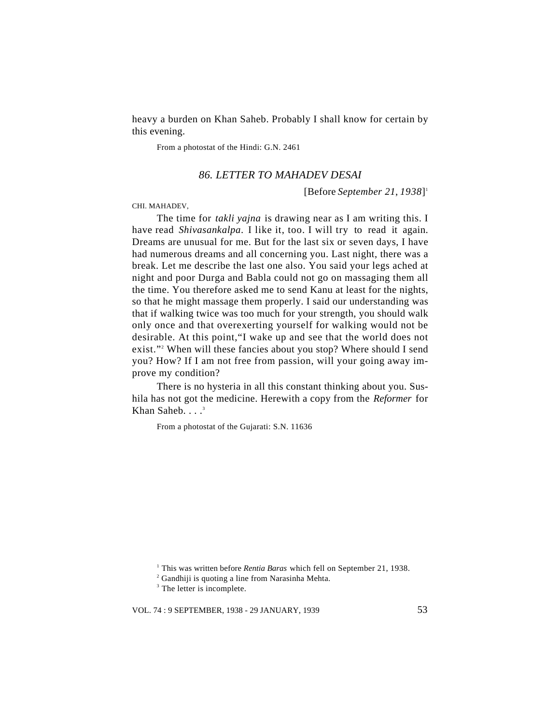heavy a burden on Khan Saheb. Probably I shall know for certain by this evening.

From a photostat of the Hindi: G.N. 2461

# *86. LETTER TO MAHADEV DESAI*

[Before *September 21*, *1938*] 1

CHI. MAHADEV,

The time for *takli yajna* is drawing near as I am writing this. I have read *Shivasankalpa*. I like it, too. I will try to read it again. Dreams are unusual for me. But for the last six or seven days, I have had numerous dreams and all concerning you. Last night, there was a break. Let me describe the last one also. You said your legs ached at night and poor Durga and Babla could not go on massaging them all the time. You therefore asked me to send Kanu at least for the nights, so that he might massage them properly. I said our understanding was that if walking twice was too much for your strength, you should walk only once and that overexerting yourself for walking would not be desirable. At this point,"I wake up and see that the world does not exist."<sup>2</sup> When will these fancies about you stop? Where should I send you? How? If I am not free from passion, will your going away improve my condition?

There is no hysteria in all this constant thinking about you. Sushila has not got the medicine. Herewith a copy from the *Reformer* for Khan Saheb.  $\ldots$ <sup>3</sup>

From a photostat of the Gujarati: S.N. 11636

<sup>&</sup>lt;sup>1</sup> This was written before *Rentia Baras* which fell on September 21, 1938.

 $2$  Gandhiji is quoting a line from Narasinha Mehta.

<sup>&</sup>lt;sup>3</sup> The letter is incomplete.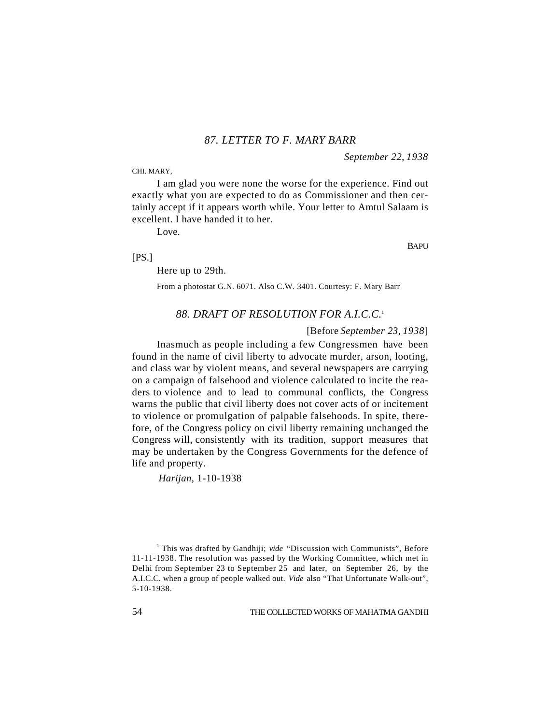*September 22*, *1938*

CHI MARY

I am glad you were none the worse for the experience. Find out exactly what you are expected to do as Commissioner and then certainly accept if it appears worth while. Your letter to Amtul Salaam is excellent. I have handed it to her.

Love.

**BAPU** 

 $[PS.]$ 

Here up to 29th.

From a photostat G.N. 6071. Also C.W. 3401. Courtesy: F. Mary Barr

# *88. DRAFT OF RESOLUTION FOR A.I.C.C.*<sup>1</sup>

[Before *September 23*, *1938*]

Inasmuch as people including a few Congressmen have been found in the name of civil liberty to advocate murder, arson, looting, and class war by violent means, and several newspapers are carrying on a campaign of falsehood and violence calculated to incite the readers to violence and to lead to communal conflicts, the Congress warns the public that civil liberty does not cover acts of or incitement to violence or promulgation of palpable falsehoods. In spite, therefore, of the Congress policy on civil liberty remaining unchanged the Congress will, consistently with its tradition, support measures that may be undertaken by the Congress Governments for the defence of life and property.

*Harijan*, 1-10-1938

<sup>1</sup> This was drafted by Gandhiji; *vide* "Discussion with Communists", Before 11-11-1938. The resolution was passed by the Working Committee, which met in Delhi from September 23 to September 25 and later, on September 26, by the A.I.C.C. when a group of people walked out. *Vide* also "That Unfortunate Walk-out", 5-10-1938.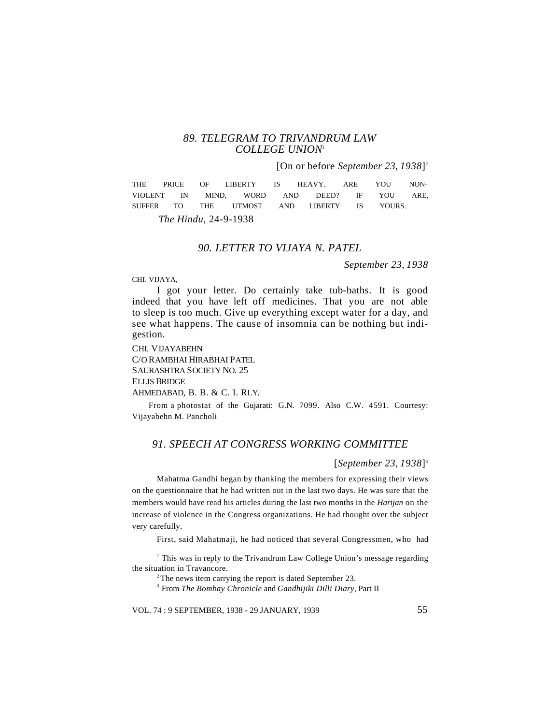#### *89. TELEGRAM TO TRIVANDRUM LAW COLLEGE UNION*<sup>1</sup>

[On or before *September 23*, *1938*] 2

THE PRICE OF LIBERTY IS HEAVY. ARE YOU NON-VIOLENT IN MIND, WORD AND DEED? IF YOU ARE, SUFFER TO THE UTMOST AND LIBERTY IS YOURS. *The Hindu*, 24-9-1938

### *90. LETTER TO VIJAYA N. PATEL*

*September 23*, *1938*

CHI. VIJAYA,

I got your letter. Do certainly take tub-baths. It is good indeed that you have left off medicines. That you are not able to sleep is too much. Give up everything except water for a day, and see what happens. The cause of insomnia can be nothing but indigestion.

CHI. VIJAYABEHN C/O RAMBHAI HIRABHAI PATEL SAURASHTRA SOCIETY NO. 25 ELLIS BRIDGE AHMEDABAD, B. B. & C. I. RLY.

From a photostat of the Gujarati: G.N. 7099. Also C.W. 4591. Courtesy: Vijayabehn M. Pancholi

#### *91. SPEECH AT CONGRESS WORKING COMMITTEE*

[*September 23*, *1938*] 3

Mahatma Gandhi began by thanking the members for expressing their views on the questionnaire that he had written out in the last two days. He was sure that the members would have read his articles during the last two months in the *Harijan* on the increase of violence in the Congress organizations. He had thought over the subject very carefully.

First, said Mahatmaji, he had noticed that several Congressmen, who had

<sup>1</sup> This was in reply to the Trivandrum Law College Union's message regarding the situation in Travancore.

<sup>2</sup>The news item carrying the report is dated September 23.

3 From *The Bombay Chronicle* and *Gandhijiki Dilli Diary*, Part II

VOL. 74 : 9 SEPTEMBER, 1938 - 29 JANUARY, 1939 55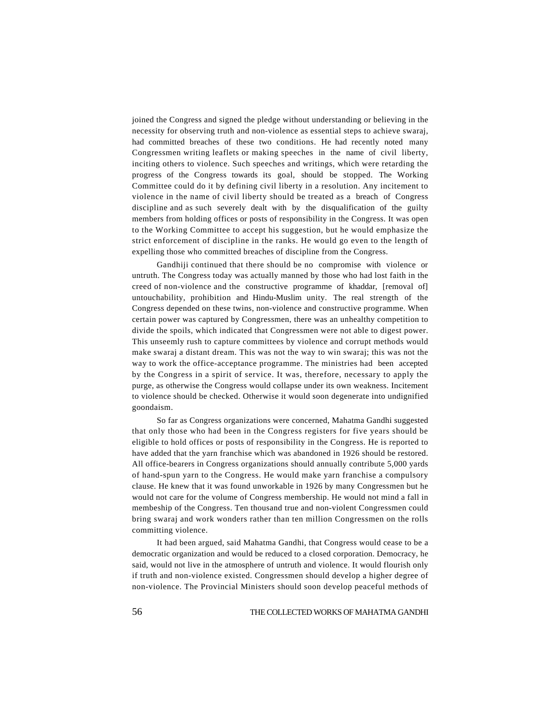joined the Congress and signed the pledge without understanding or believing in the necessity for observing truth and non-violence as essential steps to achieve swaraj, had committed breaches of these two conditions. He had recently noted many Congressmen writing leaflets or making speeches in the name of civil liberty, inciting others to violence. Such speeches and writings, which were retarding the progress of the Congress towards its goal, should be stopped. The Working Committee could do it by defining civil liberty in a resolution. Any incitement to violence in the name of civil liberty should be treated as a breach of Congress discipline and as such severely dealt with by the disqualification of the guilty members from holding offices or posts of responsibility in the Congress. It was open to the Working Committee to accept his suggestion, but he would emphasize the strict enforcement of discipline in the ranks. He would go even to the length of expelling those who committed breaches of discipline from the Congress.

Gandhiji continued that there should be no compromise with violence or untruth. The Congress today was actually manned by those who had lost faith in the creed of non-violence and the constructive programme of khaddar, [removal of] untouchability, prohibition and Hindu-Muslim unity. The real strength of the Congress depended on these twins, non-violence and constructive programme. When certain power was captured by Congressmen, there was an unhealthy competition to divide the spoils, which indicated that Congressmen were not able to digest power. This unseemly rush to capture committees by violence and corrupt methods would make swaraj a distant dream. This was not the way to win swaraj; this was not the way to work the office-acceptance programme. The ministries had been accepted by the Congress in a spirit of service. It was, therefore, necessary to apply the purge, as otherwise the Congress would collapse under its own weakness. Incitement to violence should be checked. Otherwise it would soon degenerate into undignified goondaism.

So far as Congress organizations were concerned, Mahatma Gandhi suggested that only those who had been in the Congress registers for five years should be eligible to hold offices or posts of responsibility in the Congress. He is reported to have added that the yarn franchise which was abandoned in 1926 should be restored. All office-bearers in Congress organizations should annually contribute 5,000 yards of hand-spun yarn to the Congress. He would make yarn franchise a compulsory clause. He knew that it was found unworkable in 1926 by many Congressmen but he would not care for the volume of Congress membership. He would not mind a fall in membeship of the Congress. Ten thousand true and non-violent Congressmen could bring swaraj and work wonders rather than ten million Congressmen on the rolls committing violence.

It had been argued, said Mahatma Gandhi, that Congress would cease to be a democratic organization and would be reduced to a closed corporation. Democracy, he said, would not live in the atmosphere of untruth and violence. It would flourish only if truth and non-violence existed. Congressmen should develop a higher degree of non-violence. The Provincial Ministers should soon develop peaceful methods of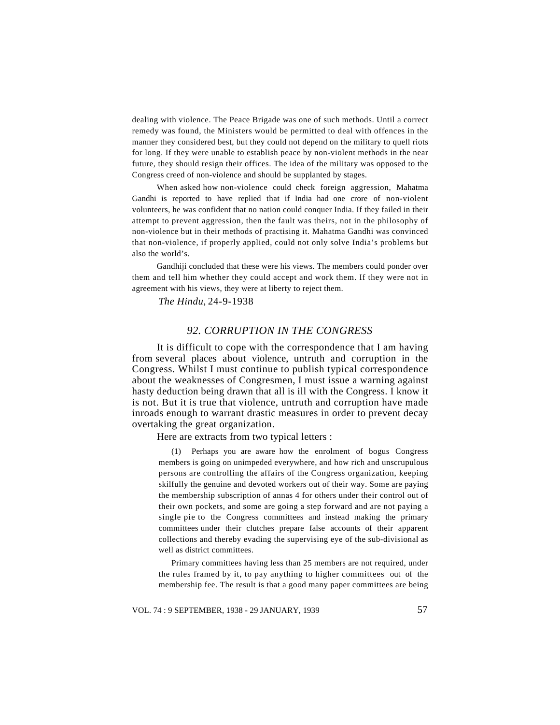dealing with violence. The Peace Brigade was one of such methods. Until a correct remedy was found, the Ministers would be permitted to deal with offences in the manner they considered best, but they could not depend on the military to quell riots for long. If they were unable to establish peace by non-violent methods in the near future, they should resign their offices. The idea of the military was opposed to the Congress creed of non-violence and should be supplanted by stages.

When asked how non-violence could check foreign aggression, Mahatma Gandhi is reported to have replied that if India had one crore of non-violent volunteers, he was confident that no nation could conquer India. If they failed in their attempt to prevent aggression, then the fault was theirs, not in the philosophy of non-violence but in their methods of practising it. Mahatma Gandhi was convinced that non-violence, if properly applied, could not only solve India's problems but also the world's.

Gandhiji concluded that these were his views. The members could ponder over them and tell him whether they could accept and work them. If they were not in agreement with his views, they were at liberty to reject them.

*The Hindu*, 24-9-1938

### *92. CORRUPTION IN THE CONGRESS*

It is difficult to cope with the correspondence that I am having from several places about violence, untruth and corruption in the Congress. Whilst I must continue to publish typical correspondence about the weaknesses of Congresmen, I must issue a warning against hasty deduction being drawn that all is ill with the Congress. I know it is not. But it is true that violence, untruth and corruption have made inroads enough to warrant drastic measures in order to prevent decay overtaking the great organization.

Here are extracts from two typical letters :

(1) Perhaps you are aware how the enrolment of bogus Congress members is going on unimpeded everywhere, and how rich and unscrupulous persons are controlling the affairs of the Congress organization, keeping skilfully the genuine and devoted workers out of their way. Some are paying the membership subscription of annas 4 for others under their control out of their own pockets, and some are going a step forward and are not paying a single pie to the Congress committees and instead making the primary committees under their clutches prepare false accounts of their apparent collections and thereby evading the supervising eye of the sub-divisional as well as district committees.

Primary committees having less than 25 members are not required, under the rules framed by it, to pay anything to higher committees out of the membership fee. The result is that a good many paper committees are being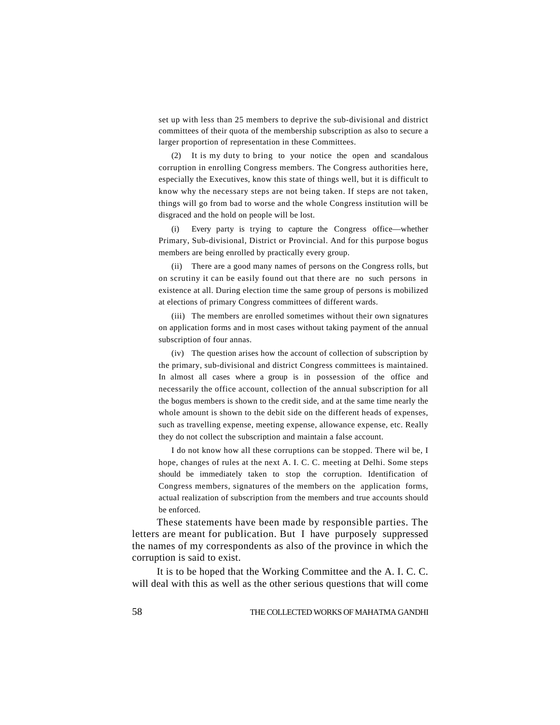set up with less than 25 members to deprive the sub-divisional and district committees of their quota of the membership subscription as also to secure a larger proportion of representation in these Committees.

(2) It is my duty to bring to your notice the open and scandalous corruption in enrolling Congress members. The Congress authorities here, especially the Executives, know this state of things well, but it is difficult to know why the necessary steps are not being taken. If steps are not taken, things will go from bad to worse and the whole Congress institution will be disgraced and the hold on people will be lost.

(i) Every party is trying to capture the Congress office—whether Primary, Sub-divisional, District or Provincial. And for this purpose bogus members are being enrolled by practically every group.

(ii) There are a good many names of persons on the Congress rolls, but on scrutiny it can be easily found out that there are no such persons in existence at all. During election time the same group of persons is mobilized at elections of primary Congress committees of different wards.

(iii) The members are enrolled sometimes without their own signatures on application forms and in most cases without taking payment of the annual subscription of four annas.

(iv) The question arises how the account of collection of subscription by the primary, sub-divisional and district Congress committees is maintained. In almost all cases where a group is in possession of the office and necessarily the office account, collection of the annual subscription for all the bogus members is shown to the credit side, and at the same time nearly the whole amount is shown to the debit side on the different heads of expenses, such as travelling expense, meeting expense, allowance expense, etc. Really they do not collect the subscription and maintain a false account.

I do not know how all these corruptions can be stopped. There wil be, I hope, changes of rules at the next A. I. C. C. meeting at Delhi. Some steps should be immediately taken to stop the corruption. Identification of Congress members, signatures of the members on the application forms, actual realization of subscription from the members and true accounts should be enforced.

These statements have been made by responsible parties. The letters are meant for publication. But I have purposely suppressed the names of my correspondents as also of the province in which the corruption is said to exist.

It is to be hoped that the Working Committee and the A. I. C. C. will deal with this as well as the other serious questions that will come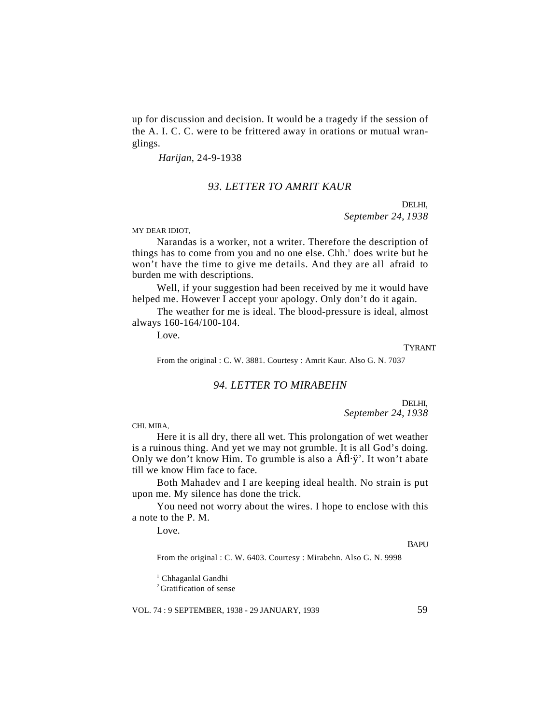up for discussion and decision. It would be a tragedy if the session of the A. I. C. C. were to be frittered away in orations or mutual wranglings.

*Harijan*, 24-9-1938

# *93. LETTER TO AMRIT KAUR*

DELHI, *September 24*, *1938*

MY DEAR IDIOT,

Narandas is a worker, not a writer. Therefore the description of things has to come from you and no one else. Chh.<sup>1</sup> does write but he won't have the time to give me details. And they are all afraid to burden me with descriptions.

Well, if your suggestion had been received by me it would have helped me. However I accept your apology. Only don't do it again.

The weather for me is ideal. The blood-pressure is ideal, almost always 160-164/100-104.

Love.

TYRANT

From the original : C. W. 3881. Courtesy : Amrit Kaur. Also G. N. 7037

### *94. LETTER TO MIRABEHN*

DELHI, *September 24*, *1938*

CHI. MIRA,

Here it is all dry, there all wet. This prolongation of wet weather is a ruinous thing. And yet we may not grumble. It is all God's doing. Only we don't know Him. To grumble is also a Áfl·ÿ<sup>2</sup>. It won't abate till we know Him face to face.

Both Mahadev and I are keeping ideal health. No strain is put upon me. My silence has done the trick.

You need not worry about the wires. I hope to enclose with this a note to the P. M.

Love.

**BAPU** 

From the original : C. W. 6403. Courtesy : Mirabehn. Also G. N. 9998

<sup>1</sup> Chhaganlal Gandhi 2 Gratification of sense

VOL. 74 : 9 SEPTEMBER, 1938 - 29 JANUARY, 1939 59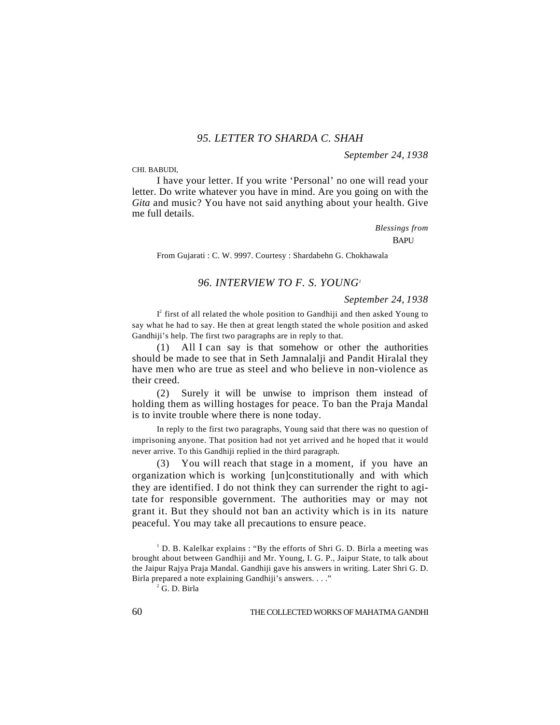### *95. LETTER TO SHARDA C. SHAH*

*September 24*, *1938*

CHI. BABUDI,

I have your letter. If you write 'Personal' no one will read your letter. Do write whatever you have in mind. Are you going on with the *Gita* and music? You have not said anything about your health. Give me full details.

> *Blessings from* **BAPU**

From Gujarati : C. W. 9997. Courtesy : Shardabehn G. Chokhawala

#### *96. INTERVIEW TO F. S. YOUNG<sup>1</sup>*

*September 24*, *1938*

 $I<sup>2</sup>$  first of all related the whole position to Gandhiji and then asked Young to say what he had to say. He then at great length stated the whole position and asked Gandhiji's help. The first two paragraphs are in reply to that.

(1) All I can say is that somehow or other the authorities should be made to see that in Seth Jamnalalji and Pandit Hiralal they have men who are true as steel and who believe in non-violence as their creed.

(2) Surely it will be unwise to imprison them instead of holding them as willing hostages for peace. To ban the Praja Mandal is to invite trouble where there is none today.

In reply to the first two paragraphs, Young said that there was no question of imprisoning anyone. That position had not yet arrived and he hoped that it would never arrive. To this Gandhiji replied in the third paragraph.

(3) You will reach that stage in a moment, if you have an organization which is working [un]constitutionally and with which they are identified. I do not think they can surrender the right to agitate for responsible government. The authorities may or may not grant it. But they should not ban an activity which is in its nature peaceful. You may take all precautions to ensure peace.

<sup>1</sup> D. B. Kalelkar explains : "By the efforts of Shri G. D. Birla a meeting was brought about between Gandhiji and Mr. Young, I. G. P., Jaipur State, to talk about the Jaipur Rajya Praja Mandal. Gandhiji gave his answers in writing. Later Shri G. D. Birla prepared a note explaining Gandhiji's answers. . . ."

 $2\overline{G}$  D. Birla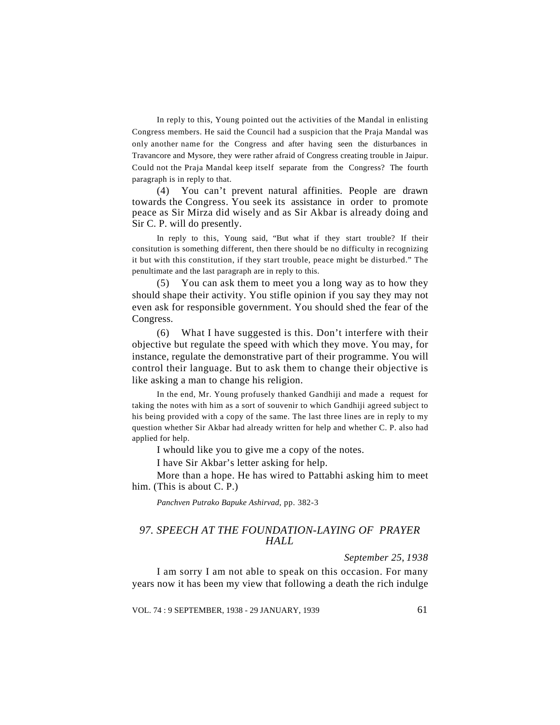In reply to this, Young pointed out the activities of the Mandal in enlisting Congress members. He said the Council had a suspicion that the Praja Mandal was only another name for the Congress and after having seen the disturbances in Travancore and Mysore, they were rather afraid of Congress creating trouble in Jaipur. Could not the Praja Mandal keep itself separate from the Congress? The fourth paragraph is in reply to that.

(4) You can't prevent natural affinities. People are drawn towards the Congress. You seek its assistance in order to promote peace as Sir Mirza did wisely and as Sir Akbar is already doing and Sir C. P. will do presently.

In reply to this, Young said, "But what if they start trouble? If their consitution is something different, then there should be no difficulty in recognizing it but with this constitution, if they start trouble, peace might be disturbed." The penultimate and the last paragraph are in reply to this.

(5) You can ask them to meet you a long way as to how they should shape their activity. You stifle opinion if you say they may not even ask for responsible government. You should shed the fear of the Congress.

(6) What I have suggested is this. Don't interfere with their objective but regulate the speed with which they move. You may, for instance, regulate the demonstrative part of their programme. You will control their language. But to ask them to change their objective is like asking a man to change his religion.

In the end, Mr. Young profusely thanked Gandhiji and made a request for taking the notes with him as a sort of souvenir to which Gandhiji agreed subject to his being provided with a copy of the same. The last three lines are in reply to my question whether Sir Akbar had already written for help and whether C. P. also had applied for help.

I whould like you to give me a copy of the notes.

I have Sir Akbar's letter asking for help.

More than a hope. He has wired to Pattabhi asking him to meet him. (This is about C. P.)

*Panchven Putrako Bapuke Ashirvad*, pp. 382-3

# *97. SPEECH AT THE FOUNDATION-LAYING OF PRAYER HALL*

*September 25*, *1938*

I am sorry I am not able to speak on this occasion. For many years now it has been my view that following a death the rich indulge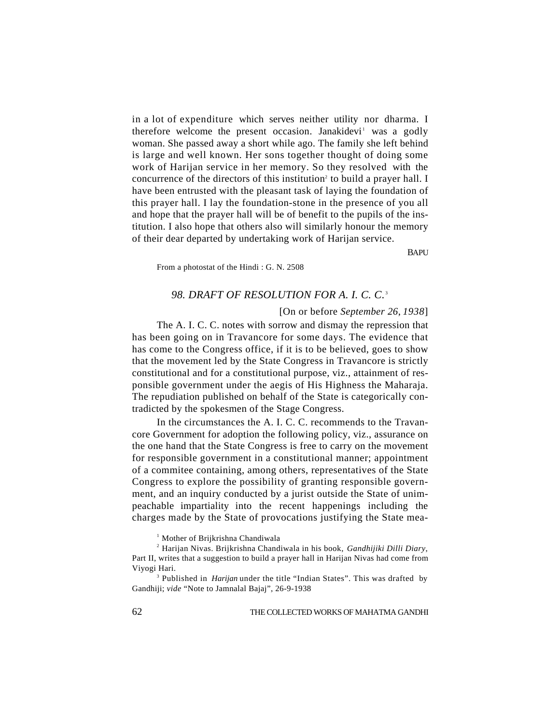in a lot of expenditure which serves neither utility nor dharma. I therefore welcome the present occasion. Janakidevi<sup>1</sup> was a godly woman. She passed away a short while ago. The family she left behind is large and well known. Her sons together thought of doing some work of Harijan service in her memory. So they resolved with the concurrence of the directors of this institution<sup>2</sup> to build a prayer hall. I have been entrusted with the pleasant task of laying the foundation of this prayer hall. I lay the foundation-stone in the presence of you all and hope that the prayer hall will be of benefit to the pupils of the institution. I also hope that others also will similarly honour the memory of their dear departed by undertaking work of Harijan service.

**BAPU** 

From a photostat of the Hindi : G. N. 2508

# *98. DRAFT OF RESOLUTION FOR A. I. C. C*. 3

# [On or before *September 26*, *1938*]

The A. I. C. C. notes with sorrow and dismay the repression that has been going on in Travancore for some days. The evidence that has come to the Congress office, if it is to be believed, goes to show that the movement led by the State Congress in Travancore is strictly constitutional and for a constitutional purpose, viz., attainment of responsible government under the aegis of His Highness the Maharaja. The repudiation published on behalf of the State is categorically contradicted by the spokesmen of the Stage Congress.

In the circumstances the A. I. C. C. recommends to the Travancore Government for adoption the following policy, viz., assurance on the one hand that the State Congress is free to carry on the movement for responsible government in a constitutional manner; appointment of a commitee containing, among others, representatives of the State Congress to explore the possibility of granting responsible government, and an inquiry conducted by a jurist outside the State of unimpeachable impartiality into the recent happenings including the charges made by the State of provocations justifying the State mea-

<sup>1</sup> Mother of Brijkrishna Chandiwala

2 Harijan Nivas. Brijkrishna Chandiwala in his book, *Gandhijiki Dilli Diary*, Part II, writes that a suggestion to build a prayer hall in Harijan Nivas had come from Viyogi Hari.

<sup>3</sup> Published in *Harijan* under the title "Indian States". This was drafted by Gandhiji; *vide* "Note to Jamnalal Bajaj", 26-9-1938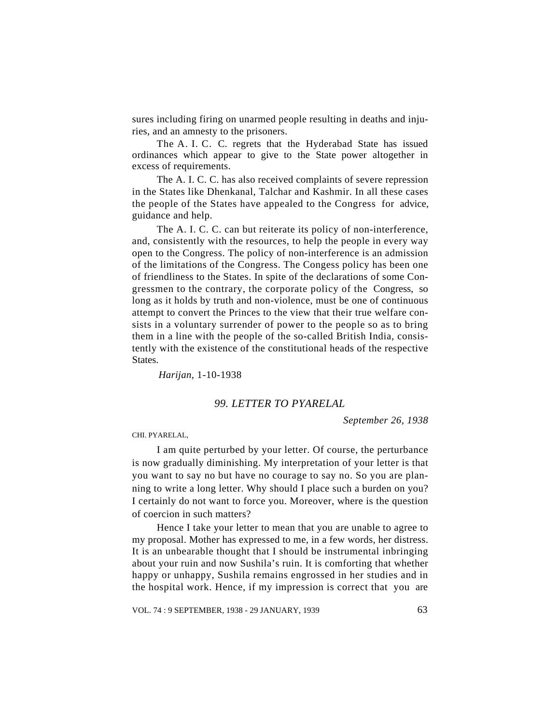sures including firing on unarmed people resulting in deaths and injuries, and an amnesty to the prisoners.

The A. I. C. C. regrets that the Hyderabad State has issued ordinances which appear to give to the State power altogether in excess of requirements.

The A. I. C. C. has also received complaints of severe repression in the States like Dhenkanal, Talchar and Kashmir. In all these cases the people of the States have appealed to the Congress for advice, guidance and help.

The A. I. C. C. can but reiterate its policy of non-interference, and, consistently with the resources, to help the people in every way open to the Congress. The policy of non-interference is an admission of the limitations of the Congress. The Congess policy has been one of friendliness to the States. In spite of the declarations of some Congressmen to the contrary, the corporate policy of the Congress, so long as it holds by truth and non-violence, must be one of continuous attempt to convert the Princes to the view that their true welfare consists in a voluntary surrender of power to the people so as to bring them in a line with the people of the so-called British India, consistently with the existence of the constitutional heads of the respective **States** 

*Harijan*, 1-10-1938

# *99. LETTER TO PYARELAL*

*September 26, 1938*

CHI. PYARELAL,

I am quite perturbed by your letter. Of course, the perturbance is now gradually diminishing. My interpretation of your letter is that you want to say no but have no courage to say no. So you are planning to write a long letter. Why should I place such a burden on you? I certainly do not want to force you. Moreover, where is the question of coercion in such matters?

Hence I take your letter to mean that you are unable to agree to my proposal. Mother has expressed to me, in a few words, her distress. It is an unbearable thought that I should be instrumental inbringing about your ruin and now Sushila's ruin. It is comforting that whether happy or unhappy, Sushila remains engrossed in her studies and in the hospital work. Hence, if my impression is correct that you are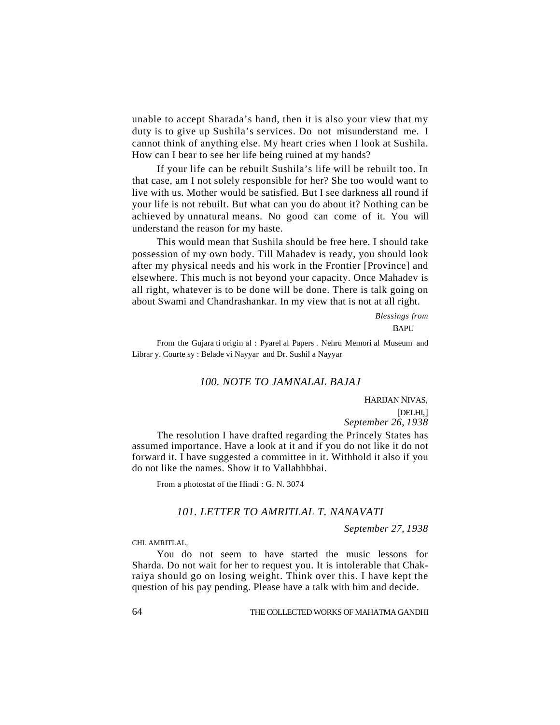unable to accept Sharada's hand, then it is also your view that my duty is to give up Sushila's services. Do not misunderstand me. I cannot think of anything else. My heart cries when I look at Sushila. How can I bear to see her life being ruined at my hands?

If your life can be rebuilt Sushila's life will be rebuilt too. In that case, am I not solely responsible for her? She too would want to live with us. Mother would be satisfied. But I see darkness all round if your life is not rebuilt. But what can you do about it? Nothing can be achieved by unnatural means. No good can come of it. You will understand the reason for my haste.

This would mean that Sushila should be free here. I should take possession of my own body. Till Mahadev is ready, you should look after my physical needs and his work in the Frontier [Province] and elsewhere. This much is not beyond your capacity. Once Mahadev is all right, whatever is to be done will be done. There is talk going on about Swami and Chandrashankar. In my view that is not at all right.

> *Blessings from* BAPU

From the Gujara ti origin al : Pyarel al Papers . Nehru Memori al Museum and Librar y. Courte sy : Belade vi Nayyar and Dr. Sushil a Nayyar

# *100. NOTE TO JAMNALAL BAJAJ*

HARIJAN NIVAS, [DELHI,] *September 26*, *1938*

The resolution I have drafted regarding the Princely States has assumed importance. Have a look at it and if you do not like it do not forward it. I have suggested a committee in it. Withhold it also if you do not like the names. Show it to Vallabhbhai.

From a photostat of the Hindi : G. N. 3074

## *101. LETTER TO AMRITLAL T. NANAVATI*

*September 27*, *1938*

CHI. AMRITLAL,

You do not seem to have started the music lessons for Sharda. Do not wait for her to request you. It is intolerable that Chakraiya should go on losing weight. Think over this. I have kept the question of his pay pending. Please have a talk with him and decide.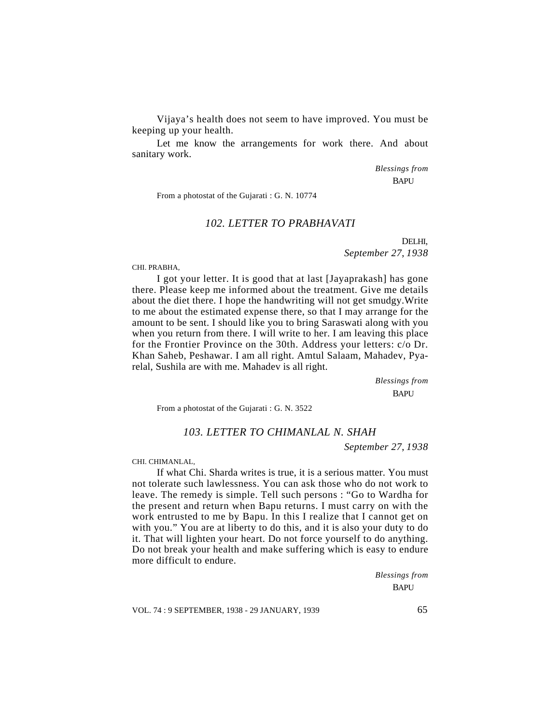Vijaya's health does not seem to have improved. You must be keeping up your health.

Let me know the arrangements for work there. And about sanitary work.

> *Blessings from* **BAPU**

From a photostat of the Gujarati : G. N. 10774

# *102. LETTER TO PRABHAVATI*

DELHI, *September 27*, *1938*

CHI. PRABHA,

I got your letter. It is good that at last [Jayaprakash] has gone there. Please keep me informed about the treatment. Give me details about the diet there. I hope the handwriting will not get smudgy.Write to me about the estimated expense there, so that I may arrange for the amount to be sent. I should like you to bring Saraswati along with you when you return from there. I will write to her. I am leaving this place for the Frontier Province on the 30th. Address your letters: c/o Dr. Khan Saheb, Peshawar. I am all right. Amtul Salaam, Mahadev, Pyarelal, Sushila are with me. Mahadev is all right.

> *Blessings from* **BAPU**

From a photostat of the Gujarati : G. N. 3522

#### *103. LETTER TO CHIMANLAL N. SHAH*

*September 27*, *1938*

CHI. CHIMANLAL,

If what Chi. Sharda writes is true, it is a serious matter. You must not tolerate such lawlessness. You can ask those who do not work to leave. The remedy is simple. Tell such persons : "Go to Wardha for the present and return when Bapu returns. I must carry on with the work entrusted to me by Bapu. In this I realize that I cannot get on with you." You are at liberty to do this, and it is also your duty to do it. That will lighten your heart. Do not force yourself to do anything. Do not break your health and make suffering which is easy to endure more difficult to endure.

> *Blessings from* **BAPU**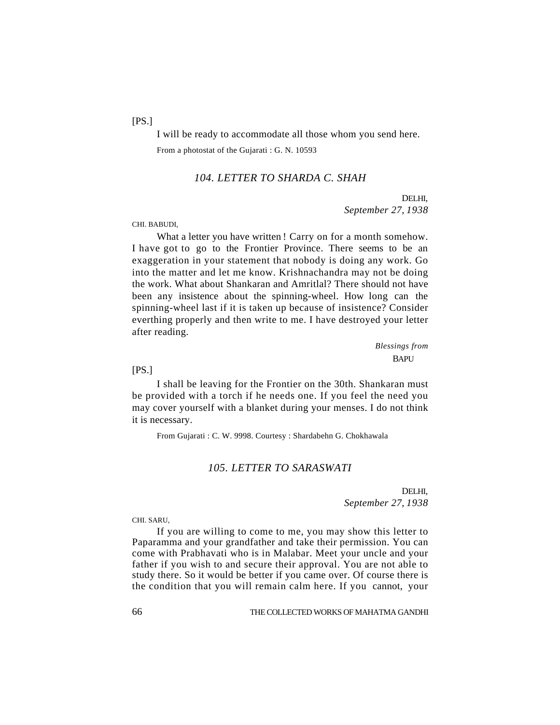[PS.]

I will be ready to accommodate all those whom you send here. From a photostat of the Gujarati : G. N. 10593

# *104. LETTER TO SHARDA C. SHAH*

DELHI, *September 27*, *1938*

CHI. BABUDI,

What a letter you have written! Carry on for a month somehow. I have got to go to the Frontier Province. There seems to be an exaggeration in your statement that nobody is doing any work. Go into the matter and let me know. Krishnachandra may not be doing the work. What about Shankaran and Amritlal? There should not have been any insistence about the spinning-wheel. How long can the spinning-wheel last if it is taken up because of insistence? Consider everthing properly and then write to me. I have destroyed your letter after reading.

> *Blessings from* **BAPU**

#### [PS.]

I shall be leaving for the Frontier on the 30th. Shankaran must be provided with a torch if he needs one. If you feel the need you may cover yourself with a blanket during your menses. I do not think it is necessary.

From Gujarati : C. W. 9998. Courtesy : Shardabehn G. Chokhawala

# *105. LETTER TO SARASWATI*

DELHI, *September 27*, *1938*

CHI. SARU,

If you are willing to come to me, you may show this letter to Paparamma and your grandfather and take their permission. You can come with Prabhavati who is in Malabar. Meet your uncle and your father if you wish to and secure their approval. You are not able to study there. So it would be better if you came over. Of course there is the condition that you will remain calm here. If you cannot, your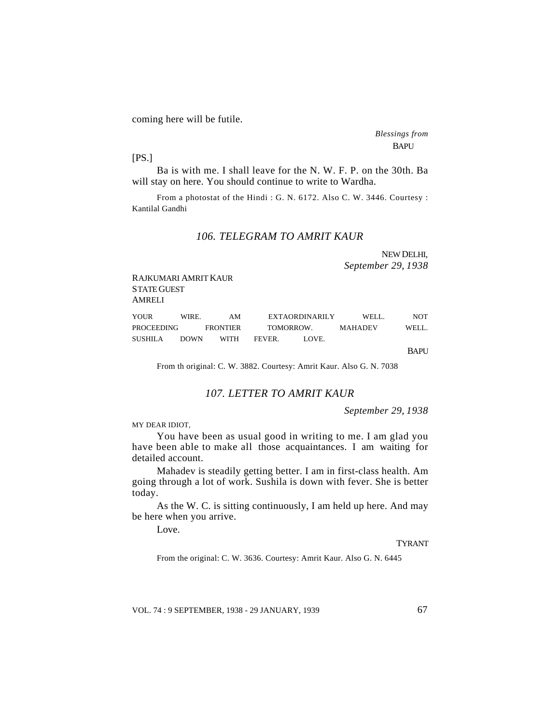coming here will be futile.

*Blessings from* **BAPU** 

 $[PS.]$ 

Ba is with me. I shall leave for the N. W. F. P. on the 30th. Ba will stay on here. You should continue to write to Wardha.

From a photostat of the Hindi : G. N. 6172. Also C. W. 3446. Courtesy : Kantilal Gandhi

# *106. TELEGRAM TO AMRIT KAUR*

NEW DELHI, *September 29*, *1938*

RAJKUMARI AMRIT KAUR STATE GUEST AMRELI

| YOUR       | <b>WIRE</b> | AМ              |                 | <b>EXTAORDINARILY</b> | WELL.          | NOT   |
|------------|-------------|-----------------|-----------------|-----------------------|----------------|-------|
| PROCEEDING |             | <b>FRONTIER</b> | <b>TOMORROW</b> |                       | <b>MAHADEV</b> | WELL. |
| SUSHILA    | <b>DOWN</b> | WITH            | <b>FEVER</b>    | LOVE.                 |                |       |

**BAPU** 

From th original: C. W. 3882. Courtesy: Amrit Kaur. Also G. N. 7038

# *107. LETTER TO AMRIT KAUR*

*September 29*, *1938*

MY DEAR IDIOT,

You have been as usual good in writing to me. I am glad you have been able to make all those acquaintances. I am waiting for detailed account.

Mahadev is steadily getting better. I am in first-class health. Am going through a lot of work. Sushila is down with fever. She is better today.

As the W. C. is sitting continuously, I am held up here. And may be here when you arrive.

Love.

TYRANT

From the original: C. W. 3636. Courtesy: Amrit Kaur. Also G. N. 6445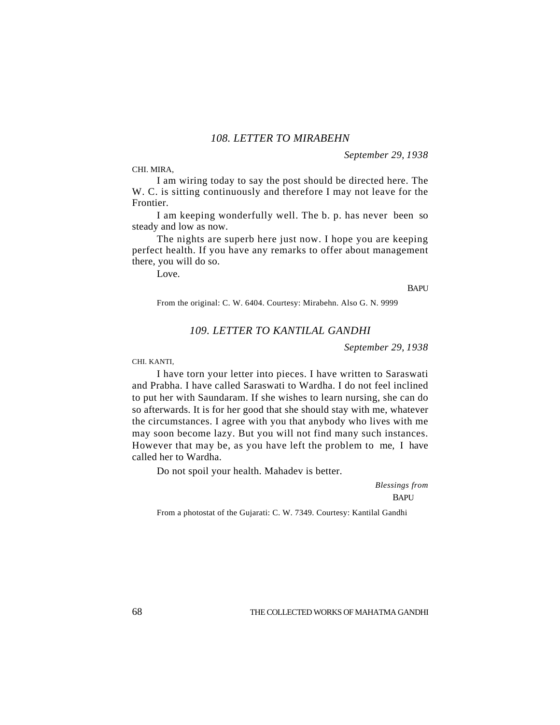*September 29*, *1938*

CHI. MIRA,

I am wiring today to say the post should be directed here. The W. C. is sitting continuously and therefore I may not leave for the Frontier.

I am keeping wonderfully well. The b. p. has never been so steady and low as now.

The nights are superb here just now. I hope you are keeping perfect health. If you have any remarks to offer about management there, you will do so.

Love.

**BAPU** 

From the original: C. W. 6404. Courtesy: Mirabehn. Also G. N. 9999

# *109. LETTER TO KANTILAL GANDHI*

*September 29*, *1938*

CHI. KANTI,

I have torn your letter into pieces. I have written to Saraswati and Prabha. I have called Saraswati to Wardha. I do not feel inclined to put her with Saundaram. If she wishes to learn nursing, she can do so afterwards. It is for her good that she should stay with me, whatever the circumstances. I agree with you that anybody who lives with me may soon become lazy. But you will not find many such instances. However that may be, as you have left the problem to me, I have called her to Wardha.

Do not spoil your health. Mahadev is better.

*Blessings from* **BAPU** 

From a photostat of the Gujarati: C. W. 7349. Courtesy: Kantilal Gandhi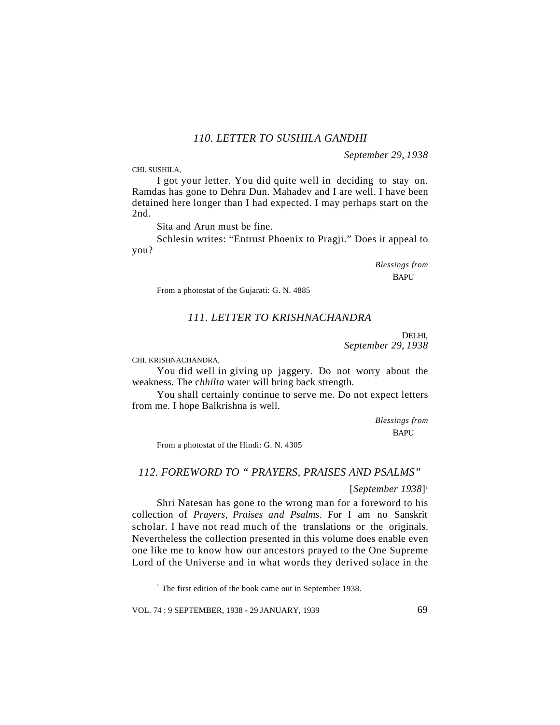*September 29*, *1938*

CHI. SUSHILA,

I got your letter. You did quite well in deciding to stay on. Ramdas has gone to Dehra Dun. Mahadev and I are well. I have been detained here longer than I had expected. I may perhaps start on the 2nd.

Sita and Arun must be fine.

Schlesin writes: "Entrust Phoenix to Pragji." Does it appeal to you?

> *Blessings from* **BAPU**

From a photostat of the Gujarati: G. N. 4885

# *111. LETTER TO KRISHNACHANDRA*

DELHI, *September 29*, *1938*

CHI. KRISHNACHANDRA,

You did well in giving up jaggery. Do not worry about the weakness. The c*hhilta* water will bring back strength.

You shall certainly continue to serve me. Do not expect letters from me. I hope Balkrishna is well.

*Blessings from*

BAPU

From a photostat of the Hindi: G. N. 4305

# *112. FOREWORD TO " PRAYERS, PRAISES AND PSALMS"*

[*September 1938*] 1

Shri Natesan has gone to the wrong man for a foreword to his collection of *Prayers*, *Praises and Psalms*. For I am no Sanskrit scholar. I have not read much of the translations or the originals. Nevertheless the collection presented in this volume does enable even one like me to know how our ancestors prayed to the One Supreme Lord of the Universe and in what words they derived solace in the

<sup>1</sup> The first edition of the book came out in September 1938.

VOL. 74 : 9 SEPTEMBER, 1938 - 29 JANUARY, 1939 69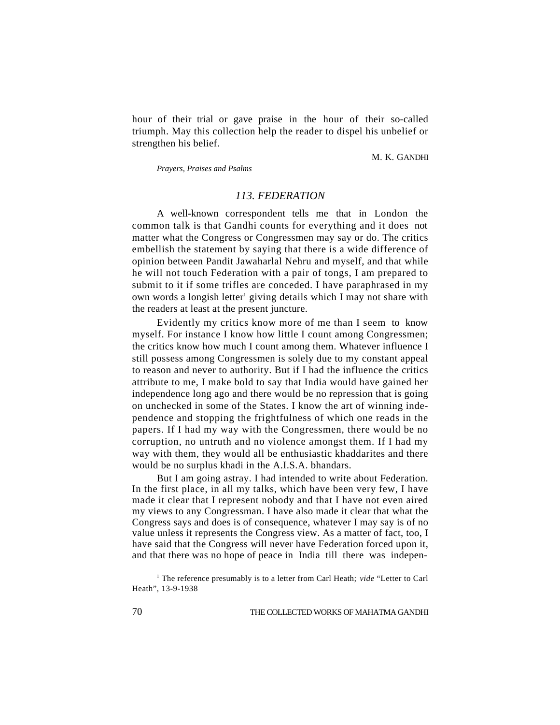hour of their trial or gave praise in the hour of their so-called triumph. May this collection help the reader to dispel his unbelief or strengthen his belief.

M. K. GANDHI

*Prayers, Praises and Psalms*

# *113. FEDERATION*

A well-known correspondent tells me that in London the common talk is that Gandhi counts for everything and it does not matter what the Congress or Congressmen may say or do. The critics embellish the statement by saying that there is a wide difference of opinion between Pandit Jawaharlal Nehru and myself, and that while he will not touch Federation with a pair of tongs, I am prepared to submit to it if some trifles are conceded. I have paraphrased in my own words a longish letter' giving details which I may not share with the readers at least at the present juncture.

Evidently my critics know more of me than I seem to know myself. For instance I know how little I count among Congressmen; the critics know how much I count among them. Whatever influence I still possess among Congressmen is solely due to my constant appeal to reason and never to authority. But if I had the influence the critics attribute to me, I make bold to say that India would have gained her independence long ago and there would be no repression that is going on unchecked in some of the States. I know the art of winning independence and stopping the frightfulness of which one reads in the papers. If I had my way with the Congressmen, there would be no corruption, no untruth and no violence amongst them. If I had my way with them, they would all be enthusiastic khaddarites and there would be no surplus khadi in the A.I.S.A. bhandars.

But I am going astray. I had intended to write about Federation. In the first place, in all my talks, which have been very few, I have made it clear that I represent nobody and that I have not even aired my views to any Congressman. I have also made it clear that what the Congress says and does is of consequence, whatever I may say is of no value unless it represents the Congress view. As a matter of fact, too, I have said that the Congress will never have Federation forced upon it, and that there was no hope of peace in India till there was indepen-

<sup>&</sup>lt;sup>1</sup> The reference presumably is to a letter from Carl Heath; *vide* "Letter to Carl Heath", 13-9-1938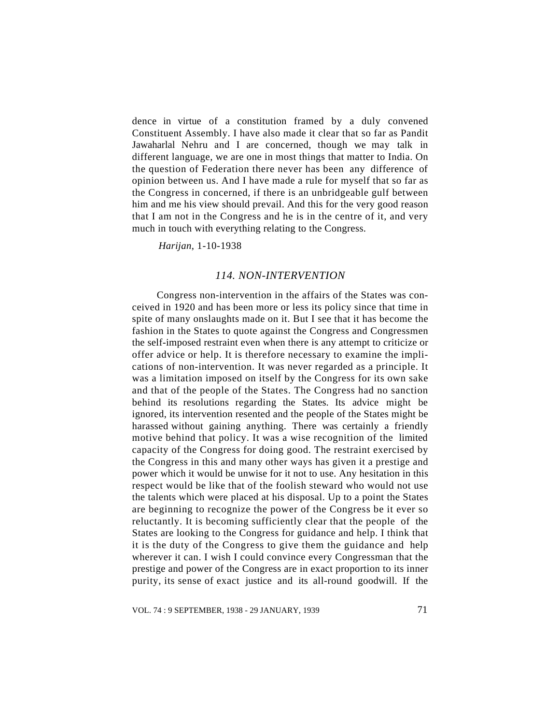dence in virtue of a constitution framed by a duly convened Constituent Assembly. I have also made it clear that so far as Pandit Jawaharlal Nehru and I are concerned, though we may talk in different language, we are one in most things that matter to India. On the question of Federation there never has been any difference of opinion between us. And I have made a rule for myself that so far as the Congress in concerned, if there is an unbridgeable gulf between him and me his view should prevail. And this for the very good reason that I am not in the Congress and he is in the centre of it, and very much in touch with everything relating to the Congress.

*Harijan*, 1-10-1938

# *114. NON-INTERVENTION*

Congress non-intervention in the affairs of the States was conceived in 1920 and has been more or less its policy since that time in spite of many onslaughts made on it. But I see that it has become the fashion in the States to quote against the Congress and Congressmen the self-imposed restraint even when there is any attempt to criticize or offer advice or help. It is therefore necessary to examine the implications of non-intervention. It was never regarded as a principle. It was a limitation imposed on itself by the Congress for its own sake and that of the people of the States. The Congress had no sanction behind its resolutions regarding the States. Its advice might be ignored, its intervention resented and the people of the States might be harassed without gaining anything. There was certainly a friendly motive behind that policy. It was a wise recognition of the limited capacity of the Congress for doing good. The restraint exercised by the Congress in this and many other ways has given it a prestige and power which it would be unwise for it not to use. Any hesitation in this respect would be like that of the foolish steward who would not use the talents which were placed at his disposal. Up to a point the States are beginning to recognize the power of the Congress be it ever so reluctantly. It is becoming sufficiently clear that the people of the States are looking to the Congress for guidance and help. I think that it is the duty of the Congress to give them the guidance and help wherever it can. I wish I could convince every Congressman that the prestige and power of the Congress are in exact proportion to its inner purity, its sense of exact justice and its all-round goodwill. If the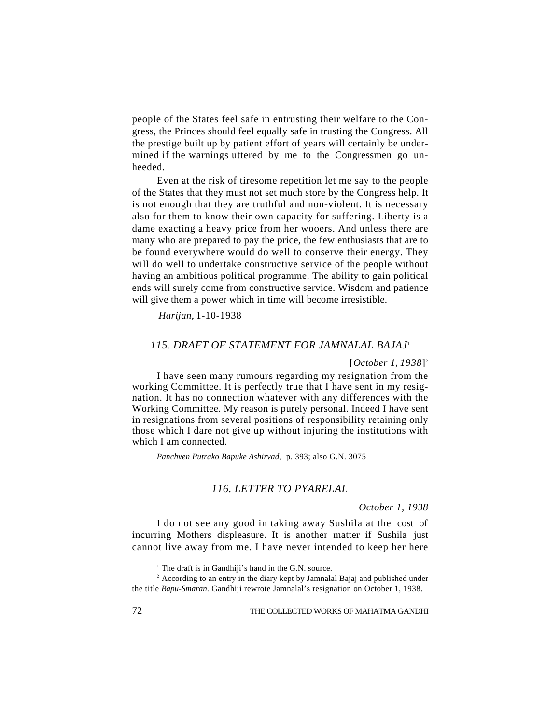people of the States feel safe in entrusting their welfare to the Congress, the Princes should feel equally safe in trusting the Congress. All the prestige built up by patient effort of years will certainly be undermined if the warnings uttered by me to the Congressmen go unheeded.

Even at the risk of tiresome repetition let me say to the people of the States that they must not set much store by the Congress help. It is not enough that they are truthful and non-violent. It is necessary also for them to know their own capacity for suffering. Liberty is a dame exacting a heavy price from her wooers. And unless there are many who are prepared to pay the price, the few enthusiasts that are to be found everywhere would do well to conserve their energy. They will do well to undertake constructive service of the people without having an ambitious political programme. The ability to gain political ends will surely come from constructive service. Wisdom and patience will give them a power which in time will become irresistible.

*Harijan*, 1-10-1938

#### *115. DRAFT OF STATEMENT FOR JAMNALAL BAJAJ*<sup>1</sup>

#### [*October 1*, *1938*] 2

I have seen many rumours regarding my resignation from the working Committee. It is perfectly true that I have sent in my resignation. It has no connection whatever with any differences with the Working Committee. My reason is purely personal. Indeed I have sent in resignations from several positions of responsibility retaining only those which I dare not give up without injuring the institutions with which I am connected.

*Panchven Putrako Bapuke Ashirvad*, p. 393; also G.N. 3075

# *116. LETTER TO PYARELAL*

#### *October 1, 1938*

I do not see any good in taking away Sushila at the cost of incurring Mothers displeasure. It is another matter if Sushila just cannot live away from me. I have never intended to keep her here

<sup>1</sup> The draft is in Gandhiji's hand in the G.N. source.

 $2$  According to an entry in the diary kept by Jamnalal Bajaj and published under the title *Bapu-Smaran*. Gandhiji rewrote Jamnalal's resignation on October 1, 1938.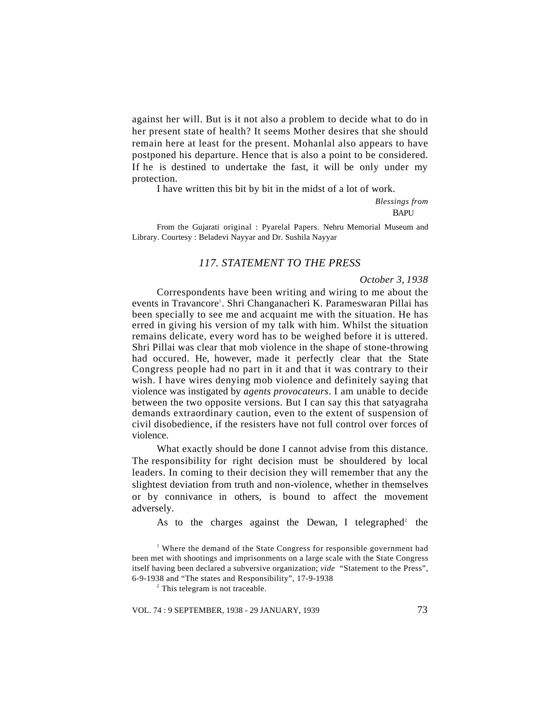against her will. But is it not also a problem to decide what to do in her present state of health? It seems Mother desires that she should remain here at least for the present. Mohanlal also appears to have postponed his departure. Hence that is also a point to be considered. If he is destined to undertake the fast, it will be only under my protection.

I have written this bit by bit in the midst of a lot of work.

*Blessings from*

**BAPU** 

From the Gujarati original : Pyarelal Papers. Nehru Memorial Museum and Library. Courtesy : Beladevi Nayyar and Dr. Sushila Nayyar

#### *117. STATEMENT TO THE PRESS*

#### *October 3*, *1938*

Correspondents have been writing and wiring to me about the events in Travancore'. Shri Changanacheri K. Parameswaran Pillai has been specially to see me and acquaint me with the situation. He has erred in giving his version of my talk with him. Whilst the situation remains delicate, every word has to be weighed before it is uttered. Shri Pillai was clear that mob violence in the shape of stone-throwing had occured. He, however, made it perfectly clear that the State Congress people had no part in it and that it was contrary to their wish. I have wires denying mob violence and definitely saying that violence was instigated by *agents provocateurs*. I am unable to decide between the two opposite versions. But I can say this that satyagraha demands extraordinary caution, even to the extent of suspension of civil disobedience, if the resisters have not full control over forces of violence.

What exactly should be done I cannot advise from this distance. The responsibility for right decision must be shouldered by local leaders. In coming to their decision they will remember that any the slightest deviation from truth and non-violence, whether in themselves or by connivance in others, is bound to affect the movement adversely.

As to the charges against the Dewan, I telegraphed<sup>2</sup> the

<sup>1</sup> Where the demand of the State Congress for responsible government had been met with shootings and imprisonments on a large scale with the State Congress itself having been declared a subversive organization; *vide* "Statement to the Press", 6-9-1938 and "The states and Responsibility", 17-9-1938

<sup>2</sup> This telegram is not traceable.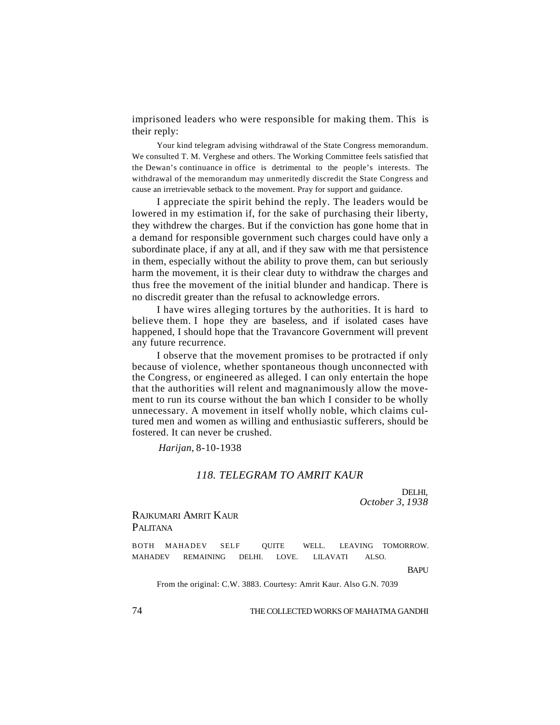imprisoned leaders who were responsible for making them. This is their reply:

Your kind telegram advising withdrawal of the State Congress memorandum. We consulted T. M. Verghese and others. The Working Committee feels satisfied that the Dewan's continuance in office is detrimental to the people's interests. The withdrawal of the memorandum may unmeritedly discredit the State Congress and cause an irretrievable setback to the movement. Pray for support and guidance.

I appreciate the spirit behind the reply. The leaders would be lowered in my estimation if, for the sake of purchasing their liberty, they withdrew the charges. But if the conviction has gone home that in a demand for responsible government such charges could have only a subordinate place, if any at all, and if they saw with me that persistence in them, especially without the ability to prove them, can but seriously harm the movement, it is their clear duty to withdraw the charges and thus free the movement of the initial blunder and handicap. There is no discredit greater than the refusal to acknowledge errors.

I have wires alleging tortures by the authorities. It is hard to believe them. I hope they are baseless, and if isolated cases have happened, I should hope that the Travancore Government will prevent any future recurrence.

I observe that the movement promises to be protracted if only because of violence, whether spontaneous though unconnected with the Congress, or engineered as alleged. I can only entertain the hope that the authorities will relent and magnanimously allow the movement to run its course without the ban which I consider to be wholly unnecessary. A movement in itself wholly noble, which claims cultured men and women as willing and enthusiastic sufferers, should be fostered. It can never be crushed.

*Harijan*, 8-10-1938

#### *118. TELEGRAM TO AMRIT KAUR*

DELHI, *October 3*, *1938*

# RAJKUMARI AMRIT KAUR P<sub>ALITANA</sub>

BOTH MAHADEV SELF QUITE WELL. LEAVING TOMORROW. MAHADEV REMAINING DELHI. LOVE. LILAVATI ALSO.

**BAPU** 

From the original: C.W. 3883. Courtesy: Amrit Kaur. Also G.N. 7039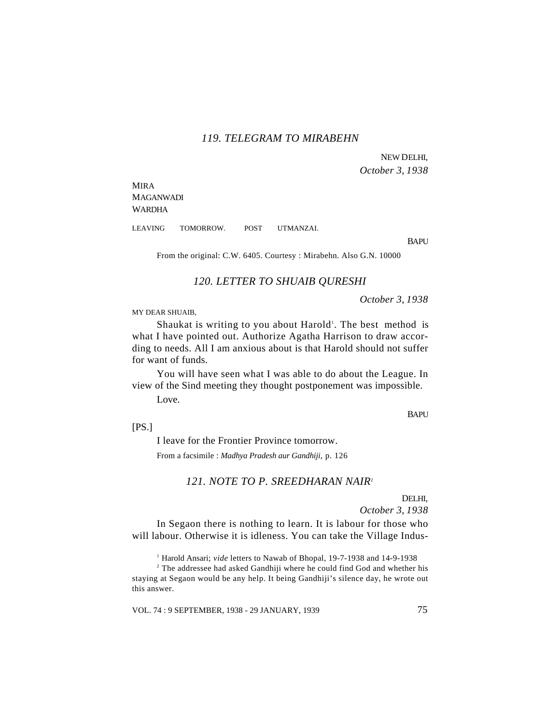## *119. TELEGRAM TO MIRABEHN*

NEW DELHI, *October 3*, *1938*

MIRA **MAGANWADI** WARDHA

LEAVING TOMORROW. POST UTMANZAI.

**BAPU** 

From the original: C.W. 6405. Courtesy : Mirabehn. Also G.N. 10000

#### *120. LETTER TO SHUAIB QURESHI*

*October 3*, *1938*

MY DEAR SHUAIB,

Shaukat is writing to you about Harold<sup>1</sup>. The best method is what I have pointed out. Authorize Agatha Harrison to draw according to needs. All I am anxious about is that Harold should not suffer for want of funds.

You will have seen what I was able to do about the League. In view of the Sind meeting they thought postponement was impossible.

Love.

**BAPU** 

[PS.]

I leave for the Frontier Province tomorrow. From a facsimile : *Madhya Pradesh aur Gandhiji*, p. 126

#### *121. NOTE TO P. SREEDHARAN NAIR*<sup>2</sup>

DELHI, *October 3*, *1938*

In Segaon there is nothing to learn. It is labour for those who will labour. Otherwise it is idleness. You can take the Village Indus-

<sup>1</sup> Harold Ansari; *vide* letters to Nawab of Bhopal, 19-7-1938 and 14-9-1938

 $2$  The addressee had asked Gandhiji where he could find God and whether his staying at Segaon would be any help. It being Gandhiji's silence day, he wrote out this answer.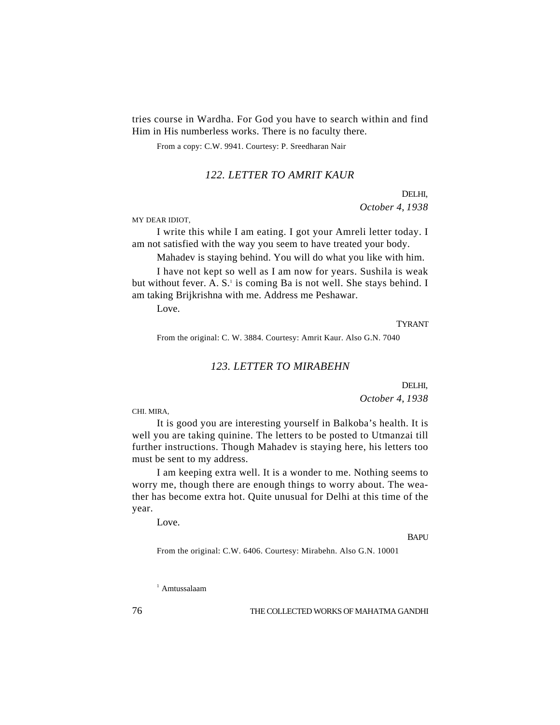tries course in Wardha. For God you have to search within and find Him in His numberless works. There is no faculty there.

From a copy: C.W. 9941. Courtesy: P. Sreedharan Nair

# *122. LETTER TO AMRIT KAUR*

DELHI, *October 4*, *1938*

MY DEAR IDIOT,

I write this while I am eating. I got your Amreli letter today. I am not satisfied with the way you seem to have treated your body.

Mahadev is staying behind. You will do what you like with him.

I have not kept so well as I am now for years. Sushila is weak but without fever. A. S.<sup>1</sup> is coming Ba is not well. She stays behind. I am taking Brijkrishna with me. Address me Peshawar.

Love.

TYRANT

From the original: C. W. 3884. Courtesy: Amrit Kaur. Also G.N. 7040

#### *123. LETTER TO MIRABEHN*

DELHI, *October 4*, *1938*

CHI. MIRA,

It is good you are interesting yourself in Balkoba's health. It is well you are taking quinine. The letters to be posted to Utmanzai till further instructions. Though Mahadev is staying here, his letters too must be sent to my address.

I am keeping extra well. It is a wonder to me. Nothing seems to worry me, though there are enough things to worry about. The weather has become extra hot. Quite unusual for Delhi at this time of the year.

Love.

**BAPU** 

From the original: C.W. 6406. Courtesy: Mirabehn. Also G.N. 10001

1 Amtussalaam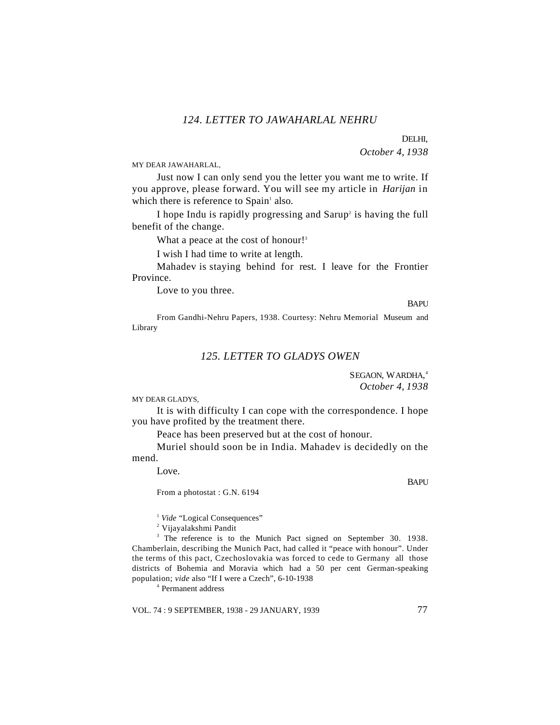DELHI, *October 4*, *1938*

MY DEAR JAWAHARLAL,

Just now I can only send you the letter you want me to write. If you approve, please forward. You will see my article in *Harijan* in which there is reference to Spain<sup>1</sup> also.

I hope Indu is rapidly progressing and Sarup<sup>2</sup> is having the full benefit of the change.

What a peace at the cost of honour!<sup>3</sup>

I wish I had time to write at length.

Mahadev is staying behind for rest. I leave for the Frontier Province.

Love to you three.

**BAPU** 

From Gandhi-Nehru Papers, 1938. Courtesy: Nehru Memorial Museum and Library

#### *125. LETTER TO GLADYS OWEN*

SEGAON, WARDHA, 4 *October 4*, *1938*

MY DEAR GLADYS,

It is with difficulty I can cope with the correspondence. I hope you have profited by the treatment there.

Peace has been preserved but at the cost of honour.

Muriel should soon be in India. Mahadev is decidedly on the mend.

Love.

From a photostat : G.N. 6194

<sup>1</sup> *Vide* "Logical Consequences"

<sup>2</sup> Vijayalakshmi Pandit

<sup>3</sup> The reference is to the Munich Pact signed on September 30. 1938. Chamberlain, describing the Munich Pact, had called it "peace with honour". Under the terms of this pact, Czechoslovakia was forced to cede to Germany all those districts of Bohemia and Moravia which had a 50 per cent German-speaking population; *vide* also "If I were a Czech", 6-10-1938

4 Permanent address

BAPU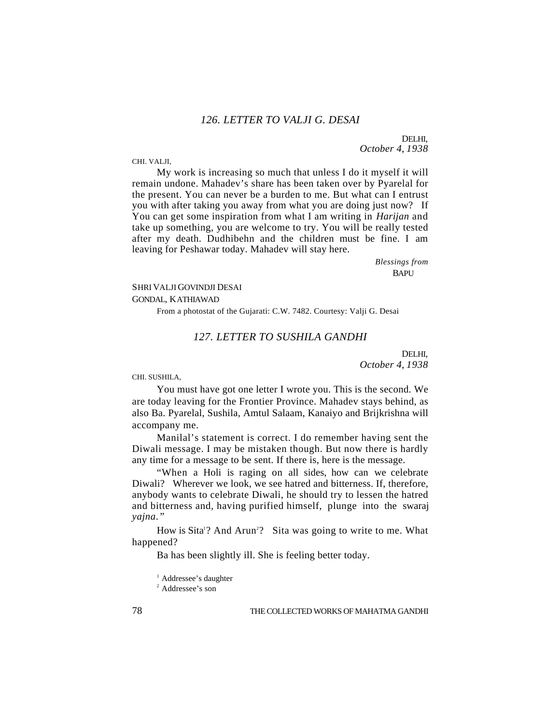# *126. LETTER TO VALJI G. DESAI*

DELHI, *October 4*, *1938*

CHI. VALJI,

My work is increasing so much that unless I do it myself it will remain undone. Mahadev's share has been taken over by Pyarelal for the present. You can never be a burden to me. But what can I entrust you with after taking you away from what you are doing just now? If You can get some inspiration from what I am writing in *Harijan* and take up something, you are welcome to try. You will be really tested after my death. Dudhibehn and the children must be fine. I am leaving for Peshawar today. Mahadev will stay here.

> *Blessings from* **BAPU**

#### SHRI VALJI GOVINDJI DESAI GONDAL, KATHIAWAD

From a photostat of the Gujarati: C.W. 7482. Courtesy: Valji G. Desai

#### *127. LETTER TO SUSHILA GANDHI*

DELHI, *October 4*, *1938*

CHI. SUSHILA,

You must have got one letter I wrote you. This is the second. We are today leaving for the Frontier Province. Mahadev stays behind, as also Ba. Pyarelal, Sushila, Amtul Salaam, Kanaiyo and Brijkrishna will accompany me.

Manilal's statement is correct. I do remember having sent the Diwali message. I may be mistaken though. But now there is hardly any time for a message to be sent. If there is, here is the message.

"When a Holi is raging on all sides, how can we celebrate Diwali? Wherever we look, we see hatred and bitterness. If, therefore, anybody wants to celebrate Diwali, he should try to lessen the hatred and bitterness and, having purified himself, plunge into the swaraj *yajna*. "

How is Sita<sup>1</sup>? And Arun<sup>2</sup>? Sita was going to write to me. What happened?

Ba has been slightly ill. She is feeling better today.

<sup>1</sup> Addressee's daughter

2 Addressee's son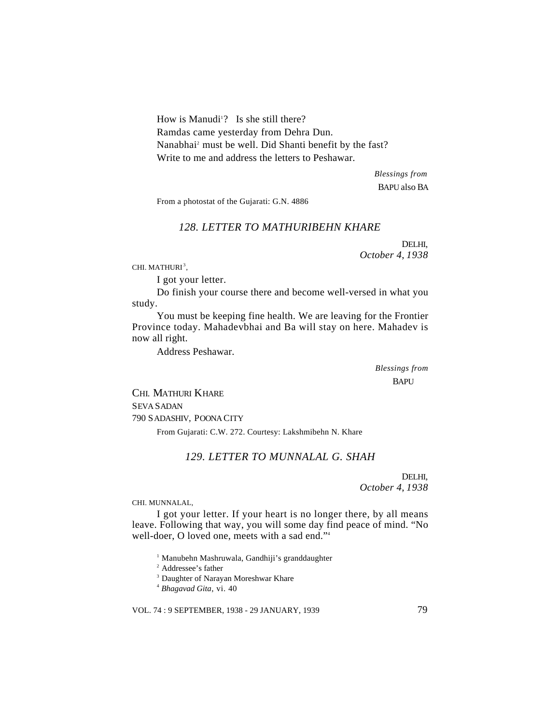How is Manudi<sup>1</sup>? Is she still there? Ramdas came yesterday from Dehra Dun. Nanabhai<sup>2</sup> must be well. Did Shanti benefit by the fast? Write to me and address the letters to Peshawar.

> *Blessings from* BAPU also BA

From a photostat of the Gujarati: G.N. 4886

#### *128. LETTER TO MATHURIBEHN KHARE*

DELHI, *October 4*, *1938*

CHI. MATHURI $^3$ ,

I got your letter.

Do finish your course there and become well-versed in what you study.

You must be keeping fine health. We are leaving for the Frontier Province today. Mahadevbhai and Ba will stay on here. Mahadev is now all right.

Address Peshawar.

*Blessings from* BAPU

CHI. MATHURI KHARE SEVA SADAN 790 SADASHIV, POONA CITY

From Gujarati: C.W. 272. Courtesy: Lakshmibehn N. Khare

#### *129. LETTER TO MUNNALAL G. SHAH*

DELHI, *October 4*, *1938*

CHI. MUNNALAL,

I got your letter. If your heart is no longer there, by all means leave. Following that way, you will some day find peace of mind. "No well-doer, O loved one, meets with a sad end."<sup>4</sup>

<sup>1</sup> Manubehn Mashruwala, Gandhiji's granddaughter

2 Addressee's father

<sup>3</sup> Daughter of Narayan Moreshwar Khare

<sup>4</sup> *Bhagavad Gita*, vi. 40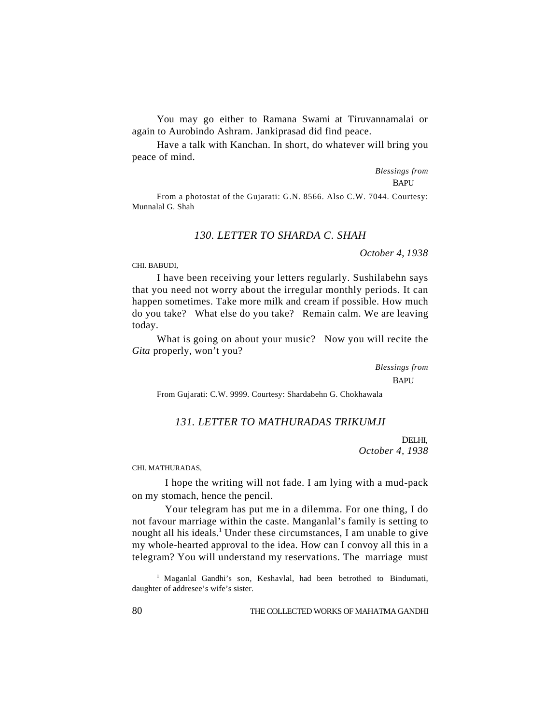You may go either to Ramana Swami at Tiruvannamalai or again to Aurobindo Ashram. Jankiprasad did find peace.

Have a talk with Kanchan. In short, do whatever will bring you peace of mind.

> *Blessings from* **BAPU**

From a photostat of the Gujarati: G.N. 8566. Also C.W. 7044. Courtesy: Munnalal G. Shah

# *130. LETTER TO SHARDA C. SHAH*

*October 4*, *1938*

CHI. BABUDI,

I have been receiving your letters regularly. Sushilabehn says that you need not worry about the irregular monthly periods. It can happen sometimes. Take more milk and cream if possible. How much do you take? What else do you take? Remain calm. We are leaving today.

What is going on about your music? Now you will recite the *Gita* properly, won't you?

*Blessings from*

**BAPU** 

From Gujarati: C.W. 9999. Courtesy: Shardabehn G. Chokhawala

# *131. LETTER TO MATHURADAS TRIKUMJI*

DELHI, *October 4, 1938*

CHI. MATHURADAS,

I hope the writing will not fade. I am lying with a mud-pack on my stomach, hence the pencil.

Your telegram has put me in a dilemma. For one thing, I do not favour marriage within the caste. Manganlal's family is setting to nought all his ideals.<sup>1</sup> Under these circumstances, I am unable to give my whole-hearted approval to the idea. How can I convoy all this in a telegram? You will understand my reservations. The marriage must

<sup>&</sup>lt;sup>1</sup> Maganlal Gandhi's son, Keshavlal, had been betrothed to Bindumati, daughter of addresee's wife's sister.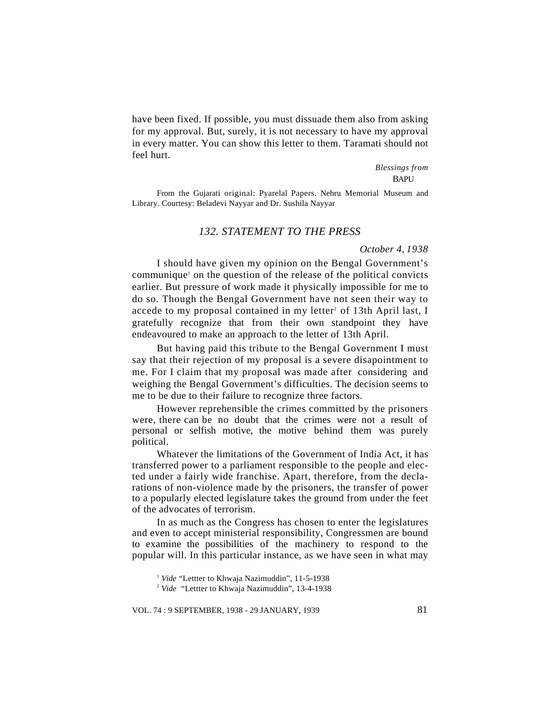have been fixed. If possible, you must dissuade them also from asking for my approval. But, surely, it is not necessary to have my approval in every matter. You can show this letter to them. Taramati should not feel hurt.

> *Blessings from* **BAPU**

From the Gujarati original: Pyarelal Papers. Nehru Memorial Museum and Library. Courtesy: Beladevi Nayyar and Dr. Sushila Nayyar

# *132. STATEMENT TO THE PRESS*

#### *October 4*, *1938*

I should have given my opinion on the Bengal Government's communique<sup>1</sup> on the question of the release of the political convicts earlier. But pressure of work made it physically impossible for me to do so. Though the Bengal Government have not seen their way to accede to my proposal contained in my letter<sup>2</sup> of 13th April last, I gratefully recognize that from their own standpoint they have endeavoured to make an approach to the letter of 13th April.

But having paid this tribute to the Bengal Government I must say that their rejection of my proposal is a severe disapointment to me. For I claim that my proposal was made after considering and weighing the Bengal Government's difficulties. The decision seems to me to be due to their failure to recognize three factors.

However reprehensible the crimes committed by the prisoners were, there can be no doubt that the crimes were not a result of personal or selfish motive, the motive behind them was purely political.

Whatever the limitations of the Government of India Act, it has transferred power to a parliament responsible to the people and elected under a fairly wide franchise. Apart, therefore, from the declarations of non-violence made by the prisoners, the transfer of power to a popularly elected legislature takes the ground from under the feet of the advocates of terrorism.

In as much as the Congress has chosen to enter the legislatures and even to accept ministerial responsibility, Congressmen are bound to examine the possibilities of the machinery to respond to the popular will. In this particular instance, as we have seen in what may

<sup>&</sup>lt;sup>1</sup> Vide "Lettter to Khwaja Nazimuddin", 11-5-1938

<sup>&</sup>lt;sup>2</sup> Vide "Lettter to Khwaja Nazimuddin", 13-4-1938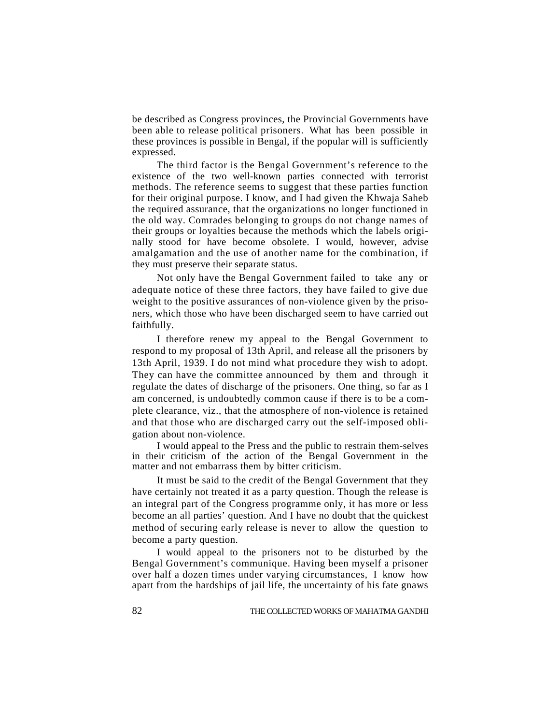be described as Congress provinces, the Provincial Governments have been able to release political prisoners. What has been possible in these provinces is possible in Bengal, if the popular will is sufficiently expressed.

The third factor is the Bengal Government's reference to the existence of the two well-known parties connected with terrorist methods. The reference seems to suggest that these parties function for their original purpose. I know, and I had given the Khwaja Saheb the required assurance, that the organizations no longer functioned in the old way. Comrades belonging to groups do not change names of their groups or loyalties because the methods which the labels originally stood for have become obsolete. I would, however, advise amalgamation and the use of another name for the combination, if they must preserve their separate status.

Not only have the Bengal Government failed to take any or adequate notice of these three factors, they have failed to give due weight to the positive assurances of non-violence given by the prisoners, which those who have been discharged seem to have carried out faithfully.

I therefore renew my appeal to the Bengal Government to respond to my proposal of 13th April, and release all the prisoners by 13th April, 1939. I do not mind what procedure they wish to adopt. They can have the committee announced by them and through it regulate the dates of discharge of the prisoners. One thing, so far as I am concerned, is undoubtedly common cause if there is to be a complete clearance, viz., that the atmosphere of non-violence is retained and that those who are discharged carry out the self-imposed obligation about non-violence.

I would appeal to the Press and the public to restrain them-selves in their criticism of the action of the Bengal Government in the matter and not embarrass them by bitter criticism.

It must be said to the credit of the Bengal Government that they have certainly not treated it as a party question. Though the release is an integral part of the Congress programme only, it has more or less become an all parties' question. And I have no doubt that the quickest method of securing early release is never to allow the question to become a party question.

I would appeal to the prisoners not to be disturbed by the Bengal Government's communique. Having been myself a prisoner over half a dozen times under varying circumstances, I know how apart from the hardships of jail life, the uncertainty of his fate gnaws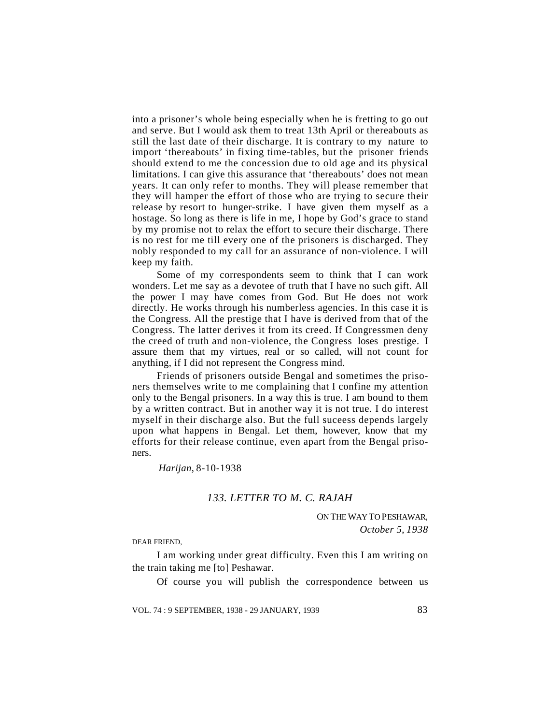into a prisoner's whole being especially when he is fretting to go out and serve. But I would ask them to treat 13th April or thereabouts as still the last date of their discharge. It is contrary to my nature to import 'thereabouts' in fixing time-tables, but the prisoner friends should extend to me the concession due to old age and its physical limitations. I can give this assurance that 'thereabouts' does not mean years. It can only refer to months. They will please remember that they will hamper the effort of those who are trying to secure their release by resort to hunger-strike. I have given them myself as a hostage. So long as there is life in me, I hope by God's grace to stand by my promise not to relax the effort to secure their discharge. There is no rest for me till every one of the prisoners is discharged. They nobly responded to my call for an assurance of non-violence. I will keep my faith.

Some of my correspondents seem to think that I can work wonders. Let me say as a devotee of truth that I have no such gift. All the power I may have comes from God. But He does not work directly. He works through his numberless agencies. In this case it is the Congress. All the prestige that I have is derived from that of the Congress. The latter derives it from its creed. If Congressmen deny the creed of truth and non-violence, the Congress loses prestige. I assure them that my virtues, real or so called, will not count for anything, if I did not represent the Congress mind.

Friends of prisoners outside Bengal and sometimes the prisoners themselves write to me complaining that I confine my attention only to the Bengal prisoners. In a way this is true. I am bound to them by a written contract. But in another way it is not true. I do interest myself in their discharge also. But the full suceess depends largely upon what happens in Bengal. Let them, however, know that my efforts for their release continue, even apart from the Bengal prisoners.

*Harijan*, 8-10-1938

#### *133. LETTER TO M. C. RAJAH*

ON THE WAY TO PESHAWAR, *October 5*, *1938*

DEAR FRIEND,

I am working under great difficulty. Even this I am writing on the train taking me [to] Peshawar.

Of course you will publish the correspondence between us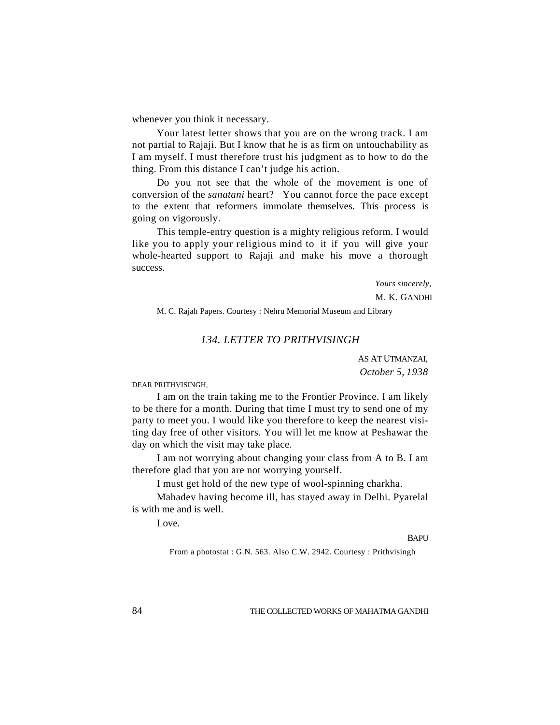whenever you think it necessary.

Your latest letter shows that you are on the wrong track. I am not partial to Rajaji. But I know that he is as firm on untouchability as I am myself. I must therefore trust his judgment as to how to do the thing. From this distance I can't judge his action.

Do you not see that the whole of the movement is one of conversion of the *sanatani* heart? You cannot force the pace except to the extent that reformers immolate themselves. This process is going on vigorously.

This temple-entry question is a mighty religious reform. I would like you to apply your religious mind to it if you will give your whole-hearted support to Rajaji and make his move a thorough success.

> *Yours sincerely*, M. K. GANDHI

M. C. Rajah Papers. Courtesy : Nehru Memorial Museum and Library

#### *134. LETTER TO PRITHVISINGH*

AS AT UTMANZAI, *October 5*, *1938*

DEAR PRITHVISINGH,

I am on the train taking me to the Frontier Province. I am likely to be there for a month. During that time I must try to send one of my party to meet you. I would like you therefore to keep the nearest visiting day free of other visitors. You will let me know at Peshawar the day on which the visit may take place.

I am not worrying about changing your class from A to B. I am therefore glad that you are not worrying yourself.

I must get hold of the new type of wool-spinning charkha.

Mahadev having become ill, has stayed away in Delhi. Pyarelal is with me and is well.

Love.

**BAPU** 

From a photostat : G.N. 563. Also C.W. 2942. Courtesy : Prithvisingh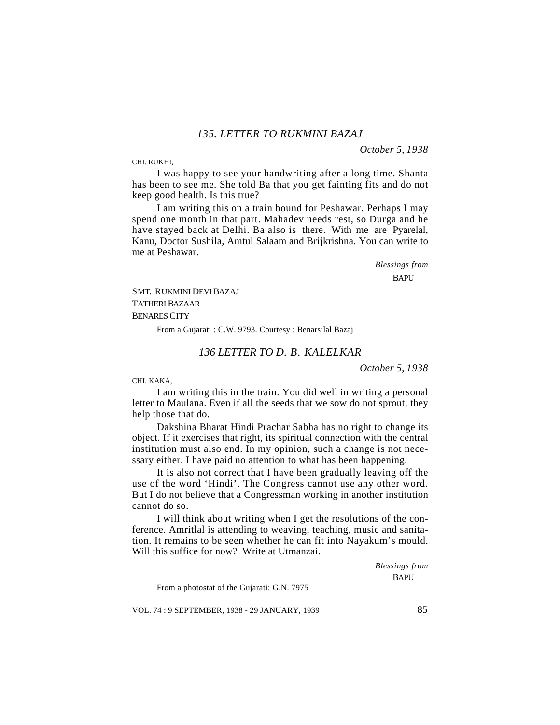*October 5*, *1938*

CHI. RUKHI,

I was happy to see your handwriting after a long time. Shanta has been to see me. She told Ba that you get fainting fits and do not keep good health. Is this true?

I am writing this on a train bound for Peshawar. Perhaps I may spend one month in that part. Mahadev needs rest, so Durga and he have stayed back at Delhi. Ba also is there. With me are Pyarelal, Kanu, Doctor Sushila, Amtul Salaam and Brijkrishna. You can write to me at Peshawar.

> *Blessings from* **BAPU**

SMT. RUKMINI DEVI BAZAJ TATHERI BAZAAR BENARES CITY

From a Gujarati : C.W. 9793. Courtesy : Benarsilal Bazaj

#### *136 LETTER TO D*. *B*. *KALELKAR*

*October 5*, *1938*

CHI. KAKA,

I am writing this in the train. You did well in writing a personal letter to Maulana. Even if all the seeds that we sow do not sprout, they help those that do.

Dakshina Bharat Hindi Prachar Sabha has no right to change its object. If it exercises that right, its spiritual connection with the central institution must also end. In my opinion, such a change is not necessary either. I have paid no attention to what has been happening.

It is also not correct that I have been gradually leaving off the use of the word 'Hindi'. The Congress cannot use any other word. But I do not believe that a Congressman working in another institution cannot do so.

I will think about writing when I get the resolutions of the conference. Amritlal is attending to weaving, teaching, music and sanitation. It remains to be seen whether he can fit into Nayakum's mould. Will this suffice for now? Write at Utmanzai.

> *Blessings from* **BAPU**

From a photostat of the Gujarati: G.N. 7975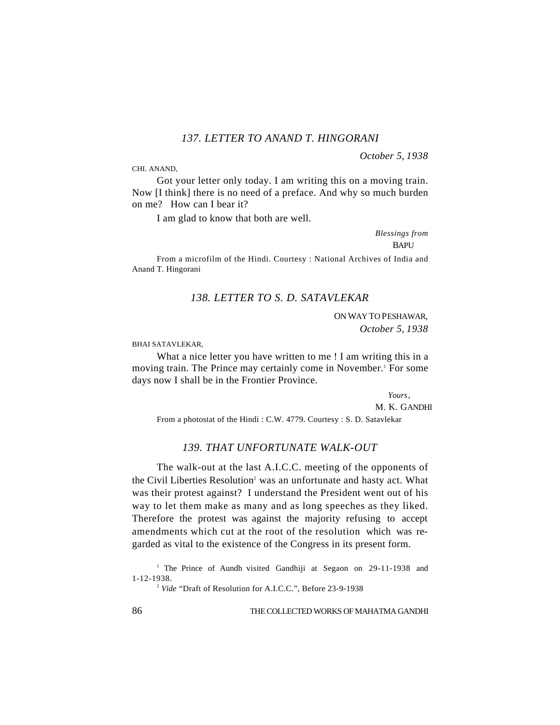## *137. LETTER TO ANAND T. HINGORANI*

*October 5*, *1938*

CHI. ANAND,

Got your letter only today. I am writing this on a moving train. Now [I think] there is no need of a preface. And why so much burden on me? How can I bear it?

I am glad to know that both are well.

*Blessings from* **BAPU** 

From a microfilm of the Hindi. Courtesy : National Archives of India and Anand T. Hingorani

#### *138. LETTER TO S. D. SATAVLEKAR*

ON WAY TO PESHAWAR, *October 5*, *1938*

BHAI SATAVLEKAR,

What a nice letter you have written to me ! I am writing this in a moving train. The Prince may certainly come in November.<sup>1</sup> For some days now I shall be in the Frontier Province.

> *Yours*, M. K. GANDHI

From a photostat of the Hindi : C.W. 4779. Courtesy : S. D. Satavlekar

#### *139. THAT UNFORTUNATE WALK-OUT*

The walk-out at the last A.I.C.C. meeting of the opponents of the Civil Liberties Resolution<sup>2</sup> was an unfortunate and hasty act. What was their protest against? I understand the President went out of his way to let them make as many and as long speeches as they liked. Therefore the protest was against the majority refusing to accept amendments which cut at the root of the resolution which was regarded as vital to the existence of the Congress in its present form.

<sup>1</sup> The Prince of Aundh visited Gandhiji at Segaon on 29-11-1938 and 1-12-1938.

<sup>2</sup> *Vide* "Draft of Resolution for A.I.C.C.", Before 23-9-1938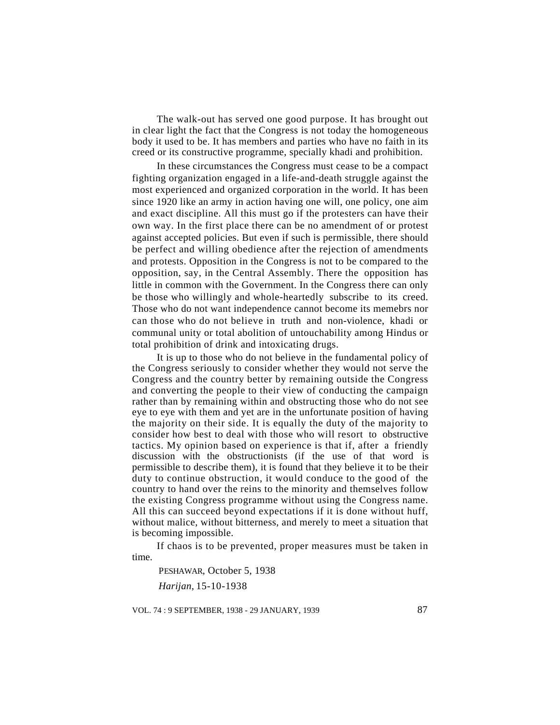The walk-out has served one good purpose. It has brought out in clear light the fact that the Congress is not today the homogeneous body it used to be. It has members and parties who have no faith in its creed or its constructive programme, specially khadi and prohibition.

In these circumstances the Congress must cease to be a compact fighting organization engaged in a life-and-death struggle against the most experienced and organized corporation in the world. It has been since 1920 like an army in action having one will, one policy, one aim and exact discipline. All this must go if the protesters can have their own way. In the first place there can be no amendment of or protest against accepted policies. But even if such is permissible, there should be perfect and willing obedience after the rejection of amendments and protests. Opposition in the Congress is not to be compared to the opposition, say, in the Central Assembly. There the opposition has little in common with the Government. In the Congress there can only be those who willingly and whole-heartedly subscribe to its creed. Those who do not want independence cannot become its memebrs nor can those who do not believe in truth and non-violence, khadi or communal unity or total abolition of untouchability among Hindus or total prohibition of drink and intoxicating drugs.

It is up to those who do not believe in the fundamental policy of the Congress seriously to consider whether they would not serve the Congress and the country better by remaining outside the Congress and converting the people to their view of conducting the campaign rather than by remaining within and obstructing those who do not see eye to eye with them and yet are in the unfortunate position of having the majority on their side. It is equally the duty of the majority to consider how best to deal with those who will resort to obstructive tactics. My opinion based on experience is that if, after a friendly discussion with the obstructionists (if the use of that word is permissible to describe them), it is found that they believe it to be their duty to continue obstruction, it would conduce to the good of the country to hand over the reins to the minority and themselves follow the existing Congress programme without using the Congress name. All this can succeed beyond expectations if it is done without huff, without malice, without bitterness, and merely to meet a situation that is becoming impossible.

If chaos is to be prevented, proper measures must be taken in time.

PESHAWAR, October 5, 1938 *Harijan*, 15-10-1938

VOL. 74 : 9 SEPTEMBER, 1938 - 29 JANUARY, 1939 87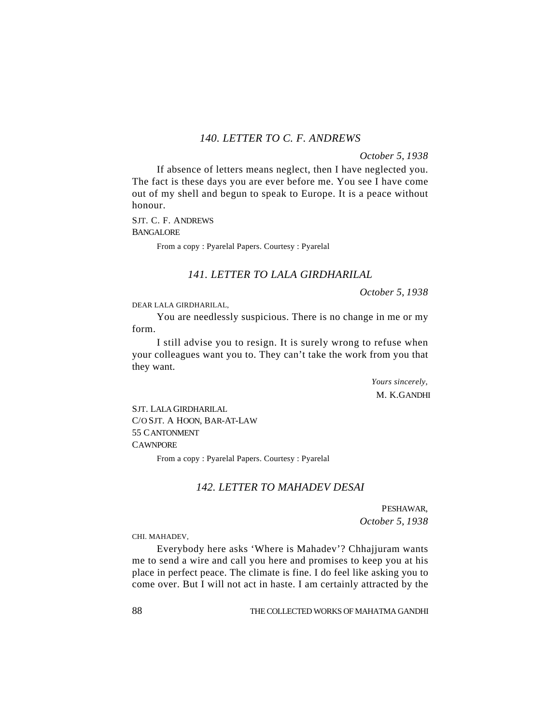## *140. LETTER TO C. F. ANDREWS*

*October 5*, *1938*

If absence of letters means neglect, then I have neglected you. The fact is these days you are ever before me. You see I have come out of my shell and begun to speak to Europe. It is a peace without honour.

SIT. C. F. ANDREWS BANGALORE

From a copy : Pyarelal Papers. Courtesy : Pyarelal

#### *141. LETTER TO LALA GIRDHARILAL*

*October 5*, *1938*

DEAR LALA GIRDHARILAL,

You are needlessly suspicious. There is no change in me or my form.

I still advise you to resign. It is surely wrong to refuse when your colleagues want you to. They can't take the work from you that they want.

> *Yours sincerely*, M. K.GANDHI

SJT. LALA GIRDHARILAL C/O SJT. A HOON, BAR-AT-LAW 55 CANTONMENT CAWNPORE

From a copy : Pyarelal Papers. Courtesy : Pyarelal

#### *142. LETTER TO MAHADEV DESAI*

PESHAWAR, *October 5*, *1938*

CHI. MAHADEV,

Everybody here asks 'Where is Mahadev'? Chhajjuram wants me to send a wire and call you here and promises to keep you at his place in perfect peace. The climate is fine. I do feel like asking you to come over. But I will not act in haste. I am certainly attracted by the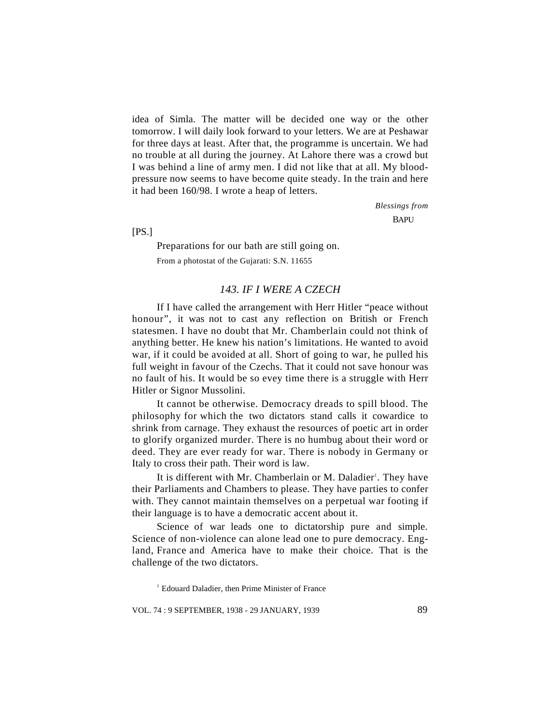idea of Simla. The matter will be decided one way or the other tomorrow. I will daily look forward to your letters. We are at Peshawar for three days at least. After that, the programme is uncertain. We had no trouble at all during the journey. At Lahore there was a crowd but I was behind a line of army men. I did not like that at all. My bloodpressure now seems to have become quite steady. In the train and here it had been 160/98. I wrote a heap of letters.

> *Blessings from* BAPU

[PS.]

Preparations for our bath are still going on. From a photostat of the Gujarati: S.N. 11655

# *143. IF I WERE A CZECH*

If I have called the arrangement with Herr Hitler "peace without honour", it was not to cast any reflection on British or French statesmen. I have no doubt that Mr. Chamberlain could not think of anything better. He knew his nation's limitations. He wanted to avoid war, if it could be avoided at all. Short of going to war, he pulled his full weight in favour of the Czechs. That it could not save honour was no fault of his. It would be so evey time there is a struggle with Herr Hitler or Signor Mussolini.

It cannot be otherwise. Democracy dreads to spill blood. The philosophy for which the two dictators stand calls it cowardice to shrink from carnage. They exhaust the resources of poetic art in order to glorify organized murder. There is no humbug about their word or deed. They are ever ready for war. There is nobody in Germany or Italy to cross their path. Their word is law.

It is different with Mr. Chamberlain or M. Daladier<sup>1</sup>. They have their Parliaments and Chambers to please. They have parties to confer with. They cannot maintain themselves on a perpetual war footing if their language is to have a democratic accent about it.

Science of war leads one to dictatorship pure and simple. Science of non-violence can alone lead one to pure democracy. England, France and America have to make their choice. That is the challenge of the two dictators.

<sup>1</sup> Edouard Daladier, then Prime Minister of France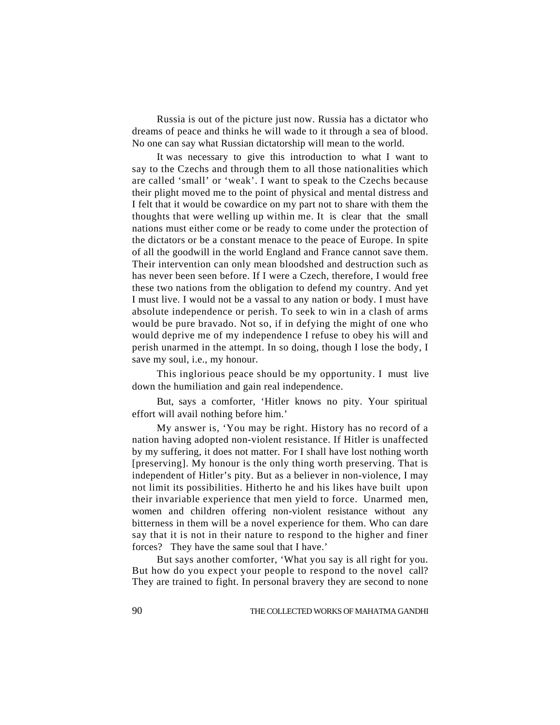Russia is out of the picture just now. Russia has a dictator who dreams of peace and thinks he will wade to it through a sea of blood. No one can say what Russian dictatorship will mean to the world.

It was necessary to give this introduction to what I want to say to the Czechs and through them to all those nationalities which are called 'small' or 'weak'. I want to speak to the Czechs because their plight moved me to the point of physical and mental distress and I felt that it would be cowardice on my part not to share with them the thoughts that were welling up within me. It is clear that the small nations must either come or be ready to come under the protection of the dictators or be a constant menace to the peace of Europe. In spite of all the goodwill in the world England and France cannot save them. Their intervention can only mean bloodshed and destruction such as has never been seen before. If I were a Czech, therefore, I would free these two nations from the obligation to defend my country. And yet I must live. I would not be a vassal to any nation or body. I must have absolute independence or perish. To seek to win in a clash of arms would be pure bravado. Not so, if in defying the might of one who would deprive me of my independence I refuse to obey his will and perish unarmed in the attempt. In so doing, though I lose the body, I save my soul, i.e., my honour.

This inglorious peace should be my opportunity. I must live down the humiliation and gain real independence.

But, says a comforter, 'Hitler knows no pity. Your spiritual effort will avail nothing before him.'

My answer is, 'You may be right. History has no record of a nation having adopted non-violent resistance. If Hitler is unaffected by my suffering, it does not matter. For I shall have lost nothing worth [preserving]. My honour is the only thing worth preserving. That is independent of Hitler's pity. But as a believer in non-violence, I may not limit its possibilities. Hitherto he and his likes have built upon their invariable experience that men yield to force. Unarmed men, women and children offering non-violent resistance without any bitterness in them will be a novel experience for them. Who can dare say that it is not in their nature to respond to the higher and finer forces? They have the same soul that I have.'

But says another comforter, 'What you say is all right for you. But how do you expect your people to respond to the novel call? They are trained to fight. In personal bravery they are second to none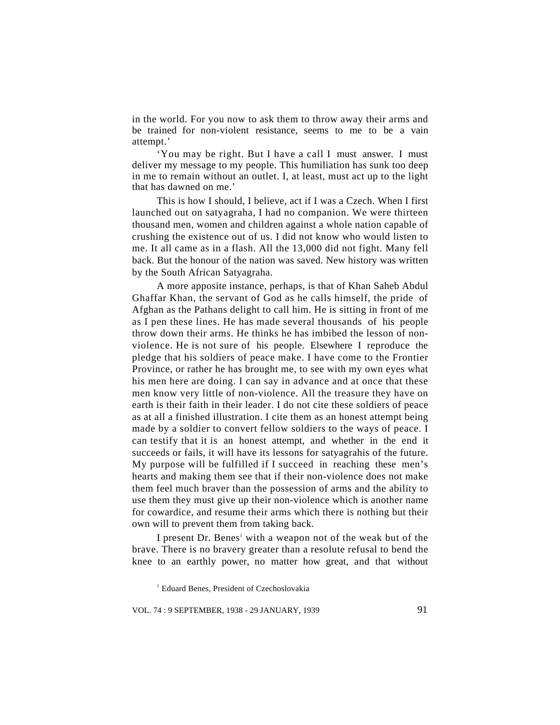in the world. For you now to ask them to throw away their arms and be trained for non-violent resistance, seems to me to be a vain attempt.'

'You may be right. But I have a call I must answer. I must deliver my message to my people. This humiliation has sunk too deep in me to remain without an outlet. I, at least, must act up to the light that has dawned on me.'

This is how I should, I believe, act if I was a Czech. When I first launched out on satyagraha, I had no companion. We were thirteen thousand men, women and children against a whole nation capable of crushing the existence out of us. I did not know who would listen to me. It all came as in a flash. All the 13,000 did not fight. Many fell back. But the honour of the nation was saved. New history was written by the South African Satyagraha.

A more apposite instance, perhaps, is that of Khan Saheb Abdul Ghaffar Khan, the servant of God as he calls himself, the pride of Afghan as the Pathans delight to call him. He is sitting in front of me as I pen these lines. He has made several thousands of his people throw down their arms. He thinks he has imbibed the lesson of nonviolence. He is not sure of his people. Elsewhere I reproduce the pledge that his soldiers of peace make. I have come to the Frontier Province, or rather he has brought me, to see with my own eyes what his men here are doing. I can say in advance and at once that these men know very little of non-violence. All the treasure they have on earth is their faith in their leader. I do not cite these soldiers of peace as at all a finished illustration. I cite them as an honest attempt being made by a soldier to convert fellow soldiers to the ways of peace. I can testify that it is an honest attempt, and whether in the end it succeeds or fails, it will have its lessons for satyagrahis of the future. My purpose will be fulfilled if I succeed in reaching these men's hearts and making them see that if their non-violence does not make them feel much braver than the possession of arms and the ability to use them they must give up their non-violence which is another name for cowardice, and resume their arms which there is nothing but their own will to prevent them from taking back.

I present Dr. Benes<sup>1</sup> with a weapon not of the weak but of the brave. There is no bravery greater than a resolute refusal to bend the knee to an earthly power, no matter how great, and that without

<sup>1</sup> Eduard Benes, President of Czechoslovakia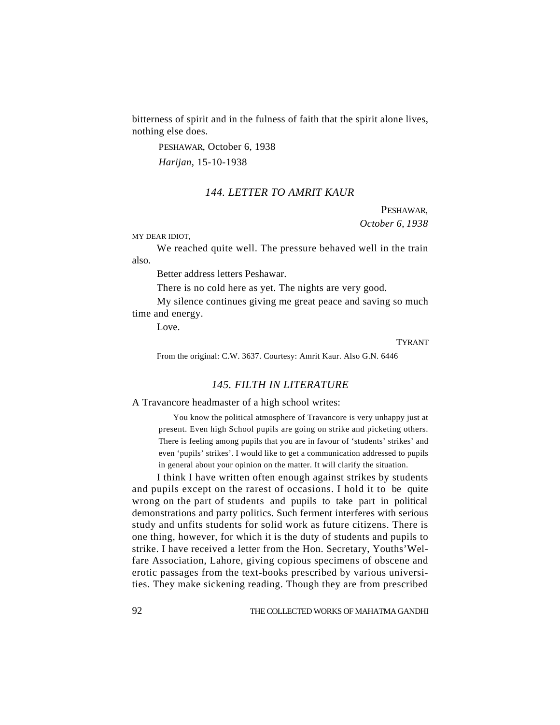bitterness of spirit and in the fulness of faith that the spirit alone lives, nothing else does.

PESHAWAR, October 6, 1938 *Harijan*, 15-10-1938

#### *144. LETTER TO AMRIT KAUR*

PESHAWAR, *October 6*, *1938*

MY DEAR IDIOT,

We reached quite well. The pressure behaved well in the train also.

Better address letters Peshawar.

There is no cold here as yet. The nights are very good.

My silence continues giving me great peace and saving so much time and energy.

Love.

TYRANT

From the original: C.W. 3637. Courtesy: Amrit Kaur. Also G.N. 6446

# *145. FILTH IN LITERATURE*

A Travancore headmaster of a high school writes:

You know the political atmosphere of Travancore is very unhappy just at present. Even high School pupils are going on strike and picketing others. There is feeling among pupils that you are in favour of 'students' strikes' and even 'pupils' strikes'. I would like to get a communication addressed to pupils in general about your opinion on the matter. It will clarify the situation.

I think I have written often enough against strikes by students and pupils except on the rarest of occasions. I hold it to be quite wrong on the part of students and pupils to take part in political demonstrations and party politics. Such ferment interferes with serious study and unfits students for solid work as future citizens. There is one thing, however, for which it is the duty of students and pupils to strike. I have received a letter from the Hon. Secretary, Youths'Welfare Association, Lahore, giving copious specimens of obscene and erotic passages from the text-books prescribed by various universities. They make sickening reading. Though they are from prescribed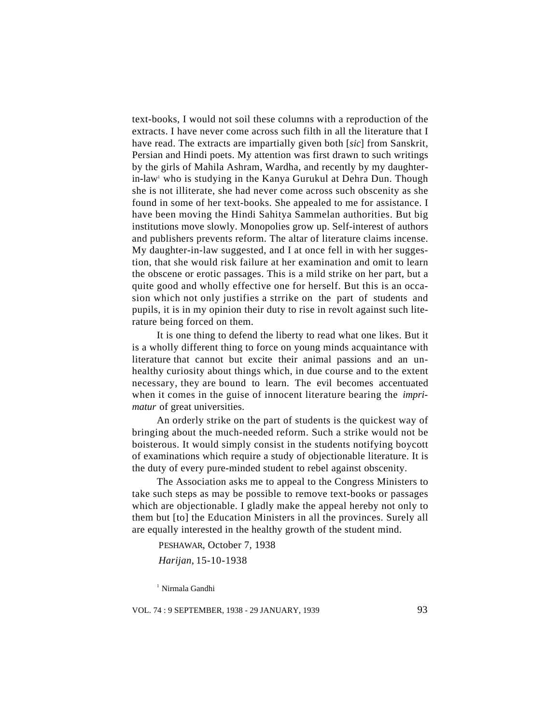text-books, I would not soil these columns with a reproduction of the extracts. I have never come across such filth in all the literature that I have read. The extracts are impartially given both [*sic*] from Sanskrit, Persian and Hindi poets. My attention was first drawn to such writings by the girls of Mahila Ashram, Wardha, and recently by my daughterin-law<sup>1</sup> who is studying in the Kanya Gurukul at Dehra Dun. Though she is not illiterate, she had never come across such obscenity as she found in some of her text-books. She appealed to me for assistance. I have been moving the Hindi Sahitya Sammelan authorities. But big institutions move slowly. Monopolies grow up. Self-interest of authors and publishers prevents reform. The altar of literature claims incense. My daughter-in-law suggested, and I at once fell in with her suggestion, that she would risk failure at her examination and omit to learn the obscene or erotic passages. This is a mild strike on her part, but a quite good and wholly effective one for herself. But this is an occasion which not only justifies a strrike on the part of students and pupils, it is in my opinion their duty to rise in revolt against such literature being forced on them.

It is one thing to defend the liberty to read what one likes. But it is a wholly different thing to force on young minds acquaintance with literature that cannot but excite their animal passions and an unhealthy curiosity about things which, in due course and to the extent necessary, they are bound to learn. The evil becomes accentuated when it comes in the guise of innocent literature bearing the *imprimatur* of great universities.

An orderly strike on the part of students is the quickest way of bringing about the much-needed reform. Such a strike would not be boisterous. It would simply consist in the students notifying boycott of examinations which require a study of objectionable literature. It is the duty of every pure-minded student to rebel against obscenity.

The Association asks me to appeal to the Congress Ministers to take such steps as may be possible to remove text-books or passages which are objectionable. I gladly make the appeal hereby not only to them but [to] the Education Ministers in all the provinces. Surely all are equally interested in the healthy growth of the student mind.

```
PESHAWAR, October 7, 1938
Harijan, 15-10-1938
```
1 Nirmala Gandhi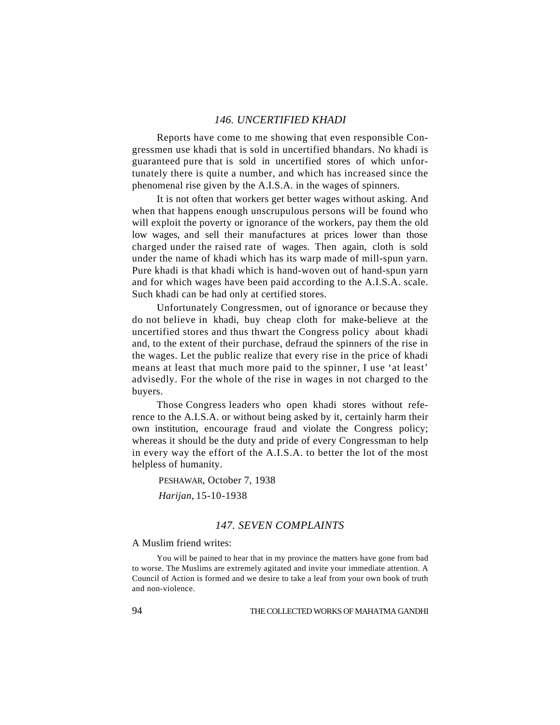# *146. UNCERTIFIED KHADI*

Reports have come to me showing that even responsible Congressmen use khadi that is sold in uncertified bhandars. No khadi is guaranteed pure that is sold in uncertified stores of which unfortunately there is quite a number, and which has increased since the phenomenal rise given by the A.I.S.A. in the wages of spinners.

It is not often that workers get better wages without asking. And when that happens enough unscrupulous persons will be found who will exploit the poverty or ignorance of the workers, pay them the old low wages, and sell their manufactures at prices lower than those charged under the raised rate of wages. Then again, cloth is sold under the name of khadi which has its warp made of mill-spun yarn. Pure khadi is that khadi which is hand-woven out of hand-spun yarn and for which wages have been paid according to the A.I.S.A. scale. Such khadi can be had only at certified stores.

Unfortunately Congressmen, out of ignorance or because they do not believe in khadi, buy cheap cloth for make-believe at the uncertified stores and thus thwart the Congress policy about khadi and, to the extent of their purchase, defraud the spinners of the rise in the wages. Let the public realize that every rise in the price of khadi means at least that much more paid to the spinner, I use 'at least' advisedly. For the whole of the rise in wages in not charged to the buyers.

Those Congress leaders who open khadi stores without reference to the A.I.S.A. or without being asked by it, certainly harm their own institution, encourage fraud and violate the Congress policy; whereas it should be the duty and pride of every Congressman to help in every way the effort of the A.I.S.A. to better the lot of the most helpless of humanity.

PESHAWAR, October 7, 1938

*Harijan*, 15-10-1938

#### *147. SEVEN COMPLAINTS*

A Muslim friend writes:

You will be pained to hear that in my province the matters have gone from bad to worse. The Muslims are extremely agitated and invite your immediate attention. A Council of Action is formed and we desire to take a leaf from your own book of truth and non-violence.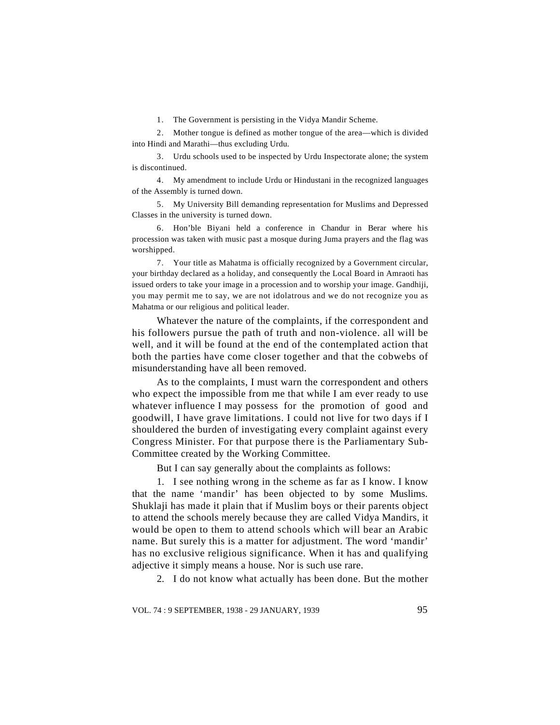1. The Government is persisting in the Vidya Mandir Scheme.

2. Mother tongue is defined as mother tongue of the area—which is divided into Hindi and Marathi—thus excluding Urdu.

3. Urdu schools used to be inspected by Urdu Inspectorate alone; the system is discontinued.

4. My amendment to include Urdu or Hindustani in the recognized languages of the Assembly is turned down.

5. My University Bill demanding representation for Muslims and Depressed Classes in the university is turned down.

6. Hon'ble Biyani held a conference in Chandur in Berar where his procession was taken with music past a mosque during Juma prayers and the flag was worshipped.

7. Your title as Mahatma is officially recognized by a Government circular, your birthday declared as a holiday, and consequently the Local Board in Amraoti has issued orders to take your image in a procession and to worship your image. Gandhiji, you may permit me to say, we are not idolatrous and we do not recognize you as Mahatma or our religious and political leader.

Whatever the nature of the complaints, if the correspondent and his followers pursue the path of truth and non-violence. all will be well, and it will be found at the end of the contemplated action that both the parties have come closer together and that the cobwebs of misunderstanding have all been removed.

As to the complaints, I must warn the correspondent and others who expect the impossible from me that while I am ever ready to use whatever influence I may possess for the promotion of good and goodwill, I have grave limitations. I could not live for two days if I shouldered the burden of investigating every complaint against every Congress Minister. For that purpose there is the Parliamentary Sub-Committee created by the Working Committee.

But I can say generally about the complaints as follows:

1. I see nothing wrong in the scheme as far as I know. I know that the name 'mandir' has been objected to by some Muslims. Shuklaji has made it plain that if Muslim boys or their parents object to attend the schools merely because they are called Vidya Mandirs, it would be open to them to attend schools which will bear an Arabic name. But surely this is a matter for adjustment. The word 'mandir' has no exclusive religious significance. When it has and qualifying adjective it simply means a house. Nor is such use rare.

2. I do not know what actually has been done. But the mother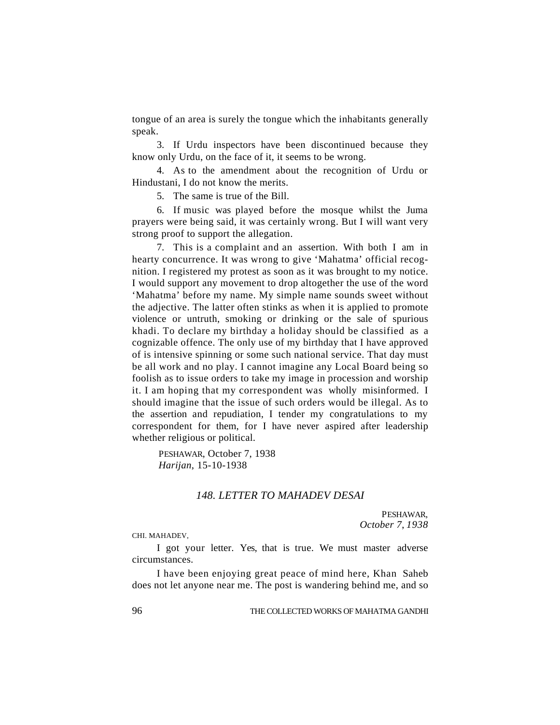tongue of an area is surely the tongue which the inhabitants generally speak.

3. If Urdu inspectors have been discontinued because they know only Urdu, on the face of it, it seems to be wrong.

4. As to the amendment about the recognition of Urdu or Hindustani, I do not know the merits.

5. The same is true of the Bill.

6. If music was played before the mosque whilst the Juma prayers were being said, it was certainly wrong. But I will want very strong proof to support the allegation.

7. This is a complaint and an assertion. With both I am in hearty concurrence. It was wrong to give 'Mahatma' official recognition. I registered my protest as soon as it was brought to my notice. I would support any movement to drop altogether the use of the word 'Mahatma' before my name. My simple name sounds sweet without the adjective. The latter often stinks as when it is applied to promote violence or untruth, smoking or drinking or the sale of spurious khadi. To declare my birthday a holiday should be classified as a cognizable offence. The only use of my birthday that I have approved of is intensive spinning or some such national service. That day must be all work and no play. I cannot imagine any Local Board being so foolish as to issue orders to take my image in procession and worship it. I am hoping that my correspondent was wholly misinformed. I should imagine that the issue of such orders would be illegal. As to the assertion and repudiation, I tender my congratulations to my correspondent for them, for I have never aspired after leadership whether religious or political.

PESHAWAR, October 7, 1938 *Harijan*, 15-10-1938

# *148. LETTER TO MAHADEV DESAI*

PESHAWAR, *October 7*, *1938*

CHI. MAHADEV,

I got your letter. Yes, that is true. We must master adverse circumstances.

I have been enjoying great peace of mind here, Khan Saheb does not let anyone near me. The post is wandering behind me, and so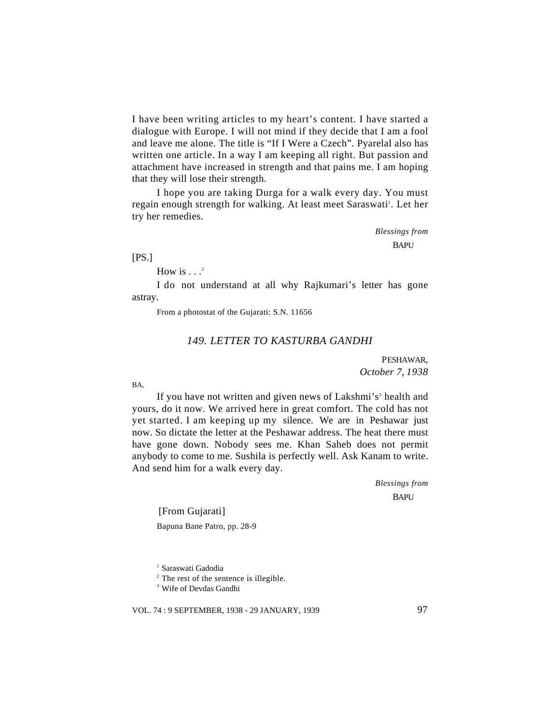I have been writing articles to my heart's content. I have started a dialogue with Europe. I will not mind if they decide that I am a fool and leave me alone. The title is "If I Were a Czech". Pyarelal also has written one article. In a way I am keeping all right. But passion and attachment have increased in strength and that pains me. I am hoping that they will lose their strength.

I hope you are taking Durga for a walk every day. You must regain enough strength for walking. At least meet Saraswati<sup>1</sup>. Let her try her remedies.

> *Blessings from* **BAPU**

 $[PS.]$ 

How is  $\cdot$  .  $\cdot$   $\cdot$   $\cdot$ 

I do not understand at all why Rajkumari's letter has gone astray.

From a photostat of the Gujarati: S.N. 11656

# *149. LETTER TO KASTURBA GANDHI*

PESHAWAR, *October 7*, *1938*

BA,

If you have not written and given news of Lakshmi's<sup>3</sup> health and yours, do it now. We arrived here in great comfort. The cold has not yet started. I am keeping up my silence. We are in Peshawar just now. So dictate the letter at the Peshawar address. The heat there must have gone down. Nobody sees me. Khan Saheb does not permit anybody to come to me. Sushila is perfectly well. Ask Kanam to write. And send him for a walk every day.

> *Blessings from* BAPU

[From Gujarati]

Bapuna Bane Patro, pp. 28-9

<sup>1</sup> Saraswati Gadodia

<sup>2</sup> The rest of the sentence is illegible.

3 Wife of Devdas Gandhi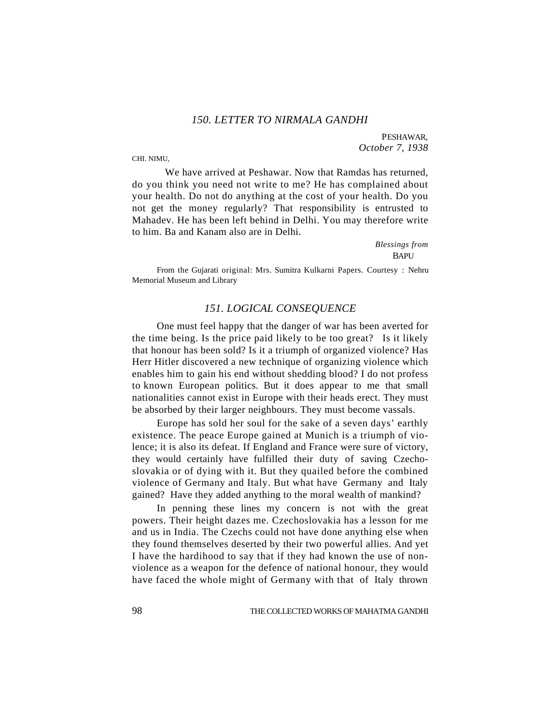# *150. LETTER TO NIRMALA GANDHI*

PESHAWAR, *October 7, 1938*

CHI. NIMU,

We have arrived at Peshawar. Now that Ramdas has returned, do you think you need not write to me? He has complained about your health. Do not do anything at the cost of your health. Do you not get the money regularly? That responsibility is entrusted to Mahadev. He has been left behind in Delhi. You may therefore write to him. Ba and Kanam also are in Delhi.

> *Blessings from* **BAPU**

From the Gujarati original: Mrs. Sumitra Kulkarni Papers. Courtesy : Nehru Memorial Museum and Library

#### *151. LOGICAL CONSEQUENCE*

One must feel happy that the danger of war has been averted for the time being. Is the price paid likely to be too great? Is it likely that honour has been sold? Is it a triumph of organized violence? Has Herr Hitler discovered a new technique of organizing violence which enables him to gain his end without shedding blood? I do not profess to known European politics. But it does appear to me that small nationalities cannot exist in Europe with their heads erect. They must be absorbed by their larger neighbours. They must become vassals.

Europe has sold her soul for the sake of a seven days' earthly existence. The peace Europe gained at Munich is a triumph of violence; it is also its defeat. If England and France were sure of victory, they would certainly have fulfilled their duty of saving Czechoslovakia or of dying with it. But they quailed before the combined violence of Germany and Italy. But what have Germany and Italy gained? Have they added anything to the moral wealth of mankind?

In penning these lines my concern is not with the great powers. Their height dazes me. Czechoslovakia has a lesson for me and us in India. The Czechs could not have done anything else when they found themselves deserted by their two powerful allies. And yet I have the hardihood to say that if they had known the use of nonviolence as a weapon for the defence of national honour, they would have faced the whole might of Germany with that of Italy thrown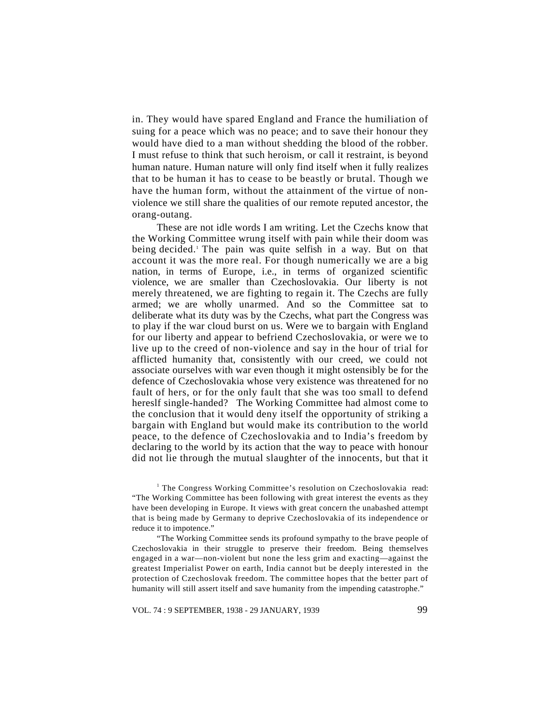in. They would have spared England and France the humiliation of suing for a peace which was no peace; and to save their honour they would have died to a man without shedding the blood of the robber. I must refuse to think that such heroism, or call it restraint, is beyond human nature. Human nature will only find itself when it fully realizes that to be human it has to cease to be beastly or brutal. Though we have the human form, without the attainment of the virtue of nonviolence we still share the qualities of our remote reputed ancestor, the orang-outang.

These are not idle words I am writing. Let the Czechs know that the Working Committee wrung itself with pain while their doom was being decided.<sup>1</sup> The pain was quite selfish in a way. But on that account it was the more real. For though numerically we are a big nation, in terms of Europe, i.e., in terms of organized scientific violence, we are smaller than Czechoslovakia. Our liberty is not merely threatened, we are fighting to regain it. The Czechs are fully armed; we are wholly unarmed. And so the Committee sat to deliberate what its duty was by the Czechs, what part the Congress was to play if the war cloud burst on us. Were we to bargain with England for our liberty and appear to befriend Czechoslovakia, or were we to live up to the creed of non-violence and say in the hour of trial for afflicted humanity that, consistently with our creed, we could not associate ourselves with war even though it might ostensibly be for the defence of Czechoslovakia whose very existence was threatened for no fault of hers, or for the only fault that she was too small to defend hereslf single-handed? The Working Committee had almost come to the conclusion that it would deny itself the opportunity of striking a bargain with England but would make its contribution to the world peace, to the defence of Czechoslovakia and to India's freedom by declaring to the world by its action that the way to peace with honour did not lie through the mutual slaughter of the innocents, but that it

<sup>1</sup> The Congress Working Committee's resolution on Czechoslovakia read: "The Working Committee has been following with great interest the events as they have been developing in Europe. It views with great concern the unabashed attempt that is being made by Germany to deprive Czechoslovakia of its independence or reduce it to impotence."

"The Working Committee sends its profound sympathy to the brave people of Czechoslovakia in their struggle to preserve their freedom. Being themselves engaged in a war—non-violent but none the less grim and exacting—against the greatest Imperialist Power on earth, India cannot but be deeply interested in the protection of Czechoslovak freedom. The committee hopes that the better part of humanity will still assert itself and save humanity from the impending catastrophe."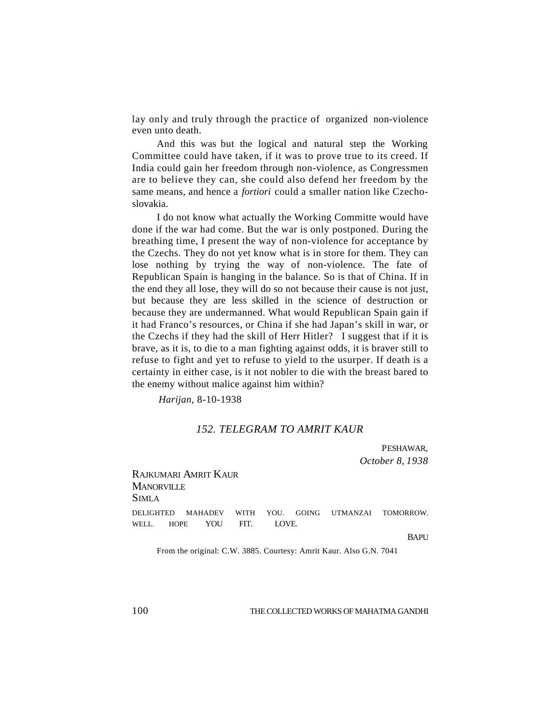lay only and truly through the practice of organized non-violence even unto death.

And this was but the logical and natural step the Working Committee could have taken, if it was to prove true to its creed. If India could gain her freedom through non-violence, as Congressmen are to believe they can, she could also defend her freedom by the same means, and hence a *fortiori* could a smaller nation like Czechoslovakia.

I do not know what actually the Working Committe would have done if the war had come. But the war is only postponed. During the breathing time, I present the way of non-violence for acceptance by the Czechs. They do not yet know what is in store for them. They can lose nothing by trying the way of non-violence. The fate of Republican Spain is hanging in the balance. So is that of China. If in the end they all lose, they will do so not because their cause is not just, but because they are less skilled in the science of destruction or because they are undermanned. What would Republican Spain gain if it had Franco's resources, or China if she had Japan's skill in war, or the Czechs if they had the skill of Herr Hitler? I suggest that if it is brave, as it is, to die to a man fighting against odds, it is braver still to refuse to fight and yet to refuse to yield to the usurper. If death is a certainty in either case, is it not nobler to die with the breast bared to the enemy without malice against him within?

*Harijan*, 8-10-1938

# *152. TELEGRAM TO AMRIT KAUR*

**PESHAWAR** *October 8*, *1938*

RAJKUMARI AMRIT KAUR **MANORVILLE** SIMLA DELIGHTED MAHADEV WITH YOU. GOING UTMANZAI TOMORROW. WELL. HOPE YOU FIT. LOVE.

**BAPU** 

From the original: C.W. 3885. Courtesy: Amrit Kaur. Also G.N. 7041

100 THE COLLECTED WORKS OF MAHATMA GANDHI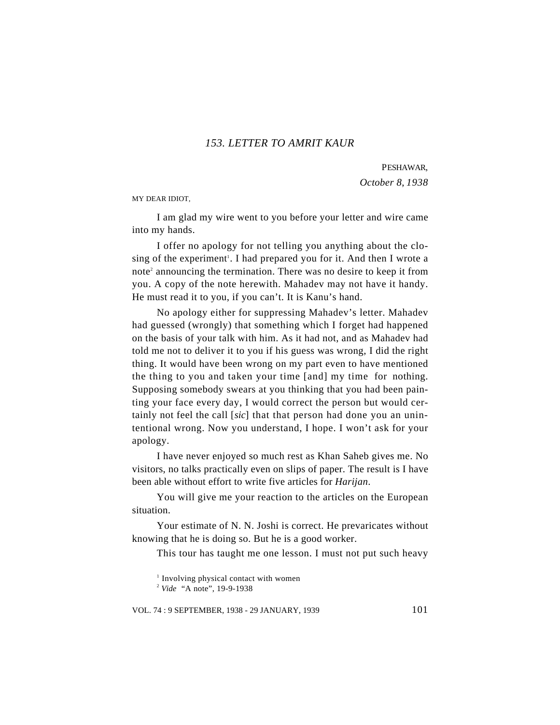## *153. LETTER TO AMRIT KAUR*

PESHAWAR, *October 8*, *1938*

MY DEAR IDIOT,

I am glad my wire went to you before your letter and wire came into my hands.

I offer no apology for not telling you anything about the closing of the experiment<sup>1</sup>. I had prepared you for it. And then I wrote a note<sup>2</sup> announcing the termination. There was no desire to keep it from you. A copy of the note herewith. Mahadev may not have it handy. He must read it to you, if you can't. It is Kanu's hand.

No apology either for suppressing Mahadev's letter. Mahadev had guessed (wrongly) that something which I forget had happened on the basis of your talk with him. As it had not, and as Mahadev had told me not to deliver it to you if his guess was wrong, I did the right thing. It would have been wrong on my part even to have mentioned the thing to you and taken your time [and] my time for nothing. Supposing somebody swears at you thinking that you had been painting your face every day, I would correct the person but would certainly not feel the call [*sic*] that that person had done you an unintentional wrong. Now you understand, I hope. I won't ask for your apology.

I have never enjoyed so much rest as Khan Saheb gives me. No visitors, no talks practically even on slips of paper. The result is I have been able without effort to write five articles for *Harijan*.

You will give me your reaction to the articles on the European situation.

Your estimate of N. N. Joshi is correct. He prevaricates without knowing that he is doing so. But he is a good worker.

This tour has taught me one lesson. I must not put such heavy

<sup>&</sup>lt;sup>1</sup> Involving physical contact with women <sup>2</sup> *Vide* "A note", 19-9-1938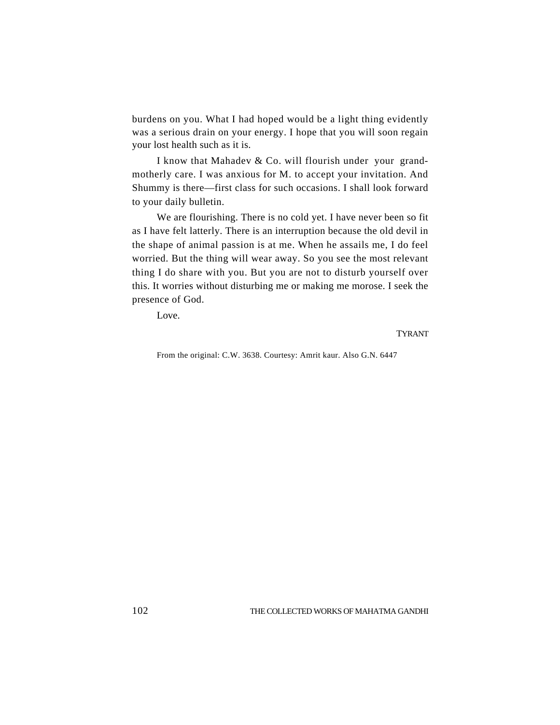burdens on you. What I had hoped would be a light thing evidently was a serious drain on your energy. I hope that you will soon regain your lost health such as it is.

I know that Mahadev & Co. will flourish under your grandmotherly care. I was anxious for M. to accept your invitation. And Shummy is there—first class for such occasions. I shall look forward to your daily bulletin.

We are flourishing. There is no cold yet. I have never been so fit as I have felt latterly. There is an interruption because the old devil in the shape of animal passion is at me. When he assails me, I do feel worried. But the thing will wear away. So you see the most relevant thing I do share with you. But you are not to disturb yourself over this. It worries without disturbing me or making me morose. I seek the presence of God.

Love.

TYRANT

From the original: C.W. 3638. Courtesy: Amrit kaur. Also G.N. 6447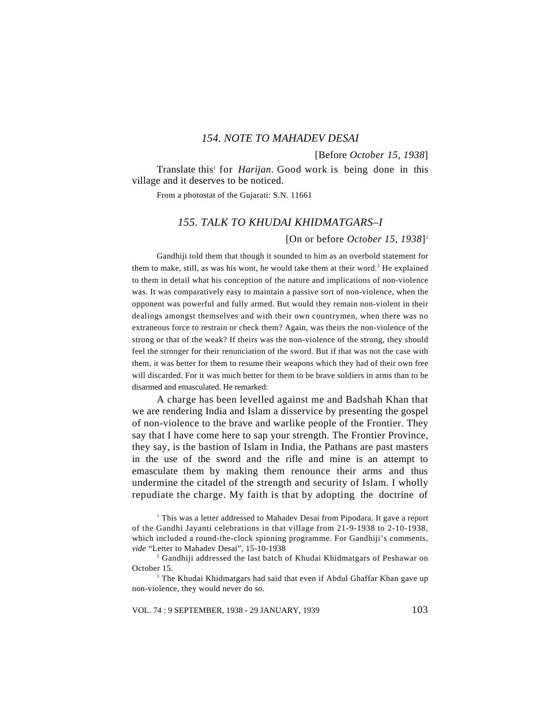#### *154. NOTE TO MAHADEV DESAI*

[Before *October 15, 1938*]

Translate this<sup>1</sup> for *Harijan*. Good work is being done in this village and it deserves to be noticed.

From a photostat of the Gujarati: S.N. 11661

# *155. TALK TO KHUDAI KHIDMATGARS–I* [On or before *October 15, 1938*] 2

Gandhiji told them that though it sounded to him as an overbold statement for them to make, still, as was his wont, he would take them at their word.<sup>3</sup> He explained to them in detail what his conception of the nature and implications of non-violence was. It was comparatively easy to maintain a passive sort of non-violence, when the opponent was powerful and fully armed. But would they remain non-violent in their dealings amongst themselves and with their own countrymen, when there was no extraneous force to restrain or check them? Again, was theirs the non-violence of the strong or that of the weak? If theirs was the non-violence of the strong, they should feel the stronger for their renunciation of the sword. But if that was not the case with them, it was better for them to resume their weapons which they had of their own free will discarded. For it was much better for them to be brave soldiers in arms than to be disarmed and emasculated. He remarked:

A charge has been levelled against me and Badshah Khan that we are rendering India and Islam a disservice by presenting the gospel of non-violence to the brave and warlike people of the Frontier. They say that I have come here to sap your strength. The Frontier Province, they say, is the bastion of Islam in India, the Pathans are past masters in the use of the sword and the rifle and mine is an attempt to emasculate them by making them renounce their arms and thus undermine the citadel of the strength and security of Islam. I wholly repudiate the charge. My faith is that by adopting the doctrine of

<sup>1</sup> This was a letter addressed to Mahadev Desai from Pipodara. It gave a report of the Gandhi Jayanti celebrations in that village from 21-9-1938 to 2-10-1938, which included a round-the-clock spinning programme. For Gandhiji's comments, *vide* "Letter to Mahadev Desai", 15-10-1938

 $2$  Gandhiji addressed the last batch of Khudai Khidmatgars of Peshawar on October 15.

<sup>3</sup> The Khudai Khidmatgars had said that even if Abdul Ghaffar Khan gave up non-violence, they would never do so.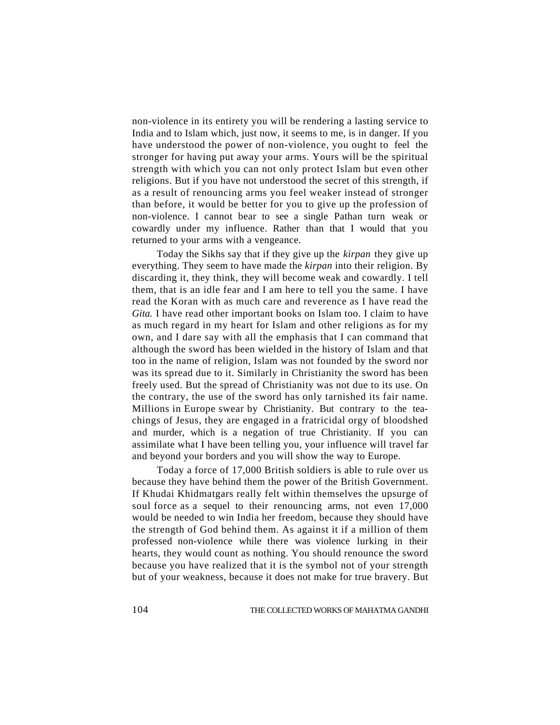non-violence in its entirety you will be rendering a lasting service to India and to Islam which, just now, it seems to me, is in danger. If you have understood the power of non-violence, you ought to feel the stronger for having put away your arms. Yours will be the spiritual strength with which you can not only protect Islam but even other religions. But if you have not understood the secret of this strength, if as a result of renouncing arms you feel weaker instead of stronger than before, it would be better for you to give up the profession of non-violence. I cannot bear to see a single Pathan turn weak or cowardly under my influence. Rather than that I would that you returned to your arms with a vengeance.

Today the Sikhs say that if they give up the *kirpan* they give up everything. They seem to have made the *kirpan* into their religion. By discarding it, they think, they will become weak and cowardly. I tell them, that is an idle fear and I am here to tell you the same. I have read the Koran with as much care and reverence as I have read the *Gita.* I have read other important books on Islam too. I claim to have as much regard in my heart for Islam and other religions as for my own, and I dare say with all the emphasis that I can command that although the sword has been wielded in the history of Islam and that too in the name of religion, Islam was not founded by the sword nor was its spread due to it. Similarly in Christianity the sword has been freely used. But the spread of Christianity was not due to its use. On the contrary, the use of the sword has only tarnished its fair name. Millions in Europe swear by Christianity. But contrary to the teachings of Jesus, they are engaged in a fratricidal orgy of bloodshed and murder, which is a negation of true Christianity. If you can assimilate what I have been telling you, your influence will travel far and beyond your borders and you will show the way to Europe.

Today a force of 17,000 British soldiers is able to rule over us because they have behind them the power of the British Government. If Khudai Khidmatgars really felt within themselves the upsurge of soul force as a sequel to their renouncing arms, not even 17,000 would be needed to win India her freedom, because they should have the strength of God behind them. As against it if a million of them professed non-violence while there was violence lurking in their hearts, they would count as nothing. You should renounce the sword because you have realized that it is the symbol not of your strength but of your weakness, because it does not make for true bravery. But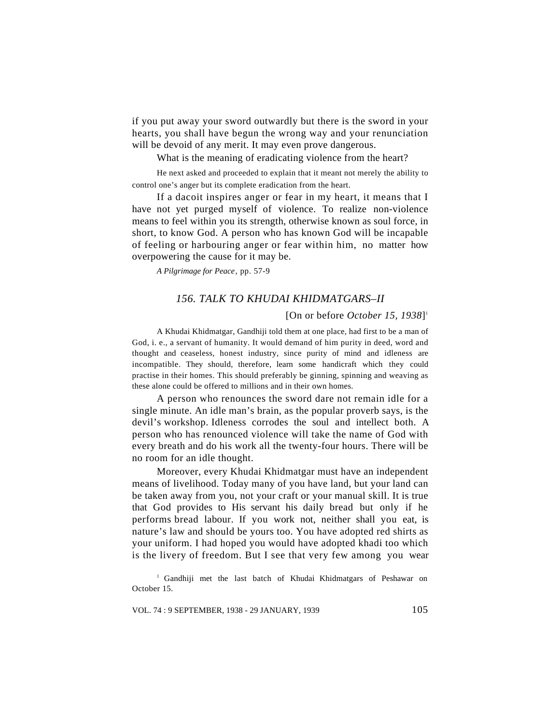if you put away your sword outwardly but there is the sword in your hearts, you shall have begun the wrong way and your renunciation will be devoid of any merit. It may even prove dangerous.

What is the meaning of eradicating violence from the heart?

He next asked and proceeded to explain that it meant not merely the ability to control one's anger but its complete eradication from the heart.

If a dacoit inspires anger or fear in my heart, it means that I have not yet purged myself of violence. To realize non-violence means to feel within you its strength, otherwise known as soul force, in short, to know God. A person who has known God will be incapable of feeling or harbouring anger or fear within him, no matter how overpowering the cause for it may be.

*A Pilgrimage for Peace*, pp. 57-9

## *156. TALK TO KHUDAI KHIDMATGARS–II*

[On or before *October 15, 1938*] 1

A Khudai Khidmatgar, Gandhiji told them at one place, had first to be a man of God, i. e., a servant of humanity. It would demand of him purity in deed, word and thought and ceaseless, honest industry, since purity of mind and idleness are incompatible. They should, therefore, learn some handicraft which they could practise in their homes. This should preferably be ginning, spinning and weaving as these alone could be offered to millions and in their own homes.

A person who renounces the sword dare not remain idle for a single minute. An idle man's brain, as the popular proverb says, is the devil's workshop. Idleness corrodes the soul and intellect both. A person who has renounced violence will take the name of God with every breath and do his work all the twenty-four hours. There will be no room for an idle thought.

Moreover, every Khudai Khidmatgar must have an independent means of livelihood. Today many of you have land, but your land can be taken away from you, not your craft or your manual skill. It is true that God provides to His servant his daily bread but only if he performs bread labour. If you work not, neither shall you eat, is nature's law and should be yours too. You have adopted red shirts as your uniform. I had hoped you would have adopted khadi too which is the livery of freedom. But I see that very few among you wear

<sup>1</sup> Gandhiji met the last batch of Khudai Khidmatgars of Peshawar on October 15.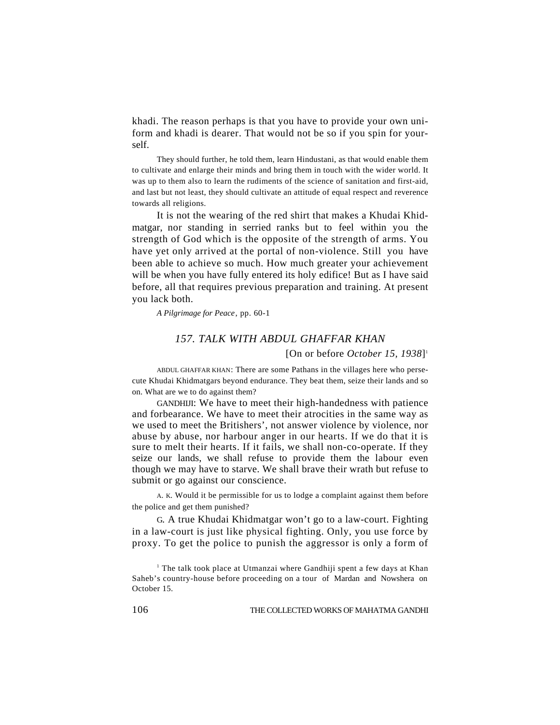khadi. The reason perhaps is that you have to provide your own uniform and khadi is dearer. That would not be so if you spin for yourself.

They should further, he told them, learn Hindustani, as that would enable them to cultivate and enlarge their minds and bring them in touch with the wider world. It was up to them also to learn the rudiments of the science of sanitation and first-aid, and last but not least, they should cultivate an attitude of equal respect and reverence towards all religions.

It is not the wearing of the red shirt that makes a Khudai Khidmatgar, nor standing in serried ranks but to feel within you the strength of God which is the opposite of the strength of arms. You have yet only arrived at the portal of non-violence. Still you have been able to achieve so much. How much greater your achievement will be when you have fully entered its holy edifice! But as I have said before, all that requires previous preparation and training. At present you lack both.

*A Pilgrimage for Peace*, pp. 60-1

#### *157. TALK WITH ABDUL GHAFFAR KHAN*

[On or before *October 15, 1938*] 1

ABDUL GHAFFAR KHAN: There are some Pathans in the villages here who persecute Khudai Khidmatgars beyond endurance. They beat them, seize their lands and so on. What are we to do against them?

GANDHIJI: We have to meet their high-handedness with patience and forbearance. We have to meet their atrocities in the same way as we used to meet the Britishers', not answer violence by violence, nor abuse by abuse, nor harbour anger in our hearts. If we do that it is sure to melt their hearts. If it fails, we shall non-co-operate. If they seize our lands, we shall refuse to provide them the labour even though we may have to starve. We shall brave their wrath but refuse to submit or go against our conscience.

A. K. Would it be permissible for us to lodge a complaint against them before the police and get them punished?

G. A true Khudai Khidmatgar won't go to a law-court. Fighting in a law-court is just like physical fighting. Only, you use force by proxy. To get the police to punish the aggressor is only a form of

<sup>&</sup>lt;sup>1</sup> The talk took place at Utmanzai where Gandhiji spent a few days at Khan Saheb's country-house before proceeding on a tour of Mardan and Nowshera on October 15.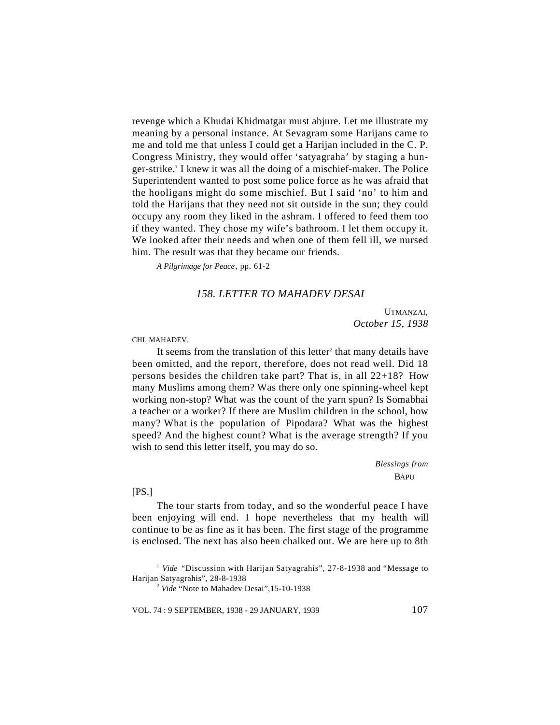revenge which a Khudai Khidmatgar must abjure. Let me illustrate my meaning by a personal instance. At Sevagram some Harijans came to me and told me that unless I could get a Harijan included in the C. P. Congress Ministry, they would offer 'satyagraha' by staging a hunger-strike.<sup>1</sup> I knew it was all the doing of a mischief-maker. The Police Superintendent wanted to post some police force as he was afraid that the hooligans might do some mischief. But I said 'no' to him and told the Harijans that they need not sit outside in the sun; they could occupy any room they liked in the ashram. I offered to feed them too if they wanted. They chose my wife's bathroom. I let them occupy it. We looked after their needs and when one of them fell ill, we nursed him. The result was that they became our friends.

*A Pilgrimage for Peace*, pp. 61-2

#### *158. LETTER TO MAHADEV DESAI*

UTMANZAI, *October 15, 1938*

CHI. MAHADEV,

It seems from the translation of this letter<sup>2</sup> that many details have been omitted, and the report, therefore, does not read well. Did 18 persons besides the children take part? That is, in all 22+18? How many Muslims among them? Was there only one spinning-wheel kept working non-stop? What was the count of the yarn spun? Is Somabhai a teacher or a worker? If there are Muslim children in the school, how many? What is the population of Pipodara? What was the highest speed? And the highest count? What is the average strength? If you wish to send this letter itself, you may do so.

> *Blessings from* **BAPU**

#### [PS.]

The tour starts from today, and so the wonderful peace I have been enjoying will end. I hope nevertheless that my health will continue to be as fine as it has been. The first stage of the programme is enclosed. The next has also been chalked out. We are here up to 8th

<sup>&</sup>lt;sup>1</sup> Vide "Discussion with Harijan Satyagrahis", 27-8-1938 and "Message to Harijan Satyagrahis", 28-8-1938

<sup>2</sup> *Vide* "Note to Mahadev Desai",15-10-1938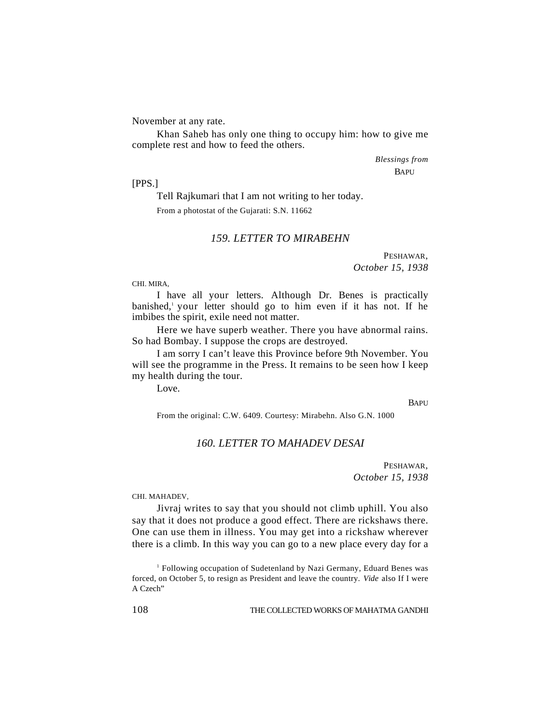November at any rate.

Khan Saheb has only one thing to occupy him: how to give me complete rest and how to feed the others.

> *Blessings from* BAPU

[PPS.]

Tell Rajkumari that I am not writing to her today.

From a photostat of the Gujarati: S.N. 11662

## *159. LETTER TO MIRABEHN*

PESHAWAR, *October 15, 1938*

CHI. MIRA,

I have all your letters. Although Dr. Benes is practically banished,<sup>1</sup> your letter should go to him even if it has not. If he imbibes the spirit, exile need not matter.

Here we have superb weather. There you have abnormal rains. So had Bombay. I suppose the crops are destroyed.

I am sorry I can't leave this Province before 9th November. You will see the programme in the Press. It remains to be seen how I keep my health during the tour.

Love.

**BAPU** 

From the original: C.W. 6409. Courtesy: Mirabehn. Also G.N. 1000

# *160. LETTER TO MAHADEV DESAI*

PESHAWAR, *October 15, 1938*

CHI. MAHADEV,

Jivraj writes to say that you should not climb uphill. You also say that it does not produce a good effect. There are rickshaws there. One can use them in illness. You may get into a rickshaw wherever there is a climb. In this way you can go to a new place every day for a

<sup>&</sup>lt;sup>1</sup> Following occupation of Sudetenland by Nazi Germany, Eduard Benes was forced, on October 5, to resign as President and leave the country. *Vide* also If I were A Czech"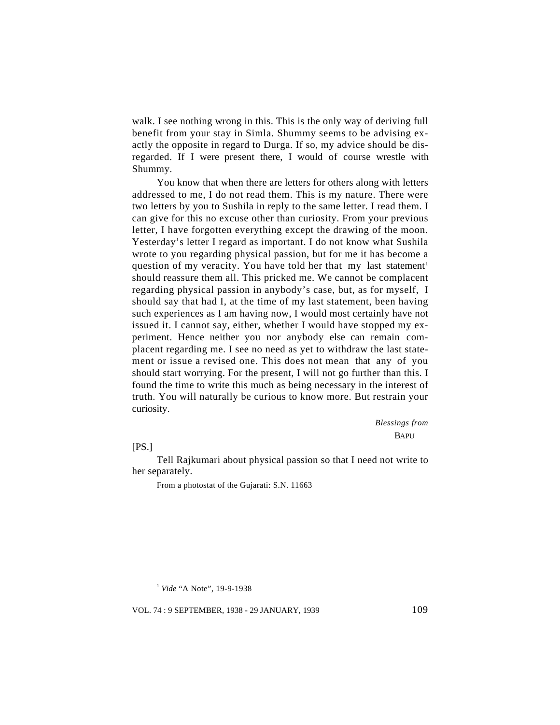walk. I see nothing wrong in this. This is the only way of deriving full benefit from your stay in Simla. Shummy seems to be advising exactly the opposite in regard to Durga. If so, my advice should be disregarded. If I were present there, I would of course wrestle with Shummy.

You know that when there are letters for others along with letters addressed to me, I do not read them. This is my nature. There were two letters by you to Sushila in reply to the same letter. I read them. I can give for this no excuse other than curiosity. From your previous letter, I have forgotten everything except the drawing of the moon. Yesterday's letter I regard as important. I do not know what Sushila wrote to you regarding physical passion, but for me it has become a question of my veracity. You have told her that my last statement<sup>1</sup> should reassure them all. This pricked me. We cannot be complacent regarding physical passion in anybody's case, but, as for myself, I should say that had I, at the time of my last statement, been having such experiences as I am having now, I would most certainly have not issued it. I cannot say, either, whether I would have stopped my experiment. Hence neither you nor anybody else can remain complacent regarding me. I see no need as yet to withdraw the last statement or issue a revised one. This does not mean that any of you should start worrying. For the present, I will not go further than this. I found the time to write this much as being necessary in the interest of truth. You will naturally be curious to know more. But restrain your curiosity.

> *Blessings from* **BAPU**

 $[PS.]$ 

Tell Rajkumari about physical passion so that I need not write to her separately.

From a photostat of the Gujarati: S.N. 11663

<sup>1</sup> *Vide* "A Note", 19-9-1938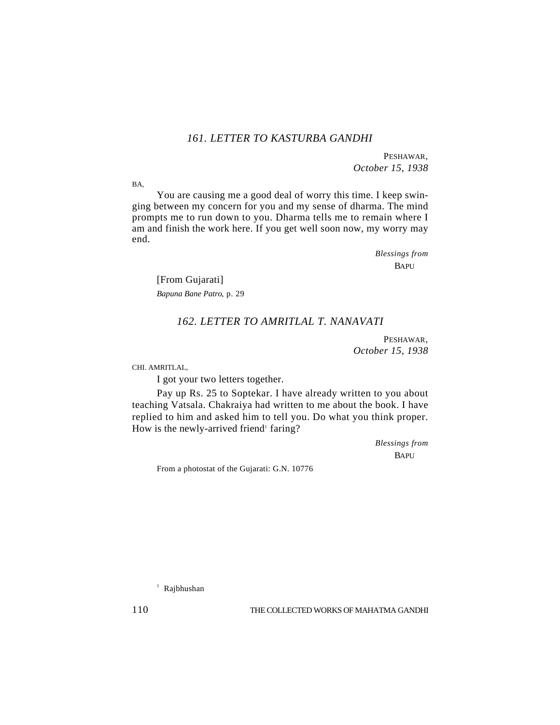# *161. LETTER TO KASTURBA GANDHI*

PESHAWAR, *October 15, 1938*

BA,

You are causing me a good deal of worry this time. I keep swinging between my concern for you and my sense of dharma. The mind prompts me to run down to you. Dharma tells me to remain where I am and finish the work here. If you get well soon now, my worry may end.

> *Blessings from* **BAPU**

[From Gujarati]

*Bapuna Bane Patro*, p. 29

# *162. LETTER TO AMRITLAL T. NANAVATI*

PESHAWAR, *October 15, 1938*

CHI. AMRITLAL,

I got your two letters together.

Pay up Rs. 25 to Soptekar. I have already written to you about teaching Vatsala. Chakraiya had written to me about the book. I have replied to him and asked him to tell you. Do what you think proper. How is the newly-arrived friend<sup>1</sup> faring?

> *Blessings from* **BAPU**

From a photostat of the Gujarati: G.N. 10776

<sup>1</sup> Rajbhushan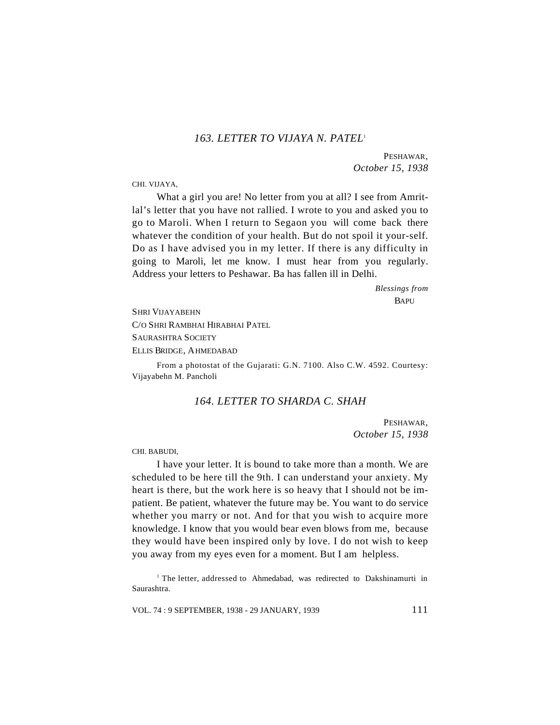# *163. LETTER TO VIJAYA N. PATEL*<sup>1</sup>

PESHAWAR, *October 15, 1938*

CHI. VIJAYA,

What a girl you are! No letter from you at all? I see from Amritlal's letter that you have not rallied. I wrote to you and asked you to go to Maroli. When I return to Segaon you will come back there whatever the condition of your health. But do not spoil it your-self. Do as I have advised you in my letter. If there is any difficulty in going to Maroli, let me know. I must hear from you regularly. Address your letters to Peshawar. Ba has fallen ill in Delhi.

> *Blessings from* **BAPU**

SHRI VIJAYABEHN C/O SHRI RAMBHAI HIRABHAI PATEL SAURASHTRA SOCIETY ELLIS BRIDGE, AHMEDABAD

From a photostat of the Gujarati: G.N. 7100. Also C.W. 4592. Courtesy: Vijayabehn M. Pancholi

# *164. LETTER TO SHARDA C. SHAH*

PESHAWAR, *October 15, 1938*

CHI. BABUDI,

I have your letter. It is bound to take more than a month. We are scheduled to be here till the 9th. I can understand your anxiety. My heart is there, but the work here is so heavy that I should not be impatient. Be patient, whatever the future may be. You want to do service whether you marry or not. And for that you wish to acquire more knowledge. I know that you would bear even blows from me, because they would have been inspired only by love. I do not wish to keep you away from my eyes even for a moment. But I am helpless.

<sup>1</sup> The letter, addressed to Ahmedabad, was redirected to Dakshinamurti in Saurashtra.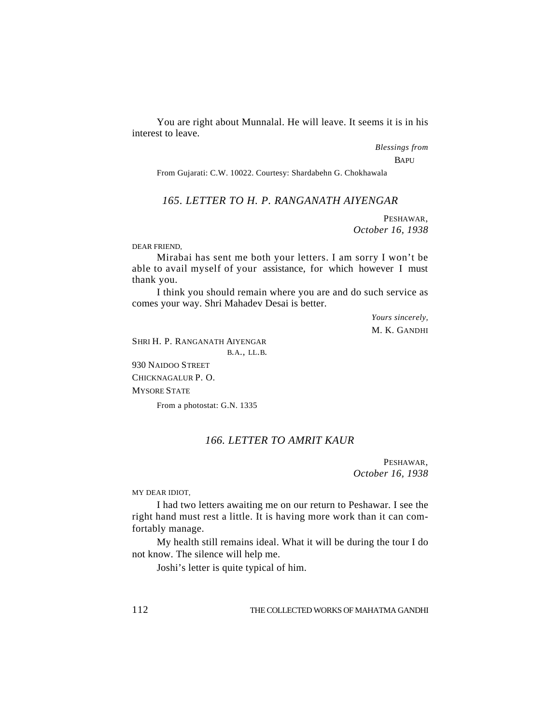You are right about Munnalal. He will leave. It seems it is in his interest to leave.

*Blessings from*

**BAPU** 

From Gujarati: C.W. 10022. Courtesy: Shardabehn G. Chokhawala

# *165. LETTER TO H. P. RANGANATH AIYENGAR*

PESHAWAR, *October 16, 1938*

DEAR FRIEND,

Mirabai has sent me both your letters. I am sorry I won't be able to avail myself of your assistance, for which however I must thank you.

I think you should remain where you are and do such service as comes your way. Shri Mahadev Desai is better.

> *Yours sincerely,* M. K. GANDHI

SHRI H. P. RANGANATH AIYENGAR B.A., LL.B. 930 NAIDOO STREET

CHICKNAGALUR P. O. MYSORE STATE

From a photostat: G.N. 1335

# *166. LETTER TO AMRIT KAUR*

PESHAWAR, *October 16, 1938*

MY DEAR IDIOT,

I had two letters awaiting me on our return to Peshawar. I see the right hand must rest a little. It is having more work than it can comfortably manage.

My health still remains ideal. What it will be during the tour I do not know. The silence will help me.

Joshi's letter is quite typical of him.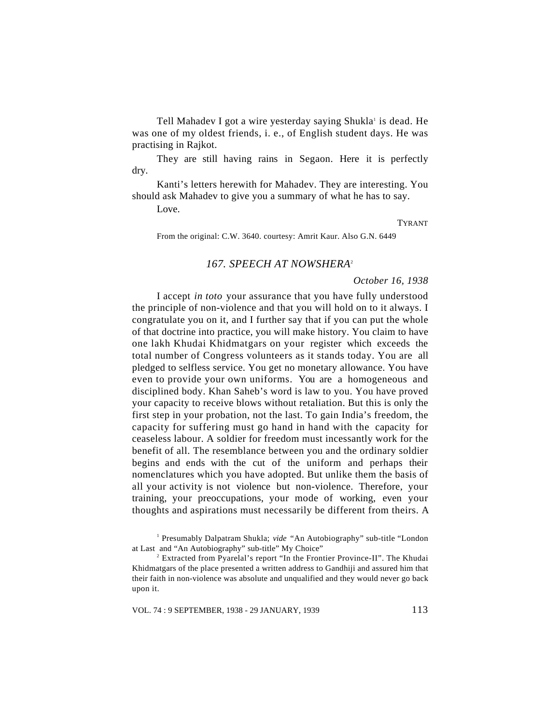Tell Mahadev I got a wire yesterday saying Shukla1 is dead. He was one of my oldest friends, i. e., of English student days. He was practising in Rajkot.

They are still having rains in Segaon. Here it is perfectly dry.

Kanti's letters herewith for Mahadev. They are interesting. You should ask Mahadev to give you a summary of what he has to say.

Love.

TYRANT

From the original: C.W. 3640. courtesy: Amrit Kaur. Also G.N. 6449

### *167. SPEECH AT NOWSHERA*<sup>2</sup>

### *October 16, 1938*

I accept *in toto* your assurance that you have fully understood the principle of non-violence and that you will hold on to it always. I congratulate you on it, and I further say that if you can put the whole of that doctrine into practice, you will make history. You claim to have one lakh Khudai Khidmatgars on your register which exceeds the total number of Congress volunteers as it stands today. You are all pledged to selfless service. You get no monetary allowance. You have even to provide your own uniforms. You are a homogeneous and disciplined body. Khan Saheb's word is law to you. You have proved your capacity to receive blows without retaliation. But this is only the first step in your probation, not the last. To gain India's freedom, the capacity for suffering must go hand in hand with the capacity for ceaseless labour. A soldier for freedom must incessantly work for the benefit of all. The resemblance between you and the ordinary soldier begins and ends with the cut of the uniform and perhaps their nomenclatures which you have adopted. But unlike them the basis of all your activity is not violence but non-violence. Therefore, your training, your preoccupations, your mode of working, even your thoughts and aspirations must necessarily be different from theirs. A

<sup>&</sup>lt;sup>1</sup> Presumably Dalpatram Shukla; *vide* "An Autobiography" sub-title "London at Last and "An Autobiography" sub-title" My Choice"

<sup>&</sup>lt;sup>2</sup> Extracted from Pyarelal's report "In the Frontier Province-II". The Khudai Khidmatgars of the place presented a written address to Gandhiji and assured him that their faith in non-violence was absolute and unqualified and they would never go back upon it.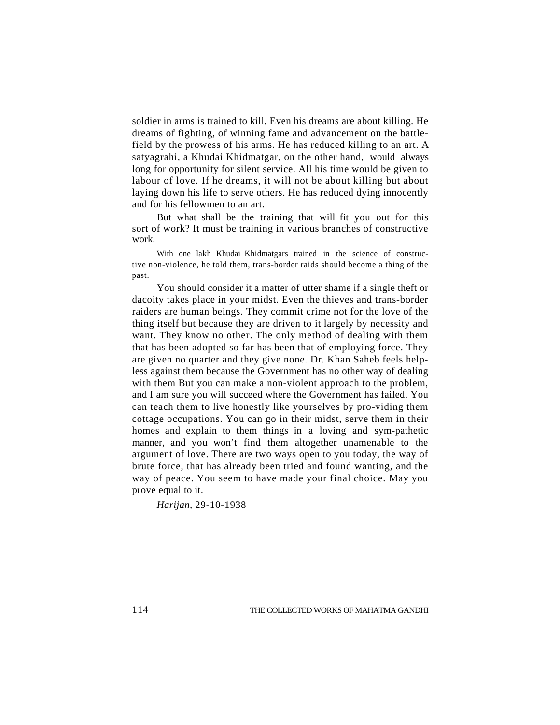soldier in arms is trained to kill. Even his dreams are about killing. He dreams of fighting, of winning fame and advancement on the battlefield by the prowess of his arms. He has reduced killing to an art. A satyagrahi, a Khudai Khidmatgar, on the other hand, would always long for opportunity for silent service. All his time would be given to labour of love. If he dreams, it will not be about killing but about laying down his life to serve others. He has reduced dying innocently and for his fellowmen to an art.

But what shall be the training that will fit you out for this sort of work? It must be training in various branches of constructive work.

With one lakh Khudai Khidmatgars trained in the science of constructive non-violence, he told them, trans-border raids should become a thing of the past.

You should consider it a matter of utter shame if a single theft or dacoity takes place in your midst. Even the thieves and trans-border raiders are human beings. They commit crime not for the love of the thing itself but because they are driven to it largely by necessity and want. They know no other. The only method of dealing with them that has been adopted so far has been that of employing force. They are given no quarter and they give none. Dr. Khan Saheb feels helpless against them because the Government has no other way of dealing with them But you can make a non-violent approach to the problem, and I am sure you will succeed where the Government has failed. You can teach them to live honestly like yourselves by pro-viding them cottage occupations. You can go in their midst, serve them in their homes and explain to them things in a loving and sym-pathetic manner, and you won't find them altogether unamenable to the argument of love. There are two ways open to you today, the way of brute force, that has already been tried and found wanting, and the way of peace. You seem to have made your final choice. May you prove equal to it.

*Harijan,* 29-10-1938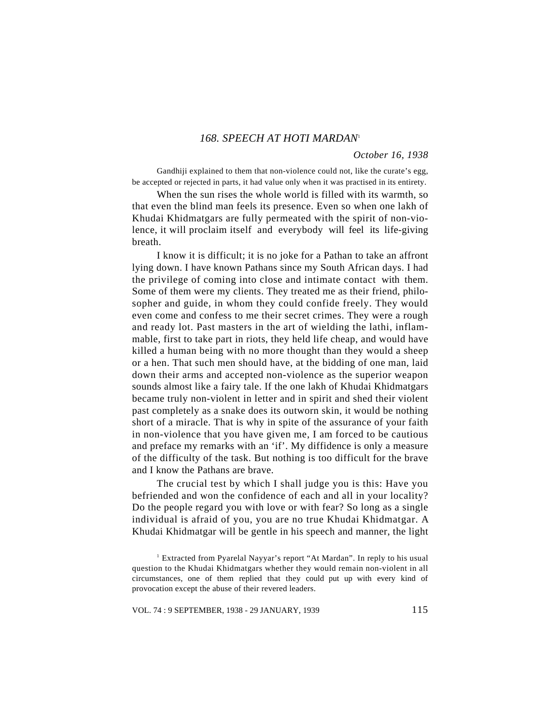## *168. SPEECH AT HOTI MARDAN*<sup>1</sup>

#### *October 16, 1938*

Gandhiji explained to them that non-violence could not, like the curate's egg, be accepted or rejected in parts, it had value only when it was practised in its entirety.

When the sun rises the whole world is filled with its warmth, so that even the blind man feels its presence. Even so when one lakh of Khudai Khidmatgars are fully permeated with the spirit of non-violence, it will proclaim itself and everybody will feel its life-giving breath.

I know it is difficult; it is no joke for a Pathan to take an affront lying down. I have known Pathans since my South African days. I had the privilege of coming into close and intimate contact with them. Some of them were my clients. They treated me as their friend, philosopher and guide, in whom they could confide freely. They would even come and confess to me their secret crimes. They were a rough and ready lot. Past masters in the art of wielding the lathi, inflammable, first to take part in riots, they held life cheap, and would have killed a human being with no more thought than they would a sheep or a hen. That such men should have, at the bidding of one man, laid down their arms and accepted non-violence as the superior weapon sounds almost like a fairy tale. If the one lakh of Khudai Khidmatgars became truly non-violent in letter and in spirit and shed their violent past completely as a snake does its outworn skin, it would be nothing short of a miracle. That is why in spite of the assurance of your faith in non-violence that you have given me, I am forced to be cautious and preface my remarks with an 'if'. My diffidence is only a measure of the difficulty of the task. But nothing is too difficult for the brave and I know the Pathans are brave.

The crucial test by which I shall judge you is this: Have you befriended and won the confidence of each and all in your locality? Do the people regard you with love or with fear? So long as a single individual is afraid of you, you are no true Khudai Khidmatgar. A Khudai Khidmatgar will be gentle in his speech and manner, the light

<sup>1</sup> Extracted from Pyarelal Nayyar's report "At Mardan". In reply to his usual question to the Khudai Khidmatgars whether they would remain non-violent in all circumstances, one of them replied that they could put up with every kind of provocation except the abuse of their revered leaders.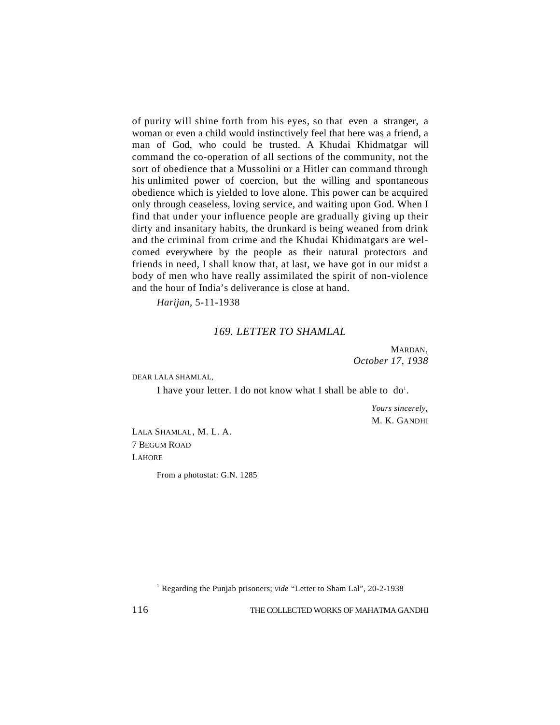of purity will shine forth from his eyes, so that even a stranger, a woman or even a child would instinctively feel that here was a friend, a man of God, who could be trusted. A Khudai Khidmatgar will command the co-operation of all sections of the community, not the sort of obedience that a Mussolini or a Hitler can command through his unlimited power of coercion, but the willing and spontaneous obedience which is yielded to love alone. This power can be acquired only through ceaseless, loving service, and waiting upon God. When I find that under your influence people are gradually giving up their dirty and insanitary habits, the drunkard is being weaned from drink and the criminal from crime and the Khudai Khidmatgars are welcomed everywhere by the people as their natural protectors and friends in need, I shall know that, at last, we have got in our midst a body of men who have really assimilated the spirit of non-violence and the hour of India's deliverance is close at hand.

*Harijan,* 5-11-1938

# *169. LETTER TO SHAMLAL*

**MARDAN** *October 17, 1938*

DEAR LALA SHAMLAL,

I have your letter. I do not know what I shall be able to  $do<sup>1</sup>$ .

*Yours sincerely*, M. K. GANDHI

LALA SHAMLAL, M. L. A. 7 BEGUM ROAD LAHORE

From a photostat: G.N. 1285

<sup>1</sup> Regarding the Punjab prisoners; *vide* "Letter to Sham Lal", 20-2-1938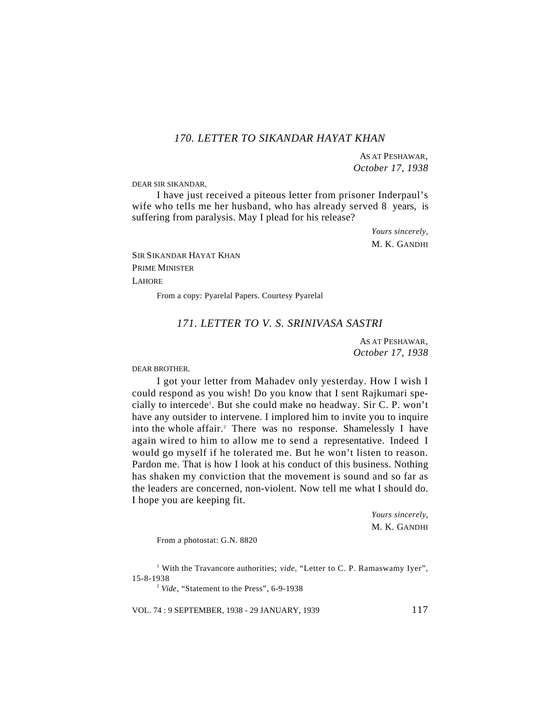# *170. LETTER TO SIKANDAR HAYAT KHAN*

AS AT PESHAWAR, *October 17, 1938*

DEAR SIR SIKANDAR,

I have just received a piteous letter from prisoner Inderpaul's wife who tells me her husband, who has already served 8 years, is suffering from paralysis. May I plead for his release?

> *Yours sincerely,* M. K. GANDHI

SIR SIKANDAR HAYAT KHAN PRIME MINISTER LAHORE

From a copy: Pyarelal Papers. Courtesy Pyarelal

# *171. LETTER TO V. S. SRINIVASA SASTRI*

AS AT PESHAWAR, *October 17, 1938*

DEAR BROTHER

I got your letter from Mahadev only yesterday. How I wish I could respond as you wish! Do you know that I sent Rajkumari specially to intercede<sup>1</sup>. But she could make no headway. Sir C. P. won't have any outsider to intervene. I implored him to invite you to inquire into the whole affair.<sup>2</sup> There was no response. Shamelessly I have again wired to him to allow me to send a representative. Indeed I would go myself if he tolerated me. But he won't listen to reason. Pardon me. That is how I look at his conduct of this business. Nothing has shaken my conviction that the movement is sound and so far as the leaders are concerned, non-violent. Now tell me what I should do. I hope you are keeping fit.

> *Yours sincerely,* M. K. GANDHI

From a photostat: G.N. 8820

<sup>1</sup> With the Travancore authorities; *vide*, "Letter to C. P. Ramaswamy Iyer", 15-8-1938

<sup>2</sup> *Vide*, "Statement to the Press", 6-9-1938

VOL. 74 : 9 SEPTEMBER, 1938 - 29 JANUARY, 1939 117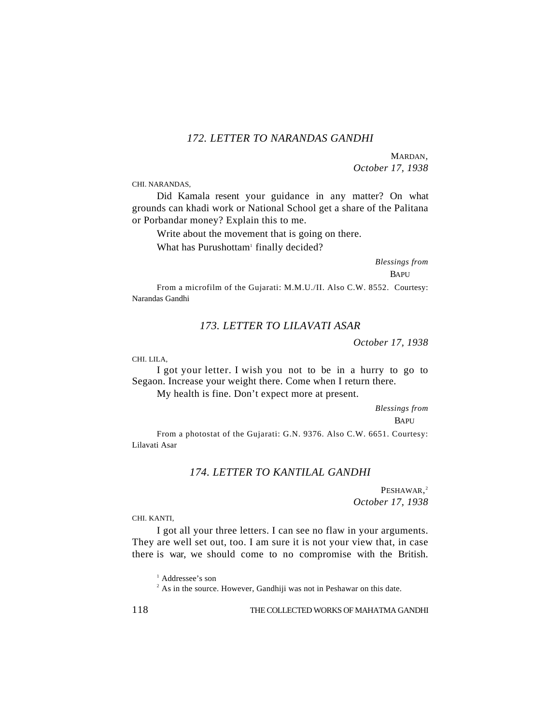# *172. LETTER TO NARANDAS GANDHI*

MARDAN, *October 17, 1938*

CHI. NARANDAS,

Did Kamala resent your guidance in any matter? On what grounds can khadi work or National School get a share of the Palitana or Porbandar money? Explain this to me.

Write about the movement that is going on there.

What has Purushottam<sup>1</sup> finally decided?

*Blessings from*

**BAPU** 

From a microfilm of the Gujarati: M.M.U./II. Also C.W. 8552. Courtesy: Narandas Gandhi

## *173. LETTER TO LILAVATI ASAR*

*October 17, 1938*

CHI. LILA,

I got your letter. I wish you not to be in a hurry to go to Segaon. Increase your weight there. Come when I return there.

My health is fine. Don't expect more at present.

*Blessings from* **BAPU** 

From a photostat of the Gujarati: G.N. 9376. Also C.W. 6651. Courtesy: Lilavati Asar

### *174. LETTER TO KANTILAL GANDHI*

PESHAWAR,<sup>2</sup> *October 17, 1938*

CHI. KANTI,

I got all your three letters. I can see no flaw in your arguments. They are well set out, too. I am sure it is not your view that, in case there is war, we should come to no compromise with the British.

1 Addressee's son

 $2^2$  As in the source. However, Gandhiji was not in Peshawar on this date.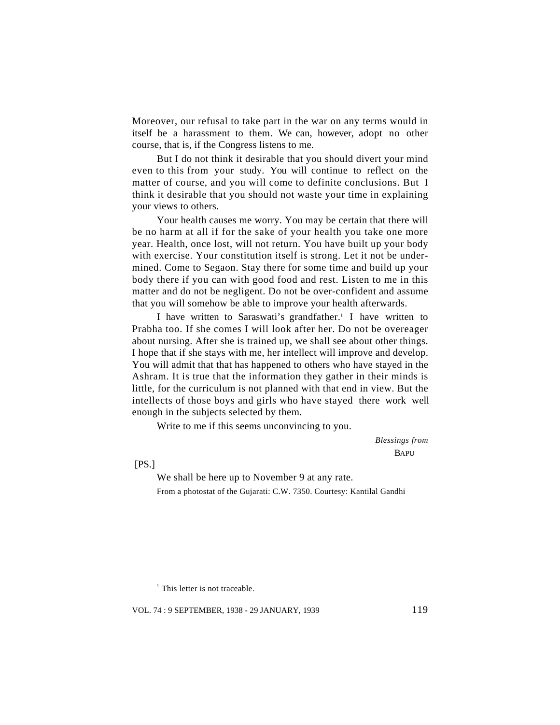Moreover, our refusal to take part in the war on any terms would in itself be a harassment to them. We can, however, adopt no other course, that is, if the Congress listens to me.

But I do not think it desirable that you should divert your mind even to this from your study. You will continue to reflect on the matter of course, and you will come to definite conclusions. But I think it desirable that you should not waste your time in explaining your views to others.

Your health causes me worry. You may be certain that there will be no harm at all if for the sake of your health you take one more year. Health, once lost, will not return. You have built up your body with exercise. Your constitution itself is strong. Let it not be undermined. Come to Segaon. Stay there for some time and build up your body there if you can with good food and rest. Listen to me in this matter and do not be negligent. Do not be over-confident and assume that you will somehow be able to improve your health afterwards.

I have written to Saraswati's grandfather.<sup>1</sup> I have written to Prabha too. If she comes I will look after her. Do not be overeager about nursing. After she is trained up, we shall see about other things. I hope that if she stays with me, her intellect will improve and develop. You will admit that that has happened to others who have stayed in the Ashram. It is true that the information they gather in their minds is little, for the curriculum is not planned with that end in view. But the intellects of those boys and girls who have stayed there work well enough in the subjects selected by them.

Write to me if this seems unconvincing to you.

*Blessings from* BAPU

 $[PS.]$ 

We shall be here up to November 9 at any rate.

From a photostat of the Gujarati: C.W. 7350. Courtesy: Kantilal Gandhi

<sup>&</sup>lt;sup>1</sup> This letter is not traceable.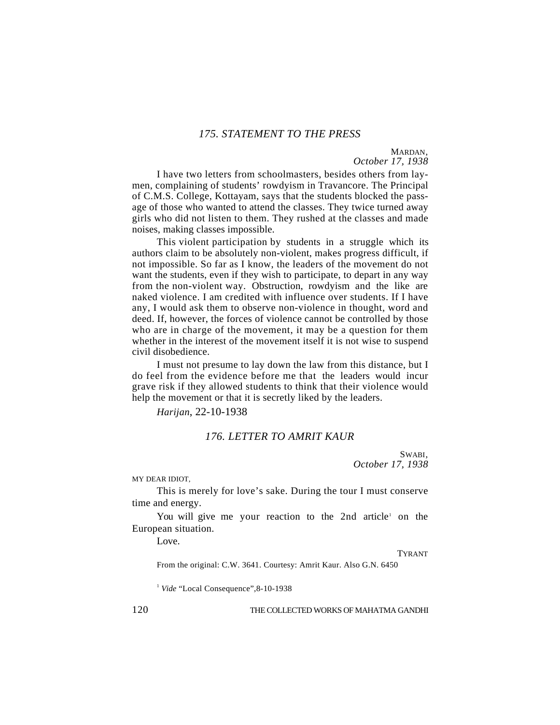# *175. STATEMENT TO THE PRESS*

**MARDAN** *October 17, 1938*

I have two letters from schoolmasters, besides others from laymen, complaining of students' rowdyism in Travancore. The Principal of C.M.S. College, Kottayam, says that the students blocked the passage of those who wanted to attend the classes. They twice turned away girls who did not listen to them. They rushed at the classes and made noises, making classes impossible.

This violent participation by students in a struggle which its authors claim to be absolutely non-violent, makes progress difficult, if not impossible. So far as I know, the leaders of the movement do not want the students, even if they wish to participate, to depart in any way from the non-violent way. Obstruction, rowdyism and the like are naked violence. I am credited with influence over students. If I have any, I would ask them to observe non-violence in thought, word and deed. If, however, the forces of violence cannot be controlled by those who are in charge of the movement, it may be a question for them whether in the interest of the movement itself it is not wise to suspend civil disobedience.

I must not presume to lay down the law from this distance, but I do feel from the evidence before me that the leaders would incur grave risk if they allowed students to think that their violence would help the movement or that it is secretly liked by the leaders.

*Harijan*, 22-10-1938

### *176. LETTER TO AMRIT KAUR*

SWABI, *October 17, 1938*

MY DEAR IDIOT,

This is merely for love's sake. During the tour I must conserve time and energy.

You will give me your reaction to the  $2nd$  article<sup>1</sup> on the European situation.

Love.

TYRANT

From the original: C.W. 3641. Courtesy: Amrit Kaur. Also G.N. 6450

<sup>1</sup> *Vide* "Local Consequence", 8-10-1938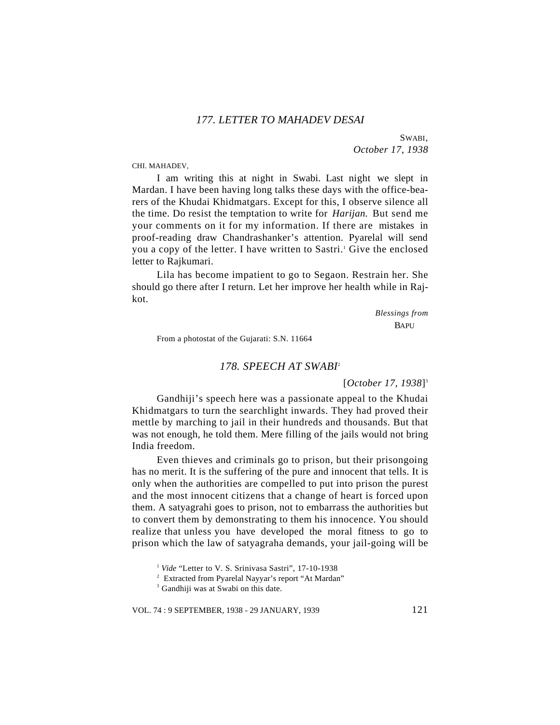# *177. LETTER TO MAHADEV DESAI*

SWABI, *October 17, 1938*

CHI. MAHADEV,

I am writing this at night in Swabi. Last night we slept in Mardan. I have been having long talks these days with the office-bearers of the Khudai Khidmatgars. Except for this, I observe silence all the time. Do resist the temptation to write for *Harijan.* But send me your comments on it for my information. If there are mistakes in proof-reading draw Chandrashanker's attention. Pyarelal will send you a copy of the letter. I have written to Sastri.<sup>1</sup> Give the enclosed letter to Rajkumari.

Lila has become impatient to go to Segaon. Restrain her. She should go there after I return. Let her improve her health while in Rajkot.

> *Blessings from* BAPU

From a photostat of the Gujarati: S.N. 11664

### *178. SPEECH AT SWABI*<sup>2</sup>

[*October 17, 1938*] 3

Gandhiji's speech here was a passionate appeal to the Khudai Khidmatgars to turn the searchlight inwards. They had proved their mettle by marching to jail in their hundreds and thousands. But that was not enough, he told them. Mere filling of the jails would not bring India freedom.

Even thieves and criminals go to prison, but their prisongoing has no merit. It is the suffering of the pure and innocent that tells. It is only when the authorities are compelled to put into prison the purest and the most innocent citizens that a change of heart is forced upon them. A satyagrahi goes to prison, not to embarrass the authorities but to convert them by demonstrating to them his innocence. You should realize that unless you have developed the moral fitness to go to prison which the law of satyagraha demands, your jail-going will be

<sup>1</sup> Vide "Letter to V. S. Srinivasa Sastri", 17-10-1938

<sup>2</sup> Extracted from Pyarelal Nayyar's report "At Mardan"

<sup>3</sup> Gandhiji was at Swabi on this date.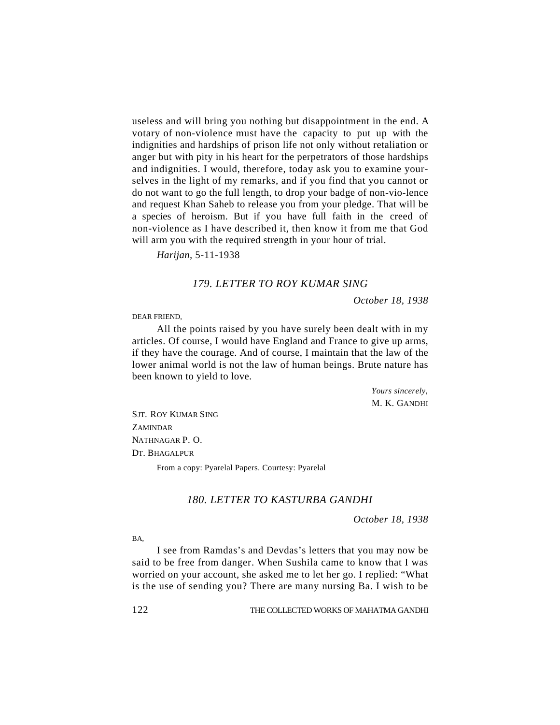useless and will bring you nothing but disappointment in the end. A votary of non-violence must have the capacity to put up with the indignities and hardships of prison life not only without retaliation or anger but with pity in his heart for the perpetrators of those hardships and indignities. I would, therefore, today ask you to examine yourselves in the light of my remarks, and if you find that you cannot or do not want to go the full length, to drop your badge of non-vio-lence and request Khan Saheb to release you from your pledge. That will be a species of heroism. But if you have full faith in the creed of non-violence as I have described it, then know it from me that God will arm you with the required strength in your hour of trial.

*Harijan,* 5-11-1938

# *179. LETTER TO ROY KUMAR SING*

*October 18, 1938*

DEAR FRIEND,

All the points raised by you have surely been dealt with in my articles. Of course, I would have England and France to give up arms, if they have the courage. And of course, I maintain that the law of the lower animal world is not the law of human beings. Brute nature has been known to yield to love.

> *Yours sincerely*, M. K. GANDHI

SJT. ROY KUMAR SING ZAMINDAR NATHNAGAR P. O. DT. BHAGALPUR

From a copy: Pyarelal Papers. Courtesy: Pyarelal

# *180. LETTER TO KASTURBA GANDHI*

*October 18, 1938*

BA,

I see from Ramdas's and Devdas's letters that you may now be said to be free from danger. When Sushila came to know that I was worried on your account, she asked me to let her go. I replied: "What is the use of sending you? There are many nursing Ba. I wish to be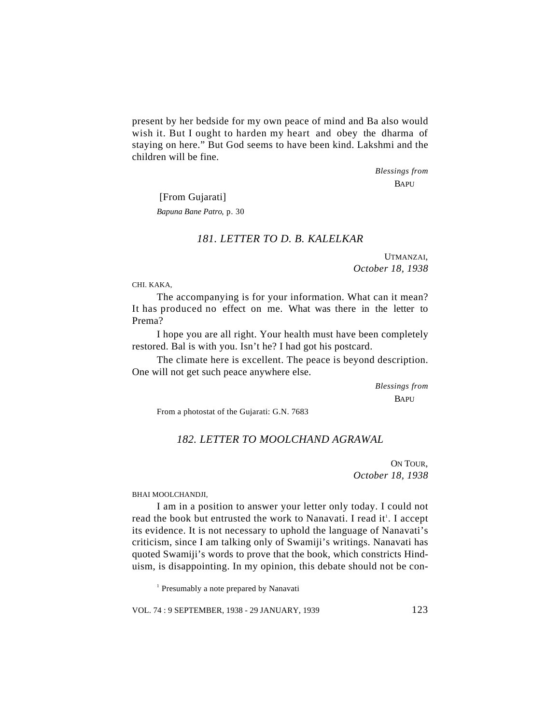present by her bedside for my own peace of mind and Ba also would wish it. But I ought to harden my heart and obey the dharma of staying on here." But God seems to have been kind. Lakshmi and the children will be fine.

> *Blessings from* **BAPU**

[From Gujarati]

*Bapuna Bane Patro*, p. 30

### *181. LETTER TO D. B. KALELKAR*

UTMANZAI, *October 18, 1938*

CHI. KAKA,

The accompanying is for your information. What can it mean? It has produced no effect on me. What was there in the letter to Prema?

I hope you are all right. Your health must have been completely restored. Bal is with you. Isn't he? I had got his postcard.

The climate here is excellent. The peace is beyond description. One will not get such peace anywhere else.

> *Blessings from* **BAPU**

From a photostat of the Gujarati: G.N. 7683

## *182. LETTER TO MOOLCHAND AGRAWAL*

ON TOUR, *October 18, 1938*

BHAI MOOLCHANDJI,

I am in a position to answer your letter only today. I could not read the book but entrusted the work to Nanavati. I read it<sup>1</sup>. I accept its evidence. It is not necessary to uphold the language of Nanavati's criticism, since I am talking only of Swamiji's writings. Nanavati has quoted Swamiji's words to prove that the book, which constricts Hinduism, is disappointing. In my opinion, this debate should not be con-

<sup>1</sup> Presumably a note prepared by Nanavati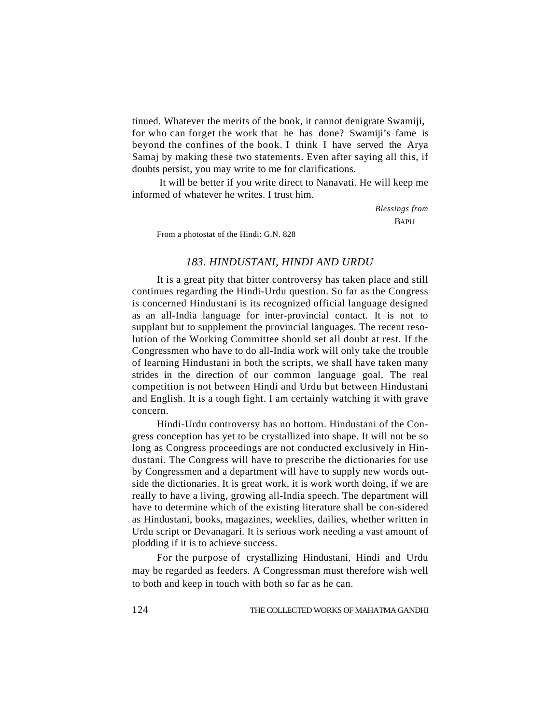tinued. Whatever the merits of the book, it cannot denigrate Swamiji, for who can forget the work that he has done? Swamiji's fame is beyond the confines of the book. I think I have served the Arya Samaj by making these two statements. Even after saying all this, if doubts persist, you may write to me for clarifications.

 It will be better if you write direct to Nanavati. He will keep me informed of whatever he writes. I trust him.

> *Blessings from* BAPU

From a photostat of the Hindi: G.N. 828

#### *183. HINDUSTANI, HINDI AND URDU*

It is a great pity that bitter controversy has taken place and still continues regarding the Hindi-Urdu question. So far as the Congress is concerned Hindustani is its recognized official language designed as an all-India language for inter-provincial contact. It is not to supplant but to supplement the provincial languages. The recent resolution of the Working Committee should set all doubt at rest. If the Congressmen who have to do all-India work will only take the trouble of learning Hindustani in both the scripts, we shall have taken many strides in the direction of our common language goal. The real competition is not between Hindi and Urdu but between Hindustani and English. It is a tough fight. I am certainly watching it with grave concern.

Hindi-Urdu controversy has no bottom. Hindustani of the Congress conception has yet to be crystallized into shape. It will not be so long as Congress proceedings are not conducted exclusively in Hindustani. The Congress will have to prescribe the dictionaries for use by Congressmen and a department will have to supply new words outside the dictionaries. It is great work, it is work worth doing, if we are really to have a living, growing all-India speech. The department will have to determine which of the existing literature shall be con-sidered as Hindustani, books, magazines, weeklies, dailies, whether written in Urdu script or Devanagari. It is serious work needing a vast amount of plodding if it is to achieve success.

For the purpose of crystallizing Hindustani, Hindi and Urdu may be regarded as feeders. A Congressman must therefore wish well to both and keep in touch with both so far as he can.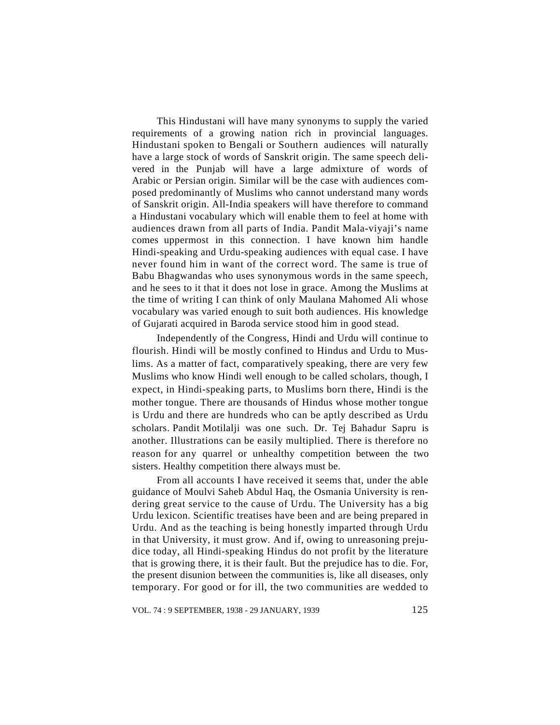This Hindustani will have many synonyms to supply the varied requirements of a growing nation rich in provincial languages. Hindustani spoken to Bengali or Southern audiences will naturally have a large stock of words of Sanskrit origin. The same speech delivered in the Punjab will have a large admixture of words of Arabic or Persian origin. Similar will be the case with audiences composed predominantly of Muslims who cannot understand many words of Sanskrit origin. All-India speakers will have therefore to command a Hindustani vocabulary which will enable them to feel at home with audiences drawn from all parts of India. Pandit Mala-viyaji's name comes uppermost in this connection. I have known him handle Hindi-speaking and Urdu-speaking audiences with equal case. I have never found him in want of the correct word. The same is true of Babu Bhagwandas who uses synonymous words in the same speech, and he sees to it that it does not lose in grace. Among the Muslims at the time of writing I can think of only Maulana Mahomed Ali whose vocabulary was varied enough to suit both audiences. His knowledge of Gujarati acquired in Baroda service stood him in good stead.

Independently of the Congress, Hindi and Urdu will continue to flourish. Hindi will be mostly confined to Hindus and Urdu to Muslims. As a matter of fact, comparatively speaking, there are very few Muslims who know Hindi well enough to be called scholars, though, I expect, in Hindi-speaking parts, to Muslims born there, Hindi is the mother tongue. There are thousands of Hindus whose mother tongue is Urdu and there are hundreds who can be aptly described as Urdu scholars. Pandit Motilalji was one such. Dr. Tej Bahadur Sapru is another. Illustrations can be easily multiplied. There is therefore no reason for any quarrel or unhealthy competition between the two sisters. Healthy competition there always must be.

From all accounts I have received it seems that, under the able guidance of Moulvi Saheb Abdul Haq, the Osmania University is rendering great service to the cause of Urdu. The University has a big Urdu lexicon. Scientific treatises have been and are being prepared in Urdu. And as the teaching is being honestly imparted through Urdu in that University, it must grow. And if, owing to unreasoning prejudice today, all Hindi-speaking Hindus do not profit by the literature that is growing there, it is their fault. But the prejudice has to die. For, the present disunion between the communities is, like all diseases, only temporary. For good or for ill, the two communities are wedded to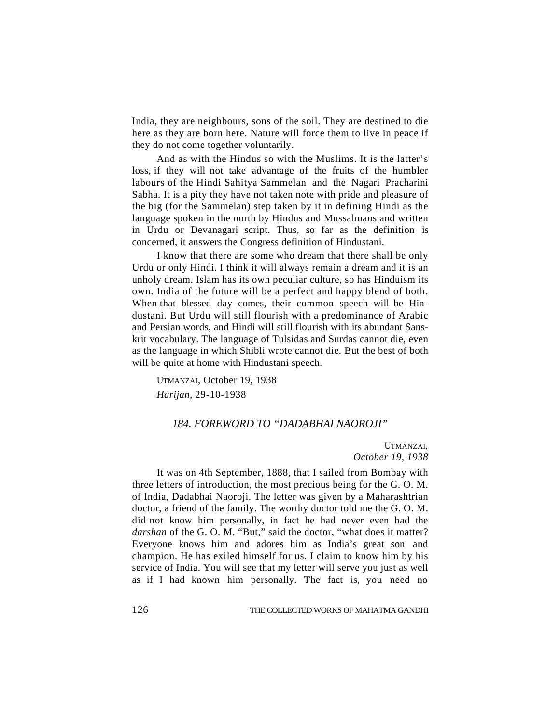India, they are neighbours, sons of the soil. They are destined to die here as they are born here. Nature will force them to live in peace if they do not come together voluntarily.

And as with the Hindus so with the Muslims. It is the latter's loss, if they will not take advantage of the fruits of the humbler labours of the Hindi Sahitya Sammelan and the Nagari Pracharini Sabha. It is a pity they have not taken note with pride and pleasure of the big (for the Sammelan) step taken by it in defining Hindi as the language spoken in the north by Hindus and Mussalmans and written in Urdu or Devanagari script. Thus, so far as the definition is concerned, it answers the Congress definition of Hindustani.

I know that there are some who dream that there shall be only Urdu or only Hindi. I think it will always remain a dream and it is an unholy dream. Islam has its own peculiar culture, so has Hinduism its own. India of the future will be a perfect and happy blend of both. When that blessed day comes, their common speech will be Hindustani. But Urdu will still flourish with a predominance of Arabic and Persian words, and Hindi will still flourish with its abundant Sanskrit vocabulary. The language of Tulsidas and Surdas cannot die, even as the language in which Shibli wrote cannot die. But the best of both will be quite at home with Hindustani speech.

UTMANZAI, October 19, 1938 *Harijan,* 29-10-1938

# *184. FOREWORD TO "DADABHAI NAOROJI"*

UTMANZAI, *October 19, 1938*

It was on 4th September, 1888, that I sailed from Bombay with three letters of introduction, the most precious being for the G. O. M. of India, Dadabhai Naoroji. The letter was given by a Maharashtrian doctor, a friend of the family. The worthy doctor told me the G. O. M. did not know him personally, in fact he had never even had the *darshan* of the G. O. M. "But," said the doctor, "what does it matter? Everyone knows him and adores him as India's great son and champion. He has exiled himself for us. I claim to know him by his service of India. You will see that my letter will serve you just as well as if I had known him personally. The fact is, you need no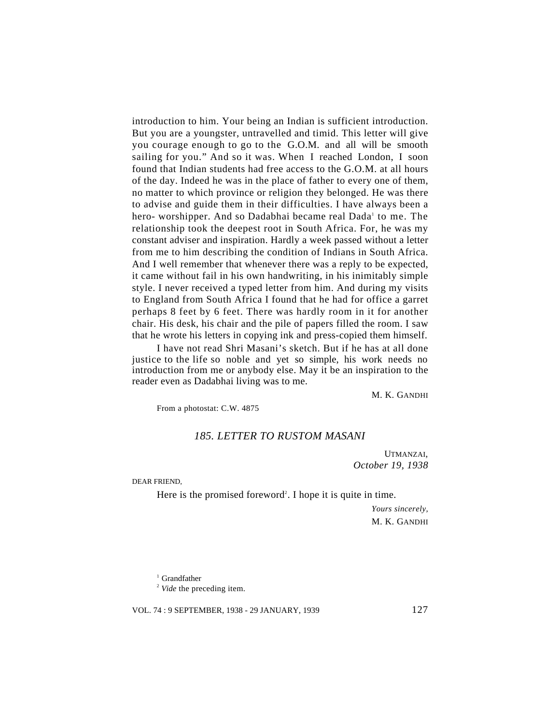introduction to him. Your being an Indian is sufficient introduction. But you are a youngster, untravelled and timid. This letter will give you courage enough to go to the G.O.M. and all will be smooth sailing for you." And so it was. When I reached London, I soon found that Indian students had free access to the G.O.M. at all hours of the day. Indeed he was in the place of father to every one of them, no matter to which province or religion they belonged. He was there to advise and guide them in their difficulties. I have always been a hero- worshipper. And so Dadabhai became real Dada<sup>1</sup> to me. The relationship took the deepest root in South Africa. For, he was my constant adviser and inspiration. Hardly a week passed without a letter from me to him describing the condition of Indians in South Africa. And I well remember that whenever there was a reply to be expected, it came without fail in his own handwriting, in his inimitably simple style. I never received a typed letter from him. And during my visits to England from South Africa I found that he had for office a garret perhaps 8 feet by 6 feet. There was hardly room in it for another chair. His desk, his chair and the pile of papers filled the room. I saw that he wrote his letters in copying ink and press-copied them himself.

I have not read Shri Masani's sketch. But if he has at all done justice to the life so noble and yet so simple, his work needs no introduction from me or anybody else. May it be an inspiration to the reader even as Dadabhai living was to me.

M. K. GANDHI

From a photostat: C.W. 4875

### *185. LETTER TO RUSTOM MASANI*

UTMANZAI, *October 19, 1938*

DEAR FRIEND,

Here is the promised foreword<sup>2</sup>. I hope it is quite in time.

*Yours sincerely,* M. K. GANDHI

1 Grandfather <sup>2</sup> *Vide* the preceding item.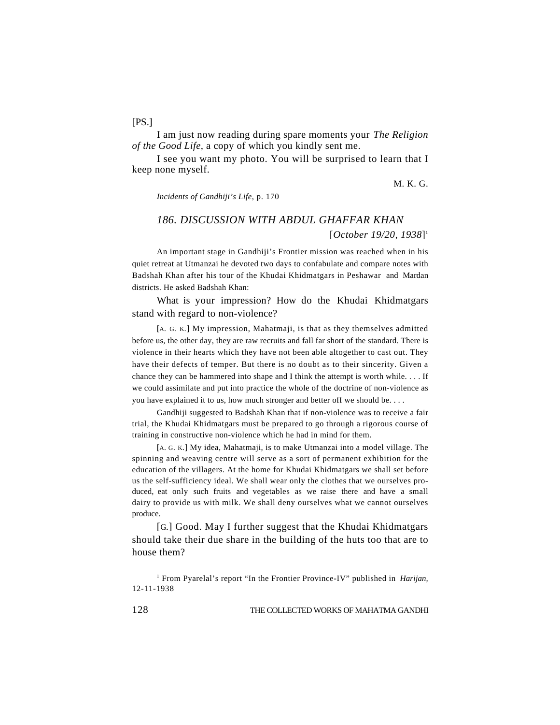[PS.]

I am just now reading during spare moments your *The Religion of the Good Life,* a copy of which you kindly sent me.

I see you want my photo. You will be surprised to learn that I keep none myself.

M. K. G.

*Incidents of Gandhiji's Life*, p. 170

# *186. DISCUSSION WITH ABDUL GHAFFAR KHAN* [*October 19/20, 1938*] 1

An important stage in Gandhiji's Frontier mission was reached when in his quiet retreat at Utmanzai he devoted two days to confabulate and compare notes with Badshah Khan after his tour of the Khudai Khidmatgars in Peshawar and Mardan districts. He asked Badshah Khan:

What is your impression? How do the Khudai Khidmatgars stand with regard to non-violence?

[A. G. K.] My impression, Mahatmaji, is that as they themselves admitted before us, the other day, they are raw recruits and fall far short of the standard. There is violence in their hearts which they have not been able altogether to cast out. They have their defects of temper. But there is no doubt as to their sincerity. Given a chance they can be hammered into shape and I think the attempt is worth while. . . . If we could assimilate and put into practice the whole of the doctrine of non-violence as you have explained it to us, how much stronger and better off we should be. . . .

Gandhiji suggested to Badshah Khan that if non-violence was to receive a fair trial, the Khudai Khidmatgars must be prepared to go through a rigorous course of training in constructive non-violence which he had in mind for them.

[A. G. K.] My idea, Mahatmaji, is to make Utmanzai into a model village. The spinning and weaving centre will serve as a sort of permanent exhibition for the education of the villagers. At the home for Khudai Khidmatgars we shall set before us the self-sufficiency ideal. We shall wear only the clothes that we ourselves produced, eat only such fruits and vegetables as we raise there and have a small dairy to provide us with milk. We shall deny ourselves what we cannot ourselves produce.

[G.] Good. May I further suggest that the Khudai Khidmatgars should take their due share in the building of the huts too that are to house them?

<sup>1</sup> From Pyarelal's report "In the Frontier Province-IV" published in *Harijan*, 12-11-1938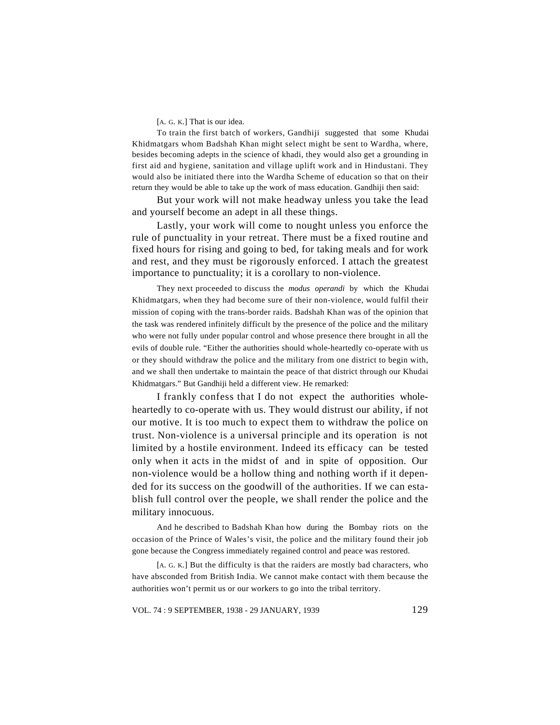[A. G. K.] That is our idea.

To train the first batch of workers, Gandhiji suggested that some Khudai Khidmatgars whom Badshah Khan might select might be sent to Wardha, where, besides becoming adepts in the science of khadi, they would also get a grounding in first aid and hygiene, sanitation and village uplift work and in Hindustani. They would also be initiated there into the Wardha Scheme of education so that on their return they would be able to take up the work of mass education. Gandhiji then said:

But your work will not make headway unless you take the lead and yourself become an adept in all these things.

Lastly, your work will come to nought unless you enforce the rule of punctuality in your retreat. There must be a fixed routine and fixed hours for rising and going to bed, for taking meals and for work and rest, and they must be rigorously enforced. I attach the greatest importance to punctuality; it is a corollary to non-violence.

They next proceeded to discuss the *modus operandi* by which the Khudai Khidmatgars, when they had become sure of their non-violence, would fulfil their mission of coping with the trans-border raids. Badshah Khan was of the opinion that the task was rendered infinitely difficult by the presence of the police and the military who were not fully under popular control and whose presence there brought in all the evils of double rule. "Either the authorities should whole-heartedly co-operate with us or they should withdraw the police and the military from one district to begin with, and we shall then undertake to maintain the peace of that district through our Khudai Khidmatgars." But Gandhiji held a different view. He remarked:

I frankly confess that I do not expect the authorities wholeheartedly to co-operate with us. They would distrust our ability, if not our motive. It is too much to expect them to withdraw the police on trust. Non-violence is a universal principle and its operation is not limited by a hostile environment. Indeed its efficacy can be tested only when it acts in the midst of and in spite of opposition. Our non-violence would be a hollow thing and nothing worth if it depended for its success on the goodwill of the authorities. If we can establish full control over the people, we shall render the police and the military innocuous.

And he described to Badshah Khan how during the Bombay riots on the occasion of the Prince of Wales's visit, the police and the military found their job gone because the Congress immediately regained control and peace was restored.

[A. G. K.] But the difficulty is that the raiders are mostly bad characters, who have absconded from British India. We cannot make contact with them because the authorities won't permit us or our workers to go into the tribal territory.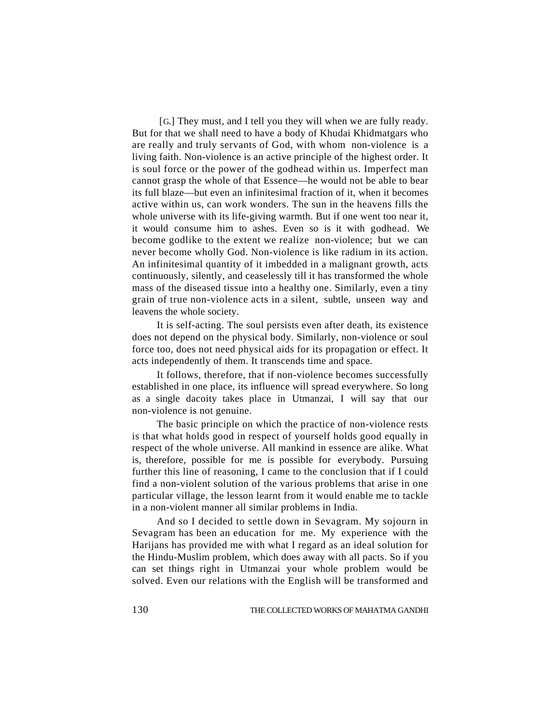[G.] They must, and I tell you they will when we are fully ready. But for that we shall need to have a body of Khudai Khidmatgars who are really and truly servants of God, with whom non-violence is a living faith. Non-violence is an active principle of the highest order. It is soul force or the power of the godhead within us. Imperfect man cannot grasp the whole of that Essence—he would not be able to bear its full blaze—but even an infinitesimal fraction of it, when it becomes active within us, can work wonders. The sun in the heavens fills the whole universe with its life-giving warmth. But if one went too near it, it would consume him to ashes. Even so is it with godhead. We become godlike to the extent we realize non-violence; but we can never become wholly God. Non-violence is like radium in its action. An infinitesimal quantity of it imbedded in a malignant growth, acts continuously, silently, and ceaselessly till it has transformed the whole mass of the diseased tissue into a healthy one. Similarly, even a tiny grain of true non-violence acts in a silent, subtle, unseen way and leavens the whole society.

It is self-acting. The soul persists even after death, its existence does not depend on the physical body. Similarly, non-violence or soul force too, does not need physical aids for its propagation or effect. It acts independently of them. It transcends time and space.

It follows, therefore, that if non-violence becomes successfully established in one place, its influence will spread everywhere. So long as a single dacoity takes place in Utmanzai, I will say that our non-violence is not genuine.

The basic principle on which the practice of non-violence rests is that what holds good in respect of yourself holds good equally in respect of the whole universe. All mankind in essence are alike. What is, therefore, possible for me is possible for everybody. Pursuing further this line of reasoning, I came to the conclusion that if I could find a non-violent solution of the various problems that arise in one particular village, the lesson learnt from it would enable me to tackle in a non-violent manner all similar problems in India.

And so I decided to settle down in Sevagram. My sojourn in Sevagram has been an education for me. My experience with the Harijans has provided me with what I regard as an ideal solution for the Hindu-Muslim problem, which does away with all pacts. So if you can set things right in Utmanzai your whole problem would be solved. Even our relations with the English will be transformed and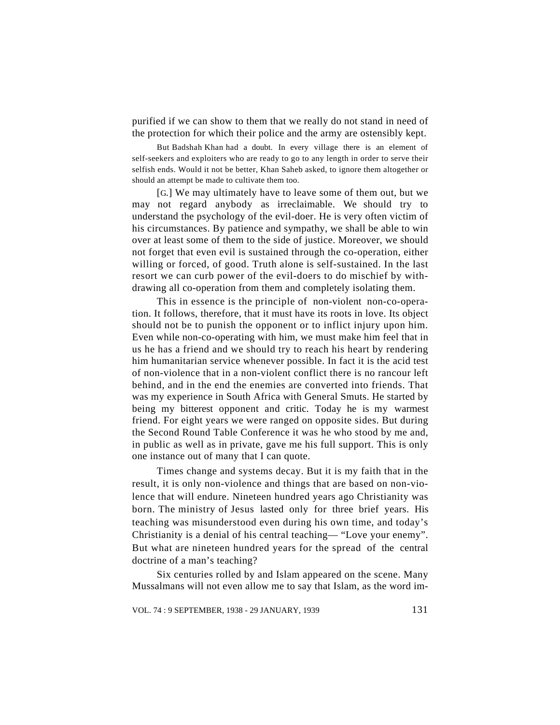purified if we can show to them that we really do not stand in need of the protection for which their police and the army are ostensibly kept.

But Badshah Khan had a doubt. In every village there is an element of self-seekers and exploiters who are ready to go to any length in order to serve their selfish ends. Would it not be better, Khan Saheb asked, to ignore them altogether or should an attempt be made to cultivate them too.

[G.] We may ultimately have to leave some of them out, but we may not regard anybody as irreclaimable. We should try to understand the psychology of the evil-doer. He is very often victim of his circumstances. By patience and sympathy, we shall be able to win over at least some of them to the side of justice. Moreover, we should not forget that even evil is sustained through the co-operation, either willing or forced, of good. Truth alone is self-sustained. In the last resort we can curb power of the evil-doers to do mischief by withdrawing all co-operation from them and completely isolating them.

This in essence is the principle of non-violent non-co-operation. It follows, therefore, that it must have its roots in love. Its object should not be to punish the opponent or to inflict injury upon him. Even while non-co-operating with him, we must make him feel that in us he has a friend and we should try to reach his heart by rendering him humanitarian service whenever possible. In fact it is the acid test of non-violence that in a non-violent conflict there is no rancour left behind, and in the end the enemies are converted into friends. That was my experience in South Africa with General Smuts. He started by being my bitterest opponent and critic. Today he is my warmest friend. For eight years we were ranged on opposite sides. But during the Second Round Table Conference it was he who stood by me and, in public as well as in private, gave me his full support. This is only one instance out of many that I can quote.

Times change and systems decay. But it is my faith that in the result, it is only non-violence and things that are based on non-violence that will endure. Nineteen hundred years ago Christianity was born. The ministry of Jesus lasted only for three brief years. His teaching was misunderstood even during his own time, and today's Christianity is a denial of his central teaching— "Love your enemy". But what are nineteen hundred years for the spread of the central doctrine of a man's teaching?

Six centuries rolled by and Islam appeared on the scene. Many Mussalmans will not even allow me to say that Islam, as the word im-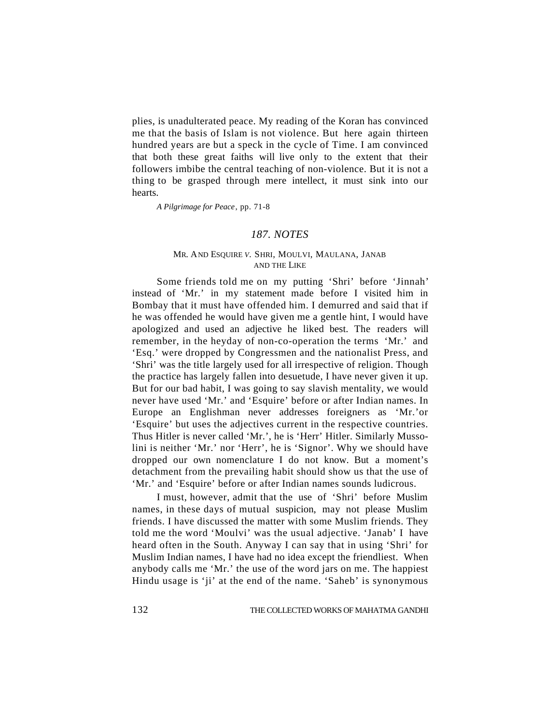plies, is unadulterated peace. My reading of the Koran has convinced me that the basis of Islam is not violence. But here again thirteen hundred years are but a speck in the cycle of Time. I am convinced that both these great faiths will live only to the extent that their followers imbibe the central teaching of non-violence. But it is not a thing to be grasped through mere intellect, it must sink into our hearts.

*A Pilgrimage for Peace*, pp. 71-8

# *187. NOTES*

### MR. AND ESQUIRE *V*. SHRI, MOULVI, MAULANA, JANAB AND THE LIKE

Some friends told me on my putting 'Shri' before 'Jinnah' instead of 'Mr.' in my statement made before I visited him in Bombay that it must have offended him. I demurred and said that if he was offended he would have given me a gentle hint, I would have apologized and used an adjective he liked best. The readers will remember, in the heyday of non-co-operation the terms 'Mr.' and 'Esq.' were dropped by Congressmen and the nationalist Press, and 'Shri' was the title largely used for all irrespective of religion. Though the practice has largely fallen into desuetude, I have never given it up. But for our bad habit, I was going to say slavish mentality, we would never have used 'Mr.' and 'Esquire' before or after Indian names. In Europe an Englishman never addresses foreigners as 'Mr.'or 'Esquire' but uses the adjectives current in the respective countries. Thus Hitler is never called 'Mr.', he is 'Herr' Hitler. Similarly Mussolini is neither 'Mr.' nor 'Herr', he is 'Signor'. Why we should have dropped our own nomenclature I do not know. But a moment's detachment from the prevailing habit should show us that the use of 'Mr.' and 'Esquire' before or after Indian names sounds ludicrous.

I must, however, admit that the use of 'Shri' before Muslim names, in these days of mutual suspicion, may not please Muslim friends. I have discussed the matter with some Muslim friends. They told me the word 'Moulvi' was the usual adjective. 'Janab' I have heard often in the South. Anyway I can say that in using 'Shri' for Muslim Indian names, I have had no idea except the friendliest. When anybody calls me 'Mr.' the use of the word jars on me. The happiest Hindu usage is 'ji' at the end of the name. 'Saheb' is synonymous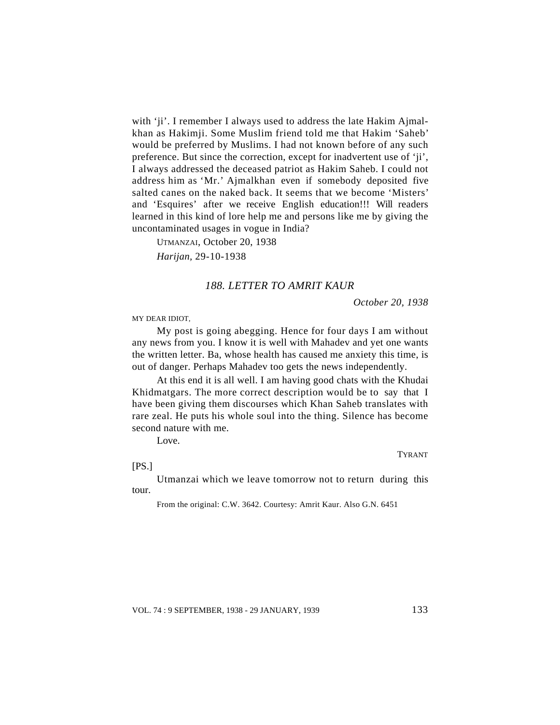with 'ji'. I remember I always used to address the late Hakim Ajmalkhan as Hakimji. Some Muslim friend told me that Hakim 'Saheb' would be preferred by Muslims. I had not known before of any such preference. But since the correction, except for inadvertent use of 'ji', I always addressed the deceased patriot as Hakim Saheb. I could not address him as 'Mr.' Ajmalkhan even if somebody deposited five salted canes on the naked back. It seems that we become 'Misters' and 'Esquires' after we receive English education!!! Will readers learned in this kind of lore help me and persons like me by giving the uncontaminated usages in vogue in India?

UTMANZAI, October 20, 1938

*Harijan,* 29-10-1938

## *188. LETTER TO AMRIT KAUR*

*October 20, 1938*

MY DEAR IDIOT,

My post is going abegging. Hence for four days I am without any news from you. I know it is well with Mahadev and yet one wants the written letter. Ba, whose health has caused me anxiety this time, is out of danger. Perhaps Mahadev too gets the news independently.

At this end it is all well. I am having good chats with the Khudai Khidmatgars. The more correct description would be to say that I have been giving them discourses which Khan Saheb translates with rare zeal. He puts his whole soul into the thing. Silence has become second nature with me.

Love.

TYRANT

 $[PS.]$ 

Utmanzai which we leave tomorrow not to return during this tour.

From the original: C.W. 3642. Courtesy: Amrit Kaur. Also G.N. 6451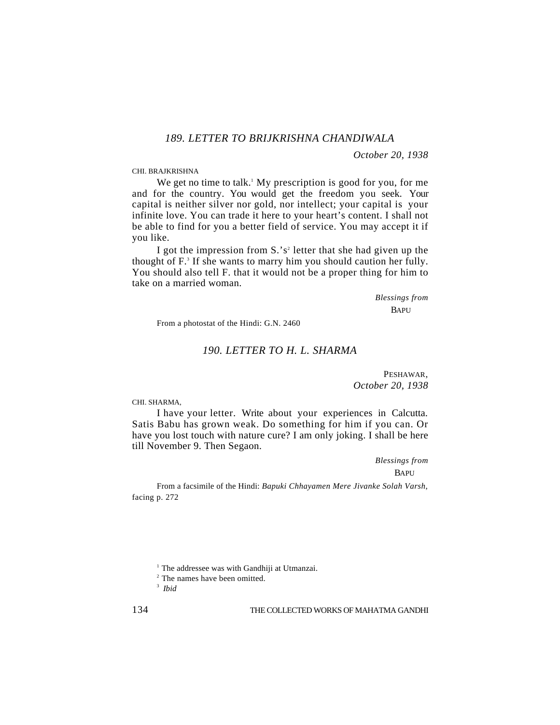*October 20, 1938*

CHI. BRAJKRISHNA

We get no time to talk.<sup>1</sup> My prescription is good for you, for me and for the country. You would get the freedom you seek. Your capital is neither silver nor gold, nor intellect; your capital is your infinite love. You can trade it here to your heart's content. I shall not be able to find for you a better field of service. You may accept it if you like.

I got the impression from S.'s<sup>2</sup> letter that she had given up the thought of F.<sup>3</sup> If she wants to marry him you should caution her fully. You should also tell F. that it would not be a proper thing for him to take on a married woman.

> *Blessings from* **BAPU**

From a photostat of the Hindi: G.N. 2460

### *190. LETTER TO H. L. SHARMA*

PESHAWAR, *October 20, 1938*

CHI. SHARMA,

I have your letter. Write about your experiences in Calcutta. Satis Babu has grown weak. Do something for him if you can. Or have you lost touch with nature cure? I am only joking. I shall be here till November 9. Then Segaon.

> *Blessings from* **BAPU**

From a facsimile of the Hindi: *Bapuki Chhayamen Mere Jivanke Solah Varsh*, facing p. 272

<sup>1</sup> The addressee was with Gandhiji at Utmanzai.

<sup>2</sup> The names have been omitted.

3 *Ibid*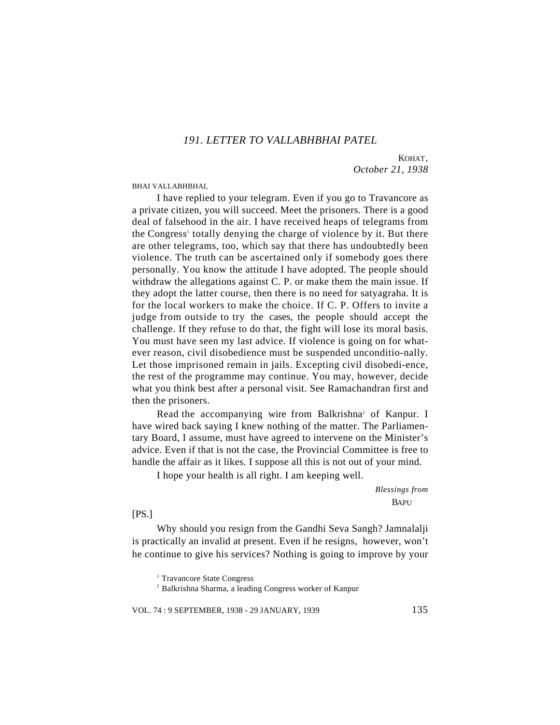# *191. LETTER TO VALLABHBHAI PATEL*

KOHAT, *October 21, 1938*

#### BHAI VALLABHBHAI,

I have replied to your telegram. Even if you go to Travancore as a private citizen, you will succeed. Meet the prisoners. There is a good deal of falsehood in the air. I have received heaps of telegrams from the Congress<sup>1</sup> totally denying the charge of violence by it. But there are other telegrams, too, which say that there has undoubtedly been violence. The truth can be ascertained only if somebody goes there personally. You know the attitude I have adopted. The people should withdraw the allegations against C. P. or make them the main issue. If they adopt the latter course, then there is no need for satyagraha. It is for the local workers to make the choice. If C. P. Offers to invite a judge from outside to try the cases, the people should accept the challenge. If they refuse to do that, the fight will lose its moral basis. You must have seen my last advice. If violence is going on for whatever reason, civil disobedience must be suspended unconditio-nally. Let those imprisoned remain in jails. Excepting civil disobedi-ence, the rest of the programme may continue. You may, however, decide what you think best after a personal visit. See Ramachandran first and then the prisoners.

Read the accompanying wire from Balkrishna<sup>2</sup> of Kanpur. I have wired back saying I knew nothing of the matter. The Parliamentary Board, I assume, must have agreed to intervene on the Minister's advice. Even if that is not the case, the Provincial Committee is free to handle the affair as it likes. I suppose all this is not out of your mind.

I hope your health is all right. I am keeping well.

*Blessings from* BAPU

[PS.]

Why should you resign from the Gandhi Seva Sangh? Jamnalalji is practically an invalid at present. Even if he resigns, however, won't he continue to give his services? Nothing is going to improve by your

<sup>1</sup> Travancore State Congress

<sup>&</sup>lt;sup>2</sup> Balkrishna Sharma, a leading Congress worker of Kanpur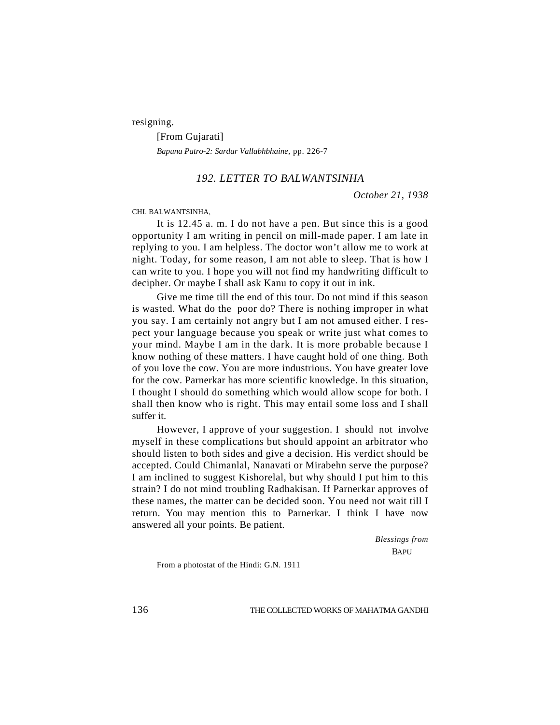resigning.

[From Gujarati]

*Bapuna Patro-2: Sardar Vallabhbhaine,* pp. 226-7

### *192. LETTER TO BALWANTSINHA*

*October 21, 1938*

CHI. BALWANTSINHA,

It is 12.45 a. m. I do not have a pen. But since this is a good opportunity I am writing in pencil on mill-made paper. I am late in replying to you. I am helpless. The doctor won't allow me to work at night. Today, for some reason, I am not able to sleep. That is how I can write to you. I hope you will not find my handwriting difficult to decipher. Or maybe I shall ask Kanu to copy it out in ink.

Give me time till the end of this tour. Do not mind if this season is wasted. What do the poor do? There is nothing improper in what you say. I am certainly not angry but I am not amused either. I respect your language because you speak or write just what comes to your mind. Maybe I am in the dark. It is more probable because I know nothing of these matters. I have caught hold of one thing. Both of you love the cow. You are more industrious. You have greater love for the cow. Parnerkar has more scientific knowledge. In this situation, I thought I should do something which would allow scope for both. I shall then know who is right. This may entail some loss and I shall suffer it.

However, I approve of your suggestion. I should not involve myself in these complications but should appoint an arbitrator who should listen to both sides and give a decision. His verdict should be accepted. Could Chimanlal, Nanavati or Mirabehn serve the purpose? I am inclined to suggest Kishorelal, but why should I put him to this strain? I do not mind troubling Radhakisan. If Parnerkar approves of these names, the matter can be decided soon. You need not wait till I return. You may mention this to Parnerkar. I think I have now answered all your points. Be patient.

> *Blessings from* BAPU

From a photostat of the Hindi: G.N. 1911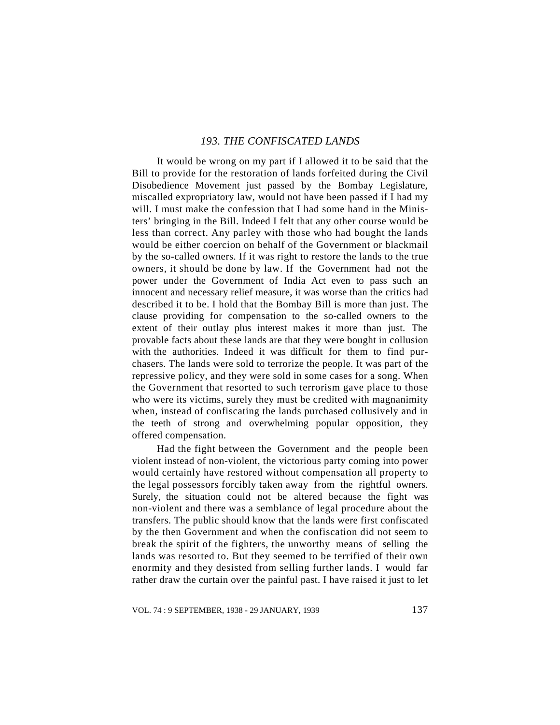# *193. THE CONFISCATED LANDS*

It would be wrong on my part if I allowed it to be said that the Bill to provide for the restoration of lands forfeited during the Civil Disobedience Movement just passed by the Bombay Legislature, miscalled expropriatory law, would not have been passed if I had my will. I must make the confession that I had some hand in the Ministers' bringing in the Bill. Indeed I felt that any other course would be less than correct. Any parley with those who had bought the lands would be either coercion on behalf of the Government or blackmail by the so-called owners. If it was right to restore the lands to the true owners, it should be done by law. If the Government had not the power under the Government of India Act even to pass such an innocent and necessary relief measure, it was worse than the critics had described it to be. I hold that the Bombay Bill is more than just. The clause providing for compensation to the so-called owners to the extent of their outlay plus interest makes it more than just. The provable facts about these lands are that they were bought in collusion with the authorities. Indeed it was difficult for them to find purchasers. The lands were sold to terrorize the people. It was part of the repressive policy, and they were sold in some cases for a song. When the Government that resorted to such terrorism gave place to those who were its victims, surely they must be credited with magnanimity when, instead of confiscating the lands purchased collusively and in the teeth of strong and overwhelming popular opposition, they offered compensation.

Had the fight between the Government and the people been violent instead of non-violent, the victorious party coming into power would certainly have restored without compensation all property to the legal possessors forcibly taken away from the rightful owners. Surely, the situation could not be altered because the fight was non-violent and there was a semblance of legal procedure about the transfers. The public should know that the lands were first confiscated by the then Government and when the confiscation did not seem to break the spirit of the fighters, the unworthy means of selling the lands was resorted to. But they seemed to be terrified of their own enormity and they desisted from selling further lands. I would far rather draw the curtain over the painful past. I have raised it just to let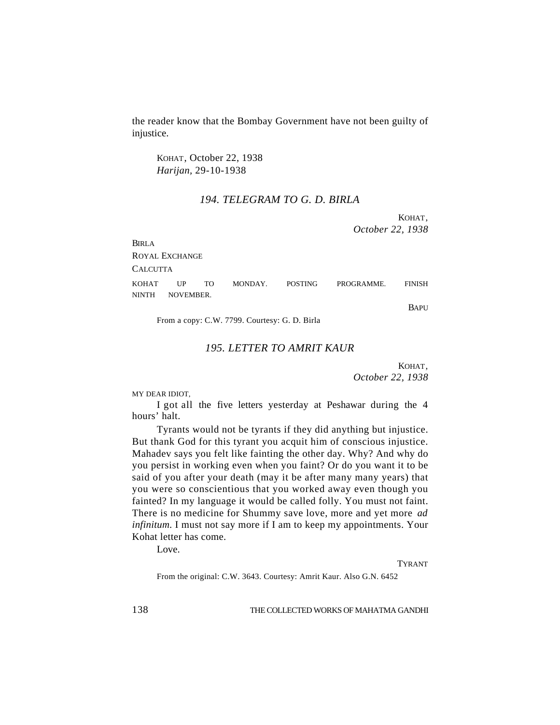the reader know that the Bombay Government have not been guilty of injustice.

KOHAT, October 22, 1938 *Harijan,* 29-10-1938

# *194. TELEGRAM TO G. D. BIRLA*

KOHAT, *October 22, 1938*

| <b>BIRLA</b>    |                 |     |         |         |            |               |
|-----------------|-----------------|-----|---------|---------|------------|---------------|
|                 | ROYAL EXCHANGE  |     |         |         |            |               |
| <b>CALCUTTA</b> |                 |     |         |         |            |               |
|                 | KOHAT UP        | TO. | MONDAY. | POSTING | PROGRAMME. | <b>FINISH</b> |
|                 | NINTH NOVEMBER. |     |         |         |            |               |
|                 |                 |     |         |         |            | <b>BAPU</b>   |

From a copy: C.W. 7799. Courtesy: G. D. Birla

### *195. LETTER TO AMRIT KAUR*

KOHAT, *October 22, 1938*

MY DEAR IDIOT,

I got all the five letters yesterday at Peshawar during the 4 hours' halt.

Tyrants would not be tyrants if they did anything but injustice. But thank God for this tyrant you acquit him of conscious injustice. Mahadev says you felt like fainting the other day. Why? And why do you persist in working even when you faint? Or do you want it to be said of you after your death (may it be after many many years) that you were so conscientious that you worked away even though you fainted? In my language it would be called folly. You must not faint. There is no medicine for Shummy save love, more and yet more *ad infinitum.* I must not say more if I am to keep my appointments. Your Kohat letter has come.

 $\overline{L}$  ove.

TYRANT

From the original: C.W. 3643. Courtesy: Amrit Kaur. Also G.N. 6452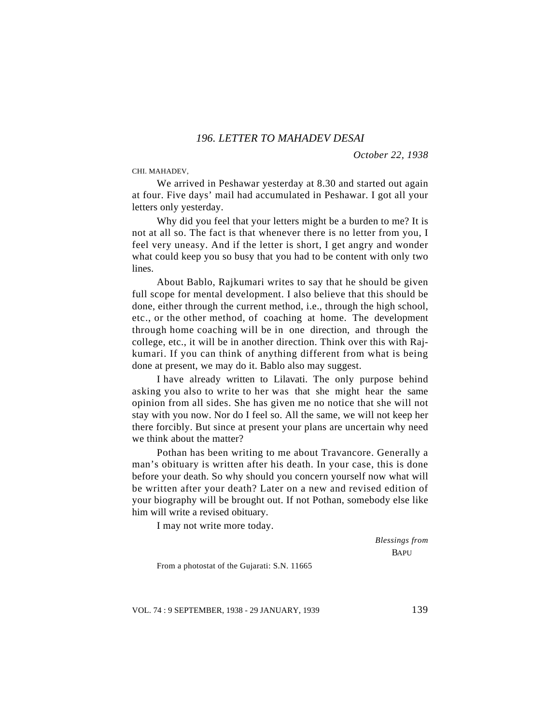*October 22, 1938*

CHI. MAHADEV

We arrived in Peshawar yesterday at 8.30 and started out again at four. Five days' mail had accumulated in Peshawar. I got all your letters only yesterday.

Why did you feel that your letters might be a burden to me? It is not at all so. The fact is that whenever there is no letter from you, I feel very uneasy. And if the letter is short, I get angry and wonder what could keep you so busy that you had to be content with only two lines.

About Bablo, Rajkumari writes to say that he should be given full scope for mental development. I also believe that this should be done, either through the current method, i.e., through the high school, etc., or the other method, of coaching at home. The development through home coaching will be in one direction, and through the college, etc., it will be in another direction. Think over this with Rajkumari. If you can think of anything different from what is being done at present, we may do it. Bablo also may suggest.

I have already written to Lilavati. The only purpose behind asking you also to write to her was that she might hear the same opinion from all sides. She has given me no notice that she will not stay with you now. Nor do I feel so. All the same, we will not keep her there forcibly. But since at present your plans are uncertain why need we think about the matter?

Pothan has been writing to me about Travancore. Generally a man's obituary is written after his death. In your case, this is done before your death. So why should you concern yourself now what will be written after your death? Later on a new and revised edition of your biography will be brought out. If not Pothan, somebody else like him will write a revised obituary.

I may not write more today.

*Blessings from* **BAPU** 

From a photostat of the Gujarati: S.N. 11665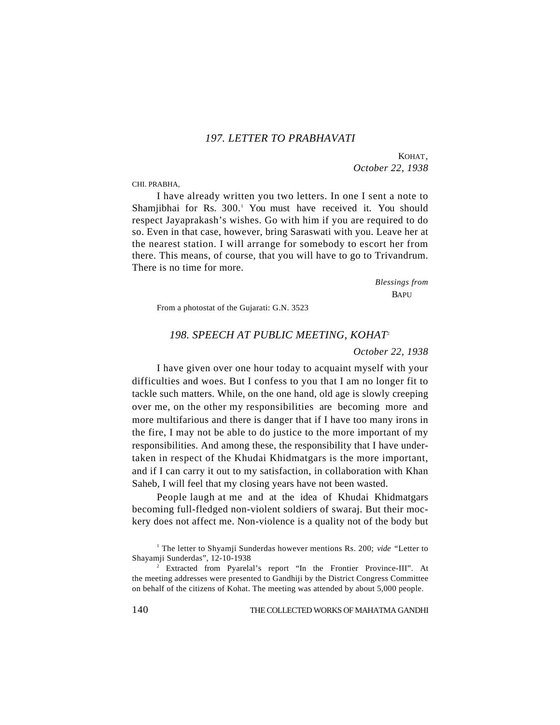# *197. LETTER TO PRABHAVATI*

KOHAT, *October 22, 1938*

CHI. PRABHA,

I have already written you two letters. In one I sent a note to Shamjibhai for Rs. 300.<sup>1</sup> You must have received it. You should respect Jayaprakash's wishes. Go with him if you are required to do so. Even in that case, however, bring Saraswati with you. Leave her at the nearest station. I will arrange for somebody to escort her from there. This means, of course, that you will have to go to Trivandrum. There is no time for more.

> *Blessings from* **BAPU**

From a photostat of the Gujarati: G.N. 3523

## *198. SPEECH AT PUBLIC MEETING, KOHAT*<sup>2</sup>

*October 22, 1938*

I have given over one hour today to acquaint myself with your difficulties and woes. But I confess to you that I am no longer fit to tackle such matters. While, on the one hand, old age is slowly creeping over me, on the other my responsibilities are becoming more and more multifarious and there is danger that if I have too many irons in the fire, I may not be able to do justice to the more important of my responsibilities. And among these, the responsibility that I have undertaken in respect of the Khudai Khidmatgars is the more important, and if I can carry it out to my satisfaction, in collaboration with Khan Saheb, I will feel that my closing years have not been wasted.

People laugh at me and at the idea of Khudai Khidmatgars becoming full-fledged non-violent soldiers of swaraj. But their mockery does not affect me. Non-violence is a quality not of the body but

<sup>&</sup>lt;sup>1</sup> The letter to Shyamji Sunderdas however mentions Rs. 200; *vide* "Letter to Shayamji Sunderdas", 12-10-1938

<sup>&</sup>lt;sup>2</sup> Extracted from Pyarelal's report "In the Frontier Province-III". At the meeting addresses were presented to Gandhiji by the District Congress Committee on behalf of the citizens of Kohat. The meeting was attended by about 5,000 people.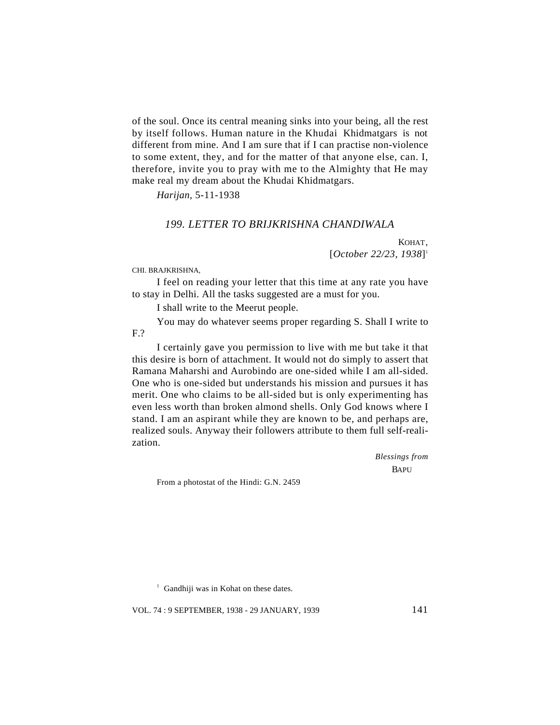of the soul. Once its central meaning sinks into your being, all the rest by itself follows. Human nature in the Khudai Khidmatgars is not different from mine. And I am sure that if I can practise non-violence to some extent, they, and for the matter of that anyone else, can. I, therefore, invite you to pray with me to the Almighty that He may make real my dream about the Khudai Khidmatgars.

*Harijan,* 5-11-1938

# *199. LETTER TO BRIJKRISHNA CHANDIWALA*

**KOHAT** [*October 22/23, 1938*] 1

CHI. BRAJKRISHNA,

I feel on reading your letter that this time at any rate you have to stay in Delhi. All the tasks suggested are a must for you.

I shall write to the Meerut people.

You may do whatever seems proper regarding S. Shall I write to F.?

I certainly gave you permission to live with me but take it that this desire is born of attachment. It would not do simply to assert that Ramana Maharshi and Aurobindo are one-sided while I am all-sided. One who is one-sided but understands his mission and pursues it has merit. One who claims to be all-sided but is only experimenting has even less worth than broken almond shells. Only God knows where I stand. I am an aspirant while they are known to be, and perhaps are, realized souls. Anyway their followers attribute to them full self-realization.

> *Blessings from* **BAPU**

From a photostat of the Hindi: G.N. 2459

<sup>1</sup> Gandhiji was in Kohat on these dates.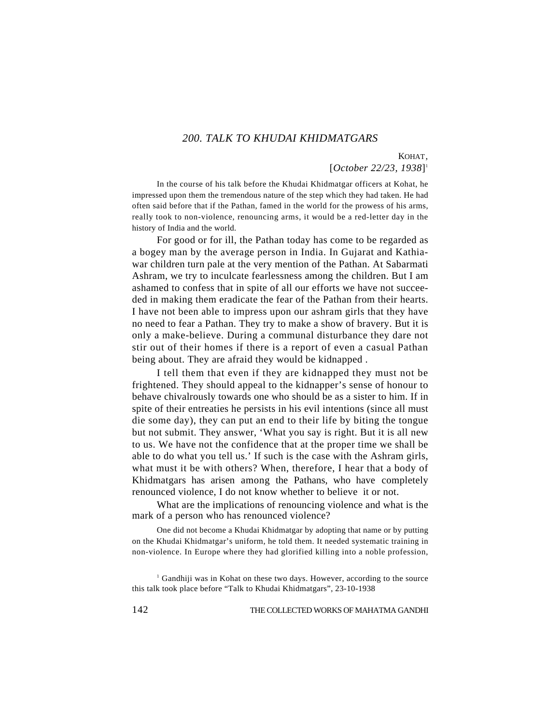# *200. TALK TO KHUDAI KHIDMATGARS*

## KOHAT, [*October 22/23, 1938*] 1

In the course of his talk before the Khudai Khidmatgar officers at Kohat, he impressed upon them the tremendous nature of the step which they had taken. He had often said before that if the Pathan, famed in the world for the prowess of his arms, really took to non-violence, renouncing arms, it would be a red-letter day in the history of India and the world.

For good or for ill, the Pathan today has come to be regarded as a bogey man by the average person in India. In Gujarat and Kathiawar children turn pale at the very mention of the Pathan. At Sabarmati Ashram, we try to inculcate fearlessness among the children. But I am ashamed to confess that in spite of all our efforts we have not succeeded in making them eradicate the fear of the Pathan from their hearts. I have not been able to impress upon our ashram girls that they have no need to fear a Pathan. They try to make a show of bravery. But it is only a make-believe. During a communal disturbance they dare not stir out of their homes if there is a report of even a casual Pathan being about. They are afraid they would be kidnapped .

I tell them that even if they are kidnapped they must not be frightened. They should appeal to the kidnapper's sense of honour to behave chivalrously towards one who should be as a sister to him. If in spite of their entreaties he persists in his evil intentions (since all must die some day), they can put an end to their life by biting the tongue but not submit. They answer, 'What you say is right. But it is all new to us. We have not the confidence that at the proper time we shall be able to do what you tell us.' If such is the case with the Ashram girls, what must it be with others? When, therefore, I hear that a body of Khidmatgars has arisen among the Pathans, who have completely renounced violence, I do not know whether to believe it or not.

What are the implications of renouncing violence and what is the mark of a person who has renounced violence?

One did not become a Khudai Khidmatgar by adopting that name or by putting on the Khudai Khidmatgar's uniform, he told them. It needed systematic training in non-violence. In Europe where they had glorified killing into a noble profession,

<sup>&</sup>lt;sup>1</sup> Gandhiji was in Kohat on these two days. However, according to the source this talk took place before "Talk to Khudai Khidmatgars", 23-10-1938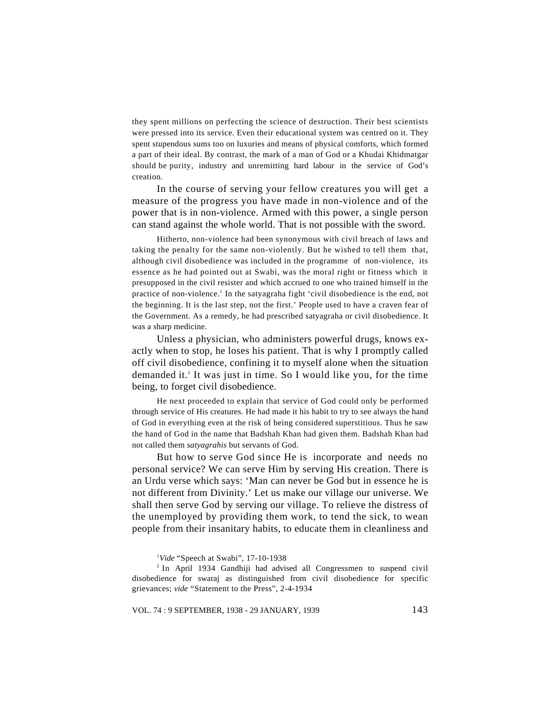they spent millions on perfecting the science of destruction. Their best scientists were pressed into its service. Even their educational system was centred on it. They spent stupendous sums too on luxuries and means of physical comforts, which formed a part of their ideal. By contrast, the mark of a man of God or a Khudai Khidmatgar should be purity, industry and unremitting hard labour in the service of God's creation.

In the course of serving your fellow creatures you will get a measure of the progress you have made in non-violence and of the power that is in non-violence. Armed with this power, a single person can stand against the whole world. That is not possible with the sword.

Hitherto, non-violence had been synonymous with civil breach of laws and taking the penalty for the same non-violently. But he wished to tell them that, although civil disobedience was included in the programme of non-violence, its essence as he had pointed out at Swabi, was the moral right or fitness which it presupposed in the civil resister and which accrued to one who trained himself in the practice of non-violence.<sup>1</sup> In the satyagraha fight 'civil disobedience is the end, not the beginning. It is the last step, not the first.' People used to have a craven fear of the Government. As a remedy, he had prescribed satyagraha or civil disobedience. It was a sharp medicine.

Unless a physician, who administers powerful drugs, knows exactly when to stop, he loses his patient. That is why I promptly called off civil disobedience, confining it to myself alone when the situation demanded it.<sup>2</sup> It was just in time. So I would like you, for the time being, to forget civil disobedience.

He next proceeded to explain that service of God could only be performed through service of His creatures. He had made it his habit to try to see always the hand of God in everything even at the risk of being considered superstitious. Thus he saw the hand of God in the name that Badshah Khan had given them. Badshah Khan had not called them *satyagrahis* but servants of God.

But how to serve God since He is incorporate and needs no personal service? We can serve Him by serving His creation. There is an Urdu verse which says: 'Man can never be God but in essence he is not different from Divinity.' Let us make our village our universe. We shall then serve God by serving our village. To relieve the distress of the unemployed by providing them work, to tend the sick, to wean people from their insanitary habits, to educate them in cleanliness and

<sup>1</sup>*Vide* "Speech at Swabi", 17-10-1938

<sup>2</sup> In April 1934 Gandhiji had advised all Congressmen to suspend civil disobedience for swaraj as distinguished from civil disobedience for specific grievances; *vide* "Statement to the Press", 2-4-1934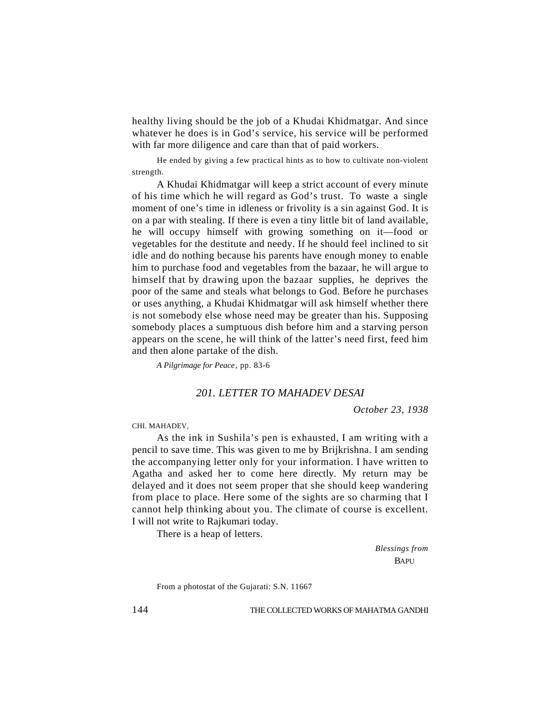healthy living should be the job of a Khudai Khidmatgar. And since whatever he does is in God's service, his service will be performed with far more diligence and care than that of paid workers.

He ended by giving a few practical hints as to how to cultivate non-violent strength.

A Khudai Khidmatgar will keep a strict account of every minute of his time which he will regard as God's trust. To waste a single moment of one's time in idleness or frivolity is a sin against God. It is on a par with stealing. If there is even a tiny little bit of land available, he will occupy himself with growing something on it—food or vegetables for the destitute and needy. If he should feel inclined to sit idle and do nothing because his parents have enough money to enable him to purchase food and vegetables from the bazaar, he will argue to himself that by drawing upon the bazaar supplies, he deprives the poor of the same and steals what belongs to God. Before he purchases or uses anything, a Khudai Khidmatgar will ask himself whether there is not somebody else whose need may be greater than his. Supposing somebody places a sumptuous dish before him and a starving person appears on the scene, he will think of the latter's need first, feed him and then alone partake of the dish.

*A Pilgrimage for Peace*, pp. 83-6

# *201. LETTER TO MAHADEV DESAI*

*October 23, 1938*

CHI. MAHADEV,

As the ink in Sushila's pen is exhausted, I am writing with a pencil to save time. This was given to me by Brijkrishna. I am sending the accompanying letter only for your information. I have written to Agatha and asked her to come here directly. My return may be delayed and it does not seem proper that she should keep wandering from place to place. Here some of the sights are so charming that I cannot help thinking about you. The climate of course is excellent. I will not write to Rajkumari today.

There is a heap of letters.

*Blessings from* **BAPU** 

From a photostat of the Gujarati: S.N. 11667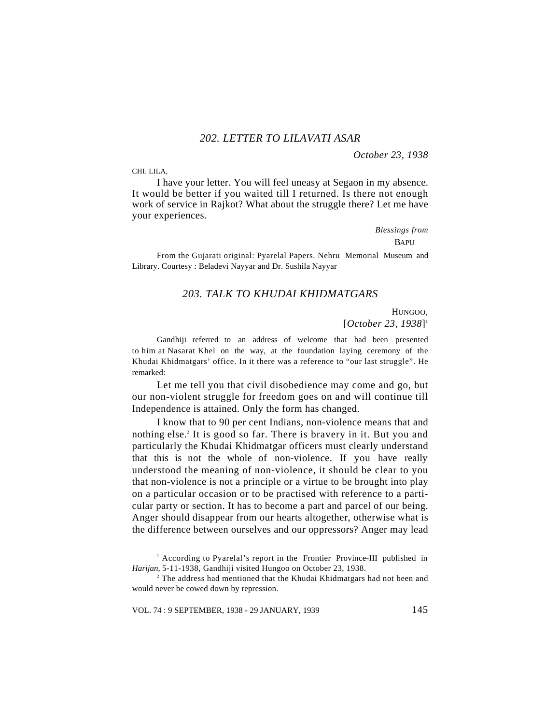## *202. LETTER TO LILAVATI ASAR*

*October 23, 1938*

CHI. LILA

I have your letter. You will feel uneasy at Segaon in my absence. It would be better if you waited till I returned. Is there not enough work of service in Rajkot? What about the struggle there? Let me have your experiences.

> *Blessings from* **BAPU**

From the Gujarati original: Pyarelal Papers. Nehru Memorial Museum and Library. Courtesy : Beladevi Nayyar and Dr. Sushila Nayyar

## *203. TALK TO KHUDAI KHIDMATGARS*

HUNGOO, [*October 23, 1938*] 1

Gandhiji referred to an address of welcome that had been presented to him at Nasarat Khel on the way, at the foundation laying ceremony of the Khudai Khidmatgars' office. In it there was a reference to "our last struggle". He remarked:

Let me tell you that civil disobedience may come and go, but our non-violent struggle for freedom goes on and will continue till Independence is attained. Only the form has changed.

I know that to 90 per cent Indians, non-violence means that and nothing else.<sup>2</sup> It is good so far. There is bravery in it. But you and particularly the Khudai Khidmatgar officers must clearly understand that this is not the whole of non-violence. If you have really understood the meaning of non-violence, it should be clear to you that non-violence is not a principle or a virtue to be brought into play on a particular occasion or to be practised with reference to a particular party or section. It has to become a part and parcel of our being. Anger should disappear from our hearts altogether, otherwise what is the difference between ourselves and our oppressors? Anger may lead

<sup>1</sup> According to Pyarelal's report in the Frontier Province-III published in *Harijan,* 5-11-1938, Gandhiji visited Hungoo on October 23, 1938.

<sup>2</sup> The address had mentioned that the Khudai Khidmatgars had not been and would never be cowed down by repression.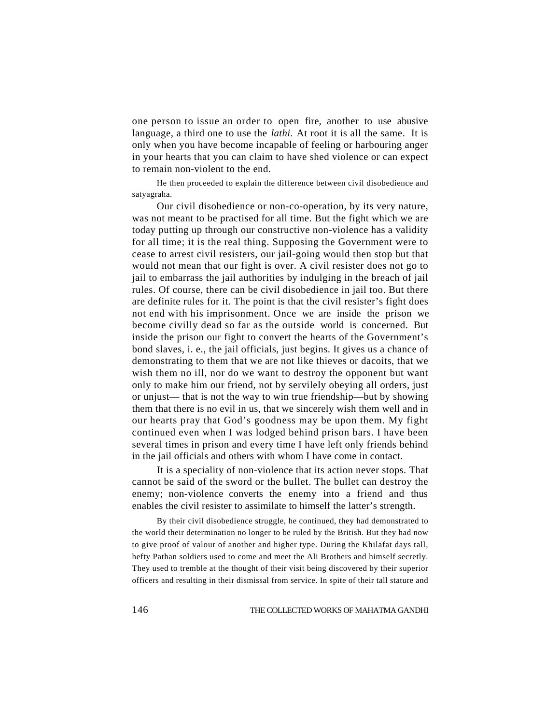one person to issue an order to open fire, another to use abusive language, a third one to use the *lathi.* At root it is all the same. It is only when you have become incapable of feeling or harbouring anger in your hearts that you can claim to have shed violence or can expect to remain non-violent to the end.

He then proceeded to explain the difference between civil disobedience and satyagraha.

Our civil disobedience or non-co-operation, by its very nature, was not meant to be practised for all time. But the fight which we are today putting up through our constructive non-violence has a validity for all time; it is the real thing. Supposing the Government were to cease to arrest civil resisters, our jail-going would then stop but that would not mean that our fight is over. A civil resister does not go to jail to embarrass the jail authorities by indulging in the breach of jail rules. Of course, there can be civil disobedience in jail too. But there are definite rules for it. The point is that the civil resister's fight does not end with his imprisonment. Once we are inside the prison we become civilly dead so far as the outside world is concerned. But inside the prison our fight to convert the hearts of the Government's bond slaves, i. e., the jail officials, just begins. It gives us a chance of demonstrating to them that we are not like thieves or dacoits, that we wish them no ill, nor do we want to destroy the opponent but want only to make him our friend, not by servilely obeying all orders, just or unjust— that is not the way to win true friendship—but by showing them that there is no evil in us, that we sincerely wish them well and in our hearts pray that God's goodness may be upon them. My fight continued even when I was lodged behind prison bars. I have been several times in prison and every time I have left only friends behind in the jail officials and others with whom I have come in contact.

It is a speciality of non-violence that its action never stops. That cannot be said of the sword or the bullet. The bullet can destroy the enemy; non-violence converts the enemy into a friend and thus enables the civil resister to assimilate to himself the latter's strength.

By their civil disobedience struggle, he continued, they had demonstrated to the world their determination no longer to be ruled by the British. But they had now to give proof of valour of another and higher type. During the Khilafat days tall, hefty Pathan soldiers used to come and meet the Ali Brothers and himself secretly. They used to tremble at the thought of their visit being discovered by their superior officers and resulting in their dismissal from service. In spite of their tall stature and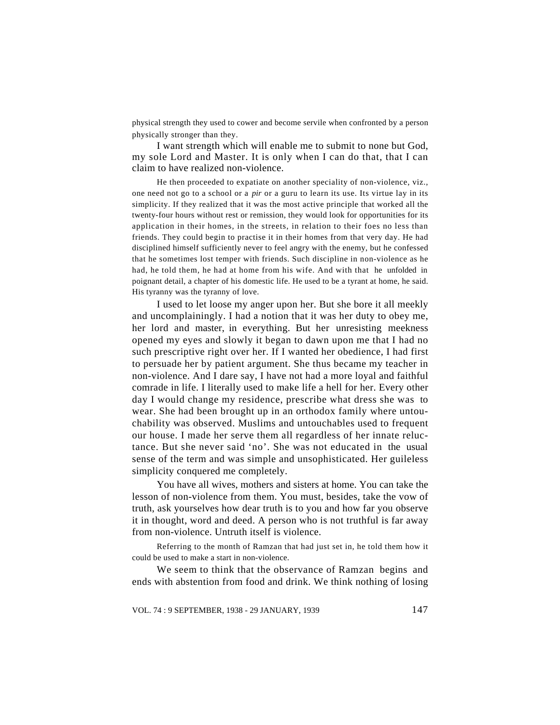physical strength they used to cower and become servile when confronted by a person physically stronger than they.

I want strength which will enable me to submit to none but God, my sole Lord and Master. It is only when I can do that, that I can claim to have realized non-violence.

He then proceeded to expatiate on another speciality of non-violence, viz., one need not go to a school or a *pir* or a guru to learn its use. Its virtue lay in its simplicity. If they realized that it was the most active principle that worked all the twenty-four hours without rest or remission, they would look for opportunities for its application in their homes, in the streets, in relation to their foes no less than friends. They could begin to practise it in their homes from that very day. He had disciplined himself sufficiently never to feel angry with the enemy, but he confessed that he sometimes lost temper with friends. Such discipline in non-violence as he had, he told them, he had at home from his wife. And with that he unfolded in poignant detail, a chapter of his domestic life. He used to be a tyrant at home, he said. His tyranny was the tyranny of love.

I used to let loose my anger upon her. But she bore it all meekly and uncomplainingly. I had a notion that it was her duty to obey me, her lord and master, in everything. But her unresisting meekness opened my eyes and slowly it began to dawn upon me that I had no such prescriptive right over her. If I wanted her obedience, I had first to persuade her by patient argument. She thus became my teacher in non-violence. And I dare say, I have not had a more loyal and faithful comrade in life. I literally used to make life a hell for her. Every other day I would change my residence, prescribe what dress she was to wear. She had been brought up in an orthodox family where untouchability was observed. Muslims and untouchables used to frequent our house. I made her serve them all regardless of her innate reluctance. But she never said 'no'. She was not educated in the usual sense of the term and was simple and unsophisticated. Her guileless simplicity conquered me completely.

You have all wives, mothers and sisters at home. You can take the lesson of non-violence from them. You must, besides, take the vow of truth, ask yourselves how dear truth is to you and how far you observe it in thought, word and deed. A person who is not truthful is far away from non-violence. Untruth itself is violence.

Referring to the month of Ramzan that had just set in, he told them how it could be used to make a start in non-violence.

We seem to think that the observance of Ramzan begins and ends with abstention from food and drink. We think nothing of losing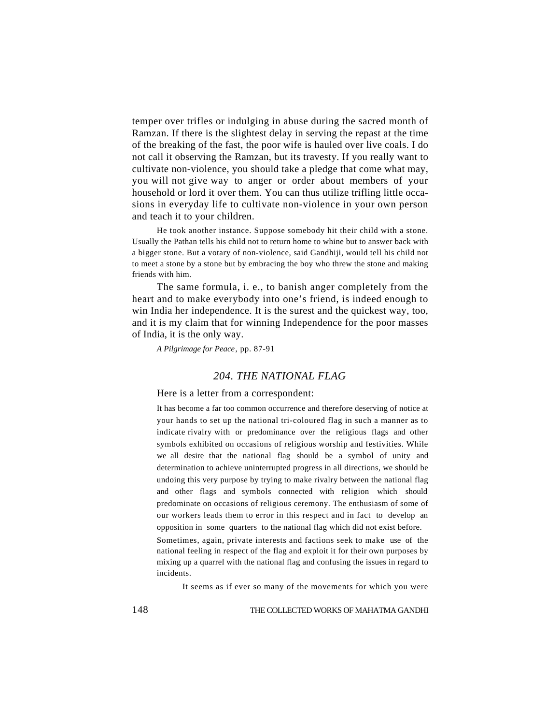temper over trifles or indulging in abuse during the sacred month of Ramzan. If there is the slightest delay in serving the repast at the time of the breaking of the fast, the poor wife is hauled over live coals. I do not call it observing the Ramzan, but its travesty. If you really want to cultivate non-violence, you should take a pledge that come what may, you will not give way to anger or order about members of your household or lord it over them. You can thus utilize trifling little occasions in everyday life to cultivate non-violence in your own person and teach it to your children.

He took another instance. Suppose somebody hit their child with a stone. Usually the Pathan tells his child not to return home to whine but to answer back with a bigger stone. But a votary of non-violence, said Gandhiji, would tell his child not to meet a stone by a stone but by embracing the boy who threw the stone and making friends with him.

The same formula, i. e., to banish anger completely from the heart and to make everybody into one's friend, is indeed enough to win India her independence. It is the surest and the quickest way, too, and it is my claim that for winning Independence for the poor masses of India, it is the only way.

*A Pilgrimage for Peace*, pp. 87-91

### *204. THE NATIONAL FLAG*

Here is a letter from a correspondent:

It has become a far too common occurrence and therefore deserving of notice at your hands to set up the national tri-coloured flag in such a manner as to indicate rivalry with or predominance over the religious flags and other symbols exhibited on occasions of religious worship and festivities. While we all desire that the national flag should be a symbol of unity and determination to achieve uninterrupted progress in all directions, we should be undoing this very purpose by trying to make rivalry between the national flag and other flags and symbols connected with religion which should predominate on occasions of religious ceremony. The enthusiasm of some of our workers leads them to error in this respect and in fact to develop an opposition in some quarters to the national flag which did not exist before.

Sometimes, again, private interests and factions seek to make use of the national feeling in respect of the flag and exploit it for their own purposes by mixing up a quarrel with the national flag and confusing the issues in regard to incidents.

It seems as if ever so many of the movements for which you were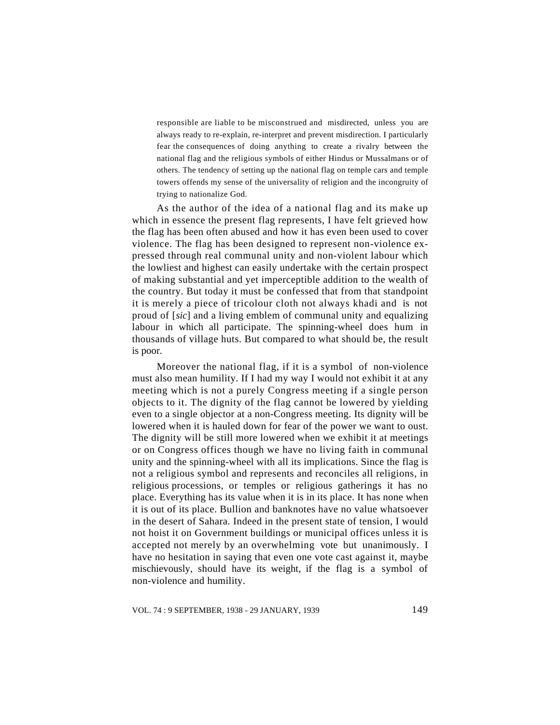responsible are liable to be misconstrued and misdirected, unless you are always ready to re-explain, re-interpret and prevent misdirection. I particularly fear the consequences of doing anything to create a rivalry between the national flag and the religious symbols of either Hindus or Mussalmans or of others. The tendency of setting up the national flag on temple cars and temple towers offends my sense of the universality of religion and the incongruity of trying to nationalize God.

As the author of the idea of a national flag and its make up which in essence the present flag represents, I have felt grieved how the flag has been often abused and how it has even been used to cover violence. The flag has been designed to represent non-violence expressed through real communal unity and non-violent labour which the lowliest and highest can easily undertake with the certain prospect of making substantial and yet imperceptible addition to the wealth of the country. But today it must be confessed that from that standpoint it is merely a piece of tricolour cloth not always khadi and is not proud of [*sic*] and a living emblem of communal unity and equalizing labour in which all participate. The spinning-wheel does hum in thousands of village huts. But compared to what should be, the result is poor.

Moreover the national flag, if it is a symbol of non-violence must also mean humility. If I had my way I would not exhibit it at any meeting which is not a purely Congress meeting if a single person objects to it. The dignity of the flag cannot be lowered by yielding even to a single objector at a non-Congress meeting. Its dignity will be lowered when it is hauled down for fear of the power we want to oust. The dignity will be still more lowered when we exhibit it at meetings or on Congress offices though we have no living faith in communal unity and the spinning-wheel with all its implications. Since the flag is not a religious symbol and represents and reconciles all religions, in religious processions, or temples or religious gatherings it has no place. Everything has its value when it is in its place. It has none when it is out of its place. Bullion and banknotes have no value whatsoever in the desert of Sahara. Indeed in the present state of tension, I would not hoist it on Government buildings or municipal offices unless it is accepted not merely by an overwhelming vote but unanimously. I have no hesitation in saying that even one vote cast against it, maybe mischievously, should have its weight, if the flag is a symbol of non-violence and humility.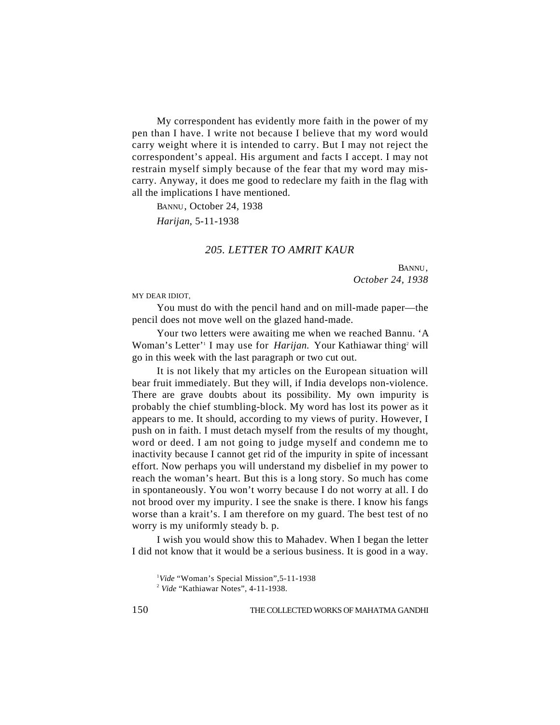My correspondent has evidently more faith in the power of my pen than I have. I write not because I believe that my word would carry weight where it is intended to carry. But I may not reject the correspondent's appeal. His argument and facts I accept. I may not restrain myself simply because of the fear that my word may miscarry. Anyway, it does me good to redeclare my faith in the flag with all the implications I have mentioned.

BANNU, October 24, 1938

*Harijan*, 5-11-1938

## *205. LETTER TO AMRIT KAUR*

BANNU, *October 24, 1938*

MY DEAR IDIOT,

You must do with the pencil hand and on mill-made paper—the pencil does not move well on the glazed hand-made.

Your two letters were awaiting me when we reached Bannu. 'A Woman's Letter'<sup>1</sup> I may use for *Harijan*. Your Kathiawar thing<sup>2</sup> will go in this week with the last paragraph or two cut out.

It is not likely that my articles on the European situation will bear fruit immediately. But they will, if India develops non-violence. There are grave doubts about its possibility. My own impurity is probably the chief stumbling-block. My word has lost its power as it appears to me. It should, according to my views of purity. However, I push on in faith. I must detach myself from the results of my thought, word or deed. I am not going to judge myself and condemn me to inactivity because I cannot get rid of the impurity in spite of incessant effort. Now perhaps you will understand my disbelief in my power to reach the woman's heart. But this is a long story. So much has come in spontaneously. You won't worry because I do not worry at all. I do not brood over my impurity. I see the snake is there. I know his fangs worse than a krait's. I am therefore on my guard. The best test of no worry is my uniformly steady b. p.

I wish you would show this to Mahadev. When I began the letter I did not know that it would be a serious business. It is good in a way.

<sup>1</sup>*Vide* "Woman's Special Mission",5-11-1938

<sup>2</sup> *Vide* "Kathiawar Notes", 4-11-1938.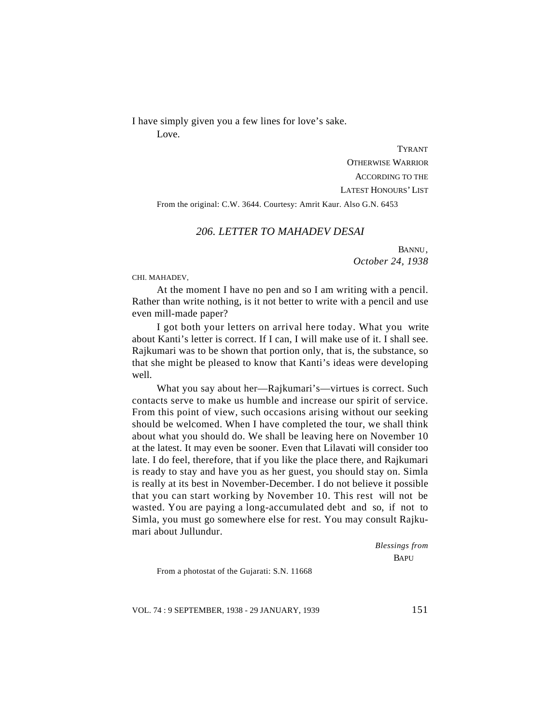I have simply given you a few lines for love's sake.

Love.

TYRANT OTHERWISE WARRIOR ACCORDING TO THE LATEST HONOURS' LIST

From the original: C.W. 3644. Courtesy: Amrit Kaur. Also G.N. 6453

## *206. LETTER TO MAHADEV DESAI*

BANNU, *October 24, 1938*

CHI. MAHADEV,

At the moment I have no pen and so I am writing with a pencil. Rather than write nothing, is it not better to write with a pencil and use even mill-made paper?

I got both your letters on arrival here today. What you write about Kanti's letter is correct. If I can, I will make use of it. I shall see. Rajkumari was to be shown that portion only, that is, the substance, so that she might be pleased to know that Kanti's ideas were developing well.

What you say about her—Rajkumari's—virtues is correct. Such contacts serve to make us humble and increase our spirit of service. From this point of view, such occasions arising without our seeking should be welcomed. When I have completed the tour, we shall think about what you should do. We shall be leaving here on November 10 at the latest. It may even be sooner. Even that Lilavati will consider too late. I do feel, therefore, that if you like the place there, and Rajkumari is ready to stay and have you as her guest, you should stay on. Simla is really at its best in November-December. I do not believe it possible that you can start working by November 10. This rest will not be wasted. You are paying a long-accumulated debt and so, if not to Simla, you must go somewhere else for rest. You may consult Rajkumari about Jullundur.

> *Blessings from* **BAPU**

From a photostat of the Gujarati: S.N. 11668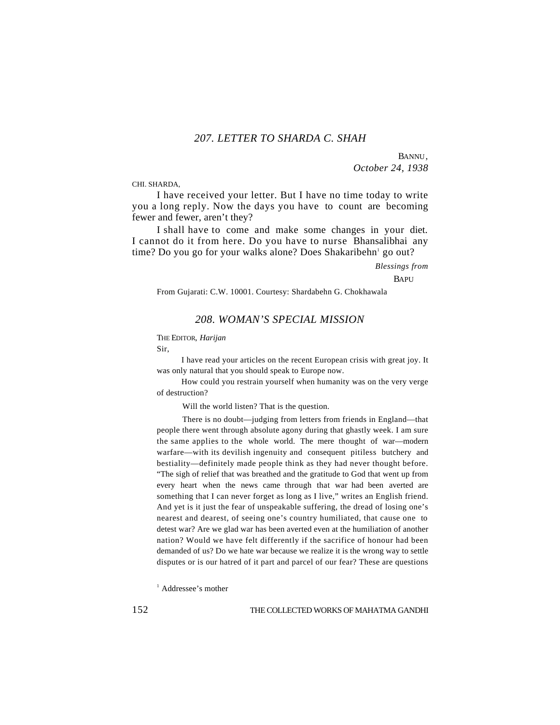### *207. LETTER TO SHARDA C. SHAH*

BANNU, *October 24, 1938*

CHI. SHARDA,

I have received your letter. But I have no time today to write you a long reply. Now the days you have to count are becoming fewer and fewer, aren't they?

I shall have to come and make some changes in your diet. I cannot do it from here. Do you have to nurse Bhansalibhai any time? Do you go for your walks alone? Does Shakaribehn' go out?

*Blessings from*

BAPU

From Gujarati: C.W. 10001. Courtesy: Shardabehn G. Chokhawala

## *208. WOMAN'S SPECIAL MISSION*

THE EDITOR, *Harijan*

Sir,

I have read your articles on the recent European crisis with great joy. It was only natural that you should speak to Europe now.

How could you restrain yourself when humanity was on the very verge of destruction?

Will the world listen? That is the question.

There is no doubt—judging from letters from friends in England—that people there went through absolute agony during that ghastly week. I am sure the same applies to the whole world. The mere thought of war—modern warfare—with its devilish ingenuity and consequent pitiless butchery and bestiality—definitely made people think as they had never thought before. "The sigh of relief that was breathed and the gratitude to God that went up from every heart when the news came through that war had been averted are something that I can never forget as long as I live," writes an English friend. And yet is it just the fear of unspeakable suffering, the dread of losing one's nearest and dearest, of seeing one's country humiliated, that cause one to detest war? Are we glad war has been averted even at the humiliation of another nation? Would we have felt differently if the sacrifice of honour had been demanded of us? Do we hate war because we realize it is the wrong way to settle disputes or is our hatred of it part and parcel of our fear? These are questions

<sup>1</sup> Addressee's mother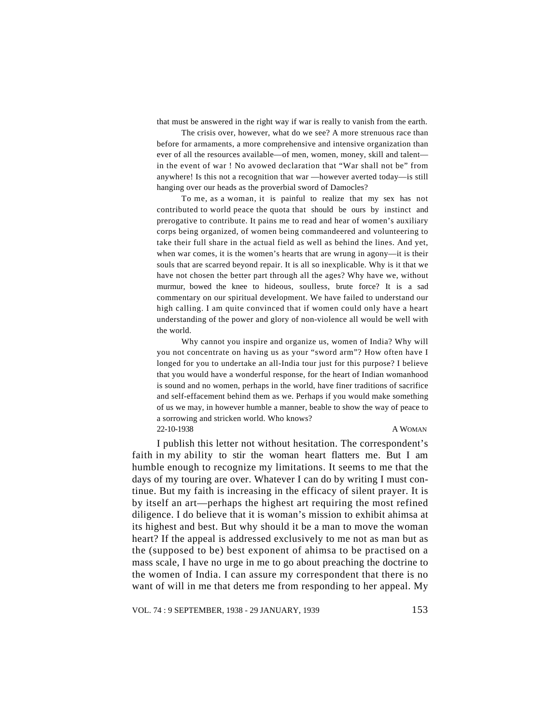that must be answered in the right way if war is really to vanish from the earth.

The crisis over, however, what do we see? A more strenuous race than before for armaments, a more comprehensive and intensive organization than ever of all the resources available—of men, women, money, skill and talent in the event of war ! No avowed declaration that "War shall not be" from anywhere! Is this not a recognition that war —however averted today—is still hanging over our heads as the proverbial sword of Damocles?

To me, as a woman, it is painful to realize that my sex has not contributed to world peace the quota that should be ours by instinct and prerogative to contribute. It pains me to read and hear of women's auxiliary corps being organized, of women being commandeered and volunteering to take their full share in the actual field as well as behind the lines. And yet, when war comes, it is the women's hearts that are wrung in agony—it is their souls that are scarred beyond repair. It is all so inexplicable. Why is it that we have not chosen the better part through all the ages? Why have we, without murmur, bowed the knee to hideous, soulless, brute force? It is a sad commentary on our spiritual development. We have failed to understand our high calling. I am quite convinced that if women could only have a heart understanding of the power and glory of non-violence all would be well with the world.

Why cannot you inspire and organize us, women of India? Why will you not concentrate on having us as your "sword arm"? How often have I longed for you to undertake an all-India tour just for this purpose? I believe that you would have a wonderful response, for the heart of Indian womanhood is sound and no women, perhaps in the world, have finer traditions of sacrifice and self-effacement behind them as we. Perhaps if you would make something of us we may, in however humble a manner, beable to show the way of peace to a sorrowing and stricken world. Who knows? 22-10-1938 A WOMAN

I publish this letter not without hesitation. The correspondent's faith in my ability to stir the woman heart flatters me. But I am humble enough to recognize my limitations. It seems to me that the days of my touring are over. Whatever I can do by writing I must continue. But my faith is increasing in the efficacy of silent prayer. It is by itself an art—perhaps the highest art requiring the most refined diligence. I do believe that it is woman's mission to exhibit ahimsa at its highest and best. But why should it be a man to move the woman heart? If the appeal is addressed exclusively to me not as man but as the (supposed to be) best exponent of ahimsa to be practised on a mass scale, I have no urge in me to go about preaching the doctrine to the women of India. I can assure my correspondent that there is no want of will in me that deters me from responding to her appeal. My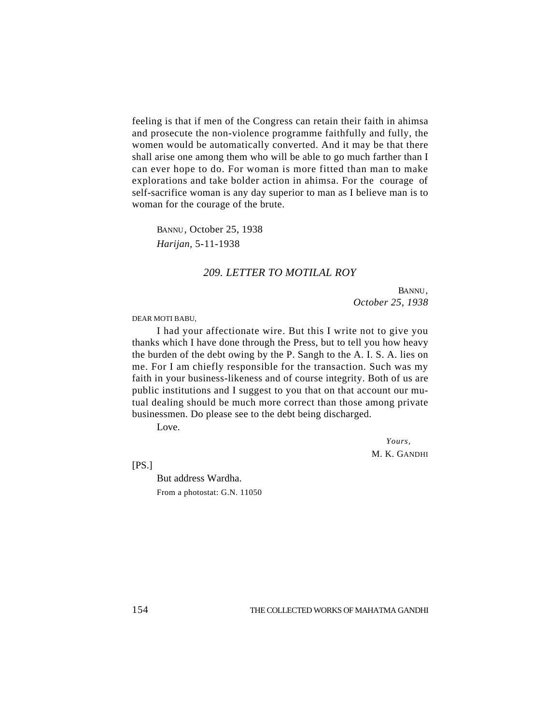feeling is that if men of the Congress can retain their faith in ahimsa and prosecute the non-violence programme faithfully and fully, the women would be automatically converted. And it may be that there shall arise one among them who will be able to go much farther than I can ever hope to do. For woman is more fitted than man to make explorations and take bolder action in ahimsa. For the courage of self-sacrifice woman is any day superior to man as I believe man is to woman for the courage of the brute.

BANNU, October 25, 1938 *Harijan,* 5-11-1938

## *209. LETTER TO MOTILAL ROY*

BANNU, *October 25, 1938*

DEAR MOTI BABU,

I had your affectionate wire. But this I write not to give you thanks which I have done through the Press, but to tell you how heavy the burden of the debt owing by the P. Sangh to the A. I. S. A. lies on me. For I am chiefly responsible for the transaction. Such was my faith in your business-likeness and of course integrity. Both of us are public institutions and I suggest to you that on that account our mutual dealing should be much more correct than those among private businessmen. Do please see to the debt being discharged.

Love.

*Yours,*  M. K. GANDHI

[PS.]

But address Wardha. From a photostat: G.N. 11050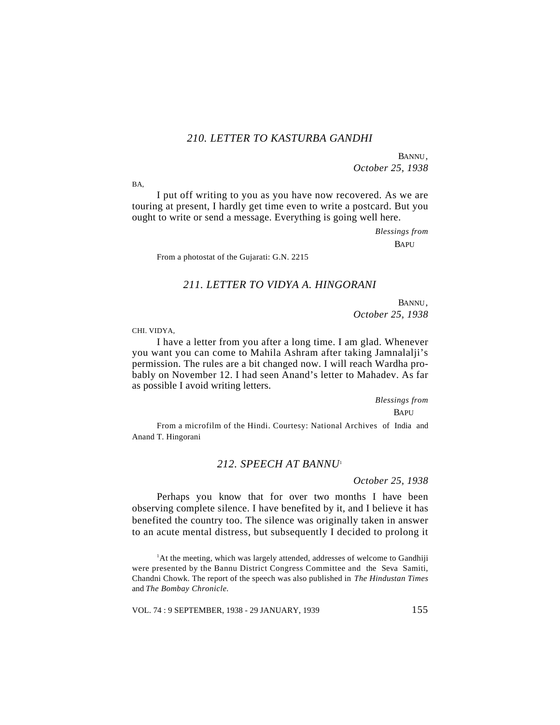## *210. LETTER TO KASTURBA GANDHI*

BANNU, *October 25, 1938*

BA,

I put off writing to you as you have now recovered. As we are touring at present, I hardly get time even to write a postcard. But you ought to write or send a message. Everything is going well here.

> *Blessings from* **BAPU**

From a photostat of the Gujarati: G.N. 2215

## *211. LETTER TO VIDYA A. HINGORANI*

BANNU, *October 25, 1938*

CHI. VIDYA,

I have a letter from you after a long time. I am glad. Whenever you want you can come to Mahila Ashram after taking Jamnalalji's permission. The rules are a bit changed now. I will reach Wardha probably on November 12. I had seen Anand's letter to Mahadev. As far as possible I avoid writing letters.

> *Blessings from* **BAPU**

From a microfilm of the Hindi. Courtesy: National Archives of India and Anand T. Hingorani

### *212. SPEECH AT BANNU*<sup>1</sup>

*October 25, 1938*

Perhaps you know that for over two months I have been observing complete silence. I have benefited by it, and I believe it has benefited the country too. The silence was originally taken in answer to an acute mental distress, but subsequently I decided to prolong it

<sup>1</sup>At the meeting, which was largely attended, addresses of welcome to Gandhiji were presented by the Bannu District Congress Committee and the Seva Samiti, Chandni Chowk. The report of the speech was also published in *The Hindustan Times* and *The Bombay Chronicle.*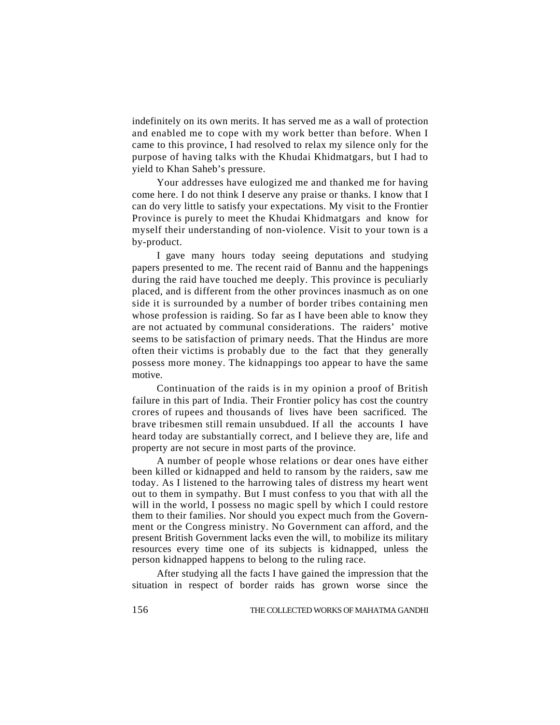indefinitely on its own merits. It has served me as a wall of protection and enabled me to cope with my work better than before. When I came to this province, I had resolved to relax my silence only for the purpose of having talks with the Khudai Khidmatgars, but I had to yield to Khan Saheb's pressure.

Your addresses have eulogized me and thanked me for having come here. I do not think I deserve any praise or thanks. I know that I can do very little to satisfy your expectations. My visit to the Frontier Province is purely to meet the Khudai Khidmatgars and know for myself their understanding of non-violence. Visit to your town is a by-product.

I gave many hours today seeing deputations and studying papers presented to me. The recent raid of Bannu and the happenings during the raid have touched me deeply. This province is peculiarly placed, and is different from the other provinces inasmuch as on one side it is surrounded by a number of border tribes containing men whose profession is raiding. So far as I have been able to know they are not actuated by communal considerations. The raiders' motive seems to be satisfaction of primary needs. That the Hindus are more often their victims is probably due to the fact that they generally possess more money. The kidnappings too appear to have the same motive.

Continuation of the raids is in my opinion a proof of British failure in this part of India. Their Frontier policy has cost the country crores of rupees and thousands of lives have been sacrificed. The brave tribesmen still remain unsubdued. If all the accounts I have heard today are substantially correct, and I believe they are, life and property are not secure in most parts of the province.

A number of people whose relations or dear ones have either been killed or kidnapped and held to ransom by the raiders, saw me today. As I listened to the harrowing tales of distress my heart went out to them in sympathy. But I must confess to you that with all the will in the world, I possess no magic spell by which I could restore them to their families. Nor should you expect much from the Government or the Congress ministry. No Government can afford, and the present British Government lacks even the will, to mobilize its military resources every time one of its subjects is kidnapped, unless the person kidnapped happens to belong to the ruling race.

After studying all the facts I have gained the impression that the situation in respect of border raids has grown worse since the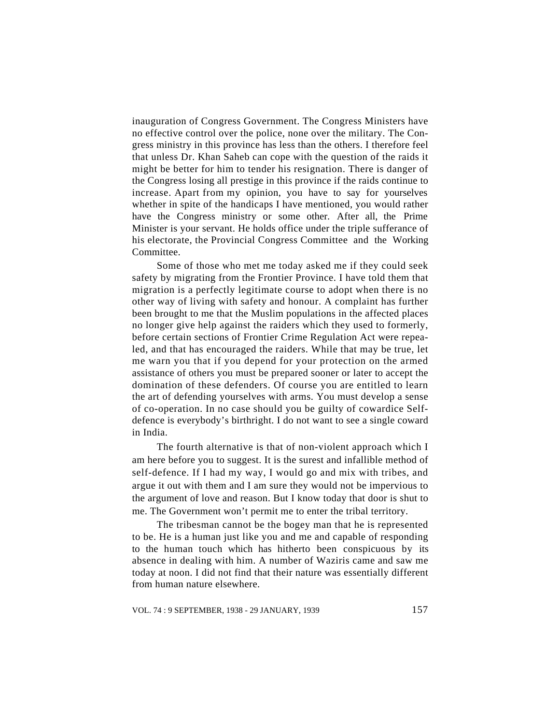inauguration of Congress Government. The Congress Ministers have no effective control over the police, none over the military. The Congress ministry in this province has less than the others. I therefore feel that unless Dr. Khan Saheb can cope with the question of the raids it might be better for him to tender his resignation. There is danger of the Congress losing all prestige in this province if the raids continue to increase. Apart from my opinion, you have to say for yourselves whether in spite of the handicaps I have mentioned, you would rather have the Congress ministry or some other. After all, the Prime Minister is your servant. He holds office under the triple sufferance of his electorate, the Provincial Congress Committee and the Working Committee.

Some of those who met me today asked me if they could seek safety by migrating from the Frontier Province. I have told them that migration is a perfectly legitimate course to adopt when there is no other way of living with safety and honour. A complaint has further been brought to me that the Muslim populations in the affected places no longer give help against the raiders which they used to formerly, before certain sections of Frontier Crime Regulation Act were repealed, and that has encouraged the raiders. While that may be true, let me warn you that if you depend for your protection on the armed assistance of others you must be prepared sooner or later to accept the domination of these defenders. Of course you are entitled to learn the art of defending yourselves with arms. You must develop a sense of co-operation. In no case should you be guilty of cowardice Selfdefence is everybody's birthright. I do not want to see a single coward in India.

The fourth alternative is that of non-violent approach which I am here before you to suggest. It is the surest and infallible method of self-defence. If I had my way, I would go and mix with tribes, and argue it out with them and I am sure they would not be impervious to the argument of love and reason. But I know today that door is shut to me. The Government won't permit me to enter the tribal territory.

The tribesman cannot be the bogey man that he is represented to be. He is a human just like you and me and capable of responding to the human touch which has hitherto been conspicuous by its absence in dealing with him. A number of Waziris came and saw me today at noon. I did not find that their nature was essentially different from human nature elsewhere.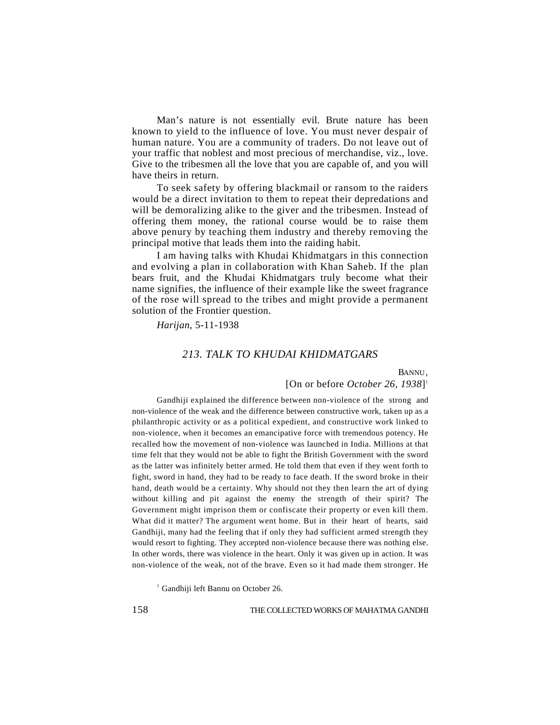Man's nature is not essentially evil. Brute nature has been known to yield to the influence of love. You must never despair of human nature. You are a community of traders. Do not leave out of your traffic that noblest and most precious of merchandise, viz., love. Give to the tribesmen all the love that you are capable of, and you will have theirs in return.

To seek safety by offering blackmail or ransom to the raiders would be a direct invitation to them to repeat their depredations and will be demoralizing alike to the giver and the tribesmen. Instead of offering them money, the rational course would be to raise them above penury by teaching them industry and thereby removing the principal motive that leads them into the raiding habit.

I am having talks with Khudai Khidmatgars in this connection and evolving a plan in collaboration with Khan Saheb. If the plan bears fruit, and the Khudai Khidmatgars truly become what their name signifies, the influence of their example like the sweet fragrance of the rose will spread to the tribes and might provide a permanent solution of the Frontier question.

*Harijan*, 5-11-1938

## *213. TALK TO KHUDAI KHIDMATGARS*

BANNU, [On or before *October 26, 1938*] 1

Gandhiji explained the difference between non-violence of the strong and non-violence of the weak and the difference between constructive work, taken up as a philanthropic activity or as a political expedient, and constructive work linked to non-violence, when it becomes an emancipative force with tremendous potency. He recalled how the movement of non-violence was launched in India. Millions at that time felt that they would not be able to fight the British Government with the sword as the latter was infinitely better armed. He told them that even if they went forth to fight, sword in hand, they had to be ready to face death. If the sword broke in their hand, death would be a certainty. Why should not they then learn the art of dying without killing and pit against the enemy the strength of their spirit? The Government might imprison them or confiscate their property or even kill them. What did it matter? The argument went home. But in their heart of hearts, said Gandhiji, many had the feeling that if only they had sufficient armed strength they would resort to fighting. They accepted non-violence because there was nothing else. In other words, there was violence in the heart. Only it was given up in action. It was non-violence of the weak, not of the brave. Even so it had made them stronger. He

<sup>1</sup> Gandhiji left Bannu on October 26.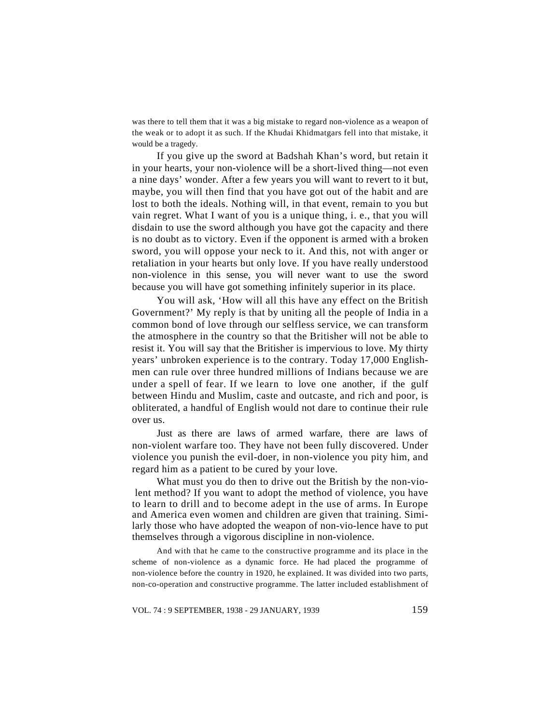was there to tell them that it was a big mistake to regard non-violence as a weapon of the weak or to adopt it as such. If the Khudai Khidmatgars fell into that mistake, it would be a tragedy.

If you give up the sword at Badshah Khan's word, but retain it in your hearts, your non-violence will be a short-lived thing—not even a nine days' wonder. After a few years you will want to revert to it but, maybe, you will then find that you have got out of the habit and are lost to both the ideals. Nothing will, in that event, remain to you but vain regret. What I want of you is a unique thing, i. e., that you will disdain to use the sword although you have got the capacity and there is no doubt as to victory. Even if the opponent is armed with a broken sword, you will oppose your neck to it. And this, not with anger or retaliation in your hearts but only love. If you have really understood non-violence in this sense, you will never want to use the sword because you will have got something infinitely superior in its place.

You will ask, 'How will all this have any effect on the British Government?' My reply is that by uniting all the people of India in a common bond of love through our selfless service, we can transform the atmosphere in the country so that the Britisher will not be able to resist it. You will say that the Britisher is impervious to love. My thirty years' unbroken experience is to the contrary. Today 17,000 Englishmen can rule over three hundred millions of Indians because we are under a spell of fear. If we learn to love one another, if the gulf between Hindu and Muslim, caste and outcaste, and rich and poor, is obliterated, a handful of English would not dare to continue their rule over us.

Just as there are laws of armed warfare, there are laws of non-violent warfare too. They have not been fully discovered. Under violence you punish the evil-doer, in non-violence you pity him, and regard him as a patient to be cured by your love.

What must you do then to drive out the British by the non-vio lent method? If you want to adopt the method of violence, you have to learn to drill and to become adept in the use of arms. In Europe and America even women and children are given that training. Similarly those who have adopted the weapon of non-vio-lence have to put themselves through a vigorous discipline in non-violence.

And with that he came to the constructive programme and its place in the scheme of non-violence as a dynamic force. He had placed the programme of non-violence before the country in 1920, he explained. It was divided into two parts, non-co-operation and constructive programme. The latter included establishment of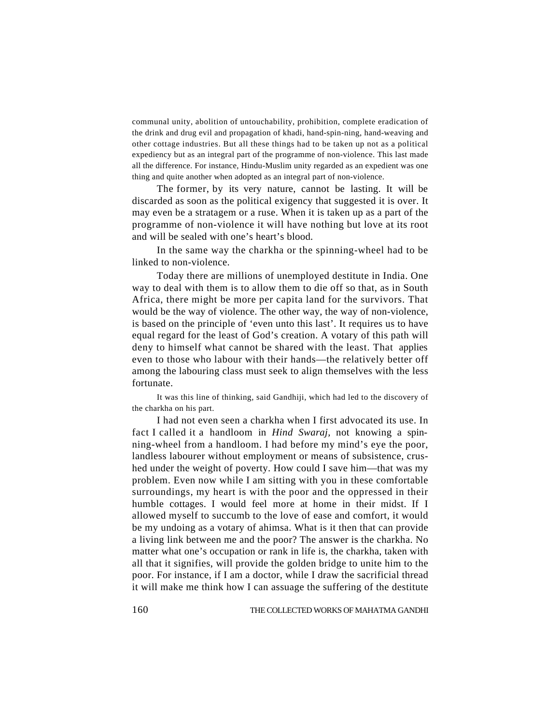communal unity, abolition of untouchability, prohibition, complete eradication of the drink and drug evil and propagation of khadi, hand-spin-ning, hand-weaving and other cottage industries. But all these things had to be taken up not as a political expediency but as an integral part of the programme of non-violence. This last made all the difference. For instance, Hindu-Muslim unity regarded as an expedient was one thing and quite another when adopted as an integral part of non-violence.

The former, by its very nature, cannot be lasting. It will be discarded as soon as the political exigency that suggested it is over. It may even be a stratagem or a ruse. When it is taken up as a part of the programme of non-violence it will have nothing but love at its root and will be sealed with one's heart's blood.

In the same way the charkha or the spinning-wheel had to be linked to non-violence.

Today there are millions of unemployed destitute in India. One way to deal with them is to allow them to die off so that, as in South Africa, there might be more per capita land for the survivors. That would be the way of violence. The other way, the way of non-violence, is based on the principle of 'even unto this last'. It requires us to have equal regard for the least of God's creation. A votary of this path will deny to himself what cannot be shared with the least. That applies even to those who labour with their hands—the relatively better off among the labouring class must seek to align themselves with the less fortunate.

It was this line of thinking, said Gandhiji, which had led to the discovery of the charkha on his part.

I had not even seen a charkha when I first advocated its use. In fact I called it a handloom in *Hind Swaraj,* not knowing a spinning-wheel from a handloom. I had before my mind's eye the poor, landless labourer without employment or means of subsistence, crushed under the weight of poverty. How could I save him—that was my problem. Even now while I am sitting with you in these comfortable surroundings, my heart is with the poor and the oppressed in their humble cottages. I would feel more at home in their midst. If I allowed myself to succumb to the love of ease and comfort, it would be my undoing as a votary of ahimsa. What is it then that can provide a living link between me and the poor? The answer is the charkha. No matter what one's occupation or rank in life is, the charkha, taken with all that it signifies, will provide the golden bridge to unite him to the poor. For instance, if I am a doctor, while I draw the sacrificial thread it will make me think how I can assuage the suffering of the destitute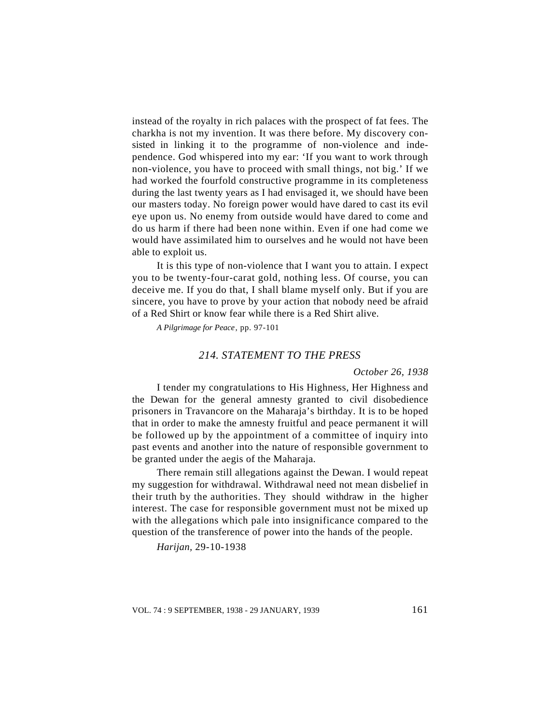instead of the royalty in rich palaces with the prospect of fat fees. The charkha is not my invention. It was there before. My discovery consisted in linking it to the programme of non-violence and independence. God whispered into my ear: 'If you want to work through non-violence, you have to proceed with small things, not big.' If we had worked the fourfold constructive programme in its completeness during the last twenty years as I had envisaged it, we should have been our masters today. No foreign power would have dared to cast its evil eye upon us. No enemy from outside would have dared to come and do us harm if there had been none within. Even if one had come we would have assimilated him to ourselves and he would not have been able to exploit us.

It is this type of non-violence that I want you to attain. I expect you to be twenty-four-carat gold, nothing less. Of course, you can deceive me. If you do that, I shall blame myself only. But if you are sincere, you have to prove by your action that nobody need be afraid of a Red Shirt or know fear while there is a Red Shirt alive.

*A Pilgrimage for Peace*, pp. 97-101

### *214. STATEMENT TO THE PRESS*

### *October 26, 1938*

I tender my congratulations to His Highness, Her Highness and the Dewan for the general amnesty granted to civil disobedience prisoners in Travancore on the Maharaja's birthday. It is to be hoped that in order to make the amnesty fruitful and peace permanent it will be followed up by the appointment of a committee of inquiry into past events and another into the nature of responsible government to be granted under the aegis of the Maharaja.

There remain still allegations against the Dewan. I would repeat my suggestion for withdrawal. Withdrawal need not mean disbelief in their truth by the authorities. They should withdraw in the higher interest. The case for responsible government must not be mixed up with the allegations which pale into insignificance compared to the question of the transference of power into the hands of the people.

*Harijan,* 29-10-1938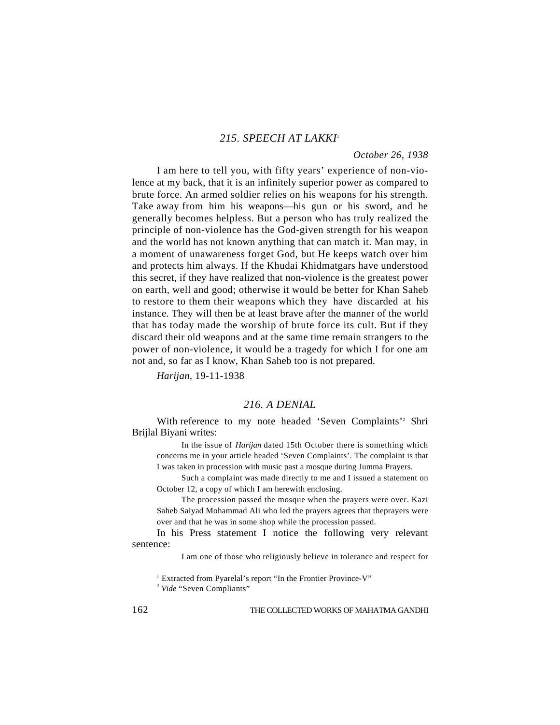## *215. SPEECH AT LAKKI*<sup>1</sup>

### *October 26, 1938*

I am here to tell you, with fifty years' experience of non-violence at my back, that it is an infinitely superior power as compared to brute force. An armed soldier relies on his weapons for his strength. Take away from him his weapons—his gun or his sword, and he generally becomes helpless. But a person who has truly realized the principle of non-violence has the God-given strength for his weapon and the world has not known anything that can match it. Man may, in a moment of unawareness forget God, but He keeps watch over him and protects him always. If the Khudai Khidmatgars have understood this secret, if they have realized that non-violence is the greatest power on earth, well and good; otherwise it would be better for Khan Saheb to restore to them their weapons which they have discarded at his instance. They will then be at least brave after the manner of the world that has today made the worship of brute force its cult. But if they discard their old weapons and at the same time remain strangers to the power of non-violence, it would be a tragedy for which I for one am not and, so far as I know, Khan Saheb too is not prepared.

*Harijan*, 19-11-1938

### *216. A DENIAL*

With reference to my note headed 'Seven Complaints'<sup>2</sup> Shri Brijlal Biyani writes:

In the issue of *Harijan* dated 15th October there is something which concerns me in your article headed 'Seven Complaints'. The complaint is that I was taken in procession with music past a mosque during Jumma Prayers.

Such a complaint was made directly to me and I issued a statement on October 12, a copy of which I am herewith enclosing.

The procession passed the mosque when the prayers were over. Kazi Saheb Saiyad Mohammad Ali who led the prayers agrees that theprayers were over and that he was in some shop while the procession passed.

In his Press statement I notice the following very relevant sentence:

I am one of those who religiously believe in tolerance and respect for

<sup>1</sup> Extracted from Pyarelal's report "In the Frontier Province-V"

<sup>2</sup> *Vide* "Seven Compliants"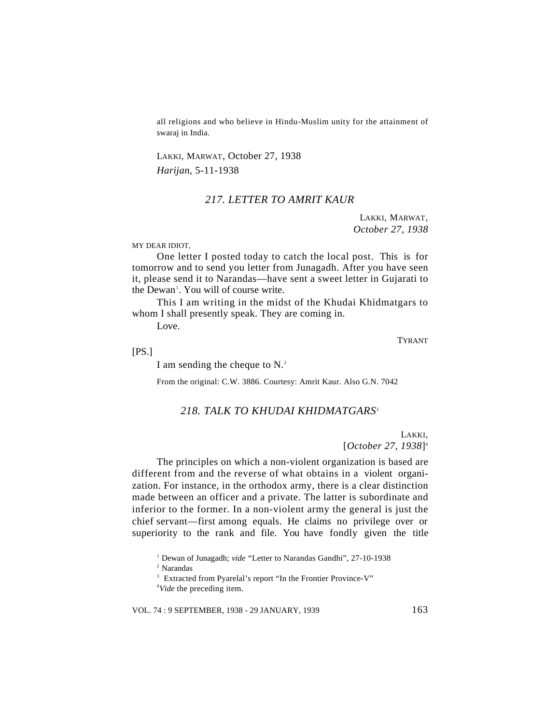all religions and who believe in Hindu-Muslim unity for the attainment of swaraj in India.

LAKKI, MARWAT, October 27, 1938 *Harijan*, 5-11-1938

## *217. LETTER TO AMRIT KAUR*

LAKKI, MARWAT, *October 27, 1938*

MY DEAR IDIOT,

One letter I posted today to catch the local post. This is for tomorrow and to send you letter from Junagadh. After you have seen it, please send it to Narandas—have sent a sweet letter in Gujarati to the Dewan<sup>1</sup>. You will of course write.

This I am writing in the midst of the Khudai Khidmatgars to whom I shall presently speak. They are coming in.

Love.

TYRANT

[PS.]

I am sending the cheque to  $N<sup>2</sup>$ .

From the original: C.W. 3886. Courtesy: Amrit Kaur. Also G.N. 7042

## 218. TALK TO KHUDAI KHIDMATGARS<sup>3</sup>

LAKKI, [*October 27, 1938*] 4

The principles on which a non-violent organization is based are different from and the reverse of what obtains in a violent organization. For instance, in the orthodox army, there is a clear distinction made between an officer and a private. The latter is subordinate and inferior to the former. In a non-violent army the general is just the chief servant—first among equals. He claims no privilege over or superiority to the rank and file. You have fondly given the title

<sup>1</sup> Dewan of Junagadh; vide "Letter to Narandas Gandhi", 27-10-1938

2 Narandas

<sup>3</sup> Extracted from Pyarelal's report "In the Frontier Province-V"

<sup>4</sup>*Vide* the preceding item.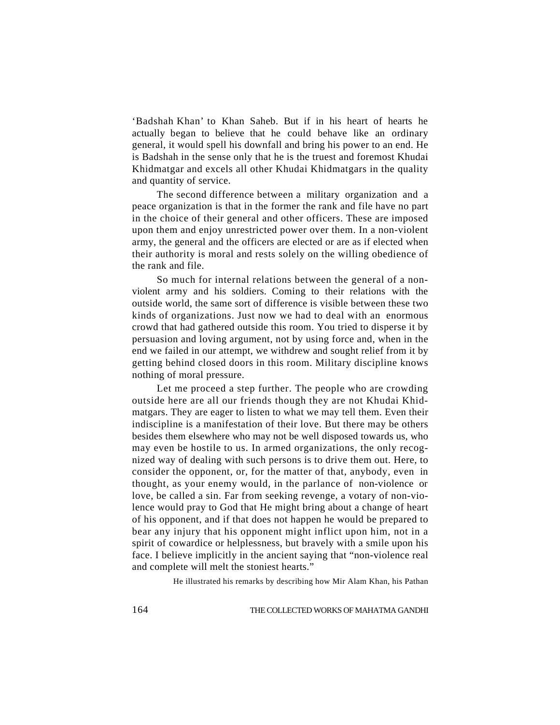'Badshah Khan' to Khan Saheb. But if in his heart of hearts he actually began to believe that he could behave like an ordinary general, it would spell his downfall and bring his power to an end. He is Badshah in the sense only that he is the truest and foremost Khudai Khidmatgar and excels all other Khudai Khidmatgars in the quality and quantity of service.

The second difference between a military organization and a peace organization is that in the former the rank and file have no part in the choice of their general and other officers. These are imposed upon them and enjoy unrestricted power over them. In a non-violent army, the general and the officers are elected or are as if elected when their authority is moral and rests solely on the willing obedience of the rank and file.

So much for internal relations between the general of a nonviolent army and his soldiers. Coming to their relations with the outside world, the same sort of difference is visible between these two kinds of organizations. Just now we had to deal with an enormous crowd that had gathered outside this room. You tried to disperse it by persuasion and loving argument, not by using force and, when in the end we failed in our attempt, we withdrew and sought relief from it by getting behind closed doors in this room. Military discipline knows nothing of moral pressure.

Let me proceed a step further. The people who are crowding outside here are all our friends though they are not Khudai Khidmatgars. They are eager to listen to what we may tell them. Even their indiscipline is a manifestation of their love. But there may be others besides them elsewhere who may not be well disposed towards us, who may even be hostile to us. In armed organizations, the only recognized way of dealing with such persons is to drive them out. Here, to consider the opponent, or, for the matter of that, anybody, even in thought, as your enemy would, in the parlance of non-violence or love, be called a sin. Far from seeking revenge, a votary of non-violence would pray to God that He might bring about a change of heart of his opponent, and if that does not happen he would be prepared to bear any injury that his opponent might inflict upon him, not in a spirit of cowardice or helplessness, but bravely with a smile upon his face. I believe implicitly in the ancient saying that "non-violence real and complete will melt the stoniest hearts."

He illustrated his remarks by describing how Mir Alam Khan, his Pathan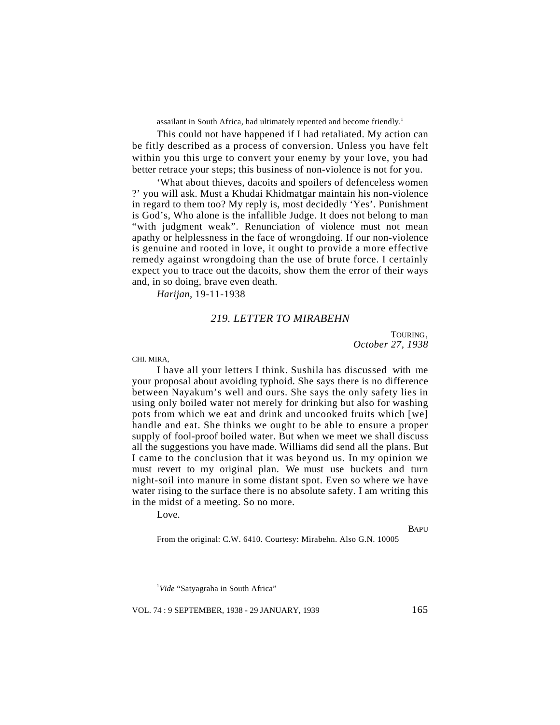assailant in South Africa, had ultimately repented and become friendly.<sup>1</sup>

This could not have happened if I had retaliated. My action can be fitly described as a process of conversion. Unless you have felt within you this urge to convert your enemy by your love, you had better retrace your steps; this business of non-violence is not for you.

'What about thieves, dacoits and spoilers of defenceless women ?' you will ask. Must a Khudai Khidmatgar maintain his non-violence in regard to them too? My reply is, most decidedly 'Yes'. Punishment is God's, Who alone is the infallible Judge. It does not belong to man "with judgment weak". Renunciation of violence must not mean apathy or helplessness in the face of wrongdoing. If our non-violence is genuine and rooted in love, it ought to provide a more effective remedy against wrongdoing than the use of brute force. I certainly expect you to trace out the dacoits, show them the error of their ways and, in so doing, brave even death.

*Harijan,* 19-11-1938

### *219. LETTER TO MIRABEHN*

TOURING, *October 27, 1938*

CHI. MIRA,

I have all your letters I think. Sushila has discussed with me your proposal about avoiding typhoid. She says there is no difference between Nayakum's well and ours. She says the only safety lies in using only boiled water not merely for drinking but also for washing pots from which we eat and drink and uncooked fruits which [we] handle and eat. She thinks we ought to be able to ensure a proper supply of fool-proof boiled water. But when we meet we shall discuss all the suggestions you have made. Williams did send all the plans. But I came to the conclusion that it was beyond us. In my opinion we must revert to my original plan. We must use buckets and turn night-soil into manure in some distant spot. Even so where we have water rising to the surface there is no absolute safety. I am writing this in the midst of a meeting. So no more.

Love.

**BAPU** 

From the original: C.W. 6410. Courtesy: Mirabehn. Also G.N. 10005

<sup>1</sup>*Vide* "Satyagraha in South Africa"

VOL. 74 : 9 SEPTEMBER, 1938 - 29 JANUARY, 1939 165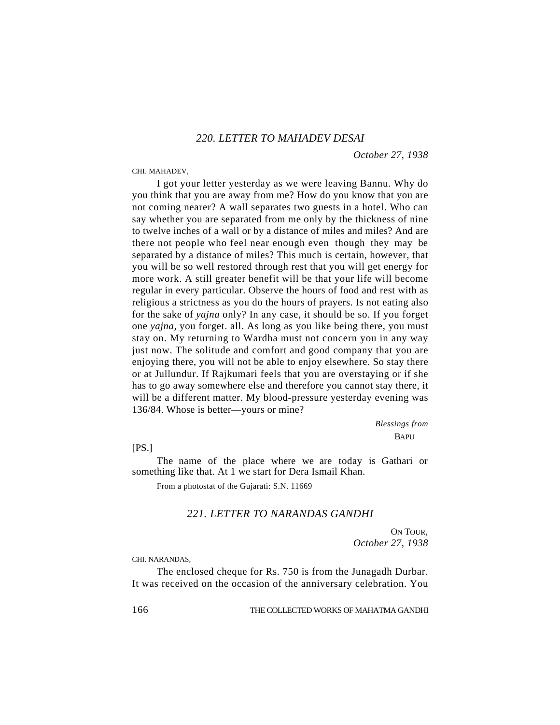## *220. LETTER TO MAHADEV DESAI*

*October 27, 1938*

CHI. MAHADEV,

I got your letter yesterday as we were leaving Bannu. Why do you think that you are away from me? How do you know that you are not coming nearer? A wall separates two guests in a hotel. Who can say whether you are separated from me only by the thickness of nine to twelve inches of a wall or by a distance of miles and miles? And are there not people who feel near enough even though they may be separated by a distance of miles? This much is certain, however, that you will be so well restored through rest that you will get energy for more work. A still greater benefit will be that your life will become regular in every particular. Observe the hours of food and rest with as religious a strictness as you do the hours of prayers. Is not eating also for the sake of *yajna* only? In any case, it should be so. If you forget one *yajna,* you forget. all. As long as you like being there, you must stay on. My returning to Wardha must not concern you in any way just now. The solitude and comfort and good company that you are enjoying there, you will not be able to enjoy elsewhere. So stay there or at Jullundur. If Rajkumari feels that you are overstaying or if she has to go away somewhere else and therefore you cannot stay there, it will be a different matter. My blood-pressure yesterday evening was 136/84. Whose is better—yours or mine?

> *Blessings from* **BAPU**

[PS.]

The name of the place where we are today is Gathari or something like that. At 1 we start for Dera Ismail Khan.

From a photostat of the Gujarati: S.N. 11669

## *221. LETTER TO NARANDAS GANDHI*

ON TOUR, *October 27, 1938*

CHI. NARANDAS,

The enclosed cheque for Rs. 750 is from the Junagadh Durbar. It was received on the occasion of the anniversary celebration. You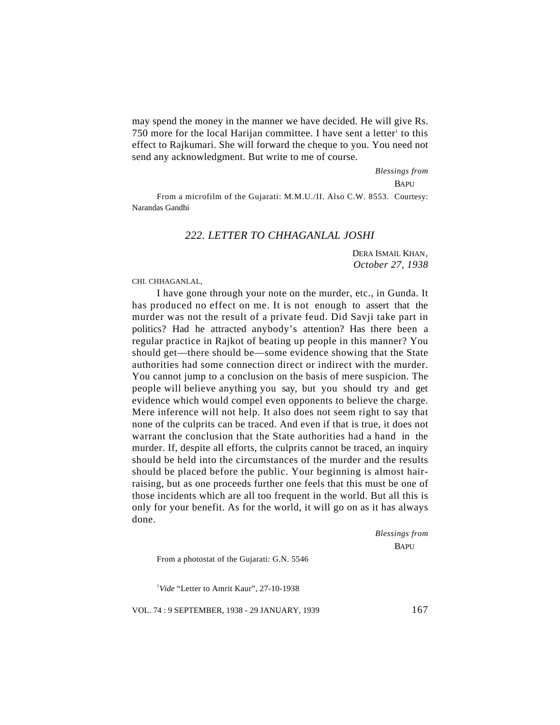may spend the money in the manner we have decided. He will give Rs. 750 more for the local Harijan committee. I have sent a letter to this effect to Rajkumari. She will forward the cheque to you. You need not send any acknowledgment. But write to me of course.

> *Blessings from* BAPU

From a microfilm of the Gujarati: M.M.U./II. Also C.W. 8553. Courtesy: Narandas Gandhi

## *222. LETTER TO CHHAGANLAL JOSHI*

DERA ISMAIL KHAN, *October 27, 1938*

#### CHI. CHHAGANLAL,

I have gone through your note on the murder, etc., in Gunda. It has produced no effect on me. It is not enough to assert that the murder was not the result of a private feud. Did Savji take part in politics? Had he attracted anybody's attention? Has there been a regular practice in Rajkot of beating up people in this manner? You should get—there should be—some evidence showing that the State authorities had some connection direct or indirect with the murder. You cannot jump to a conclusion on the basis of mere suspicion. The people will believe anything you say, but you should try and get evidence which would compel even opponents to believe the charge. Mere inference will not help. It also does not seem right to say that none of the culprits can be traced. And even if that is true, it does not warrant the conclusion that the State authorities had a hand in the murder. If, despite all efforts, the culprits cannot be traced, an inquiry should be held into the circumstances of the murder and the results should be placed before the public. Your beginning is almost hairraising, but as one proceeds further one feels that this must be one of those incidents which are all too frequent in the world. But all this is only for your benefit. As for the world, it will go on as it has always done.

> *Blessings from* **BAPU**

From a photostat of the Gujarati: G.N. 5546

<sup>1</sup>Vide "Letter to Amrit Kaur", 27-10-1938

VOL. 74 : 9 SEPTEMBER, 1938 - 29 JANUARY, 1939 167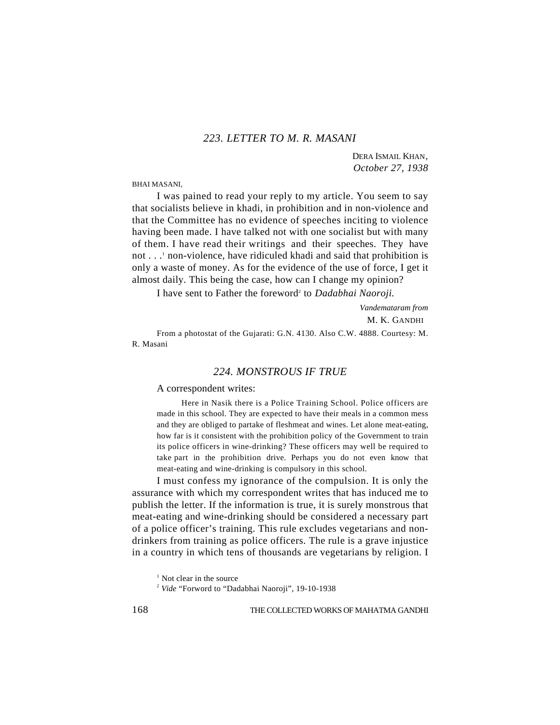## *223. LETTER TO M. R. MASANI*

DERA ISMAIL KHAN, *October 27, 1938*

#### BHAI MASANI,

I was pained to read your reply to my article. You seem to say that socialists believe in khadi, in prohibition and in non-violence and that the Committee has no evidence of speeches inciting to violence having been made. I have talked not with one socialist but with many of them. I have read their writings and their speeches. They have not . . .<sup>1</sup> non-violence, have ridiculed khadi and said that prohibition is only a waste of money. As for the evidence of the use of force, I get it almost daily. This being the case, how can I change my opinion?

I have sent to Father the foreword<sup>2</sup> to *Dadabhai Naoroji*.

*Vandemataram from*

M. K. GANDHI

From a photostat of the Gujarati: G.N. 4130. Also C.W. 4888. Courtesy: M. R. Masani

### *224. MONSTROUS IF TRUE*

#### A correspondent writes:

Here in Nasik there is a Police Training School. Police officers are made in this school. They are expected to have their meals in a common mess and they are obliged to partake of fleshmeat and wines. Let alone meat-eating, how far is it consistent with the prohibition policy of the Government to train its police officers in wine-drinking? These officers may well be required to take part in the prohibition drive. Perhaps you do not even know that meat-eating and wine-drinking is compulsory in this school.

I must confess my ignorance of the compulsion. It is only the assurance with which my correspondent writes that has induced me to publish the letter. If the information is true, it is surely monstrous that meat-eating and wine-drinking should be considered a necessary part of a police officer's training. This rule excludes vegetarians and nondrinkers from training as police officers. The rule is a grave injustice in a country in which tens of thousands are vegetarians by religion. I

<sup>1</sup> Not clear in the source

<sup>2</sup> *Vide* "Forword to "Dadabhai Naoroji", 19-10-1938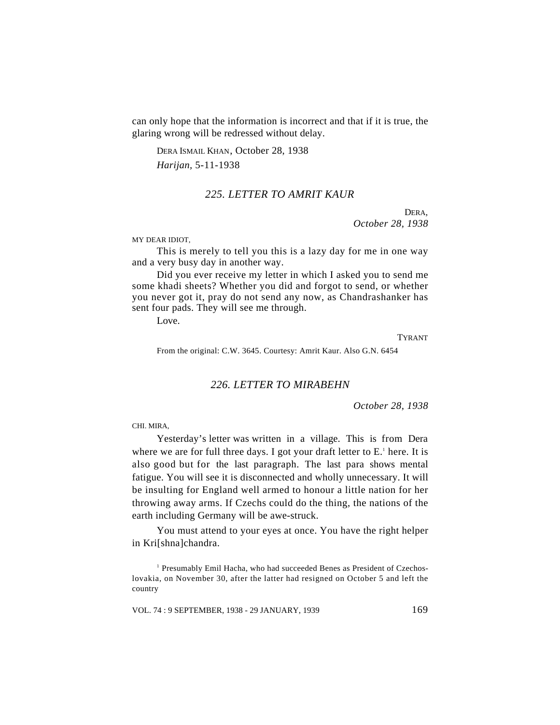can only hope that the information is incorrect and that if it is true, the glaring wrong will be redressed without delay.

DERA ISMAIL KHAN, October 28, 1938 *Harijan,* 5-11-1938

## *225. LETTER TO AMRIT KAUR*

DERA, *October 28, 1938*

MY DEAR IDIOT,

This is merely to tell you this is a lazy day for me in one way and a very busy day in another way.

Did you ever receive my letter in which I asked you to send me some khadi sheets? Whether you did and forgot to send, or whether you never got it, pray do not send any now, as Chandrashanker has sent four pads. They will see me through.

Love.

TYRANT

From the original: C.W. 3645. Courtesy: Amrit Kaur. Also G.N. 6454

## *226. LETTER TO MIRABEHN*

*October 28, 1938*

CHI. MIRA,

Yesterday's letter was written in a village. This is from Dera where we are for full three days. I got your draft letter to  $E<sup>T</sup>$  here. It is also good but for the last paragraph. The last para shows mental fatigue. You will see it is disconnected and wholly unnecessary. It will be insulting for England well armed to honour a little nation for her throwing away arms. If Czechs could do the thing, the nations of the earth including Germany will be awe-struck.

You must attend to your eyes at once. You have the right helper in Kri[shna]chandra.

<sup>1</sup> Presumably Emil Hacha, who had succeeded Benes as President of Czechoslovakia, on November 30, after the latter had resigned on October 5 and left the country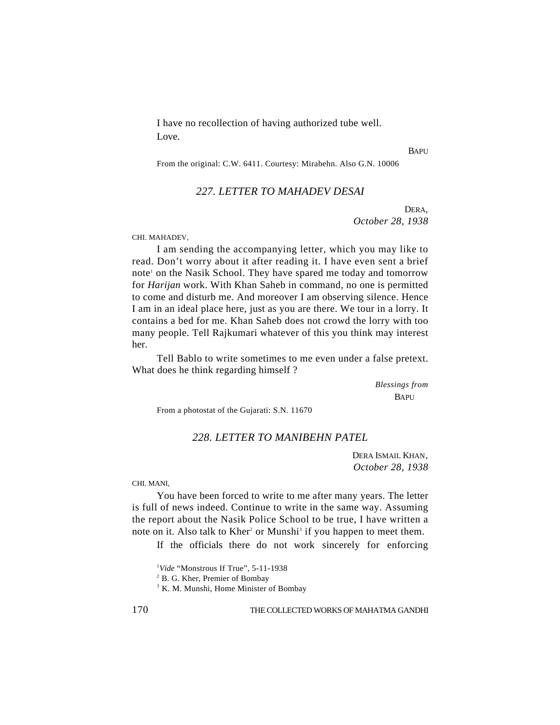I have no recollection of having authorized tube well. Love.

**BAPU** 

From the original: C.W. 6411. Courtesy: Mirabehn. Also G.N. 10006

### *227. LETTER TO MAHADEV DESAI*

DERA, *October 28, 1938*

CHI. MAHADEV,

I am sending the accompanying letter, which you may like to read. Don't worry about it after reading it. I have even sent a brief note<sup>1</sup> on the Nasik School. They have spared me today and tomorrow for *Harijan* work. With Khan Saheb in command, no one is permitted to come and disturb me. And moreover I am observing silence. Hence I am in an ideal place here, just as you are there. We tour in a lorry. It contains a bed for me. Khan Saheb does not crowd the lorry with too many people. Tell Rajkumari whatever of this you think may interest her.

Tell Bablo to write sometimes to me even under a false pretext. What does he think regarding himself ?

> *Blessings from* **BAPU**

From a photostat of the Gujarati: S.N. 11670

## *228. LETTER TO MANIBEHN PATEL*

DERA ISMAIL KHAN, *October 28, 1938*

CHI. MANI,

You have been forced to write to me after many years. The letter is full of news indeed. Continue to write in the same way. Assuming the report about the Nasik Police School to be true, I have written a note on it. Also talk to Kher<sup>2</sup> or Munshi<sup>3</sup> if you happen to meet them.

If the officials there do not work sincerely for enforcing

<sup>1</sup>*Vide* "Monstrous If True", 5-11-1938

<sup>2</sup> B. G. Kher, Premier of Bombay

<sup>3</sup> K. M. Munshi, Home Minister of Bombay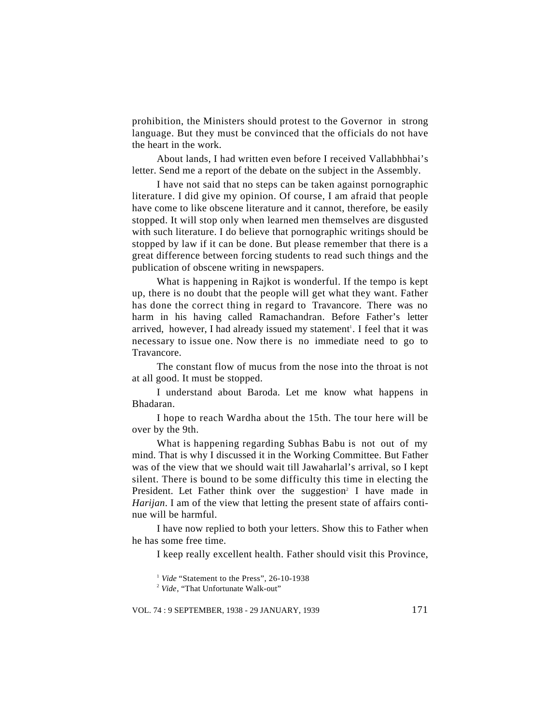prohibition, the Ministers should protest to the Governor in strong language. But they must be convinced that the officials do not have the heart in the work.

About lands, I had written even before I received Vallabhbhai's letter. Send me a report of the debate on the subject in the Assembly.

I have not said that no steps can be taken against pornographic literature. I did give my opinion. Of course, I am afraid that people have come to like obscene literature and it cannot, therefore, be easily stopped. It will stop only when learned men themselves are disgusted with such literature. I do believe that pornographic writings should be stopped by law if it can be done. But please remember that there is a great difference between forcing students to read such things and the publication of obscene writing in newspapers.

What is happening in Rajkot is wonderful. If the tempo is kept up, there is no doubt that the people will get what they want. Father has done the correct thing in regard to Travancore. There was no harm in his having called Ramachandran. Before Father's letter arrived, however, I had already issued my statement<sup>1</sup>. I feel that it was necessary to issue one. Now there is no immediate need to go to Travancore.

The constant flow of mucus from the nose into the throat is not at all good. It must be stopped.

I understand about Baroda. Let me know what happens in Bhadaran.

I hope to reach Wardha about the 15th. The tour here will be over by the 9th.

What is happening regarding Subhas Babu is not out of my mind. That is why I discussed it in the Working Committee. But Father was of the view that we should wait till Jawaharlal's arrival, so I kept silent. There is bound to be some difficulty this time in electing the President. Let Father think over the suggestion<sup>2</sup> I have made in *Harijan*. I am of the view that letting the present state of affairs continue will be harmful.

I have now replied to both your letters. Show this to Father when he has some free time.

I keep really excellent health. Father should visit this Province,

<sup>1</sup> Vide "Statement to the Press", 26-10-1938

<sup>2</sup> *Vide*, "That Unfortunate Walk-out"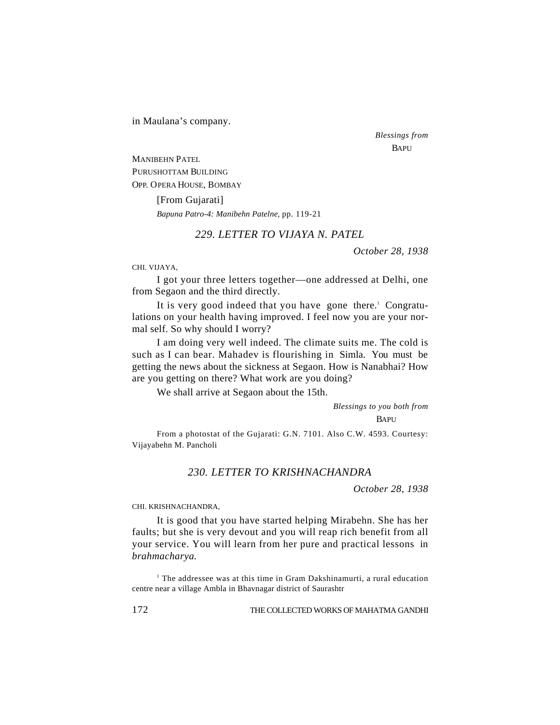in Maulana's company.

*Blessings from* **BAPU** 

MANIBEHN PATEL PURUSHOTTAM BUILDING OPP. OPERA HOUSE, BOMBAY

> [From Gujarati] *Bapuna Patro-4: Manibehn Patelne,* pp. 119-21

## *229. LETTER TO VIJAYA N. PATEL*

*October 28, 1938*

CHI. VIJAYA,

I got your three letters together—one addressed at Delhi, one from Segaon and the third directly.

It is very good indeed that you have gone there.<sup>1</sup> Congratulations on your health having improved. I feel now you are your normal self. So why should I worry?

I am doing very well indeed. The climate suits me. The cold is such as I can bear. Mahadev is flourishing in Simla. You must be getting the news about the sickness at Segaon. How is Nanabhai? How are you getting on there? What work are you doing?

We shall arrive at Segaon about the 15th.

*Blessings to you both from* BAPU

From a photostat of the Gujarati: G.N. 7101. Also C.W. 4593. Courtesy: Vijayabehn M. Pancholi

## *230. LETTER TO KRISHNACHANDRA*

*October 28, 1938*

CHI. KRISHNACHANDRA,

It is good that you have started helping Mirabehn. She has her faults; but she is very devout and you will reap rich benefit from all your service. You will learn from her pure and practical lessons in *brahmacharya.*

<sup>1</sup> The addressee was at this time in Gram Dakshinamurti, a rural education centre near a village Ambla in Bhavnagar district of Saurashtr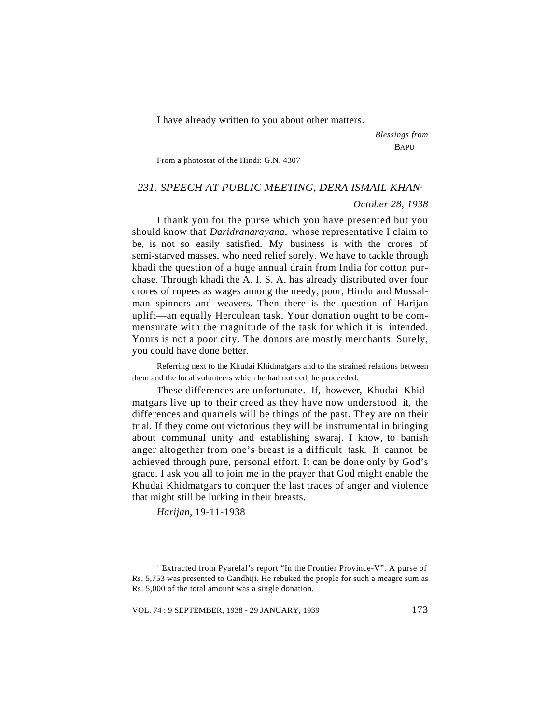I have already written to you about other matters.

*Blessings from* **BAPU** 

From a photostat of the Hindi: G.N. 4307

# *231. SPEECH AT PUBLIC MEETING, DERA ISMAIL KHAN*<sup>1</sup> *October 28, 1938*

I thank you for the purse which you have presented but you should know that *Daridranarayana,* whose representative I claim to be, is not so easily satisfied. My business is with the crores of semi-starved masses, who need relief sorely. We have to tackle through khadi the question of a huge annual drain from India for cotton purchase. Through khadi the A. I. S. A. has already distributed over four crores of rupees as wages among the needy, poor, Hindu and Mussalman spinners and weavers. Then there is the question of Harijan uplift—an equally Herculean task. Your donation ought to be commensurate with the magnitude of the task for which it is intended. Yours is not a poor city. The donors are mostly merchants. Surely, you could have done better.

Referring next to the Khudai Khidmatgars and to the strained relations between them and the local volunteers which he had noticed, he proceeded:

These differences are unfortunate. If, however, Khudai Khidmatgars live up to their creed as they have now understood it, the differences and quarrels will be things of the past. They are on their trial. If they come out victorious they will be instrumental in bringing about communal unity and establishing swaraj. I know, to banish anger altogether from one's breast is a difficult task. It cannot be achieved through pure, personal effort. It can be done only by God's grace. I ask you all to join me in the prayer that God might enable the Khudai Khidmatgars to conquer the last traces of anger and violence that might still be lurking in their breasts.

*Harijan,* 19-11-1938

<sup>&</sup>lt;sup>1</sup> Extracted from Pyarelal's report "In the Frontier Province-V". A purse of Rs. 5,753 was presented to Gandhiji. He rebuked the people for such a meagre sum as Rs. 5,000 of the total amount was a single donation.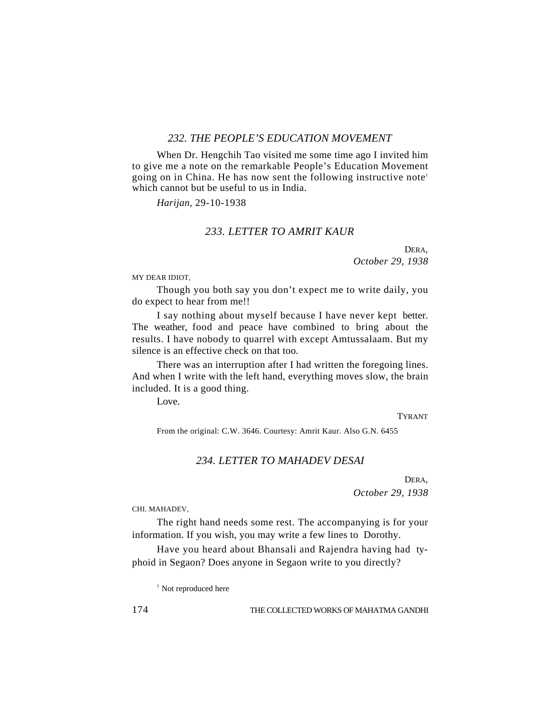## *232. THE PEOPLE'S EDUCATION MOVEMENT*

When Dr. Hengchih Tao visited me some time ago I invited him to give me a note on the remarkable People's Education Movement going on in China. He has now sent the following instructive note<sup>1</sup> which cannot but be useful to us in India.

*Harijan,* 29-10-1938

## *233. LETTER TO AMRIT KAUR*

DERA, *October 29, 1938*

MY DEAR IDIOT,

Though you both say you don't expect me to write daily, you do expect to hear from me!!

I say nothing about myself because I have never kept better. The weather, food and peace have combined to bring about the results. I have nobody to quarrel with except Amtussalaam. But my silence is an effective check on that too.

There was an interruption after I had written the foregoing lines. And when I write with the left hand, everything moves slow, the brain included. It is a good thing.

Love.

TYRANT

From the original: C.W. 3646. Courtesy: Amrit Kaur. Also G.N. 6455

## *234. LETTER TO MAHADEV DESAI*

DERA, *October 29, 1938*

CHI. MAHADEV,

The right hand needs some rest. The accompanying is for your information. If you wish, you may write a few lines to Dorothy.

Have you heard about Bhansali and Rajendra having had typhoid in Segaon? Does anyone in Segaon write to you directly?

<sup>1</sup> Not reproduced here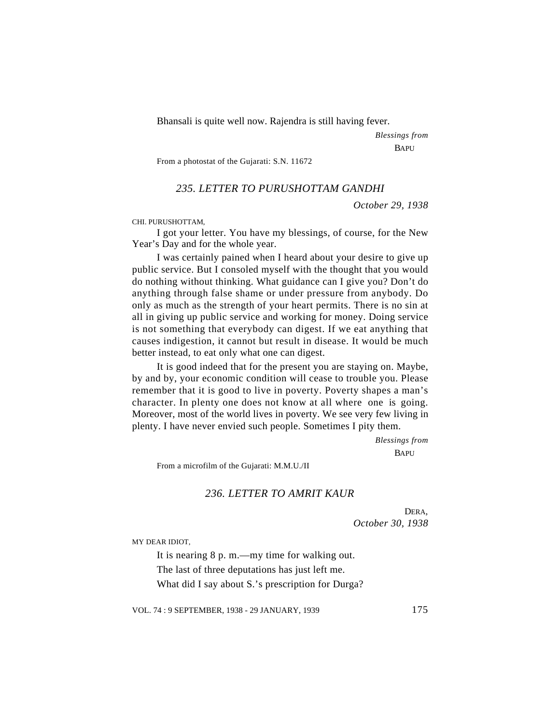Bhansali is quite well now. Rajendra is still having fever.

*Blessings from* **BAPU** 

From a photostat of the Gujarati: S.N. 11672

### *235. LETTER TO PURUSHOTTAM GANDHI*

*October 29, 1938*

CHI. PURUSHOTTAM,

I got your letter. You have my blessings, of course, for the New Year's Day and for the whole year.

I was certainly pained when I heard about your desire to give up public service. But I consoled myself with the thought that you would do nothing without thinking. What guidance can I give you? Don't do anything through false shame or under pressure from anybody. Do only as much as the strength of your heart permits. There is no sin at all in giving up public service and working for money. Doing service is not something that everybody can digest. If we eat anything that causes indigestion, it cannot but result in disease. It would be much better instead, to eat only what one can digest.

It is good indeed that for the present you are staying on. Maybe, by and by, your economic condition will cease to trouble you. Please remember that it is good to live in poverty. Poverty shapes a man's character. In plenty one does not know at all where one is going. Moreover, most of the world lives in poverty. We see very few living in plenty. I have never envied such people. Sometimes I pity them.

> *Blessings from* BAPU

From a microfilm of the Gujarati: M.M.U./II

### *236. LETTER TO AMRIT KAUR*

DERA, *October 30, 1938*

MY DEAR IDIOT,

It is nearing 8 p. m.—my time for walking out. The last of three deputations has just left me. What did I say about S.'s prescription for Durga?

VOL. 74 : 9 SEPTEMBER, 1938 - 29 JANUARY, 1939 175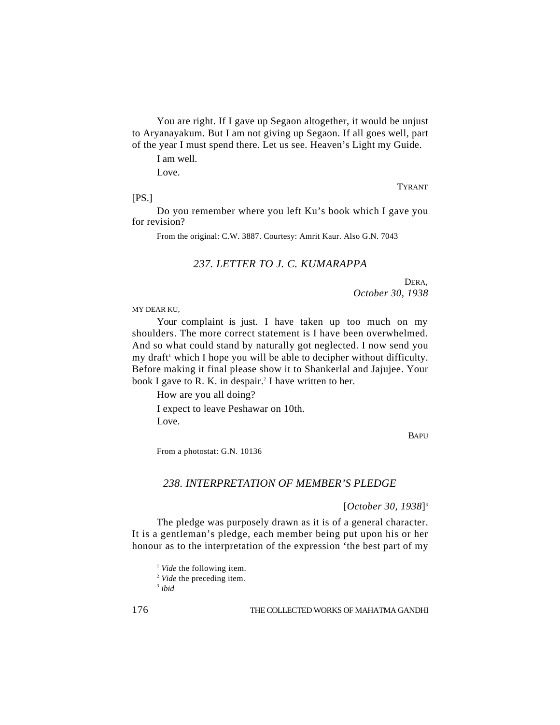You are right. If I gave up Segaon altogether, it would be unjust to Aryanayakum. But I am not giving up Segaon. If all goes well, part of the year I must spend there. Let us see. Heaven's Light my Guide.

I am well.

Love.

[PS.]

Do you remember where you left Ku's book which I gave you for revision?

From the original: C.W. 3887. Courtesy: Amrit Kaur. Also G.N. 7043

# *237. LETTER TO J. C. KUMARAPPA*

DERA, *October 30, 1938*

TYRANT

MY DEAR KU,

Your complaint is just. I have taken up too much on my shoulders. The more correct statement is I have been overwhelmed. And so what could stand by naturally got neglected. I now send you my draft<sup>1</sup> which I hope you will be able to decipher without difficulty. Before making it final please show it to Shankerlal and Jajujee. Your book I gave to R. K. in despair.<sup>2</sup> I have written to her.

How are you all doing?

I expect to leave Peshawar on 10th. Love.

**BAPU** 

From a photostat: G.N. 10136

## *238. INTERPRETATION OF MEMBER'S PLEDGE*

[*October 30, 1938*] 3

The pledge was purposely drawn as it is of a general character. It is a gentleman's pledge, each member being put upon his or her honour as to the interpretation of the expression 'the best part of my

<sup>1</sup> *Vide* the following item.

<sup>2</sup> *Vide* the preceding item.

3 *ibid*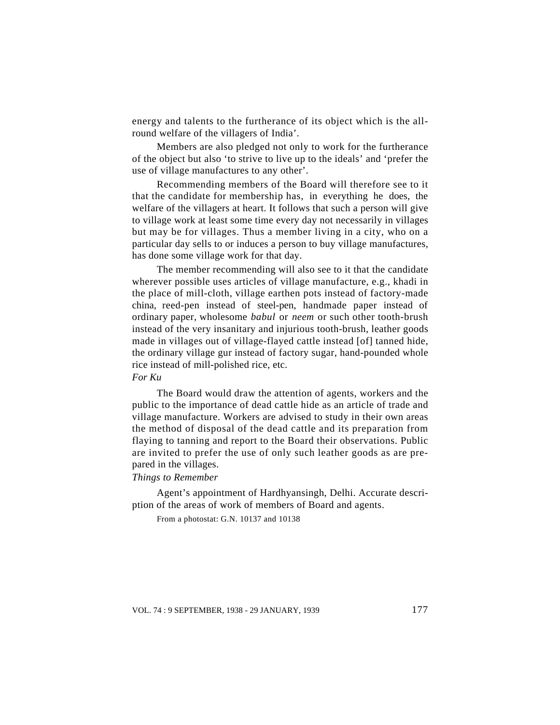energy and talents to the furtherance of its object which is the allround welfare of the villagers of India'.

Members are also pledged not only to work for the furtherance of the object but also 'to strive to live up to the ideals' and 'prefer the use of village manufactures to any other'.

Recommending members of the Board will therefore see to it that the candidate for membership has, in everything he does, the welfare of the villagers at heart. It follows that such a person will give to village work at least some time every day not necessarily in villages but may be for villages. Thus a member living in a city, who on a particular day sells to or induces a person to buy village manufactures, has done some village work for that day.

The member recommending will also see to it that the candidate wherever possible uses articles of village manufacture, e.g., khadi in the place of mill-cloth, village earthen pots instead of factory-made china, reed-pen instead of steel-pen, handmade paper instead of ordinary paper, wholesome *babul* or *neem* or such other tooth-brush instead of the very insanitary and injurious tooth-brush, leather goods made in villages out of village-flayed cattle instead [of] tanned hide, the ordinary village gur instead of factory sugar, hand-pounded whole rice instead of mill-polished rice, etc.

### *For Ku*

The Board would draw the attention of agents, workers and the public to the importance of dead cattle hide as an article of trade and village manufacture. Workers are advised to study in their own areas the method of disposal of the dead cattle and its preparation from flaying to tanning and report to the Board their observations. Public are invited to prefer the use of only such leather goods as are prepared in the villages.

### *Things to Remember*

Agent's appointment of Hardhyansingh, Delhi. Accurate description of the areas of work of members of Board and agents.

From a photostat: G.N. 10137 and 10138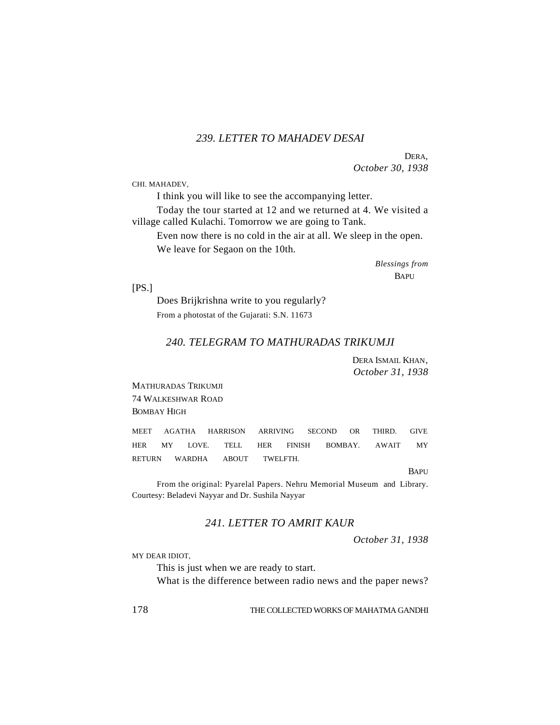## *239. LETTER TO MAHADEV DESAI*

DERA, *October 30, 1938*

CHI. MAHADEV,

I think you will like to see the accompanying letter.

Today the tour started at 12 and we returned at 4. We visited a village called Kulachi. Tomorrow we are going to Tank.

Even now there is no cold in the air at all. We sleep in the open. We leave for Segaon on the 10th.

> *Blessings from* **BAPU**

 $[PS.]$ 

Does Brijkrishna write to you regularly? From a photostat of the Gujarati: S.N. 11673

## *240. TELEGRAM TO MATHURADAS TRIKUMJI*

DERA ISMAIL KHAN, *October 31, 1938*

MATHURADAS TRIKUMJI 74 WALKESHWAR ROAD BOMBAY HIGH

MEET AGATHA HARRISON ARRIVING SECOND OR THIRD. GIVE HER MY LOVE. TELL HER FINISH BOMBAY. AWAIT MY RETURN WARDHA ABOUT TWELFTH.

**BAPU** 

From the original: Pyarelal Papers. Nehru Memorial Museum and Library. Courtesy: Beladevi Nayyar and Dr. Sushila Nayyar

## *241. LETTER TO AMRIT KAUR*

*October 31, 1938*

MY DEAR IDIOT,

This is just when we are ready to start. What is the difference between radio news and the paper news?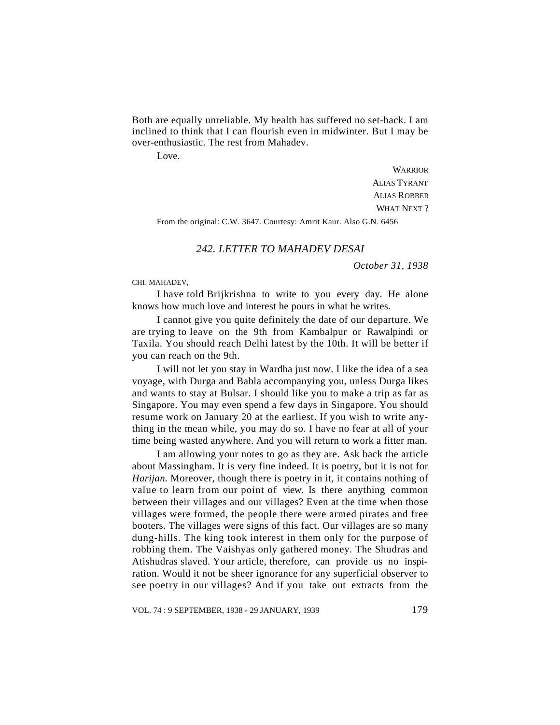Both are equally unreliable. My health has suffered no set-back. I am inclined to think that I can flourish even in midwinter. But I may be over-enthusiastic. The rest from Mahadev.

Love.

**WARRIOR** ALIAS TYRANT ALIAS ROBBER WHAT NEXT?

From the original: C.W. 3647. Courtesy: Amrit Kaur. Also G.N. 6456

## *242. LETTER TO MAHADEV DESAI*

*October 31, 1938*

#### CHI. MAHADEV,

I have told Brijkrishna to write to you every day. He alone knows how much love and interest he pours in what he writes.

I cannot give you quite definitely the date of our departure. We are trying to leave on the 9th from Kambalpur or Rawalpindi or Taxila. You should reach Delhi latest by the 10th. It will be better if you can reach on the 9th.

I will not let you stay in Wardha just now. I like the idea of a sea voyage, with Durga and Babla accompanying you, unless Durga likes and wants to stay at Bulsar. I should like you to make a trip as far as Singapore. You may even spend a few days in Singapore. You should resume work on January 20 at the earliest. If you wish to write anything in the mean while, you may do so. I have no fear at all of your time being wasted anywhere. And you will return to work a fitter man.

I am allowing your notes to go as they are. Ask back the article about Massingham. It is very fine indeed. It is poetry, but it is not for *Harijan.* Moreover, though there is poetry in it, it contains nothing of value to learn from our point of view. Is there anything common between their villages and our villages? Even at the time when those villages were formed, the people there were armed pirates and free booters. The villages were signs of this fact. Our villages are so many dung-hills. The king took interest in them only for the purpose of robbing them. The Vaishyas only gathered money. The Shudras and Atishudras slaved. Your article, therefore, can provide us no inspiration. Would it not be sheer ignorance for any superficial observer to see poetry in our villages? And if you take out extracts from the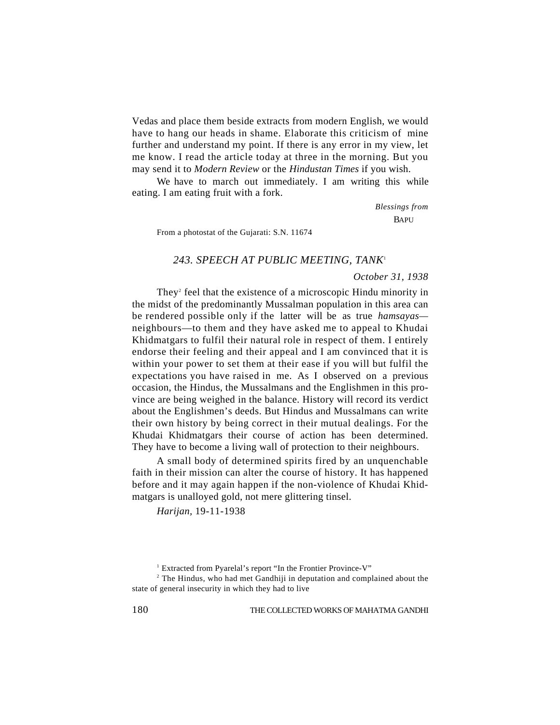Vedas and place them beside extracts from modern English, we would have to hang our heads in shame. Elaborate this criticism of mine further and understand my point. If there is any error in my view, let me know. I read the article today at three in the morning. But you may send it to *Modern Review* or the *Hindustan Times* if you wish.

We have to march out immediately. I am writing this while eating. I am eating fruit with a fork.

> *Blessings from* BAPU

From a photostat of the Gujarati: S.N. 11674

#### *243. SPEECH AT PUBLIC MEETING, TANK*<sup>1</sup>

#### *October 31, 1938*

They<sup>2</sup> feel that the existence of a microscopic Hindu minority in the midst of the predominantly Mussalman population in this area can be rendered possible only if the latter will be as true *hamsayas* neighbours—to them and they have asked me to appeal to Khudai Khidmatgars to fulfil their natural role in respect of them. I entirely endorse their feeling and their appeal and I am convinced that it is within your power to set them at their ease if you will but fulfil the expectations you have raised in me. As I observed on a previous occasion, the Hindus, the Mussalmans and the Englishmen in this province are being weighed in the balance. History will record its verdict about the Englishmen's deeds. But Hindus and Mussalmans can write their own history by being correct in their mutual dealings. For the Khudai Khidmatgars their course of action has been determined. They have to become a living wall of protection to their neighbours.

A small body of determined spirits fired by an unquenchable faith in their mission can alter the course of history. It has happened before and it may again happen if the non-violence of Khudai Khidmatgars is unalloyed gold, not mere glittering tinsel.

*Harijan,* 19-11-1938

<sup>&</sup>lt;sup>1</sup> Extracted from Pyarelal's report "In the Frontier Province-V"

 $2$  The Hindus, who had met Gandhiji in deputation and complained about the state of general insecurity in which they had to live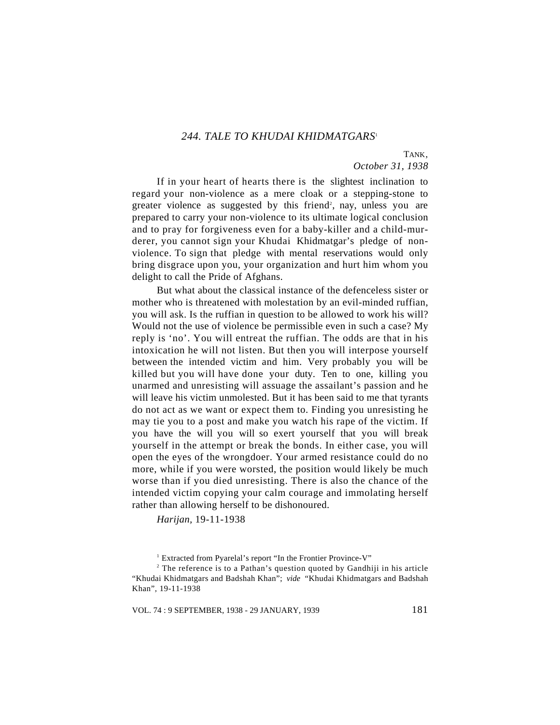## *244. TALE TO KHUDAI KHIDMATGARS*<sup>1</sup>

TANK, *October 31, 1938*

If in your heart of hearts there is the slightest inclination to regard your non-violence as a mere cloak or a stepping-stone to greater violence as suggested by this friend<sup>2</sup>, nay, unless you are prepared to carry your non-violence to its ultimate logical conclusion and to pray for forgiveness even for a baby-killer and a child-murderer, you cannot sign your Khudai Khidmatgar's pledge of nonviolence. To sign that pledge with mental reservations would only bring disgrace upon you, your organization and hurt him whom you delight to call the Pride of Afghans.

But what about the classical instance of the defenceless sister or mother who is threatened with molestation by an evil-minded ruffian, you will ask. Is the ruffian in question to be allowed to work his will? Would not the use of violence be permissible even in such a case? My reply is 'no'. You will entreat the ruffian. The odds are that in his intoxication he will not listen. But then you will interpose yourself between the intended victim and him. Very probably you will be killed but you will have done your duty. Ten to one, killing you unarmed and unresisting will assuage the assailant's passion and he will leave his victim unmolested. But it has been said to me that tyrants do not act as we want or expect them to. Finding you unresisting he may tie you to a post and make you watch his rape of the victim. If you have the will you will so exert yourself that you will break yourself in the attempt or break the bonds. In either case, you will open the eyes of the wrongdoer. Your armed resistance could do no more, while if you were worsted, the position would likely be much worse than if you died unresisting. There is also the chance of the intended victim copying your calm courage and immolating herself rather than allowing herself to be dishonoured.

*Harijan,* 19-11-1938

<sup>&</sup>lt;sup>1</sup> Extracted from Pyarelal's report "In the Frontier Province-V"

<sup>&</sup>lt;sup>2</sup> The reference is to a Pathan's question quoted by Gandhiji in his article "Khudai Khidmatgars and Badshah Khan"; *vide* "Khudai Khidmatgars and Badshah Khan", 19-11-1938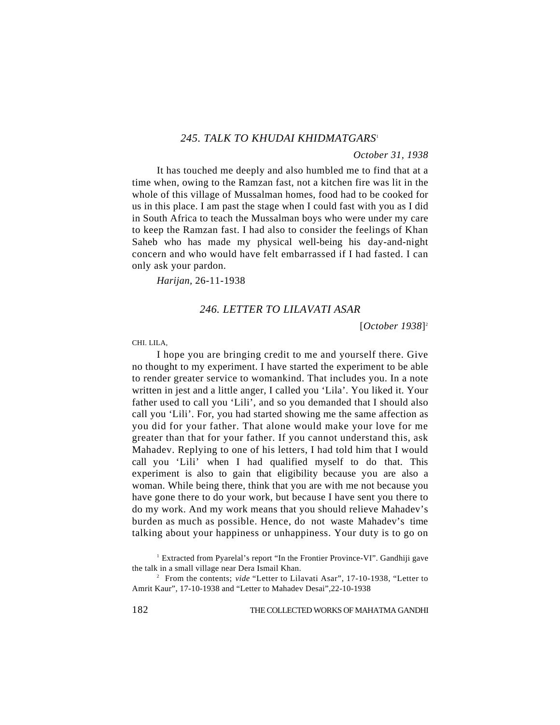#### *245. TALK TO KHUDAI KHIDMATGARS*<sup>1</sup>

#### *October 31, 1938*

It has touched me deeply and also humbled me to find that at a time when, owing to the Ramzan fast, not a kitchen fire was lit in the whole of this village of Mussalman homes, food had to be cooked for us in this place. I am past the stage when I could fast with you as I did in South Africa to teach the Mussalman boys who were under my care to keep the Ramzan fast. I had also to consider the feelings of Khan Saheb who has made my physical well-being his day-and-night concern and who would have felt embarrassed if I had fasted. I can only ask your pardon.

*Harijan,* 26-11-1938

## *246. LETTER TO LILAVATI ASAR*

[*October 1938*] 2

CHI. LILA,

I hope you are bringing credit to me and yourself there. Give no thought to my experiment. I have started the experiment to be able to render greater service to womankind. That includes you. In a note written in jest and a little anger, I called you 'Lila'. You liked it. Your father used to call you 'Lili', and so you demanded that I should also call you 'Lili'. For, you had started showing me the same affection as you did for your father. That alone would make your love for me greater than that for your father. If you cannot understand this, ask Mahadev. Replying to one of his letters, I had told him that I would call you 'Lili' when I had qualified myself to do that. This experiment is also to gain that eligibility because you are also a woman. While being there, think that you are with me not because you have gone there to do your work, but because I have sent you there to do my work. And my work means that you should relieve Mahadev's burden as much as possible. Hence, do not waste Mahadev's time talking about your happiness or unhappiness. Your duty is to go on

<sup>1</sup> Extracted from Pyarelal's report "In the Frontier Province-VI". Gandhiji gave the talk in a small village near Dera Ismail Khan.

<sup>2</sup> From the contents; vide "Letter to Lilavati Asar", 17-10-1938, "Letter to Amrit Kaur", 17-10-1938 and "Letter to Mahadev Desai",22-10-1938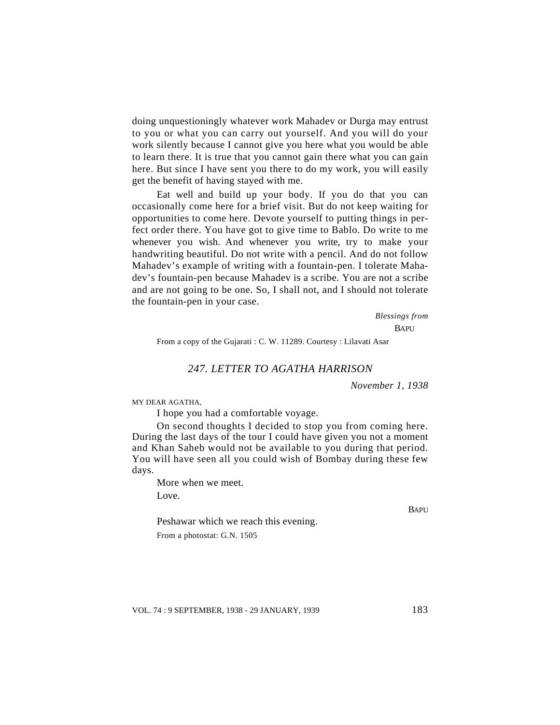doing unquestioningly whatever work Mahadev or Durga may entrust to you or what you can carry out yourself. And you will do your work silently because I cannot give you here what you would be able to learn there. It is true that you cannot gain there what you can gain here. But since I have sent you there to do my work, you will easily get the benefit of having stayed with me.

Eat well and build up your body. If you do that you can occasionally come here for a brief visit. But do not keep waiting for opportunities to come here. Devote yourself to putting things in perfect order there. You have got to give time to Bablo. Do write to me whenever you wish. And whenever you write, try to make your handwriting beautiful. Do not write with a pencil. And do not follow Mahadev's example of writing with a fountain-pen. I tolerate Mahadev's fountain-pen because Mahadev is a scribe. You are not a scribe and are not going to be one. So, I shall not, and I should not tolerate the fountain-pen in your case.

> *Blessings from* **BAPU**

From a copy of the Gujarati : C. W. 11289. Courtesy : Lilavati Asar

### *247. LETTER TO AGATHA HARRISON*

*November 1, 1938*

MY DEAR AGATHA,

I hope you had a comfortable voyage.

On second thoughts I decided to stop you from coming here. During the last days of the tour I could have given you not a moment and Khan Saheb would not be available to you during that period. You will have seen all you could wish of Bombay during these few days.

More when we meet. Love.

**BAPU** 

Peshawar which we reach this evening.

From a photostat: G.N. 1505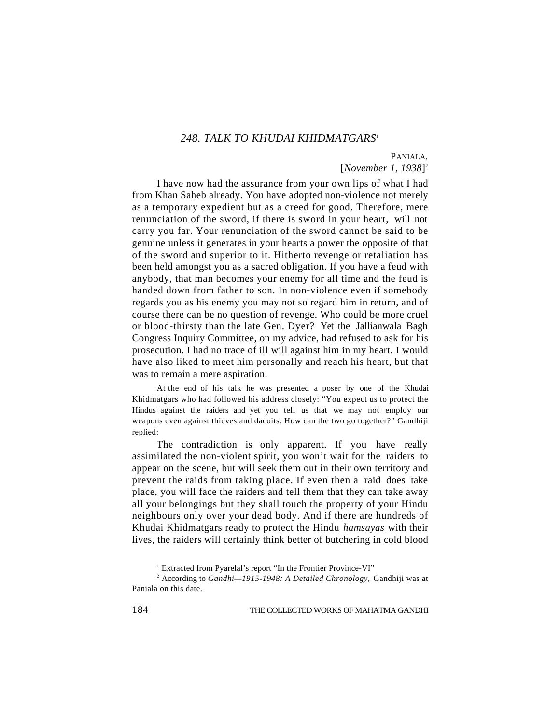## *248. TALK TO KHUDAI KHIDMATGARS*<sup>1</sup>

PANIALA, [*November 1, 1938*] 2

I have now had the assurance from your own lips of what I had from Khan Saheb already. You have adopted non-violence not merely as a temporary expedient but as a creed for good. Therefore, mere renunciation of the sword, if there is sword in your heart, will not carry you far. Your renunciation of the sword cannot be said to be genuine unless it generates in your hearts a power the opposite of that of the sword and superior to it. Hitherto revenge or retaliation has been held amongst you as a sacred obligation. If you have a feud with anybody, that man becomes your enemy for all time and the feud is handed down from father to son. In non-violence even if somebody regards you as his enemy you may not so regard him in return, and of course there can be no question of revenge. Who could be more cruel or blood-thirsty than the late Gen. Dyer? Yet the Jallianwala Bagh Congress Inquiry Committee, on my advice, had refused to ask for his prosecution. I had no trace of ill will against him in my heart. I would have also liked to meet him personally and reach his heart, but that was to remain a mere aspiration.

At the end of his talk he was presented a poser by one of the Khudai Khidmatgars who had followed his address closely: "You expect us to protect the Hindus against the raiders and yet you tell us that we may not employ our weapons even against thieves and dacoits. How can the two go together?" Gandhiji replied:

The contradiction is only apparent. If you have really assimilated the non-violent spirit, you won't wait for the raiders to appear on the scene, but will seek them out in their own territory and prevent the raids from taking place. If even then a raid does take place, you will face the raiders and tell them that they can take away all your belongings but they shall touch the property of your Hindu neighbours only over your dead body. And if there are hundreds of Khudai Khidmatgars ready to protect the Hindu *hamsayas* with their lives, the raiders will certainly think better of butchering in cold blood

<sup>&</sup>lt;sup>1</sup> Extracted from Pyarelal's report "In the Frontier Province-VI"

<sup>&</sup>lt;sup>2</sup> According to *Gandhi—1915-1948: A Detailed Chronology*, Gandhiji was at Paniala on this date.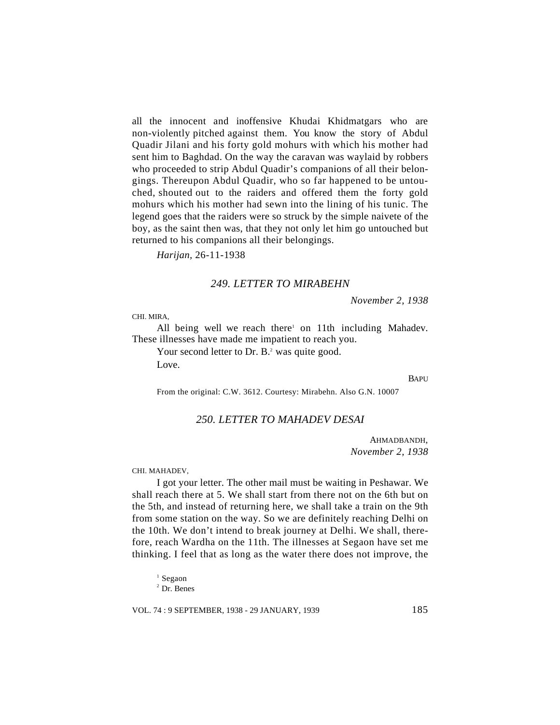all the innocent and inoffensive Khudai Khidmatgars who are non-violently pitched against them. You know the story of Abdul Quadir Jilani and his forty gold mohurs with which his mother had sent him to Baghdad. On the way the caravan was waylaid by robbers who proceeded to strip Abdul Quadir's companions of all their belongings. Thereupon Abdul Quadir, who so far happened to be untouched, shouted out to the raiders and offered them the forty gold mohurs which his mother had sewn into the lining of his tunic. The legend goes that the raiders were so struck by the simple naivete of the boy, as the saint then was, that they not only let him go untouched but returned to his companions all their belongings.

*Harijan,* 26-11-1938

## *249. LETTER TO MIRABEHN*

*November 2, 1938*

CHI. MIRA,

All being well we reach there<sup>1</sup> on 11th including Mahadev. These illnesses have made me impatient to reach you.

Your second letter to Dr. B.<sup>2</sup> was quite good.

Love.

**BAPU** 

From the original: C.W. 3612. Courtesy: Mirabehn. Also G.N. 10007

## *250. LETTER TO MAHADEV DESAI*

AHMADBANDH, *November 2, 1938*

CHI. MAHADEV,

I got your letter. The other mail must be waiting in Peshawar. We shall reach there at 5. We shall start from there not on the 6th but on the 5th, and instead of returning here, we shall take a train on the 9th from some station on the way. So we are definitely reaching Delhi on the 10th. We don't intend to break journey at Delhi. We shall, therefore, reach Wardha on the 11th. The illnesses at Segaon have set me thinking. I feel that as long as the water there does not improve, the

<sup>1</sup> Segaon 2 Dr. Benes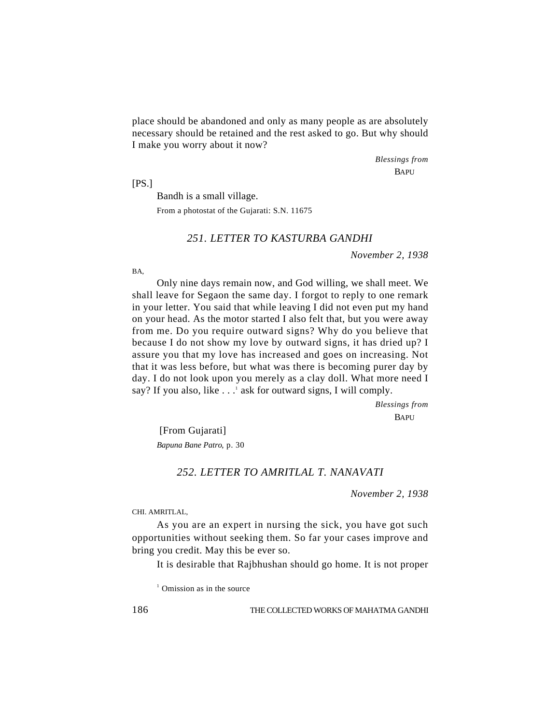place should be abandoned and only as many people as are absolutely necessary should be retained and the rest asked to go. But why should I make you worry about it now?

> *Blessings from* BAPU

 $[PS.]$ 

Bandh is a small village.

From a photostat of the Gujarati: S.N. 11675

## *251. LETTER TO KASTURBA GANDHI*

*November 2, 1938*

BA,

Only nine days remain now, and God willing, we shall meet. We shall leave for Segaon the same day. I forgot to reply to one remark in your letter. You said that while leaving I did not even put my hand on your head. As the motor started I also felt that, but you were away from me. Do you require outward signs? Why do you believe that because I do not show my love by outward signs, it has dried up? I assure you that my love has increased and goes on increasing. Not that it was less before, but what was there is becoming purer day by day. I do not look upon you merely as a clay doll. What more need I say? If you also, like . . .<sup>1</sup> ask for outward signs, I will comply.

> *Blessings from* **BAPU**

 [From Gujarati] *Bapuna Bane Patro*, p. 30

# *252. LETTER TO AMRITLAL T. NANAVATI*

*November 2, 1938*

CHI. AMRITLAL,

As you are an expert in nursing the sick, you have got such opportunities without seeking them. So far your cases improve and bring you credit. May this be ever so.

It is desirable that Rajbhushan should go home. It is not proper

<sup>1</sup> Omission as in the source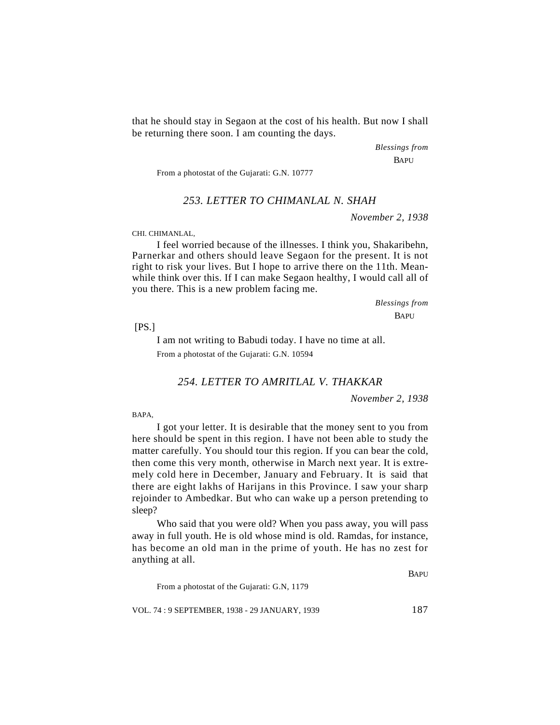that he should stay in Segaon at the cost of his health. But now I shall be returning there soon. I am counting the days.

> *Blessings from* **BAPU**

From a photostat of the Gujarati: G.N. 10777

### *253. LETTER TO CHIMANLAL N. SHAH*

*November 2, 1938*

CHI. CHIMANLAL,

I feel worried because of the illnesses. I think you, Shakaribehn, Parnerkar and others should leave Segaon for the present. It is not right to risk your lives. But I hope to arrive there on the 11th. Meanwhile think over this. If I can make Segaon healthy, I would call all of you there. This is a new problem facing me.

> *Blessings from* **BAPU**

[PS.]

I am not writing to Babudi today. I have no time at all. From a photostat of the Gujarati: G.N. 10594

### *254. LETTER TO AMRITLAL V. THAKKAR*

*November 2, 1938*

**BAPU** 

BAPA,

I got your letter. It is desirable that the money sent to you from here should be spent in this region. I have not been able to study the matter carefully. You should tour this region. If you can bear the cold, then come this very month, otherwise in March next year. It is extremely cold here in December, January and February. It is said that there are eight lakhs of Harijans in this Province. I saw your sharp rejoinder to Ambedkar. But who can wake up a person pretending to sleep?

Who said that you were old? When you pass away, you will pass away in full youth. He is old whose mind is old. Ramdas, for instance, has become an old man in the prime of youth. He has no zest for anything at all.

From a photostat of the Gujarati: G.N, 1179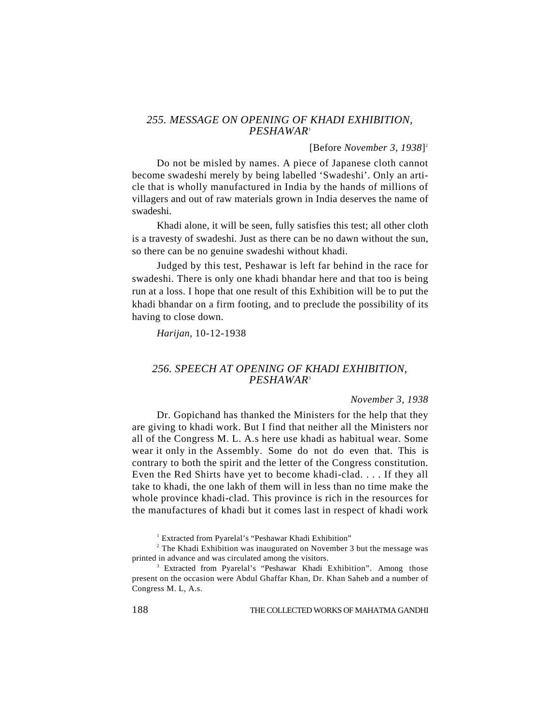## *255. MESSAGE ON OPENING OF KHADI EXHIBITION, PESHAWAR*<sup>1</sup>

[Before *November 3, 1938*] 2

Do not be misled by names. A piece of Japanese cloth cannot become swadeshi merely by being labelled 'Swadeshi'. Only an article that is wholly manufactured in India by the hands of millions of villagers and out of raw materials grown in India deserves the name of swadeshi.

Khadi alone, it will be seen, fully satisfies this test; all other cloth is a travesty of swadeshi. Just as there can be no dawn without the sun, so there can be no genuine swadeshi without khadi.

Judged by this test, Peshawar is left far behind in the race for swadeshi. There is only one khadi bhandar here and that too is being run at a loss. I hope that one result of this Exhibition will be to put the khadi bhandar on a firm footing, and to preclude the possibility of its having to close down.

*Harijan,* 10-12-1938

# *256. SPEECH AT OPENING OF KHADI EXHIBITION, PESHAWAR*<sup>3</sup>

#### *November 3, 1938*

Dr. Gopichand has thanked the Ministers for the help that they are giving to khadi work. But I find that neither all the Ministers nor all of the Congress M. L. A.s here use khadi as habitual wear. Some wear it only in the Assembly. Some do not do even that. This is contrary to both the spirit and the letter of the Congress constitution. Even the Red Shirts have yet to become khadi-clad. . . . If they all take to khadi, the one lakh of them will in less than no time make the whole province khadi-clad. This province is rich in the resources for the manufactures of khadi but it comes last in respect of khadi work

<sup>1</sup> Extracted from Pyarelal's "Peshawar Khadi Exhibition"

<sup>2</sup> The Khadi Exhibition was inaugurated on November 3 but the message was printed in advance and was circulated among the visitors.

<sup>&</sup>lt;sup>3</sup> Extracted from Pyarelal's "Peshawar Khadi Exhibition". Among those present on the occasion were Abdul Ghaffar Khan, Dr. Khan Saheb and a number of Congress M. L, A.s.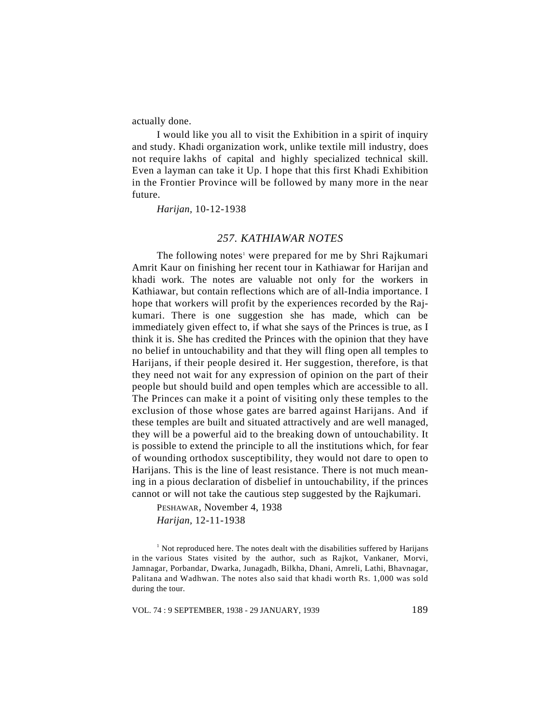actually done.

I would like you all to visit the Exhibition in a spirit of inquiry and study. Khadi organization work, unlike textile mill industry, does not require lakhs of capital and highly specialized technical skill. Even a layman can take it Up. I hope that this first Khadi Exhibition in the Frontier Province will be followed by many more in the near future.

*Harijan,* 10-12-1938

## *257. KATHIAWAR NOTES*

The following notes<sup>1</sup> were prepared for me by Shri Rajkumari Amrit Kaur on finishing her recent tour in Kathiawar for Harijan and khadi work. The notes are valuable not only for the workers in Kathiawar, but contain reflections which are of all-India importance. I hope that workers will profit by the experiences recorded by the Rajkumari. There is one suggestion she has made, which can be immediately given effect to, if what she says of the Princes is true, as I think it is. She has credited the Princes with the opinion that they have no belief in untouchability and that they will fling open all temples to Harijans, if their people desired it. Her suggestion, therefore, is that they need not wait for any expression of opinion on the part of their people but should build and open temples which are accessible to all. The Princes can make it a point of visiting only these temples to the exclusion of those whose gates are barred against Harijans. And if these temples are built and situated attractively and are well managed, they will be a powerful aid to the breaking down of untouchability. It is possible to extend the principle to all the institutions which, for fear of wounding orthodox susceptibility, they would not dare to open to Harijans. This is the line of least resistance. There is not much meaning in a pious declaration of disbelief in untouchability, if the princes cannot or will not take the cautious step suggested by the Rajkumari.

PESHAWAR, November 4, 1938 *Harijan,* 12-11-1938

<sup>1</sup> Not reproduced here. The notes dealt with the disabilities suffered by Harijans in the various States visited by the author, such as Rajkot, Vankaner, Morvi, Jamnagar, Porbandar, Dwarka, Junagadh, Bilkha, Dhani, Amreli, Lathi, Bhavnagar, Palitana and Wadhwan. The notes also said that khadi worth Rs. 1,000 was sold during the tour.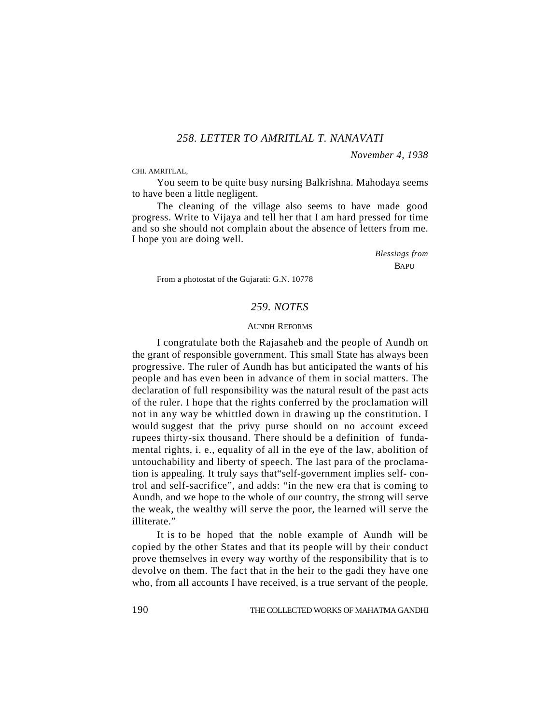*November 4, 1938*

CHI. AMRITLAL,

You seem to be quite busy nursing Balkrishna. Mahodaya seems to have been a little negligent.

The cleaning of the village also seems to have made good progress. Write to Vijaya and tell her that I am hard pressed for time and so she should not complain about the absence of letters from me. I hope you are doing well.

> *Blessings from* **BAPU**

From a photostat of the Gujarati: G.N. 10778

### *259. NOTES*

#### AUNDH REFORMS

I congratulate both the Rajasaheb and the people of Aundh on the grant of responsible government. This small State has always been progressive. The ruler of Aundh has but anticipated the wants of his people and has even been in advance of them in social matters. The declaration of full responsibility was the natural result of the past acts of the ruler. I hope that the rights conferred by the proclamation will not in any way be whittled down in drawing up the constitution. I would suggest that the privy purse should on no account exceed rupees thirty-six thousand. There should be a definition of fundamental rights, i. e., equality of all in the eye of the law, abolition of untouchability and liberty of speech. The last para of the proclamation is appealing. It truly says that"self-government implies self- control and self-sacrifice", and adds: "in the new era that is coming to Aundh, and we hope to the whole of our country, the strong will serve the weak, the wealthy will serve the poor, the learned will serve the illiterate."

It is to be hoped that the noble example of Aundh will be copied by the other States and that its people will by their conduct prove themselves in every way worthy of the responsibility that is to devolve on them. The fact that in the heir to the gadi they have one who, from all accounts I have received, is a true servant of the people,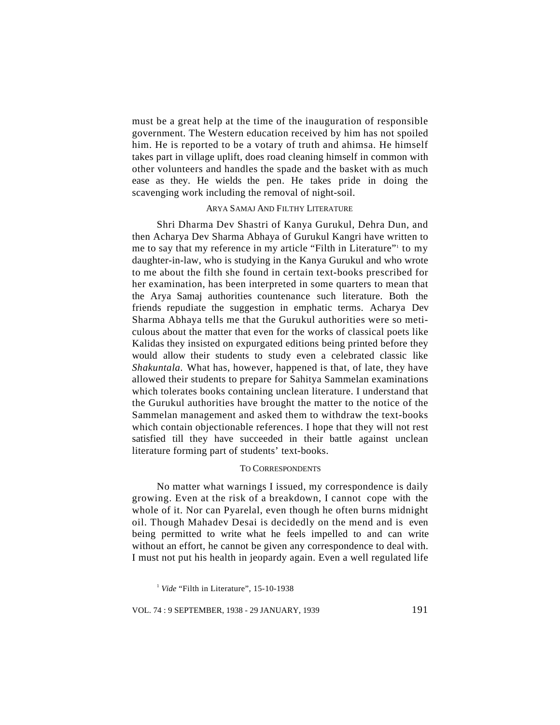must be a great help at the time of the inauguration of responsible government. The Western education received by him has not spoiled him. He is reported to be a votary of truth and ahimsa. He himself takes part in village uplift, does road cleaning himself in common with other volunteers and handles the spade and the basket with as much ease as they. He wields the pen. He takes pride in doing the scavenging work including the removal of night-soil.

#### ARYA SAMAJ AND FILTHY LITERATURE

Shri Dharma Dev Shastri of Kanya Gurukul, Dehra Dun, and then Acharya Dev Sharma Abhaya of Gurukul Kangri have written to me to say that my reference in my article "Filth in Literature"<sup>1</sup> to my daughter-in-law, who is studying in the Kanya Gurukul and who wrote to me about the filth she found in certain text-books prescribed for her examination, has been interpreted in some quarters to mean that the Arya Samaj authorities countenance such literature. Both the friends repudiate the suggestion in emphatic terms. Acharya Dev Sharma Abhaya tells me that the Gurukul authorities were so meticulous about the matter that even for the works of classical poets like Kalidas they insisted on expurgated editions being printed before they would allow their students to study even a celebrated classic like *Shakuntala.* What has, however, happened is that, of late, they have allowed their students to prepare for Sahitya Sammelan examinations which tolerates books containing unclean literature. I understand that the Gurukul authorities have brought the matter to the notice of the Sammelan management and asked them to withdraw the text-books which contain objectionable references. I hope that they will not rest satisfied till they have succeeded in their battle against unclean literature forming part of students' text-books.

#### TO CORRESPONDENTS

No matter what warnings I issued, my correspondence is daily growing. Even at the risk of a breakdown, I cannot cope with the whole of it. Nor can Pyarelal, even though he often burns midnight oil. Though Mahadev Desai is decidedly on the mend and is even being permitted to write what he feels impelled to and can write without an effort, he cannot be given any correspondence to deal with. I must not put his health in jeopardy again. Even a well regulated life

<sup>1</sup> *Vide* "Filth in Literature", 15-10-1938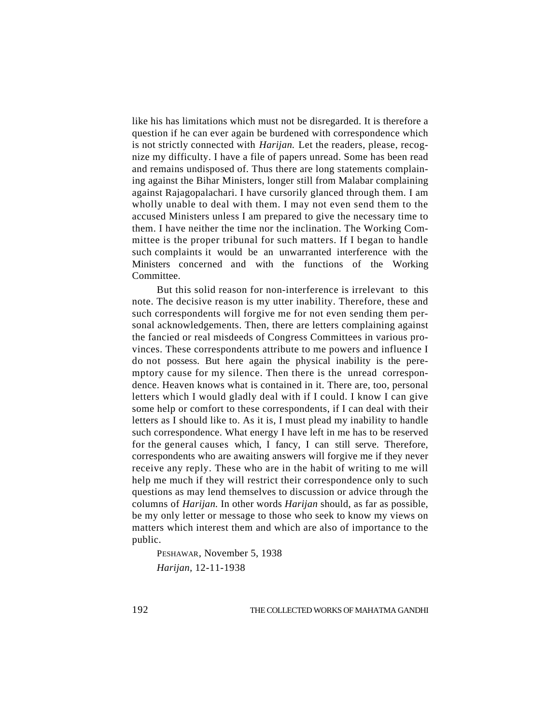like his has limitations which must not be disregarded. It is therefore a question if he can ever again be burdened with correspondence which is not strictly connected with *Harijan.* Let the readers, please, recognize my difficulty. I have a file of papers unread. Some has been read and remains undisposed of. Thus there are long statements complaining against the Bihar Ministers, longer still from Malabar complaining against Rajagopalachari. I have cursorily glanced through them. I am wholly unable to deal with them. I may not even send them to the accused Ministers unless I am prepared to give the necessary time to them. I have neither the time nor the inclination. The Working Committee is the proper tribunal for such matters. If I began to handle such complaints it would be an unwarranted interference with the Ministers concerned and with the functions of the Working Committee.

But this solid reason for non-interference is irrelevant to this note. The decisive reason is my utter inability. Therefore, these and such correspondents will forgive me for not even sending them personal acknowledgements. Then, there are letters complaining against the fancied or real misdeeds of Congress Committees in various provinces. These correspondents attribute to me powers and influence I do not possess. But here again the physical inability is the peremptory cause for my silence. Then there is the unread correspondence. Heaven knows what is contained in it. There are, too, personal letters which I would gladly deal with if I could. I know I can give some help or comfort to these correspondents, if I can deal with their letters as I should like to. As it is, I must plead my inability to handle such correspondence. What energy I have left in me has to be reserved for the general causes which, I fancy, I can still serve. Therefore, correspondents who are awaiting answers will forgive me if they never receive any reply. These who are in the habit of writing to me will help me much if they will restrict their correspondence only to such questions as may lend themselves to discussion or advice through the columns of *Harijan.* In other words *Harijan* should, as far as possible, be my only letter or message to those who seek to know my views on matters which interest them and which are also of importance to the public.

PESHAWAR, November 5, 1938 *Harijan,* 12-11-1938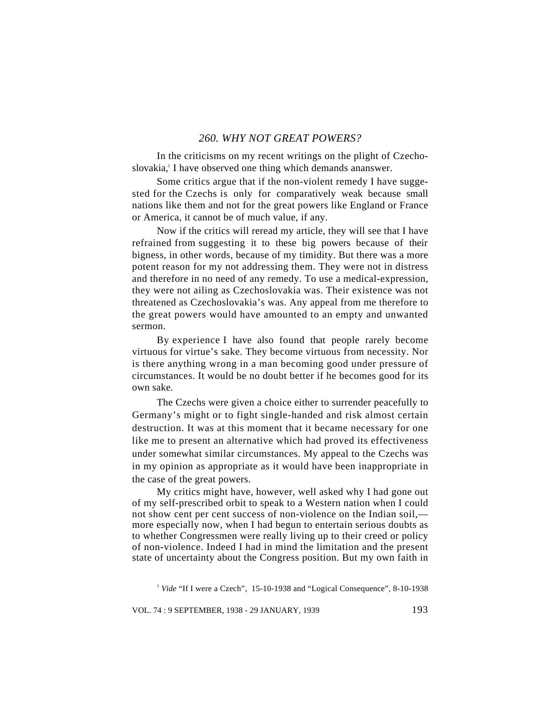## *260. WHY NOT GREAT POWERS?*

In the criticisms on my recent writings on the plight of Czechoslovakia,<sup>1</sup> I have observed one thing which demands ananswer.

Some critics argue that if the non-violent remedy I have suggested for the Czechs is only for comparatively weak because small nations like them and not for the great powers like England or France or America, it cannot be of much value, if any.

Now if the critics will reread my article, they will see that I have refrained from suggesting it to these big powers because of their bigness, in other words, because of my timidity. But there was a more potent reason for my not addressing them. They were not in distress and therefore in no need of any remedy. To use a medical-expression, they were not ailing as Czechoslovakia was. Their existence was not threatened as Czechoslovakia's was. Any appeal from me therefore to the great powers would have amounted to an empty and unwanted sermon.

By experience I have also found that people rarely become virtuous for virtue's sake. They become virtuous from necessity. Nor is there anything wrong in a man becoming good under pressure of circumstances. It would be no doubt better if he becomes good for its own sake.

The Czechs were given a choice either to surrender peacefully to Germany's might or to fight single-handed and risk almost certain destruction. It was at this moment that it became necessary for one like me to present an alternative which had proved its effectiveness under somewhat similar circumstances. My appeal to the Czechs was in my opinion as appropriate as it would have been inappropriate in the case of the great powers.

My critics might have, however, well asked why I had gone out of my self-prescribed orbit to speak to a Western nation when I could not show cent per cent success of non-violence on the Indian soil, more especially now, when I had begun to entertain serious doubts as to whether Congressmen were really living up to their creed or policy of non-violence. Indeed I had in mind the limitation and the present state of uncertainty about the Congress position. But my own faith in

<sup>&</sup>lt;sup>1</sup> *Vide* "If I were a Czech", 15-10-1938 and "Logical Consequence", 8-10-1938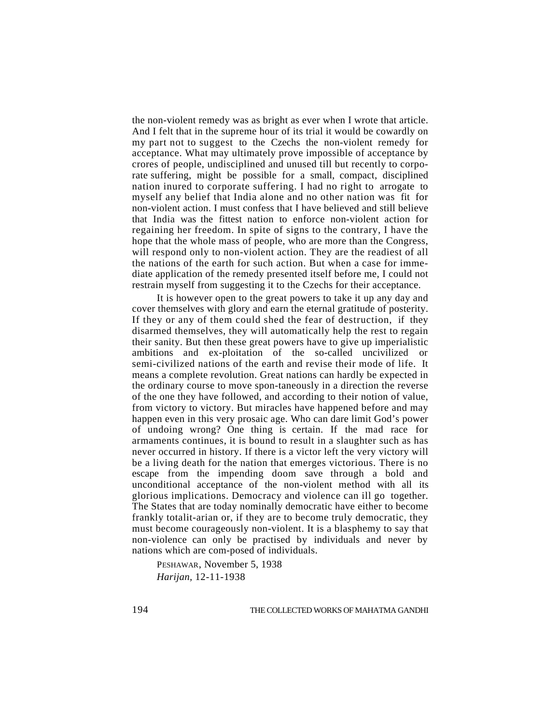the non-violent remedy was as bright as ever when I wrote that article. And I felt that in the supreme hour of its trial it would be cowardly on my part not to suggest to the Czechs the non-violent remedy for acceptance. What may ultimately prove impossible of acceptance by crores of people, undisciplined and unused till but recently to corporate suffering, might be possible for a small, compact, disciplined nation inured to corporate suffering. I had no right to arrogate to myself any belief that India alone and no other nation was fit for non-violent action. I must confess that I have believed and still believe that India was the fittest nation to enforce non-violent action for regaining her freedom. In spite of signs to the contrary, I have the hope that the whole mass of people, who are more than the Congress, will respond only to non-violent action. They are the readiest of all the nations of the earth for such action. But when a case for immediate application of the remedy presented itself before me, I could not restrain myself from suggesting it to the Czechs for their acceptance.

It is however open to the great powers to take it up any day and cover themselves with glory and earn the eternal gratitude of posterity. If they or any of them could shed the fear of destruction, if they disarmed themselves, they will automatically help the rest to regain their sanity. But then these great powers have to give up imperialistic ambitions and ex-ploitation of the so-called uncivilized semi-civilized nations of the earth and revise their mode of life. It means a complete revolution. Great nations can hardly be expected in the ordinary course to move spon-taneously in a direction the reverse of the one they have followed, and according to their notion of value, from victory to victory. But miracles have happened before and may happen even in this very prosaic age. Who can dare limit God's power of undoing wrong? One thing is certain. If the mad race for armaments continues, it is bound to result in a slaughter such as has never occurred in history. If there is a victor left the very victory will be a living death for the nation that emerges victorious. There is no escape from the impending doom save through a bold and unconditional acceptance of the non-violent method with all its glorious implications. Democracy and violence can ill go together. The States that are today nominally democratic have either to become frankly totalit-arian or, if they are to become truly democratic, they must become courageously non-violent. It is a blasphemy to say that non-violence can only be practised by individuals and never by nations which are com-posed of individuals.

PESHAWAR, November 5, 1938 *Harijan,* 12-11-1938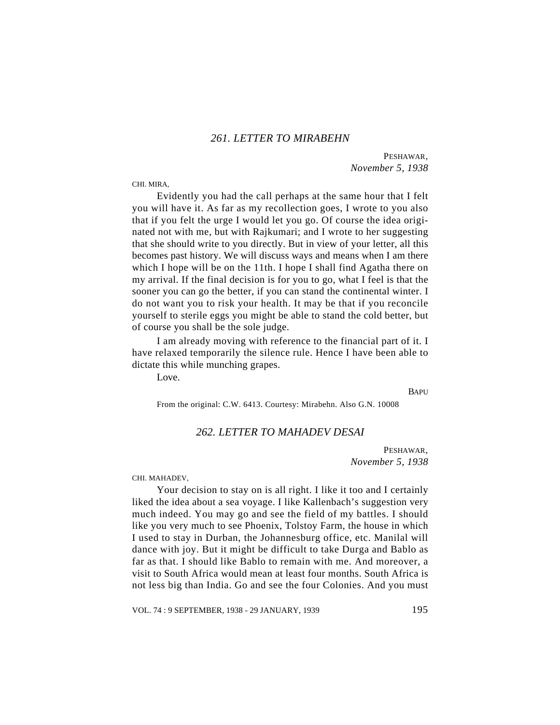## *261. LETTER TO MIRABEHN*

PESHAWAR, *November 5, 1938*

CHI. MIRA,

Evidently you had the call perhaps at the same hour that I felt you will have it. As far as my recollection goes, I wrote to you also that if you felt the urge I would let you go. Of course the idea originated not with me, but with Rajkumari; and I wrote to her suggesting that she should write to you directly. But in view of your letter, all this becomes past history. We will discuss ways and means when I am there which I hope will be on the 11th. I hope I shall find Agatha there on my arrival. If the final decision is for you to go, what I feel is that the sooner you can go the better, if you can stand the continental winter. I do not want you to risk your health. It may be that if you reconcile yourself to sterile eggs you might be able to stand the cold better, but of course you shall be the sole judge.

I am already moving with reference to the financial part of it. I have relaxed temporarily the silence rule. Hence I have been able to dictate this while munching grapes.

Love.

**BAPU** 

From the original: C.W. 6413. Courtesy: Mirabehn. Also G.N. 10008

## *262. LETTER TO MAHADEV DESAI*

PESHAWAR, *November 5, 1938*

CHI. MAHADEV,

Your decision to stay on is all right. I like it too and I certainly liked the idea about a sea voyage. I like Kallenbach's suggestion very much indeed. You may go and see the field of my battles. I should like you very much to see Phoenix, Tolstoy Farm, the house in which I used to stay in Durban, the Johannesburg office, etc. Manilal will dance with joy. But it might be difficult to take Durga and Bablo as far as that. I should like Bablo to remain with me. And moreover, a visit to South Africa would mean at least four months. South Africa is not less big than India. Go and see the four Colonies. And you must

VOL. 74 : 9 SEPTEMBER, 1938 - 29 JANUARY, 1939 195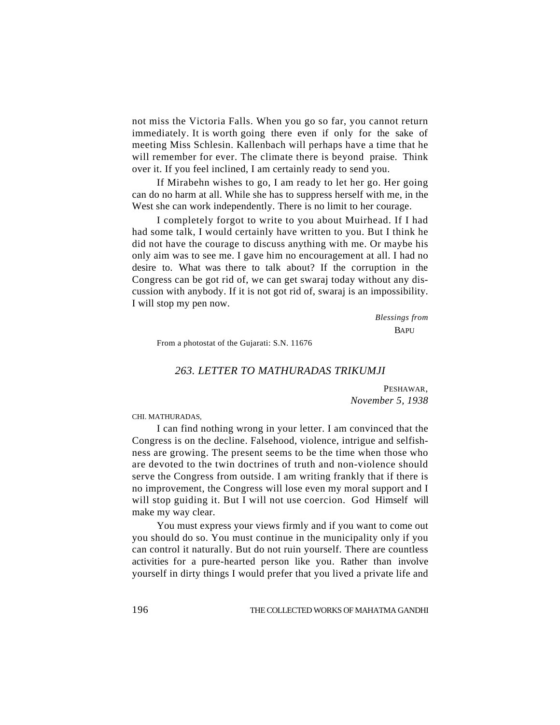not miss the Victoria Falls. When you go so far, you cannot return immediately. It is worth going there even if only for the sake of meeting Miss Schlesin. Kallenbach will perhaps have a time that he will remember for ever. The climate there is beyond praise. Think over it. If you feel inclined, I am certainly ready to send you.

If Mirabehn wishes to go, I am ready to let her go. Her going can do no harm at all. While she has to suppress herself with me, in the West she can work independently. There is no limit to her courage.

I completely forgot to write to you about Muirhead. If I had had some talk, I would certainly have written to you. But I think he did not have the courage to discuss anything with me. Or maybe his only aim was to see me. I gave him no encouragement at all. I had no desire to. What was there to talk about? If the corruption in the Congress can be got rid of, we can get swaraj today without any discussion with anybody. If it is not got rid of, swaraj is an impossibility. I will stop my pen now.

> *Blessings from* **BAPU**

From a photostat of the Gujarati: S.N. 11676

### *263. LETTER TO MATHURADAS TRIKUMJI*

PESHAWAR, *November 5, 1938*

CHI. MATHURADAS,

I can find nothing wrong in your letter. I am convinced that the Congress is on the decline. Falsehood, violence, intrigue and selfishness are growing. The present seems to be the time when those who are devoted to the twin doctrines of truth and non-violence should serve the Congress from outside. I am writing frankly that if there is no improvement, the Congress will lose even my moral support and I will stop guiding it. But I will not use coercion. God Himself will make my way clear.

You must express your views firmly and if you want to come out you should do so. You must continue in the municipality only if you can control it naturally. But do not ruin yourself. There are countless activities for a pure-hearted person like you. Rather than involve yourself in dirty things I would prefer that you lived a private life and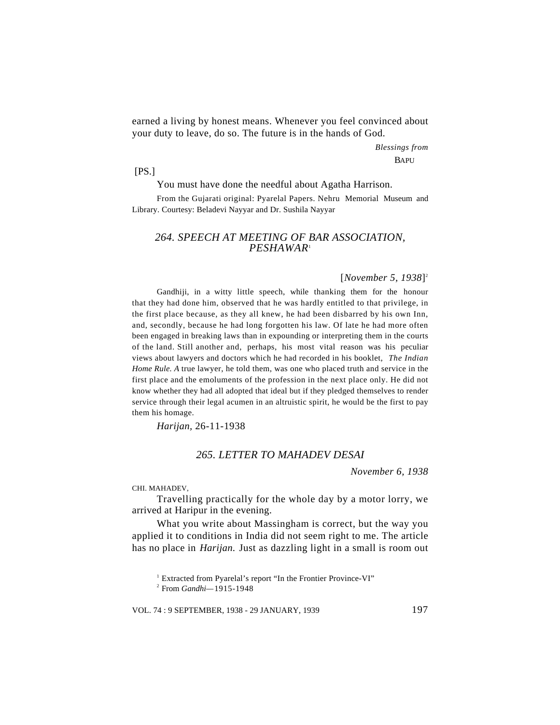earned a living by honest means. Whenever you feel convinced about your duty to leave, do so. The future is in the hands of God.

> *Blessings from* **BAPU**

#### $[PS.]$

You must have done the needful about Agatha Harrison.

From the Gujarati original: Pyarelal Papers. Nehru Memorial Museum and Library. Courtesy: Beladevi Nayyar and Dr. Sushila Nayyar

## *264. SPEECH AT MEETING OF BAR ASSOCIATION, PESHAWAR*<sup>1</sup>

### [*November 5, 1938*] 2

Gandhiji, in a witty little speech, while thanking them for the honour that they had done him, observed that he was hardly entitled to that privilege, in the first place because, as they all knew, he had been disbarred by his own Inn, and, secondly, because he had long forgotten his law. Of late he had more often been engaged in breaking laws than in expounding or interpreting them in the courts of the land. Still another and, perhaps, his most vital reason was his peculiar views about lawyers and doctors which he had recorded in his booklet, *The Indian Home Rule. A* true lawyer, he told them, was one who placed truth and service in the first place and the emoluments of the profession in the next place only. He did not know whether they had all adopted that ideal but if they pledged themselves to render service through their legal acumen in an altruistic spirit, he would be the first to pay them his homage.

*Harijan,* 26-11-1938

#### *265. LETTER TO MAHADEV DESAI*

*November 6, 1938*

CHI. MAHADEV,

Travelling practically for the whole day by a motor lorry, we arrived at Haripur in the evening.

What you write about Massingham is correct, but the way you applied it to conditions in India did not seem right to me. The article has no place in *Harijan.* Just as dazzling light in a small is room out

<sup>&</sup>lt;sup>1</sup> Extracted from Pyarelal's report "In the Frontier Province-VI"

<sup>2</sup> From *Gandhi—*1915-1948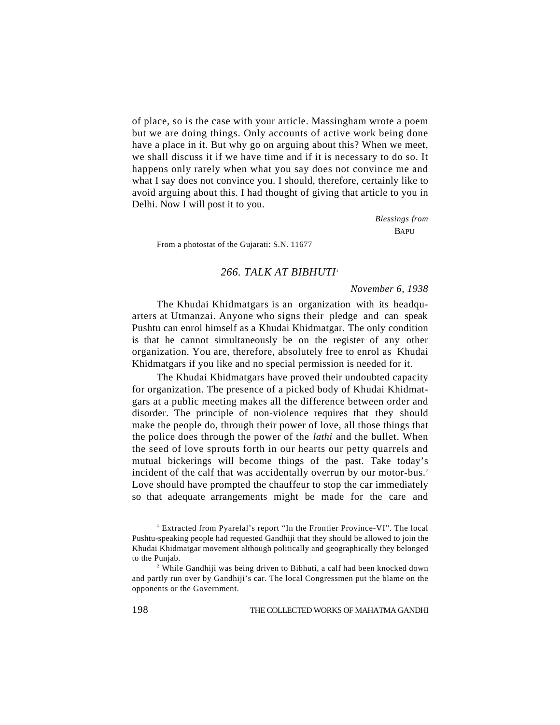of place, so is the case with your article. Massingham wrote a poem but we are doing things. Only accounts of active work being done have a place in it. But why go on arguing about this? When we meet, we shall discuss it if we have time and if it is necessary to do so. It happens only rarely when what you say does not convince me and what I say does not convince you. I should, therefore, certainly like to avoid arguing about this. I had thought of giving that article to you in Delhi. Now I will post it to you.

> *Blessings from* **BAPU**

From a photostat of the Gujarati: S.N. 11677

#### *266. TALK AT BIBHUTI*<sup>1</sup>

#### *November 6, 1938*

The Khudai Khidmatgars is an organization with its headquarters at Utmanzai. Anyone who signs their pledge and can speak Pushtu can enrol himself as a Khudai Khidmatgar. The only condition is that he cannot simultaneously be on the register of any other organization. You are, therefore, absolutely free to enrol as Khudai Khidmatgars if you like and no special permission is needed for it.

The Khudai Khidmatgars have proved their undoubted capacity for organization. The presence of a picked body of Khudai Khidmatgars at a public meeting makes all the difference between order and disorder. The principle of non-violence requires that they should make the people do, through their power of love, all those things that the police does through the power of the *lathi* and the bullet. When the seed of love sprouts forth in our hearts our petty quarrels and mutual bickerings will become things of the past. Take today's incident of the calf that was accidentally overrun by our motor-bus.<sup>2</sup> Love should have prompted the chauffeur to stop the car immediately so that adequate arrangements might be made for the care and

<sup>1</sup> Extracted from Pyarelal's report "In the Frontier Province-VI". The local Pushtu-speaking people had requested Gandhiji that they should be allowed to join the Khudai Khidmatgar movement although politically and geographically they belonged to the Punjab.

<sup>2</sup> While Gandhiji was being driven to Bibhuti, a calf had been knocked down and partly run over by Gandhiji's car. The local Congressmen put the blame on the opponents or the Government.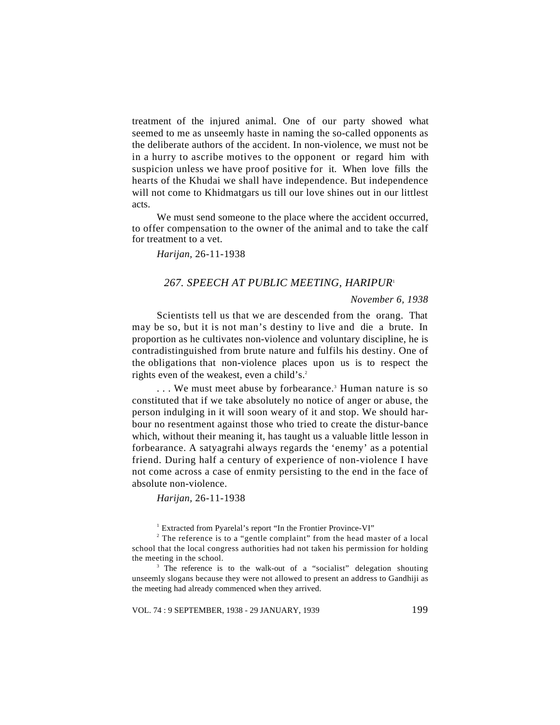treatment of the injured animal. One of our party showed what seemed to me as unseemly haste in naming the so-called opponents as the deliberate authors of the accident. In non-violence, we must not be in a hurry to ascribe motives to the opponent or regard him with suspicion unless we have proof positive for it. When love fills the hearts of the Khudai we shall have independence. But independence will not come to Khidmatgars us till our love shines out in our littlest acts.

We must send someone to the place where the accident occurred, to offer compensation to the owner of the animal and to take the calf for treatment to a vet.

*Harijan,* 26-11-1938

## *267. SPEECH AT PUBLIC MEETING, HARIPUR*<sup>1</sup>

#### *November 6, 1938*

Scientists tell us that we are descended from the orang. That may be so, but it is not man's destiny to live and die a brute. In proportion as he cultivates non-violence and voluntary discipline, he is contradistinguished from brute nature and fulfils his destiny. One of the obligations that non-violence places upon us is to respect the rights even of the weakest, even a child's.<sup>2</sup>

... We must meet abuse by forbearance.<sup>3</sup> Human nature is so constituted that if we take absolutely no notice of anger or abuse, the person indulging in it will soon weary of it and stop. We should harbour no resentment against those who tried to create the distur-bance which, without their meaning it, has taught us a valuable little lesson in forbearance. A satyagrahi always regards the 'enemy' as a potential friend. During half a century of experience of non-violence I have not come across a case of enmity persisting to the end in the face of absolute non-violence.

*Harijan,* 26-11-1938

<sup>1</sup> Extracted from Pyarelal's report "In the Frontier Province-VI"

 $2$  The reference is to a "gentle complaint" from the head master of a local school that the local congress authorities had not taken his permission for holding the meeting in the school.

<sup>3</sup> The reference is to the walk-out of a "socialist" delegation shouting unseemly slogans because they were not allowed to present an address to Gandhiji as the meeting had already commenced when they arrived.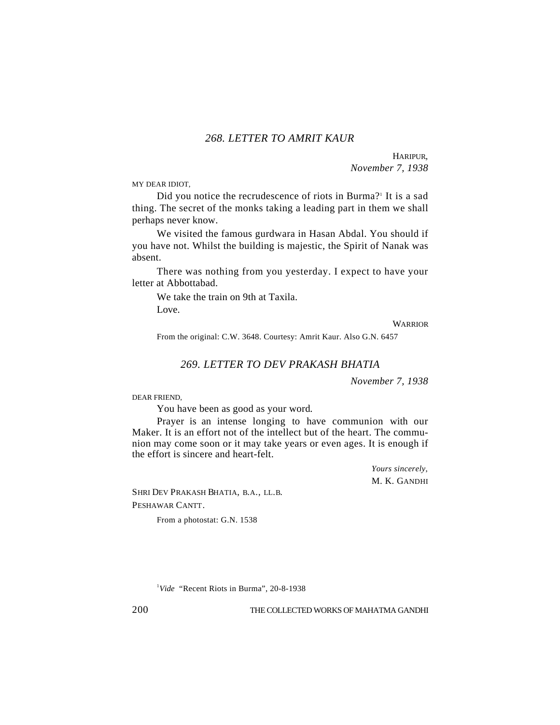## *268. LETTER TO AMRIT KAUR*

HARIPUR, *November 7, 1938*

MY DEAR IDIOT,

Did you notice the recrudescence of riots in Burma?<sup>1</sup> It is a sad thing. The secret of the monks taking a leading part in them we shall perhaps never know.

We visited the famous gurdwara in Hasan Abdal. You should if you have not. Whilst the building is majestic, the Spirit of Nanak was absent.

There was nothing from you yesterday. I expect to have your letter at Abbottabad.

We take the train on 9th at Taxila. Love.

**WARRIOR** 

From the original: C.W. 3648. Courtesy: Amrit Kaur. Also G.N. 6457

### *269. LETTER TO DEV PRAKASH BHATIA*

*November 7, 1938*

DEAR FRIEND,

You have been as good as your word*.*

Prayer is an intense longing to have communion with our Maker. It is an effort not of the intellect but of the heart. The communion may come soon or it may take years or even ages. It is enough if the effort is sincere and heart-felt.

> *Yours sincerely*, M. K. GANDHI

SHRI DEV PRAKASH BHATIA, B.A., LL.B. PESHAWAR CANTT.

From a photostat: G.N. 1538

<sup>1</sup>Vide "Recent Riots in Burma", 20-8-1938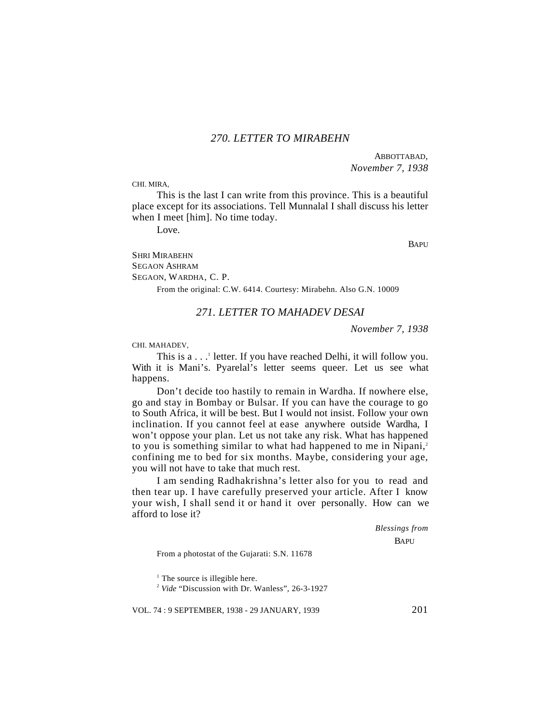ABBOTTABAD, *November 7, 1938*

CHI. MIRA,

This is the last I can write from this province. This is a beautiful place except for its associations. Tell Munnalal I shall discuss his letter when I meet [him]. No time today.

Love.

**BAPU** 

SHRI MIRABEHN SEGAON ASHRAM SEGAON, WARDHA, C. P.

From the original: C.W. 6414. Courtesy: Mirabehn. Also G.N. 10009

#### *271. LETTER TO MAHADEV DESAI*

*November 7, 1938*

CHI. MAHADEV,

This is a . . .<sup>1</sup> letter. If you have reached Delhi, it will follow you. With it is Mani's. Pyarelal's letter seems queer. Let us see what happens.

Don't decide too hastily to remain in Wardha. If nowhere else, go and stay in Bombay or Bulsar. If you can have the courage to go to South Africa, it will be best. But I would not insist. Follow your own inclination. If you cannot feel at ease anywhere outside Wardha, I won't oppose your plan. Let us not take any risk. What has happened to you is something similar to what had happened to me in Nipani,<sup>2</sup> confining me to bed for six months. Maybe, considering your age, you will not have to take that much rest.

I am sending Radhakrishna's letter also for you to read and then tear up. I have carefully preserved your article. After I know your wish, I shall send it or hand it over personally. How can we afford to lose it?

> *Blessings from* **BAPU**

From a photostat of the Gujarati: S.N. 11678

<sup>1</sup> The source is illegible here.

<sup>2</sup> *Vide* "Discussion with Dr. Wanless", 26-3-1927

VOL. 74 : 9 SEPTEMBER, 1938 - 29 JANUARY, 1939 201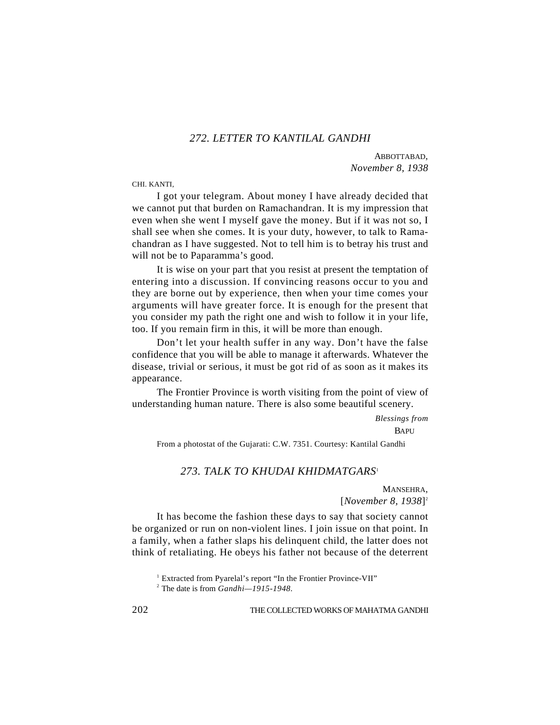# *272. LETTER TO KANTILAL GANDHI*

ABBOTTABAD, *November 8, 1938*

CHI. KANTI,

I got your telegram. About money I have already decided that we cannot put that burden on Ramachandran. It is my impression that even when she went I myself gave the money. But if it was not so, I shall see when she comes. It is your duty, however, to talk to Ramachandran as I have suggested. Not to tell him is to betray his trust and will not be to Paparamma's good.

It is wise on your part that you resist at present the temptation of entering into a discussion. If convincing reasons occur to you and they are borne out by experience, then when your time comes your arguments will have greater force. It is enough for the present that you consider my path the right one and wish to follow it in your life, too. If you remain firm in this, it will be more than enough.

Don't let your health suffer in any way. Don't have the false confidence that you will be able to manage it afterwards. Whatever the disease, trivial or serious, it must be got rid of as soon as it makes its appearance.

The Frontier Province is worth visiting from the point of view of understanding human nature. There is also some beautiful scenery.

*Blessings from*

**BAPU** 

From a photostat of the Gujarati: C.W. 7351. Courtesy: Kantilal Gandhi

#### *273. TALK TO KHUDAI KHIDMATGARS*<sup>1</sup>

MANSEHRA, [*November 8, 1938*] 2

It has become the fashion these days to say that society cannot be organized or run on non-violent lines. I join issue on that point. In a family, when a father slaps his delinquent child, the latter does not think of retaliating. He obeys his father not because of the deterrent

<sup>&</sup>lt;sup>1</sup> Extracted from Pyarelal's report "In the Frontier Province-VII"

<sup>2</sup> The date is from *Gandhi—1915-1948.*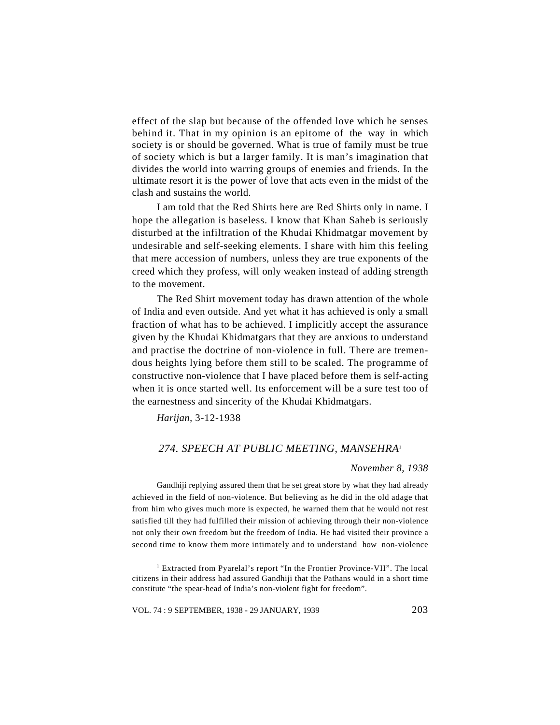effect of the slap but because of the offended love which he senses behind it. That in my opinion is an epitome of the way in which society is or should be governed. What is true of family must be true of society which is but a larger family. It is man's imagination that divides the world into warring groups of enemies and friends. In the ultimate resort it is the power of love that acts even in the midst of the clash and sustains the world.

I am told that the Red Shirts here are Red Shirts only in name. I hope the allegation is baseless. I know that Khan Saheb is seriously disturbed at the infiltration of the Khudai Khidmatgar movement by undesirable and self-seeking elements. I share with him this feeling that mere accession of numbers, unless they are true exponents of the creed which they profess, will only weaken instead of adding strength to the movement.

The Red Shirt movement today has drawn attention of the whole of India and even outside. And yet what it has achieved is only a small fraction of what has to be achieved. I implicitly accept the assurance given by the Khudai Khidmatgars that they are anxious to understand and practise the doctrine of non-violence in full. There are tremendous heights lying before them still to be scaled. The programme of constructive non-violence that I have placed before them is self-acting when it is once started well. Its enforcement will be a sure test too of the earnestness and sincerity of the Khudai Khidmatgars.

*Harijan,* 3-12-1938

## *274. SPEECH AT PUBLIC MEETING, MANSEHRA*<sup>1</sup>

#### *November 8, 1938*

Gandhiji replying assured them that he set great store by what they had already achieved in the field of non-violence. But believing as he did in the old adage that from him who gives much more is expected, he warned them that he would not rest satisfied till they had fulfilled their mission of achieving through their non-violence not only their own freedom but the freedom of India. He had visited their province a second time to know them more intimately and to understand how non-violence

<sup>1</sup> Extracted from Pyarelal's report "In the Frontier Province-VII". The local citizens in their address had assured Gandhiji that the Pathans would in a short time constitute "the spear-head of India's non-violent fight for freedom".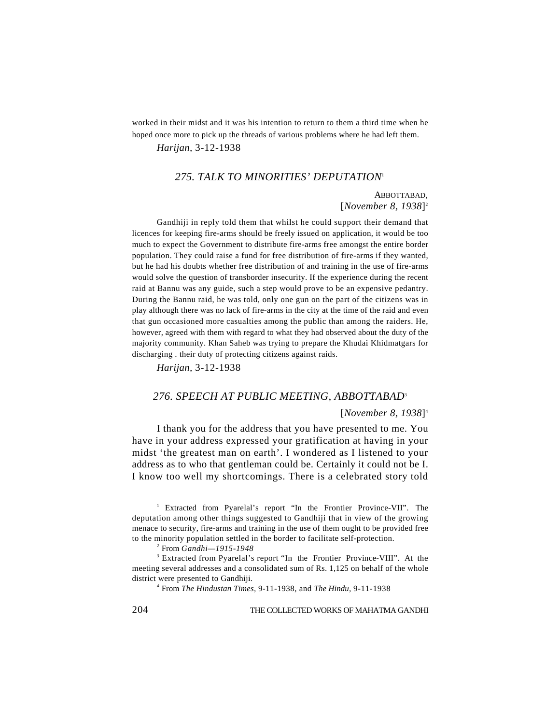worked in their midst and it was his intention to return to them a third time when he hoped once more to pick up the threads of various problems where he had left them.

*Harijan,* 3-12-1938

#### *275. TALK TO MINORITIES' DEPUTATION*<sup>1</sup>

ABBOTTABAD, [*November 8, 1938*] 2

Gandhiji in reply told them that whilst he could support their demand that licences for keeping fire-arms should be freely issued on application, it would be too much to expect the Government to distribute fire-arms free amongst the entire border population. They could raise a fund for free distribution of fire-arms if they wanted, but he had his doubts whether free distribution of and training in the use of fire-arms would solve the question of transborder insecurity. If the experience during the recent raid at Bannu was any guide, such a step would prove to be an expensive pedantry. During the Bannu raid, he was told, only one gun on the part of the citizens was in play although there was no lack of fire-arms in the city at the time of the raid and even that gun occasioned more casualties among the public than among the raiders. He, however, agreed with them with regard to what they had observed about the duty of the majority community. Khan Saheb was trying to prepare the Khudai Khidmatgars for discharging . their duty of protecting citizens against raids.

*Harijan,* 3-12-1938

#### *276. SPEECH AT PUBLIC MEETING, ABBOTTABAD*<sup>3</sup>

[*November 8, 1938*] 4

I thank you for the address that you have presented to me. You have in your address expressed your gratification at having in your midst 'the greatest man on earth'. I wondered as I listened to your address as to who that gentleman could be. Certainly it could not be I. I know too well my shortcomings. There is a celebrated story told

<sup>1</sup> Extracted from Pyarelal's report "In the Frontier Province-VII". The deputation among other things suggested to Gandhiji that in view of the growing menace to security, fire-arms and training in the use of them ought to be provided free to the minority population settled in the border to facilitate self-protection.

2 From *Gandhi—1915-1948*

<sup>3</sup> Extracted from Pyarelal's report "In the Frontier Province-VIII". At the meeting several addresses and a consolidated sum of Rs. 1,125 on behalf of the whole district were presented to Gandhiji.

4 From *The Hindustan Times,* 9-11-1938, and *The Hindu,* 9-11-1938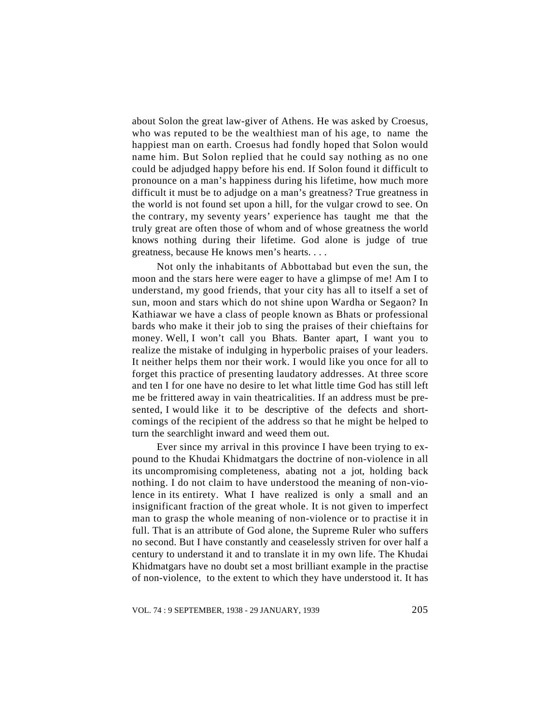about Solon the great law-giver of Athens. He was asked by Croesus, who was reputed to be the wealthiest man of his age, to name the happiest man on earth. Croesus had fondly hoped that Solon would name him. But Solon replied that he could say nothing as no one could be adjudged happy before his end. If Solon found it difficult to pronounce on a man's happiness during his lifetime, how much more difficult it must be to adjudge on a man's greatness? True greatness in the world is not found set upon a hill, for the vulgar crowd to see. On the contrary, my seventy years' experience has taught me that the truly great are often those of whom and of whose greatness the world knows nothing during their lifetime. God alone is judge of true greatness, because He knows men's hearts. . . .

Not only the inhabitants of Abbottabad but even the sun, the moon and the stars here were eager to have a glimpse of me! Am I to understand, my good friends, that your city has all to itself a set of sun, moon and stars which do not shine upon Wardha or Segaon? In Kathiawar we have a class of people known as Bhats or professional bards who make it their job to sing the praises of their chieftains for money. Well, I won't call you Bhats. Banter apart, I want you to realize the mistake of indulging in hyperbolic praises of your leaders. It neither helps them nor their work. I would like you once for all to forget this practice of presenting laudatory addresses. At three score and ten I for one have no desire to let what little time God has still left me be frittered away in vain theatricalities. If an address must be presented, I would like it to be descriptive of the defects and shortcomings of the recipient of the address so that he might be helped to turn the searchlight inward and weed them out.

Ever since my arrival in this province I have been trying to expound to the Khudai Khidmatgars the doctrine of non-violence in all its uncompromising completeness, abating not a jot, holding back nothing. I do not claim to have understood the meaning of non-violence in its entirety. What I have realized is only a small and an insignificant fraction of the great whole. It is not given to imperfect man to grasp the whole meaning of non-violence or to practise it in full. That is an attribute of God alone, the Supreme Ruler who suffers no second. But I have constantly and ceaselessly striven for over half a century to understand it and to translate it in my own life. The Khudai Khidmatgars have no doubt set a most brilliant example in the practise of non-violence, to the extent to which they have understood it. It has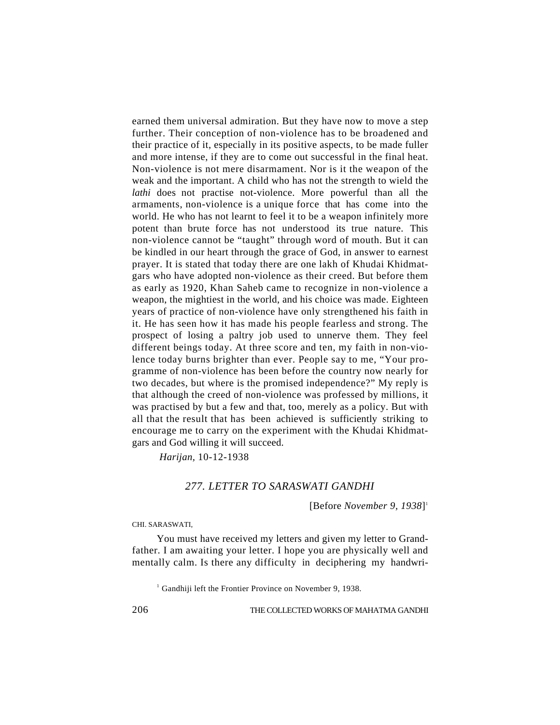earned them universal admiration. But they have now to move a step further. Their conception of non-violence has to be broadened and their practice of it, especially in its positive aspects, to be made fuller and more intense, if they are to come out successful in the final heat. Non-violence is not mere disarmament. Nor is it the weapon of the weak and the important. A child who has not the strength to wield the *lathi* does not practise not-violence. More powerful than all the armaments, non-violence is a unique force that has come into the world. He who has not learnt to feel it to be a weapon infinitely more potent than brute force has not understood its true nature. This non-violence cannot be "taught" through word of mouth. But it can be kindled in our heart through the grace of God, in answer to earnest prayer. It is stated that today there are one lakh of Khudai Khidmatgars who have adopted non-violence as their creed. But before them as early as 1920, Khan Saheb came to recognize in non-violence a weapon, the mightiest in the world, and his choice was made. Eighteen years of practice of non-violence have only strengthened his faith in it. He has seen how it has made his people fearless and strong. The prospect of losing a paltry job used to unnerve them. They feel different beings today. At three score and ten, my faith in non-violence today burns brighter than ever. People say to me, "Your programme of non-violence has been before the country now nearly for two decades, but where is the promised independence?" My reply is that although the creed of non-violence was professed by millions, it was practised by but a few and that, too, merely as a policy. But with all that the result that has been achieved is sufficiently striking to encourage me to carry on the experiment with the Khudai Khidmatgars and God willing it will succeed.

 *Harijan,* 10-12-1938

# *277. LETTER TO SARASWATI GANDHI*

[Before *November 9, 1938*] 1

#### CHI. SARASWATI,

You must have received my letters and given my letter to Grandfather. I am awaiting your letter. I hope you are physically well and mentally calm. Is there any difficulty in deciphering my handwri-

<sup>1</sup> Gandhiji left the Frontier Province on November 9, 1938.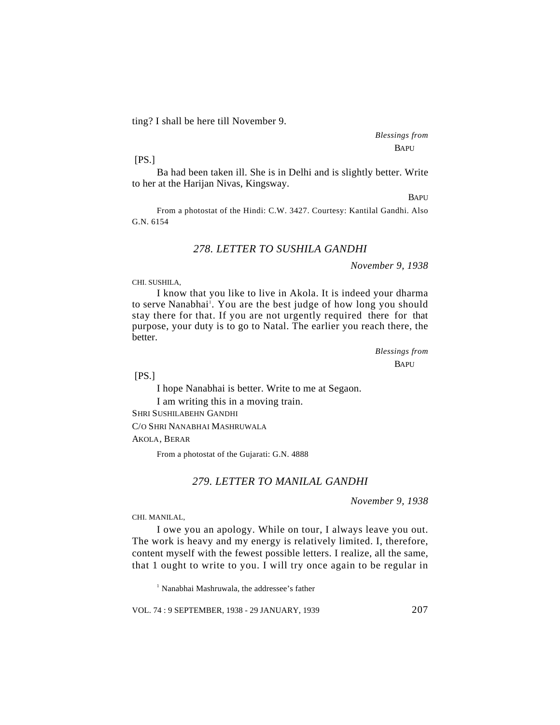ting? I shall be here till November 9.

*Blessings from* **BAPU** 

#### [PS.]

Ba had been taken ill. She is in Delhi and is slightly better. Write to her at the Harijan Nivas, Kingsway.

**BAPU** 

From a photostat of the Hindi: C.W. 3427. Courtesy: Kantilal Gandhi. Also G.N. 6154

### *278. LETTER TO SUSHILA GANDHI*

*November 9, 1938*

CHI. SUSHILA,

I know that you like to live in Akola. It is indeed your dharma to serve Nanabhai<sup>1</sup>. You are the best judge of how long you should stay there for that. If you are not urgently required there for that purpose, your duty is to go to Natal. The earlier you reach there, the better.

> *Blessings from* **BAPU**

 $[PS.]$ 

I hope Nanabhai is better. Write to me at Segaon.

I am writing this in a moving train.

SHRI SUSHILABEHN GANDHI

C/O SHRI NANABHAI MASHRUWALA

AKOLA, BERAR

From a photostat of the Gujarati: G.N. 4888

### *279. LETTER TO MANILAL GANDHI*

*November 9, 1938*

CHI. MANILAL,

I owe you an apology. While on tour, I always leave you out. The work is heavy and my energy is relatively limited. I, therefore, content myself with the fewest possible letters. I realize, all the same, that 1 ought to write to you. I will try once again to be regular in

<sup>1</sup> Nanabhai Mashruwala, the addressee's father

VOL. 74 : 9 SEPTEMBER, 1938 - 29 JANUARY, 1939 207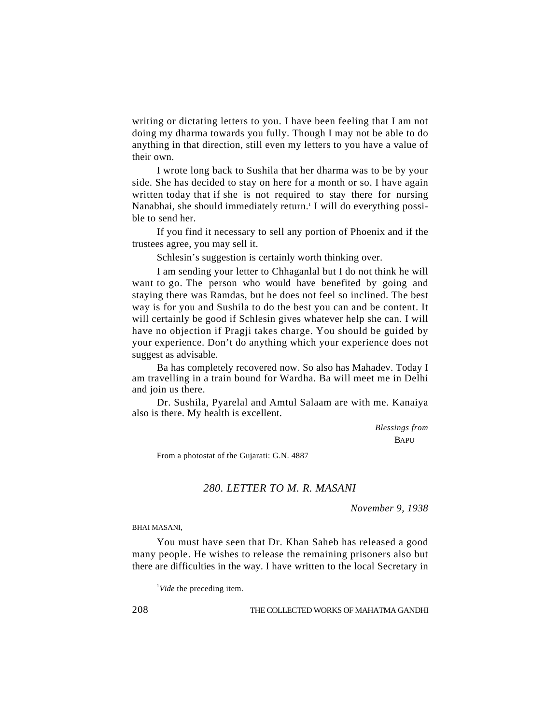writing or dictating letters to you. I have been feeling that I am not doing my dharma towards you fully. Though I may not be able to do anything in that direction, still even my letters to you have a value of their own.

I wrote long back to Sushila that her dharma was to be by your side. She has decided to stay on here for a month or so. I have again written today that if she is not required to stay there for nursing Nanabhai, she should immediately return.<sup>1</sup> I will do everything possible to send her.

If you find it necessary to sell any portion of Phoenix and if the trustees agree, you may sell it.

Schlesin's suggestion is certainly worth thinking over.

I am sending your letter to Chhaganlal but I do not think he will want to go. The person who would have benefited by going and staying there was Ramdas, but he does not feel so inclined. The best way is for you and Sushila to do the best you can and be content. It will certainly be good if Schlesin gives whatever help she can. I will have no objection if Pragji takes charge. You should be guided by your experience. Don't do anything which your experience does not suggest as advisable.

Ba has completely recovered now. So also has Mahadev. Today I am travelling in a train bound for Wardha. Ba will meet me in Delhi and join us there.

Dr. Sushila, Pyarelal and Amtul Salaam are with me. Kanaiya also is there. My health is excellent.

> *Blessings from* **BAPU**

From a photostat of the Gujarati: G.N. 4887

## *280. LETTER TO M. R. MASANI*

*November 9, 1938*

#### BHAI MASANI,

You must have seen that Dr. Khan Saheb has released a good many people. He wishes to release the remaining prisoners also but there are difficulties in the way. I have written to the local Secretary in

<sup>1</sup>*Vide* the preceding item.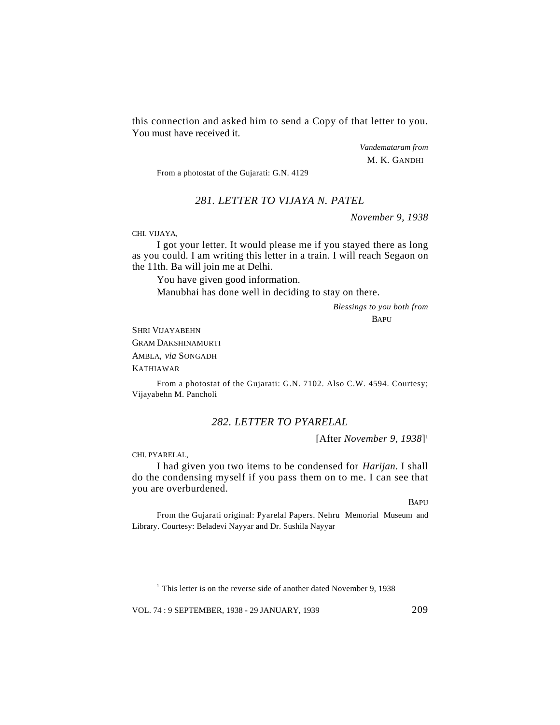this connection and asked him to send a Copy of that letter to you. You must have received it.

> *Vandemataram from* M. K. GANDHI

From a photostat of the Gujarati: G.N. 4129

#### *281. LETTER TO VIJAYA N. PATEL*

*November 9, 1938*

CHI. VIJAYA,

I got your letter. It would please me if you stayed there as long as you could. I am writing this letter in a train. I will reach Segaon on the 11th. Ba will join me at Delhi.

You have given good information.

Manubhai has done well in deciding to stay on there.

*Blessings to you both from*

**BAPU** 

SHRI VIJAYABEHN

GRAM DAKSHINAMURTI

AMBLA, *via* SONGADH

KATHIAWAR

From a photostat of the Gujarati: G.N. 7102. Also C.W. 4594. Courtesy; Vijayabehn M. Pancholi

# *282. LETTER TO PYARELAL*

[After *November 9, 1938*] 1

CHI. PYARELAL,

I had given you two items to be condensed for *Harijan*. I shall do the condensing myself if you pass them on to me. I can see that you are overburdened.

**BAPU** 

From the Gujarati original: Pyarelal Papers. Nehru Memorial Museum and Library. Courtesy: Beladevi Nayyar and Dr. Sushila Nayyar

 $1$  This letter is on the reverse side of another dated November 9, 1938

VOL. 74 : 9 SEPTEMBER, 1938 - 29 JANUARY, 1939 209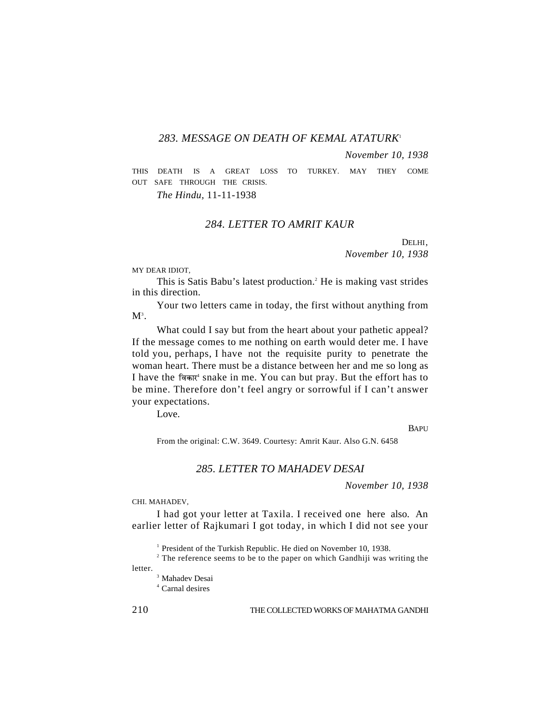*November 10, 1938*

THIS DEATH IS A GREAT LOSS TO TURKEY. MAY THEY COME OUT SAFE THROUGH THE CRISIS.

*The Hindu,* 11-11-1938

# *284. LETTER TO AMRIT KAUR*

DELHI, *November 10, 1938*

MY DEAR IDIOT,

This is Satis Babu's latest production.<sup>2</sup> He is making vast strides in this direction.

Your two letters came in today, the first without anything from  $\mathbf{M}^3$ .

What could I say but from the heart about your pathetic appeal? If the message comes to me nothing on earth would deter me. I have told you, perhaps, I have not the requisite purity to penetrate the woman heart. There must be a distance between her and me so long as I have the विकार<sup>4</sup> snake in me. You can but pray. But the effort has to be mine. Therefore don't feel angry or sorrowful if I can't answer your expectations.

Love.

**BAPU** 

From the original: C.W. 3649. Courtesy: Amrit Kaur. Also G.N. 6458

# *285. LETTER TO MAHADEV DESAI*

*November 10, 1938*

CHI. MAHADEV,

I had got your letter at Taxila. I received one here also. An earlier letter of Rajkumari I got today, in which I did not see your

<sup>1</sup> President of the Turkish Republic. He died on November 10, 1938.

 $2^2$  The reference seems to be to the paper on which Gandhiji was writing the letter.

3 Mahadev Desai 4 Carnal desires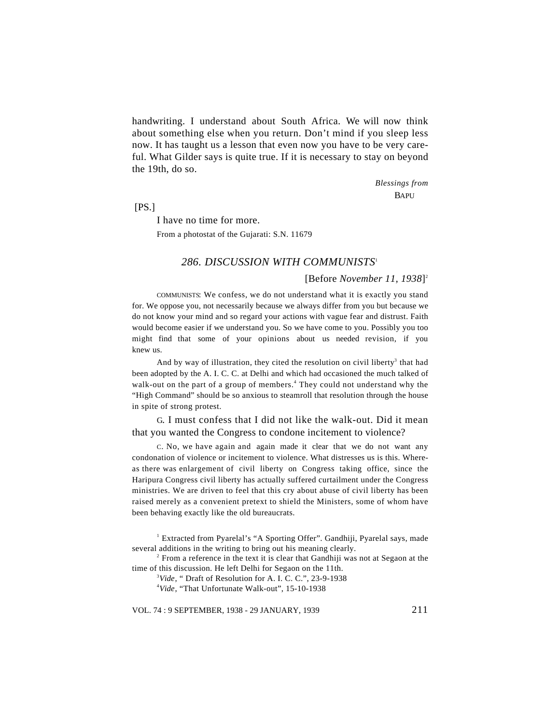handwriting. I understand about South Africa. We will now think about something else when you return. Don't mind if you sleep less now. It has taught us a lesson that even now you have to be very careful. What Gilder says is quite true. If it is necessary to stay on beyond the 19th, do so.

> *Blessings from* **BAPU**

 $[PS.]$ 

I have no time for more.

From a photostat of the Gujarati: S.N. 11679

#### *286. DISCUSSION WITH COMMUNISTS*<sup>1</sup>

#### [Before *November 11, 1938*] 2

COMMUNISTS: We confess, we do not understand what it is exactly you stand for. We oppose you, not necessarily because we always differ from you but because we do not know your mind and so regard your actions with vague fear and distrust. Faith would become easier if we understand you. So we have come to you. Possibly you too might find that some of your opinions about us needed revision, if you knew us.

And by way of illustration, they cited the resolution on civil liberty<sup>3</sup> that had been adopted by the A. I. C. C. at Delhi and which had occasioned the much talked of walk-out on the part of a group of members.<sup>4</sup> They could not understand why the "High Command" should be so anxious to steamroll that resolution through the house in spite of strong protest.

G. I must confess that I did not like the walk-out. Did it mean that you wanted the Congress to condone incitement to violence?

C. No, we have again and again made it clear that we do not want any condonation of violence or incitement to violence. What distresses us is this. Whereas there was enlargement of civil liberty on Congress taking office, since the Haripura Congress civil liberty has actually suffered curtailment under the Congress ministries. We are driven to feel that this cry about abuse of civil liberty has been raised merely as a convenient pretext to shield the Ministers, some of whom have been behaving exactly like the old bureaucrats.

<sup>1</sup> Extracted from Pyarelal's "A Sporting Offer". Gandhiji, Pyarelal says, made several additions in the writing to bring out his meaning clearly.

 $2^2$  From a reference in the text it is clear that Gandhiji was not at Segaon at the time of this discussion. He left Delhi for Segaon on the 11th.

<sup>3</sup>*Vide*, " Draft of Resolution for A. I. C. C.", 23-9-1938

<sup>4</sup>*Vide*, "That Unfortunate Walk-out", 15-10-1938

VOL. 74 : 9 SEPTEMBER, 1938 - 29 JANUARY, 1939 211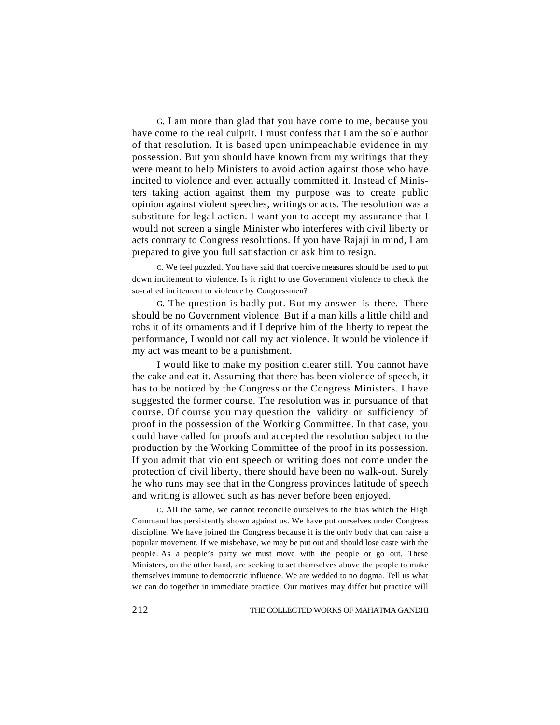G. I am more than glad that you have come to me, because you have come to the real culprit. I must confess that I am the sole author of that resolution. It is based upon unimpeachable evidence in my possession. But you should have known from my writings that they were meant to help Ministers to avoid action against those who have incited to violence and even actually committed it. Instead of Ministers taking action against them my purpose was to create public opinion against violent speeches, writings or acts. The resolution was a substitute for legal action. I want you to accept my assurance that I would not screen a single Minister who interferes with civil liberty or acts contrary to Congress resolutions. If you have Rajaji in mind, I am prepared to give you full satisfaction or ask him to resign.

C. We feel puzzled. You have said that coercive measures should be used to put down incitement to violence. Is it right to use Government violence to check the so-called incitement to violence by Congressmen?

G. The question is badly put. But my answer is there. There should be no Government violence. But if a man kills a little child and robs it of its ornaments and if I deprive him of the liberty to repeat the performance, I would not call my act violence. It would be violence if my act was meant to be a punishment.

I would like to make my position clearer still. You cannot have the cake and eat it. Assuming that there has been violence of speech, it has to be noticed by the Congress or the Congress Ministers. I have suggested the former course. The resolution was in pursuance of that course. Of course you may question the validity or sufficiency of proof in the possession of the Working Committee. In that case, you could have called for proofs and accepted the resolution subject to the production by the Working Committee of the proof in its possession. If you admit that violent speech or writing does not come under the protection of civil liberty, there should have been no walk-out. Surely he who runs may see that in the Congress provinces latitude of speech and writing is allowed such as has never before been enjoyed.

C. All the same, we cannot reconcile ourselves to the bias which the High Command has persistently shown against us. We have put ourselves under Congress discipline. We have joined the Congress because it is the only body that can raise a popular movement. If we misbehave, we may be put out and should lose caste with the people. As a people's party we must move with the people or go out. These Ministers, on the other hand, are seeking to set themselves above the people to make themselves immune to democratic influence. We are wedded to no dogma. Tell us what we can do together in immediate practice. Our motives may differ but practice will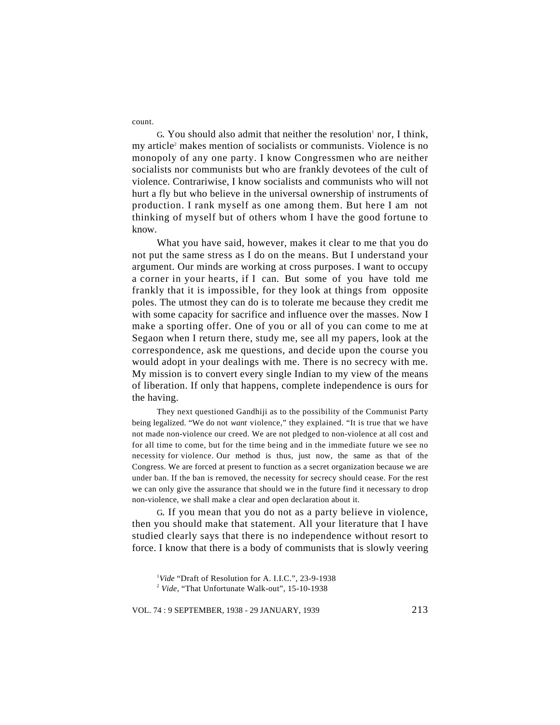count.

G. You should also admit that neither the resolution<sup>1</sup> nor, I think, my article<sup>2</sup> makes mention of socialists or communists. Violence is no monopoly of any one party. I know Congressmen who are neither socialists nor communists but who are frankly devotees of the cult of violence. Contrariwise, I know socialists and communists who will not hurt a fly but who believe in the universal ownership of instruments of production. I rank myself as one among them. But here I am not thinking of myself but of others whom I have the good fortune to know.

What you have said, however, makes it clear to me that you do not put the same stress as I do on the means. But I understand your argument. Our minds are working at cross purposes. I want to occupy a corner in your hearts, if I can. But some of you have told me frankly that it is impossible, for they look at things from opposite poles. The utmost they can do is to tolerate me because they credit me with some capacity for sacrifice and influence over the masses. Now I make a sporting offer. One of you or all of you can come to me at Segaon when I return there, study me, see all my papers, look at the correspondence, ask me questions, and decide upon the course you would adopt in your dealings with me. There is no secrecy with me. My mission is to convert every single Indian to my view of the means of liberation. If only that happens, complete independence is ours for the having.

They next questioned Gandhiji as to the possibility of the Communist Party being legalized. "We do not *want* violence," they explained. "It is true that we have not made non-violence our creed. We are not pledged to non-violence at all cost and for all time to come, but for the time being and in the immediate future we see no necessity for violence. Our method is thus, just now, the same as that of the Congress. We are forced at present to function as a secret organization because we are under ban. If the ban is removed, the necessity for secrecy should cease. For the rest we can only give the assurance that should we in the future find it necessary to drop non-violence, we shall make a clear and open declaration about it.

G. If you mean that you do not as a party believe in violence, then you should make that statement. All your literature that I have studied clearly says that there is no independence without resort to force. I know that there is a body of communists that is slowly veering

<sup>&</sup>lt;sup>1</sup>Vide "Draft of Resolution for A. I.I.C.", 23-9-1938

<sup>2</sup> *Vide,* "That Unfortunate Walk-out", 15-10-1938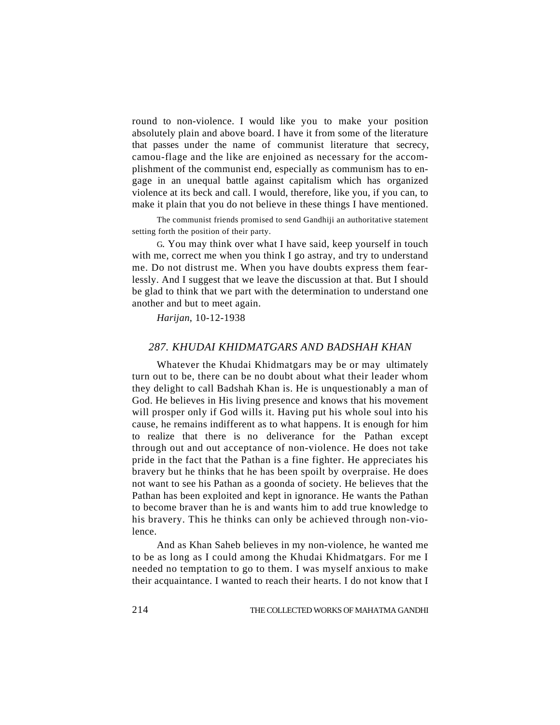round to non-violence. I would like you to make your position absolutely plain and above board. I have it from some of the literature that passes under the name of communist literature that secrecy, camou-flage and the like are enjoined as necessary for the accomplishment of the communist end, especially as communism has to engage in an unequal battle against capitalism which has organized violence at its beck and call. I would, therefore, like you, if you can, to make it plain that you do not believe in these things I have mentioned.

The communist friends promised to send Gandhiji an authoritative statement setting forth the position of their party.

G. You may think over what I have said, keep yourself in touch with me, correct me when you think I go astray, and try to understand me. Do not distrust me. When you have doubts express them fearlessly. And I suggest that we leave the discussion at that. But I should be glad to think that we part with the determination to understand one another and but to meet again.

*Harijan*, 10-12-1938

## *287. KHUDAI KHIDMATGARS AND BADSHAH KHAN*

Whatever the Khudai Khidmatgars may be or may ultimately turn out to be, there can be no doubt about what their leader whom they delight to call Badshah Khan is. He is unquestionably a man of God. He believes in His living presence and knows that his movement will prosper only if God wills it. Having put his whole soul into his cause, he remains indifferent as to what happens. It is enough for him to realize that there is no deliverance for the Pathan except through out and out acceptance of non-violence. He does not take pride in the fact that the Pathan is a fine fighter. He appreciates his bravery but he thinks that he has been spoilt by overpraise. He does not want to see his Pathan as a goonda of society. He believes that the Pathan has been exploited and kept in ignorance. He wants the Pathan to become braver than he is and wants him to add true knowledge to his bravery. This he thinks can only be achieved through non-violence.

And as Khan Saheb believes in my non-violence, he wanted me to be as long as I could among the Khudai Khidmatgars. For me I needed no temptation to go to them. I was myself anxious to make their acquaintance. I wanted to reach their hearts. I do not know that I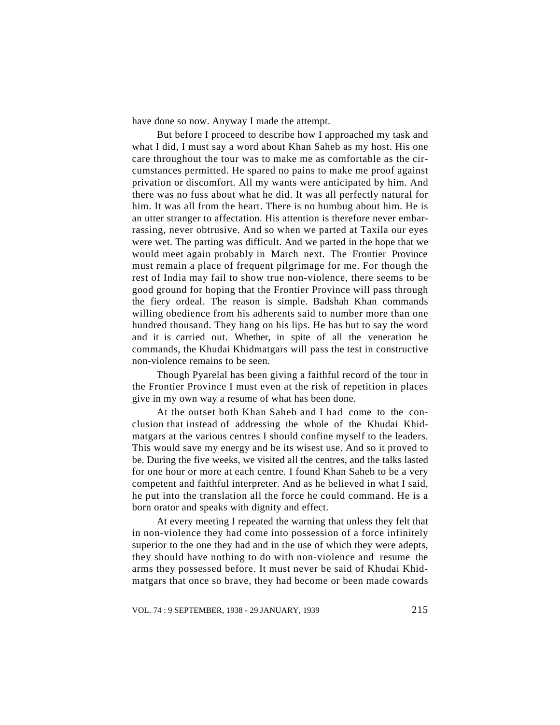have done so now. Anyway I made the attempt.

But before I proceed to describe how I approached my task and what I did, I must say a word about Khan Saheb as my host. His one care throughout the tour was to make me as comfortable as the circumstances permitted. He spared no pains to make me proof against privation or discomfort. All my wants were anticipated by him. And there was no fuss about what he did. It was all perfectly natural for him. It was all from the heart. There is no humbug about him. He is an utter stranger to affectation. His attention is therefore never embarrassing, never obtrusive. And so when we parted at Taxila our eyes were wet. The parting was difficult. And we parted in the hope that we would meet again probably in March next. The Frontier Province must remain a place of frequent pilgrimage for me. For though the rest of India may fail to show true non-violence, there seems to be good ground for hoping that the Frontier Province will pass through the fiery ordeal. The reason is simple. Badshah Khan commands willing obedience from his adherents said to number more than one hundred thousand. They hang on his lips. He has but to say the word and it is carried out. Whether, in spite of all the veneration he commands, the Khudai Khidmatgars will pass the test in constructive non-violence remains to be seen.

Though Pyarelal has been giving a faithful record of the tour in the Frontier Province I must even at the risk of repetition in places give in my own way a resume of what has been done.

At the outset both Khan Saheb and I had come to the conclusion that instead of addressing the whole of the Khudai Khidmatgars at the various centres I should confine myself to the leaders. This would save my energy and be its wisest use. And so it proved to be. During the five weeks, we visited all the centres, and the talks lasted for one hour or more at each centre. I found Khan Saheb to be a very competent and faithful interpreter. And as he believed in what I said, he put into the translation all the force he could command. He is a born orator and speaks with dignity and effect.

At every meeting I repeated the warning that unless they felt that in non-violence they had come into possession of a force infinitely superior to the one they had and in the use of which they were adepts, they should have nothing to do with non-violence and resume the arms they possessed before. It must never be said of Khudai Khidmatgars that once so brave, they had become or been made cowards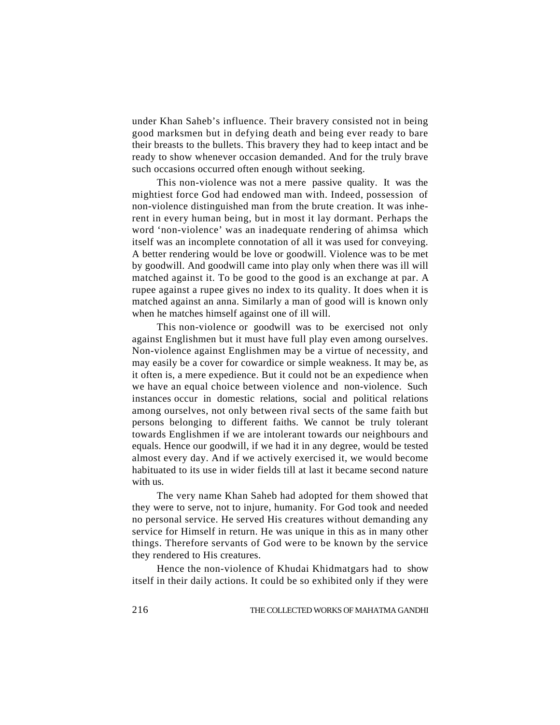under Khan Saheb's influence. Their bravery consisted not in being good marksmen but in defying death and being ever ready to bare their breasts to the bullets. This bravery they had to keep intact and be ready to show whenever occasion demanded. And for the truly brave such occasions occurred often enough without seeking.

This non-violence was not a mere passive quality. It was the mightiest force God had endowed man with. Indeed, possession of non-violence distinguished man from the brute creation. It was inherent in every human being, but in most it lay dormant. Perhaps the word 'non-violence' was an inadequate rendering of ahimsa which itself was an incomplete connotation of all it was used for conveying. A better rendering would be love or goodwill. Violence was to be met by goodwill. And goodwill came into play only when there was ill will matched against it. To be good to the good is an exchange at par. A rupee against a rupee gives no index to its quality. It does when it is matched against an anna. Similarly a man of good will is known only when he matches himself against one of ill will.

This non-violence or goodwill was to be exercised not only against Englishmen but it must have full play even among ourselves. Non-violence against Englishmen may be a virtue of necessity, and may easily be a cover for cowardice or simple weakness. It may be, as it often is, a mere expedience. But it could not be an expedience when we have an equal choice between violence and non-violence. Such instances occur in domestic relations, social and political relations among ourselves, not only between rival sects of the same faith but persons belonging to different faiths. We cannot be truly tolerant towards Englishmen if we are intolerant towards our neighbours and equals. Hence our goodwill, if we had it in any degree, would be tested almost every day. And if we actively exercised it, we would become habituated to its use in wider fields till at last it became second nature with us.

The very name Khan Saheb had adopted for them showed that they were to serve, not to injure, humanity. For God took and needed no personal service. He served His creatures without demanding any service for Himself in return. He was unique in this as in many other things. Therefore servants of God were to be known by the service they rendered to His creatures.

Hence the non-violence of Khudai Khidmatgars had to show itself in their daily actions. It could be so exhibited only if they were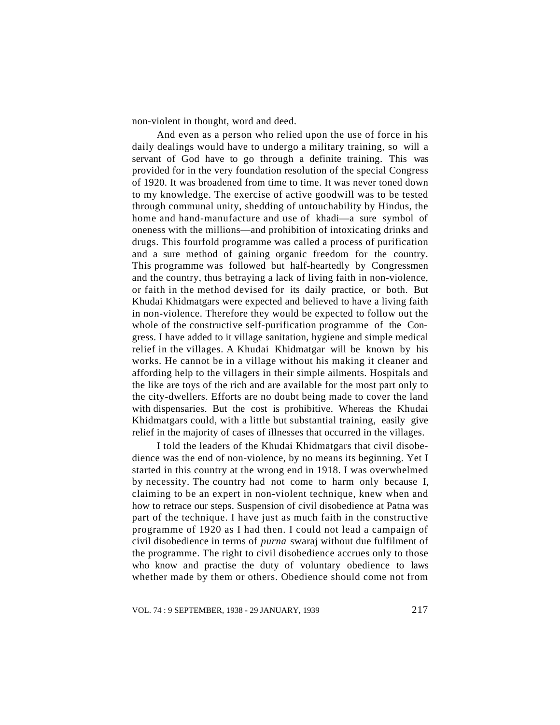non-violent in thought, word and deed.

And even as a person who relied upon the use of force in his daily dealings would have to undergo a military training, so will a servant of God have to go through a definite training. This was provided for in the very foundation resolution of the special Congress of 1920. It was broadened from time to time. It was never toned down to my knowledge. The exercise of active goodwill was to be tested through communal unity, shedding of untouchability by Hindus, the home and hand-manufacture and use of khadi—a sure symbol of oneness with the millions—and prohibition of intoxicating drinks and drugs. This fourfold programme was called a process of purification and a sure method of gaining organic freedom for the country. This programme was followed but half-heartedly by Congressmen and the country, thus betraying a lack of living faith in non-violence, or faith in the method devised for its daily practice, or both. But Khudai Khidmatgars were expected and believed to have a living faith in non-violence. Therefore they would be expected to follow out the whole of the constructive self-purification programme of the Congress. I have added to it village sanitation, hygiene and simple medical relief in the villages. A Khudai Khidmatgar will be known by his works. He cannot be in a village without his making it cleaner and affording help to the villagers in their simple ailments. Hospitals and the like are toys of the rich and are available for the most part only to the city-dwellers. Efforts are no doubt being made to cover the land with dispensaries. But the cost is prohibitive. Whereas the Khudai Khidmatgars could, with a little but substantial training, easily give relief in the majority of cases of illnesses that occurred in the villages.

I told the leaders of the Khudai Khidmatgars that civil disobedience was the end of non-violence, by no means its beginning. Yet I started in this country at the wrong end in 1918. I was overwhelmed by necessity. The country had not come to harm only because I, claiming to be an expert in non-violent technique, knew when and how to retrace our steps. Suspension of civil disobedience at Patna was part of the technique. I have just as much faith in the constructive programme of 1920 as I had then. I could not lead a campaign of civil disobedience in terms of *purna* swaraj without due fulfilment of the programme. The right to civil disobedience accrues only to those who know and practise the duty of voluntary obedience to laws whether made by them or others. Obedience should come not from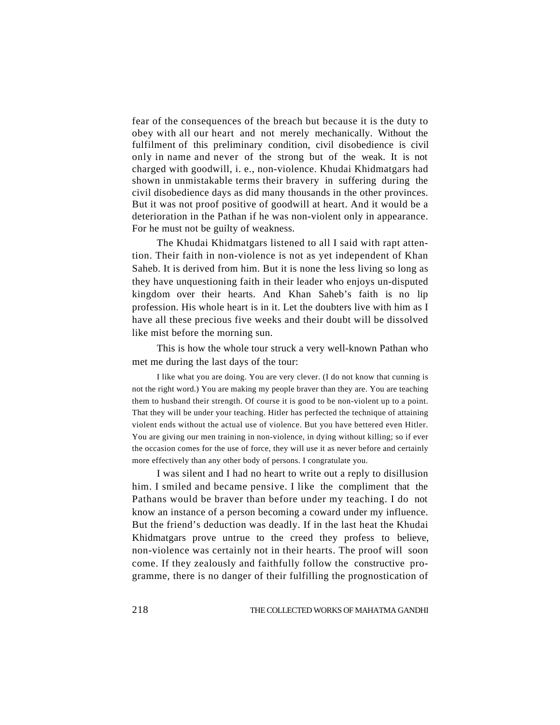fear of the consequences of the breach but because it is the duty to obey with all our heart and not merely mechanically. Without the fulfilment of this preliminary condition, civil disobedience is civil only in name and never of the strong but of the weak. It is not charged with goodwill, i. e., non-violence. Khudai Khidmatgars had shown in unmistakable terms their bravery in suffering during the civil disobedience days as did many thousands in the other provinces. But it was not proof positive of goodwill at heart. And it would be a deterioration in the Pathan if he was non-violent only in appearance. For he must not be guilty of weakness.

The Khudai Khidmatgars listened to all I said with rapt attention. Their faith in non-violence is not as yet independent of Khan Saheb. It is derived from him. But it is none the less living so long as they have unquestioning faith in their leader who enjoys un-disputed kingdom over their hearts. And Khan Saheb's faith is no lip profession. His whole heart is in it. Let the doubters live with him as I have all these precious five weeks and their doubt will be dissolved like mist before the morning sun.

This is how the whole tour struck a very well-known Pathan who met me during the last days of the tour:

I like what you are doing. You are very clever. (I do not know that cunning is not the right word.) You are making my people braver than they are. You are teaching them to husband their strength. Of course it is good to be non-violent up to a point. That they will be under your teaching. Hitler has perfected the technique of attaining violent ends without the actual use of violence. But you have bettered even Hitler. You are giving our men training in non-violence, in dying without killing; so if ever the occasion comes for the use of force, they will use it as never before and certainly more effectively than any other body of persons. I congratulate you.

I was silent and I had no heart to write out a reply to disillusion him. I smiled and became pensive. I like the compliment that the Pathans would be braver than before under my teaching. I do not know an instance of a person becoming a coward under my influence. But the friend's deduction was deadly. If in the last heat the Khudai Khidmatgars prove untrue to the creed they profess to believe, non-violence was certainly not in their hearts. The proof will soon come. If they zealously and faithfully follow the constructive programme, there is no danger of their fulfilling the prognostication of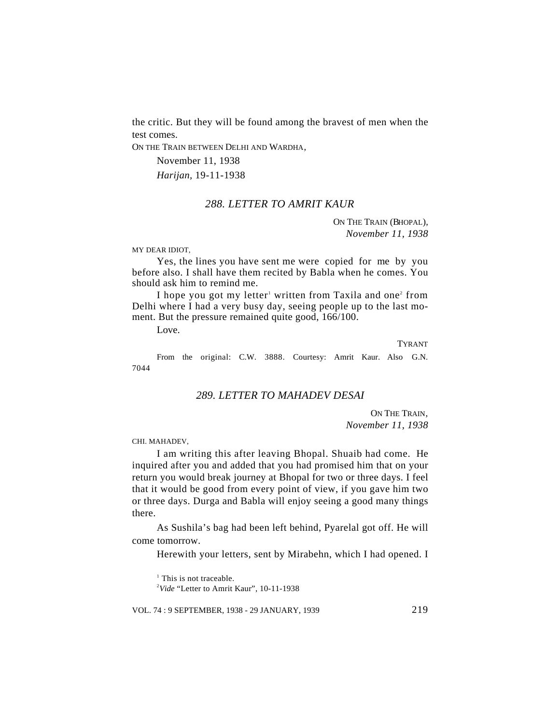the critic. But they will be found among the bravest of men when the test comes.

ON THE TRAIN BETWEEN DELHI AND WARDHA,

November 11, 1938 *Harijan,* 19-11-1938

## *288. LETTER TO AMRIT KAUR*

ON THE TRAIN (BHOPAL), *November 11, 1938*

MY DEAR IDIOT,

Yes, the lines you have sent me were copied for me by you before also. I shall have them recited by Babla when he comes. You should ask him to remind me.

I hope you got my letter written from Taxila and one<sup>2</sup> from Delhi where I had a very busy day, seeing people up to the last moment. But the pressure remained quite good, 166/100.

Love.

TYRANT

From the original: C.W. 3888. Courtesy: Amrit Kaur. Also G.N. 7044

### *289. LETTER TO MAHADEV DESAI*

ON THE TRAIN, *November 11, 1938*

CHI. MAHADEV,

I am writing this after leaving Bhopal. Shuaib had come. He inquired after you and added that you had promised him that on your return you would break journey at Bhopal for two or three days. I feel that it would be good from every point of view, if you gave him two or three days. Durga and Babla will enjoy seeing a good many things there.

As Sushila's bag had been left behind, Pyarelal got off. He will come tomorrow.

Herewith your letters, sent by Mirabehn, which I had opened. I

<sup>1</sup> This is not traceable.

<sup>2</sup>Vide "Letter to Amrit Kaur", 10-11-1938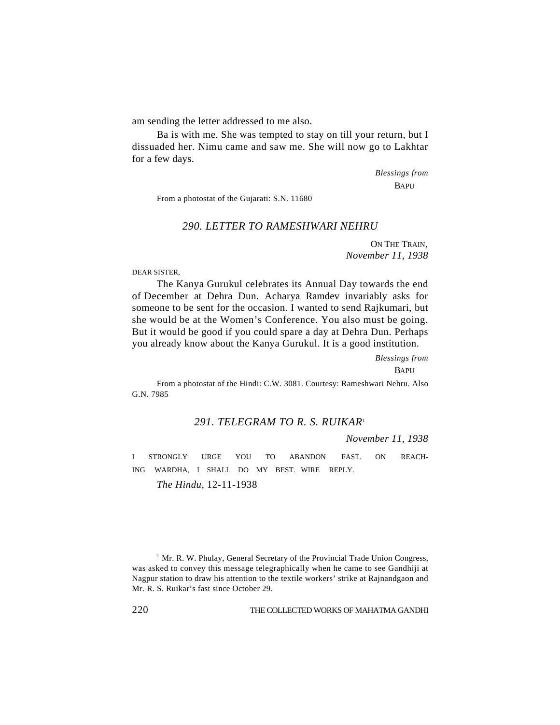am sending the letter addressed to me also.

Ba is with me. She was tempted to stay on till your return, but I dissuaded her. Nimu came and saw me. She will now go to Lakhtar for a few days.

> *Blessings from* BAPU

From a photostat of the Gujarati: S.N. 11680

## *290. LETTER TO RAMESHWARI NEHRU*

ON THE TRAIN, *November 11, 1938*

DEAR SISTER,

The Kanya Gurukul celebrates its Annual Day towards the end of December at Dehra Dun. Acharya Ramdev invariably asks for someone to be sent for the occasion. I wanted to send Rajkumari, but she would be at the Women's Conference. You also must be going. But it would be good if you could spare a day at Dehra Dun. Perhaps you already know about the Kanya Gurukul. It is a good institution.

> *Blessings from* **BAPU**

From a photostat of the Hindi: C.W. 3081. Courtesy: Rameshwari Nehru. Also G.N. 7985

### *291. TELEGRAM TO R. S. RUIKAR*<sup>1</sup>

*November 11, 1938*

I STRONGLY URGE YOU TO ABANDON FAST. ON REACH-ING WARDHA, I SHALL DO MY BEST. WIRE REPLY.

*The Hindu,* 12-11-1938

<sup>1</sup> Mr. R. W. Phulay, General Secretary of the Provincial Trade Union Congress, was asked to convey this message telegraphically when he came to see Gandhiji at Nagpur station to draw his attention to the textile workers' strike at Rajnandgaon and Mr. R. S. Ruikar's fast since October 29.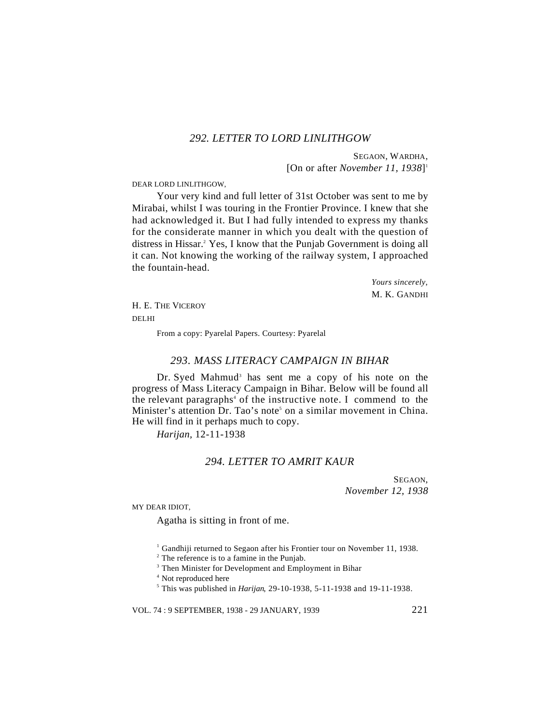### *292. LETTER TO LORD LINLITHGOW*

SEGAON, WARDHA, [On or after *November 11, 1938*] 1

DEAR LORD LINLITHGOW,

Your very kind and full letter of 31st October was sent to me by Mirabai, whilst I was touring in the Frontier Province. I knew that she had acknowledged it. But I had fully intended to express my thanks for the considerate manner in which you dealt with the question of distress in Hissar.<sup>2</sup> Yes, I know that the Punjab Government is doing all it can. Not knowing the working of the railway system, I approached the fountain-head.

> *Yours sincerely*, M. K. GANDHI

H. E. THE VICEROY DELHI

From a copy: Pyarelal Papers. Courtesy: Pyarelal

### *293. MASS LITERACY CAMPAIGN IN BIHAR*

Dr. Syed Mahmud<sup>3</sup> has sent me a copy of his note on the progress of Mass Literacy Campaign in Bihar. Below will be found all the relevant paragraphs<sup>4</sup> of the instructive note. I commend to the Minister's attention Dr. Tao's note<sup>5</sup> on a similar movement in China. He will find in it perhaps much to copy.

*Harijan,* 12-11-1938

#### *294. LETTER TO AMRIT KAUR*

SEGAON, *November 12, 1938*

MY DEAR IDIOT,

Agatha is sitting in front of me.

<sup>1</sup> Gandhiji returned to Segaon after his Frontier tour on November 11, 1938.

<sup>2</sup> The reference is to a famine in the Punjab.

<sup>3</sup> Then Minister for Development and Employment in Bihar

4 Not reproduced here

5 This was published in *Harijan*, 29-10-1938, 5-11-1938 and 19-11-1938.

VOL. 74 : 9 SEPTEMBER, 1938 - 29 JANUARY, 1939 221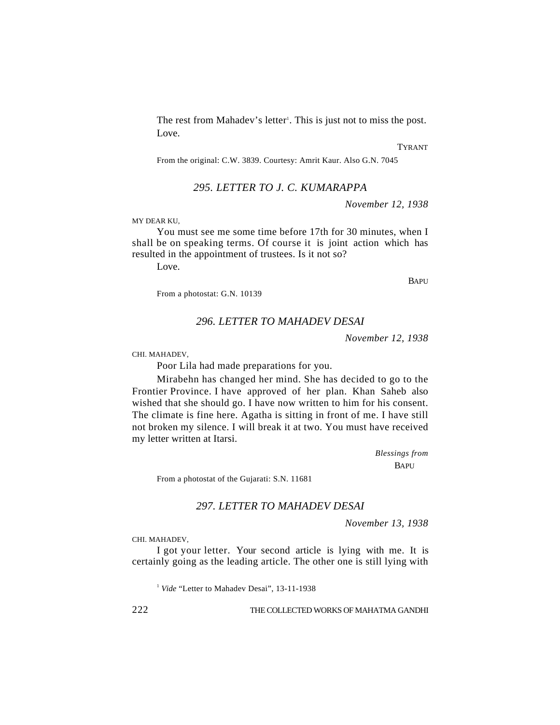The rest from Mahadev's letter<sup>1</sup>. This is just not to miss the post. Love.

TYRANT

From the original: C.W. 3839. Courtesy: Amrit Kaur. Also G.N. 7045

## *295. LETTER TO J. C. KUMARAPPA*

*November 12, 1938*

MY DEAR KU

You must see me some time before 17th for 30 minutes, when I shall be on speaking terms. Of course it is joint action which has resulted in the appointment of trustees. Is it not so?

Love.

**BAPU** 

From a photostat: G.N. 10139

## *296. LETTER TO MAHADEV DESAI*

*November 12, 1938*

CHI. MAHADEV,

Poor Lila had made preparations for you.

Mirabehn has changed her mind. She has decided to go to the Frontier Province. I have approved of her plan. Khan Saheb also wished that she should go. I have now written to him for his consent. The climate is fine here. Agatha is sitting in front of me. I have still not broken my silence. I will break it at two. You must have received my letter written at Itarsi.

> *Blessings from* **BAPU**

From a photostat of the Gujarati: S.N. 11681

## *297. LETTER TO MAHADEV DESAI*

*November 13, 1938*

CHI. MAHADEV,

I got your letter. Your second article is lying with me. It is certainly going as the leading article. The other one is still lying with

<sup>1</sup> *Vide* "Letter to Mahadev Desai", 13-11-1938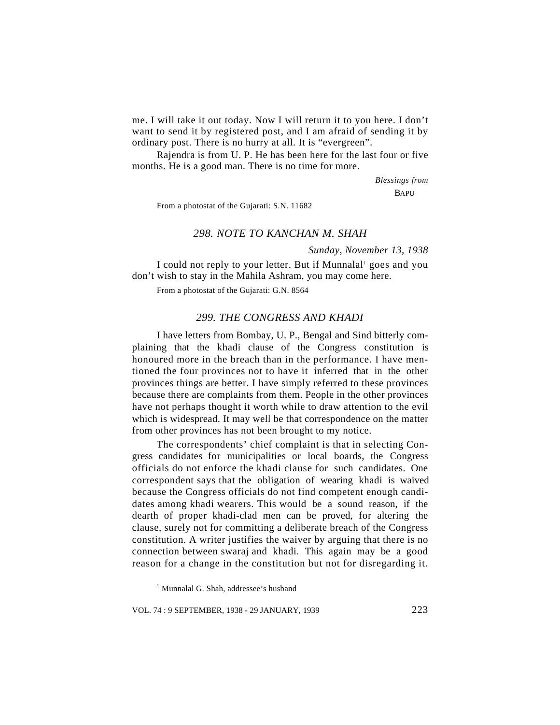me. I will take it out today. Now I will return it to you here. I don't want to send it by registered post, and I am afraid of sending it by ordinary post. There is no hurry at all. It is "evergreen".

Rajendra is from U. P. He has been here for the last four or five months. He is a good man. There is no time for more.

> *Blessings from* **BAPU**

From a photostat of the Gujarati: S.N. 11682

## *298. NOTE TO KANCHAN M. SHAH*

*Sunday, November 13, 1938*

I could not reply to your letter. But if Munnalal<sup>1</sup> goes and you don't wish to stay in the Mahila Ashram, you may come here.

From a photostat of the Gujarati: G.N. 8564

### *299. THE CONGRESS AND KHADI*

I have letters from Bombay, U. P., Bengal and Sind bitterly complaining that the khadi clause of the Congress constitution is honoured more in the breach than in the performance. I have mentioned the four provinces not to have it inferred that in the other provinces things are better. I have simply referred to these provinces because there are complaints from them. People in the other provinces have not perhaps thought it worth while to draw attention to the evil which is widespread. It may well be that correspondence on the matter from other provinces has not been brought to my notice.

The correspondents' chief complaint is that in selecting Congress candidates for municipalities or local boards, the Congress officials do not enforce the khadi clause for such candidates. One correspondent says that the obligation of wearing khadi is waived because the Congress officials do not find competent enough candidates among khadi wearers. This would be a sound reason, if the dearth of proper khadi-clad men can be proved, for altering the clause, surely not for committing a deliberate breach of the Congress constitution. A writer justifies the waiver by arguing that there is no connection between swaraj and khadi. This again may be a good reason for a change in the constitution but not for disregarding it.

1 Munnalal G. Shah, addressee's husband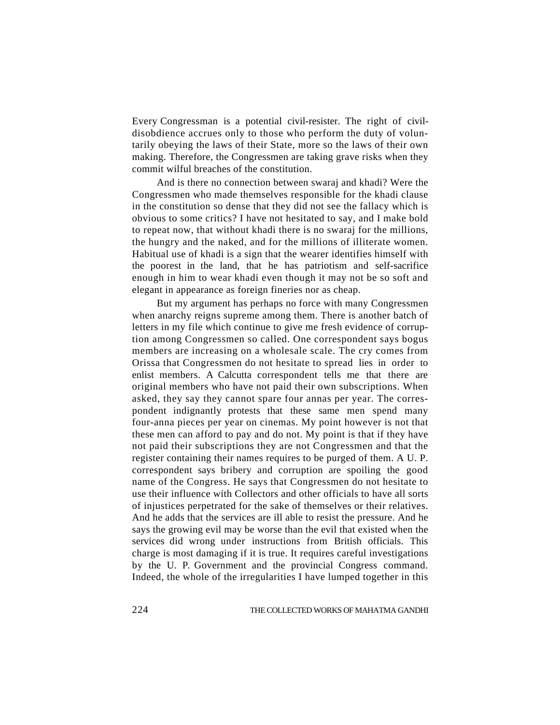Every Congressman is a potential civil-resister. The right of civildisobdience accrues only to those who perform the duty of voluntarily obeying the laws of their State, more so the laws of their own making. Therefore, the Congressmen are taking grave risks when they commit wilful breaches of the constitution.

And is there no connection between swaraj and khadi? Were the Congressmen who made themselves responsible for the khadi clause in the constitution so dense that they did not see the fallacy which is obvious to some critics? I have not hesitated to say, and I make bold to repeat now, that without khadi there is no swaraj for the millions, the hungry and the naked, and for the millions of illiterate women. Habitual use of khadi is a sign that the wearer identifies himself with the poorest in the land, that he has patriotism and self-sacrifice enough in him to wear khadi even though it may not be so soft and elegant in appearance as foreign fineries nor as cheap.

But my argument has perhaps no force with many Congressmen when anarchy reigns supreme among them. There is another batch of letters in my file which continue to give me fresh evidence of corruption among Congressmen so called. One correspondent says bogus members are increasing on a wholesale scale. The cry comes from Orissa that Congressmen do not hesitate to spread lies in order to enlist members. A Calcutta correspondent tells me that there are original members who have not paid their own subscriptions. When asked, they say they cannot spare four annas per year. The correspondent indignantly protests that these same men spend many four-anna pieces per year on cinemas. My point however is not that these men can afford to pay and do not. My point is that if they have not paid their subscriptions they are not Congressmen and that the register containing their names requires to be purged of them. A U. P. correspondent says bribery and corruption are spoiling the good name of the Congress. He says that Congressmen do not hesitate to use their influence with Collectors and other officials to have all sorts of injustices perpetrated for the sake of themselves or their relatives. And he adds that the services are ill able to resist the pressure. And he says the growing evil may be worse than the evil that existed when the services did wrong under instructions from British officials. This charge is most damaging if it is true. It requires careful investigations by the U. P. Government and the provincial Congress command. Indeed, the whole of the irregularities I have lumped together in this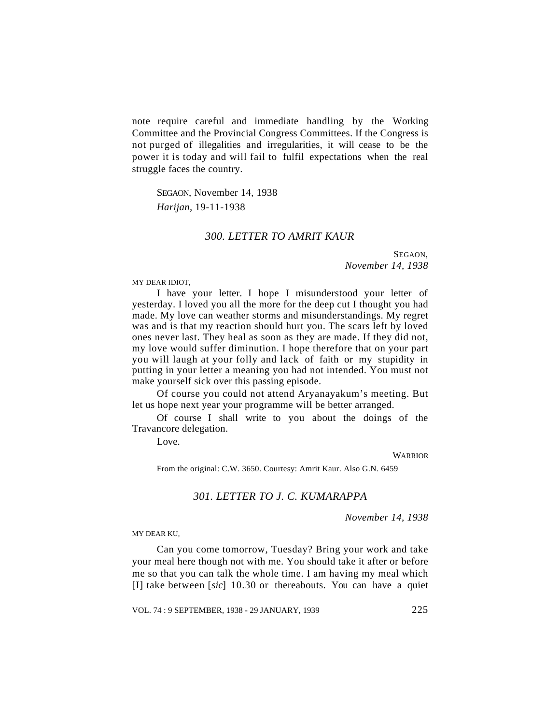note require careful and immediate handling by the Working Committee and the Provincial Congress Committees. If the Congress is not purged of illegalities and irregularities, it will cease to be the power it is today and will fail to fulfil expectations when the real struggle faces the country.

SEGAON, November 14, 1938 *Harijan,* 19-11-1938

## *300. LETTER TO AMRIT KAUR*

SEGAON, *November 14, 1938*

MY DEAR IDIOT,

I have your letter. I hope I misunderstood your letter of yesterday. I loved you all the more for the deep cut I thought you had made. My love can weather storms and misunderstandings. My regret was and is that my reaction should hurt you. The scars left by loved ones never last. They heal as soon as they are made. If they did not, my love would suffer diminution. I hope therefore that on your part you will laugh at your folly and lack of faith or my stupidity in putting in your letter a meaning you had not intended. You must not make yourself sick over this passing episode.

Of course you could not attend Aryanayakum's meeting. But let us hope next year your programme will be better arranged.

Of course I shall write to you about the doings of the Travancore delegation.

Love.

**WARRIOR** 

From the original: C.W. 3650. Courtesy: Amrit Kaur. Also G.N. 6459

## *301. LETTER TO J. C. KUMARAPPA*

*November 14, 1938*

MY DEAR KU,

Can you come tomorrow, Tuesday? Bring your work and take your meal here though not with me. You should take it after or before me so that you can talk the whole time. I am having my meal which [I] take between [*sic*] 10.30 or thereabouts. You can have a quiet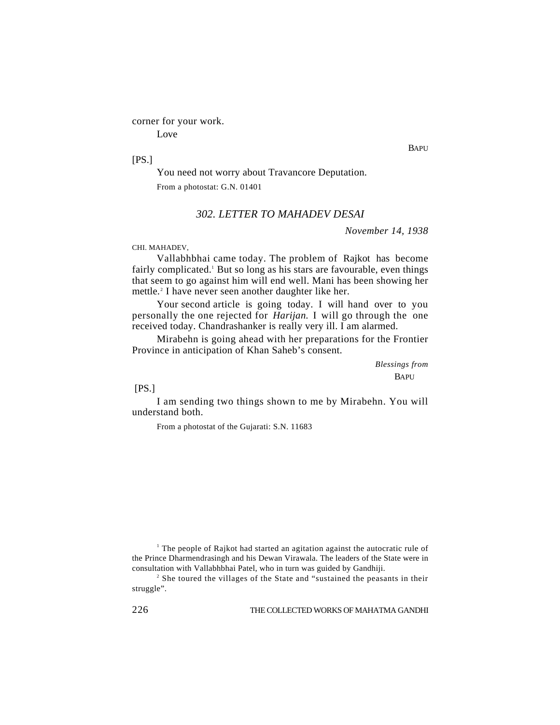corner for your work.

Love

[PS.]

You need not worry about Travancore Deputation. From a photostat: G.N. 01401

## *302. LETTER TO MAHADEV DESAI*

*November 14, 1938*

CHI. MAHADEV,

Vallabhbhai came today. The problem of Rajkot has become fairly complicated.<sup>1</sup> But so long as his stars are favourable, even things that seem to go against him will end well. Mani has been showing her mettle.<sup>2</sup> I have never seen another daughter like her.

Your second article is going today. I will hand over to you personally the one rejected for *Harijan.* I will go through the one received today. Chandrashanker is really very ill. I am alarmed.

Mirabehn is going ahead with her preparations for the Frontier Province in anticipation of Khan Saheb's consent.

> *Blessings from* **BAPU**

[PS.]

I am sending two things shown to me by Mirabehn. You will understand both.

From a photostat of the Gujarati: S.N. 11683

<sup>1</sup> The people of Rajkot had started an agitation against the autocratic rule of the Prince Dharmendrasingh and his Dewan Virawala. The leaders of the State were in consultation with Vallabhbhai Patel, who in turn was guided by Gandhiji.

<sup>2</sup> She toured the villages of the State and "sustained the peasants in their struggle".

**BAPU**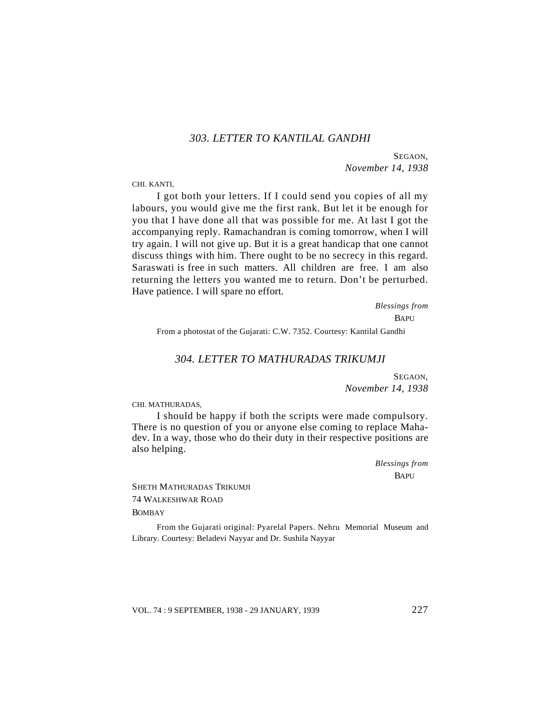## *303. LETTER TO KANTILAL GANDHI*

SEGAON, *November 14, 1938*

CHI. KANTI,

I got both your letters. If I could send you copies of all my labours, you would give me the first rank. But let it be enough for you that I have done all that was possible for me. At last I got the accompanying reply. Ramachandran is coming tomorrow, when I will try again. I will not give up. But it is a great handicap that one cannot discuss things with him. There ought to be no secrecy in this regard. Saraswati is free in such matters. All children are free. I am also returning the letters you wanted me to return. Don't be perturbed. Have patience. I will spare no effort.

*Blessings from*

**BAPU** 

From a photostat of the Gujarati: C.W. 7352. Courtesy: Kantilal Gandhi

#### *304. LETTER TO MATHURADAS TRIKUMJI*

SEGAON, *November 14, 1938*

CHI. MATHURADAS,

I should be happy if both the scripts were made compulsory. There is no question of you or anyone else coming to replace Mahadev. In a way, those who do their duty in their respective positions are also helping.

> *Blessings from* **BAPU**

SHETH MATHURADAS TRIKUMJI 74 WALKESHWAR ROAD BOMBAY

From the Gujarati original: Pyarelal Papers. Nehru Memorial Museum and Library. Courtesy: Beladevi Nayyar and Dr. Sushila Nayyar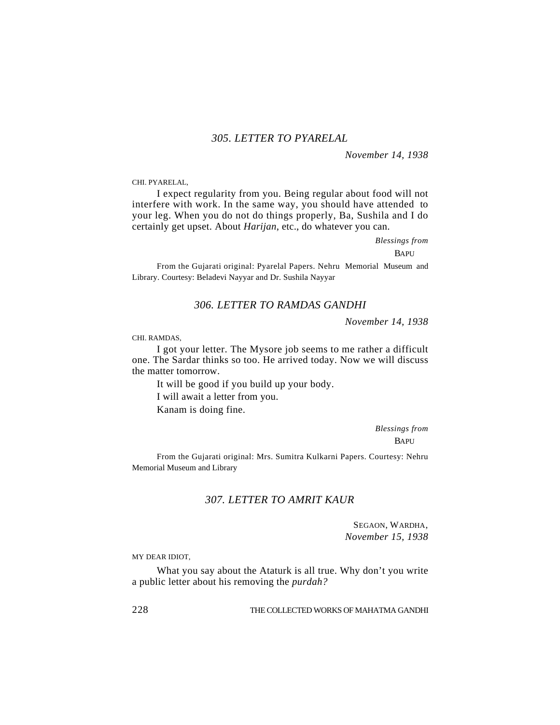### *305. LETTER TO PYARELAL*

*November 14, 1938*

CHI. PYARELAL,

I expect regularity from you. Being regular about food will not interfere with work. In the same way, you should have attended to your leg. When you do not do things properly, Ba, Sushila and I do certainly get upset. About *Harijan*, etc., do whatever you can.

> *Blessings from* **BAPU**

From the Gujarati original: Pyarelal Papers. Nehru Memorial Museum and Library. Courtesy: Beladevi Nayyar and Dr. Sushila Nayyar

## *306. LETTER TO RAMDAS GANDHI*

*November 14, 1938*

CHI. RAMDAS,

I got your letter. The Mysore job seems to me rather a difficult one. The Sardar thinks so too. He arrived today. Now we will discuss the matter tomorrow.

It will be good if you build up your body.

I will await a letter from you.

Kanam is doing fine.

*Blessings from* **BAPU** 

From the Gujarati original: Mrs. Sumitra Kulkarni Papers. Courtesy: Nehru Memorial Museum and Library

## *307. LETTER TO AMRIT KAUR*

SEGAON, WARDHA, *November 15, 1938*

MY DEAR IDIOT,

What you say about the Ataturk is all true. Why don't you write a public letter about his removing the *purdah?*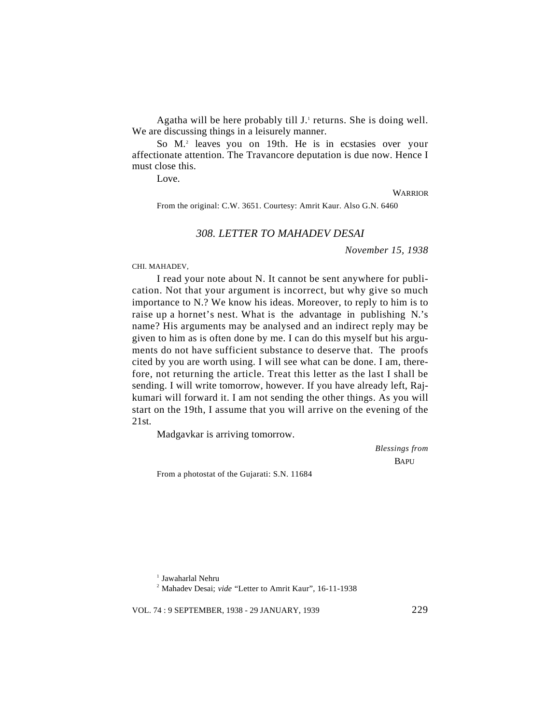Agatha will be here probably till J.<sup>1</sup> returns. She is doing well. We are discussing things in a leisurely manner.

So M.<sup>2</sup> leaves you on 19th. He is in ecstasies over your affectionate attention. The Travancore deputation is due now. Hence I must close this.

Love.

**WARRIOR** 

From the original: C.W. 3651. Courtesy: Amrit Kaur. Also G.N. 6460

## *308. LETTER TO MAHADEV DESAI*

*November 15, 1938*

CHI. MAHADEV,

I read your note about N. It cannot be sent anywhere for publication. Not that your argument is incorrect, but why give so much importance to N.? We know his ideas. Moreover, to reply to him is to raise up a hornet's nest. What is the advantage in publishing N.'s name? His arguments may be analysed and an indirect reply may be given to him as is often done by me. I can do this myself but his arguments do not have sufficient substance to deserve that. The proofs cited by you are worth using. I will see what can be done. I am, therefore, not returning the article. Treat this letter as the last I shall be sending. I will write tomorrow, however. If you have already left, Rajkumari will forward it. I am not sending the other things. As you will start on the 19th, I assume that you will arrive on the evening of the 21st.

Madgavkar is arriving tomorrow.

*Blessings from* **BAPU** 

From a photostat of the Gujarati: S.N. 11684

<sup>1</sup> Jawaharlal Nehru

<sup>&</sup>lt;sup>2</sup> Mahadev Desai; *vide* "Letter to Amrit Kaur", 16-11-1938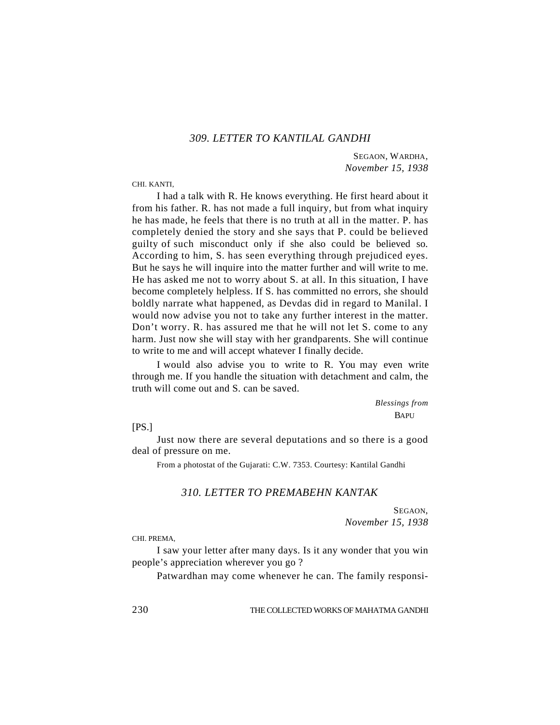## *309. LETTER TO KANTILAL GANDHI*

SEGAON, WARDHA, *November 15, 1938*

CHI. KANTI,

I had a talk with R. He knows everything. He first heard about it from his father. R. has not made a full inquiry, but from what inquiry he has made, he feels that there is no truth at all in the matter. P. has completely denied the story and she says that P. could be believed guilty of such misconduct only if she also could be believed so. According to him, S. has seen everything through prejudiced eyes. But he says he will inquire into the matter further and will write to me. He has asked me not to worry about S. at all. In this situation, I have become completely helpless. If S. has committed no errors, she should boldly narrate what happened, as Devdas did in regard to Manilal. I would now advise you not to take any further interest in the matter. Don't worry. R. has assured me that he will not let S. come to any harm. Just now she will stay with her grandparents. She will continue to write to me and will accept whatever I finally decide.

I would also advise you to write to R. You may even write through me. If you handle the situation with detachment and calm, the truth will come out and S. can be saved.

> *Blessings from* **BAPU**

[PS.]

Just now there are several deputations and so there is a good deal of pressure on me.

From a photostat of the Gujarati: C.W. 7353. Courtesy: Kantilal Gandhi

## *310. LETTER TO PREMABEHN KANTAK*

SEGAON, *November 15, 1938*

CHI. PREMA,

I saw your letter after many days. Is it any wonder that you win people's appreciation wherever you go ?

Patwardhan may come whenever he can. The family responsi-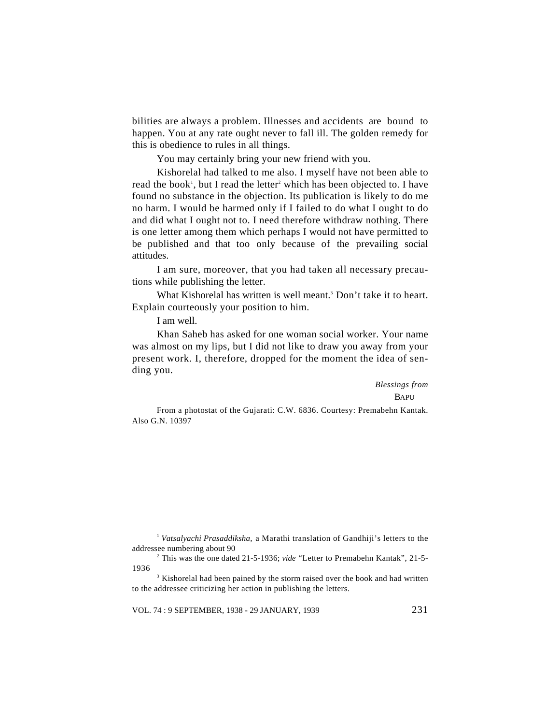bilities are always a problem. Illnesses and accidents are bound to happen. You at any rate ought never to fall ill. The golden remedy for this is obedience to rules in all things.

You may certainly bring your new friend with you.

Kishorelal had talked to me also. I myself have not been able to read the book<sup>1</sup>, but I read the letter<sup>2</sup> which has been objected to. I have found no substance in the objection. Its publication is likely to do me no harm. I would be harmed only if I failed to do what I ought to do and did what I ought not to. I need therefore withdraw nothing. There is one letter among them which perhaps I would not have permitted to be published and that too only because of the prevailing social attitudes.

I am sure, moreover, that you had taken all necessary precautions while publishing the letter.

What Kishorelal has written is well meant.<sup>3</sup> Don't take it to heart. Explain courteously your position to him.

I am well.

Khan Saheb has asked for one woman social worker. Your name was almost on my lips, but I did not like to draw you away from your present work. I, therefore, dropped for the moment the idea of sending you.

*Blessings from*

**BAPU** 

From a photostat of the Gujarati: C.W. 6836. Courtesy: Premabehn Kantak. Also G.N. 10397

<sup>1</sup> *Vatsalyachi Prasaddiksha,* a Marathi translation of Gandhiji's letters to the addressee numbering about 90

2 This was the one dated 21-5-1936; *vide* "Letter to Premabehn Kantak", 21-5- 1936

<sup>3</sup> Kishorelal had been pained by the storm raised over the book and had written to the addressee criticizing her action in publishing the letters.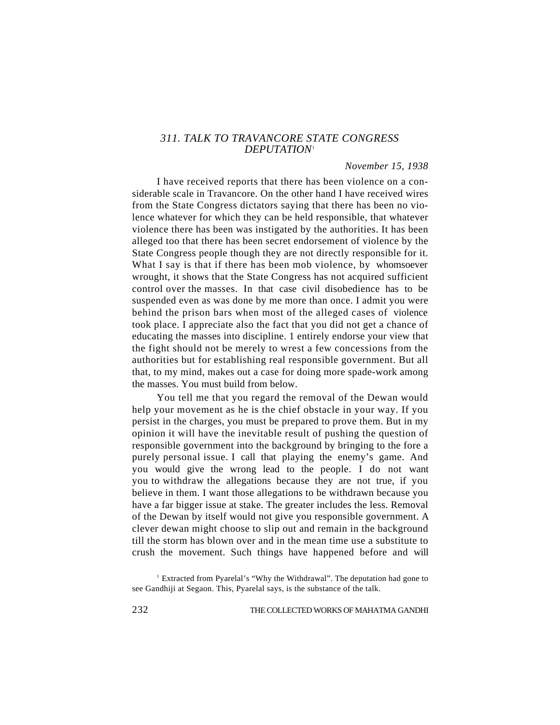## *311. TALK TO TRAVANCORE STATE CONGRESS DEPUTATION*<sup>1</sup>

### *November 15, 1938*

I have received reports that there has been violence on a considerable scale in Travancore. On the other hand I have received wires from the State Congress dictators saying that there has been no violence whatever for which they can be held responsible, that whatever violence there has been was instigated by the authorities. It has been alleged too that there has been secret endorsement of violence by the State Congress people though they are not directly responsible for it. What I say is that if there has been mob violence, by whomsoever wrought, it shows that the State Congress has not acquired sufficient control over the masses. In that case civil disobedience has to be suspended even as was done by me more than once. I admit you were behind the prison bars when most of the alleged cases of violence took place. I appreciate also the fact that you did not get a chance of educating the masses into discipline. 1 entirely endorse your view that the fight should not be merely to wrest a few concessions from the authorities but for establishing real responsible government. But all that, to my mind, makes out a case for doing more spade-work among the masses. You must build from below.

You tell me that you regard the removal of the Dewan would help your movement as he is the chief obstacle in your way. If you persist in the charges, you must be prepared to prove them. But in my opinion it will have the inevitable result of pushing the question of responsible government into the background by bringing to the fore a purely personal issue. I call that playing the enemy's game. And you would give the wrong lead to the people. I do not want you to withdraw the allegations because they are not true, if you believe in them. I want those allegations to be withdrawn because you have a far bigger issue at stake. The greater includes the less. Removal of the Dewan by itself would not give you responsible government. A clever dewan might choose to slip out and remain in the background till the storm has blown over and in the mean time use a substitute to crush the movement. Such things have happened before and will

<sup>&</sup>lt;sup>1</sup> Extracted from Pyarelal's "Why the Withdrawal". The deputation had gone to see Gandhiji at Segaon. This, Pyarelal says, is the substance of the talk.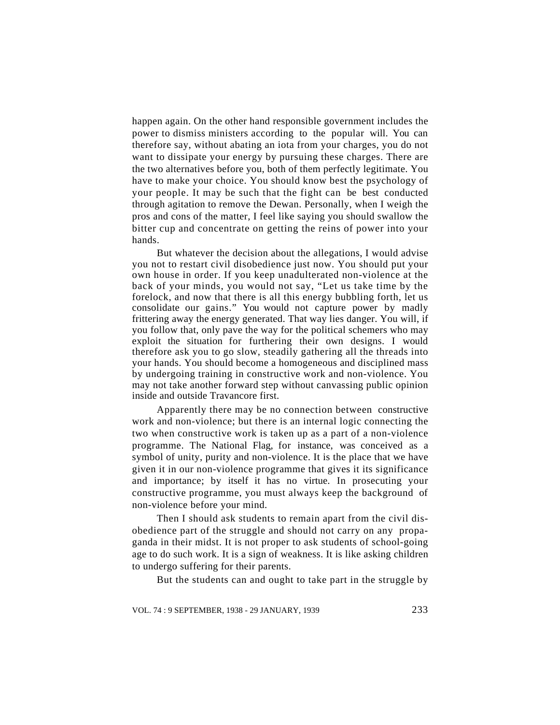happen again. On the other hand responsible government includes the power to dismiss ministers according to the popular will. You can therefore say, without abating an iota from your charges, you do not want to dissipate your energy by pursuing these charges. There are the two alternatives before you, both of them perfectly legitimate. You have to make your choice. You should know best the psychology of your people. It may be such that the fight can be best conducted through agitation to remove the Dewan. Personally, when I weigh the pros and cons of the matter, I feel like saying you should swallow the bitter cup and concentrate on getting the reins of power into your hands.

But whatever the decision about the allegations, I would advise you not to restart civil disobedience just now. You should put your own house in order. If you keep unadulterated non-violence at the back of your minds, you would not say, "Let us take time by the forelock, and now that there is all this energy bubbling forth, let us consolidate our gains." You would not capture power by madly frittering away the energy generated. That way lies danger. You will, if you follow that, only pave the way for the political schemers who may exploit the situation for furthering their own designs. I would therefore ask you to go slow, steadily gathering all the threads into your hands. You should become a homogeneous and disciplined mass by undergoing training in constructive work and non-violence. You may not take another forward step without canvassing public opinion inside and outside Travancore first.

Apparently there may be no connection between constructive work and non-violence; but there is an internal logic connecting the two when constructive work is taken up as a part of a non-violence programme. The National Flag, for instance, was conceived as a symbol of unity, purity and non-violence. It is the place that we have given it in our non-violence programme that gives it its significance and importance; by itself it has no virtue. In prosecuting your constructive programme, you must always keep the background of non-violence before your mind.

Then I should ask students to remain apart from the civil disobedience part of the struggle and should not carry on any propaganda in their midst. It is not proper to ask students of school-going age to do such work. It is a sign of weakness. It is like asking children to undergo suffering for their parents.

But the students can and ought to take part in the struggle by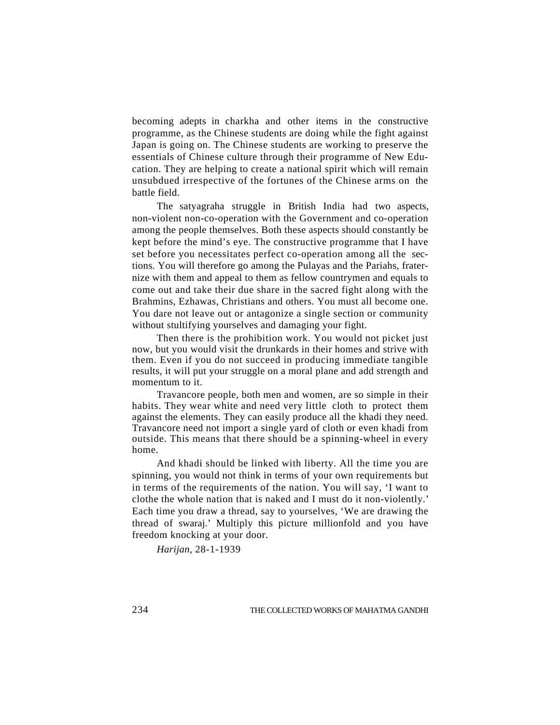becoming adepts in charkha and other items in the constructive programme, as the Chinese students are doing while the fight against Japan is going on. The Chinese students are working to preserve the essentials of Chinese culture through their programme of New Education. They are helping to create a national spirit which will remain unsubdued irrespective of the fortunes of the Chinese arms on the battle field.

The satyagraha struggle in British India had two aspects, non-violent non-co-operation with the Government and co-operation among the people themselves. Both these aspects should constantly be kept before the mind's eye. The constructive programme that I have set before you necessitates perfect co-operation among all the sections. You will therefore go among the Pulayas and the Pariahs, fraternize with them and appeal to them as fellow countrymen and equals to come out and take their due share in the sacred fight along with the Brahmins, Ezhawas, Christians and others. You must all become one. You dare not leave out or antagonize a single section or community without stultifying yourselves and damaging your fight.

Then there is the prohibition work. You would not picket just now, but you would visit the drunkards in their homes and strive with them. Even if you do not succeed in producing immediate tangible results, it will put your struggle on a moral plane and add strength and momentum to it.

Travancore people, both men and women, are so simple in their habits. They wear white and need very little cloth to protect them against the elements. They can easily produce all the khadi they need. Travancore need not import a single yard of cloth or even khadi from outside. This means that there should be a spinning-wheel in every home.

And khadi should be linked with liberty. All the time you are spinning, you would not think in terms of your own requirements but in terms of the requirements of the nation. You will say, 'I want to clothe the whole nation that is naked and I must do it non-violently.' Each time you draw a thread, say to yourselves, 'We are drawing the thread of swaraj.' Multiply this picture millionfold and you have freedom knocking at your door.

*Harijan,* 28-1-1939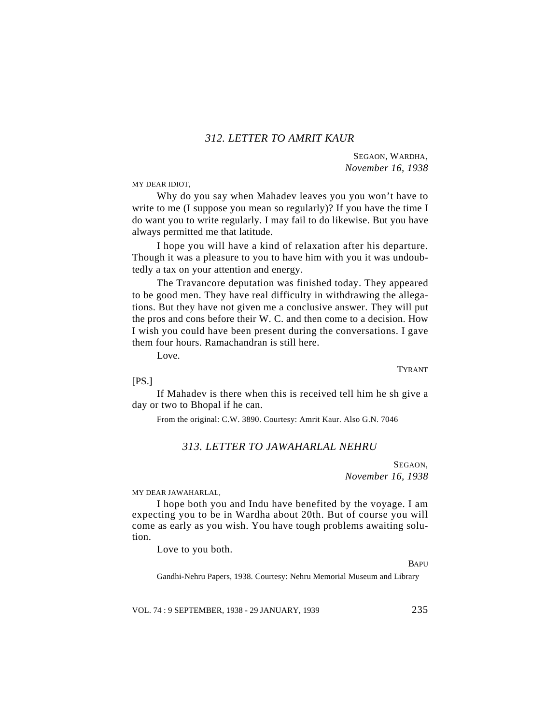## *312. LETTER TO AMRIT KAUR*

SEGAON, WARDHA, *November 16, 1938*

MY DEAR IDIOT,

Why do you say when Mahadev leaves you you won't have to write to me (I suppose you mean so regularly)? If you have the time I do want you to write regularly. I may fail to do likewise. But you have always permitted me that latitude.

I hope you will have a kind of relaxation after his departure. Though it was a pleasure to you to have him with you it was undoubtedly a tax on your attention and energy.

The Travancore deputation was finished today. They appeared to be good men. They have real difficulty in withdrawing the allegations. But they have not given me a conclusive answer. They will put the pros and cons before their W. C. and then come to a decision. How I wish you could have been present during the conversations. I gave them four hours. Ramachandran is still here.

Love.

TYRANT

#### $[PS.]$

If Mahadev is there when this is received tell him he sh give a day or two to Bhopal if he can.

From the original: C.W. 3890. Courtesy: Amrit Kaur. Also G.N. 7046

## *313. LETTER TO JAWAHARLAL NEHRU*

SEGAON, *November 16, 1938*

MY DEAR JAWAHARLAL,

I hope both you and Indu have benefited by the voyage. I am expecting you to be in Wardha about 20th. But of course you will come as early as you wish. You have tough problems awaiting solution.

Love to you both.

**BAPU** 

Gandhi-Nehru Papers, 1938. Courtesy: Nehru Memorial Museum and Library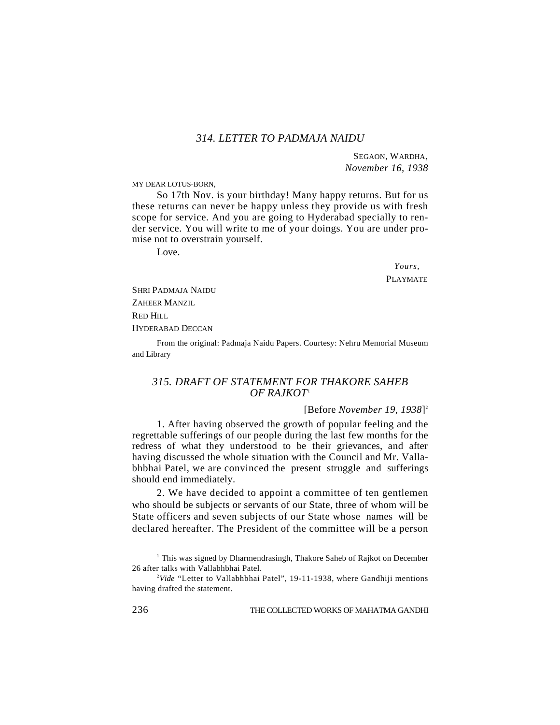## *314. LETTER TO PADMAJA NAIDU*

SEGAON, WARDHA, *November 16, 1938*

MY DEAR LOTUS-BORN,

So 17th Nov. is your birthday! Many happy returns. But for us these returns can never be happy unless they provide us with fresh scope for service. And you are going to Hyderabad specially to render service. You will write to me of your doings. You are under promise not to overstrain yourself.

Love.

*Yours,*  PLAYMATE

SHRI PADMAJA NAIDU ZAHEER MANZIL RED HILL

HYDERABAD DECCAN

From the original: Padmaja Naidu Papers. Courtesy: Nehru Memorial Museum and Library

## *315. DRAFT OF STATEMENT FOR THAKORE SAHEB OF RAJKOT*<sup>1</sup>

[Before *November 19, 1938*] 2

1. After having observed the growth of popular feeling and the regrettable sufferings of our people during the last few months for the redress of what they understood to be their grievances, and after having discussed the whole situation with the Council and Mr. Vallabhbhai Patel, we are convinced the present struggle and sufferings should end immediately.

2. We have decided to appoint a committee of ten gentlemen who should be subjects or servants of our State, three of whom will be State officers and seven subjects of our State whose names will be declared hereafter. The President of the committee will be a person

<sup>1</sup> This was signed by Dharmendrasingh, Thakore Saheb of Rajkot on December 26 after talks with Vallabhbhai Patel.

<sup>2</sup>Vide "Letter to Vallabhbhai Patel", 19-11-1938, where Gandhiji mentions having drafted the statement.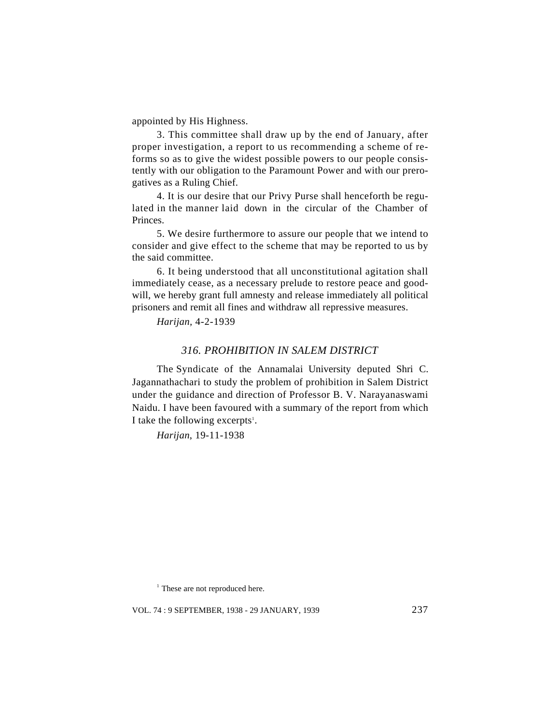appointed by His Highness.

3. This committee shall draw up by the end of January, after proper investigation, a report to us recommending a scheme of reforms so as to give the widest possible powers to our people consistently with our obligation to the Paramount Power and with our prerogatives as a Ruling Chief.

4. It is our desire that our Privy Purse shall henceforth be regulated in the manner laid down in the circular of the Chamber of **Princes** 

5. We desire furthermore to assure our people that we intend to consider and give effect to the scheme that may be reported to us by the said committee.

6. It being understood that all unconstitutional agitation shall immediately cease, as a necessary prelude to restore peace and goodwill, we hereby grant full amnesty and release immediately all political prisoners and remit all fines and withdraw all repressive measures.

*Harijan,* 4-2-1939

## *316. PROHIBITION IN SALEM DISTRICT*

The Syndicate of the Annamalai University deputed Shri C. Jagannathachari to study the problem of prohibition in Salem District under the guidance and direction of Professor B. V. Narayanaswami Naidu. I have been favoured with a summary of the report from which I take the following excerpts<sup>1</sup>.

*Harijan*, 19-11-1938

<sup>&</sup>lt;sup>1</sup> These are not reproduced here.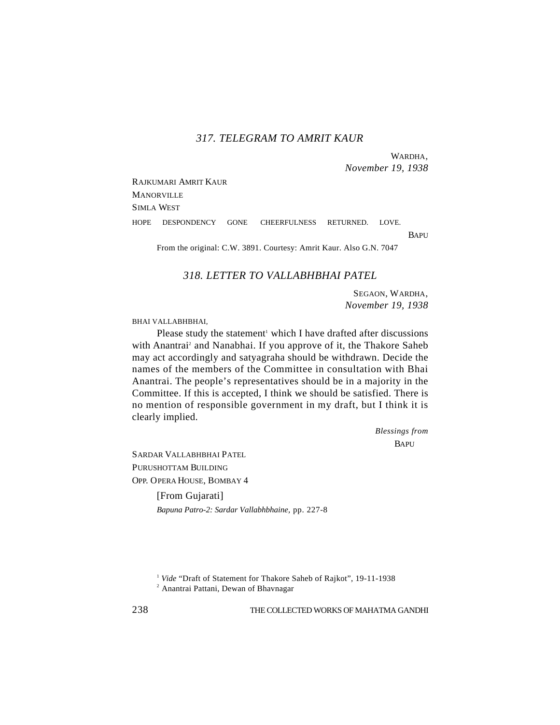## *317. TELEGRAM TO AMRIT KAUR*

WARDHA, *November 19, 1938*

RAJKUMARI AMRIT KAUR **MANORVILLE** SIMLA WEST HOPE DESPONDENCY GONE CHEERFULNESS RETURNED. LOVE.

**BAPU** 

From the original: C.W. 3891. Courtesy: Amrit Kaur. Also G.N. 7047

## *318. LETTER TO VALLABHBHAI PATEL*

SEGAON, WARDHA, *November 19, 1938*

BHAI VALLABHBHAI,

Please study the statement<sup>1</sup> which I have drafted after discussions with Anantrai<sup>2</sup> and Nanabhai. If you approve of it, the Thakore Saheb may act accordingly and satyagraha should be withdrawn. Decide the names of the members of the Committee in consultation with Bhai Anantrai. The people's representatives should be in a majority in the Committee. If this is accepted, I think we should be satisfied. There is no mention of responsible government in my draft, but I think it is clearly implied.

> *Blessings from* **BAPU**

SARDAR VALLABHBHAI PATEL PURUSHOTTAM BUILDING OPP. OPERA HOUSE, BOMBAY 4

> [From Gujarati] *Bapuna Patro-2: Sardar Vallabhbhaine,* pp. 227-8

<sup>&</sup>lt;sup>1</sup> *Vide* "Draft of Statement for Thakore Saheb of Rajkot", 19-11-1938

<sup>&</sup>lt;sup>2</sup> Anantrai Pattani, Dewan of Bhavnagar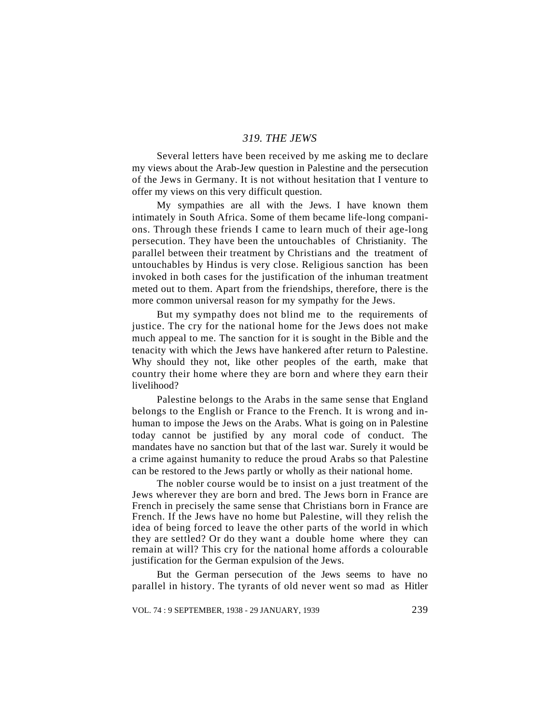### *319. THE JEWS*

Several letters have been received by me asking me to declare my views about the Arab-Jew question in Palestine and the persecution of the Jews in Germany. It is not without hesitation that I venture to offer my views on this very difficult question.

My sympathies are all with the Jews. I have known them intimately in South Africa. Some of them became life-long companions. Through these friends I came to learn much of their age-long persecution. They have been the untouchables of Christianity. The parallel between their treatment by Christians and the treatment of untouchables by Hindus is very close. Religious sanction has been invoked in both cases for the justification of the inhuman treatment meted out to them. Apart from the friendships, therefore, there is the more common universal reason for my sympathy for the Jews.

But my sympathy does not blind me to the requirements of justice. The cry for the national home for the Jews does not make much appeal to me. The sanction for it is sought in the Bible and the tenacity with which the Jews have hankered after return to Palestine. Why should they not, like other peoples of the earth, make that country their home where they are born and where they earn their livelihood?

Palestine belongs to the Arabs in the same sense that England belongs to the English or France to the French. It is wrong and inhuman to impose the Jews on the Arabs. What is going on in Palestine today cannot be justified by any moral code of conduct. The mandates have no sanction but that of the last war. Surely it would be a crime against humanity to reduce the proud Arabs so that Palestine can be restored to the Jews partly or wholly as their national home.

The nobler course would be to insist on a just treatment of the Jews wherever they are born and bred. The Jews born in France are French in precisely the same sense that Christians born in France are French. If the Jews have no home but Palestine, will they relish the idea of being forced to leave the other parts of the world in which they are settled? Or do they want a double home where they can remain at will? This cry for the national home affords a colourable justification for the German expulsion of the Jews.

But the German persecution of the Jews seems to have no parallel in history. The tyrants of old never went so mad as Hitler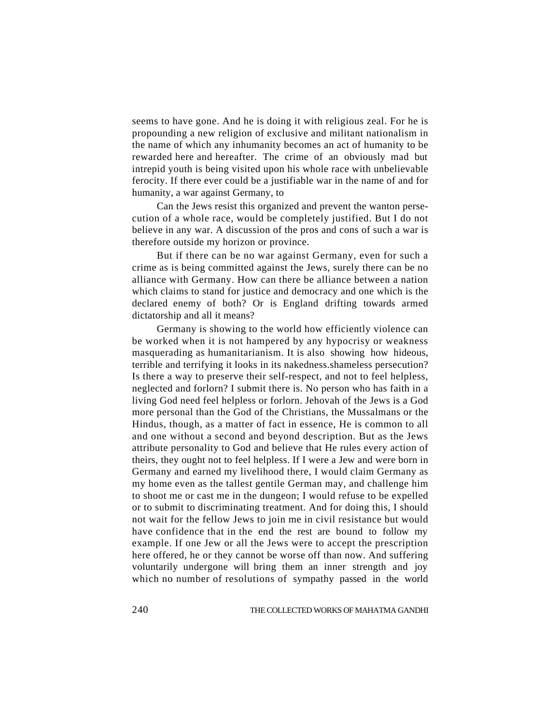seems to have gone. And he is doing it with religious zeal. For he is propounding a new religion of exclusive and militant nationalism in the name of which any inhumanity becomes an act of humanity to be rewarded here and hereafter. The crime of an obviously mad but intrepid youth is being visited upon his whole race with unbelievable ferocity. If there ever could be a justifiable war in the name of and for humanity, a war against Germany, to

Can the Jews resist this organized and prevent the wanton persecution of a whole race, would be completely justified. But I do not believe in any war. A discussion of the pros and cons of such a war is therefore outside my horizon or province.

But if there can be no war against Germany, even for such a crime as is being committed against the Jews, surely there can be no alliance with Germany. How can there be alliance between a nation which claims to stand for justice and democracy and one which is the declared enemy of both? Or is England drifting towards armed dictatorship and all it means?

Germany is showing to the world how efficiently violence can be worked when it is not hampered by any hypocrisy or weakness masquerading as humanitarianism. It is also showing how hideous, terrible and terrifying it looks in its nakedness.shameless persecution? Is there a way to preserve their self-respect, and not to feel helpless, neglected and forlorn? I submit there is. No person who has faith in a living God need feel helpless or forlorn. Jehovah of the Jews is a God more personal than the God of the Christians, the Mussalmans or the Hindus, though, as a matter of fact in essence, He is common to all and one without a second and beyond description. But as the Jews attribute personality to God and believe that He rules every action of theirs, they ought not to feel helpless. If I were a Jew and were born in Germany and earned my livelihood there, I would claim Germany as my home even as the tallest gentile German may, and challenge him to shoot me or cast me in the dungeon; I would refuse to be expelled or to submit to discriminating treatment. And for doing this, I should not wait for the fellow Jews to join me in civil resistance but would have confidence that in the end the rest are bound to follow my example. If one Jew or all the Jews were to accept the prescription here offered, he or they cannot be worse off than now. And suffering voluntarily undergone will bring them an inner strength and joy which no number of resolutions of sympathy passed in the world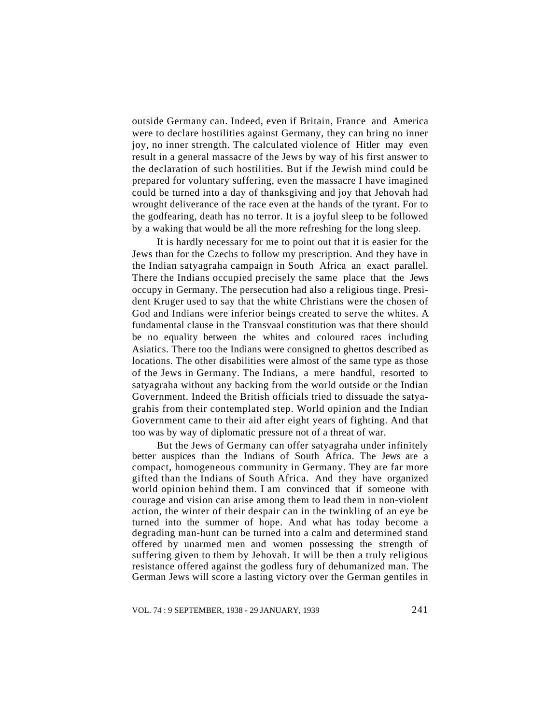outside Germany can. Indeed, even if Britain, France and America were to declare hostilities against Germany, they can bring no inner joy, no inner strength. The calculated violence of Hitler may even result in a general massacre of the Jews by way of his first answer to the declaration of such hostilities. But if the Jewish mind could be prepared for voluntary suffering, even the massacre I have imagined could be turned into a day of thanksgiving and joy that Jehovah had wrought deliverance of the race even at the hands of the tyrant. For to the godfearing, death has no terror. It is a joyful sleep to be followed by a waking that would be all the more refreshing for the long sleep.

It is hardly necessary for me to point out that it is easier for the Jews than for the Czechs to follow my prescription. And they have in the Indian satyagraha campaign in South Africa an exact parallel. There the Indians occupied precisely the same place that the Jews occupy in Germany. The persecution had also a religious tinge. President Kruger used to say that the white Christians were the chosen of God and Indians were inferior beings created to serve the whites. A fundamental clause in the Transvaal constitution was that there should be no equality between the whites and coloured races including Asiatics. There too the Indians were consigned to ghettos described as locations. The other disabilities were almost of the same type as those of the Jews in Germany. The Indians, a mere handful, resorted to satyagraha without any backing from the world outside or the Indian Government. Indeed the British officials tried to dissuade the satyagrahis from their contemplated step. World opinion and the Indian Government came to their aid after eight years of fighting. And that too was by way of diplomatic pressure not of a threat of war.

But the Jews of Germany can offer satyagraha under infinitely better auspices than the Indians of South Africa. The Jews are a compact, homogeneous community in Germany. They are far more gifted than the Indians of South Africa. And they have organized world opinion behind them. I am convinced that if someone with courage and vision can arise among them to lead them in non-violent action, the winter of their despair can in the twinkling of an eye be turned into the summer of hope. And what has today become a degrading man-hunt can be turned into a calm and determined stand offered by unarmed men and women possessing the strength of suffering given to them by Jehovah. It will be then a truly religious resistance offered against the godless fury of dehumanized man. The German Jews will score a lasting victory over the German gentiles in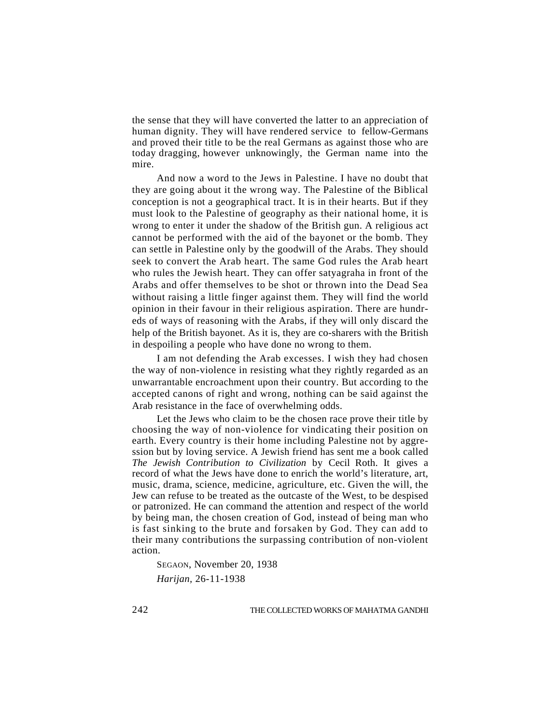the sense that they will have converted the latter to an appreciation of human dignity. They will have rendered service to fellow-Germans and proved their title to be the real Germans as against those who are today dragging, however unknowingly, the German name into the mire.

And now a word to the Jews in Palestine. I have no doubt that they are going about it the wrong way. The Palestine of the Biblical conception is not a geographical tract. It is in their hearts. But if they must look to the Palestine of geography as their national home, it is wrong to enter it under the shadow of the British gun. A religious act cannot be performed with the aid of the bayonet or the bomb. They can settle in Palestine only by the goodwill of the Arabs. They should seek to convert the Arab heart. The same God rules the Arab heart who rules the Jewish heart. They can offer satyagraha in front of the Arabs and offer themselves to be shot or thrown into the Dead Sea without raising a little finger against them. They will find the world opinion in their favour in their religious aspiration. There are hundreds of ways of reasoning with the Arabs, if they will only discard the help of the British bayonet. As it is, they are co-sharers with the British in despoiling a people who have done no wrong to them.

I am not defending the Arab excesses. I wish they had chosen the way of non-violence in resisting what they rightly regarded as an unwarrantable encroachment upon their country. But according to the accepted canons of right and wrong, nothing can be said against the Arab resistance in the face of overwhelming odds.

Let the Jews who claim to be the chosen race prove their title by choosing the way of non-violence for vindicating their position on earth. Every country is their home including Palestine not by aggression but by loving service. A Jewish friend has sent me a book called *The Jewish Contribution to Civilization* by Cecil Roth. It gives a record of what the Jews have done to enrich the world's literature, art, music, drama, science, medicine, agriculture, etc. Given the will, the Jew can refuse to be treated as the outcaste of the West, to be despised or patronized. He can command the attention and respect of the world by being man, the chosen creation of God, instead of being man who is fast sinking to the brute and forsaken by God. They can add to their many contributions the surpassing contribution of non-violent action.

SEGAON, November 20, 1938 *Harijan,* 26-11-1938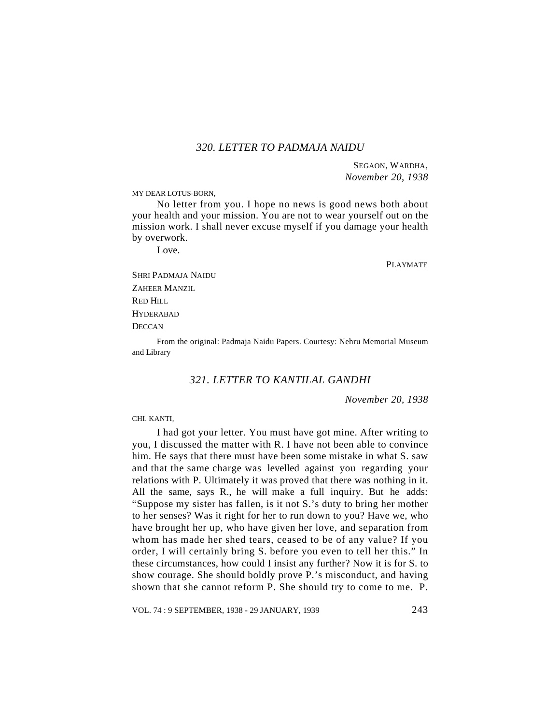#### *320. LETTER TO PADMAJA NAIDU*

SEGAON, WARDHA, *November 20, 1938*

MY DEAR LOTUS-BORN,

No letter from you. I hope no news is good news both about your health and your mission. You are not to wear yourself out on the mission work. I shall never excuse myself if you damage your health by overwork.

Love.

PLAYMATE

SHRI PADMAJA NAIDU ZAHEER MANZIL RED HILL HYDERABAD

**DECCAN** 

From the original: Padmaja Naidu Papers. Courtesy: Nehru Memorial Museum and Library

## *321. LETTER TO KANTILAL GANDHI*

*November 20, 1938*

CHI KANTI

I had got your letter. You must have got mine. After writing to you, I discussed the matter with R. I have not been able to convince him. He says that there must have been some mistake in what S. saw and that the same charge was levelled against you regarding your relations with P. Ultimately it was proved that there was nothing in it. All the same, says R., he will make a full inquiry. But he adds: "Suppose my sister has fallen, is it not S.'s duty to bring her mother to her senses? Was it right for her to run down to you? Have we, who have brought her up, who have given her love, and separation from whom has made her shed tears, ceased to be of any value? If you order, I will certainly bring S. before you even to tell her this." In these circumstances, how could I insist any further? Now it is for S. to show courage. She should boldly prove P.'s misconduct, and having shown that she cannot reform P. She should try to come to me. P.

VOL. 74 : 9 SEPTEMBER, 1938 - 29 JANUARY, 1939 243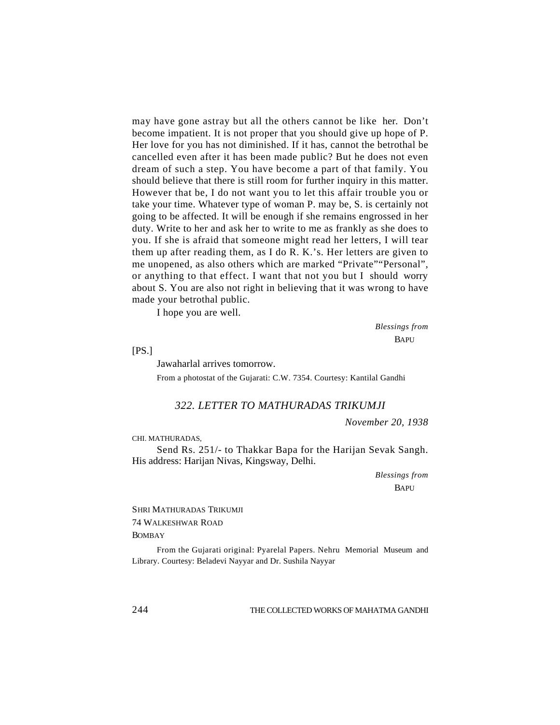may have gone astray but all the others cannot be like her. Don't become impatient. It is not proper that you should give up hope of P. Her love for you has not diminished. If it has, cannot the betrothal be cancelled even after it has been made public? But he does not even dream of such a step. You have become a part of that family. You should believe that there is still room for further inquiry in this matter. However that be, I do not want you to let this affair trouble you or take your time. Whatever type of woman P. may be, S. is certainly not going to be affected. It will be enough if she remains engrossed in her duty. Write to her and ask her to write to me as frankly as she does to you. If she is afraid that someone might read her letters, I will tear them up after reading them, as I do R. K.'s. Her letters are given to me unopened, as also others which are marked "Private""Personal", or anything to that effect. I want that not you but I should worry about S. You are also not right in believing that it was wrong to have made your betrothal public.

I hope you are well.

*Blessings from* **BAPU** 

 $[PS.]$ 

Jawaharlal arrives tomorrow.

From a photostat of the Gujarati: C.W. 7354. Courtesy: Kantilal Gandhi

## *322. LETTER TO MATHURADAS TRIKUMJI*

*November 20, 1938*

#### CHI. MATHURADAS,

Send Rs. 251/- to Thakkar Bapa for the Harijan Sevak Sangh. His address: Harijan Nivas, Kingsway, Delhi.

> *Blessings from* **BAPU**

#### SHRI MATHURADAS TRIKUMJI

#### 74 WALKESHWAR ROAD

#### **BOMBAY**

From the Gujarati original: Pyarelal Papers. Nehru Memorial Museum and Library. Courtesy: Beladevi Nayyar and Dr. Sushila Nayyar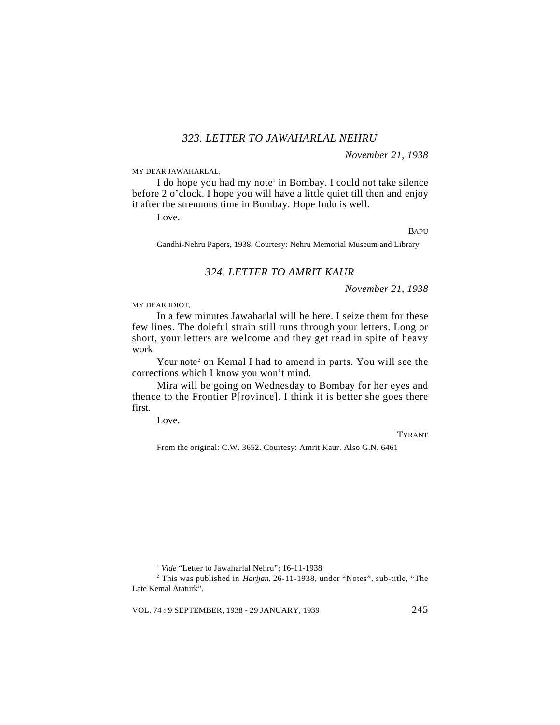*November 21, 1938*

MY DEAR JAWAHARLAL,

I do hope you had my note<sup>1</sup> in Bombay. I could not take silence before 2 o'clock. I hope you will have a little quiet till then and enjoy it after the strenuous time in Bombay. Hope Indu is well.

Love.

**BAPU** 

Gandhi-Nehru Papers, 1938. Courtesy: Nehru Memorial Museum and Library

## *324. LETTER TO AMRIT KAUR*

*November 21, 1938*

MY DEAR IDIOT,

In a few minutes Jawaharlal will be here. I seize them for these few lines. The doleful strain still runs through your letters. Long or short, your letters are welcome and they get read in spite of heavy work.

Your note<sup>2</sup> on Kemal I had to amend in parts. You will see the corrections which I know you won't mind.

Mira will be going on Wednesday to Bombay for her eyes and thence to the Frontier P[rovince]. I think it is better she goes there first.

 $\overline{L}$  ove.

TYRANT

From the original: C.W. 3652. Courtesy: Amrit Kaur. Also G.N. 6461

<sup>1</sup> Vide "Letter to Jawaharlal Nehru"; 16-11-1938

<sup>2</sup> This was published in *Harijan*, 26-11-1938, under "Notes", sub-title, "The Late Kemal Ataturk".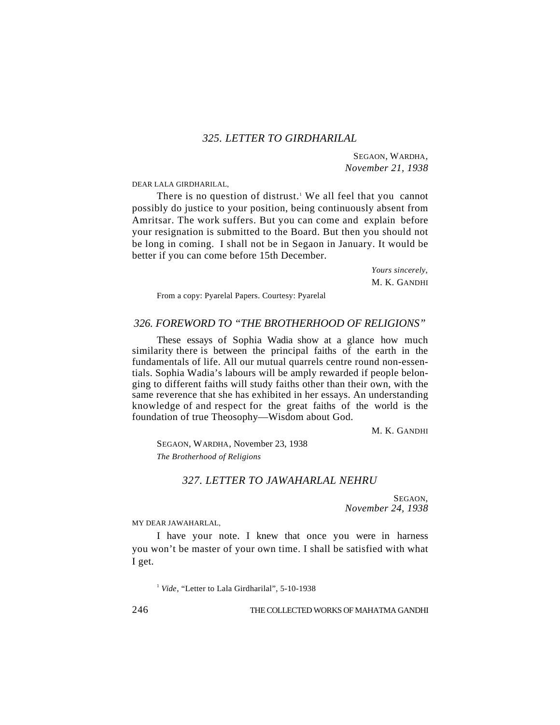### *325. LETTER TO GIRDHARILAL*

SEGAON, WARDHA, *November 21, 1938*

DEAR LALA GIRDHARILAL,

There is no question of distrust.<sup>1</sup> We all feel that you cannot possibly do justice to your position, being continuously absent from Amritsar. The work suffers. But you can come and explain before your resignation is submitted to the Board. But then you should not be long in coming. I shall not be in Segaon in January. It would be better if you can come before 15th December.

> *Yours sincerely*, M. K. GANDHI

From a copy: Pyarelal Papers. Courtesy: Pyarelal

# *326. FOREWORD TO "THE BROTHERHOOD OF RELIGIONS"*

These essays of Sophia Wadia show at a glance how much similarity there is between the principal faiths of the earth in the fundamentals of life. All our mutual quarrels centre round non-essentials. Sophia Wadia's labours will be amply rewarded if people belonging to different faiths will study faiths other than their own, with the same reverence that she has exhibited in her essays. An understanding knowledge of and respect for the great faiths of the world is the foundation of true Theosophy—Wisdom about God.

M. K. GANDHI

SEGAON, WARDHA, November 23, 1938 *The Brotherhood of Religions*

#### *327. LETTER TO JAWAHARLAL NEHRU*

SEGAON, *November 24, 1938*

MY DEAR JAWAHARLAL,

I have your note. I knew that once you were in harness you won't be master of your own time. I shall be satisfied with what I get.

<sup>1</sup> *Vide*, "Letter to Lala Girdharilal", 5-10-1938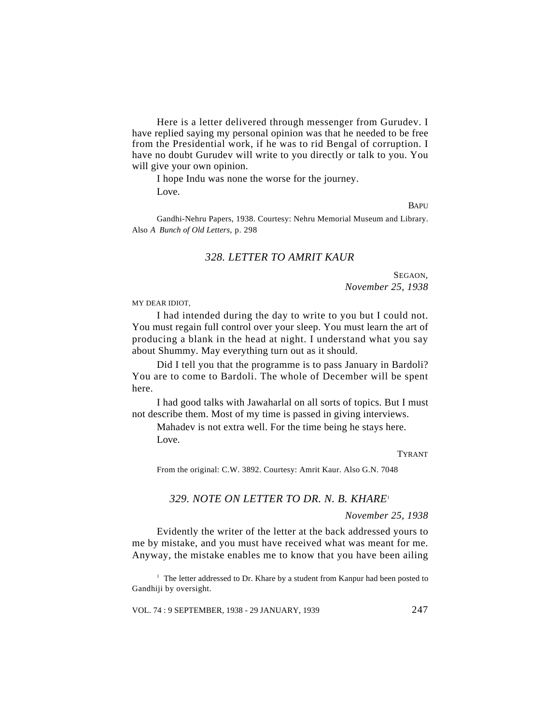Here is a letter delivered through messenger from Gurudev. I have replied saying my personal opinion was that he needed to be free from the Presidential work, if he was to rid Bengal of corruption. I have no doubt Gurudev will write to you directly or talk to you. You will give your own opinion.

I hope Indu was none the worse for the journey. Love.

BAPU

Gandhi-Nehru Papers, 1938. Courtesy: Nehru Memorial Museum and Library. Also *A Bunch of Old Letters*, p. 298

## *328. LETTER TO AMRIT KAUR*

SEGAON, *November 25, 1938*

MY DEAR IDIOT,

I had intended during the day to write to you but I could not. You must regain full control over your sleep. You must learn the art of producing a blank in the head at night. I understand what you say about Shummy. May everything turn out as it should.

Did I tell you that the programme is to pass January in Bardoli? You are to come to Bardoli. The whole of December will be spent here.

I had good talks with Jawaharlal on all sorts of topics. But I must not describe them. Most of my time is passed in giving interviews.

Mahadev is not extra well. For the time being he stays here. Love.

TYRANT

From the original: C.W. 3892. Courtesy: Amrit Kaur. Also G.N. 7048

## *329. NOTE ON LETTER TO DR. N. B. KHARE*<sup>1</sup>

#### *November 25, 1938*

Evidently the writer of the letter at the back addressed yours to me by mistake, and you must have received what was meant for me. Anyway, the mistake enables me to know that you have been ailing

<sup>1</sup> The letter addressed to Dr. Khare by a student from Kanpur had been posted to Gandhiji by oversight.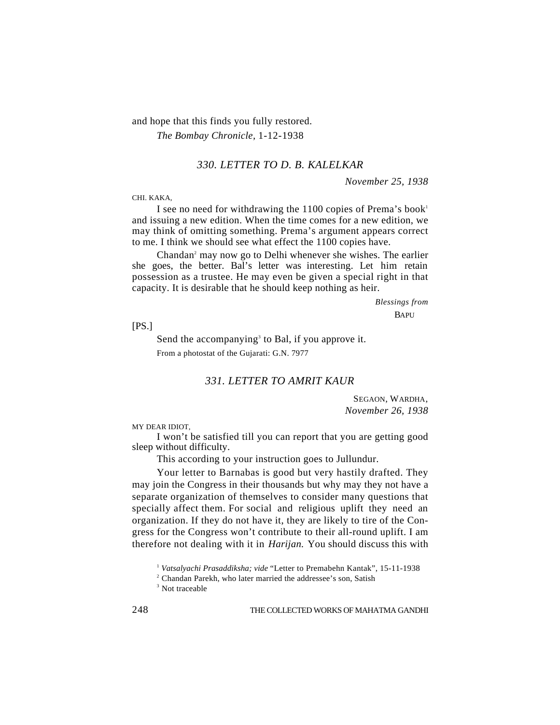and hope that this finds you fully restored.

*The Bombay Chronicle,* 1-12-1938

*330. LETTER TO D. B. KALELKAR*

*November 25, 1938*

CHI. KAKA,

I see no need for withdrawing the  $1100$  copies of Prema's book<sup>1</sup> and issuing a new edition. When the time comes for a new edition, we may think of omitting something. Prema's argument appears correct to me. I think we should see what effect the 1100 copies have.

Chandan<sup>2</sup> may now go to Delhi whenever she wishes. The earlier she goes, the better. Bal's letter was interesting. Let him retain possession as a trustee. He may even be given a special right in that capacity. It is desirable that he should keep nothing as heir.

> *Blessings from* **BAPU**

 $[PS.]$ 

Send the accompanying<sup>3</sup> to Bal, if you approve it. From a photostat of the Gujarati: G.N. 7977

## *331. LETTER TO AMRIT KAUR*

SEGAON, WARDHA, *November 26, 1938*

MY DEAR IDIOT,

I won't be satisfied till you can report that you are getting good sleep without difficulty.

This according to your instruction goes to Jullundur.

Your letter to Barnabas is good but very hastily drafted. They may join the Congress in their thousands but why may they not have a separate organization of themselves to consider many questions that specially affect them. For social and religious uplift they need an organization. If they do not have it, they are likely to tire of the Congress for the Congress won't contribute to their all-round uplift. I am therefore not dealing with it in *Harijan.* You should discuss this with

<sup>3</sup> Not traceable

<sup>&</sup>lt;sup>1</sup> Vatsalyachi Prasaddiksha; vide "Letter to Premabehn Kantak", 15-11-1938

<sup>&</sup>lt;sup>2</sup> Chandan Parekh, who later married the addressee's son, Satish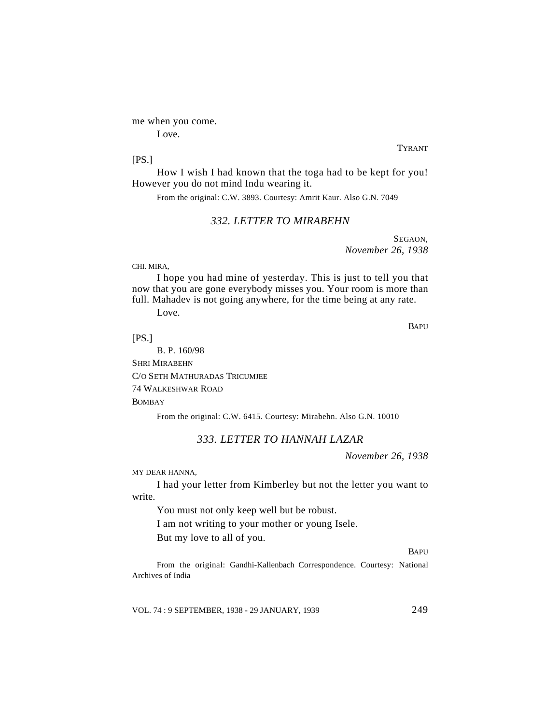me when you come.

Love.

[PS.]

How I wish I had known that the toga had to be kept for you! However you do not mind Indu wearing it.

From the original: C.W. 3893. Courtesy: Amrit Kaur. Also G.N. 7049

## *332. LETTER TO MIRABEHN*

SEGAON, *November 26, 1938*

CHI. MIRA,

I hope you had mine of yesterday. This is just to tell you that now that you are gone everybody misses you. Your room is more than full. Mahadev is not going anywhere, for the time being at any rate.

Love.

**BAPU** 

TYRANT

[PS.]

B. P. 160/98 SHRI MIRABEHN C/O SETH MATHURADAS TRICUMJEE 74 WALKESHWAR ROAD **BOMBAY** 

From the original: C.W. 6415. Courtesy: Mirabehn. Also G.N. 10010

# *333. LETTER TO HANNAH LAZAR*

*November 26, 1938*

MY DEAR HANNA,

I had your letter from Kimberley but not the letter you want to write.

You must not only keep well but be robust.

I am not writing to your mother or young Isele.

But my love to all of you.

**BAPU** 

From the original: Gandhi-Kallenbach Correspondence. Courtesy: National Archives of India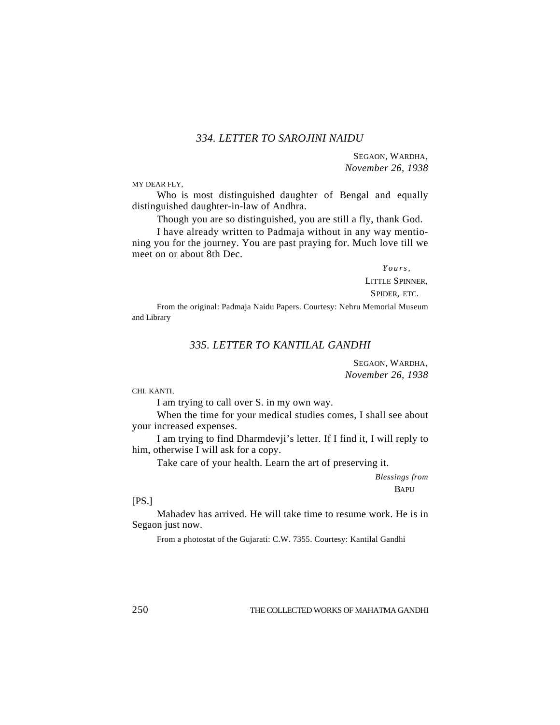## *334. LETTER TO SAROJINI NAIDU*

SEGAON, WARDHA, *November 26, 1938*

MY DEAR FLY,

Who is most distinguished daughter of Bengal and equally distinguished daughter-in-law of Andhra.

Though you are so distinguished, you are still a fly, thank God.

I have already written to Padmaja without in any way mentioning you for the journey. You are past praying for. Much love till we meet on or about 8th Dec.

> *Yours,*  LITTLE SPINNER, SPIDER, ETC.

From the original: Padmaja Naidu Papers. Courtesy: Nehru Memorial Museum and Library

### *335. LETTER TO KANTILAL GANDHI*

SEGAON, WARDHA, *November 26, 1938*

CHI. KANTI,

I am trying to call over S. in my own way.

When the time for your medical studies comes, I shall see about your increased expenses.

I am trying to find Dharmdevji's letter. If I find it, I will reply to him, otherwise I will ask for a copy.

Take care of your health. Learn the art of preserving it.

*Blessings from* **BAPU** 

#### $[PS.]$

Mahadev has arrived. He will take time to resume work. He is in Segaon just now.

From a photostat of the Gujarati: C.W. 7355. Courtesy: Kantilal Gandhi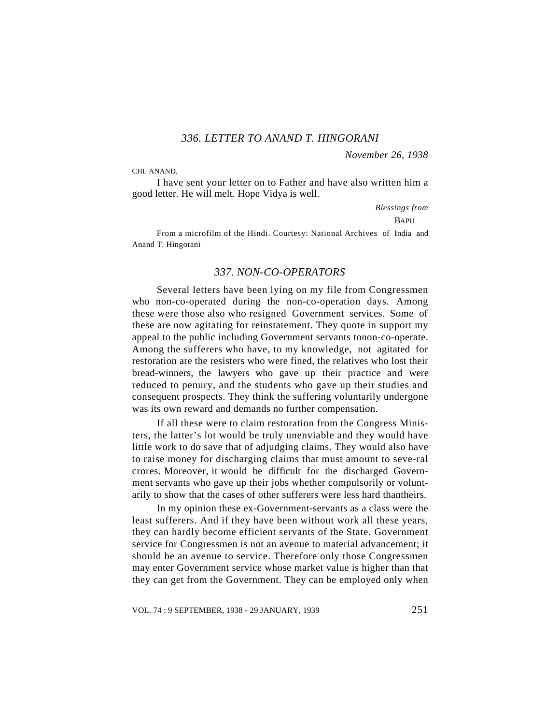*November 26, 1938*

CHI. ANAND,

I have sent your letter on to Father and have also written him a good letter. He will melt. Hope Vidya is well.

> *Blessings from* **BAPU**

From a microfilm of the Hindi. Courtesy: National Archives of India and Anand T. Hingorani

### *337. NON-CO-OPERATORS*

Several letters have been lying on my file from Congressmen who non-co-operated during the non-co-operation days. Among these were those also who resigned Government services. Some of these are now agitating for reinstatement. They quote in support my appeal to the public including Government servants tonon-co-operate. Among the sufferers who have, to my knowledge, not agitated for restoration are the resisters who were fined, the relatives who lost their bread-winners, the lawyers who gave up their practice and were reduced to penury, and the students who gave up their studies and consequent prospects. They think the suffering voluntarily undergone was its own reward and demands no further compensation.

If all these were to claim restoration from the Congress Ministers, the latter's lot would be truly unenviable and they would have little work to do save that of adjudging claims. They would also have to raise money for discharging claims that must amount to seve-ral crores. Moreover, it would be difficult for the discharged Government servants who gave up their jobs whether compulsorily or voluntarily to show that the cases of other sufferers were less hard thantheirs.

In my opinion these ex-Government-servants as a class were the least sufferers. And if they have been without work all these years, they can hardly become efficient servants of the State. Government service for Congressmen is not an avenue to material advancement; it should be an avenue to service. Therefore only those Congressmen may enter Government service whose market value is higher than that they can get from the Government. They can be employed only when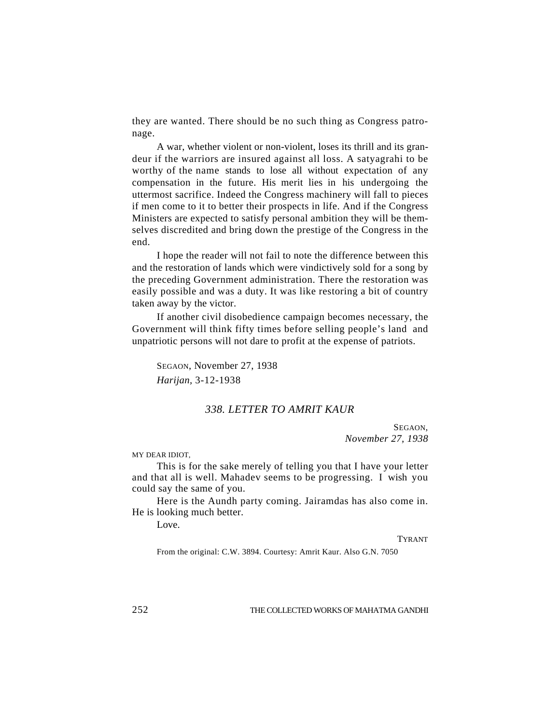they are wanted. There should be no such thing as Congress patronage.

A war, whether violent or non-violent, loses its thrill and its grandeur if the warriors are insured against all loss. A satyagrahi to be worthy of the name stands to lose all without expectation of any compensation in the future. His merit lies in his undergoing the uttermost sacrifice. Indeed the Congress machinery will fall to pieces if men come to it to better their prospects in life. And if the Congress Ministers are expected to satisfy personal ambition they will be themselves discredited and bring down the prestige of the Congress in the end.

I hope the reader will not fail to note the difference between this and the restoration of lands which were vindictively sold for a song by the preceding Government administration. There the restoration was easily possible and was a duty. It was like restoring a bit of country taken away by the victor.

If another civil disobedience campaign becomes necessary, the Government will think fifty times before selling people's land and unpatriotic persons will not dare to profit at the expense of patriots.

SEGAON, November 27, 1938 *Harijan,* 3-12-1938

## *338. LETTER TO AMRIT KAUR*

SEGAON, *November 27, 1938*

MY DEAR IDIOT,

This is for the sake merely of telling you that I have your letter and that all is well. Mahadev seems to be progressing. I wish you could say the same of you.

Here is the Aundh party coming. Jairamdas has also come in. He is looking much better.

Love.

TYRANT

From the original: C.W. 3894. Courtesy: Amrit Kaur. Also G.N. 7050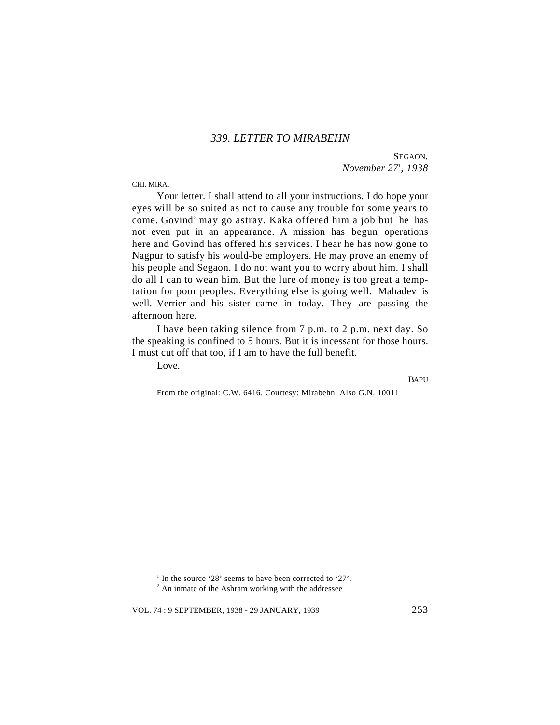## *339. LETTER TO MIRABEHN*

SEGAON, *November 27*<sup>1</sup> *, 1938*

CHI. MIRA,

Your letter. I shall attend to all your instructions. I do hope your eyes will be so suited as not to cause any trouble for some years to come. Govind<sup>2</sup> may go astray. Kaka offered him a job but he has not even put in an appearance. A mission has begun operations here and Govind has offered his services. I hear he has now gone to Nagpur to satisfy his would-be employers. He may prove an enemy of his people and Segaon. I do not want you to worry about him. I shall do all I can to wean him. But the lure of money is too great a temptation for poor peoples. Everything else is going well. Mahadev is well. Verrier and his sister came in today. They are passing the afternoon here.

I have been taking silence from 7 p.m. to 2 p.m. next day. So the speaking is confined to 5 hours. But it is incessant for those hours. I must cut off that too, if I am to have the full benefit.

 $L_{\alpha V}$ 

**BAPU** 

From the original: C.W. 6416. Courtesy: Mirabehn. Also G.N. 10011

<sup>&</sup>lt;sup>1</sup> In the source '28' seems to have been corrected to '27'.

<sup>&</sup>lt;sup>2</sup> An inmate of the Ashram working with the addressee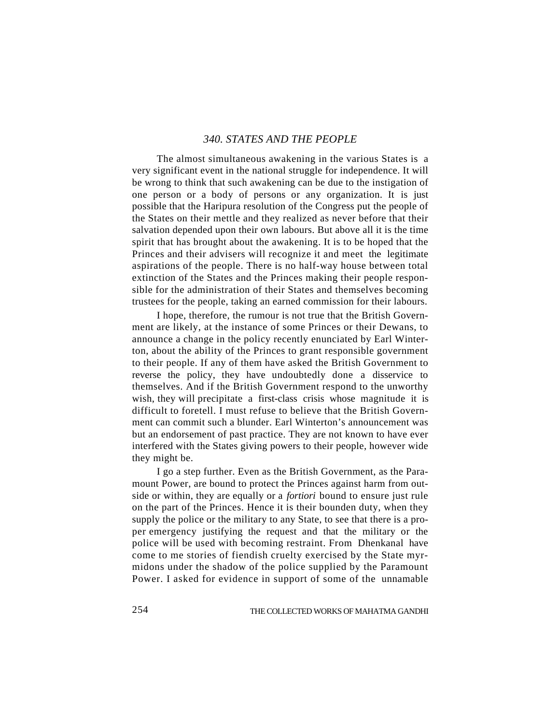## *340. STATES AND THE PEOPLE*

The almost simultaneous awakening in the various States is a very significant event in the national struggle for independence. It will be wrong to think that such awakening can be due to the instigation of one person or a body of persons or any organization. It is just possible that the Haripura resolution of the Congress put the people of the States on their mettle and they realized as never before that their salvation depended upon their own labours. But above all it is the time spirit that has brought about the awakening. It is to be hoped that the Princes and their advisers will recognize it and meet the legitimate aspirations of the people. There is no half-way house between total extinction of the States and the Princes making their people responsible for the administration of their States and themselves becoming trustees for the people, taking an earned commission for their labours.

I hope, therefore, the rumour is not true that the British Government are likely, at the instance of some Princes or their Dewans, to announce a change in the policy recently enunciated by Earl Winterton, about the ability of the Princes to grant responsible government to their people. If any of them have asked the British Government to reverse the policy, they have undoubtedly done a disservice to themselves. And if the British Government respond to the unworthy wish, they will precipitate a first-class crisis whose magnitude it is difficult to foretell. I must refuse to believe that the British Government can commit such a blunder. Earl Winterton's announcement was but an endorsement of past practice. They are not known to have ever interfered with the States giving powers to their people, however wide they might be.

I go a step further. Even as the British Government, as the Paramount Power, are bound to protect the Princes against harm from outside or within, they are equally or a *fortiori* bound to ensure just rule on the part of the Princes. Hence it is their bounden duty, when they supply the police or the military to any State, to see that there is a proper emergency justifying the request and that the military or the police will be used with becoming restraint. From Dhenkanal have come to me stories of fiendish cruelty exercised by the State myrmidons under the shadow of the police supplied by the Paramount Power. I asked for evidence in support of some of the unnamable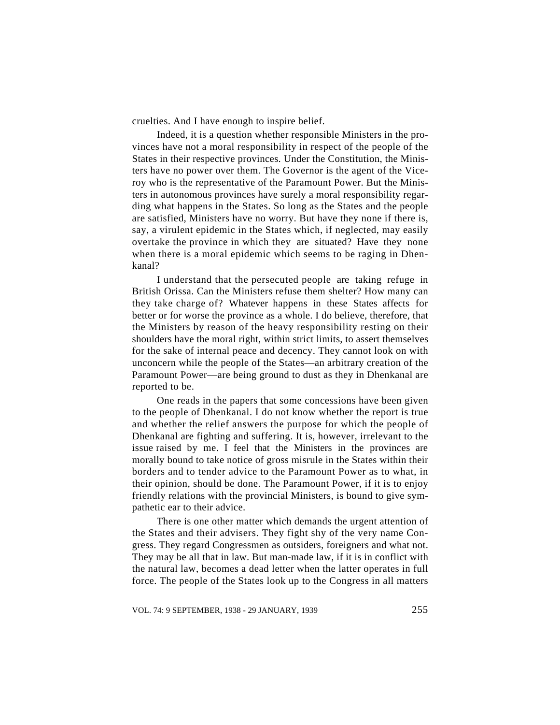cruelties. And I have enough to inspire belief.

Indeed, it is a question whether responsible Ministers in the provinces have not a moral responsibility in respect of the people of the States in their respective provinces. Under the Constitution, the Ministers have no power over them. The Governor is the agent of the Viceroy who is the representative of the Paramount Power. But the Ministers in autonomous provinces have surely a moral responsibility regarding what happens in the States. So long as the States and the people are satisfied, Ministers have no worry. But have they none if there is, say, a virulent epidemic in the States which, if neglected, may easily overtake the province in which they are situated? Have they none when there is a moral epidemic which seems to be raging in Dhenkanal?

I understand that the persecuted people are taking refuge in British Orissa. Can the Ministers refuse them shelter? How many can they take charge of? Whatever happens in these States affects for better or for worse the province as a whole. I do believe, therefore, that the Ministers by reason of the heavy responsibility resting on their shoulders have the moral right, within strict limits, to assert themselves for the sake of internal peace and decency. They cannot look on with unconcern while the people of the States—an arbitrary creation of the Paramount Power—are being ground to dust as they in Dhenkanal are reported to be.

One reads in the papers that some concessions have been given to the people of Dhenkanal. I do not know whether the report is true and whether the relief answers the purpose for which the people of Dhenkanal are fighting and suffering. It is, however, irrelevant to the issue raised by me. I feel that the Ministers in the provinces are morally bound to take notice of gross misrule in the States within their borders and to tender advice to the Paramount Power as to what, in their opinion, should be done. The Paramount Power, if it is to enjoy friendly relations with the provincial Ministers, is bound to give sympathetic ear to their advice.

There is one other matter which demands the urgent attention of the States and their advisers. They fight shy of the very name Congress. They regard Congressmen as outsiders, foreigners and what not. They may be all that in law. But man-made law, if it is in conflict with the natural law, becomes a dead letter when the latter operates in full force. The people of the States look up to the Congress in all matters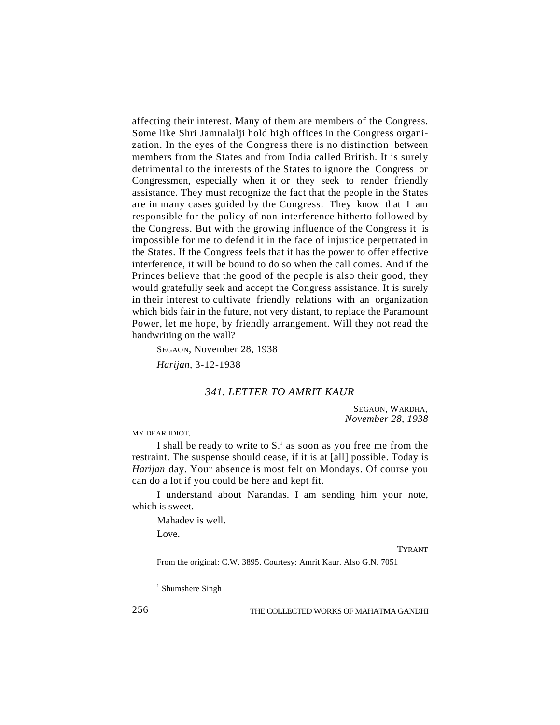affecting their interest. Many of them are members of the Congress. Some like Shri Jamnalalji hold high offices in the Congress organization. In the eyes of the Congress there is no distinction between members from the States and from India called British. It is surely detrimental to the interests of the States to ignore the Congress or Congressmen, especially when it or they seek to render friendly assistance. They must recognize the fact that the people in the States are in many cases guided by the Congress. They know that I am responsible for the policy of non-interference hitherto followed by the Congress. But with the growing influence of the Congress it is impossible for me to defend it in the face of injustice perpetrated in the States. If the Congress feels that it has the power to offer effective interference, it will be bound to do so when the call comes. And if the Princes believe that the good of the people is also their good, they would gratefully seek and accept the Congress assistance. It is surely in their interest to cultivate friendly relations with an organization which bids fair in the future, not very distant, to replace the Paramount Power, let me hope, by friendly arrangement. Will they not read the handwriting on the wall?

SEGAON, November 28, 1938 *Harijan,* 3-12-1938

## *341. LETTER TO AMRIT KAUR*

SEGAON, WARDHA, *November 28, 1938*

MY DEAR IDIOT,

I shall be ready to write to S.<sup>1</sup> as soon as you free me from the restraint. The suspense should cease, if it is at [all] possible. Today is *Harijan* day. Your absence is most felt on Mondays. Of course you can do a lot if you could be here and kept fit.

I understand about Narandas. I am sending him your note, which is sweet.

Mahadev is well.

Love.

TYRANT

From the original: C.W. 3895. Courtesy: Amrit Kaur. Also G.N. 7051

<sup>1</sup> Shumshere Singh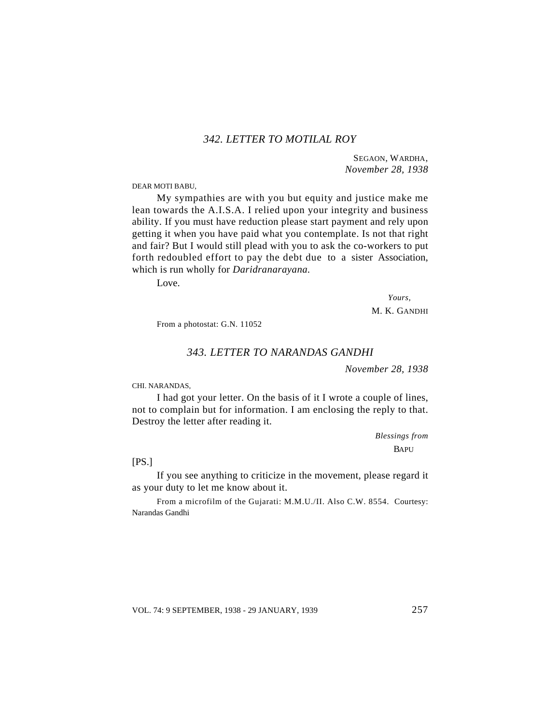## *342. LETTER TO MOTILAL ROY*

SEGAON, WARDHA, *November 28, 1938*

DEAR MOTI BABU,

My sympathies are with you but equity and justice make me lean towards the A.I.S.A. I relied upon your integrity and business ability. If you must have reduction please start payment and rely upon getting it when you have paid what you contemplate. Is not that right and fair? But I would still plead with you to ask the co-workers to put forth redoubled effort to pay the debt due to a sister Association, which is run wholly for *Daridranarayana.*

Love.

*Yours,* M. K. GANDHI

From a photostat: G.N. 11052

### *343. LETTER TO NARANDAS GANDHI*

*November 28, 1938*

#### CHI. NARANDAS,

I had got your letter. On the basis of it I wrote a couple of lines, not to complain but for information. I am enclosing the reply to that. Destroy the letter after reading it.

> *Blessings from* BAPU

[PS.]

If you see anything to criticize in the movement, please regard it as your duty to let me know about it.

From a microfilm of the Gujarati: M.M.U./II. Also C.W. 8554. Courtesy: Narandas Gandhi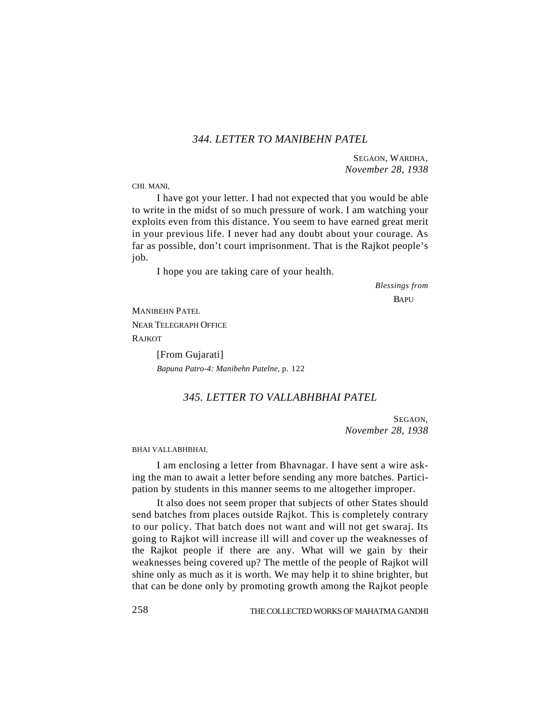## *344. LETTER TO MANIBEHN PATEL*

SEGAON, WARDHA, *November 28, 1938*

CHI. MANI,

I have got your letter. I had not expected that you would be able to write in the midst of so much pressure of work. I am watching your exploits even from this distance. You seem to have earned great merit in your previous life. I never had any doubt about your courage. As far as possible, don't court imprisonment. That is the Rajkot people's job.

I hope you are taking care of your health.

*Blessings from* **BAPU** 

MANIBEHN PATEL NEAR TELEGRAPH OFFICE RAJKOT

> [From Gujarati] *Bapuna Patro-4: Manibehn Patelne,* p. 122

## *345. LETTER TO VALLABHBHAI PATEL*

SEGAON, *November 28, 1938*

BHAI VALLABHBHAI,

I am enclosing a letter from Bhavnagar. I have sent a wire asking the man to await a letter before sending any more batches. Participation by students in this manner seems to me altogether improper.

It also does not seem proper that subjects of other States should send batches from places outside Rajkot. This is completely contrary to our policy. That batch does not want and will not get swaraj. Its going to Rajkot will increase ill will and cover up the weaknesses of the Rajkot people if there are any. What will we gain by their weaknesses being covered up? The mettle of the people of Rajkot will shine only as much as it is worth. We may help it to shine brighter, but that can be done only by promoting growth among the Rajkot people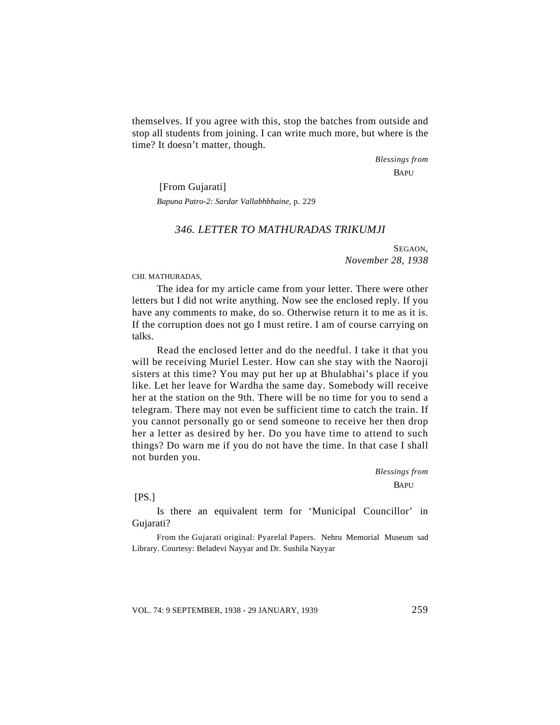themselves. If you agree with this, stop the batches from outside and stop all students from joining. I can write much more, but where is the time? It doesn't matter, though.

> *Blessings from* **BAPU**

[From Gujarati]

*Bapuna Patro-2: Sardar Vallabhbhaine,* p. 229

## *346. LETTER TO MATHURADAS TRIKUMJI*

SEGAON, *November 28, 1938*

CHI. MATHURADAS,

The idea for my article came from your letter. There were other letters but I did not write anything. Now see the enclosed reply. If you have any comments to make, do so. Otherwise return it to me as it is. If the corruption does not go I must retire. I am of course carrying on talks.

Read the enclosed letter and do the needful. I take it that you will be receiving Muriel Lester. How can she stay with the Naoroji sisters at this time? You may put her up at Bhulabhai's place if you like. Let her leave for Wardha the same day. Somebody will receive her at the station on the 9th. There will be no time for you to send a telegram. There may not even be sufficient time to catch the train. If you cannot personally go or send someone to receive her then drop her a letter as desired by her. Do you have time to attend to such things? Do warn me if you do not have the time. In that case I shall not burden you.

> *Blessings from* **BAPU**

 $[PS.]$ 

Is there an equivalent term for 'Municipal Councillor' in Gujarati?

From the Gujarati original: Pyarelal Papers. Nehru Memorial Museum sad Library. Courtesy: Beladevi Nayyar and Dr. Sushila Nayyar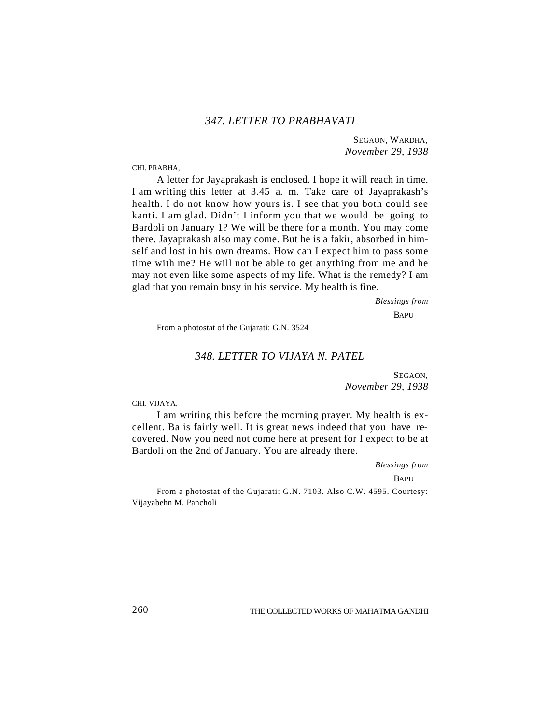## *347. LETTER TO PRABHAVATI*

SEGAON, WARDHA, *November 29, 1938*

CHI. PRABHA,

A letter for Jayaprakash is enclosed. I hope it will reach in time. I am writing this letter at 3.45 a. m. Take care of Jayaprakash's health. I do not know how yours is. I see that you both could see kanti. I am glad. Didn't I inform you that we would be going to Bardoli on January 1? We will be there for a month. You may come there. Jayaprakash also may come. But he is a fakir, absorbed in himself and lost in his own dreams. How can I expect him to pass some time with me? He will not be able to get anything from me and he may not even like some aspects of my life. What is the remedy? I am glad that you remain busy in his service. My health is fine.

> *Blessings from* BAPU

From a photostat of the Gujarati: G.N. 3524

### *348. LETTER TO VIJAYA N. PATEL*

SEGAON, *November 29, 1938*

CHI. VIJAYA,

I am writing this before the morning prayer. My health is excellent. Ba is fairly well. It is great news indeed that you have recovered. Now you need not come here at present for I expect to be at Bardoli on the 2nd of January. You are already there.

> *Blessings from* **BAPU**

From a photostat of the Gujarati: G.N. 7103. Also C.W. 4595. Courtesy: Vijayabehn M. Pancholi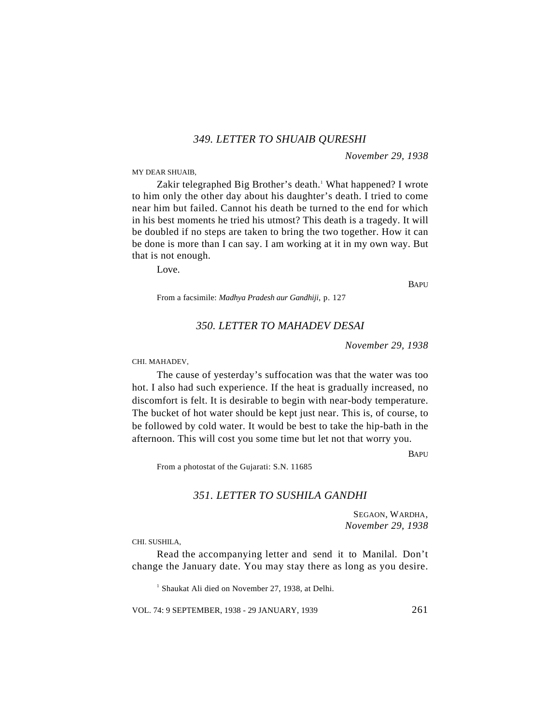*November 29, 1938*

MY DEAR SHUAIB,

Zakir telegraphed Big Brother's death.<sup>1</sup> What happened? I wrote to him only the other day about his daughter's death. I tried to come near him but failed. Cannot his death be turned to the end for which in his best moments he tried his utmost? This death is a tragedy. It will be doubled if no steps are taken to bring the two together. How it can be done is more than I can say. I am working at it in my own way. But that is not enough.

Love.

BAPU

From a facsimile: *Madhya Pradesh aur Gandhiji*, p. 127

## *350. LETTER TO MAHADEV DESAI*

*November 29, 1938*

CHI. MAHADEV,

The cause of yesterday's suffocation was that the water was too hot. I also had such experience. If the heat is gradually increased, no discomfort is felt. It is desirable to begin with near-body temperature. The bucket of hot water should be kept just near. This is, of course, to be followed by cold water. It would be best to take the hip-bath in the afternoon. This will cost you some time but let not that worry you.

**BAPU** 

From a photostat of the Gujarati: S.N. 11685

## *351. LETTER TO SUSHILA GANDHI*

SEGAON, WARDHA, *November 29, 1938*

CHI. SUSHILA,

Read the accompanying letter and send it to Manilal. Don't change the January date. You may stay there as long as you desire.

<sup>1</sup> Shaukat Ali died on November 27, 1938, at Delhi.

VOL. 74: 9 SEPTEMBER, 1938 - 29 JANUARY, 1939 261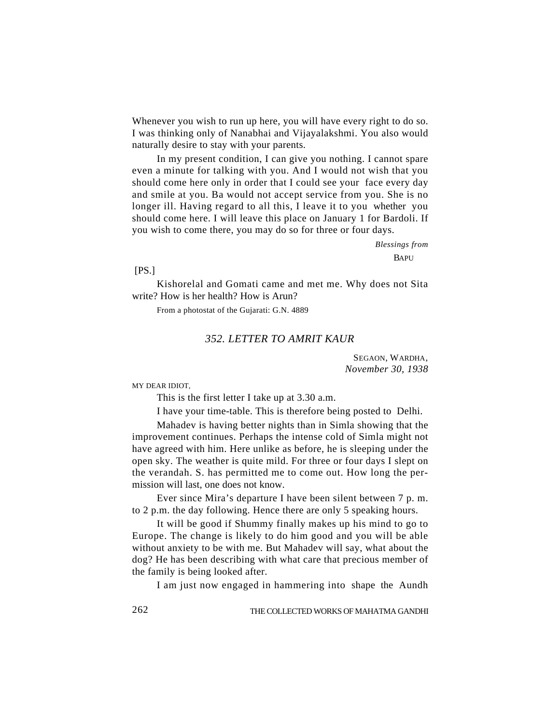Whenever you wish to run up here, you will have every right to do so. I was thinking only of Nanabhai and Vijayalakshmi. You also would naturally desire to stay with your parents.

In my present condition, I can give you nothing. I cannot spare even a minute for talking with you. And I would not wish that you should come here only in order that I could see your face every day and smile at you. Ba would not accept service from you. She is no longer ill. Having regard to all this, I leave it to you whether you should come here. I will leave this place on January 1 for Bardoli. If you wish to come there, you may do so for three or four days.

> *Blessings from* **BAPU**

### [PS.]

Kishorelal and Gomati came and met me. Why does not Sita write? How is her health? How is Arun?

From a photostat of the Gujarati: G.N. 4889

## *352. LETTER TO AMRIT KAUR*

SEGAON, WARDHA, *November 30, 1938*

MY DEAR IDIOT,

This is the first letter I take up at 3.30 a.m.

I have your time-table. This is therefore being posted to Delhi.

Mahadev is having better nights than in Simla showing that the improvement continues. Perhaps the intense cold of Simla might not have agreed with him. Here unlike as before, he is sleeping under the open sky. The weather is quite mild. For three or four days I slept on the verandah. S. has permitted me to come out. How long the permission will last, one does not know.

Ever since Mira's departure I have been silent between 7 p. m. to 2 p.m. the day following. Hence there are only 5 speaking hours.

It will be good if Shummy finally makes up his mind to go to Europe. The change is likely to do him good and you will be able without anxiety to be with me. But Mahadev will say, what about the dog? He has been describing with what care that precious member of the family is being looked after.

I am just now engaged in hammering into shape the Aundh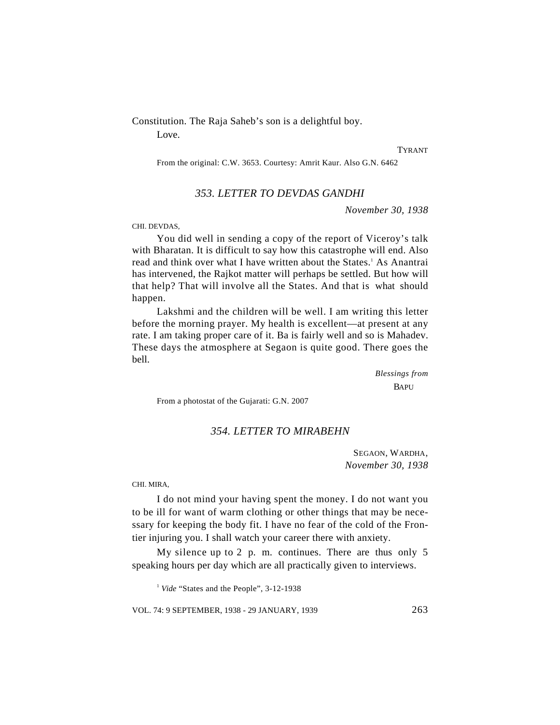Constitution. The Raja Saheb's son is a delightful boy.

Love.

TYRANT

From the original: C.W. 3653. Courtesy: Amrit Kaur. Also G.N. 6462

## *353. LETTER TO DEVDAS GANDHI*

*November 30, 1938*

CHI. DEVDAS,

You did well in sending a copy of the report of Viceroy's talk with Bharatan. It is difficult to say how this catastrophe will end. Also read and think over what I have written about the States.<sup>1</sup> As Anantrai has intervened, the Rajkot matter will perhaps be settled. But how will that help? That will involve all the States. And that is what should happen.

Lakshmi and the children will be well. I am writing this letter before the morning prayer. My health is excellent—at present at any rate. I am taking proper care of it. Ba is fairly well and so is Mahadev. These days the atmosphere at Segaon is quite good. There goes the bell.

> *Blessings from* **BAPU**

From a photostat of the Gujarati: G.N. 2007

### *354. LETTER TO MIRABEHN*

SEGAON, WARDHA, *November 30, 1938*

CHI. MIRA

I do not mind your having spent the money. I do not want you to be ill for want of warm clothing or other things that may be necessary for keeping the body fit. I have no fear of the cold of the Frontier injuring you. I shall watch your career there with anxiety.

My silence up to 2 p. m. continues. There are thus only 5 speaking hours per day which are all practically given to interviews.

<sup>1</sup> *Vide* "States and the People", 3-12-1938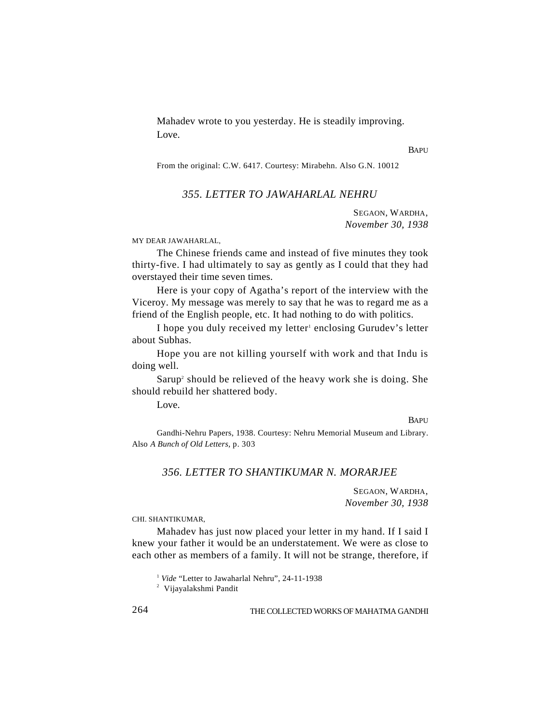Mahadev wrote to you yesterday. He is steadily improving. Love.

**BAPU** 

From the original: C.W. 6417. Courtesy: Mirabehn. Also G.N. 10012

## *355. LETTER TO JAWAHARLAL NEHRU*

SEGAON, WARDHA, *November 30, 1938*

MY DEAR JAWAHARLAL,

The Chinese friends came and instead of five minutes they took thirty-five. I had ultimately to say as gently as I could that they had overstayed their time seven times.

Here is your copy of Agatha's report of the interview with the Viceroy. My message was merely to say that he was to regard me as a friend of the English people, etc. It had nothing to do with politics.

I hope you duly received my letter' enclosing Gurudev's letter about Subhas.

Hope you are not killing yourself with work and that Indu is doing well.

Sarup<sup>2</sup> should be relieved of the heavy work she is doing. She should rebuild her shattered body.

Love.

**BAPU** 

Gandhi-Nehru Papers, 1938. Courtesy: Nehru Memorial Museum and Library. Also *A Bunch of Old Letters,* p. 303

### *356. LETTER TO SHANTIKUMAR N. MORARJEE*

SEGAON, WARDHA, *November 30, 1938*

CHI. SHANTIKUMAR,

Mahadev has just now placed your letter in my hand. If I said I knew your father it would be an understatement. We were as close to each other as members of a family. It will not be strange, therefore, if

<sup>1</sup> Vide "Letter to Jawaharlal Nehru", 24-11-1938

<sup>2</sup> Vijayalakshmi Pandit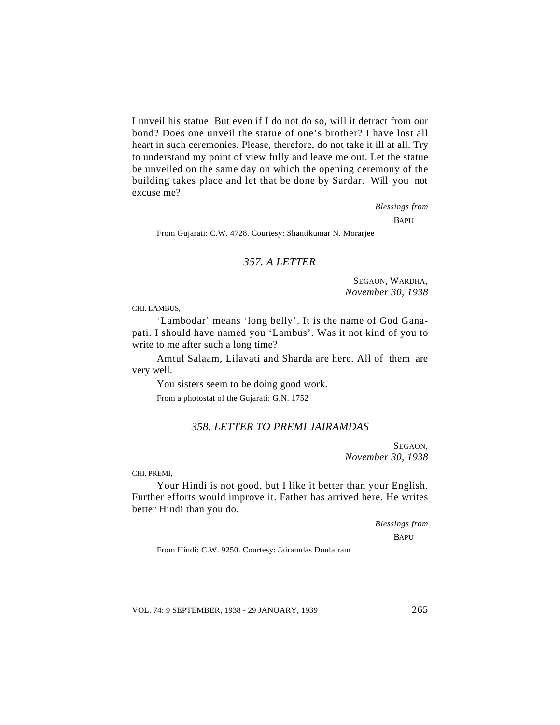I unveil his statue. But even if I do not do so, will it detract from our bond? Does one unveil the statue of one's brother? I have lost all heart in such ceremonies. Please, therefore, do not take it ill at all. Try to understand my point of view fully and leave me out. Let the statue be unveiled on the same day on which the opening ceremony of the building takes place and let that be done by Sardar. Will you not excuse me?

> *Blessings from* **BAPU**

From Gujarati: C.W. 4728. Courtesy: Shantikumar N. Morarjee

### *357. A LETTER*

SEGAON, WARDHA, *November 30, 1938*

CHI. LAMBUS,

'Lambodar' means 'long belly'. It is the name of God Ganapati. I should have named you 'Lambus'. Was it not kind of you to write to me after such a long time?

Amtul Salaam, Lilavati and Sharda are here. All of them are very well.

You sisters seem to be doing good work.

From a photostat of the Gujarati: G.N. 1752

### *358. LETTER TO PREMI JAIRAMDAS*

SEGAON, *November 30, 1938*

CHI. PREMI,

Your Hindi is not good, but I like it better than your English. Further efforts would improve it. Father has arrived here. He writes better Hindi than you do.

> *Blessings from* **BAPU**

From Hindi: C.W. 9250. Courtesy: Jairamdas Doulatram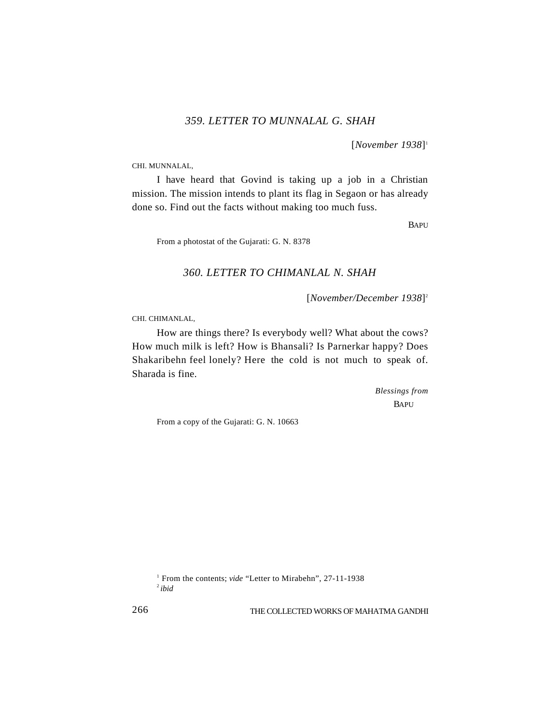## *359. LETTER TO MUNNALAL G. SHAH*

[*November 1938*] 1

CHI. MUNNALAL,

I have heard that Govind is taking up a job in a Christian mission. The mission intends to plant its flag in Segaon or has already done so. Find out the facts without making too much fuss.

**BAPU** 

From a photostat of the Gujarati: G. N. 8378

### *360. LETTER TO CHIMANLAL N. SHAH*

[*November/December 1938*] 2

CHI. CHIMANLAL,

How are things there? Is everybody well? What about the cows? How much milk is left? How is Bhansali? Is Parnerkar happy? Does Shakaribehn feel lonely? Here the cold is not much to speak of. Sharada is fine.

> *Blessings from* **BAPU**

From a copy of the Gujarati: G. N. 10663

<sup>&</sup>lt;sup>1</sup> From the contents; vide "Letter to Mirabehn", 27-11-1938 <sup>2</sup>*ibid*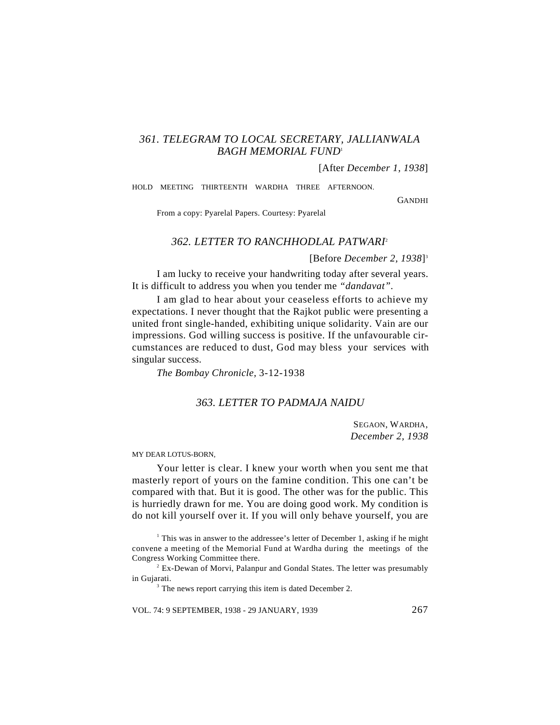## *361. TELEGRAM TO LOCAL SECRETARY, JALLIANWALA BAGH MEMORIAL FUND*<sup>1</sup>

[After *December 1, 1938*]

HOLD MEETING THIRTEENTH WARDHA THREE AFTERNOON.

GANDHI

From a copy: Pyarelal Papers. Courtesy: Pyarelal

### *362. LETTER TO RANCHHODLAL PATWARI*<sup>2</sup>

[Before *December 2, 1938*] 3

I am lucky to receive your handwriting today after several years. It is difficult to address you when you tender me *"dandavat".*

I am glad to hear about your ceaseless efforts to achieve my expectations. I never thought that the Rajkot public were presenting a united front single-handed, exhibiting unique solidarity. Vain are our impressions. God willing success is positive. If the unfavourable circumstances are reduced to dust, God may bless your services with singular success.

*The Bombay Chronicle,* 3-12-1938

## *363. LETTER TO PADMAJA NAIDU*

SEGAON, WARDHA, *December 2, 1938*

MY DEAR LOTUS-BORN,

Your letter is clear. I knew your worth when you sent me that masterly report of yours on the famine condition. This one can't be compared with that. But it is good. The other was for the public. This is hurriedly drawn for me. You are doing good work. My condition is do not kill yourself over it. If you will only behave yourself, you are

<sup>&</sup>lt;sup>1</sup> This was in answer to the addressee's letter of December 1, asking if he might convene a meeting of the Memorial Fund at Wardha during the meetings of the Congress Working Committee there.

 $2^{2}$  Ex-Dewan of Morvi, Palanpur and Gondal States. The letter was presumably in Gujarati.

<sup>&</sup>lt;sup>3</sup> The news report carrying this item is dated December 2.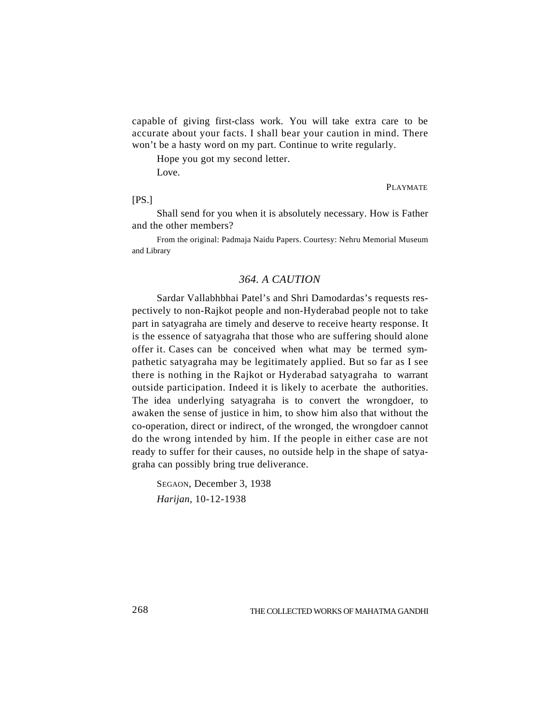capable of giving first-class work. You will take extra care to be accurate about your facts. I shall bear your caution in mind. There won't be a hasty word on my part. Continue to write regularly.

Hope you got my second letter.

Love.

PLAYMATE

 $[PS.]$ 

Shall send for you when it is absolutely necessary. How is Father and the other members?

From the original: Padmaja Naidu Papers. Courtesy: Nehru Memorial Museum and Library

# *364. A CAUTION*

Sardar Vallabhbhai Patel's and Shri Damodardas's requests respectively to non-Rajkot people and non-Hyderabad people not to take part in satyagraha are timely and deserve to receive hearty response. It is the essence of satyagraha that those who are suffering should alone offer it. Cases can be conceived when what may be termed sympathetic satyagraha may be legitimately applied. But so far as I see there is nothing in the Rajkot or Hyderabad satyagraha to warrant outside participation. Indeed it is likely to acerbate the authorities. The idea underlying satyagraha is to convert the wrongdoer, to awaken the sense of justice in him, to show him also that without the co-operation, direct or indirect, of the wronged, the wrongdoer cannot do the wrong intended by him. If the people in either case are not ready to suffer for their causes, no outside help in the shape of satyagraha can possibly bring true deliverance.

SEGAON, December 3, 1938 *Harijan,* 10-12-1938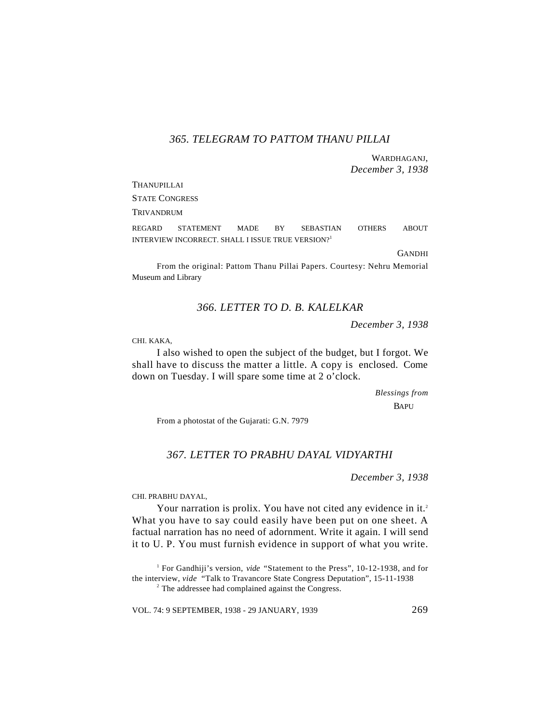## *365. TELEGRAM TO PATTOM THANU PILLAI*

WARDHAGANJ, *December 3, 1938*

**THANUPILLAI** 

STATE CONGRESS

TRIVANDRUM

REGARD STATEMENT MADE BY SEBASTIAN OTHERS ABOUT INTERVIEW INCORRECT. SHALL I ISSUE TRUE VERSION?<sup>1</sup>

GANDHI

From the original: Pattom Thanu Pillai Papers. Courtesy: Nehru Memorial Museum and Library

### *366. LETTER TO D. B. KALELKAR*

*December 3, 1938*

CHI. KAKA,

I also wished to open the subject of the budget, but I forgot. We shall have to discuss the matter a little. A copy is enclosed. Come down on Tuesday. I will spare some time at 2 o'clock.

> *Blessings from* **BAPU**

From a photostat of the Gujarati: G.N. 7979

### *367. LETTER TO PRABHU DAYAL VIDYARTHI*

*December 3, 1938*

CHI. PRABHU DAYAL,

Your narration is prolix. You have not cited any evidence in it.<sup>2</sup> What you have to say could easily have been put on one sheet. A factual narration has no need of adornment. Write it again. I will send it to U. P. You must furnish evidence in support of what you write.

<sup>1</sup> For Gandhiji's version, *vide* "Statement to the Press", 10-12-1938, and for the interview, *vide* "Talk to Travancore State Congress Deputation", 15-11-1938

<sup>2</sup> The addressee had complained against the Congress.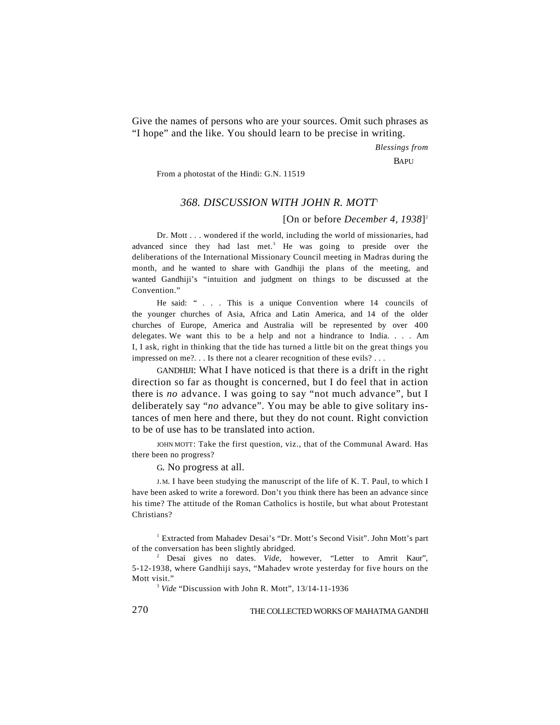Give the names of persons who are your sources. Omit such phrases as "I hope" and the like. You should learn to be precise in writing.

*Blessings from*

**BAPU** 

From a photostat of the Hindi: G.N. 11519

### *368. DISCUSSION WITH JOHN R. MOTT*<sup>1</sup>

### [On or before *December 4, 1938*] 2

Dr. Mott . . . wondered if the world, including the world of missionaries, had advanced since they had last met.<sup>3</sup> He was going to preside over the deliberations of the International Missionary Council meeting in Madras during the month, and he wanted to share with Gandhiji the plans of the meeting, and wanted Gandhiji's "intuition and judgment on things to be discussed at the Convention."

He said: " . . . This is a unique Convention where 14 councils of the younger churches of Asia, Africa and Latin America, and 14 of the older churches of Europe, America and Australia will be represented by over 400 delegates. We want this to be a help and not a hindrance to India. . . . Am I, I ask, right in thinking that the tide has turned a little bit on the great things you impressed on me?. . . Is there not a clearer recognition of these evils? . . .

GANDHIJI: What I have noticed is that there is a drift in the right direction so far as thought is concerned, but I do feel that in action there is *no* advance. I was going to say "not much advance", but I deliberately say "*no* advance". You may be able to give solitary instances of men here and there, but they do not count. Right conviction to be of use has to be translated into action.

JOHN MOTT: Take the first question, viz., that of the Communal Award. Has there been no progress?

G. No progress at all.

J.M. I have been studying the manuscript of the life of K. T. Paul, to which I have been asked to write a foreword. Don't you think there has been an advance since his time? The attitude of the Roman Catholics is hostile, but what about Protestant Christians?

<sup>1</sup> Extracted from Mahadev Desai's "Dr. Mott's Second Visit". John Mott's part of the conversation has been slightly abridged.

<sup>2</sup> Desai gives no dates. *Vide,* however, "Letter to Amrit Kaur", 5-12-1938, where Gandhiji says, "Mahadev wrote yesterday for five hours on the Mott visit."

<sup>3</sup> *Vide* "Discussion with John R. Mott", 13/14-11-1936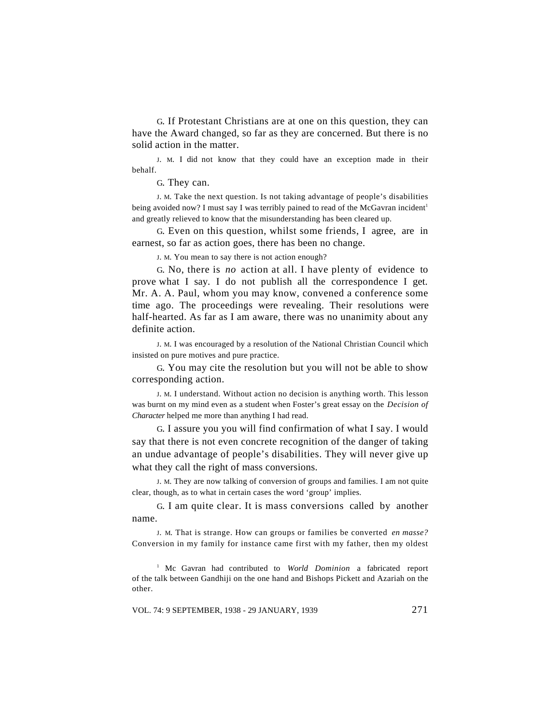G. If Protestant Christians are at one on this question, they can have the Award changed, so far as they are concerned. But there is no solid action in the matter.

J. M. I did not know that they could have an exception made in their behalf.

G. They can.

J. M. Take the next question. Is not taking advantage of people's disabilities being avoided now? I must say I was terribly pained to read of the McGavran incident<sup>1</sup> and greatly relieved to know that the misunderstanding has been cleared up.

G. Even on this question, whilst some friends, I agree, are in earnest, so far as action goes, there has been no change.

J. M. You mean to say there is not action enough?

G. No, there is *no* action at all. I have plenty of evidence to prove what I say. I do not publish all the correspondence I get. Mr. A. A. Paul, whom you may know, convened a conference some time ago. The proceedings were revealing. Their resolutions were half-hearted. As far as I am aware, there was no unanimity about any definite action.

J. M. I was encouraged by a resolution of the National Christian Council which insisted on pure motives and pure practice.

G. You may cite the resolution but you will not be able to show corresponding action.

J. M. I understand. Without action no decision is anything worth. This lesson was burnt on my mind even as a student when Foster's great essay on the *Decision of Character* helped me more than anything I had read.

G. I assure you you will find confirmation of what I say. I would say that there is not even concrete recognition of the danger of taking an undue advantage of people's disabilities. They will never give up what they call the right of mass conversions.

J. M. They are now talking of conversion of groups and families. I am not quite clear, though, as to what in certain cases the word 'group' implies.

G. I am quite clear. It is mass conversions called by another name.

J. M. That is strange. How can groups or families be converted *en masse?* Conversion in my family for instance came first with my father, then my oldest

<sup>1</sup> Mc Gavran had contributed to *World Dominion* a fabricated report of the talk between Gandhiji on the one hand and Bishops Pickett and Azariah on the other.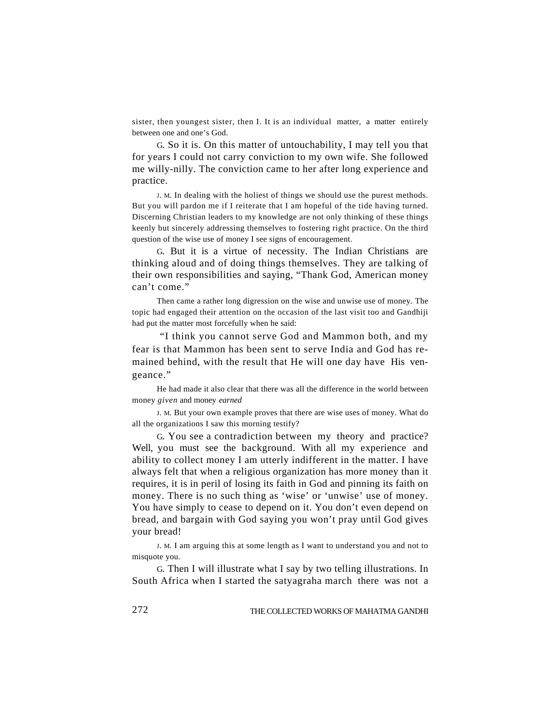sister, then youngest sister, then I. It is an individual matter, a matter entirely between one and one's God.

G. So it is. On this matter of untouchability, I may tell you that for years I could not carry conviction to my own wife. She followed me willy-nilly. The conviction came to her after long experience and practice.

J. M. In dealing with the holiest of things we should use the purest methods. But you will pardon me if I reiterate that I am hopeful of the tide having turned. Discerning Christian leaders to my knowledge are not only thinking of these things keenly but sincerely addressing themselves to fostering right practice. On the third question of the wise use of money I see signs of encouragement.

G. But it is a virtue of necessity. The Indian Christians are thinking aloud and of doing things themselves. They are talking of their own responsibilities and saying, "Thank God, American money can't come."

Then came a rather long digression on the wise and unwise use of money. The topic had engaged their attention on the occasion of the last visit too and Gandhiji had put the matter most forcefully when he said:

 "I think you cannot serve God and Mammon both, and my fear is that Mammon has been sent to serve India and God has remained behind, with the result that He will one day have His vengeance."

He had made it also clear that there was all the difference in the world between money *given* and money *earned*

J. M. But your own example proves that there are wise uses of money. What do all the organizations I saw this morning testify?

G. You see a contradiction between my theory and practice? Well, you must see the background. With all my experience and ability to collect money I am utterly indifferent in the matter. I have always felt that when a religious organization has more money than it requires, it is in peril of losing its faith in God and pinning its faith on money. There is no such thing as 'wise' or 'unwise' use of money. You have simply to cease to depend on it. You don't even depend on bread, and bargain with God saying you won't pray until God gives your bread!

J. M. I am arguing this at some length as I want to understand you and not to misquote you.

G. Then I will illustrate what I say by two telling illustrations. In South Africa when I started the satyagraha march there was not a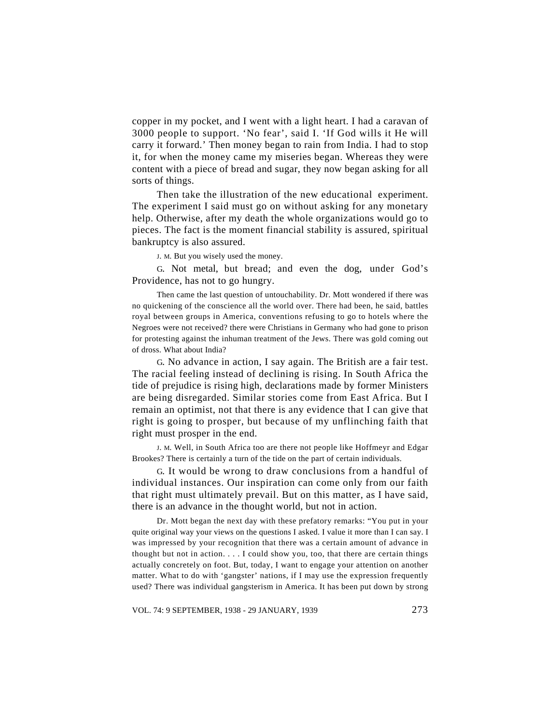copper in my pocket, and I went with a light heart. I had a caravan of 3000 people to support. 'No fear', said I. 'If God wills it He will carry it forward.' Then money began to rain from India. I had to stop it, for when the money came my miseries began. Whereas they were content with a piece of bread and sugar, they now began asking for all sorts of things.

Then take the illustration of the new educational experiment. The experiment I said must go on without asking for any monetary help. Otherwise, after my death the whole organizations would go to pieces. The fact is the moment financial stability is assured, spiritual bankruptcy is also assured.

J. M. But you wisely used the money.

G. Not metal, but bread; and even the dog, under God's Providence, has not to go hungry.

Then came the last question of untouchability. Dr. Mott wondered if there was no quickening of the conscience all the world over. There had been, he said, battles royal between groups in America, conventions refusing to go to hotels where the Negroes were not received? there were Christians in Germany who had gone to prison for protesting against the inhuman treatment of the Jews. There was gold coming out of dross. What about India?

G. No advance in action, I say again. The British are a fair test. The racial feeling instead of declining is rising. In South Africa the tide of prejudice is rising high, declarations made by former Ministers are being disregarded. Similar stories come from East Africa. But I remain an optimist, not that there is any evidence that I can give that right is going to prosper, but because of my unflinching faith that right must prosper in the end.

J. M. Well, in South Africa too are there not people like Hoffmeyr and Edgar Brookes? There is certainly a turn of the tide on the part of certain individuals.

G. It would be wrong to draw conclusions from a handful of individual instances. Our inspiration can come only from our faith that right must ultimately prevail. But on this matter, as I have said, there is an advance in the thought world, but not in action.

Dr. Mott began the next day with these prefatory remarks: "You put in your quite original way your views on the questions I asked. I value it more than I can say. I was impressed by your recognition that there was a certain amount of advance in thought but not in action. . . . I could show you, too, that there are certain things actually concretely on foot. But, today, I want to engage your attention on another matter. What to do with 'gangster' nations, if I may use the expression frequently used? There was individual gangsterism in America. It has been put down by strong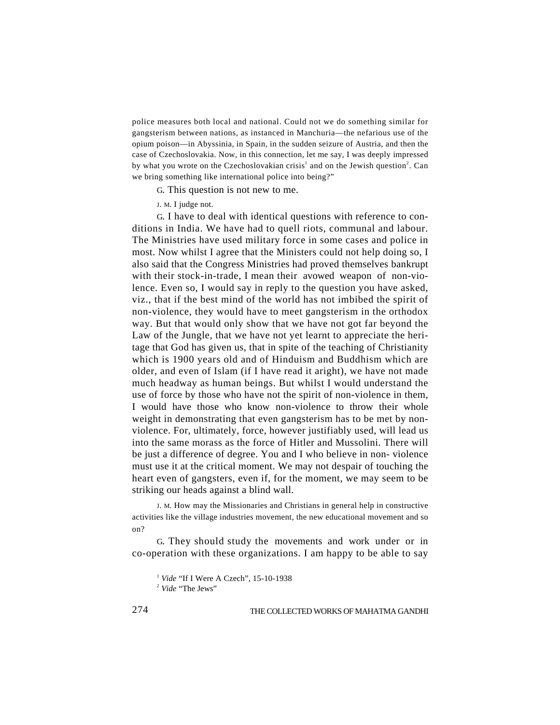police measures both local and national. Could not we do something similar for gangsterism between nations, as instanced in Manchuria—the nefarious use of the opium poison—in Abyssinia, in Spain, in the sudden seizure of Austria, and then the case of Czechoslovakia. Now, in this connection, let me say, I was deeply impressed by what you wrote on the Czechoslovakian crisis<sup>1</sup> and on the Jewish question<sup>2</sup>. Can we bring something like international police into being?"

G. This question is not new to me.

J. M. I judge not.

G. I have to deal with identical questions with reference to conditions in India. We have had to quell riots, communal and labour. The Ministries have used military force in some cases and police in most. Now whilst I agree that the Ministers could not help doing so, I also said that the Congress Ministries had proved themselves bankrupt with their stock-in-trade, I mean their avowed weapon of non-violence. Even so, I would say in reply to the question you have asked, viz., that if the best mind of the world has not imbibed the spirit of non-violence, they would have to meet gangsterism in the orthodox way. But that would only show that we have not got far beyond the Law of the Jungle, that we have not yet learnt to appreciate the heritage that God has given us, that in spite of the teaching of Christianity which is 1900 years old and of Hinduism and Buddhism which are older, and even of Islam (if I have read it aright), we have not made much headway as human beings. But whilst I would understand the use of force by those who have not the spirit of non-violence in them, I would have those who know non-violence to throw their whole weight in demonstrating that even gangsterism has to be met by nonviolence. For, ultimately, force, however justifiably used, will lead us into the same morass as the force of Hitler and Mussolini. There will be just a difference of degree. You and I who believe in non- violence must use it at the critical moment. We may not despair of touching the heart even of gangsters, even if, for the moment, we may seem to be striking our heads against a blind wall.

J. M. How may the Missionaries and Christians in general help in constructive activities like the village industries movement, the new educational movement and so on?

G. They should study the movements and work under or in co-operation with these organizations. I am happy to be able to say

<sup>1</sup> *Vide* "If I Were A Czech", 15-10-1938

<sup>2</sup> *Vide* "The Jews"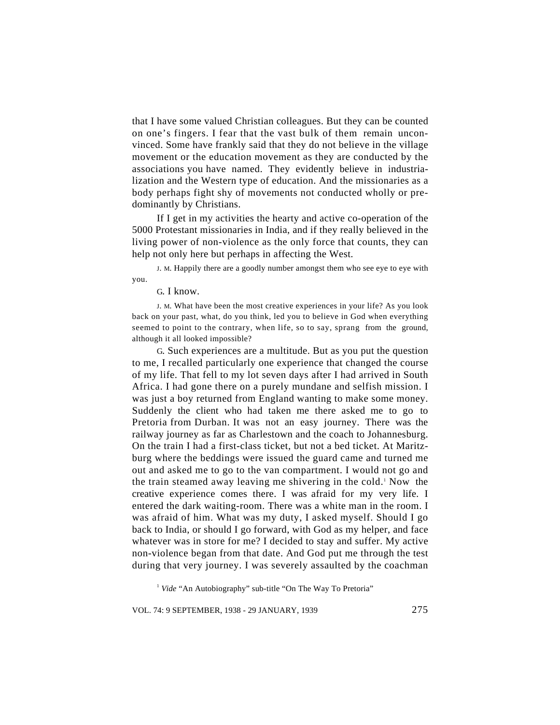that I have some valued Christian colleagues. But they can be counted on one's fingers. I fear that the vast bulk of them remain unconvinced. Some have frankly said that they do not believe in the village movement or the education movement as they are conducted by the associations you have named. They evidently believe in industrialization and the Western type of education. And the missionaries as a body perhaps fight shy of movements not conducted wholly or predominantly by Christians.

If I get in my activities the hearty and active co-operation of the 5000 Protestant missionaries in India, and if they really believed in the living power of non-violence as the only force that counts, they can help not only here but perhaps in affecting the West.

J. M. Happily there are a goodly number amongst them who see eye to eye with you.

G. I know.

J. M. What have been the most creative experiences in your life? As you look back on your past, what, do you think, led you to believe in God when everything seemed to point to the contrary, when life, so to say, sprang from the ground, although it all looked impossible?

G. Such experiences are a multitude. But as you put the question to me, I recalled particularly one experience that changed the course of my life. That fell to my lot seven days after I had arrived in South Africa. I had gone there on a purely mundane and selfish mission. I was just a boy returned from England wanting to make some money. Suddenly the client who had taken me there asked me to go to Pretoria from Durban. It was not an easy journey. There was the railway journey as far as Charlestown and the coach to Johannesburg. On the train I had a first-class ticket, but not a bed ticket. At Maritzburg where the beddings were issued the guard came and turned me out and asked me to go to the van compartment. I would not go and the train steamed away leaving me shivering in the cold.<sup>1</sup> Now the creative experience comes there. I was afraid for my very life. I entered the dark waiting-room. There was a white man in the room. I was afraid of him. What was my duty, I asked myself. Should I go back to India, or should I go forward, with God as my helper, and face whatever was in store for me? I decided to stay and suffer. My active non-violence began from that date. And God put me through the test during that very journey. I was severely assaulted by the coachman

<sup>1</sup> *Vide* "An Autobiography" sub-title "On The Way To Pretoria"

VOL. 74: 9 SEPTEMBER, 1938 - 29 JANUARY, 1939 275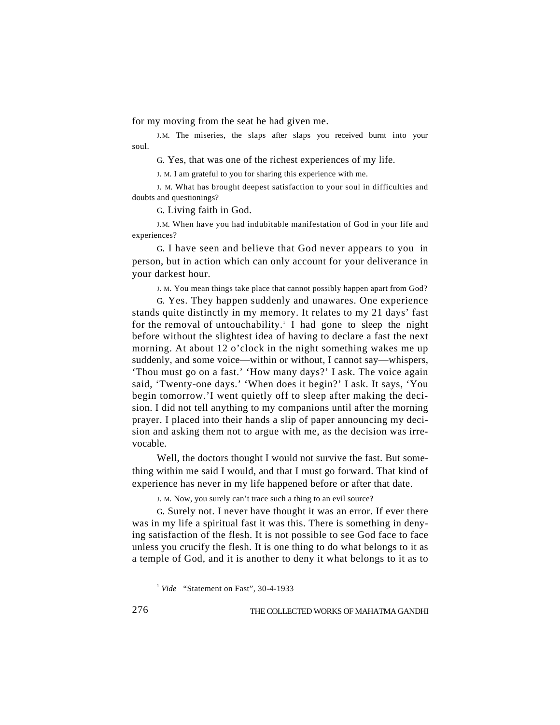for my moving from the seat he had given me.

J.M. The miseries, the slaps after slaps you received burnt into your soul.

G. Yes, that was one of the richest experiences of my life.

J. M. I am grateful to you for sharing this experience with me.

J. M. What has brought deepest satisfaction to your soul in difficulties and doubts and questionings?

G. Living faith in God.

J.M. When have you had indubitable manifestation of God in your life and experiences?

G. I have seen and believe that God never appears to you in person, but in action which can only account for your deliverance in your darkest hour.

J. M. You mean things take place that cannot possibly happen apart from God?

G. Yes. They happen suddenly and unawares. One experience stands quite distinctly in my memory. It relates to my 21 days' fast for the removal of untouchability.<sup>1</sup> I had gone to sleep the night before without the slightest idea of having to declare a fast the next morning. At about 12 o'clock in the night something wakes me up suddenly, and some voice—within or without, I cannot say—whispers, 'Thou must go on a fast.' 'How many days?' I ask. The voice again said, 'Twenty-one days.' 'When does it begin?' I ask. It says, 'You begin tomorrow.'I went quietly off to sleep after making the decision. I did not tell anything to my companions until after the morning prayer. I placed into their hands a slip of paper announcing my decision and asking them not to argue with me, as the decision was irrevocable.

Well, the doctors thought I would not survive the fast. But something within me said I would, and that I must go forward. That kind of experience has never in my life happened before or after that date.

J. M. Now, you surely can't trace such a thing to an evil source?

G. Surely not. I never have thought it was an error. If ever there was in my life a spiritual fast it was this. There is something in denying satisfaction of the flesh. It is not possible to see God face to face unless you crucify the flesh. It is one thing to do what belongs to it as a temple of God, and it is another to deny it what belongs to it as to

<sup>1</sup> *Vide* "Statement on Fast", 30-4-1933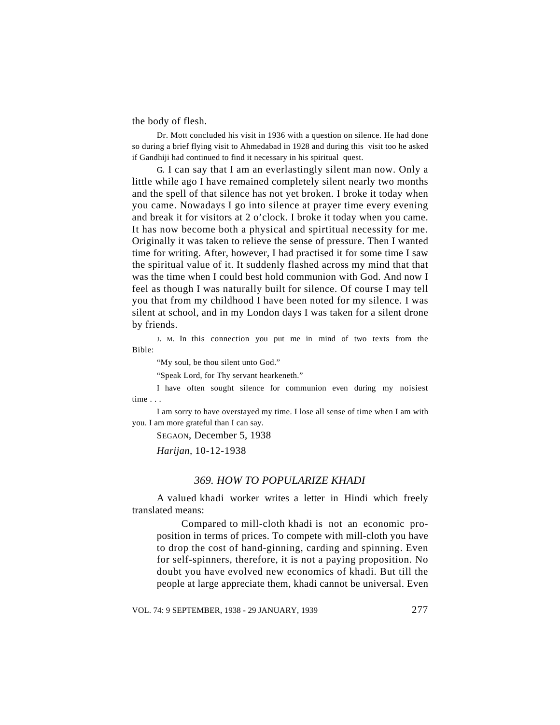the body of flesh.

Dr. Mott concluded his visit in 1936 with a question on silence. He had done so during a brief flying visit to Ahmedabad in 1928 and during this visit too he asked if Gandhiji had continued to find it necessary in his spiritual quest.

G. I can say that I am an everlastingly silent man now. Only a little while ago I have remained completely silent nearly two months and the spell of that silence has not yet broken. I broke it today when you came. Nowadays I go into silence at prayer time every evening and break it for visitors at 2 o'clock. I broke it today when you came. It has now become both a physical and spirtitual necessity for me. Originally it was taken to relieve the sense of pressure. Then I wanted time for writing. After, however, I had practised it for some time I saw the spiritual value of it. It suddenly flashed across my mind that that was the time when I could best hold communion with God. And now I feel as though I was naturally built for silence. Of course I may tell you that from my childhood I have been noted for my silence. I was silent at school, and in my London days I was taken for a silent drone by friends.

J. M. In this connection you put me in mind of two texts from the Bible:

"My soul, be thou silent unto God."

"Speak Lord, for Thy servant hearkeneth."

I have often sought silence for communion even during my noisiest time ...

I am sorry to have overstayed my time. I lose all sense of time when I am with you. I am more grateful than I can say.

SEGAON, December 5, 1938

*Harijan,* 10-12-1938

### *369. HOW TO POPULARIZE KHADI*

A valued khadi worker writes a letter in Hindi which freely translated means:

Compared to mill-cloth khadi is not an economic proposition in terms of prices. To compete with mill-cloth you have to drop the cost of hand-ginning, carding and spinning. Even for self-spinners, therefore, it is not a paying proposition. No doubt you have evolved new economics of khadi. But till the people at large appreciate them, khadi cannot be universal. Even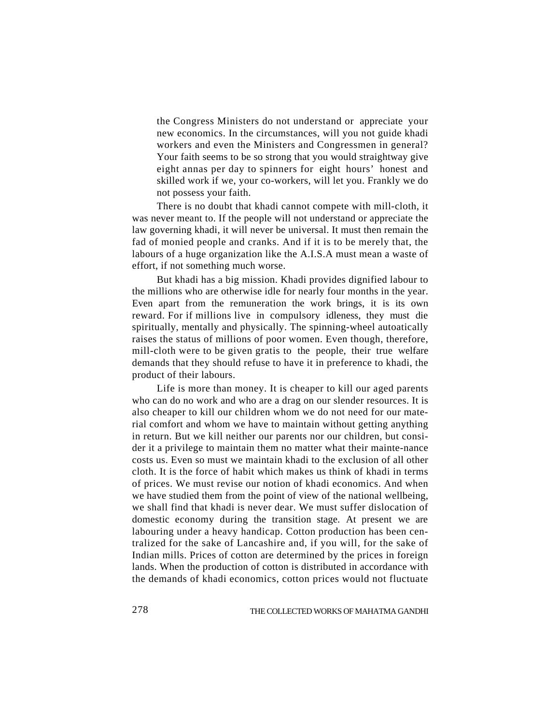the Congress Ministers do not understand or appreciate your new economics. In the circumstances, will you not guide khadi workers and even the Ministers and Congressmen in general? Your faith seems to be so strong that you would straightway give eight annas per day to spinners for eight hours' honest and skilled work if we, your co-workers, will let you. Frankly we do not possess your faith.

There is no doubt that khadi cannot compete with mill-cloth, it was never meant to. If the people will not understand or appreciate the law governing khadi, it will never be universal. It must then remain the fad of monied people and cranks. And if it is to be merely that, the labours of a huge organization like the A.I.S.A must mean a waste of effort, if not something much worse.

But khadi has a big mission. Khadi provides dignified labour to the millions who are otherwise idle for nearly four months in the year. Even apart from the remuneration the work brings, it is its own reward. For if millions live in compulsory idleness, they must die spiritually, mentally and physically. The spinning-wheel autoatically raises the status of millions of poor women. Even though, therefore, mill-cloth were to be given gratis to the people, their true welfare demands that they should refuse to have it in preference to khadi, the product of their labours.

Life is more than money. It is cheaper to kill our aged parents who can do no work and who are a drag on our slender resources. It is also cheaper to kill our children whom we do not need for our material comfort and whom we have to maintain without getting anything in return. But we kill neither our parents nor our children, but consider it a privilege to maintain them no matter what their mainte-nance costs us. Even so must we maintain khadi to the exclusion of all other cloth. It is the force of habit which makes us think of khadi in terms of prices. We must revise our notion of khadi economics. And when we have studied them from the point of view of the national wellbeing, we shall find that khadi is never dear. We must suffer dislocation of domestic economy during the transition stage. At present we are labouring under a heavy handicap. Cotton production has been centralized for the sake of Lancashire and, if you will, for the sake of Indian mills. Prices of cotton are determined by the prices in foreign lands. When the production of cotton is distributed in accordance with the demands of khadi economics, cotton prices would not fluctuate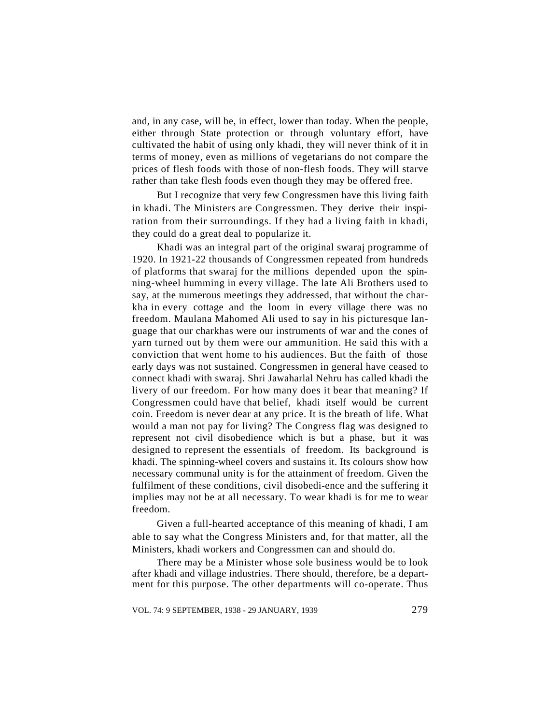and, in any case, will be, in effect, lower than today. When the people, either through State protection or through voluntary effort, have cultivated the habit of using only khadi, they will never think of it in terms of money, even as millions of vegetarians do not compare the prices of flesh foods with those of non-flesh foods. They will starve rather than take flesh foods even though they may be offered free.

But I recognize that very few Congressmen have this living faith in khadi. The Ministers are Congressmen. They derive their inspiration from their surroundings. If they had a living faith in khadi, they could do a great deal to popularize it.

Khadi was an integral part of the original swaraj programme of 1920. In 1921-22 thousands of Congressmen repeated from hundreds of platforms that swaraj for the millions depended upon the spinning-wheel humming in every village. The late Ali Brothers used to say, at the numerous meetings they addressed, that without the charkha in every cottage and the loom in every village there was no freedom. Maulana Mahomed Ali used to say in his picturesque language that our charkhas were our instruments of war and the cones of yarn turned out by them were our ammunition. He said this with a conviction that went home to his audiences. But the faith of those early days was not sustained. Congressmen in general have ceased to connect khadi with swaraj. Shri Jawaharlal Nehru has called khadi the livery of our freedom. For how many does it bear that meaning? If Congressmen could have that belief, khadi itself would be current coin. Freedom is never dear at any price. It is the breath of life. What would a man not pay for living? The Congress flag was designed to represent not civil disobedience which is but a phase, but it was designed to represent the essentials of freedom. Its background is khadi. The spinning-wheel covers and sustains it. Its colours show how necessary communal unity is for the attainment of freedom. Given the fulfilment of these conditions, civil disobedi-ence and the suffering it implies may not be at all necessary. To wear khadi is for me to wear freedom.

Given a full-hearted acceptance of this meaning of khadi, I am able to say what the Congress Ministers and, for that matter, all the Ministers, khadi workers and Congressmen can and should do.

There may be a Minister whose sole business would be to look after khadi and village industries. There should, therefore, be a department for this purpose. The other departments will co-operate. Thus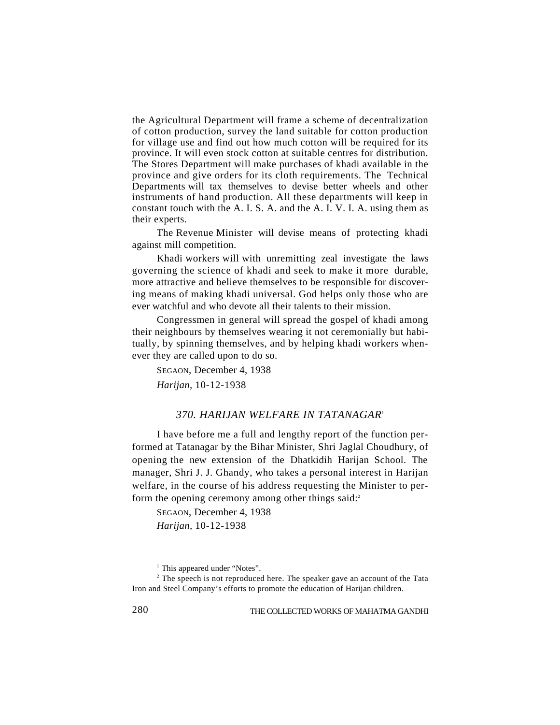the Agricultural Department will frame a scheme of decentralization of cotton production, survey the land suitable for cotton production for village use and find out how much cotton will be required for its province. It will even stock cotton at suitable centres for distribution. The Stores Department will make purchases of khadi available in the province and give orders for its cloth requirements. The Technical Departments will tax themselves to devise better wheels and other instruments of hand production. All these departments will keep in constant touch with the A. I. S. A. and the A. I. V. I. A. using them as their experts.

The Revenue Minister will devise means of protecting khadi against mill competition.

Khadi workers will with unremitting zeal investigate the laws governing the science of khadi and seek to make it more durable, more attractive and believe themselves to be responsible for discovering means of making khadi universal. God helps only those who are ever watchful and who devote all their talents to their mission.

Congressmen in general will spread the gospel of khadi among their neighbours by themselves wearing it not ceremonially but habitually, by spinning themselves, and by helping khadi workers whenever they are called upon to do so.

SEGAON, December 4, 1938 *Harijan,* 10-12-1938

# *370. HARIJAN WELFARE IN TATANAGAR*<sup>1</sup>

I have before me a full and lengthy report of the function performed at Tatanagar by the Bihar Minister, Shri Jaglal Choudhury, of opening the new extension of the Dhatkidih Harijan School. The manager, Shri J. J. Ghandy, who takes a personal interest in Harijan welfare, in the course of his address requesting the Minister to perform the opening ceremony among other things said: $2$ 

SEGAON, December 4, 1938 *Harijan,* 10-12-1938

<sup>1</sup> This appeared under "Notes".

<sup>2</sup> The speech is not reproduced here. The speaker gave an account of the Tata Iron and Steel Company's efforts to promote the education of Harijan children.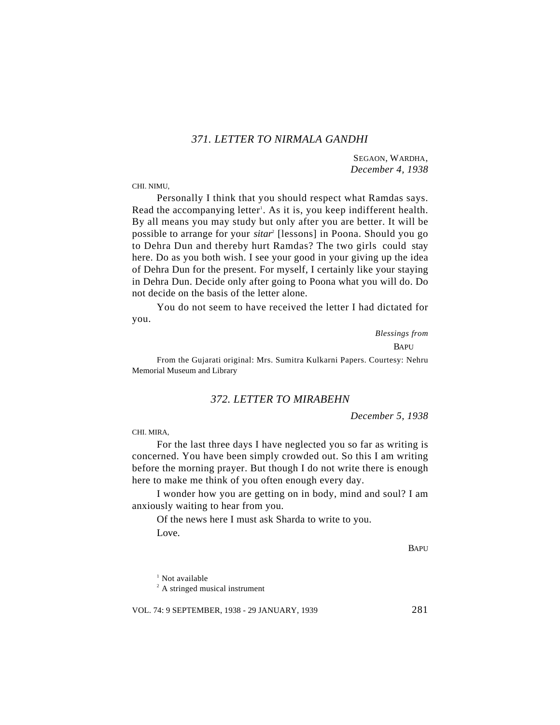## *371. LETTER TO NIRMALA GANDHI*

SEGAON, WARDHA, *December 4, 1938*

CHI. NIMU,

Personally I think that you should respect what Ramdas says. Read the accompanying letter<sup>1</sup>. As it is, you keep indifferent health. By all means you may study but only after you are better. It will be possible to arrange for your *sitar*<sup>2</sup> [lessons] in Poona. Should you go to Dehra Dun and thereby hurt Ramdas? The two girls could stay here. Do as you both wish. I see your good in your giving up the idea of Dehra Dun for the present. For myself, I certainly like your staying in Dehra Dun. Decide only after going to Poona what you will do. Do not decide on the basis of the letter alone.

You do not seem to have received the letter I had dictated for you.

*Blessings from*

**BAPU** 

From the Gujarati original: Mrs. Sumitra Kulkarni Papers. Courtesy: Nehru Memorial Museum and Library

### *372. LETTER TO MIRABEHN*

*December 5, 1938*

CHI. MIRA,

For the last three days I have neglected you so far as writing is concerned. You have been simply crowded out. So this I am writing before the morning prayer. But though I do not write there is enough here to make me think of you often enough every day.

I wonder how you are getting on in body, mind and soul? I am anxiously waiting to hear from you.

Of the news here I must ask Sharda to write to you. Love.

**BAPU** 

<sup>&</sup>lt;sup>1</sup> Not available

<sup>&</sup>lt;sup>2</sup> A stringed musical instrument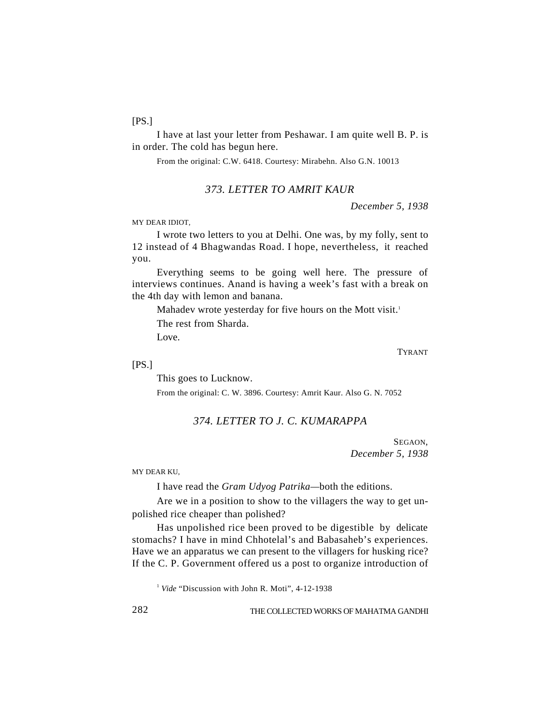[PS.]

I have at last your letter from Peshawar. I am quite well B. P. is in order. The cold has begun here.

From the original: C.W. 6418. Courtesy: Mirabehn. Also G.N. 10013

# *373. LETTER TO AMRIT KAUR*

*December 5, 1938*

MY DEAR IDIOT,

I wrote two letters to you at Delhi. One was, by my folly, sent to 12 instead of 4 Bhagwandas Road. I hope, nevertheless, it reached you.

Everything seems to be going well here. The pressure of interviews continues. Anand is having a week's fast with a break on the 4th day with lemon and banana.

Mahadev wrote yesterday for five hours on the Mott visit.<sup>1</sup> The rest from Sharda. Love.

TYRANT

[PS.]

This goes to Lucknow.

From the original: C. W. 3896. Courtesy: Amrit Kaur. Also G. N. 7052

# *374. LETTER TO J. C. KUMARAPPA*

SEGAON, *December 5, 1938*

MY DEAR KU,

I have read the *Gram Udyog Patrika—*both the editions.

Are we in a position to show to the villagers the way to get unpolished rice cheaper than polished?

Has unpolished rice been proved to be digestible by delicate stomachs? I have in mind Chhotelal's and Babasaheb's experiences. Have we an apparatus we can present to the villagers for husking rice? If the C. P. Government offered us a post to organize introduction of

<sup>1</sup> *Vide* "Discussion with John R. Moti", 4-12-1938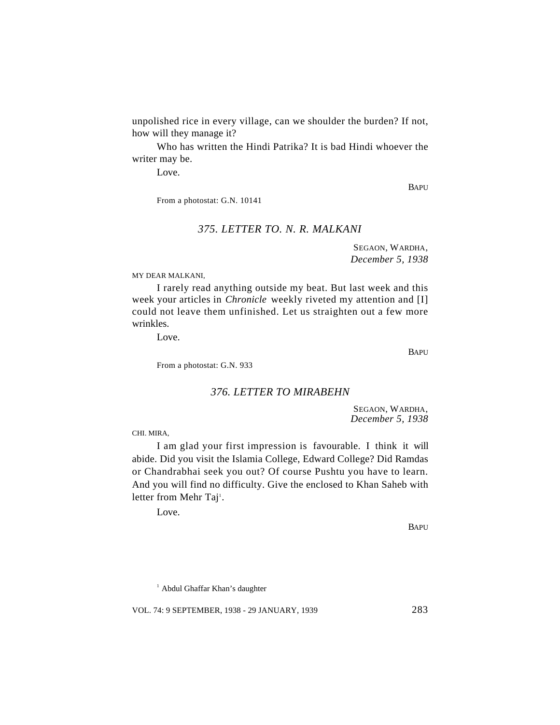unpolished rice in every village, can we shoulder the burden? If not, how will they manage it?

Who has written the Hindi Patrika? It is bad Hindi whoever the writer may be.

Love.

From a photostat: G.N. 10141

## *375. LETTER TO. N. R. MALKANI*

SEGAON, WARDHA, *December 5, 1938*

MY DEAR MALKANI,

I rarely read anything outside my beat. But last week and this week your articles in *Chronicle* weekly riveted my attention and [I] could not leave them unfinished. Let us straighten out a few more wrinkles.

Love.

From a photostat: G.N. 933

## *376. LETTER TO MIRABEHN*

SEGAON, WARDHA, *December 5, 1938*

CHI. MIRA,

I am glad your first impression is favourable. I think it will abide. Did you visit the Islamia College, Edward College? Did Ramdas or Chandrabhai seek you out? Of course Pushtu you have to learn. And you will find no difficulty. Give the enclosed to Khan Saheb with letter from Mehr Taj<sup>1</sup>.

Love.

**BAPU** 

<sup>1</sup> Abdul Ghaffar Khan's daughter

**BAPU** 

**BAPU**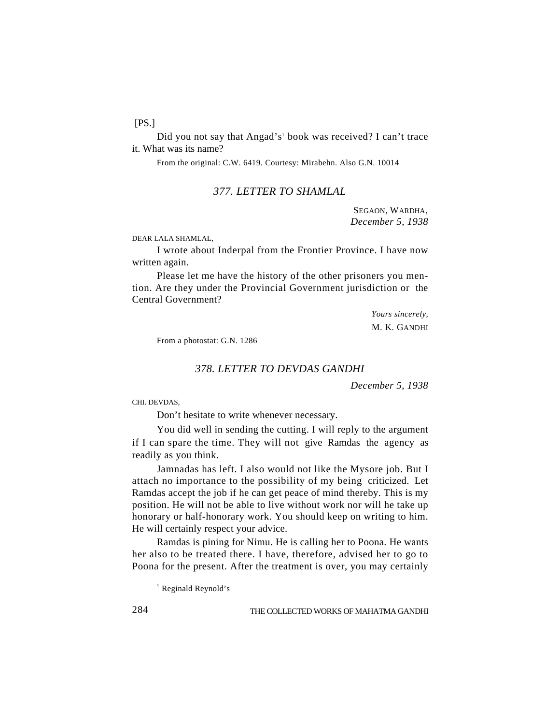$[PS.]$ 

Did you not say that Angad's<sup>1</sup> book was received? I can't trace it. What was its name?

From the original: C.W. 6419. Courtesy: Mirabehn. Also G.N. 10014

# *377. LETTER TO SHAMLAL*

SEGAON, WARDHA, *December 5, 1938*

DEAR LALA SHAMLAL,

I wrote about Inderpal from the Frontier Province. I have now written again.

Please let me have the history of the other prisoners you mention. Are they under the Provincial Government jurisdiction or the Central Government?

> *Yours sincerely,* M. K. GANDHI

From a photostat: G.N. 1286

## *378. LETTER TO DEVDAS GANDHI*

*December 5, 1938*

CHI. DEVDAS,

Don't hesitate to write whenever necessary.

You did well in sending the cutting. I will reply to the argument if I can spare the time. They will not give Ramdas the agency as readily as you think.

Jamnadas has left. I also would not like the Mysore job. But I attach no importance to the possibility of my being criticized. Let Ramdas accept the job if he can get peace of mind thereby. This is my position. He will not be able to live without work nor will he take up honorary or half-honorary work. You should keep on writing to him. He will certainly respect your advice.

Ramdas is pining for Nimu. He is calling her to Poona. He wants her also to be treated there. I have, therefore, advised her to go to Poona for the present. After the treatment is over, you may certainly

<sup>1</sup> Reginald Reynold's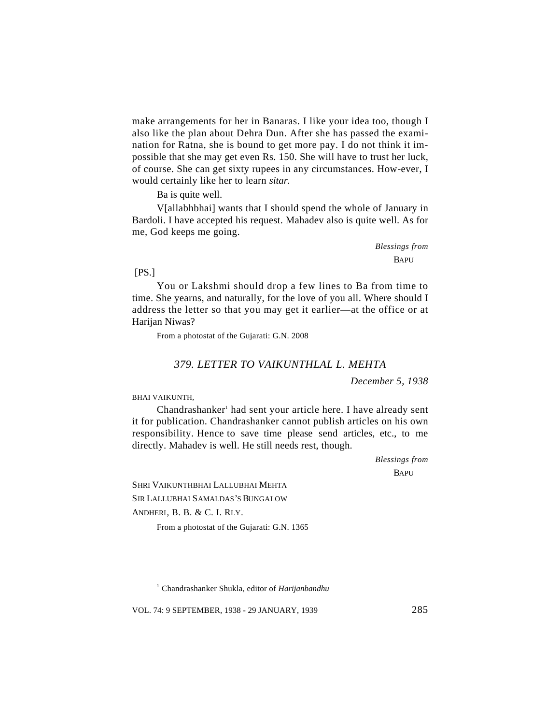make arrangements for her in Banaras. I like your idea too, though I also like the plan about Dehra Dun. After she has passed the examination for Ratna, she is bound to get more pay. I do not think it impossible that she may get even Rs. 150. She will have to trust her luck, of course. She can get sixty rupees in any circumstances. How-ever, I would certainly like her to learn *sitar.*

Ba is quite well.

V[allabhbhai] wants that I should spend the whole of January in Bardoli. I have accepted his request. Mahadev also is quite well. As for me, God keeps me going.

> *Blessings from* **BAPU**

[PS.]

You or Lakshmi should drop a few lines to Ba from time to time. She yearns, and naturally, for the love of you all. Where should I address the letter so that you may get it earlier—at the office or at Harijan Niwas?

From a photostat of the Gujarati: G.N. 2008

### *379. LETTER TO VAIKUNTHLAL L. MEHTA*

*December 5, 1938*

#### BHAI VAIKUNTH,

Chandrashanker<sup>1</sup> had sent your article here. I have already sent it for publication. Chandrashanker cannot publish articles on his own responsibility. Hence to save time please send articles, etc., to me directly. Mahadev is well. He still needs rest, though.

> *Blessings from* **BAPU**

SHRI VAIKUNTHBHAI LALLUBHAI MEHTA

SIR LALLUBHAI SAMALDAS'S BUNGALOW

ANDHERI, B. B. & C. I. RLY.

From a photostat of the Gujarati: G.N. 1365

1 Chandrashanker Shukla, editor of *Harijanbandhu*

VOL. 74: 9 SEPTEMBER, 1938 - 29 JANUARY, 1939 285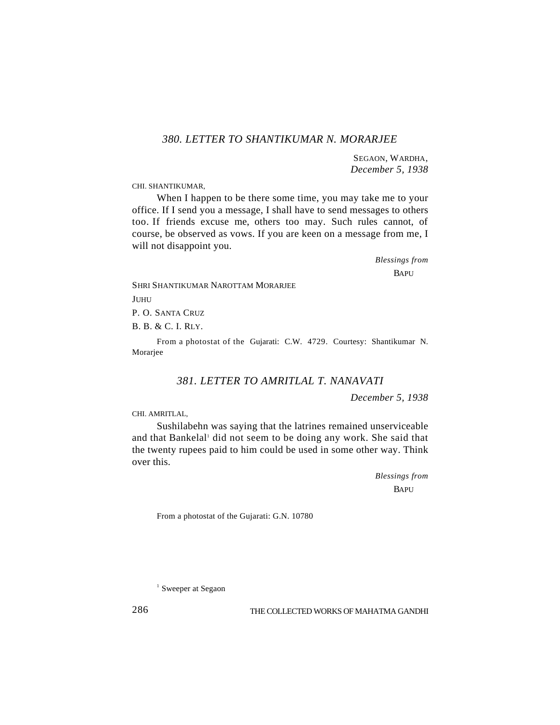SEGAON, WARDHA, *December 5, 1938*

CHI. SHANTIKUMAR,

When I happen to be there some time, you may take me to your office. If I send you a message, I shall have to send messages to others too. If friends excuse me, others too may. Such rules cannot, of course, be observed as vows. If you are keen on a message from me, I will not disappoint you.

*Blessings from*

**BAPU** 

SHRI SHANTIKUMAR NAROTTAM MORARJEE

JUHU

P. O. SANTA CRUZ

B. B. & C. I. RLY.

From a photostat of the Gujarati: C.W. 4729. Courtesy: Shantikumar N. Morariee

# *381. LETTER TO AMRITLAL T. NANAVATI*

*December 5, 1938*

CHI. AMRITLAL,

Sushilabehn was saying that the latrines remained unserviceable and that Bankelal<sup>1</sup> did not seem to be doing any work. She said that the twenty rupees paid to him could be used in some other way. Think over this.

> *Blessings from* **BAPU**

From a photostat of the Gujarati: G.N. 10780

<sup>1</sup> Sweeper at Segaon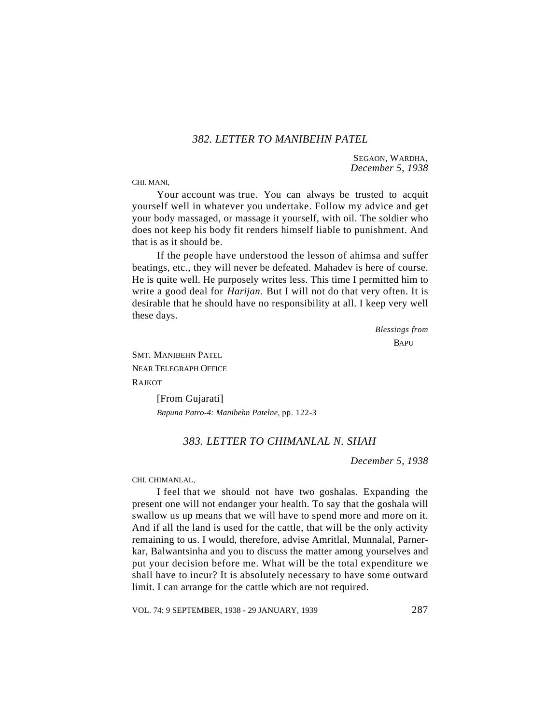## *382. LETTER TO MANIBEHN PATEL*

SEGAON, WARDHA, *December 5, 1938*

CHI. MANI,

Your account was true. You can always be trusted to acquit yourself well in whatever you undertake. Follow my advice and get your body massaged, or massage it yourself, with oil. The soldier who does not keep his body fit renders himself liable to punishment. And that is as it should be.

If the people have understood the lesson of ahimsa and suffer beatings, etc., they will never be defeated. Mahadev is here of course. He is quite well. He purposely writes less. This time I permitted him to write a good deal for *Harijan.* But I will not do that very often. It is desirable that he should have no responsibility at all. I keep very well these days.

> *Blessings from* **BAPU**

SMT. MANIBEHN PATEL. NEAR TELEGRAPH OFFICE **RAIKOT** 

> [From Gujarati] *Bapuna Patro-4: Manibehn Patelne,* pp. 122-3

## *383. LETTER TO CHIMANLAL N. SHAH*

*December 5, 1938*

CHI. CHIMANLAL,

I feel that we should not have two goshalas. Expanding the present one will not endanger your health. To say that the goshala will swallow us up means that we will have to spend more and more on it. And if all the land is used for the cattle, that will be the only activity remaining to us. I would, therefore, advise Amritlal, Munnalal, Parnerkar, Balwantsinha and you to discuss the matter among yourselves and put your decision before me. What will be the total expenditure we shall have to incur? It is absolutely necessary to have some outward limit. I can arrange for the cattle which are not required.

VOL. 74: 9 SEPTEMBER, 1938 - 29 JANUARY, 1939 287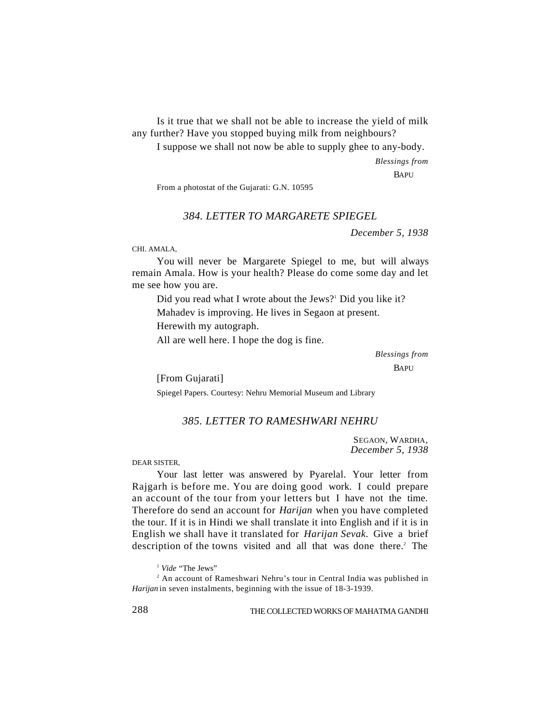Is it true that we shall not be able to increase the yield of milk any further? Have you stopped buying milk from neighbours?

I suppose we shall not now be able to supply ghee to any-body.

*Blessings from*

**BAPU** 

From a photostat of the Gujarati: G.N. 10595

## *384. LETTER TO MARGARETE SPIEGEL*

*December 5, 1938*

CHI. AMALA,

You will never be Margarete Spiegel to me, but will always remain Amala. How is your health? Please do come some day and let me see how you are.

Did you read what I wrote about the Jews?<sup>1</sup> Did you like it? Mahadev is improving. He lives in Segaon at present.

Herewith my autograph.

All are well here. I hope the dog is fine.

*Blessings from*

BAPU

[From Gujarati]

Spiegel Papers. Courtesy: Nehru Memorial Museum and Library

## *385. LETTER TO RAMESHWARI NEHRU*

SEGAON, WARDHA, *December 5, 1938*

DEAR SISTER,

Your last letter was answered by Pyarelal. Your letter from Rajgarh is before me. You are doing good work. I could prepare an account of the tour from your letters but I have not the time. Therefore do send an account for *Harijan* when you have completed the tour. If it is in Hindi we shall translate it into English and if it is in English we shall have it translated for *Harijan Sevak.* Give a brief description of the towns visited and all that was done there.<sup>2</sup> The

<sup>1</sup> *Vide* "The Jews"

<sup>2</sup> An account of Rameshwari Nehru's tour in Central India was published in *Harijan* in seven instalments, beginning with the issue of 18-3-1939.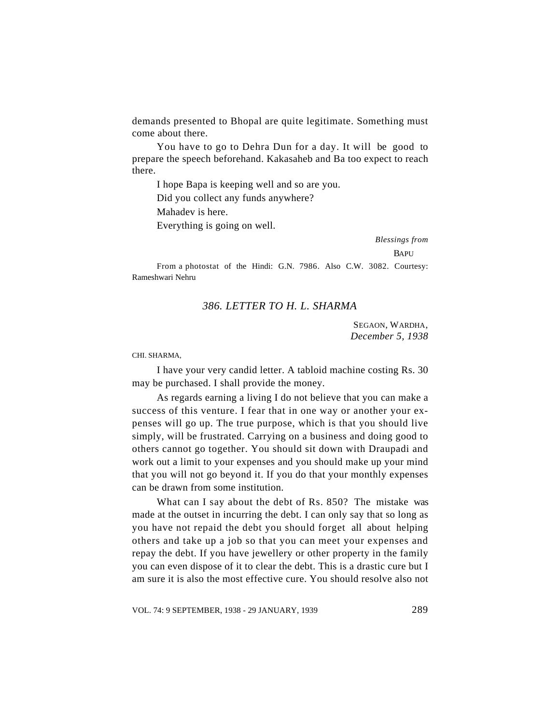demands presented to Bhopal are quite legitimate. Something must come about there.

You have to go to Dehra Dun for a day. It will be good to prepare the speech beforehand. Kakasaheb and Ba too expect to reach there.

I hope Bapa is keeping well and so are you. Did you collect any funds anywhere? Mahadev is here. Everything is going on well.

*Blessings from*

**BAPU** 

From a photostat of the Hindi: G.N. 7986. Also C.W. 3082. Courtesy: Rameshwari Nehru

### *386. LETTER TO H. L. SHARMA*

SEGAON, WARDHA, *December 5, 1938*

CHI. SHARMA,

I have your very candid letter. A tabloid machine costing Rs. 30 may be purchased. I shall provide the money.

As regards earning a living I do not believe that you can make a success of this venture. I fear that in one way or another your expenses will go up. The true purpose, which is that you should live simply, will be frustrated. Carrying on a business and doing good to others cannot go together. You should sit down with Draupadi and work out a limit to your expenses and you should make up your mind that you will not go beyond it. If you do that your monthly expenses can be drawn from some institution.

What can I say about the debt of Rs. 850? The mistake was made at the outset in incurring the debt. I can only say that so long as you have not repaid the debt you should forget all about helping others and take up a job so that you can meet your expenses and repay the debt. If you have jewellery or other property in the family you can even dispose of it to clear the debt. This is a drastic cure but I am sure it is also the most effective cure. You should resolve also not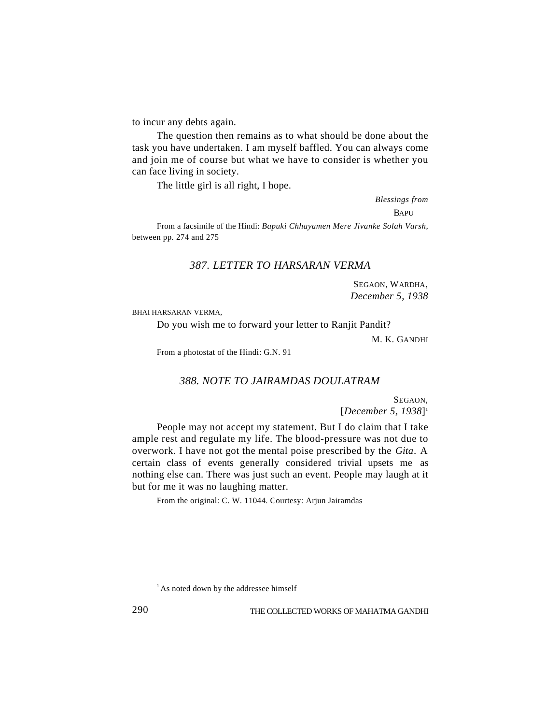to incur any debts again.

The question then remains as to what should be done about the task you have undertaken. I am myself baffled. You can always come and join me of course but what we have to consider is whether you can face living in society.

The little girl is all right, I hope.

*Blessings from*

**BAPU** 

From a facsimile of the Hindi: *Bapuki Chhayamen Mere Jivanke Solah Varsh,* between pp. 274 and 275

### *387. LETTER TO HARSARAN VERMA*

SEGAON, WARDHA, *December 5, 1938*

BHAI HARSARAN VERMA,

Do you wish me to forward your letter to Ranjit Pandit?

M. K. GANDHI

From a photostat of the Hindi: G.N. 91

## *388. NOTE TO JAIRAMDAS DOULATRAM*

SEGAON, [*December 5, 1938*] 1

People may not accept my statement. But I do claim that I take ample rest and regulate my life. The blood-pressure was not due to overwork. I have not got the mental poise prescribed by the *Gita*. A certain class of events generally considered trivial upsets me as nothing else can. There was just such an event. People may laugh at it but for me it was no laughing matter.

From the original: C. W. 11044. Courtesy: Arjun Jairamdas

 $<sup>1</sup>$  As noted down by the addressee himself</sup>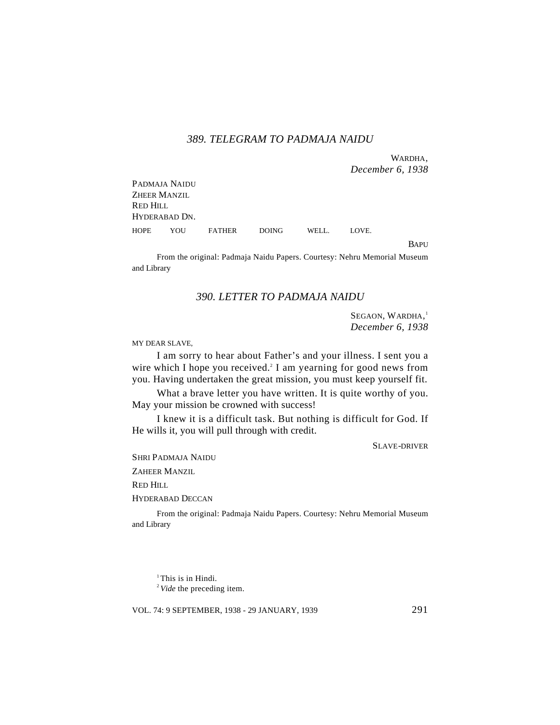# *389. TELEGRAM TO PADMAJA NAIDU*

WARDHA, *December 6, 1938*

| Padmaja Naidu |     |        |        |       |       |
|---------------|-----|--------|--------|-------|-------|
| Zheer Manzil  |     |        |        |       |       |
| Red Hill      |     |        |        |       |       |
| HYDERABAD DN. |     |        |        |       |       |
| HOPE          | YOU | FATHER | DOING. | WELL. | LOVE. |

**BAPU** 

From the original: Padmaja Naidu Papers. Courtesy: Nehru Memorial Museum and Library

# *390. LETTER TO PADMAJA NAIDU*

SEGAON, WARDHA,<sup>1</sup> *December 6, 1938*

MY DEAR SLAVE,

I am sorry to hear about Father's and your illness. I sent you a wire which I hope you received.<sup>2</sup> I am yearning for good news from you. Having undertaken the great mission, you must keep yourself fit.

What a brave letter you have written. It is quite worthy of you. May your mission be crowned with success!

I knew it is a difficult task. But nothing is difficult for God. If He wills it, you will pull through with credit.

SLAVE-DRIVER

SHRI PADMAJA NAIDU

ZAHEER MANZIL

RED HILL

HYDERABAD DECCAN

From the original: Padmaja Naidu Papers. Courtesy: Nehru Memorial Museum and Library

<sup>1</sup>This is in Hindi. <sup>2</sup>*Vide* the preceding item.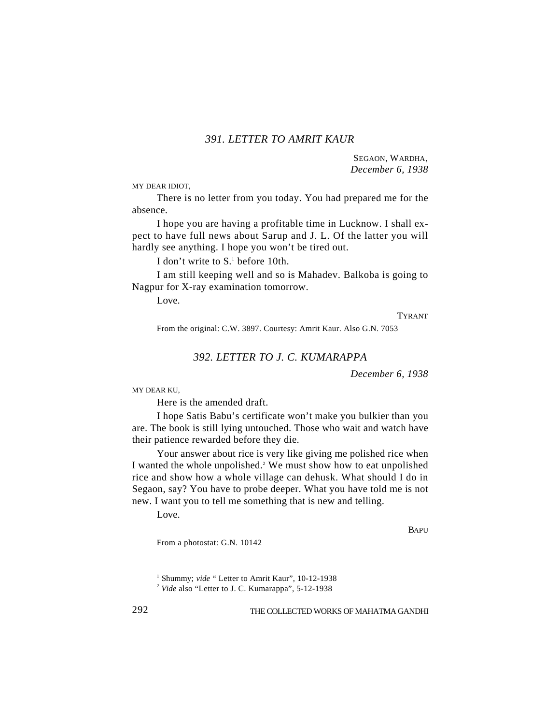SEGAON, WARDHA, *December 6, 1938*

MY DEAR IDIOT,

There is no letter from you today. You had prepared me for the absence.

I hope you are having a profitable time in Lucknow. I shall expect to have full news about Sarup and J. L. Of the latter you will hardly see anything. I hope you won't be tired out.

I don't write to S.<sup>1</sup> before 10th.

I am still keeping well and so is Mahadev. Balkoba is going to Nagpur for X-ray examination tomorrow.

Love.

TYRANT

From the original: C.W. 3897. Courtesy: Amrit Kaur. Also G.N. 7053

# *392. LETTER TO J. C. KUMARAPPA*

*December 6, 1938*

MY DEAR KU,

Here is the amended draft.

I hope Satis Babu's certificate won't make you bulkier than you are. The book is still lying untouched. Those who wait and watch have their patience rewarded before they die.

Your answer about rice is very like giving me polished rice when I wanted the whole unpolished.<sup>2</sup> We must show how to eat unpolished rice and show how a whole village can dehusk. What should I do in Segaon, say? You have to probe deeper. What you have told me is not new. I want you to tell me something that is new and telling.

Love.

BAPU

From a photostat: G.N. 10142

<sup>1</sup> Shummy; *vide* "Letter to Amrit Kaur", 10-12-1938

<sup>2</sup> *Vide* also "Letter to J. C. Kumarappa", 5-12-1938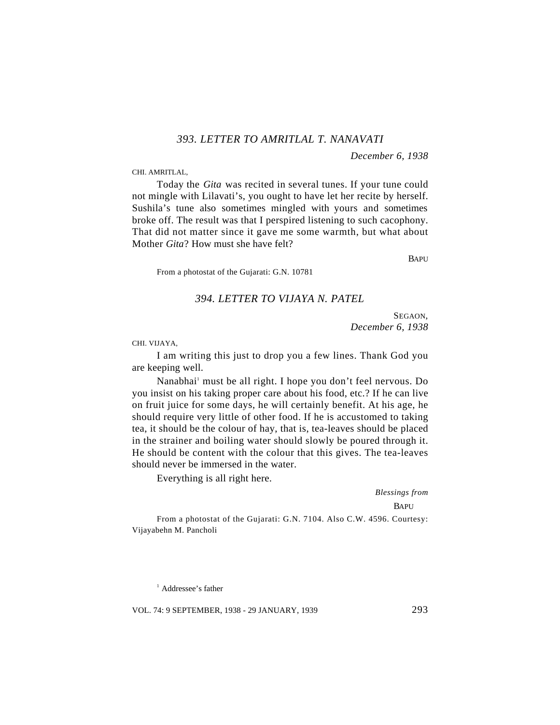*December 6, 1938*

CHI. AMRITLAL,

Today the *Gita* was recited in several tunes. If your tune could not mingle with Lilavati's, you ought to have let her recite by herself. Sushila's tune also sometimes mingled with yours and sometimes broke off. The result was that I perspired listening to such cacophony. That did not matter since it gave me some warmth, but what about Mother *Gita*? How must she have felt?

**BAPU** 

From a photostat of the Gujarati: G.N. 10781

### *394. LETTER TO VIJAYA N. PATEL*

SEGAON, *December 6, 1938*

CHI. VIJAYA,

I am writing this just to drop you a few lines. Thank God you are keeping well.

Nanabhai<sup>1</sup> must be all right. I hope you don't feel nervous. Do you insist on his taking proper care about his food, etc.? If he can live on fruit juice for some days, he will certainly benefit. At his age, he should require very little of other food. If he is accustomed to taking tea, it should be the colour of hay, that is, tea-leaves should be placed in the strainer and boiling water should slowly be poured through it. He should be content with the colour that this gives. The tea-leaves should never be immersed in the water.

Everything is all right here.

*Blessings from*

**BAPU** 

From a photostat of the Gujarati: G.N. 7104. Also C.W. 4596. Courtesy: Vijayabehn M. Pancholi

<sup>1</sup> Addressee's father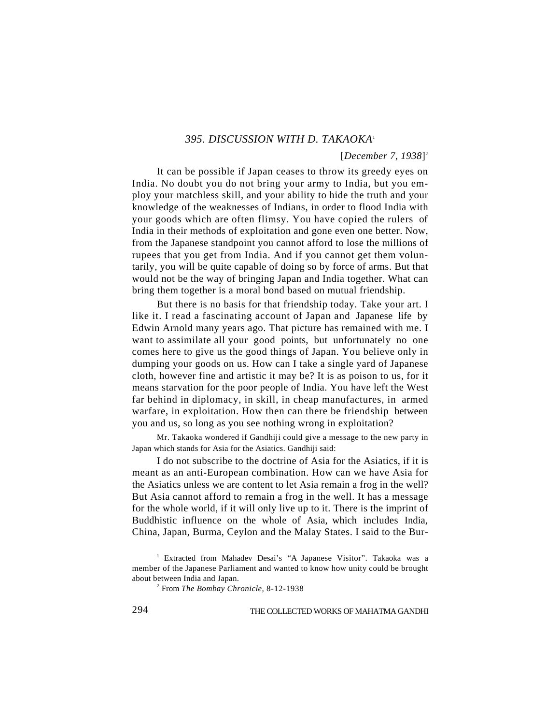# *395. DISCUSSION WITH D. TAKAOKA*<sup>1</sup>

#### [*December 7, 1938*] 2

It can be possible if Japan ceases to throw its greedy eyes on India. No doubt you do not bring your army to India, but you employ your matchless skill, and your ability to hide the truth and your knowledge of the weaknesses of Indians, in order to flood India with your goods which are often flimsy. You have copied the rulers of India in their methods of exploitation and gone even one better. Now, from the Japanese standpoint you cannot afford to lose the millions of rupees that you get from India. And if you cannot get them voluntarily, you will be quite capable of doing so by force of arms. But that would not be the way of bringing Japan and India together. What can bring them together is a moral bond based on mutual friendship.

But there is no basis for that friendship today. Take your art. I like it. I read a fascinating account of Japan and Japanese life by Edwin Arnold many years ago. That picture has remained with me. I want to assimilate all your good points, but unfortunately no one comes here to give us the good things of Japan. You believe only in dumping your goods on us. How can I take a single yard of Japanese cloth, however fine and artistic it may be? It is as poison to us, for it means starvation for the poor people of India. You have left the West far behind in diplomacy, in skill, in cheap manufactures, in armed warfare, in exploitation. How then can there be friendship between you and us, so long as you see nothing wrong in exploitation?

Mr. Takaoka wondered if Gandhiji could give a message to the new party in Japan which stands for Asia for the Asiatics. Gandhiji said:

I do not subscribe to the doctrine of Asia for the Asiatics, if it is meant as an anti-European combination. How can we have Asia for the Asiatics unless we are content to let Asia remain a frog in the well? But Asia cannot afford to remain a frog in the well. It has a message for the whole world, if it will only live up to it. There is the imprint of Buddhistic influence on the whole of Asia, which includes India, China, Japan, Burma, Ceylon and the Malay States. I said to the Bur-

<sup>&</sup>lt;sup>1</sup> Extracted from Mahadev Desai's "A Japanese Visitor". Takaoka was a member of the Japanese Parliament and wanted to know how unity could be brought about between India and Japan.

<sup>2</sup> From *The Bombay Chronicle,* 8-12-1938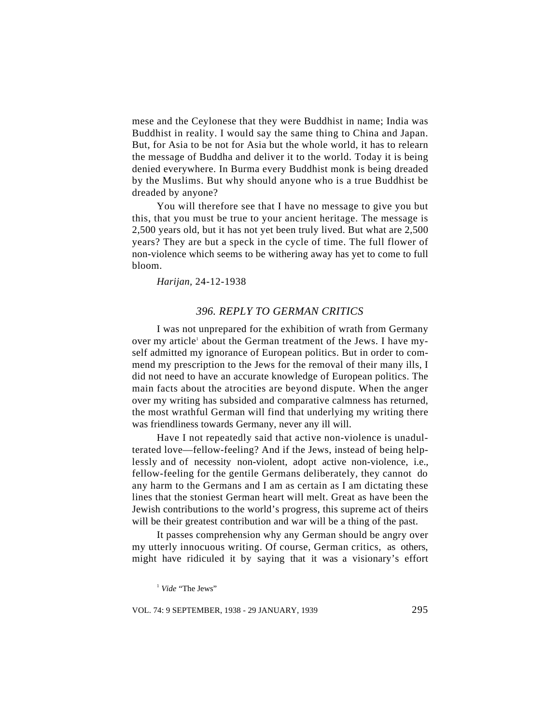mese and the Ceylonese that they were Buddhist in name; India was Buddhist in reality. I would say the same thing to China and Japan. But, for Asia to be not for Asia but the whole world, it has to relearn the message of Buddha and deliver it to the world. Today it is being denied everywhere. In Burma every Buddhist monk is being dreaded by the Muslims. But why should anyone who is a true Buddhist be dreaded by anyone?

You will therefore see that I have no message to give you but this, that you must be true to your ancient heritage. The message is 2,500 years old, but it has not yet been truly lived. But what are 2,500 years? They are but a speck in the cycle of time. The full flower of non-violence which seems to be withering away has yet to come to full bloom.

*Harijan,* 24-12-1938

### *396. REPLY TO GERMAN CRITICS*

I was not unprepared for the exhibition of wrath from Germany over my article<sup>1</sup> about the German treatment of the Jews. I have myself admitted my ignorance of European politics. But in order to commend my prescription to the Jews for the removal of their many ills, I did not need to have an accurate knowledge of European politics. The main facts about the atrocities are beyond dispute. When the anger over my writing has subsided and comparative calmness has returned, the most wrathful German will find that underlying my writing there was friendliness towards Germany, never any ill will.

Have I not repeatedly said that active non-violence is unadulterated love—fellow-feeling? And if the Jews, instead of being helplessly and of necessity non-violent, adopt active non-violence, i.e., fellow-feeling for the gentile Germans deliberately, they cannot do any harm to the Germans and I am as certain as I am dictating these lines that the stoniest German heart will melt. Great as have been the Jewish contributions to the world's progress, this supreme act of theirs will be their greatest contribution and war will be a thing of the past.

It passes comprehension why any German should be angry over my utterly innocuous writing. Of course, German critics, as others, might have ridiculed it by saying that it was a visionary's effort

<sup>1</sup> *Vide* "The Jews"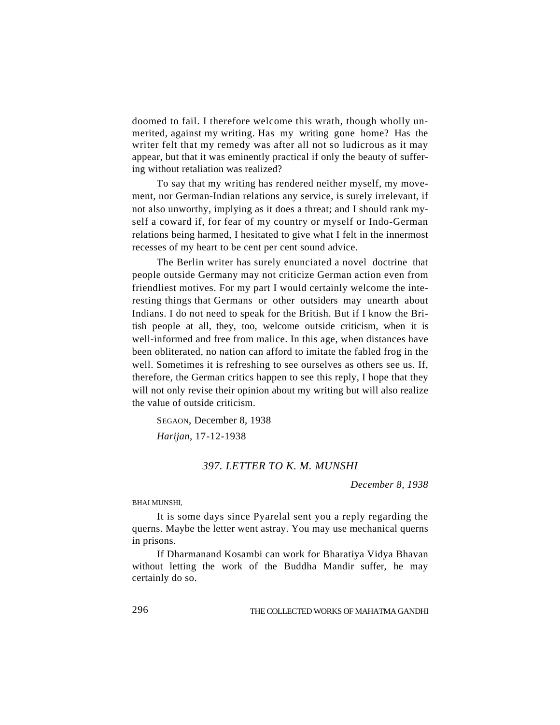doomed to fail. I therefore welcome this wrath, though wholly unmerited, against my writing. Has my writing gone home? Has the writer felt that my remedy was after all not so ludicrous as it may appear, but that it was eminently practical if only the beauty of suffering without retaliation was realized?

To say that my writing has rendered neither myself, my movement, nor German-Indian relations any service, is surely irrelevant, if not also unworthy, implying as it does a threat; and I should rank myself a coward if, for fear of my country or myself or Indo-German relations being harmed, I hesitated to give what I felt in the innermost recesses of my heart to be cent per cent sound advice.

The Berlin writer has surely enunciated a novel doctrine that people outside Germany may not criticize German action even from friendliest motives. For my part I would certainly welcome the interesting things that Germans or other outsiders may unearth about Indians. I do not need to speak for the British. But if I know the British people at all, they, too, welcome outside criticism, when it is well-informed and free from malice. In this age, when distances have been obliterated, no nation can afford to imitate the fabled frog in the well. Sometimes it is refreshing to see ourselves as others see us. If, therefore, the German critics happen to see this reply, I hope that they will not only revise their opinion about my writing but will also realize the value of outside criticism.

SEGAON, December 8, 1938 *Harijan,* 17-12-1938

# *397. LETTER TO K. M. MUNSHI*

*December 8, 1938*

BHAI MUNSHI,

It is some days since Pyarelal sent you a reply regarding the querns. Maybe the letter went astray. You may use mechanical querns in prisons.

If Dharmanand Kosambi can work for Bharatiya Vidya Bhavan without letting the work of the Buddha Mandir suffer, he may certainly do so.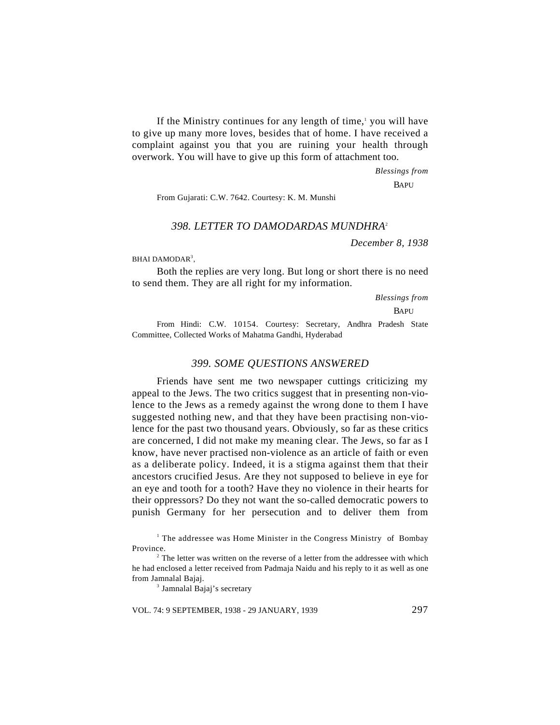If the Ministry continues for any length of time,<sup>1</sup> you will have to give up many more loves, besides that of home. I have received a complaint against you that you are ruining your health through overwork. You will have to give up this form of attachment too.

> *Blessings from* **BAPU**

From Gujarati: C.W. 7642. Courtesy: K. M. Munshi

### *398. LETTER TO DAMODARDAS MUNDHRA*<sup>2</sup>

*December 8, 1938*

#### $BHAI$  DAMODAR<sup>3</sup>,

Both the replies are very long. But long or short there is no need to send them. They are all right for my information.

*Blessings from*

**BAPU** 

From Hindi: C.W. 10154. Courtesy: Secretary, Andhra Pradesh State Committee, Collected Works of Mahatma Gandhi, Hyderabad

# *399. SOME QUESTIONS ANSWERED*

Friends have sent me two newspaper cuttings criticizing my appeal to the Jews. The two critics suggest that in presenting non-violence to the Jews as a remedy against the wrong done to them I have suggested nothing new, and that they have been practising non-violence for the past two thousand years. Obviously, so far as these critics are concerned, I did not make my meaning clear. The Jews, so far as I know, have never practised non-violence as an article of faith or even as a deliberate policy. Indeed, it is a stigma against them that their ancestors crucified Jesus. Are they not supposed to believe in eye for an eye and tooth for a tooth? Have they no violence in their hearts for their oppressors? Do they not want the so-called democratic powers to punish Germany for her persecution and to deliver them from

<sup>3</sup> Jamnalal Bajaj's secretary

<sup>&</sup>lt;sup>1</sup> The addressee was Home Minister in the Congress Ministry of Bombay Province.

 $2^{2}$  The letter was written on the reverse of a letter from the addressee with which he had enclosed a letter received from Padmaja Naidu and his reply to it as well as one from Jamnalal Bajaj.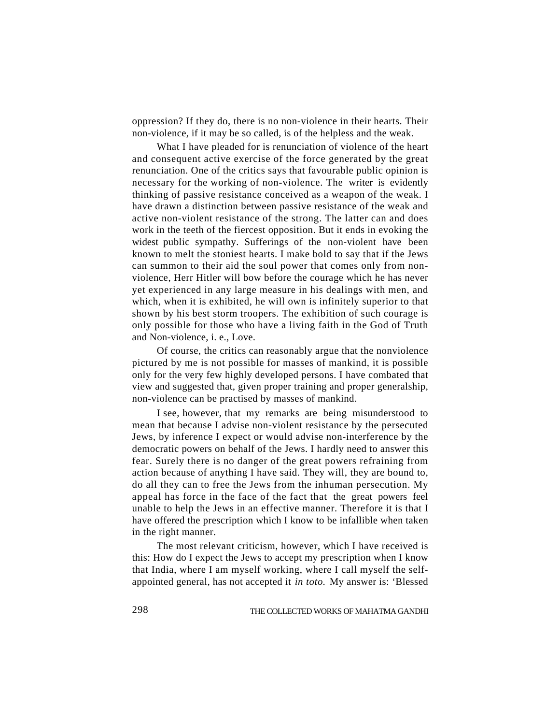oppression? If they do, there is no non-violence in their hearts. Their non-violence, if it may be so called, is of the helpless and the weak.

What I have pleaded for is renunciation of violence of the heart and consequent active exercise of the force generated by the great renunciation. One of the critics says that favourable public opinion is necessary for the working of non-violence. The writer is evidently thinking of passive resistance conceived as a weapon of the weak. I have drawn a distinction between passive resistance of the weak and active non-violent resistance of the strong. The latter can and does work in the teeth of the fiercest opposition. But it ends in evoking the widest public sympathy. Sufferings of the non-violent have been known to melt the stoniest hearts. I make bold to say that if the Jews can summon to their aid the soul power that comes only from nonviolence, Herr Hitler will bow before the courage which he has never yet experienced in any large measure in his dealings with men, and which, when it is exhibited, he will own is infinitely superior to that shown by his best storm troopers. The exhibition of such courage is only possible for those who have a living faith in the God of Truth and Non-violence, i. e., Love.

Of course, the critics can reasonably argue that the nonviolence pictured by me is not possible for masses of mankind, it is possible only for the very few highly developed persons. I have combated that view and suggested that, given proper training and proper generalship, non-violence can be practised by masses of mankind.

I see, however, that my remarks are being misunderstood to mean that because I advise non-violent resistance by the persecuted Jews, by inference I expect or would advise non-interference by the democratic powers on behalf of the Jews. I hardly need to answer this fear. Surely there is no danger of the great powers refraining from action because of anything I have said. They will, they are bound to, do all they can to free the Jews from the inhuman persecution. My appeal has force in the face of the fact that the great powers feel unable to help the Jews in an effective manner. Therefore it is that I have offered the prescription which I know to be infallible when taken in the right manner.

The most relevant criticism, however, which I have received is this: How do I expect the Jews to accept my prescription when I know that India, where I am myself working, where I call myself the selfappointed general, has not accepted it *in toto.* My answer is: 'Blessed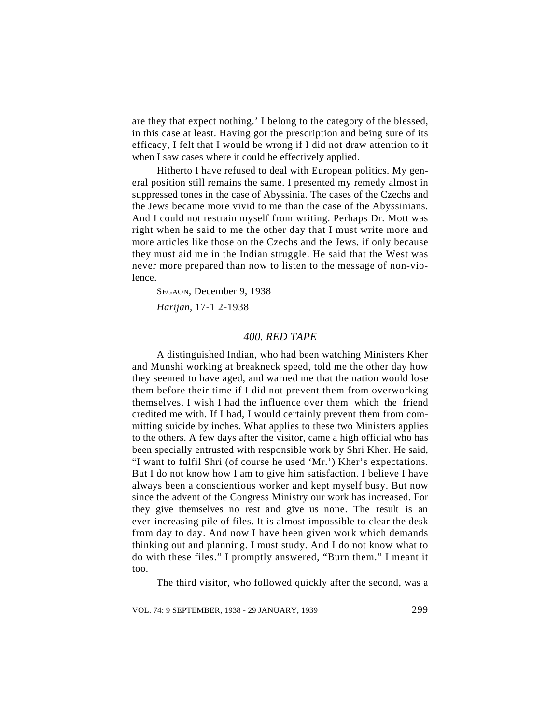are they that expect nothing.' I belong to the category of the blessed, in this case at least. Having got the prescription and being sure of its efficacy, I felt that I would be wrong if I did not draw attention to it when I saw cases where it could be effectively applied.

Hitherto I have refused to deal with European politics. My general position still remains the same. I presented my remedy almost in suppressed tones in the case of Abyssinia. The cases of the Czechs and the Jews became more vivid to me than the case of the Abyssinians. And I could not restrain myself from writing. Perhaps Dr. Mott was right when he said to me the other day that I must write more and more articles like those on the Czechs and the Jews, if only because they must aid me in the Indian struggle. He said that the West was never more prepared than now to listen to the message of non-violence.

SEGAON, December 9, 1938

*Harijan,* 17-1 2-1938

# *400. RED TAPE*

A distinguished Indian, who had been watching Ministers Kher and Munshi working at breakneck speed, told me the other day how they seemed to have aged, and warned me that the nation would lose them before their time if I did not prevent them from overworking themselves. I wish I had the influence over them which the friend credited me with. If I had, I would certainly prevent them from committing suicide by inches. What applies to these two Ministers applies to the others. A few days after the visitor, came a high official who has been specially entrusted with responsible work by Shri Kher. He said, "I want to fulfil Shri (of course he used 'Mr.') Kher's expectations. But I do not know how I am to give him satisfaction. I believe I have always been a conscientious worker and kept myself busy. But now since the advent of the Congress Ministry our work has increased. For they give themselves no rest and give us none. The result is an ever-increasing pile of files. It is almost impossible to clear the desk from day to day. And now I have been given work which demands thinking out and planning. I must study. And I do not know what to do with these files." I promptly answered, "Burn them." I meant it too.

The third visitor, who followed quickly after the second, was a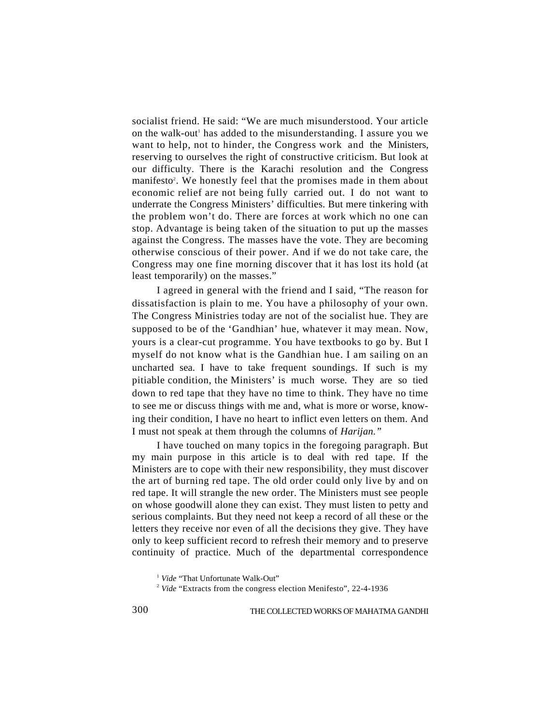socialist friend. He said: "We are much misunderstood. Your article on the walk-out<sup>1</sup> has added to the misunderstanding. I assure you we want to help, not to hinder, the Congress work and the Ministers, reserving to ourselves the right of constructive criticism. But look at our difficulty. There is the Karachi resolution and the Congress manifesto<sup>2</sup>. We honestly feel that the promises made in them about economic relief are not being fully carried out. I do not want to underrate the Congress Ministers' difficulties. But mere tinkering with the problem won't do. There are forces at work which no one can stop. Advantage is being taken of the situation to put up the masses against the Congress. The masses have the vote. They are becoming otherwise conscious of their power. And if we do not take care, the Congress may one fine morning discover that it has lost its hold (at least temporarily) on the masses."

I agreed in general with the friend and I said, "The reason for dissatisfaction is plain to me. You have a philosophy of your own. The Congress Ministries today are not of the socialist hue. They are supposed to be of the 'Gandhian' hue, whatever it may mean. Now, yours is a clear-cut programme. You have textbooks to go by. But I myself do not know what is the Gandhian hue. I am sailing on an uncharted sea. I have to take frequent soundings. If such is my pitiable condition, the Ministers' is much worse. They are so tied down to red tape that they have no time to think. They have no time to see me or discuss things with me and, what is more or worse, knowing their condition, I have no heart to inflict even letters on them. And I must not speak at them through the columns of *Harijan."*

I have touched on many topics in the foregoing paragraph. But my main purpose in this article is to deal with red tape. If the Ministers are to cope with their new responsibility, they must discover the art of burning red tape. The old order could only live by and on red tape. It will strangle the new order. The Ministers must see people on whose goodwill alone they can exist. They must listen to petty and serious complaints. But they need not keep a record of all these or the letters they receive nor even of all the decisions they give. They have only to keep sufficient record to refresh their memory and to preserve continuity of practice. Much of the departmental correspondence

<sup>&</sup>lt;sup>1</sup> *Vide* "That Unfortunate Walk-Out"

<sup>2</sup> *Vide* "Extracts from the congress election Menifesto", 22-4-1936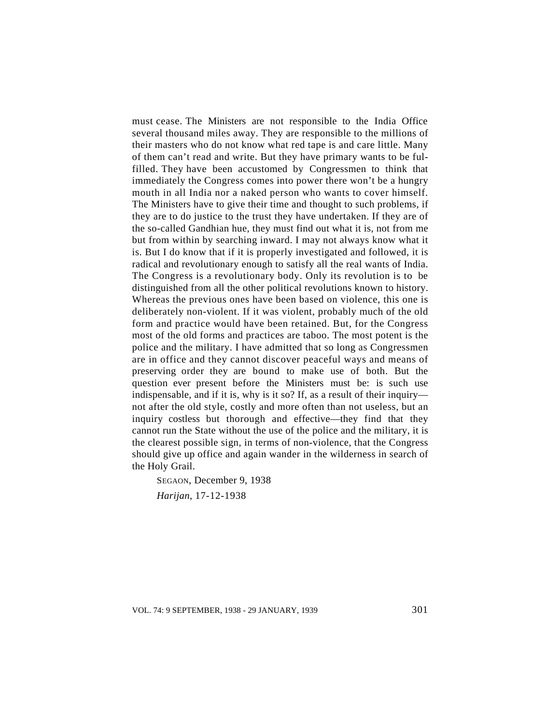must cease. The Ministers are not responsible to the India Office several thousand miles away. They are responsible to the millions of their masters who do not know what red tape is and care little. Many of them can't read and write. But they have primary wants to be fulfilled. They have been accustomed by Congressmen to think that immediately the Congress comes into power there won't be a hungry mouth in all India nor a naked person who wants to cover himself. The Ministers have to give their time and thought to such problems, if they are to do justice to the trust they have undertaken. If they are of the so-called Gandhian hue, they must find out what it is, not from me but from within by searching inward. I may not always know what it is. But I do know that if it is properly investigated and followed, it is radical and revolutionary enough to satisfy all the real wants of India. The Congress is a revolutionary body. Only its revolution is to be distinguished from all the other political revolutions known to history. Whereas the previous ones have been based on violence, this one is deliberately non-violent. If it was violent, probably much of the old form and practice would have been retained. But, for the Congress most of the old forms and practices are taboo. The most potent is the police and the military. I have admitted that so long as Congressmen are in office and they cannot discover peaceful ways and means of preserving order they are bound to make use of both. But the question ever present before the Ministers must be: is such use indispensable, and if it is, why is it so? If, as a result of their inquiry not after the old style, costly and more often than not useless, but an inquiry costless but thorough and effective—they find that they cannot run the State without the use of the police and the military, it is the clearest possible sign, in terms of non-violence, that the Congress should give up office and again wander in the wilderness in search of the Holy Grail.

SEGAON, December 9, 1938

*Harijan,* 17-12-1938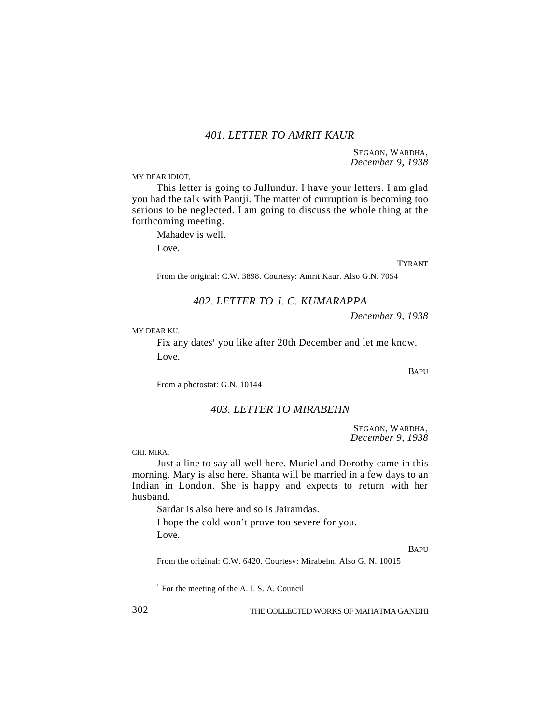# *401. LETTER TO AMRIT KAUR*

SEGAON, WARDHA, *December 9, 1938*

MY DEAR IDIOT,

This letter is going to Jullundur. I have your letters. I am glad you had the talk with Pantji. The matter of curruption is becoming too serious to be neglected. I am going to discuss the whole thing at the forthcoming meeting.

Mahadev is well.

Love.

TYRANT

From the original: C.W. 3898. Courtesy: Amrit Kaur. Also G.N. 7054

# *402. LETTER TO J. C. KUMARAPPA*

*December 9, 1938*

MY DEAR KU,

Fix any dates<sup>1</sup> you like after 20th December and let me know. Love.

**BAPU** 

From a photostat: G.N. 10144

## *403. LETTER TO MIRABEHN*

SEGAON, WARDHA, *December 9, 1938*

CHI. MIRA,

Just a line to say all well here. Muriel and Dorothy came in this morning. Mary is also here. Shanta will be married in a few days to an Indian in London. She is happy and expects to return with her husband.

Sardar is also here and so is Jairamdas. I hope the cold won't prove too severe for you. Love.

**BAPU** 

From the original: C.W. 6420. Courtesy: Mirabehn. Also G. N. 10015

<sup>1</sup> For the meeting of the A. I. S. A. Council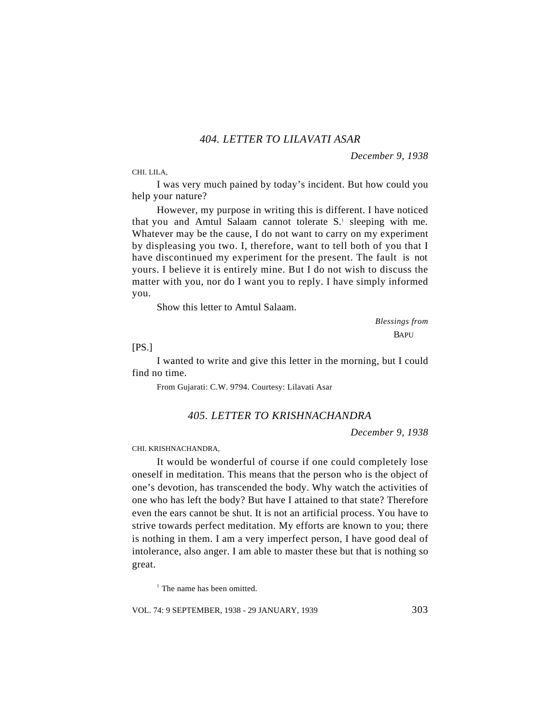*December 9, 1938*

CHI. LILA,

I was very much pained by today's incident. But how could you help your nature?

However, my purpose in writing this is different. I have noticed that you and Amtul Salaam cannot tolerate  $S<sup>1</sup>$  sleeping with me. Whatever may be the cause, I do not want to carry on my experiment by displeasing you two. I, therefore, want to tell both of you that I have discontinued my experiment for the present. The fault is not yours. I believe it is entirely mine. But I do not wish to discuss the matter with you, nor do I want you to reply. I have simply informed you.

Show this letter to Amtul Salaam.

*Blessings from* BAPU

[PS.]

I wanted to write and give this letter in the morning, but I could find no time.

From Gujarati: C.W. 9794. Courtesy: Lilavati Asar

## *405. LETTER TO KRISHNACHANDRA*

*December 9, 1938*

CHI. KRISHNACHANDRA,

It would be wonderful of course if one could completely lose oneself in meditation. This means that the person who is the object of one's devotion, has transcended the body. Why watch the activities of one who has left the body? But have I attained to that state? Therefore even the ears cannot be shut. It is not an artificial process. You have to strive towards perfect meditation. My efforts are known to you; there is nothing in them. I am a very imperfect person, I have good deal of intolerance, also anger. I am able to master these but that is nothing so great.

<sup>1</sup> The name has been omitted.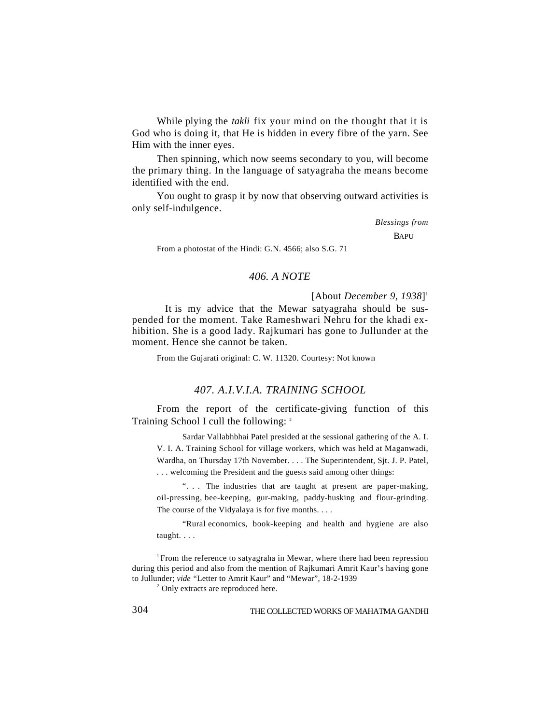While plying the *takli* fix your mind on the thought that it is God who is doing it, that He is hidden in every fibre of the yarn. See Him with the inner eyes.

Then spinning, which now seems secondary to you, will become the primary thing. In the language of satyagraha the means become identified with the end.

You ought to grasp it by now that observing outward activities is only self-indulgence.

*Blessings from*

BAPU

From a photostat of the Hindi: G.N. 4566; also S.G. 71

### *406. A NOTE*

#### [About *December 9, 1938*] 1

It is my advice that the Mewar satyagraha should be suspended for the moment. Take Rameshwari Nehru for the khadi exhibition. She is a good lady. Rajkumari has gone to Jullunder at the moment. Hence she cannot be taken.

From the Gujarati original: C. W. 11320. Courtesy: Not known

### *407. A.I.V.I.A. TRAINING SCHOOL*

From the report of the certificate-giving function of this Training School I cull the following: <sup>2</sup>

Sardar Vallabhbhai Patel presided at the sessional gathering of the A. I. V. I. A. Training School for village workers, which was held at Maganwadi, Wardha, on Thursday 17th November. . . . The Superintendent, Sjt. J. P. Patel, . . . welcoming the President and the guests said among other things:

". . . The industries that are taught at present are paper-making, oil-pressing, bee-keeping, gur-making, paddy-husking and flour-grinding. The course of the Vidyalaya is for five months. . . .

"Rural economics, book-keeping and health and hygiene are also taught. . . .

<sup>1</sup> From the reference to satyagraha in Mewar, where there had been repression during this period and also from the mention of Rajkumari Amrit Kaur's having gone to Jullunder; *vide* "Letter to Amrit Kaur" and "Mewar", 18-2-1939

<sup>2</sup> Only extracts are reproduced here.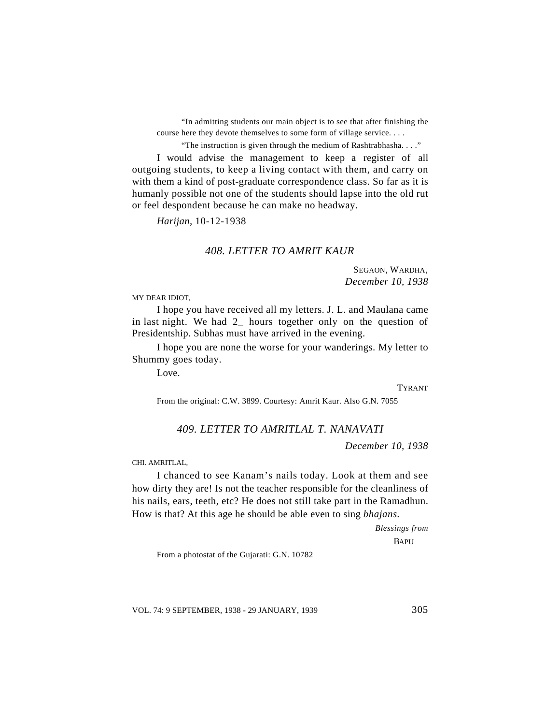"In admitting students our main object is to see that after finishing the course here they devote themselves to some form of village service. . . .

"The instruction is given through the medium of Rashtrabhasha. . . ."

I would advise the management to keep a register of all outgoing students, to keep a living contact with them, and carry on with them a kind of post-graduate correspondence class. So far as it is humanly possible not one of the students should lapse into the old rut or feel despondent because he can make no headway.

*Harijan,* 10-12-1938

### *408. LETTER TO AMRIT KAUR*

SEGAON, WARDHA, *December 10, 1938*

MY DEAR IDIOT,

I hope you have received all my letters. J. L. and Maulana came in last night. We had 2 hours together only on the question of Presidentship. Subhas must have arrived in the evening.

I hope you are none the worse for your wanderings. My letter to Shummy goes today.

Love.

TYRANT

From the original: C.W. 3899. Courtesy: Amrit Kaur. Also G.N. 7055

### *409. LETTER TO AMRITLAL T. NANAVATI*

*December 10, 1938*

CHI. AMRITLAL,

I chanced to see Kanam's nails today. Look at them and see how dirty they are! Is not the teacher responsible for the cleanliness of his nails, ears, teeth, etc? He does not still take part in the Ramadhun. How is that? At this age he should be able even to sing *bhajans.*

*Blessings from*

**BAPU** 

From a photostat of the Gujarati: G.N. 10782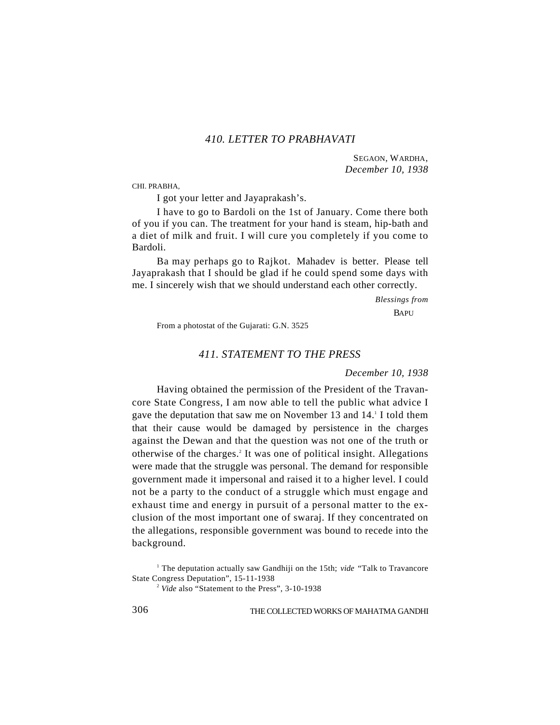SEGAON, WARDHA, *December 10, 1938*

CHI. PRABHA,

I got your letter and Jayaprakash's.

I have to go to Bardoli on the 1st of January. Come there both of you if you can. The treatment for your hand is steam, hip-bath and a diet of milk and fruit. I will cure you completely if you come to Bardoli.

Ba may perhaps go to Rajkot. Mahadev is better. Please tell Jayaprakash that I should be glad if he could spend some days with me. I sincerely wish that we should understand each other correctly.

> *Blessings from* **BAPU**

From a photostat of the Gujarati: G.N. 3525

### *411. STATEMENT TO THE PRESS*

*December 10, 1938*

Having obtained the permission of the President of the Travancore State Congress, I am now able to tell the public what advice I gave the deputation that saw me on November 13 and 14.<sup>1</sup> I told them that their cause would be damaged by persistence in the charges against the Dewan and that the question was not one of the truth or otherwise of the charges.<sup>2</sup> It was one of political insight. Allegations were made that the struggle was personal. The demand for responsible government made it impersonal and raised it to a higher level. I could not be a party to the conduct of a struggle which must engage and exhaust time and energy in pursuit of a personal matter to the exclusion of the most important one of swaraj. If they concentrated on the allegations, responsible government was bound to recede into the background.

<sup>&</sup>lt;sup>1</sup> The deputation actually saw Gandhiji on the 15th; *vide* "Talk to Travancore State Congress Deputation", 15-11-1938

<sup>2</sup> *Vide* also "Statement to the Press", 3-10-1938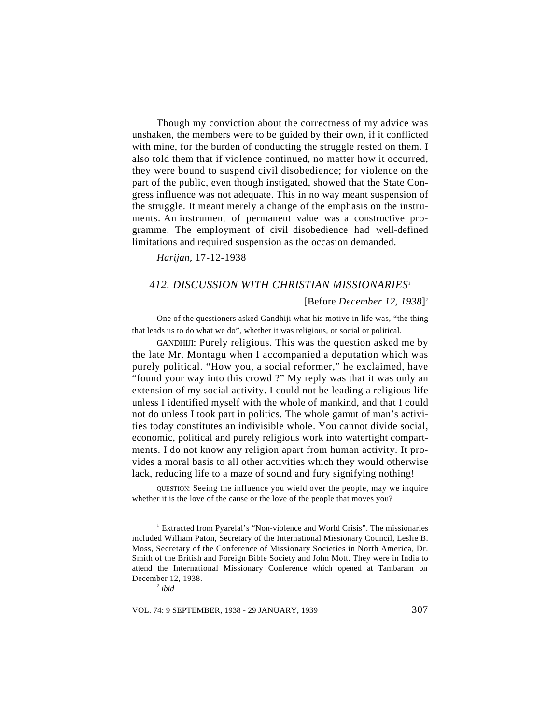Though my conviction about the correctness of my advice was unshaken, the members were to be guided by their own, if it conflicted with mine, for the burden of conducting the struggle rested on them. I also told them that if violence continued, no matter how it occurred, they were bound to suspend civil disobedience; for violence on the part of the public, even though instigated, showed that the State Congress influence was not adequate. This in no way meant suspension of the struggle. It meant merely a change of the emphasis on the instruments. An instrument of permanent value was a constructive programme. The employment of civil disobedience had well-defined limitations and required suspension as the occasion demanded.

*Harijan,* 17-12-1938

### *412. DISCUSSION WITH CHRISTIAN MISSIONARIES*<sup>1</sup>

### [Before *December 12, 1938*] 2

One of the questioners asked Gandhiji what his motive in life was, "the thing that leads us to do what we do", whether it was religious, or social or political.

GANDHIJI: Purely religious. This was the question asked me by the late Mr. Montagu when I accompanied a deputation which was purely political. "How you, a social reformer," he exclaimed, have "found your way into this crowd ?" My reply was that it was only an extension of my social activity. I could not be leading a religious life unless I identified myself with the whole of mankind, and that I could not do unless I took part in politics. The whole gamut of man's activities today constitutes an indivisible whole. You cannot divide social, economic, political and purely religious work into watertight compartments. I do not know any religion apart from human activity. It provides a moral basis to all other activities which they would otherwise lack, reducing life to a maze of sound and fury signifying nothing!

QUESTION: Seeing the influence you wield over the people, may we inquire whether it is the love of the cause or the love of the people that moves you?

<sup>1</sup> Extracted from Pyarelal's "Non-violence and World Crisis". The missionaries included William Paton, Secretary of the International Missionary Council, Leslie B. Moss, Secretary of the Conference of Missionary Societies in North America, Dr. Smith of the British and Foreign Bible Society and John Mott. They were in India to attend the International Missionary Conference which opened at Tambaram on December 12, 1938.

2 *ibid*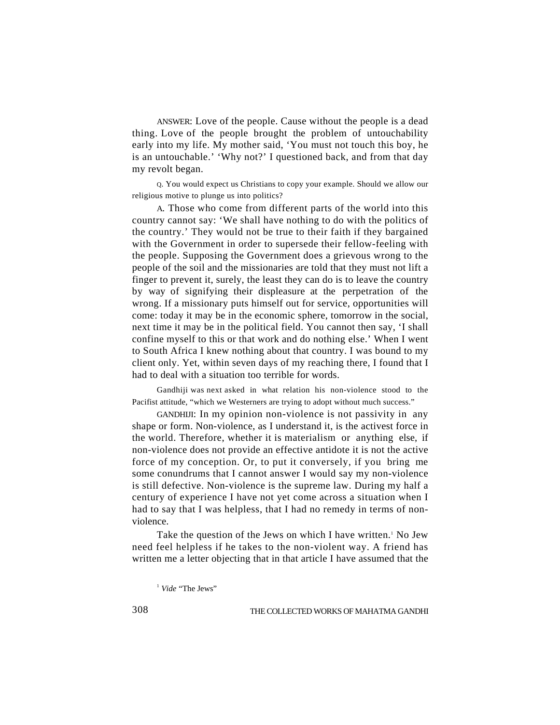ANSWER: Love of the people. Cause without the people is a dead thing. Love of the people brought the problem of untouchability early into my life. My mother said, 'You must not touch this boy, he is an untouchable.' 'Why not?' I questioned back, and from that day my revolt began.

Q. You would expect us Christians to copy your example. Should we allow our religious motive to plunge us into politics?

A. Those who come from different parts of the world into this country cannot say: 'We shall have nothing to do with the politics of the country.' They would not be true to their faith if they bargained with the Government in order to supersede their fellow-feeling with the people. Supposing the Government does a grievous wrong to the people of the soil and the missionaries are told that they must not lift a finger to prevent it, surely, the least they can do is to leave the country by way of signifying their displeasure at the perpetration of the wrong. If a missionary puts himself out for service, opportunities will come: today it may be in the economic sphere, tomorrow in the social, next time it may be in the political field. You cannot then say, 'I shall confine myself to this or that work and do nothing else.' When I went to South Africa I knew nothing about that country. I was bound to my client only. Yet, within seven days of my reaching there, I found that I had to deal with a situation too terrible for words.

Gandhiji was next asked in what relation his non-violence stood to the Pacifist attitude, "which we Westerners are trying to adopt without much success."

GANDHIJI: In my opinion non-violence is not passivity in any shape or form. Non-violence, as I understand it, is the activest force in the world. Therefore, whether it is materialism or anything else, if non-violence does not provide an effective antidote it is not the active force of my conception. Or, to put it conversely, if you bring me some conundrums that I cannot answer I would say my non-violence is still defective. Non-violence is the supreme law. During my half a century of experience I have not yet come across a situation when I had to say that I was helpless, that I had no remedy in terms of nonviolence.

Take the question of the Jews on which I have written.<sup>1</sup> No Jew need feel helpless if he takes to the non-violent way. A friend has written me a letter objecting that in that article I have assumed that the

<sup>1</sup> *Vide* "The Jews"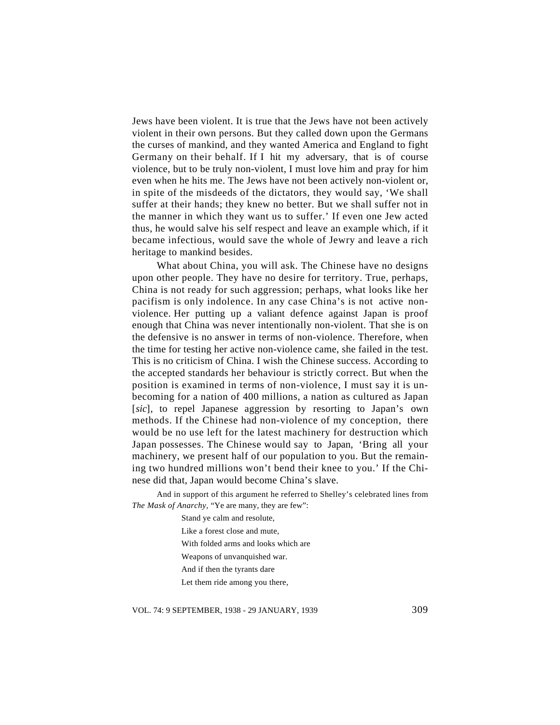Jews have been violent. It is true that the Jews have not been actively violent in their own persons. But they called down upon the Germans the curses of mankind, and they wanted America and England to fight Germany on their behalf. If I hit my adversary, that is of course violence, but to be truly non-violent, I must love him and pray for him even when he hits me. The Jews have not been actively non-violent or, in spite of the misdeeds of the dictators, they would say, 'We shall suffer at their hands; they knew no better. But we shall suffer not in the manner in which they want us to suffer.' If even one Jew acted thus, he would salve his self respect and leave an example which, if it became infectious, would save the whole of Jewry and leave a rich heritage to mankind besides.

What about China, you will ask. The Chinese have no designs upon other people. They have no desire for territory. True, perhaps, China is not ready for such aggression; perhaps, what looks like her pacifism is only indolence. In any case China's is not active nonviolence. Her putting up a valiant defence against Japan is proof enough that China was never intentionally non-violent. That she is on the defensive is no answer in terms of non-violence. Therefore, when the time for testing her active non-violence came, she failed in the test. This is no criticism of China. I wish the Chinese success. According to the accepted standards her behaviour is strictly correct. But when the position is examined in terms of non-violence, I must say it is unbecoming for a nation of 400 millions, a nation as cultured as Japan [*sic*]*,* to repel Japanese aggression by resorting to Japan's own methods. If the Chinese had non-violence of my conception, there would be no use left for the latest machinery for destruction which Japan possesses. The Chinese would say to Japan, 'Bring all your machinery, we present half of our population to you. But the remaining two hundred millions won't bend their knee to you.' If the Chinese did that, Japan would become China's slave.

And in support of this argument he referred to Shelley's celebrated lines from *The Mask of Anarchy,* "Ye are many, they are few":

> Stand ye calm and resolute, Like a forest close and mute, With folded arms and looks which are Weapons of unvanquished war. And if then the tyrants dare Let them ride among you there,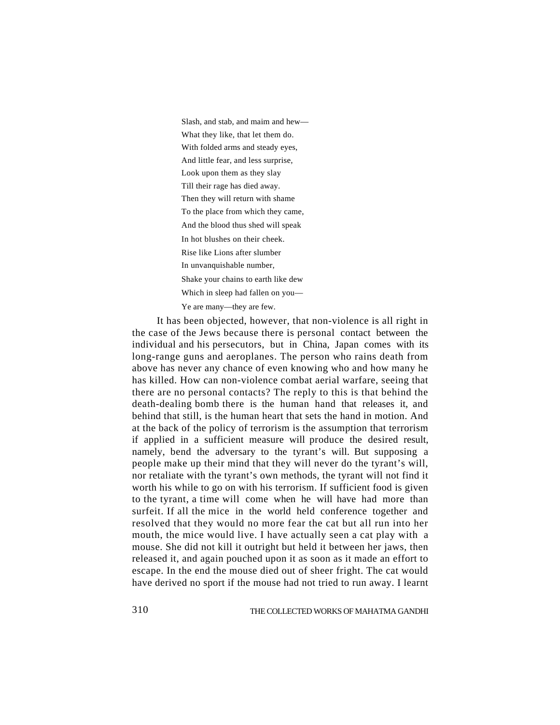Slash, and stab, and maim and hew— What they like, that let them do. With folded arms and steady eyes, And little fear, and less surprise, Look upon them as they slay Till their rage has died away. Then they will return with shame To the place from which they came, And the blood thus shed will speak In hot blushes on their cheek. Rise like Lions after slumber In unvanquishable number, Shake your chains to earth like dew Which in sleep had fallen on you— Ye are many—they are few.

It has been objected, however, that non-violence is all right in the case of the Jews because there is personal contact between the individual and his persecutors, but in China, Japan comes with its long-range guns and aeroplanes. The person who rains death from above has never any chance of even knowing who and how many he has killed. How can non-violence combat aerial warfare, seeing that there are no personal contacts? The reply to this is that behind the death-dealing bomb there is the human hand that releases it, and behind that still, is the human heart that sets the hand in motion. And at the back of the policy of terrorism is the assumption that terrorism if applied in a sufficient measure will produce the desired result, namely, bend the adversary to the tyrant's will. But supposing a people make up their mind that they will never do the tyrant's will, nor retaliate with the tyrant's own methods, the tyrant will not find it worth his while to go on with his terrorism. If sufficient food is given to the tyrant, a time will come when he will have had more than surfeit. If all the mice in the world held conference together and resolved that they would no more fear the cat but all run into her mouth, the mice would live. I have actually seen a cat play with a mouse. She did not kill it outright but held it between her jaws, then released it, and again pouched upon it as soon as it made an effort to escape. In the end the mouse died out of sheer fright. The cat would have derived no sport if the mouse had not tried to run away. I learnt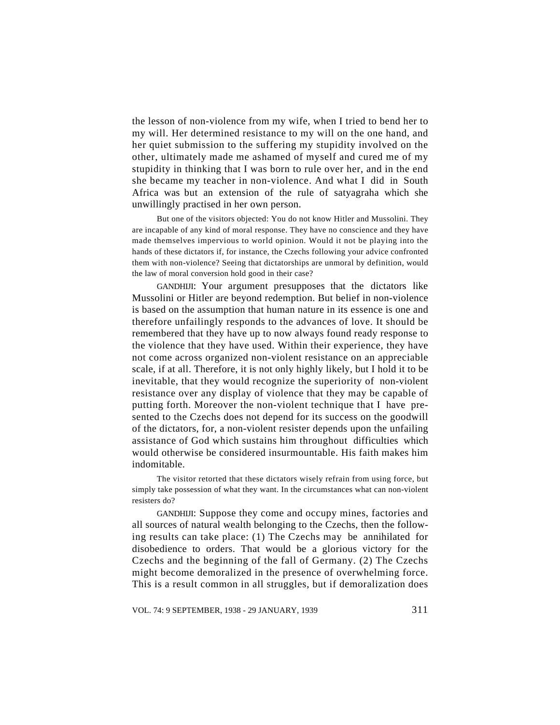the lesson of non-violence from my wife, when I tried to bend her to my will. Her determined resistance to my will on the one hand, and her quiet submission to the suffering my stupidity involved on the other, ultimately made me ashamed of myself and cured me of my stupidity in thinking that I was born to rule over her, and in the end she became my teacher in non-violence. And what I did in South Africa was but an extension of the rule of satyagraha which she unwillingly practised in her own person.

But one of the visitors objected: You do not know Hitler and Mussolini. They are incapable of any kind of moral response. They have no conscience and they have made themselves impervious to world opinion. Would it not be playing into the hands of these dictators if, for instance, the Czechs following your advice confronted them with non-violence? Seeing that dictatorships are unmoral by definition, would the law of moral conversion hold good in their case?

GANDHIJI: Your argument presupposes that the dictators like Mussolini or Hitler are beyond redemption. But belief in non-violence is based on the assumption that human nature in its essence is one and therefore unfailingly responds to the advances of love. It should be remembered that they have up to now always found ready response to the violence that they have used. Within their experience, they have not come across organized non-violent resistance on an appreciable scale, if at all. Therefore, it is not only highly likely, but I hold it to be inevitable, that they would recognize the superiority of non-violent resistance over any display of violence that they may be capable of putting forth. Moreover the non-violent technique that I have presented to the Czechs does not depend for its success on the goodwill of the dictators, for, a non-violent resister depends upon the unfailing assistance of God which sustains him throughout difficulties which would otherwise be considered insurmountable. His faith makes him indomitable.

The visitor retorted that these dictators wisely refrain from using force, but simply take possession of what they want. In the circumstances what can non-violent resisters do?

GANDHIJI: Suppose they come and occupy mines, factories and all sources of natural wealth belonging to the Czechs, then the following results can take place: (1) The Czechs may be annihilated for disobedience to orders. That would be a glorious victory for the Czechs and the beginning of the fall of Germany. (2) The Czechs might become demoralized in the presence of overwhelming force. This is a result common in all struggles, but if demoralization does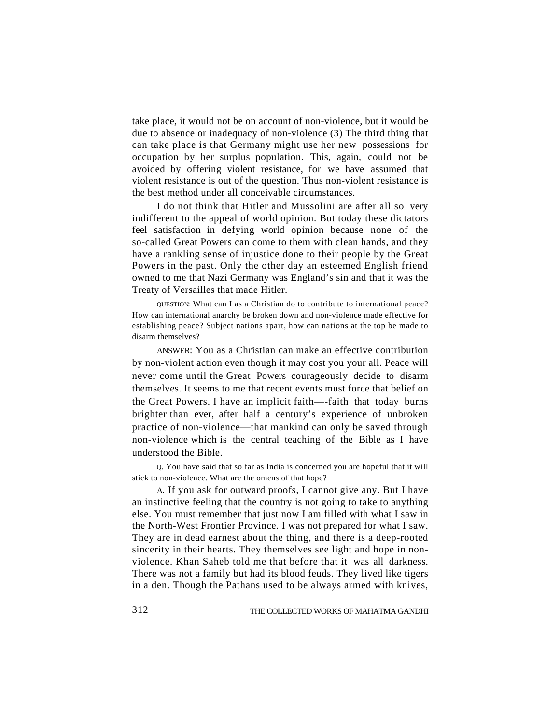take place, it would not be on account of non-violence, but it would be due to absence or inadequacy of non-violence (3) The third thing that can take place is that Germany might use her new possessions for occupation by her surplus population. This, again, could not be avoided by offering violent resistance, for we have assumed that violent resistance is out of the question. Thus non-violent resistance is the best method under all conceivable circumstances.

I do not think that Hitler and Mussolini are after all so very indifferent to the appeal of world opinion. But today these dictators feel satisfaction in defying world opinion because none of the so-called Great Powers can come to them with clean hands, and they have a rankling sense of injustice done to their people by the Great Powers in the past. Only the other day an esteemed English friend owned to me that Nazi Germany was England's sin and that it was the Treaty of Versailles that made Hitler.

QUESTION: What can I as a Christian do to contribute to international peace? How can international anarchy be broken down and non-violence made effective for establishing peace? Subject nations apart, how can nations at the top be made to disarm themselves?

ANSWER: You as a Christian can make an effective contribution by non-violent action even though it may cost you your all. Peace will never come until the Great Powers courageously decide to disarm themselves. It seems to me that recent events must force that belief on the Great Powers. I have an implicit faith—-faith that today burns brighter than ever, after half a century's experience of unbroken practice of non-violence—that mankind can only be saved through non-violence which is the central teaching of the Bible as I have understood the Bible.

Q. You have said that so far as India is concerned you are hopeful that it will stick to non-violence. What are the omens of that hope?

A. If you ask for outward proofs, I cannot give any. But I have an instinctive feeling that the country is not going to take to anything else. You must remember that just now I am filled with what I saw in the North-West Frontier Province. I was not prepared for what I saw. They are in dead earnest about the thing, and there is a deep-rooted sincerity in their hearts. They themselves see light and hope in nonviolence. Khan Saheb told me that before that it was all darkness. There was not a family but had its blood feuds. They lived like tigers in a den. Though the Pathans used to be always armed with knives,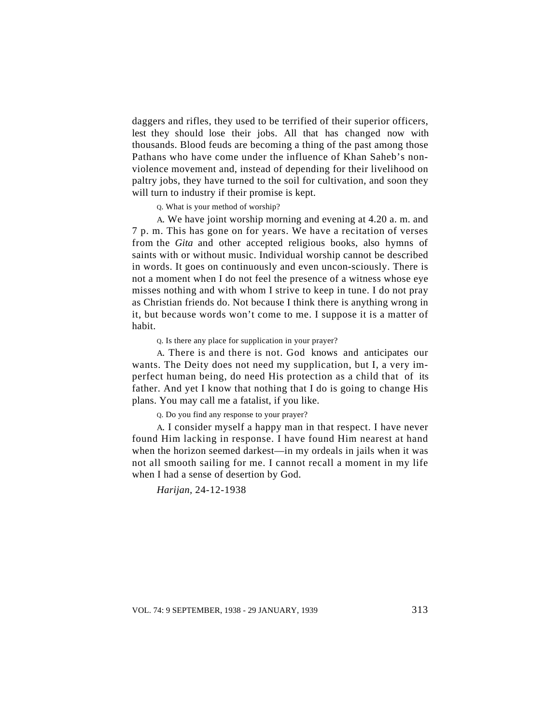daggers and rifles, they used to be terrified of their superior officers, lest they should lose their jobs. All that has changed now with thousands. Blood feuds are becoming a thing of the past among those Pathans who have come under the influence of Khan Saheb's nonviolence movement and, instead of depending for their livelihood on paltry jobs, they have turned to the soil for cultivation, and soon they will turn to industry if their promise is kept.

Q. What is your method of worship?

A. We have joint worship morning and evening at 4.20 a. m. and 7 p. m. This has gone on for years. We have a recitation of verses from the *Gita* and other accepted religious books, also hymns of saints with or without music. Individual worship cannot be described in words. It goes on continuously and even uncon-sciously. There is not a moment when I do not feel the presence of a witness whose eye misses nothing and with whom I strive to keep in tune. I do not pray as Christian friends do. Not because I think there is anything wrong in it, but because words won't come to me. I suppose it is a matter of habit.

Q. Is there any place for supplication in your prayer?

A. There is and there is not. God knows and anticipates our wants. The Deity does not need my supplication, but I, a very imperfect human being, do need His protection as a child that of its father. And yet I know that nothing that I do is going to change His plans. You may call me a fatalist, if you like.

Q. Do you find any response to your prayer?

A. I consider myself a happy man in that respect. I have never found Him lacking in response. I have found Him nearest at hand when the horizon seemed darkest—in my ordeals in jails when it was not all smooth sailing for me. I cannot recall a moment in my life when I had a sense of desertion by God.

*Harijan,* 24-12-1938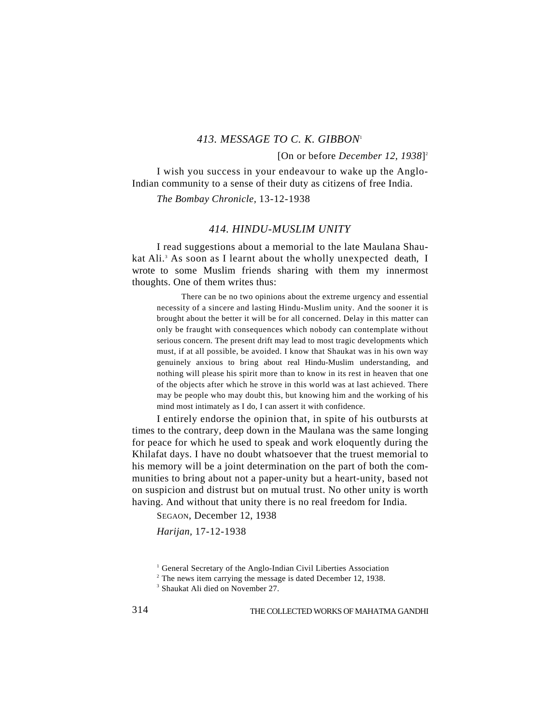# *413. MESSAGE TO C. K. GIBBON*<sup>1</sup>

[On or before *December 12, 1938*] 2

I wish you success in your endeavour to wake up the Anglo-Indian community to a sense of their duty as citizens of free India.

*The Bombay Chronicle,* 13-12-1938

### *414. HINDU-MUSLIM UNITY*

I read suggestions about a memorial to the late Maulana Shaukat Ali.<sup>3</sup> As soon as I learnt about the wholly unexpected death, I wrote to some Muslim friends sharing with them my innermost thoughts. One of them writes thus:

There can be no two opinions about the extreme urgency and essential necessity of a sincere and lasting Hindu-Muslim unity. And the sooner it is brought about the better it will be for all concerned. Delay in this matter can only be fraught with consequences which nobody can contemplate without serious concern. The present drift may lead to most tragic developments which must, if at all possible, be avoided. I know that Shaukat was in his own way genuinely anxious to bring about real Hindu-Muslim understanding, and nothing will please his spirit more than to know in its rest in heaven that one of the objects after which he strove in this world was at last achieved. There may be people who may doubt this, but knowing him and the working of his mind most intimately as I do, I can assert it with confidence.

I entirely endorse the opinion that, in spite of his outbursts at times to the contrary, deep down in the Maulana was the same longing for peace for which he used to speak and work eloquently during the Khilafat days. I have no doubt whatsoever that the truest memorial to his memory will be a joint determination on the part of both the communities to bring about not a paper-unity but a heart-unity, based not on suspicion and distrust but on mutual trust. No other unity is worth having. And without that unity there is no real freedom for India.

SEGAON, December 12, 1938

*Harijan,* 17-12-1938

<sup>&</sup>lt;sup>1</sup> General Secretary of the Anglo-Indian Civil Liberties Association

<sup>&</sup>lt;sup>2</sup> The news item carrying the message is dated December 12, 1938.

<sup>3</sup> Shaukat Ali died on November 27.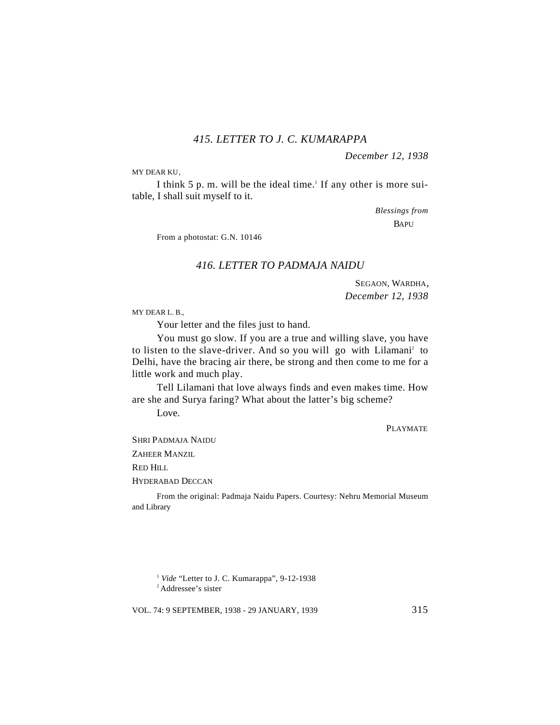*December 12, 1938*

MY DEAR KU*,*

I think 5 p. m. will be the ideal time.<sup>1</sup> If any other is more suitable, I shall suit myself to it.

> *Blessings from* **BAPU**

From a photostat: G.N. 10146

### *416. LETTER TO PADMAJA NAIDU*

SEGAON, WARDHA, *December 12, 1938*

MY DEAR L. B.,

Your letter and the files just to hand.

You must go slow. If you are a true and willing slave, you have to listen to the slave-driver. And so you will go with Lilamani<sup>2</sup> to Delhi, have the bracing air there, be strong and then come to me for a little work and much play.

Tell Lilamani that love always finds and even makes time. How are she and Surya faring? What about the latter's big scheme?

Love.

PLAYMATE

SHRI PADMAJA NAIDU ZAHEER MANZIL RED HILL HYDERABAD DECCAN

From the original: Padmaja Naidu Papers. Courtesy: Nehru Memorial Museum and Library

<sup>1</sup> *Vide* "Letter to J. C. Kumarappa", 9-12-1938

<sup>2</sup> Addressee's sister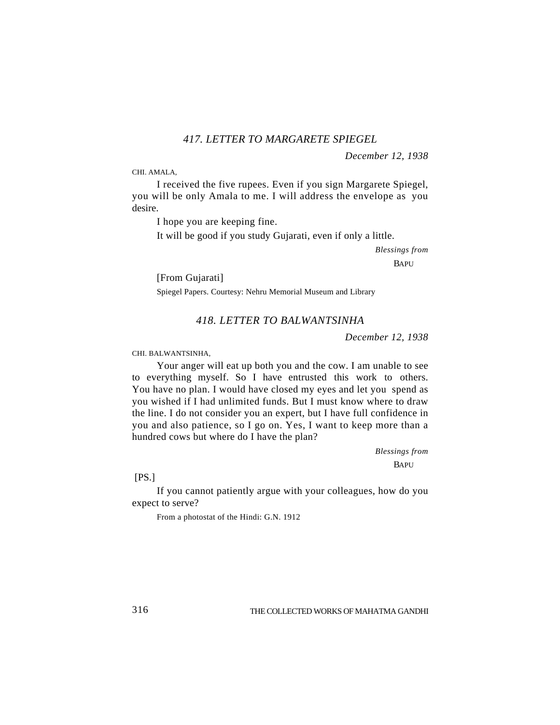*December 12, 1938*

CHI. AMALA,

I received the five rupees. Even if you sign Margarete Spiegel, you will be only Amala to me. I will address the envelope as you desire.

I hope you are keeping fine.

It will be good if you study Gujarati, even if only a little.

*Blessings from* **BAPU** 

[From Gujarati]

Spiegel Papers. Courtesy: Nehru Memorial Museum and Library

# *418. LETTER TO BALWANTSINHA*

*December 12, 1938*

CHI. BALWANTSINHA,

Your anger will eat up both you and the cow. I am unable to see to everything myself. So I have entrusted this work to others. You have no plan. I would have closed my eyes and let you spend as you wished if I had unlimited funds. But I must know where to draw the line. I do not consider you an expert, but I have full confidence in you and also patience, so I go on. Yes, I want to keep more than a hundred cows but where do I have the plan?

> *Blessings from* **BAPU**

[PS.]

If you cannot patiently argue with your colleagues, how do you expect to serve?

From a photostat of the Hindi: G.N. 1912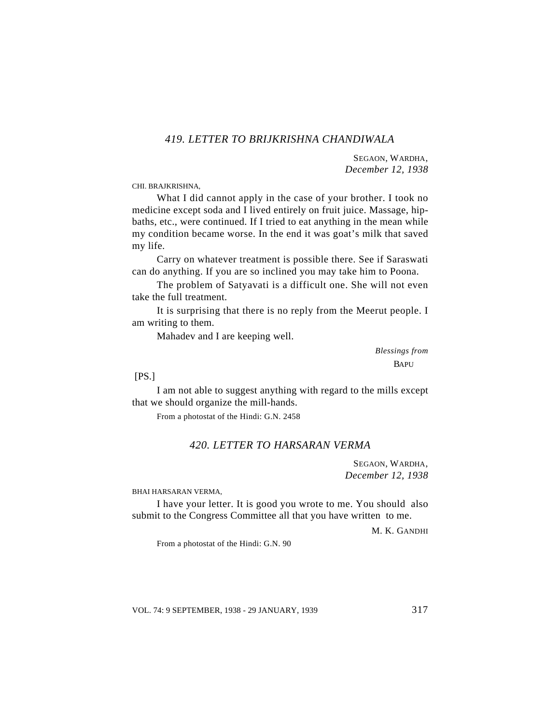# *419. LETTER TO BRIJKRISHNA CHANDIWALA*

SEGAON, WARDHA, *December 12, 1938*

CHI. BRAJKRISHNA,

What I did cannot apply in the case of your brother. I took no medicine except soda and I lived entirely on fruit juice. Massage, hipbaths, etc., were continued. If I tried to eat anything in the mean while my condition became worse. In the end it was goat's milk that saved my life.

Carry on whatever treatment is possible there. See if Saraswati can do anything. If you are so inclined you may take him to Poona.

The problem of Satyavati is a difficult one. She will not even take the full treatment.

It is surprising that there is no reply from the Meerut people. I am writing to them.

Mahadev and I are keeping well.

*Blessings from* **BAPU** 

#### [PS.]

I am not able to suggest anything with regard to the mills except that we should organize the mill-hands.

From a photostat of the Hindi: G.N. 2458

# *420. LETTER TO HARSARAN VERMA*

SEGAON, WARDHA, *December 12, 1938*

BHAI HARSARAN VERMA,

I have your letter. It is good you wrote to me. You should also submit to the Congress Committee all that you have written to me.

M. K. GANDHI

From a photostat of the Hindi: G.N. 90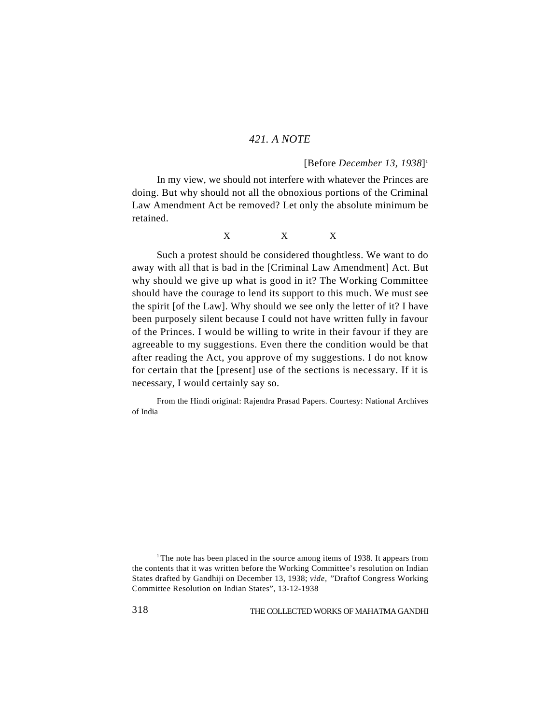# *421. A NOTE*

### [Before *December 13, 1938*] 1

In my view, we should not interfere with whatever the Princes are doing. But why should not all the obnoxious portions of the Criminal Law Amendment Act be removed? Let only the absolute minimum be retained.

#### $X$  X X

Such a protest should be considered thoughtless. We want to do away with all that is bad in the [Criminal Law Amendment] Act. But why should we give up what is good in it? The Working Committee should have the courage to lend its support to this much. We must see the spirit [of the Law]. Why should we see only the letter of it? I have been purposely silent because I could not have written fully in favour of the Princes. I would be willing to write in their favour if they are agreeable to my suggestions. Even there the condition would be that after reading the Act, you approve of my suggestions. I do not know for certain that the [present] use of the sections is necessary. If it is necessary, I would certainly say so.

From the Hindi original: Rajendra Prasad Papers. Courtesy: National Archives of India

<sup>1</sup>The note has been placed in the source among items of 1938. It appears from the contents that it was written before the Working Committee's resolution on Indian States drafted by Gandhiji on December 13, 1938; *vide,* "Draftof Congress Working Committee Resolution on Indian States", 13-12-1938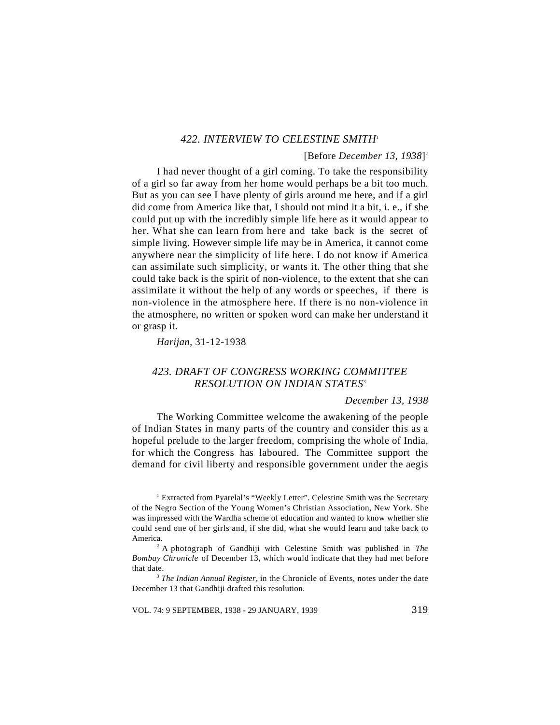### *422. INTERVIEW TO CELESTINE SMITH*<sup>1</sup>

#### [Before *December 13, 1938*] 2

I had never thought of a girl coming. To take the responsibility of a girl so far away from her home would perhaps be a bit too much. But as you can see I have plenty of girls around me here, and if a girl did come from America like that, I should not mind it a bit, i. e., if she could put up with the incredibly simple life here as it would appear to her. What she can learn from here and take back is the secret of simple living. However simple life may be in America, it cannot come anywhere near the simplicity of life here. I do not know if America can assimilate such simplicity, or wants it. The other thing that she could take back is the spirit of non-violence, to the extent that she can assimilate it without the help of any words or speeches, if there is non-violence in the atmosphere here. If there is no non-violence in the atmosphere, no written or spoken word can make her understand it or grasp it.

*Harijan,* 31-12-1938

# *423. DRAFT OF CONGRESS WORKING COMMITTEE RESOLUTION ON INDIAN STATES*<sup>3</sup>

### *December 13, 1938*

The Working Committee welcome the awakening of the people of Indian States in many parts of the country and consider this as a hopeful prelude to the larger freedom, comprising the whole of India, for which the Congress has laboured. The Committee support the demand for civil liberty and responsible government under the aegis

<sup>1</sup> Extracted from Pyarelal's "Weekly Letter". Celestine Smith was the Secretary of the Negro Section of the Young Women's Christian Association, New York. She was impressed with the Wardha scheme of education and wanted to know whether she could send one of her girls and, if she did, what she would learn and take back to America.

2 A photograph of Gandhiji with Celestine Smith was published in *The Bombay Chronicle* of December 13, which would indicate that they had met before that date.

<sup>3</sup> The Indian Annual Register, in the Chronicle of Events, notes under the date December 13 that Gandhiji drafted this resolution.

VOL. 74: 9 SEPTEMBER, 1938 - 29 JANUARY, 1939 319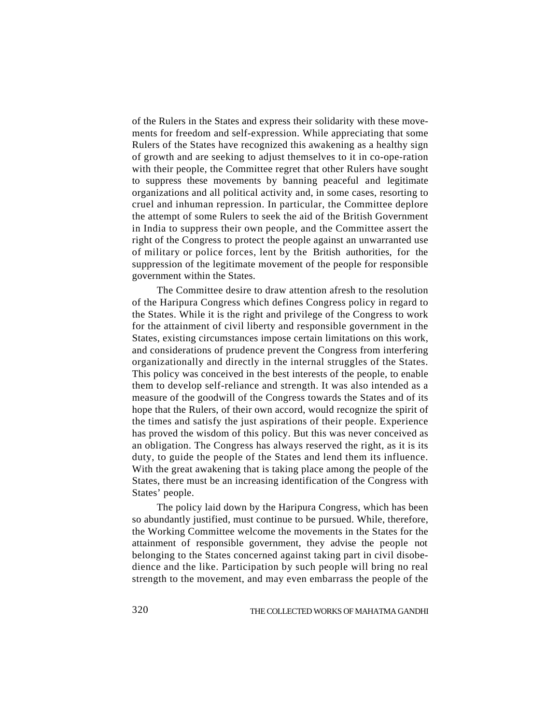of the Rulers in the States and express their solidarity with these movements for freedom and self-expression. While appreciating that some Rulers of the States have recognized this awakening as a healthy sign of growth and are seeking to adjust themselves to it in co-ope-ration with their people, the Committee regret that other Rulers have sought to suppress these movements by banning peaceful and legitimate organizations and all political activity and, in some cases, resorting to cruel and inhuman repression. In particular, the Committee deplore the attempt of some Rulers to seek the aid of the British Government in India to suppress their own people, and the Committee assert the right of the Congress to protect the people against an unwarranted use of military or police forces, lent by the British authorities, for the suppression of the legitimate movement of the people for responsible government within the States.

The Committee desire to draw attention afresh to the resolution of the Haripura Congress which defines Congress policy in regard to the States. While it is the right and privilege of the Congress to work for the attainment of civil liberty and responsible government in the States, existing circumstances impose certain limitations on this work, and considerations of prudence prevent the Congress from interfering organizationally and directly in the internal struggles of the States. This policy was conceived in the best interests of the people, to enable them to develop self-reliance and strength. It was also intended as a measure of the goodwill of the Congress towards the States and of its hope that the Rulers, of their own accord, would recognize the spirit of the times and satisfy the just aspirations of their people. Experience has proved the wisdom of this policy. But this was never conceived as an obligation. The Congress has always reserved the right, as it is its duty, to guide the people of the States and lend them its influence. With the great awakening that is taking place among the people of the States, there must be an increasing identification of the Congress with States' people.

The policy laid down by the Haripura Congress, which has been so abundantly justified, must continue to be pursued. While, therefore, the Working Committee welcome the movements in the States for the attainment of responsible government, they advise the people not belonging to the States concerned against taking part in civil disobedience and the like. Participation by such people will bring no real strength to the movement, and may even embarrass the people of the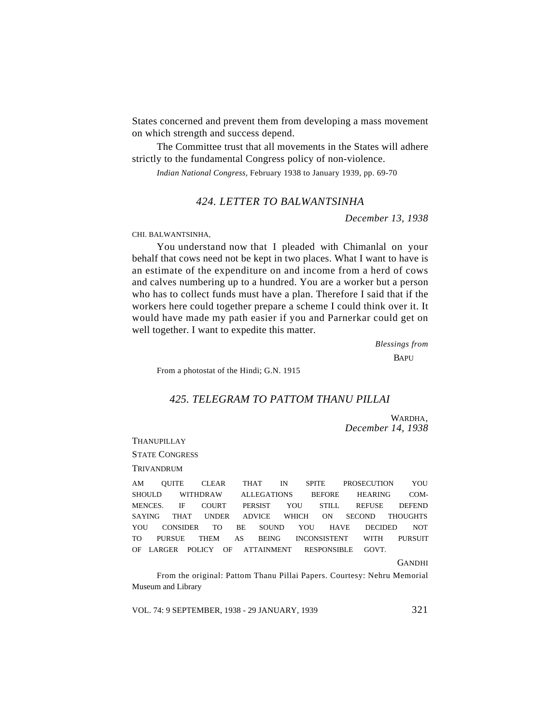States concerned and prevent them from developing a mass movement on which strength and success depend.

The Committee trust that all movements in the States will adhere strictly to the fundamental Congress policy of non-violence.

*Indian National Congress,* February 1938 to January 1939, pp. 69-70

### *424. LETTER TO BALWANTSINHA*

*December 13, 1938*

CHI. BALWANTSINHA,

You understand now that I pleaded with Chimanlal on your behalf that cows need not be kept in two places. What I want to have is an estimate of the expenditure on and income from a herd of cows and calves numbering up to a hundred. You are a worker but a person who has to collect funds must have a plan. Therefore I said that if the workers here could together prepare a scheme I could think over it. It would have made my path easier if you and Parnerkar could get on well together. I want to expedite this matter.

> *Blessings from* **BAPU**

From a photostat of the Hindi; G.N. 1915

### *425. TELEGRAM TO PATTOM THANU PILLAI*

**WARDHA** *December 14, 1938*

**THANUPILLAY** 

STATE CONGRESS

TRIVANDRUM

AM QUITE CLEAR THAT IN SPITE PROSECUTION YOU SHOULD WITHDRAW ALLEGATIONS BEFORE HEARING COM-MENCES. IF COURT PERSIST YOU STILL REFUSE DEFEND SAYING THAT UNDER ADVICE WHICH ON SECOND THOUGHTS YOU CONSIDER TO BE SOUND YOU HAVE DECIDED NOT TO PURSUE THEM AS BEING INCONSISTENT WITH PURSUIT OF LARGER POLICY OF ATTAINMENT RESPONSIBLE GOVT.

GANDHI

From the original: Pattom Thanu Pillai Papers. Courtesy: Nehru Memorial Museum and Library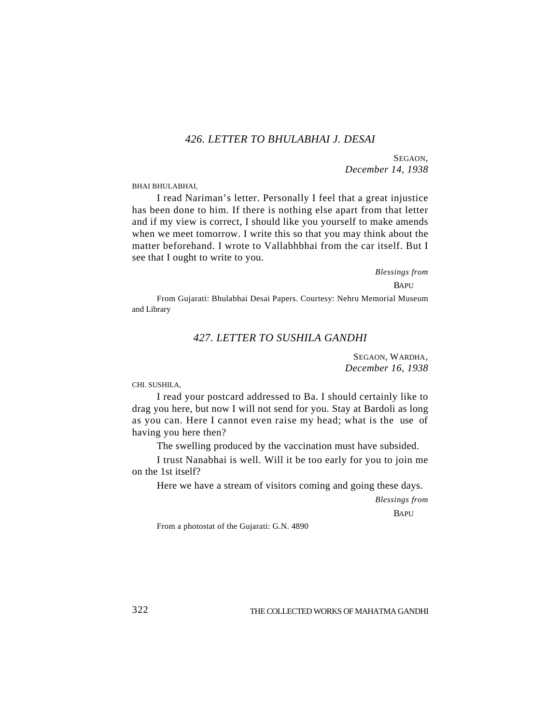# *426. LETTER TO BHULABHAI J. DESAI*

SEGAON, *December 14, 1938*

BHAI BHULABHAI,

I read Nariman's letter. Personally I feel that a great injustice has been done to him. If there is nothing else apart from that letter and if my view is correct, I should like you yourself to make amends when we meet tomorrow. I write this so that you may think about the matter beforehand. I wrote to Vallabhbhai from the car itself. But I see that I ought to write to you.

*Blessings from*

BAPU

From Gujarati: Bhulabhai Desai Papers. Courtesy: Nehru Memorial Museum and Library

# *427. LETTER TO SUSHILA GANDHI*

SEGAON, WARDHA, *December 16, 1938*

CHI. SUSHILA,

I read your postcard addressed to Ba. I should certainly like to drag you here, but now I will not send for you. Stay at Bardoli as long as you can. Here I cannot even raise my head; what is the use of having you here then?

The swelling produced by the vaccination must have subsided.

I trust Nanabhai is well. Will it be too early for you to join me on the 1st itself?

Here we have a stream of visitors coming and going these days.

*Blessings from* **BAPU** 

From a photostat of the Gujarati: G.N. 4890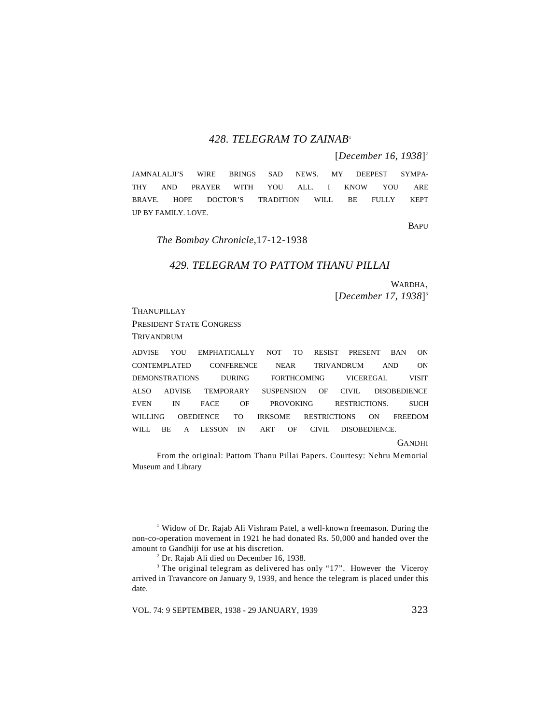### *428. TELEGRAM TO ZAINAB*<sup>1</sup>

[*December 16, 1938*] 2

JAMNALALJI'S WIRE BRINGS SAD NEWS. MY DEEPEST SYMPA-THY AND PRAYER WITH YOU ALL. I KNOW YOU ARE BRAVE. HOPE DOCTOR'S TRADITION WILL BE FULLY KEPT UP BY FAMILY. LOVE.

**BAPU** 

*The Bombay Chronicle,*17-12-1938

#### *429. TELEGRAM TO PATTOM THANU PILLAI*

WARDHA, [*December 17, 1938*] 3

THANI IPILLAY

PRESIDENT STATE CONGRESS

TRIVANDRUM

ADVISE YOU EMPHATICALLY NOT TO RESIST PRESENT BAN ON CONTEMPLATED CONFERENCE NEAR TRIVANDRUM AND ON DEMONSTRATIONS DURING FORTHCOMING VICEREGAL VISIT ALSO ADVISE TEMPORARY SUSPENSION OF CIVIL DISOBEDIENCE EVEN IN FACE OF PROVOKING RESTRICTIONS. SUCH WILLING OBEDIENCE TO IRKSOME RESTRICTIONS ON FREEDOM WILL BE A LESSON IN ART OF CIVIL DISOBEDIENCE.

**GANDHI** 

From the original: Pattom Thanu Pillai Papers. Courtesy: Nehru Memorial Museum and Library

<sup>1</sup> Widow of Dr. Rajab Ali Vishram Patel, a well-known freemason. During the non-co-operation movement in 1921 he had donated Rs. 50,000 and handed over the amount to Gandhiji for use at his discretion.

 $2^{2}$  Dr. Rajab Ali died on December 16, 1938.

<sup>3</sup> The original telegram as delivered has only "17". However the Viceroy arrived in Travancore on January 9, 1939, and hence the telegram is placed under this date.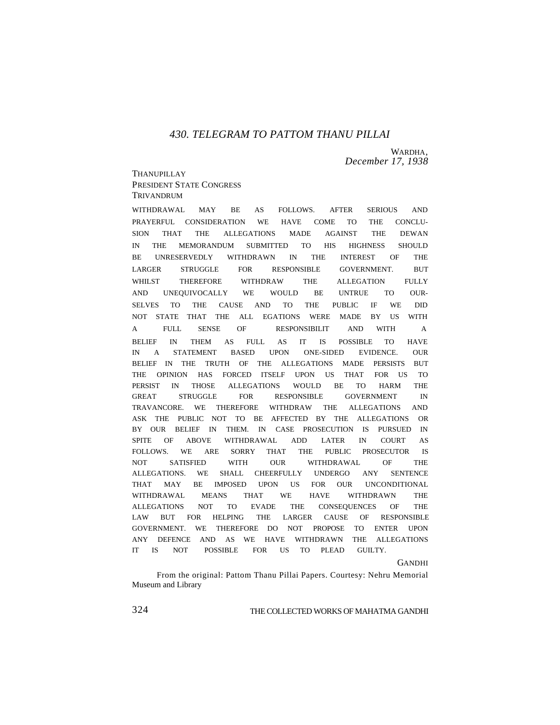# *430. TELEGRAM TO PATTOM THANU PILLAI*

WARDHA, *December 17, 1938*

**THANUPILLAY** PRESIDENT STATE CONGRESS TRIVANDRUM

WITHDRAWAL MAY BE AS FOLLOWS. AFTER SERIOUS AND PRAYERFUL CONSIDERATION WE HAVE COME TO THE CONCLU-SION THAT THE ALLEGATIONS MADE AGAINST THE DEWAN IN THE MEMORANDUM SUBMITTED TO HIS HIGHNESS SHOULD BE UNRESERVEDLY WITHDRAWN IN THE INTEREST OF THE LARGER STRUGGLE FOR RESPONSIBLE GOVERNMENT. BUT WHILST THEREFORE WITHDRAW THE ALLEGATION FULLY AND UNEQUIVOCALLY WE WOULD BE UNTRUE TO OUR-SELVES TO THE CAUSE AND TO THE PUBLIC IF WE DID NOT STATE THAT THE ALL EGATIONS WERE MADE BY US WITH A FULL SENSE OF RESPONSIBILIT AND WITH A BELIEF IN THEM AS FULL AS IT IS POSSIBLE TO HAVE IN A STATEMENT BASED UPON ONE-SIDED EVIDENCE. OUR BELIEF IN THE TRUTH OF THE ALLEGATIONS MADE PERSISTS BUT THE OPINION HAS FORCED ITSELF UPON US THAT FOR US TO PERSIST IN THOSE ALLEGATIONS WOULD BE TO HARM THE GREAT STRUGGLE FOR RESPONSIBLE GOVERNMENT IN TRAVANCORE. WE THEREFORE WITHDRAW THE ALLEGATIONS AND ASK THE PUBLIC NOT TO BE AFFECTED BY THE ALLEGATIONS OR BY OUR BELIEF IN THEM. IN CASE PROSECUTION IS PURSUED IN SPITE OF ABOVE WITHDRAWAL ADD LATER IN COURT AS FOLLOWS. WE ARE SORRY THAT THE PUBLIC PROSECUTOR IS NOT SATISFIED WITH OUR WITHDRAWAL OF THE ALLEGATIONS. WE SHALL CHEERFULLY UNDERGO ANY SENTENCE THAT MAY BE IMPOSED UPON US FOR OUR UNCONDITIONAL WITHDRAWAL MEANS THAT WE HAVE WITHDRAWN THE ALLEGATIONS NOT TO EVADE THE CONSEQUENCES OF THE LAW BUT FOR HELPING THE LARGER CAUSE OF RESPONSIBLE GOVERNMENT. WE THEREFORE DO NOT PROPOSE TO ENTER UPON ANY DEFENCE AND AS WE HAVE WITHDRAWN THE ALLEGATIONS IT IS NOT POSSIBLE FOR US TO PLEAD GUILTY.

GANDHI

From the original: Pattom Thanu Pillai Papers. Courtesy: Nehru Memorial Museum and Library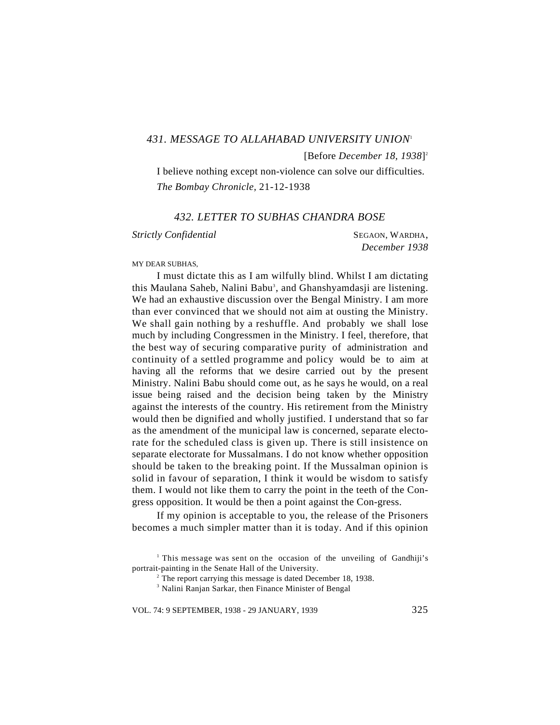[Before *December 18, 1938*] 2

I believe nothing except non-violence can solve our difficulties. *The Bombay Chronicle,* 21-12-1938

## *432. LETTER TO SUBHAS CHANDRA BOSE*

*Strictly Confidential* SEGAON, WARDHA,

*December 1938*

#### MY DEAR SUBHAS,

I must dictate this as I am wilfully blind. Whilst I am dictating this Maulana Saheb, Nalini Babu<sup>3</sup>, and Ghanshyamdasji are listening. We had an exhaustive discussion over the Bengal Ministry. I am more than ever convinced that we should not aim at ousting the Ministry. We shall gain nothing by a reshuffle. And probably we shall lose much by including Congressmen in the Ministry. I feel, therefore, that the best way of securing comparative purity of administration and continuity of a settled programme and policy would be to aim at having all the reforms that we desire carried out by the present Ministry. Nalini Babu should come out, as he says he would, on a real issue being raised and the decision being taken by the Ministry against the interests of the country. His retirement from the Ministry would then be dignified and wholly justified. I understand that so far as the amendment of the municipal law is concerned, separate electorate for the scheduled class is given up. There is still insistence on separate electorate for Mussalmans. I do not know whether opposition should be taken to the breaking point. If the Mussalman opinion is solid in favour of separation, I think it would be wisdom to satisfy them. I would not like them to carry the point in the teeth of the Congress opposition. It would be then a point against the Con-gress.

If my opinion is acceptable to you, the release of the Prisoners becomes a much simpler matter than it is today. And if this opinion

<sup>&</sup>lt;sup>1</sup> This message was sent on the occasion of the unveiling of Gandhiji's portrait-painting in the Senate Hall of the University.

<sup>&</sup>lt;sup>2</sup> The report carrying this message is dated December 18, 1938.

<sup>&</sup>lt;sup>3</sup> Nalini Ranjan Sarkar, then Finance Minister of Bengal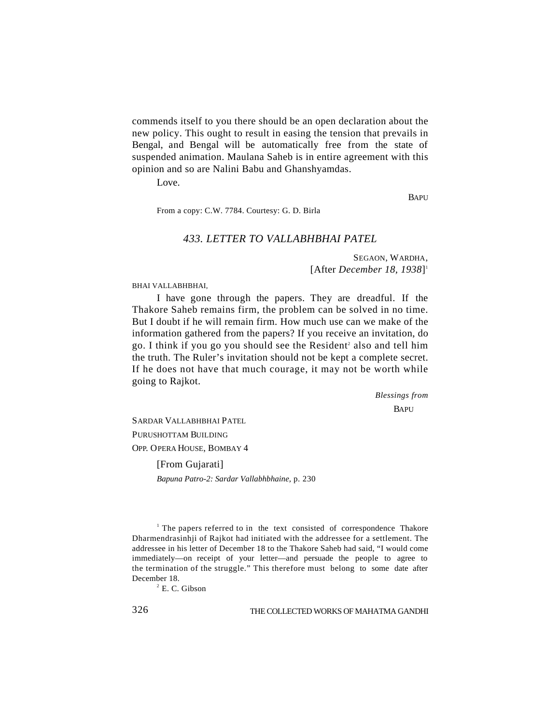commends itself to you there should be an open declaration about the new policy. This ought to result in easing the tension that prevails in Bengal, and Bengal will be automatically free from the state of suspended animation. Maulana Saheb is in entire agreement with this opinion and so are Nalini Babu and Ghanshyamdas.

Love.

**BAPU** 

From a copy: C.W. 7784. Courtesy: G. D. Birla

#### *433. LETTER TO VALLABHBHAI PATEL*

SEGAON, WARDHA, [After *December 18, 1938*] 1

BHAI VALLABHBHAI,

I have gone through the papers. They are dreadful. If the Thakore Saheb remains firm, the problem can be solved in no time. But I doubt if he will remain firm. How much use can we make of the information gathered from the papers? If you receive an invitation, do go. I think if you go you should see the Resident<sup>2</sup> also and tell him the truth. The Ruler's invitation should not be kept a complete secret. If he does not have that much courage, it may not be worth while going to Rajkot.

> *Blessings from* BAPU

SARDAR VALLABHBHAI PATEL PURUSHOTTAM BUILDING OPP. OPERA HOUSE, BOMBAY 4

> [From Gujarati] *Bapuna Patro-2: Sardar Vallabhbhaine,* p. 230

<sup>1</sup> The papers referred to in the text consisted of correspondence Thakore Dharmendrasinhji of Rajkot had initiated with the addressee for a settlement. The addressee in his letter of December 18 to the Thakore Saheb had said, "I would come immediately—on receipt of your letter—and persuade the people to agree to the termination of the struggle." This therefore must belong to some date after December 18.

<sup>2</sup> E. C. Gibson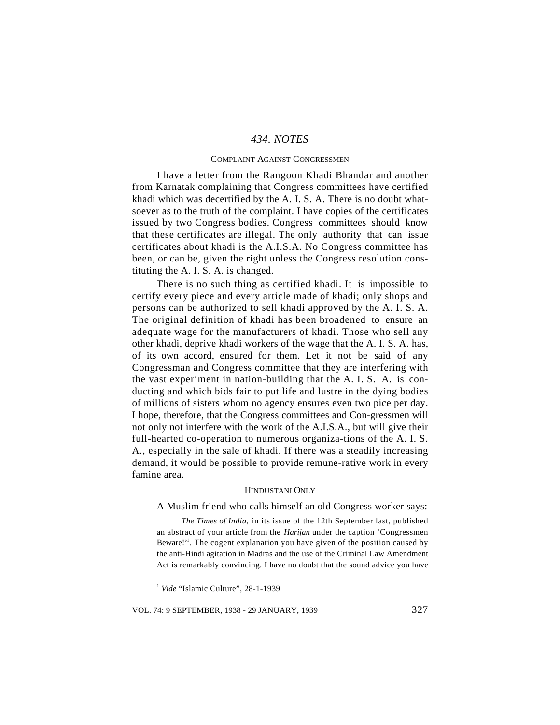# *434. NOTES*

#### COMPLAINT AGAINST CONGRESSMEN

I have a letter from the Rangoon Khadi Bhandar and another from Karnatak complaining that Congress committees have certified khadi which was decertified by the A. I. S. A. There is no doubt whatsoever as to the truth of the complaint. I have copies of the certificates issued by two Congress bodies. Congress committees should know that these certificates are illegal. The only authority that can issue certificates about khadi is the A.I.S.A. No Congress committee has been, or can be, given the right unless the Congress resolution constituting the A. I. S. A. is changed.

There is no such thing as certified khadi. It is impossible to certify every piece and every article made of khadi; only shops and persons can be authorized to sell khadi approved by the A. I. S. A. The original definition of khadi has been broadened to ensure an adequate wage for the manufacturers of khadi. Those who sell any other khadi, deprive khadi workers of the wage that the A. I. S. A. has, of its own accord, ensured for them. Let it not be said of any Congressman and Congress committee that they are interfering with the vast experiment in nation-building that the A. I. S. A. is conducting and which bids fair to put life and lustre in the dying bodies of millions of sisters whom no agency ensures even two pice per day. I hope, therefore, that the Congress committees and Con-gressmen will not only not interfere with the work of the A.I.S.A., but will give their full-hearted co-operation to numerous organiza-tions of the A. I. S. A., especially in the sale of khadi. If there was a steadily increasing demand, it would be possible to provide remune-rative work in every famine area.

#### HINDUSTANI ONLY

A Muslim friend who calls himself an old Congress worker says:

*The Times of India,* in its issue of the 12th September last, published an abstract of your article from the *Harijan* under the caption 'Congressmen Beware!'<sup>1</sup> . The cogent explanation you have given of the position caused by the anti-Hindi agitation in Madras and the use of the Criminal Law Amendment Act is remarkably convincing. I have no doubt that the sound advice you have

<sup>1</sup> *Vide* "Islamic Culture", 28-1-1939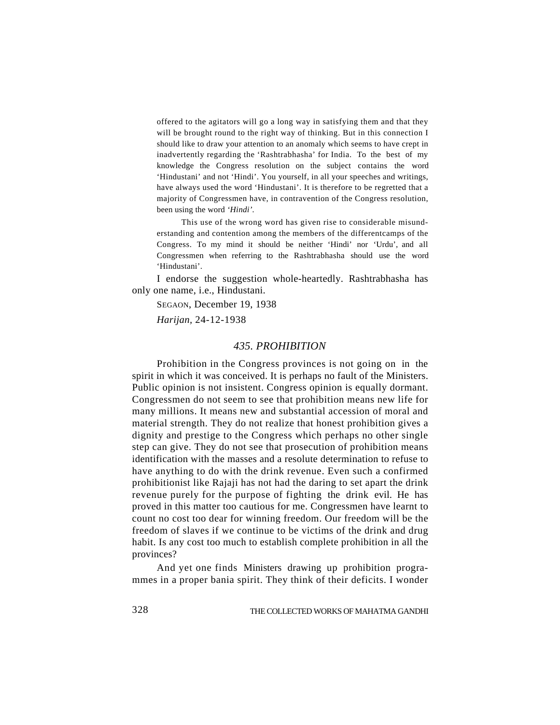offered to the agitators will go a long way in satisfying them and that they will be brought round to the right way of thinking. But in this connection I should like to draw your attention to an anomaly which seems to have crept in inadvertently regarding the 'Rashtrabhasha' for India. To the best of my knowledge the Congress resolution on the subject contains the word 'Hindustani' and not 'Hindi'. You yourself, in all your speeches and writings, have always used the word 'Hindustani'. It is therefore to be regretted that a majority of Congressmen have, in contravention of the Congress resolution, been using the word *'Hindi'.*

This use of the wrong word has given rise to considerable misunderstanding and contention among the members of the differentcamps of the Congress. To my mind it should be neither 'Hindi' nor 'Urdu', and all Congressmen when referring to the Rashtrabhasha should use the word 'Hindustani'.

I endorse the suggestion whole-heartedly. Rashtrabhasha has only one name, i.e., Hindustani.

SEGAON, December 19, 1938

*Harijan,* 24-12-1938

## *435. PROHIBITION*

Prohibition in the Congress provinces is not going on in the spirit in which it was conceived. It is perhaps no fault of the Ministers. Public opinion is not insistent. Congress opinion is equally dormant. Congressmen do not seem to see that prohibition means new life for many millions. It means new and substantial accession of moral and material strength. They do not realize that honest prohibition gives a dignity and prestige to the Congress which perhaps no other single step can give. They do not see that prosecution of prohibition means identification with the masses and a resolute determination to refuse to have anything to do with the drink revenue. Even such a confirmed prohibitionist like Rajaji has not had the daring to set apart the drink revenue purely for the purpose of fighting the drink evil. He has proved in this matter too cautious for me. Congressmen have learnt to count no cost too dear for winning freedom. Our freedom will be the freedom of slaves if we continue to be victims of the drink and drug habit. Is any cost too much to establish complete prohibition in all the provinces?

And yet one finds Ministers drawing up prohibition programmes in a proper bania spirit. They think of their deficits. I wonder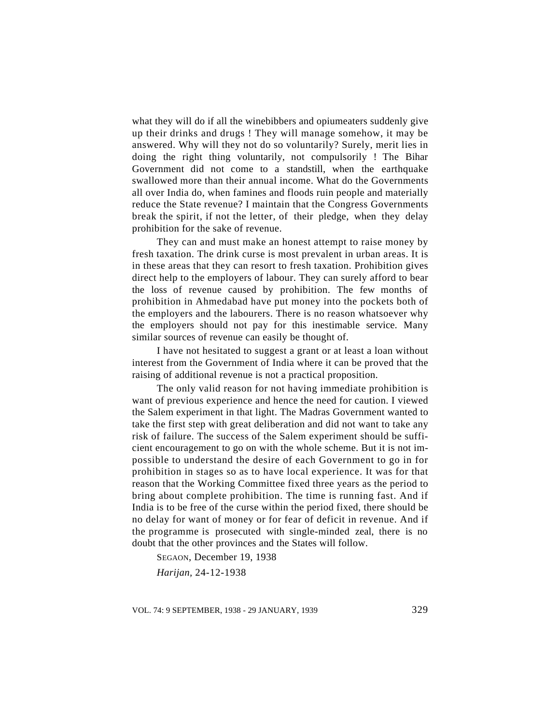what they will do if all the winebibbers and opiumeaters suddenly give up their drinks and drugs ! They will manage somehow, it may be answered. Why will they not do so voluntarily? Surely, merit lies in doing the right thing voluntarily, not compulsorily ! The Bihar Government did not come to a standstill, when the earthquake swallowed more than their annual income. What do the Governments all over India do, when famines and floods ruin people and materially reduce the State revenue? I maintain that the Congress Governments break the spirit, if not the letter, of their pledge, when they delay prohibition for the sake of revenue.

They can and must make an honest attempt to raise money by fresh taxation. The drink curse is most prevalent in urban areas. It is in these areas that they can resort to fresh taxation. Prohibition gives direct help to the employers of labour. They can surely afford to bear the loss of revenue caused by prohibition. The few months of prohibition in Ahmedabad have put money into the pockets both of the employers and the labourers. There is no reason whatsoever why the employers should not pay for this inestimable service. Many similar sources of revenue can easily be thought of.

I have not hesitated to suggest a grant or at least a loan without interest from the Government of India where it can be proved that the raising of additional revenue is not a practical proposition.

The only valid reason for not having immediate prohibition is want of previous experience and hence the need for caution. I viewed the Salem experiment in that light. The Madras Government wanted to take the first step with great deliberation and did not want to take any risk of failure. The success of the Salem experiment should be sufficient encouragement to go on with the whole scheme. But it is not impossible to understand the desire of each Government to go in for prohibition in stages so as to have local experience. It was for that reason that the Working Committee fixed three years as the period to bring about complete prohibition. The time is running fast. And if India is to be free of the curse within the period fixed, there should be no delay for want of money or for fear of deficit in revenue. And if the programme is prosecuted with single-minded zeal, there is no doubt that the other provinces and the States will follow.

SEGAON, December 19, 1938

*Harijan,* 24-12-1938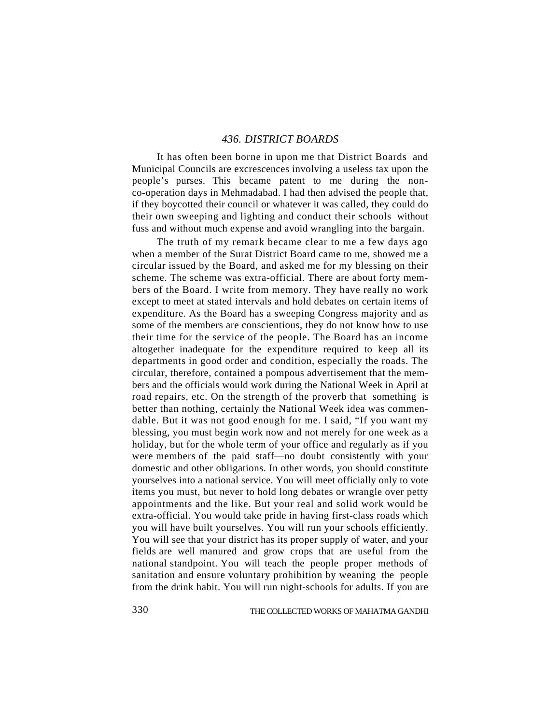## *436. DISTRICT BOARDS*

It has often been borne in upon me that District Boards and Municipal Councils are excrescences involving a useless tax upon the people's purses. This became patent to me during the nonco-operation days in Mehmadabad. I had then advised the people that, if they boycotted their council or whatever it was called, they could do their own sweeping and lighting and conduct their schools without fuss and without much expense and avoid wrangling into the bargain.

The truth of my remark became clear to me a few days ago when a member of the Surat District Board came to me, showed me a circular issued by the Board, and asked me for my blessing on their scheme. The scheme was extra-official. There are about forty members of the Board. I write from memory. They have really no work except to meet at stated intervals and hold debates on certain items of expenditure. As the Board has a sweeping Congress majority and as some of the members are conscientious, they do not know how to use their time for the service of the people. The Board has an income altogether inadequate for the expenditure required to keep all its departments in good order and condition, especially the roads. The circular, therefore, contained a pompous advertisement that the members and the officials would work during the National Week in April at road repairs, etc. On the strength of the proverb that something is better than nothing, certainly the National Week idea was commendable. But it was not good enough for me. I said, "If you want my blessing, you must begin work now and not merely for one week as a holiday, but for the whole term of your office and regularly as if you were members of the paid staff—no doubt consistently with your domestic and other obligations. In other words, you should constitute yourselves into a national service. You will meet officially only to vote items you must, but never to hold long debates or wrangle over petty appointments and the like. But your real and solid work would be extra-official. You would take pride in having first-class roads which you will have built yourselves. You will run your schools efficiently. You will see that your district has its proper supply of water, and your fields are well manured and grow crops that are useful from the national standpoint. You will teach the people proper methods of sanitation and ensure voluntary prohibition by weaning the people from the drink habit. You will run night-schools for adults. If you are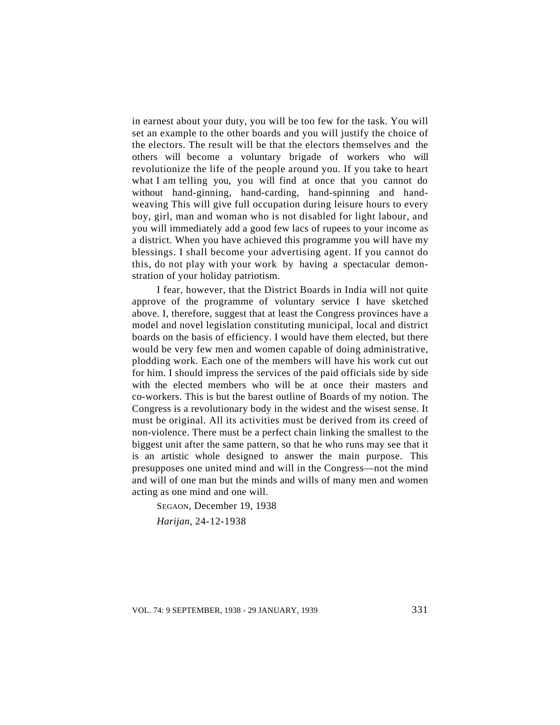in earnest about your duty, you will be too few for the task. You will set an example to the other boards and you will justify the choice of the electors. The result will be that the electors themselves and the others will become a voluntary brigade of workers who will revolutionize the life of the people around you. If you take to heart what I am telling you, you will find at once that you cannot do without hand-ginning, hand-carding, hand-spinning and handweaving This will give full occupation during leisure hours to every boy, girl, man and woman who is not disabled for light labour, and you will immediately add a good few lacs of rupees to your income as a district. When you have achieved this programme you will have my blessings. I shall become your advertising agent. If you cannot do this, do not play with your work by having a spectacular demonstration of your holiday patriotism.

I fear, however, that the District Boards in India will not quite approve of the programme of voluntary service I have sketched above. I, therefore, suggest that at least the Congress provinces have a model and novel legislation constituting municipal, local and district boards on the basis of efficiency. I would have them elected, but there would be very few men and women capable of doing administrative, plodding work. Each one of the members will have his work cut out for him. I should impress the services of the paid officials side by side with the elected members who will be at once their masters and co-workers. This is but the barest outline of Boards of my notion. The Congress is a revolutionary body in the widest and the wisest sense. It must be original. All its activities must be derived from its creed of non-violence. There must be a perfect chain linking the smallest to the biggest unit after the same pattern, so that he who runs may see that it is an artistic whole designed to answer the main purpose. This presupposes one united mind and will in the Congress—not the mind and will of one man but the minds and wills of many men and women acting as one mind and one will.

SEGAON, December 19, 1938

*Harijan,* 24-12-1938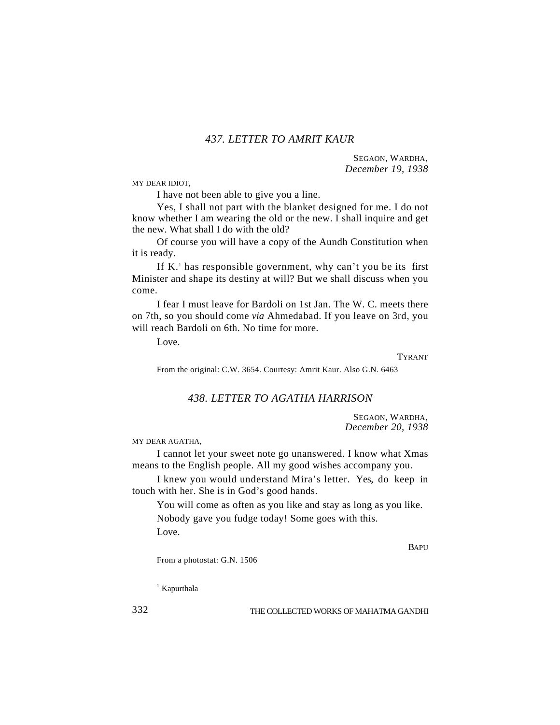SEGAON, WARDHA, *December 19, 1938*

MY DEAR IDIOT,

I have not been able to give you a line.

Yes, I shall not part with the blanket designed for me. I do not know whether I am wearing the old or the new. I shall inquire and get the new. What shall I do with the old?

Of course you will have a copy of the Aundh Constitution when it is ready.

If K.<sup>1</sup> has responsible government, why can't you be its first Minister and shape its destiny at will? But we shall discuss when you come.

I fear I must leave for Bardoli on 1st Jan. The W. C. meets there on 7th, so you should come *via* Ahmedabad. If you leave on 3rd, you will reach Bardoli on 6th. No time for more.

Love.

TYRANT

From the original: C.W. 3654. Courtesy: Amrit Kaur. Also G.N. 6463

# *438. LETTER TO AGATHA HARRISON*

SEGAON, WARDHA, *December 20, 1938*

MY DEAR AGATHA,

I cannot let your sweet note go unanswered. I know what Xmas means to the English people. All my good wishes accompany you.

I knew you would understand Mira's letter. Yes, do keep in touch with her. She is in God's good hands.

You will come as often as you like and stay as long as you like. Nobody gave you fudge today! Some goes with this. Love.

**BAPU** 

From a photostat: G.N. 1506

<sup>1</sup> Kapurthala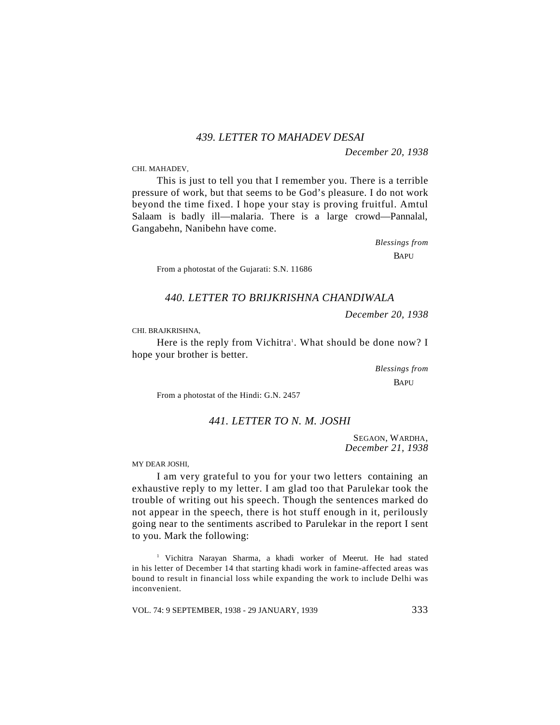# *439. LETTER TO MAHADEV DESAI*

*December 20, 1938*

CHI. MAHADEV,

This is just to tell you that I remember you. There is a terrible pressure of work, but that seems to be God's pleasure. I do not work beyond the time fixed. I hope your stay is proving fruitful. Amtul Salaam is badly ill—malaria. There is a large crowd—Pannalal, Gangabehn, Nanibehn have come.

> *Blessings from* **BAPU**

From a photostat of the Gujarati: S.N. 11686

## *440. LETTER TO BRIJKRISHNA CHANDIWALA*

*December 20, 1938*

CHI. BRAJKRISHNA,

Here is the reply from Vichitra<sup>1</sup>. What should be done now? I hope your brother is better.

> *Blessings from* **BAPU**

From a photostat of the Hindi: G.N. 2457

## *441. LETTER TO N. M. JOSHI*

SEGAON, WARDHA, *December 21, 1938*

MY DEAR JOSHI,

I am very grateful to you for your two letters containing an exhaustive reply to my letter. I am glad too that Parulekar took the trouble of writing out his speech. Though the sentences marked do not appear in the speech, there is hot stuff enough in it, perilously going near to the sentiments ascribed to Parulekar in the report I sent to you. Mark the following:

<sup>1</sup> Vichitra Narayan Sharma, a khadi worker of Meerut. He had stated in his letter of December 14 that starting khadi work in famine-affected areas was bound to result in financial loss while expanding the work to include Delhi was inconvenient.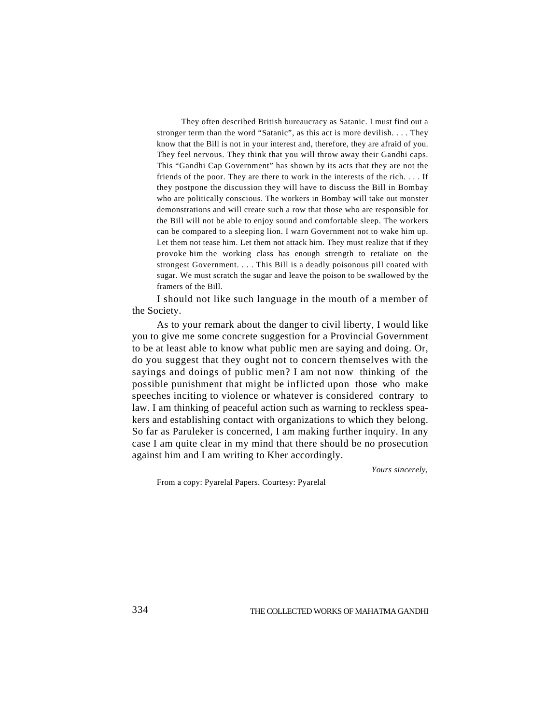They often described British bureaucracy as Satanic. I must find out a stronger term than the word "Satanic", as this act is more devilish. . . . They know that the Bill is not in your interest and, therefore, they are afraid of you. They feel nervous. They think that you will throw away their Gandhi caps. This "Gandhi Cap Government" has shown by its acts that they are not the friends of the poor. They are there to work in the interests of the rich. . . . If they postpone the discussion they will have to discuss the Bill in Bombay who are politically conscious. The workers in Bombay will take out monster demonstrations and will create such a row that those who are responsible for the Bill will not be able to enjoy sound and comfortable sleep. The workers can be compared to a sleeping lion. I warn Government not to wake him up. Let them not tease him. Let them not attack him. They must realize that if they provoke him the working class has enough strength to retaliate on the strongest Government. . . . This Bill is a deadly poisonous pill coated with sugar. We must scratch the sugar and leave the poison to be swallowed by the framers of the Bill.

I should not like such language in the mouth of a member of the Society.

As to your remark about the danger to civil liberty, I would like you to give me some concrete suggestion for a Provincial Government to be at least able to know what public men are saying and doing. Or, do you suggest that they ought not to concern themselves with the sayings and doings of public men? I am not now thinking of the possible punishment that might be inflicted upon those who make speeches inciting to violence or whatever is considered contrary to law. I am thinking of peaceful action such as warning to reckless speakers and establishing contact with organizations to which they belong. So far as Paruleker is concerned, I am making further inquiry. In any case I am quite clear in my mind that there should be no prosecution against him and I am writing to Kher accordingly.

*Yours sincerely*,

From a copy: Pyarelal Papers. Courtesy: Pyarelal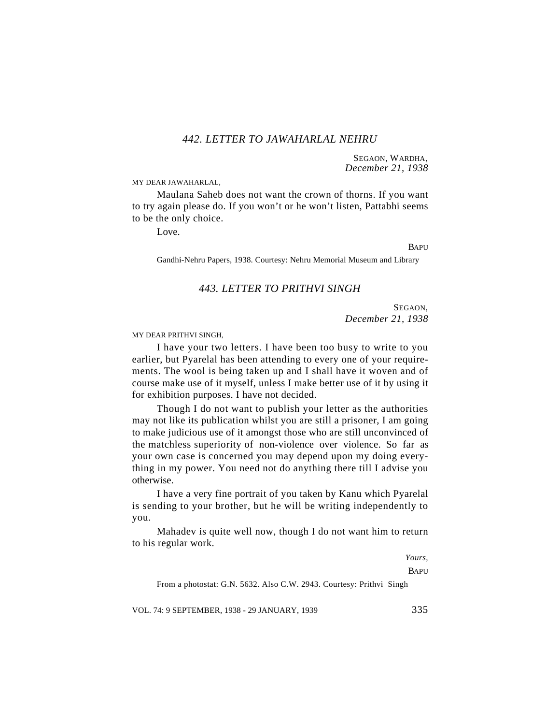SEGAON, WARDHA, *December 21, 1938*

MY DEAR JAWAHARLAL,

Maulana Saheb does not want the crown of thorns. If you want to try again please do. If you won't or he won't listen, Pattabhi seems to be the only choice.

Love.

**BAPU** 

Gandhi-Nehru Papers, 1938. Courtesy: Nehru Memorial Museum and Library

# *443. LETTER TO PRITHVI SINGH*

SEGAON, *December 21, 1938*

MY DEAR PRITHVI SINGH,

I have your two letters. I have been too busy to write to you earlier, but Pyarelal has been attending to every one of your requirements. The wool is being taken up and I shall have it woven and of course make use of it myself, unless I make better use of it by using it for exhibition purposes. I have not decided.

Though I do not want to publish your letter as the authorities may not like its publication whilst you are still a prisoner, I am going to make judicious use of it amongst those who are still unconvinced of the matchless superiority of non-violence over violence. So far as your own case is concerned you may depend upon my doing everything in my power. You need not do anything there till I advise you otherwise.

I have a very fine portrait of you taken by Kanu which Pyarelal is sending to your brother, but he will be writing independently to you.

Mahadev is quite well now, though I do not want him to return to his regular work.

*Yours,*

**BAPU** 

From a photostat: G.N. 5632. Also C.W. 2943. Courtesy: Prithvi Singh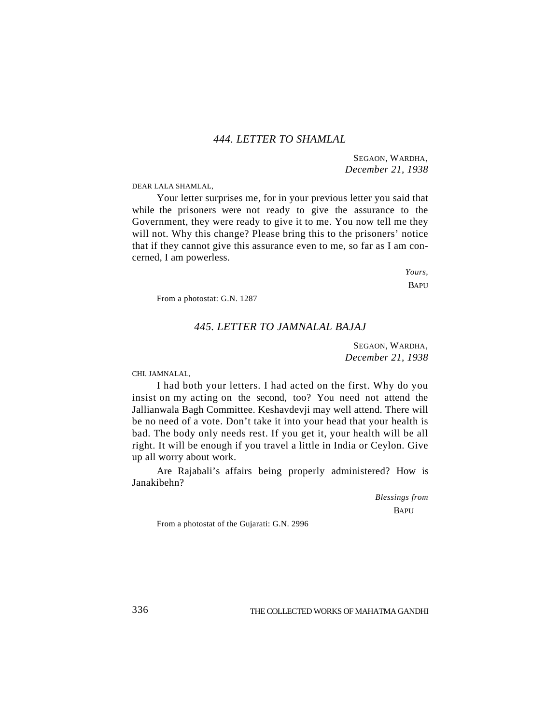SEGAON, WARDHA, *December 21, 1938*

DEAR LALA SHAMLAL,

Your letter surprises me, for in your previous letter you said that while the prisoners were not ready to give the assurance to the Government, they were ready to give it to me. You now tell me they will not. Why this change? Please bring this to the prisoners' notice that if they cannot give this assurance even to me, so far as I am concerned, I am powerless.

> *Yours,* BAPU

From a photostat: G.N. 1287

## *445. LETTER TO JAMNALAL BAJAJ*

SEGAON, WARDHA, *December 21, 1938*

CHI. JAMNALAL,

I had both your letters. I had acted on the first. Why do you insist on my acting on the second, too? You need not attend the Jallianwala Bagh Committee. Keshavdevji may well attend. There will be no need of a vote. Don't take it into your head that your health is bad. The body only needs rest. If you get it, your health will be all right. It will be enough if you travel a little in India or Ceylon. Give up all worry about work.

Are Rajabali's affairs being properly administered? How is Janakibehn?

> *Blessings from* **BAPU**

From a photostat of the Gujarati: G.N. 2996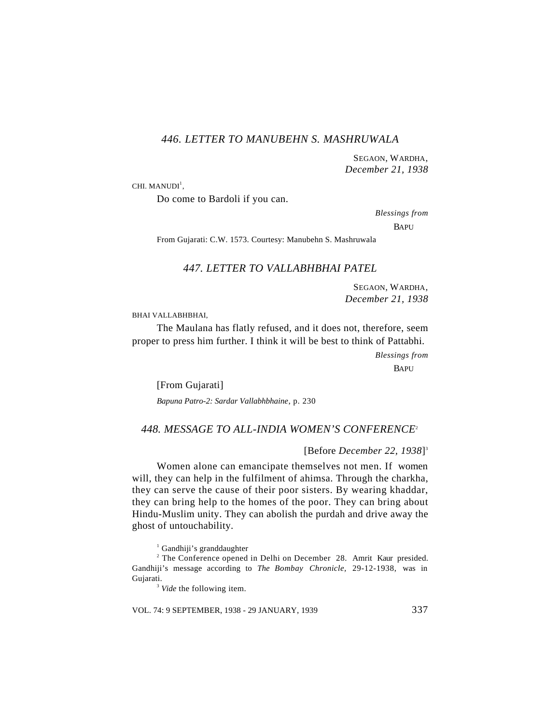## *446. LETTER TO MANUBEHN S. MASHRUWALA*

SEGAON, WARDHA, *December 21, 1938*

CHI. MANUDI $^1$ ,

Do come to Bardoli if you can.

*Blessings from*

**BAPU** 

From Gujarati: C.W. 1573. Courtesy: Manubehn S. Mashruwala

#### *447. LETTER TO VALLABHBHAI PATEL*

SEGAON, WARDHA, *December 21, 1938*

BHAI VALLABHBHAI,

The Maulana has flatly refused, and it does not, therefore, seem proper to press him further. I think it will be best to think of Pattabhi.

> *Blessings from* **BAPU**

[From Gujarati]

*Bapuna Patro-2: Sardar Vallabhbhaine*, p. 230

### *448. MESSAGE TO ALL-INDIA WOMEN'S CONFERENCE*<sup>2</sup>

[Before *December 22, 1938*] 3

Women alone can emancipate themselves not men. If women will, they can help in the fulfilment of ahimsa. Through the charkha, they can serve the cause of their poor sisters. By wearing khaddar, they can bring help to the homes of the poor. They can bring about Hindu-Muslim unity. They can abolish the purdah and drive away the ghost of untouchability.

<sup>1</sup> Gandhiji's granddaughter

<sup>2</sup> The Conference opened in Delhi on December 28. Amrit Kaur presided. Gandhiji's message according to *The Bombay Chronicle,* 29-12-1938, was in Gujarati.

<sup>3</sup> *Vide* the following item.

VOL. 74: 9 SEPTEMBER, 1938 - 29 JANUARY, 1939 337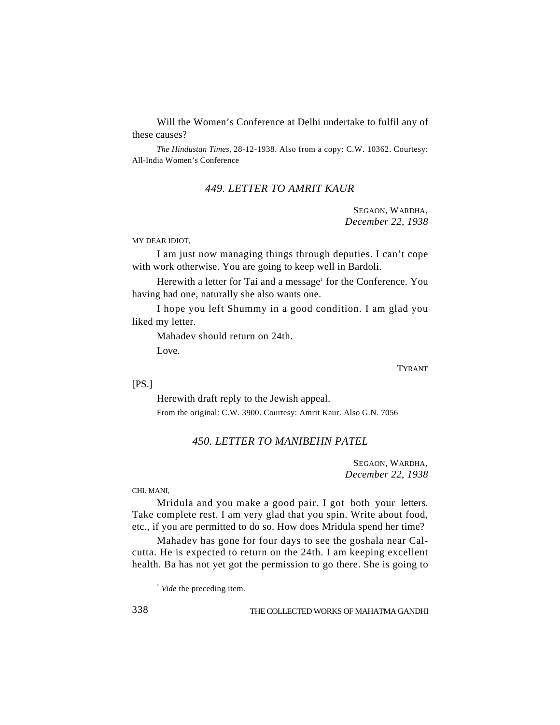Will the Women's Conference at Delhi undertake to fulfil any of these causes?

*The Hindustan Times,* 28-12-1938. Also from a copy: C.W. 10362. Courtesy: All-India Women's Conference

# *449. LETTER TO AMRIT KAUR*

SEGAON, WARDHA, *December 22, 1938*

MY DEAR IDIOT,

I am just now managing things through deputies. I can't cope with work otherwise. You are going to keep well in Bardoli.

Herewith a letter for Tai and a message<sup>1</sup> for the Conference. You having had one, naturally she also wants one.

I hope you left Shummy in a good condition. I am glad you liked my letter.

Mahadev should return on 24th. Love.

TYRANT

[PS.]

Herewith draft reply to the Jewish appeal. From the original: C.W. 3900. Courtesy: Amrit Kaur. Also G.N. 7056

# *450. LETTER TO MANIBEHN PATEL*

SEGAON, WARDHA, *December 22, 1938*

CHI. MANI,

Mridula and you make a good pair. I got both your letters. Take complete rest. I am very glad that you spin. Write about food, etc., if you are permitted to do so. How does Mridula spend her time?

Mahadev has gone for four days to see the goshala near Calcutta. He is expected to return on the 24th. I am keeping excellent health. Ba has not yet got the permission to go there. She is going to

<sup>1</sup> *Vide* the preceding item.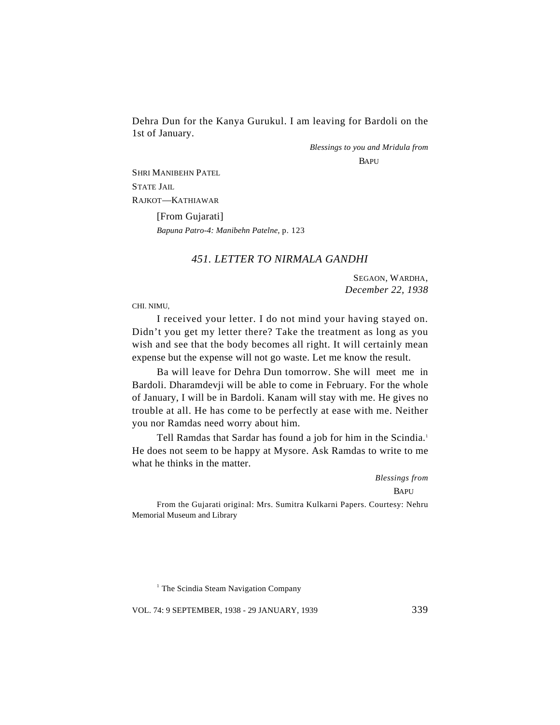Dehra Dun for the Kanya Gurukul. I am leaving for Bardoli on the 1st of January.

> *Blessings to you and Mridula from* **BAPU**

SHRI MANIBEHN PATEL STATE JAIL RAJKOT—KATHIAWAR

> [From Gujarati] *Bapuna Patro-4: Manibehn Patelne,* p. 123

# *451. LETTER TO NIRMALA GANDHI*

SEGAON, WARDHA, *December 22, 1938*

CHI. NIMU,

I received your letter. I do not mind your having stayed on. Didn't you get my letter there? Take the treatment as long as you wish and see that the body becomes all right. It will certainly mean expense but the expense will not go waste. Let me know the result.

Ba will leave for Dehra Dun tomorrow. She will meet me in Bardoli. Dharamdevji will be able to come in February. For the whole of January, I will be in Bardoli. Kanam will stay with me. He gives no trouble at all. He has come to be perfectly at ease with me. Neither you nor Ramdas need worry about him.

Tell Ramdas that Sardar has found a job for him in the Scindia.<sup>1</sup> He does not seem to be happy at Mysore. Ask Ramdas to write to me what he thinks in the matter.

> *Blessings from* **BAPU**

From the Gujarati original: Mrs. Sumitra Kulkarni Papers. Courtesy: Nehru Memorial Museum and Library

<sup>1</sup> The Scindia Steam Navigation Company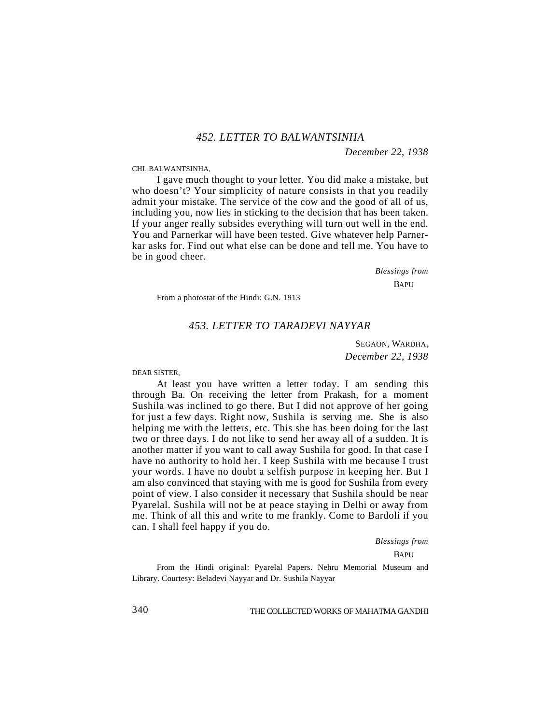*December 22, 1938*

CHI. BALWANTSINHA,

I gave much thought to your letter. You did make a mistake, but who doesn't? Your simplicity of nature consists in that you readily admit your mistake. The service of the cow and the good of all of us, including you, now lies in sticking to the decision that has been taken. If your anger really subsides everything will turn out well in the end. You and Parnerkar will have been tested. Give whatever help Parnerkar asks for. Find out what else can be done and tell me. You have to be in good cheer.

*Blessings from*

BAPU

From a photostat of the Hindi: G.N. 1913

## *453. LETTER TO TARADEVI NAYYAR*

SEGAON, WARDHA, *December 22, 1938*

DEAR SISTER,

At least you have written a letter today. I am sending this through Ba. On receiving the letter from Prakash, for a moment Sushila was inclined to go there. But I did not approve of her going for just a few days. Right now, Sushila is serving me. She is also helping me with the letters, etc. This she has been doing for the last two or three days. I do not like to send her away all of a sudden. It is another matter if you want to call away Sushila for good. In that case I have no authority to hold her. I keep Sushila with me because I trust your words. I have no doubt a selfish purpose in keeping her. But I am also convinced that staying with me is good for Sushila from every point of view. I also consider it necessary that Sushila should be near Pyarelal. Sushila will not be at peace staying in Delhi or away from me. Think of all this and write to me frankly. Come to Bardoli if you can. I shall feel happy if you do.

*Blessings from*

**BAPU** 

From the Hindi original: Pyarelal Papers. Nehru Memorial Museum and Library. Courtesy: Beladevi Nayyar and Dr. Sushila Nayyar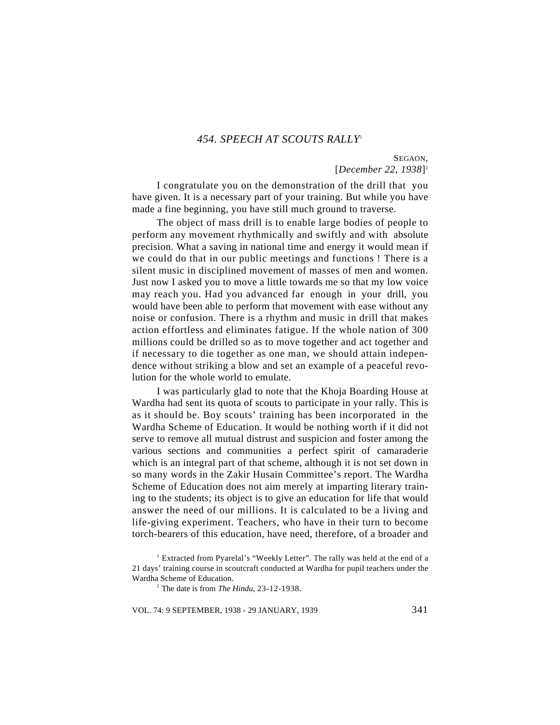### *454. SPEECH AT SCOUTS RALLY*<sup>1</sup>

SEGAON, [*December 22, 1938*] 2

I congratulate you on the demonstration of the drill that you have given. It is a necessary part of your training. But while you have made a fine beginning, you have still much ground to traverse.

The object of mass drill is to enable large bodies of people to perform any movement rhythmically and swiftly and with absolute precision. What a saving in national time and energy it would mean if we could do that in our public meetings and functions ! There is a silent music in disciplined movement of masses of men and women. Just now I asked you to move a little towards me so that my low voice may reach you. Had you advanced far enough in your drill, you would have been able to perform that movement with ease without any noise or confusion. There is a rhythm and music in drill that makes action effortless and eliminates fatigue. If the whole nation of 300 millions could be drilled so as to move together and act together and if necessary to die together as one man, we should attain independence without striking a blow and set an example of a peaceful revolution for the whole world to emulate.

I was particularly glad to note that the Khoja Boarding House at Wardha had sent its quota of scouts to participate in your rally. This is as it should be. Boy scouts' training has been incorporated in the Wardha Scheme of Education. It would be nothing worth if it did not serve to remove all mutual distrust and suspicion and foster among the various sections and communities a perfect spirit of camaraderie which is an integral part of that scheme, although it is not set down in so many words in the Zakir Husain Committee's report. The Wardha Scheme of Education does not aim merely at imparting literary training to the students; its object is to give an education for life that would answer the need of our millions. It is calculated to be a living and life-giving experiment. Teachers, who have in their turn to become torch-bearers of this education, have need, therefore, of a broader and

<sup>&</sup>lt;sup>1</sup> Extracted from Pyarelal's "Weekly Letter". The rally was held at the end of a 21 days' training course in scoutcraft conducted at Wardha for pupil teachers under the Wardha Scheme of Education.

<sup>2</sup> The date is from *The Hindu,* 23-12-1938*.*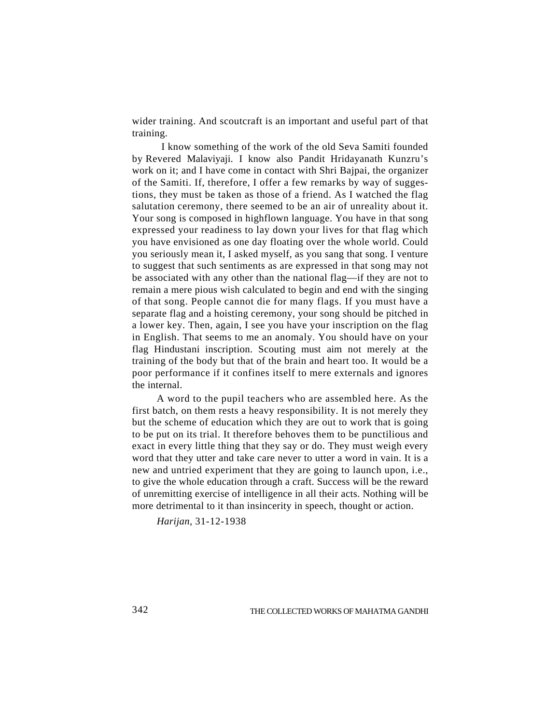wider training. And scoutcraft is an important and useful part of that training.

I know something of the work of the old Seva Samiti founded by Revered Malaviyaji. I know also Pandit Hridayanath Kunzru's work on it; and I have come in contact with Shri Bajpai, the organizer of the Samiti. If, therefore, I offer a few remarks by way of suggestions, they must be taken as those of a friend. As I watched the flag salutation ceremony, there seemed to be an air of unreality about it. Your song is composed in highflown language. You have in that song expressed your readiness to lay down your lives for that flag which you have envisioned as one day floating over the whole world. Could you seriously mean it, I asked myself, as you sang that song. I venture to suggest that such sentiments as are expressed in that song may not be associated with any other than the national flag—if they are not to remain a mere pious wish calculated to begin and end with the singing of that song. People cannot die for many flags. If you must have a separate flag and a hoisting ceremony, your song should be pitched in a lower key. Then, again, I see you have your inscription on the flag in English. That seems to me an anomaly. You should have on your flag Hindustani inscription. Scouting must aim not merely at the training of the body but that of the brain and heart too. It would be a poor performance if it confines itself to mere externals and ignores the internal.

A word to the pupil teachers who are assembled here. As the first batch, on them rests a heavy responsibility. It is not merely they but the scheme of education which they are out to work that is going to be put on its trial. It therefore behoves them to be punctilious and exact in every little thing that they say or do. They must weigh every word that they utter and take care never to utter a word in vain. It is a new and untried experiment that they are going to launch upon, i.e., to give the whole education through a craft. Success will be the reward of unremitting exercise of intelligence in all their acts. Nothing will be more detrimental to it than insincerity in speech, thought or action.

*Harijan,* 31-12-1938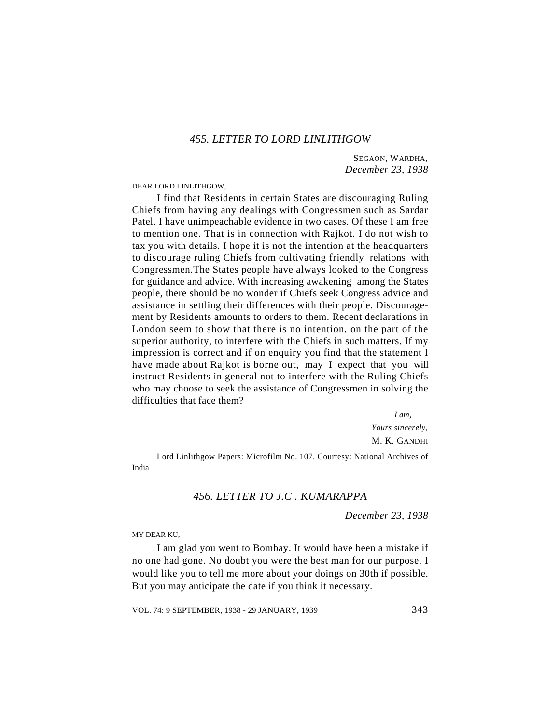## *455. LETTER TO LORD LINLITHGOW*

SEGAON, WARDHA, *December 23, 1938*

DEAR LORD LINLITHGOW,

I find that Residents in certain States are discouraging Ruling Chiefs from having any dealings with Congressmen such as Sardar Patel. I have unimpeachable evidence in two cases. Of these I am free to mention one. That is in connection with Rajkot. I do not wish to tax you with details. I hope it is not the intention at the headquarters to discourage ruling Chiefs from cultivating friendly relations with Congressmen.The States people have always looked to the Congress for guidance and advice. With increasing awakening among the States people, there should be no wonder if Chiefs seek Congress advice and assistance in settling their differences with their people. Discouragement by Residents amounts to orders to them. Recent declarations in London seem to show that there is no intention, on the part of the superior authority, to interfere with the Chiefs in such matters. If my impression is correct and if on enquiry you find that the statement I have made about Rajkot is borne out, may I expect that you will instruct Residents in general not to interfere with the Ruling Chiefs who may choose to seek the assistance of Congressmen in solving the difficulties that face them?

> *I am, Yours sincerely*, M. K. GANDHI

Lord Linlithgow Papers: Microfilm No. 107. Courtesy: National Archives of India

## *456. LETTER TO J.C . KUMARAPPA*

*December 23, 1938*

MY DEAR KU,

I am glad you went to Bombay. It would have been a mistake if no one had gone. No doubt you were the best man for our purpose. I would like you to tell me more about your doings on 30th if possible. But you may anticipate the date if you think it necessary.

VOL. 74: 9 SEPTEMBER, 1938 - 29 JANUARY, 1939 343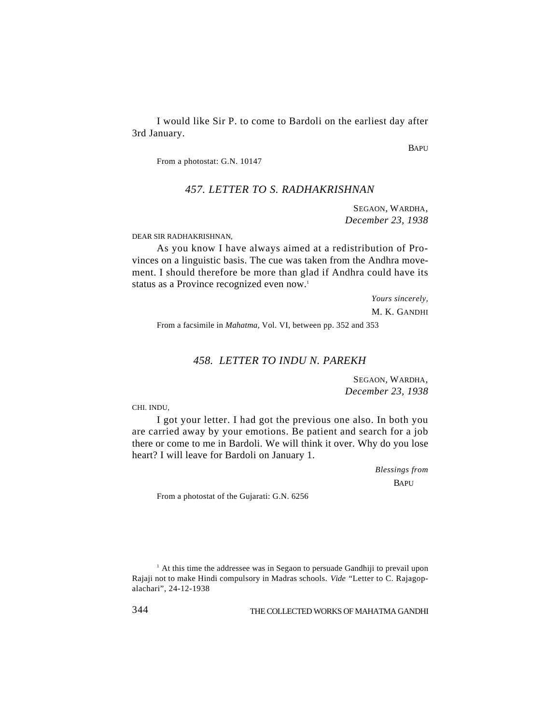I would like Sir P. to come to Bardoli on the earliest day after 3rd January.

**BAPU** 

From a photostat: G.N. 10147

## *457. LETTER TO S. RADHAKRISHNAN*

SEGAON, WARDHA, *December 23, 1938*

DEAR SIR RADHAKRISHNAN,

As you know I have always aimed at a redistribution of Provinces on a linguistic basis. The cue was taken from the Andhra movement. I should therefore be more than glad if Andhra could have its status as a Province recognized even now.<sup>1</sup>

*Yours sincerely,*

M. K. GANDHI

From a facsimile in *Mahatma,* Vol. VI, between pp. 352 and 353

### *458. LETTER TO INDU N. PAREKH*

SEGAON, WARDHA, *December 23, 1938*

CHI. INDU,

I got your letter. I had got the previous one also. In both you are carried away by your emotions. Be patient and search for a job there or come to me in Bardoli. We will think it over. Why do you lose heart? I will leave for Bardoli on January 1.

> *Blessings from* BAPU

From a photostat of the Gujarati: G.N. 6256

<sup>1</sup> At this time the addressee was in Segaon to persuade Gandhiji to prevail upon Rajaji not to make Hindi compulsory in Madras schools. *Vide* "Letter to C. Rajagopalachari", 24-12-1938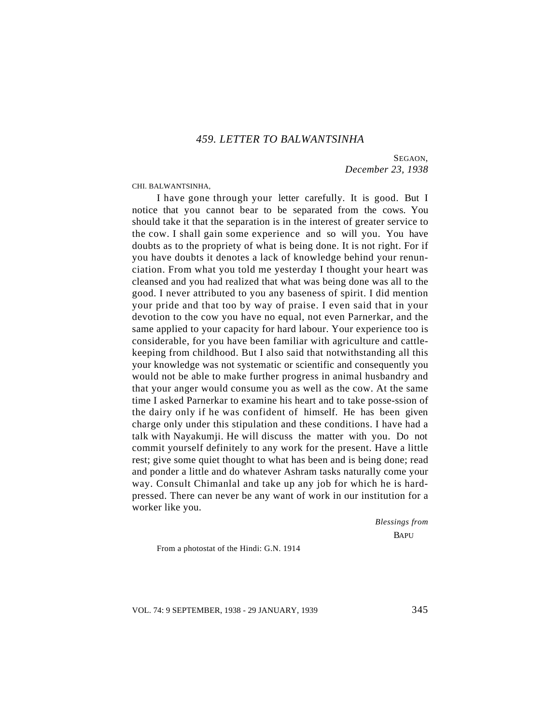## *459. LETTER TO BALWANTSINHA*

SEGAON, *December 23, 1938*

#### CHI. BALWANTSINHA,

I have gone through your letter carefully. It is good. But I notice that you cannot bear to be separated from the cows. You should take it that the separation is in the interest of greater service to the cow. I shall gain some experience and so will you. You have doubts as to the propriety of what is being done. It is not right. For if you have doubts it denotes a lack of knowledge behind your renunciation. From what you told me yesterday I thought your heart was cleansed and you had realized that what was being done was all to the good. I never attributed to you any baseness of spirit. I did mention your pride and that too by way of praise. I even said that in your devotion to the cow you have no equal, not even Parnerkar, and the same applied to your capacity for hard labour. Your experience too is considerable, for you have been familiar with agriculture and cattlekeeping from childhood. But I also said that notwithstanding all this your knowledge was not systematic or scientific and consequently you would not be able to make further progress in animal husbandry and that your anger would consume you as well as the cow. At the same time I asked Parnerkar to examine his heart and to take posse-ssion of the dairy only if he was confident of himself. He has been given charge only under this stipulation and these conditions. I have had a talk with Nayakumji. He will discuss the matter with you. Do not commit yourself definitely to any work for the present. Have a little rest; give some quiet thought to what has been and is being done; read and ponder a little and do whatever Ashram tasks naturally come your way. Consult Chimanlal and take up any job for which he is hardpressed. There can never be any want of work in our institution for a worker like you.

> *Blessings from* **BAPU**

From a photostat of the Hindi: G.N. 1914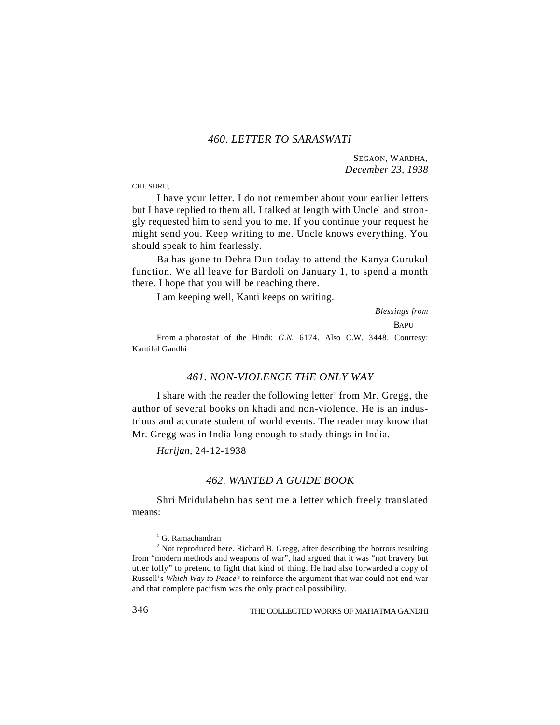## *460. LETTER TO SARASWATI*

SEGAON, WARDHA, *December 23, 1938*

CHI. SURU,

I have your letter. I do not remember about your earlier letters but I have replied to them all. I talked at length with Uncle<sup>1</sup> and strongly requested him to send you to me. If you continue your request he might send you. Keep writing to me. Uncle knows everything. You should speak to him fearlessly.

Ba has gone to Dehra Dun today to attend the Kanya Gurukul function. We all leave for Bardoli on January 1, to spend a month there. I hope that you will be reaching there.

I am keeping well, Kanti keeps on writing.

*Blessings from*

**BAPU** 

From a photostat of the Hindi: *G.N.* 6174. Also C.W. 3448. Courtesy: Kantilal Gandhi

### *461. NON-VIOLENCE THE ONLY WAY*

I share with the reader the following letter<sup>2</sup> from Mr. Gregg, the author of several books on khadi and non-violence. He is an industrious and accurate student of world events. The reader may know that Mr. Gregg was in India long enough to study things in India.

*Harijan,* 24-12-1938

## *462. WANTED A GUIDE BOOK*

Shri Mridulabehn has sent me a letter which freely translated means:

<sup>1</sup> G. Ramachandran

 $2$  Not reproduced here. Richard B. Gregg, after describing the horrors resulting from "modern methods and weapons of war", had argued that it was "not bravery but utter folly" to pretend to fight that kind of thing. He had also forwarded a copy of Russell's *Which Way to Peace*? to reinforce the argument that war could not end war and that complete pacifism was the only practical possibility.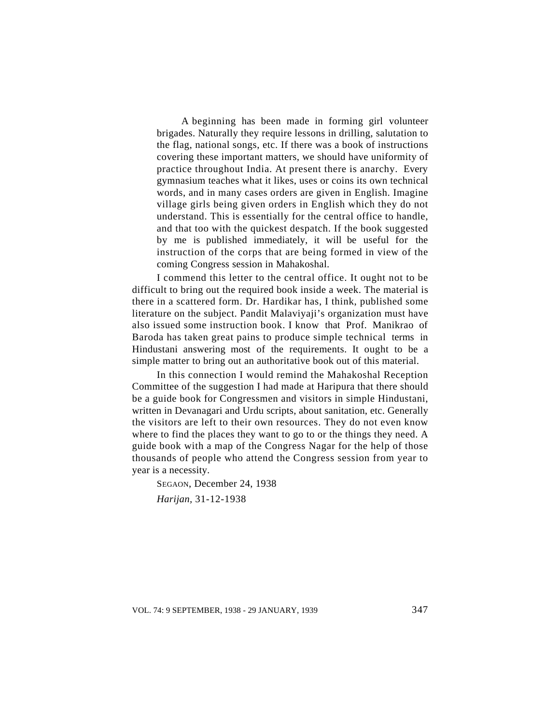A beginning has been made in forming girl volunteer brigades. Naturally they require lessons in drilling, salutation to the flag, national songs, etc. If there was a book of instructions covering these important matters, we should have uniformity of practice throughout India. At present there is anarchy. Every gymnasium teaches what it likes, uses or coins its own technical words, and in many cases orders are given in English. Imagine village girls being given orders in English which they do not understand. This is essentially for the central office to handle, and that too with the quickest despatch. If the book suggested by me is published immediately, it will be useful for the instruction of the corps that are being formed in view of the coming Congress session in Mahakoshal.

I commend this letter to the central office. It ought not to be difficult to bring out the required book inside a week. The material is there in a scattered form. Dr. Hardikar has, I think, published some literature on the subject. Pandit Malaviyaji's organization must have also issued some instruction book. I know that Prof. Manikrao of Baroda has taken great pains to produce simple technical terms in Hindustani answering most of the requirements. It ought to be a simple matter to bring out an authoritative book out of this material.

In this connection I would remind the Mahakoshal Reception Committee of the suggestion I had made at Haripura that there should be a guide book for Congressmen and visitors in simple Hindustani, written in Devanagari and Urdu scripts, about sanitation, etc. Generally the visitors are left to their own resources. They do not even know where to find the places they want to go to or the things they need. A guide book with a map of the Congress Nagar for the help of those thousands of people who attend the Congress session from year to year is a necessity.

SEGAON, December 24, 1938 *Harijan,* 31-12-1938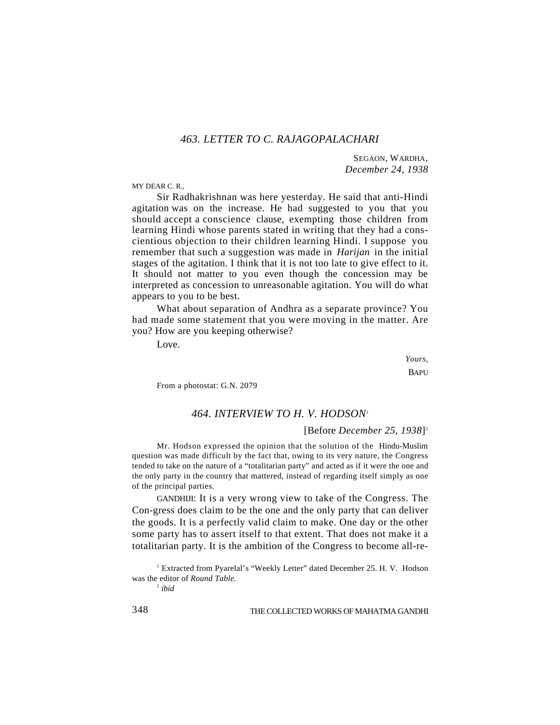SEGAON, WARDHA, *December 24, 1938*

MY DEAR C. R.,

Sir Radhakrishnan was here yesterday. He said that anti-Hindi agitation was on the increase. He had suggested to you that you should accept a conscience clause, exempting those children from learning Hindi whose parents stated in writing that they had a conscientious objection to their children learning Hindi. I suppose you remember that such a suggestion was made in *Harijan* in the initial stages of the agitation. I think that it is not too late to give effect to it. It should not matter to you even though the concession may be interpreted as concession to unreasonable agitation. You will do what appears to you to be best.

What about separation of Andhra as a separate province? You had made some statement that you were moving in the matter. Are you? How are you keeping otherwise?

Love.

*Yours,* **BAPU** 

From a photostat: G.N. 2079

## *464. INTERVIEW TO H. V. HODSON*<sup>1</sup>

[Before *December 25, 1938*] 2

Mr. Hodson expressed the opinion that the solution of the Hindu-Muslim question was made difficult by the fact that, owing to its very nature, the Congress tended to take on the nature of a "totalitarian party" and acted as if it were the one and the only party in the country that mattered, instead of regarding itself simply as one of the principal parties.

GANDHIJI: It is a very wrong view to take of the Congress. The Con-gress does claim to be the one and the only party that can deliver the goods. It is a perfectly valid claim to make. One day or the other some party has to assert itself to that extent. That does not make it a totalitarian party. It is the ambition of the Congress to become all-re-

2 *ibid*

<sup>&</sup>lt;sup>1</sup> Extracted from Pyarelal's "Weekly Letter" dated December 25. H. V. Hodson was the editor of *Round Table.*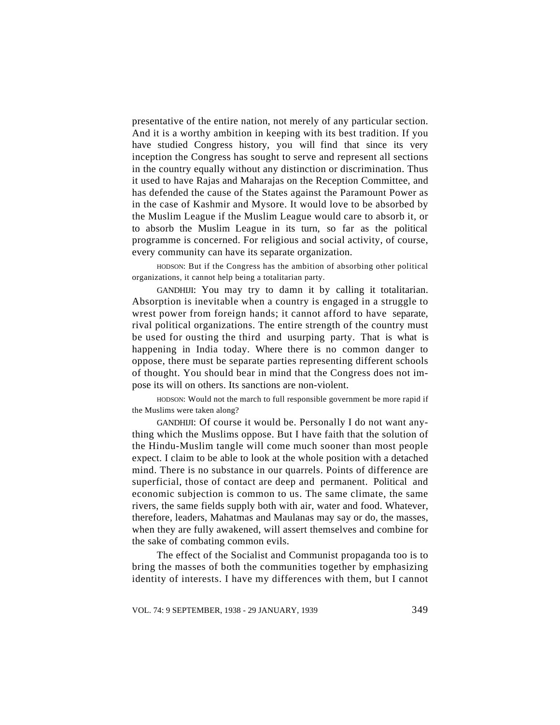presentative of the entire nation, not merely of any particular section. And it is a worthy ambition in keeping with its best tradition. If you have studied Congress history, you will find that since its very inception the Congress has sought to serve and represent all sections in the country equally without any distinction or discrimination. Thus it used to have Rajas and Maharajas on the Reception Committee, and has defended the cause of the States against the Paramount Power as in the case of Kashmir and Mysore. It would love to be absorbed by the Muslim League if the Muslim League would care to absorb it, or to absorb the Muslim League in its turn, so far as the political programme is concerned. For religious and social activity, of course, every community can have its separate organization.

HODSON: But if the Congress has the ambition of absorbing other political organizations, it cannot help being a totalitarian party.

GANDHIJI: You may try to damn it by calling it totalitarian. Absorption is inevitable when a country is engaged in a struggle to wrest power from foreign hands; it cannot afford to have separate, rival political organizations. The entire strength of the country must be used for ousting the third and usurping party. That is what is happening in India today. Where there is no common danger to oppose, there must be separate parties representing different schools of thought. You should bear in mind that the Congress does not impose its will on others. Its sanctions are non-violent.

HODSON: Would not the march to full responsible government be more rapid if the Muslims were taken along?

GANDHIJI: Of course it would be. Personally I do not want anything which the Muslims oppose. But I have faith that the solution of the Hindu-Muslim tangle will come much sooner than most people expect. I claim to be able to look at the whole position with a detached mind. There is no substance in our quarrels. Points of difference are superficial, those of contact are deep and permanent. Political and economic subjection is common to us. The same climate, the same rivers, the same fields supply both with air, water and food. Whatever, therefore, leaders, Mahatmas and Maulanas may say or do, the masses, when they are fully awakened, will assert themselves and combine for the sake of combating common evils.

The effect of the Socialist and Communist propaganda too is to bring the masses of both the communities together by emphasizing identity of interests. I have my differences with them, but I cannot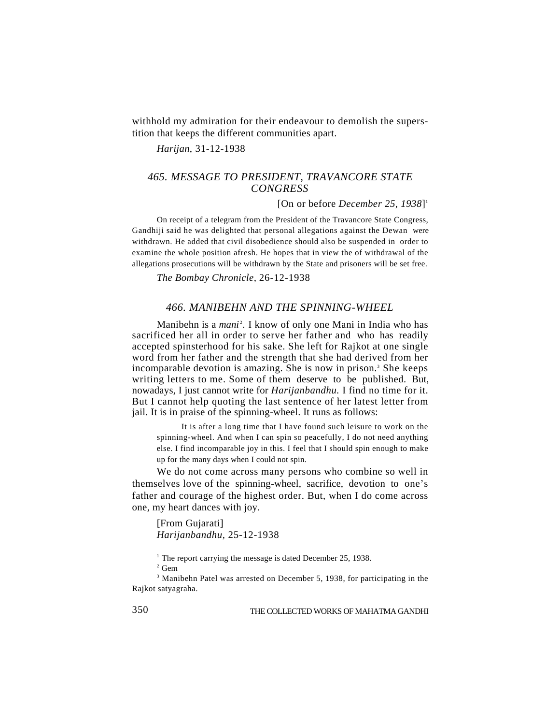withhold my admiration for their endeavour to demolish the superstition that keeps the different communities apart.

*Harijan*, 31-12-1938

# *465. MESSAGE TO PRESIDENT, TRAVANCORE STATE CONGRESS*

[On or before *December 25, 1938*] 1

On receipt of a telegram from the President of the Travancore State Congress, Gandhiji said he was delighted that personal allegations against the Dewan were withdrawn. He added that civil disobedience should also be suspended in order to examine the whole position afresh. He hopes that in view the of withdrawal of the allegations prosecutions will be withdrawn by the State and prisoners will be set free.

*The Bombay Chronicle,* 26-12-1938

# *466. MANIBEHN AND THE SPINNING-WHEEL*

Manibehn is a *mani*<sup>2</sup>. I know of only one Mani in India who has sacrificed her all in order to serve her father and who has readily accepted spinsterhood for his sake. She left for Rajkot at one single word from her father and the strength that she had derived from her incomparable devotion is amazing. She is now in prison.<sup>3</sup> She keeps writing letters to me. Some of them deserve to be published. But, nowadays, I just cannot write for *Harijanbandhu.* I find no time for it. But I cannot help quoting the last sentence of her latest letter from jail. It is in praise of the spinning-wheel. It runs as follows:

It is after a long time that I have found such leisure to work on the spinning-wheel. And when I can spin so peacefully, I do not need anything else. I find incomparable joy in this. I feel that I should spin enough to make up for the many days when I could not spin.

We do not come across many persons who combine so well in themselves love of the spinning-wheel, sacrifice, devotion to one's father and courage of the highest order. But, when I do come across one, my heart dances with joy.

[From Gujarati] *Harijanbandhu,* 25-12-1938

<sup>1</sup> The report carrying the message is dated December 25, 1938.

 $2$  Gem

<sup>3</sup> Manibehn Patel was arrested on December 5, 1938, for participating in the Rajkot satyagraha.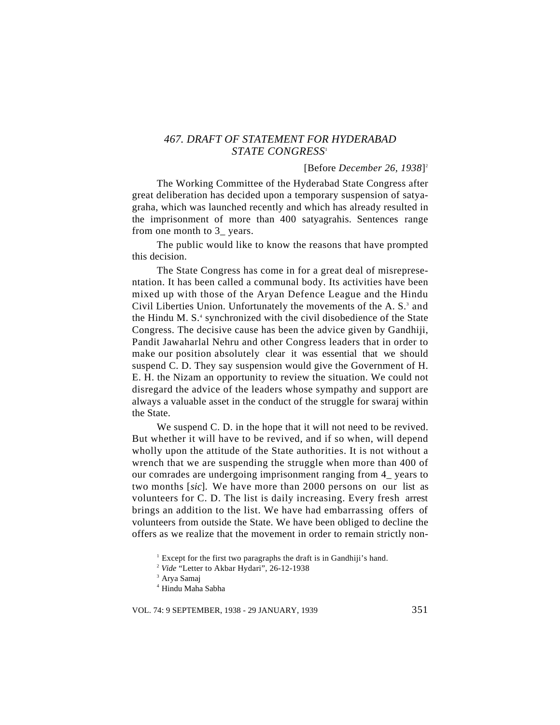# *467. DRAFT OF STATEMENT FOR HYDERABAD STATE CONGRESS*<sup>1</sup>

#### [Before *December 26, 1938*] 2

The Working Committee of the Hyderabad State Congress after great deliberation has decided upon a temporary suspension of satyagraha, which was launched recently and which has already resulted in the imprisonment of more than 400 satyagrahis. Sentences range from one month to 3\_ years.

The public would like to know the reasons that have prompted this decision.

The State Congress has come in for a great deal of misrepresentation. It has been called a communal body. Its activities have been mixed up with those of the Aryan Defence League and the Hindu Civil Liberties Union. Unfortunately the movements of the A. S.<sup>3</sup> and the Hindu M. S.<sup>4</sup> synchronized with the civil disobedience of the State Congress. The decisive cause has been the advice given by Gandhiji, Pandit Jawaharlal Nehru and other Congress leaders that in order to make our position absolutely clear it was essential that we should suspend C. D. They say suspension would give the Government of H. E. H. the Nizam an opportunity to review the situation. We could not disregard the advice of the leaders whose sympathy and support are always a valuable asset in the conduct of the struggle for swaraj within the State.

We suspend C. D. in the hope that it will not need to be revived. But whether it will have to be revived, and if so when, will depend wholly upon the attitude of the State authorities. It is not without a wrench that we are suspending the struggle when more than 400 of our comrades are undergoing imprisonment ranging from 4\_ years to two months [*sic*]*.* We have more than 2000 persons on our list as volunteers for C. D. The list is daily increasing. Every fresh arrest brings an addition to the list. We have had embarrassing offers of volunteers from outside the State. We have been obliged to decline the offers as we realize that the movement in order to remain strictly non-

 $1$  Except for the first two paragraphs the draft is in Gandhiji's hand.

<sup>&</sup>lt;sup>2</sup> Vide "Letter to Akbar Hydari", 26-12-1938

<sup>3</sup> Arya Samaj

<sup>4</sup> Hindu Maha Sabha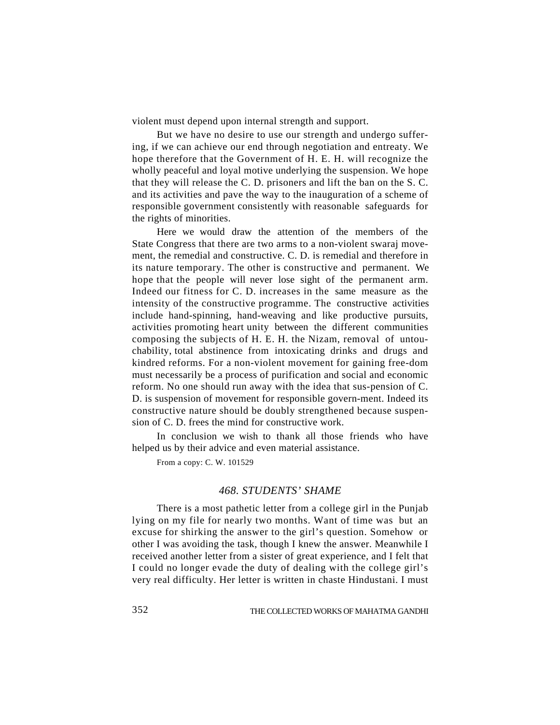violent must depend upon internal strength and support.

But we have no desire to use our strength and undergo suffering, if we can achieve our end through negotiation and entreaty. We hope therefore that the Government of H. E. H. will recognize the wholly peaceful and loyal motive underlying the suspension. We hope that they will release the C. D. prisoners and lift the ban on the S. C. and its activities and pave the way to the inauguration of a scheme of responsible government consistently with reasonable safeguards for the rights of minorities.

Here we would draw the attention of the members of the State Congress that there are two arms to a non-violent swaraj movement, the remedial and constructive. C. D. is remedial and therefore in its nature temporary. The other is constructive and permanent. We hope that the people will never lose sight of the permanent arm. Indeed our fitness for C. D. increases in the same measure as the intensity of the constructive programme. The constructive activities include hand-spinning, hand-weaving and like productive pursuits, activities promoting heart unity between the different communities composing the subjects of H. E. H. the Nizam, removal of untouchability, total abstinence from intoxicating drinks and drugs and kindred reforms. For a non-violent movement for gaining free-dom must necessarily be a process of purification and social and economic reform. No one should run away with the idea that sus-pension of C. D. is suspension of movement for responsible govern-ment. Indeed its constructive nature should be doubly strengthened because suspension of C. D. frees the mind for constructive work.

In conclusion we wish to thank all those friends who have helped us by their advice and even material assistance.

From a copy: C. W. 101529

## *468. STUDENTS' SHAME*

There is a most pathetic letter from a college girl in the Punjab lying on my file for nearly two months. Want of time was but an excuse for shirking the answer to the girl's question. Somehow or other I was avoiding the task, though I knew the answer. Meanwhile I received another letter from a sister of great experience, and I felt that I could no longer evade the duty of dealing with the college girl's very real difficulty. Her letter is written in chaste Hindustani. I must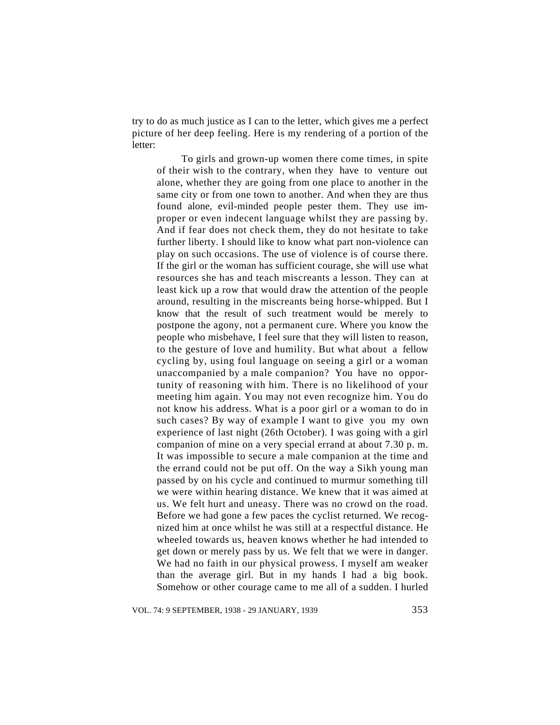try to do as much justice as I can to the letter, which gives me a perfect picture of her deep feeling. Here is my rendering of a portion of the letter:

To girls and grown-up women there come times, in spite of their wish to the contrary, when they have to venture out alone, whether they are going from one place to another in the same city or from one town to another. And when they are thus found alone, evil-minded people pester them. They use improper or even indecent language whilst they are passing by. And if fear does not check them, they do not hesitate to take further liberty. I should like to know what part non-violence can play on such occasions. The use of violence is of course there. If the girl or the woman has sufficient courage, she will use what resources she has and teach miscreants a lesson. They can at least kick up a row that would draw the attention of the people around, resulting in the miscreants being horse-whipped. But I know that the result of such treatment would be merely to postpone the agony, not a permanent cure. Where you know the people who misbehave, I feel sure that they will listen to reason, to the gesture of love and humility. But what about a fellow cycling by, using foul language on seeing a girl or a woman unaccompanied by a male companion? You have no opportunity of reasoning with him. There is no likelihood of your meeting him again. You may not even recognize him. You do not know his address. What is a poor girl or a woman to do in such cases? By way of example I want to give you my own experience of last night (26th October). I was going with a girl companion of mine on a very special errand at about 7.30 p. m. It was impossible to secure a male companion at the time and the errand could not be put off. On the way a Sikh young man passed by on his cycle and continued to murmur something till we were within hearing distance. We knew that it was aimed at us. We felt hurt and uneasy. There was no crowd on the road. Before we had gone a few paces the cyclist returned. We recognized him at once whilst he was still at a respectful distance. He wheeled towards us, heaven knows whether he had intended to get down or merely pass by us. We felt that we were in danger. We had no faith in our physical prowess. I myself am weaker than the average girl. But in my hands I had a big book. Somehow or other courage came to me all of a sudden. I hurled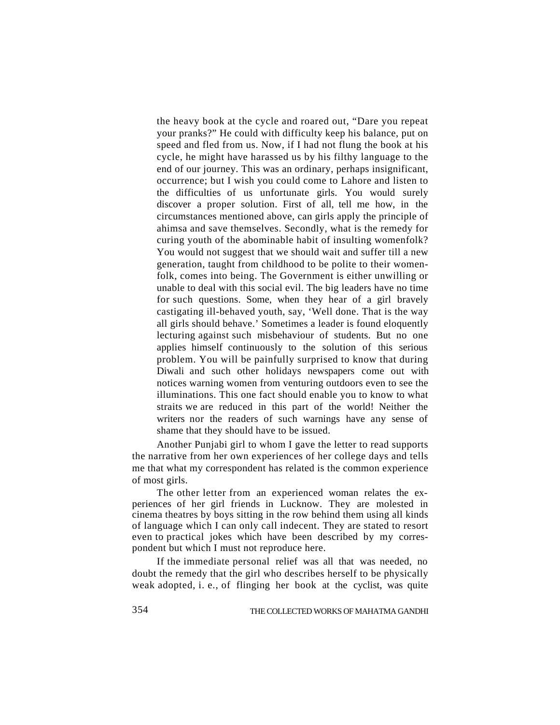the heavy book at the cycle and roared out, "Dare you repeat your pranks?" He could with difficulty keep his balance, put on speed and fled from us. Now, if I had not flung the book at his cycle, he might have harassed us by his filthy language to the end of our journey. This was an ordinary, perhaps insignificant, occurrence; but I wish you could come to Lahore and listen to the difficulties of us unfortunate girls. You would surely discover a proper solution. First of all, tell me how, in the circumstances mentioned above, can girls apply the principle of ahimsa and save themselves. Secondly, what is the remedy for curing youth of the abominable habit of insulting womenfolk? You would not suggest that we should wait and suffer till a new generation, taught from childhood to be polite to their womenfolk, comes into being. The Government is either unwilling or unable to deal with this social evil. The big leaders have no time for such questions. Some, when they hear of a girl bravely castigating ill-behaved youth, say, 'Well done. That is the way all girls should behave.' Sometimes a leader is found eloquently lecturing against such misbehaviour of students. But no one applies himself continuously to the solution of this serious problem. You will be painfully surprised to know that during Diwali and such other holidays newspapers come out with notices warning women from venturing outdoors even to see the illuminations. This one fact should enable you to know to what straits we are reduced in this part of the world! Neither the writers nor the readers of such warnings have any sense of shame that they should have to be issued.

Another Punjabi girl to whom I gave the letter to read supports the narrative from her own experiences of her college days and tells me that what my correspondent has related is the common experience of most girls.

The other letter from an experienced woman relates the experiences of her girl friends in Lucknow. They are molested in cinema theatres by boys sitting in the row behind them using all kinds of language which I can only call indecent. They are stated to resort even to practical jokes which have been described by my correspondent but which I must not reproduce here.

If the immediate personal relief was all that was needed, no doubt the remedy that the girl who describes herself to be physically weak adopted, i. e., of flinging her book at the cyclist, was quite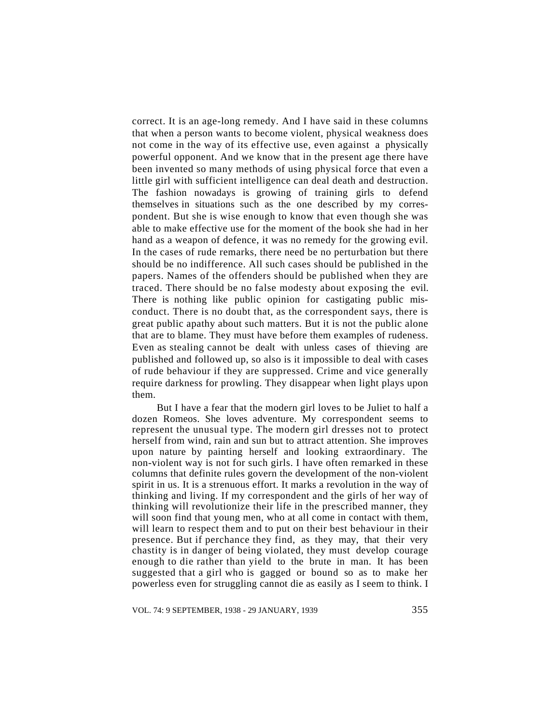correct. It is an age-long remedy. And I have said in these columns that when a person wants to become violent, physical weakness does not come in the way of its effective use, even against a physically powerful opponent. And we know that in the present age there have been invented so many methods of using physical force that even a little girl with sufficient intelligence can deal death and destruction. The fashion nowadays is growing of training girls to defend themselves in situations such as the one described by my correspondent. But she is wise enough to know that even though she was able to make effective use for the moment of the book she had in her hand as a weapon of defence, it was no remedy for the growing evil. In the cases of rude remarks, there need be no perturbation but there should be no indifference. All such cases should be published in the papers. Names of the offenders should be published when they are traced. There should be no false modesty about exposing the evil. There is nothing like public opinion for castigating public misconduct. There is no doubt that, as the correspondent says, there is great public apathy about such matters. But it is not the public alone that are to blame. They must have before them examples of rudeness. Even as stealing cannot be dealt with unless cases of thieving are published and followed up, so also is it impossible to deal with cases of rude behaviour if they are suppressed. Crime and vice generally require darkness for prowling. They disappear when light plays upon them.

But I have a fear that the modern girl loves to be Juliet to half a dozen Romeos. She loves adventure. My correspondent seems to represent the unusual type. The modern girl dresses not to protect herself from wind, rain and sun but to attract attention. She improves upon nature by painting herself and looking extraordinary. The non-violent way is not for such girls. I have often remarked in these columns that definite rules govern the development of the non-violent spirit in us. It is a strenuous effort. It marks a revolution in the way of thinking and living. If my correspondent and the girls of her way of thinking will revolutionize their life in the prescribed manner, they will soon find that young men, who at all come in contact with them, will learn to respect them and to put on their best behaviour in their presence. But if perchance they find, as they may, that their very chastity is in danger of being violated, they must develop courage enough to die rather than yield to the brute in man. It has been suggested that a girl who is gagged or bound so as to make her powerless even for struggling cannot die as easily as I seem to think. I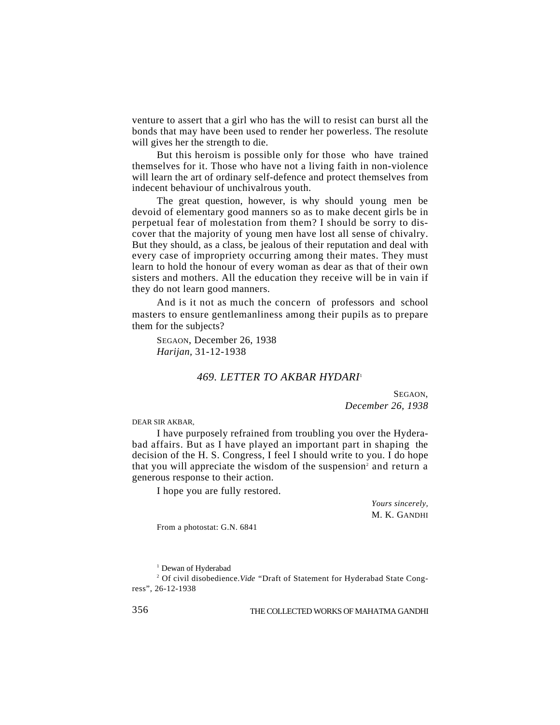venture to assert that a girl who has the will to resist can burst all the bonds that may have been used to render her powerless. The resolute will gives her the strength to die.

But this heroism is possible only for those who have trained themselves for it. Those who have not a living faith in non-violence will learn the art of ordinary self-defence and protect themselves from indecent behaviour of unchivalrous youth.

The great question, however, is why should young men be devoid of elementary good manners so as to make decent girls be in perpetual fear of molestation from them? I should be sorry to discover that the majority of young men have lost all sense of chivalry. But they should, as a class, be jealous of their reputation and deal with every case of impropriety occurring among their mates. They must learn to hold the honour of every woman as dear as that of their own sisters and mothers. All the education they receive will be in vain if they do not learn good manners.

And is it not as much the concern of professors and school masters to ensure gentlemanliness among their pupils as to prepare them for the subjects?

SEGAON, December 26, 1938 *Harijan,* 31-12-1938

## *469. LETTER TO AKBAR HYDARI*<sup>1</sup>

SEGAON, *December 26, 1938*

DEAR SIR AKBAR,

I have purposely refrained from troubling you over the Hyderabad affairs. But as I have played an important part in shaping the decision of the H. S. Congress, I feel I should write to you. I do hope that you will appreciate the wisdom of the suspension<sup>2</sup> and return a generous response to their action.

I hope you are fully restored.

*Yours sincerely,* M. K. GANDHI

From a photostat: G.N. 6841

<sup>1</sup> Dewan of Hyderabad

<sup>2</sup> Of civil disobedience. Vide "Draft of Statement for Hyderabad State Congress", 26-12-1938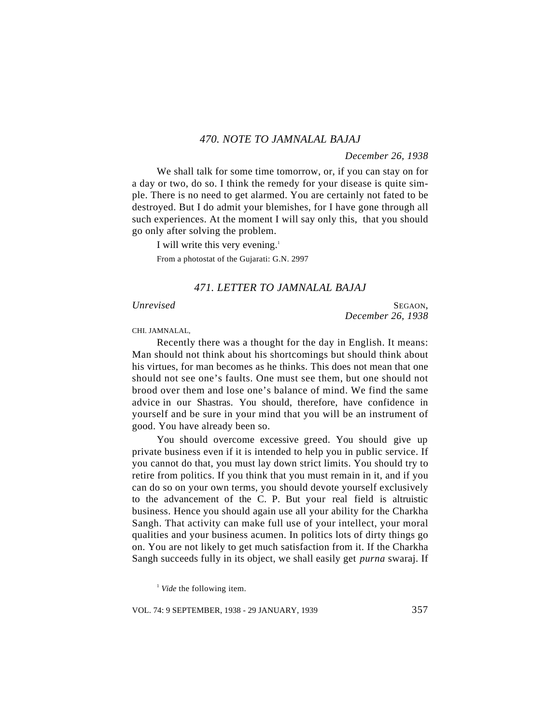## *470. NOTE TO JAMNALAL BAJAJ*

#### *December 26, 1938*

We shall talk for some time tomorrow, or, if you can stay on for a day or two, do so. I think the remedy for your disease is quite simple. There is no need to get alarmed. You are certainly not fated to be destroyed. But I do admit your blemishes, for I have gone through all such experiences. At the moment I will say only this, that you should go only after solving the problem.

I will write this very evening.<sup>1</sup>

From a photostat of the Gujarati: G.N. 2997

## *471. LETTER TO JAMNALAL BAJAJ*

*Unrevised* SEGAON, SEGAON *December 26, 1938*

#### CHI. JAMNALAL,

Recently there was a thought for the day in English. It means: Man should not think about his shortcomings but should think about his virtues, for man becomes as he thinks. This does not mean that one should not see one's faults. One must see them, but one should not brood over them and lose one's balance of mind. We find the same advice in our Shastras. You should, therefore, have confidence in yourself and be sure in your mind that you will be an instrument of good. You have already been so.

You should overcome excessive greed. You should give up private business even if it is intended to help you in public service. If you cannot do that, you must lay down strict limits. You should try to retire from politics. If you think that you must remain in it, and if you can do so on your own terms, you should devote yourself exclusively to the advancement of the C. P. But your real field is altruistic business. Hence you should again use all your ability for the Charkha Sangh. That activity can make full use of your intellect, your moral qualities and your business acumen. In politics lots of dirty things go on. You are not likely to get much satisfaction from it. If the Charkha Sangh succeeds fully in its object, we shall easily get *purna* swaraj. If

<sup>1</sup> *Vide* the following item.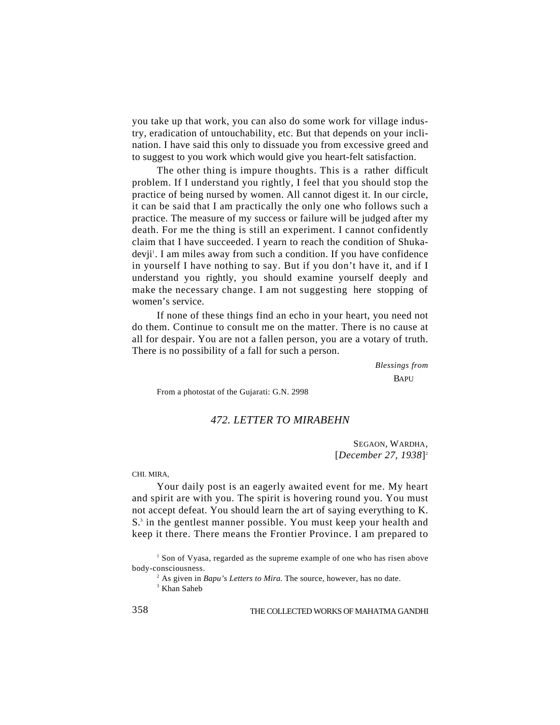you take up that work, you can also do some work for village industry, eradication of untouchability, etc. But that depends on your inclination. I have said this only to dissuade you from excessive greed and to suggest to you work which would give you heart-felt satisfaction.

The other thing is impure thoughts. This is a rather difficult problem. If I understand you rightly, I feel that you should stop the practice of being nursed by women. All cannot digest it. In our circle, it can be said that I am practically the only one who follows such a practice. The measure of my success or failure will be judged after my death. For me the thing is still an experiment. I cannot confidently claim that I have succeeded. I yearn to reach the condition of Shukadevji<sup>1</sup>. I am miles away from such a condition. If you have confidence in yourself I have nothing to say. But if you don't have it, and if I understand you rightly, you should examine yourself deeply and make the necessary change. I am not suggesting here stopping of women's service.

If none of these things find an echo in your heart, you need not do them. Continue to consult me on the matter. There is no cause at all for despair. You are not a fallen person, you are a votary of truth. There is no possibility of a fall for such a person.

> *Blessings from* **BAPU**

From a photostat of the Gujarati: G.N. 2998

## *472. LETTER TO MIRABEHN*

SEGAON, WARDHA, [*December 27, 1938*] 2

CHI. MIRA,

Your daily post is an eagerly awaited event for me. My heart and spirit are with you. The spirit is hovering round you. You must not accept defeat. You should learn the art of saying everything to K. S.<sup>3</sup> in the gentlest manner possible. You must keep your health and keep it there. There means the Frontier Province. I am prepared to

<sup>&</sup>lt;sup>1</sup> Son of Vyasa, regarded as the supreme example of one who has risen above body-consciousness.

<sup>&</sup>lt;sup>2</sup> As given in *Bapu's Letters to Mira*. The source, however, has no date. <sup>3</sup> Khan Saheb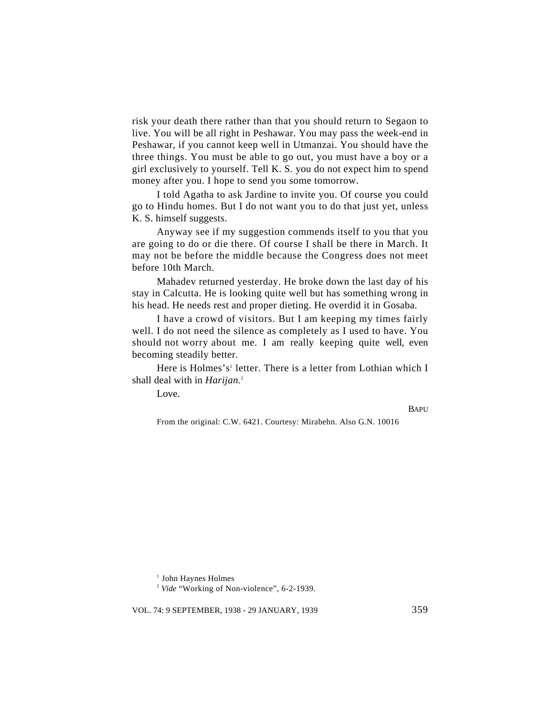risk your death there rather than that you should return to Segaon to live. You will be all right in Peshawar. You may pass the week-end in Peshawar, if you cannot keep well in Utmanzai. You should have the three things. You must be able to go out, you must have a boy or a girl exclusively to yourself. Tell K. S. you do not expect him to spend money after you. I hope to send you some tomorrow.

I told Agatha to ask Jardine to invite you. Of course you could go to Hindu homes. But I do not want you to do that just yet, unless K. S. himself suggests.

Anyway see if my suggestion commends itself to you that you are going to do or die there. Of course I shall be there in March. It may not be before the middle because the Congress does not meet before 10th March.

Mahadev returned yesterday. He broke down the last day of his stay in Calcutta. He is looking quite well but has something wrong in his head. He needs rest and proper dieting. He overdid it in Gosaba.

I have a crowd of visitors. But I am keeping my times fairly well. I do not need the silence as completely as I used to have. You should not worry about me. I am really keeping quite well, even becoming steadily better.

Here is Holmes's<sup>1</sup> letter. There is a letter from Lothian which I shall deal with in *Harijan.*<sup>2</sup>

Love.

**BAPU** 

From the original: C.W. 6421. Courtesy: Mirabehn. Also G.N. 10016

<sup>1</sup> John Haynes Holmes

<sup>2</sup> *Vide* "Working of Non-violence", 6-2-1939.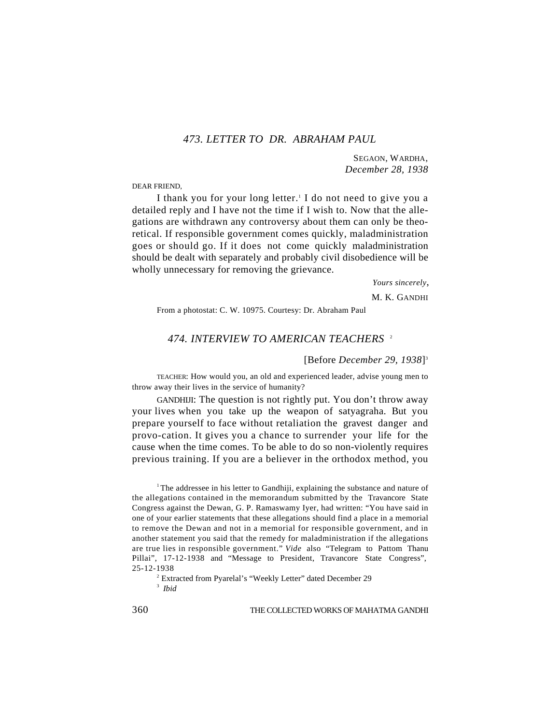## *473. LETTER TO DR. ABRAHAM PAUL*

SEGAON, WARDHA, *December 28, 1938*

DEAR FRIEND,

I thank you for your long letter.<sup>1</sup> I do not need to give you a detailed reply and I have not the time if I wish to. Now that the allegations are withdrawn any controversy about them can only be theoretical. If responsible government comes quickly, maladministration goes or should go. If it does not come quickly maladministration should be dealt with separately and probably civil disobedience will be wholly unnecessary for removing the grievance.

> *Yours sincerely*, M. K. GANDHI

From a photostat: C. W. 10975. Courtesy: Dr. Abraham Paul

# *474. INTERVIEW TO AMERICAN TEACHERS* <sup>2</sup>

#### [Before *December 29, 1938*] 3

TEACHER: How would you, an old and experienced leader, advise young men to throw away their lives in the service of humanity?

GANDHIJI: The question is not rightly put. You don't throw away your lives when you take up the weapon of satyagraha. But you prepare yourself to face without retaliation the gravest danger and provo-cation. It gives you a chance to surrender your life for the cause when the time comes. To be able to do so non-violently requires previous training. If you are a believer in the orthodox method, you

<sup>1</sup>The addressee in his letter to Gandhiji, explaining the substance and nature of the allegations contained in the memorandum submitted by the Travancore State Congress against the Dewan, G. P. Ramaswamy Iyer, had written: "You have said in one of your earlier statements that these allegations should find a place in a memorial to remove the Dewan and not in a memorial for responsible government, and in another statement you said that the remedy for maladministration if the allegations are true lies in responsible government." *Vide* also "Telegram to Pattom Thanu Pillai", 17-12-1938 and "Message to President, Travancore State Congress", 25-12-1938

<sup>2</sup> Extracted from Pyarelal's "Weekly Letter" dated December 29 3 *Ibid*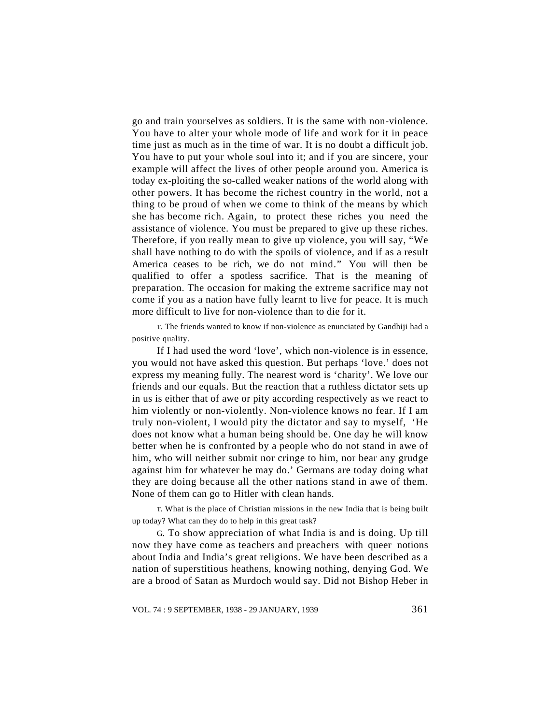go and train yourselves as soldiers. It is the same with non-violence. You have to alter your whole mode of life and work for it in peace time just as much as in the time of war. It is no doubt a difficult job. You have to put your whole soul into it; and if you are sincere, your example will affect the lives of other people around you. America is today ex-ploiting the so-called weaker nations of the world along with other powers. It has become the richest country in the world, not a thing to be proud of when we come to think of the means by which she has become rich. Again, to protect these riches you need the assistance of violence. You must be prepared to give up these riches. Therefore, if you really mean to give up violence, you will say, "We shall have nothing to do with the spoils of violence, and if as a result America ceases to be rich, we do not mind." You will then be qualified to offer a spotless sacrifice. That is the meaning of preparation. The occasion for making the extreme sacrifice may not come if you as a nation have fully learnt to live for peace. It is much more difficult to live for non-violence than to die for it.

T. The friends wanted to know if non-violence as enunciated by Gandhiji had a positive quality.

If I had used the word 'love', which non-violence is in essence, you would not have asked this question. But perhaps 'love.' does not express my meaning fully. The nearest word is 'charity'. We love our friends and our equals. But the reaction that a ruthless dictator sets up in us is either that of awe or pity according respectively as we react to him violently or non-violently. Non-violence knows no fear. If I am truly non-violent, I would pity the dictator and say to myself, 'He does not know what a human being should be. One day he will know better when he is confronted by a people who do not stand in awe of him, who will neither submit nor cringe to him, nor bear any grudge against him for whatever he may do.' Germans are today doing what they are doing because all the other nations stand in awe of them. None of them can go to Hitler with clean hands.

T. What is the place of Christian missions in the new India that is being built up today? What can they do to help in this great task?

G. To show appreciation of what India is and is doing. Up till now they have come as teachers and preachers with queer notions about India and India's great religions. We have been described as a nation of superstitious heathens, knowing nothing, denying God. We are a brood of Satan as Murdoch would say. Did not Bishop Heber in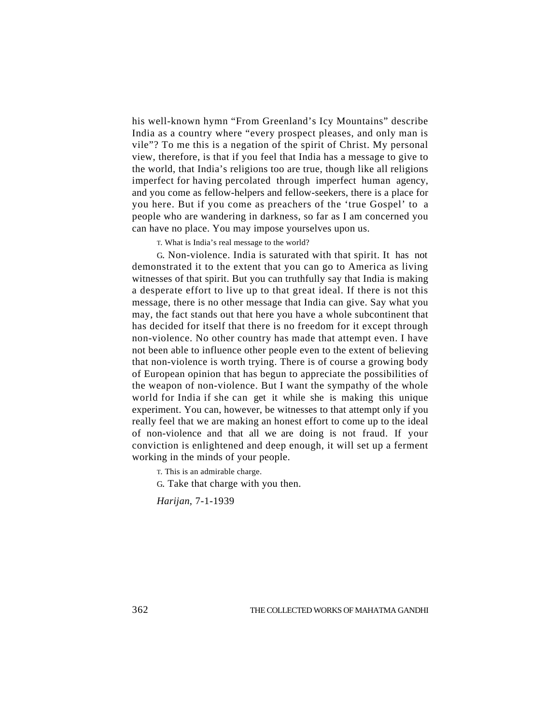his well-known hymn "From Greenland's Icy Mountains" describe India as a country where "every prospect pleases, and only man is vile"? To me this is a negation of the spirit of Christ. My personal view, therefore, is that if you feel that India has a message to give to the world, that India's religions too are true, though like all religions imperfect for having percolated through imperfect human agency, and you come as fellow-helpers and fellow-seekers, there is a place for you here. But if you come as preachers of the 'true Gospel' to a people who are wandering in darkness, so far as I am concerned you can have no place. You may impose yourselves upon us.

T. What is India's real message to the world?

G. Non-violence. India is saturated with that spirit. It has not demonstrated it to the extent that you can go to America as living witnesses of that spirit. But you can truthfully say that India is making a desperate effort to live up to that great ideal. If there is not this message, there is no other message that India can give. Say what you may, the fact stands out that here you have a whole subcontinent that has decided for itself that there is no freedom for it except through non-violence. No other country has made that attempt even. I have not been able to influence other people even to the extent of believing that non-violence is worth trying. There is of course a growing body of European opinion that has begun to appreciate the possibilities of the weapon of non-violence. But I want the sympathy of the whole world for India if she can get it while she is making this unique experiment. You can, however, be witnesses to that attempt only if you really feel that we are making an honest effort to come up to the ideal of non-violence and that all we are doing is not fraud. If your conviction is enlightened and deep enough, it will set up a ferment working in the minds of your people.

T. This is an admirable charge.

G. Take that charge with you then.

*Harijan*, 7-1-1939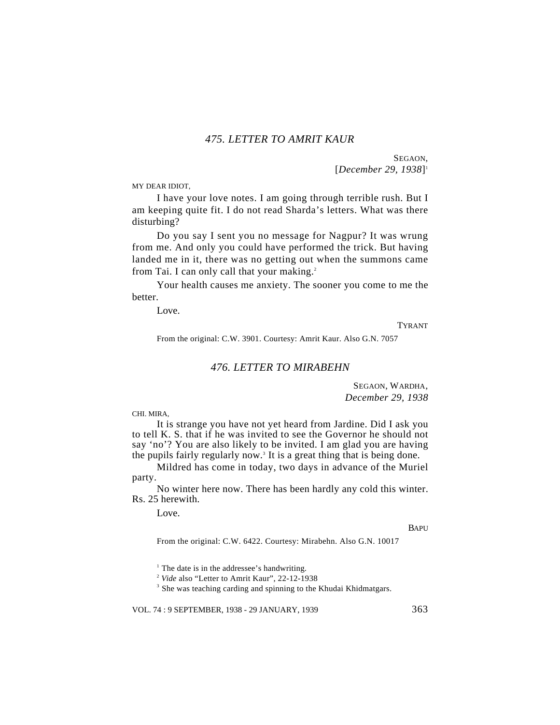SEGAON, [*December 29, 1938*] 1

MY DEAR IDIOT,

I have your love notes. I am going through terrible rush. But I am keeping quite fit. I do not read Sharda's letters. What was there disturbing?

Do you say I sent you no message for Nagpur? It was wrung from me. And only you could have performed the trick. But having landed me in it, there was no getting out when the summons came from Tai. I can only call that your making.<sup>2</sup>

Your health causes me anxiety. The sooner you come to me the better.

Love.

TYRANT

From the original: C.W. 3901. Courtesy: Amrit Kaur. Also G.N. 7057

### *476. LETTER TO MIRABEHN*

SEGAON, WARDHA, *December 29, 1938*

CHI. MIRA,

It is strange you have not yet heard from Jardine. Did I ask you to tell K. S. that if he was invited to see the Governor he should not say 'no'? You are also likely to be invited. I am glad you are having the pupils fairly regularly now.<sup>3</sup> It is a great thing that is being done.

Mildred has come in today, two days in advance of the Muriel party.

No winter here now. There has been hardly any cold this winter. Rs. 25 herewith.

Love.

**BAPU** 

From the original: C.W. 6422. Courtesy: Mirabehn. Also G.N. 10017

<sup>1</sup> The date is in the addressee's handwriting.

<sup>2</sup> *Vide* also "Letter to Amrit Kaur", 22-12-1938

<sup>3</sup> She was teaching carding and spinning to the Khudai Khidmatgars.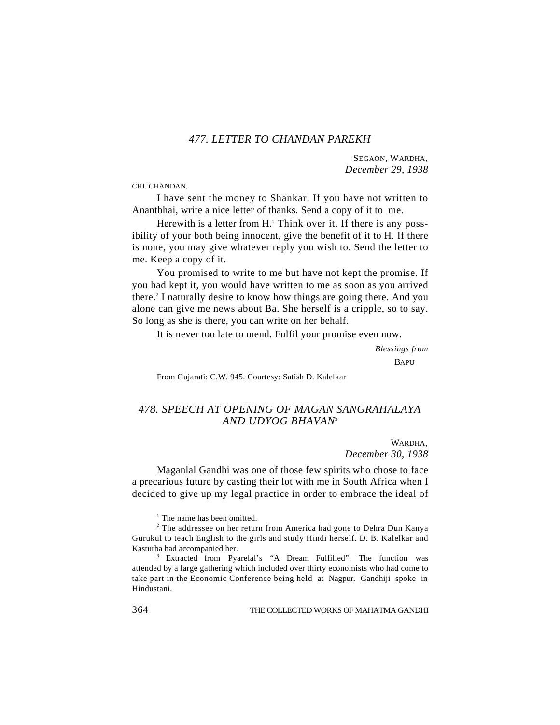## *477. LETTER TO CHANDAN PAREKH*

SEGAON, WARDHA, *December 29, 1938*

CHI. CHANDAN,

I have sent the money to Shankar. If you have not written to Anantbhai, write a nice letter of thanks. Send a copy of it to me.

Herewith is a letter from H.<sup>1</sup> Think over it. If there is any possibility of your both being innocent, give the benefit of it to H. If there is none, you may give whatever reply you wish to. Send the letter to me. Keep a copy of it.

You promised to write to me but have not kept the promise. If you had kept it, you would have written to me as soon as you arrived there.<sup>2</sup> I naturally desire to know how things are going there. And you alone can give me news about Ba. She herself is a cripple, so to say. So long as she is there, you can write on her behalf.

It is never too late to mend. Fulfil your promise even now.

*Blessings from*

**BAPU** 

From Gujarati: C.W. 945. Courtesy: Satish D. Kalelkar

# *478. SPEECH AT OPENING OF MAGAN SANGRAHALAYA AND UDYOG BHAVAN*<sup>3</sup>

WARDHA, *December 30, 1938*

Maganlal Gandhi was one of those few spirits who chose to face a precarious future by casting their lot with me in South Africa when I decided to give up my legal practice in order to embrace the ideal of

<sup>1</sup> The name has been omitted.

<sup>2</sup> The addressee on her return from America had gone to Dehra Dun Kanya Gurukul to teach English to the girls and study Hindi herself. D. B. Kalelkar and Kasturba had accompanied her.

<sup>3</sup> Extracted from Pyarelal's "A Dream Fulfilled". The function was attended by a large gathering which included over thirty economists who had come to take part in the Economic Conference being held at Nagpur. Gandhiji spoke in Hindustani.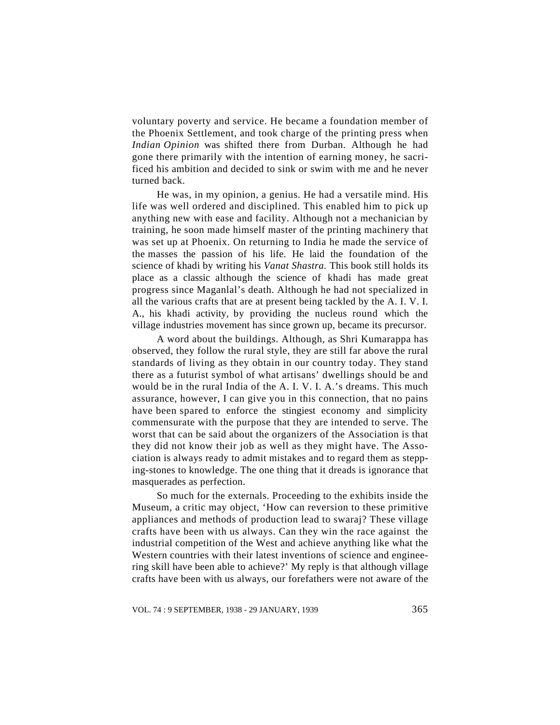voluntary poverty and service. He became a foundation member of the Phoenix Settlement, and took charge of the printing press when *Indian Opinion* was shifted there from Durban. Although he had gone there primarily with the intention of earning money, he sacrificed his ambition and decided to sink or swim with me and he never turned back.

He was, in my opinion, a genius. He had a versatile mind. His life was well ordered and disciplined. This enabled him to pick up anything new with ease and facility. Although not a mechanician by training, he soon made himself master of the printing machinery that was set up at Phoenix. On returning to India he made the service of the masses the passion of his life. He laid the foundation of the science of khadi by writing his *Vanat Shastra.* This book still holds its place as a classic although the science of khadi has made great progress since Maganlal's death. Although he had not specialized in all the various crafts that are at present being tackled by the A. I. V. I. A., his khadi activity, by providing the nucleus round which the village industries movement has since grown up, became its precursor.

A word about the buildings. Although, as Shri Kumarappa has observed, they follow the rural style, they are still far above the rural standards of living as they obtain in our country today. They stand there as a futurist symbol of what artisans' dwellings should be and would be in the rural India of the A. I. V. I. A.'s dreams. This much assurance, however, I can give you in this connection, that no pains have been spared to enforce the stingiest economy and simplicity commensurate with the purpose that they are intended to serve. The worst that can be said about the organizers of the Association is that they did not know their job as well as they might have. The Association is always ready to admit mistakes and to regard them as stepping-stones to knowledge. The one thing that it dreads is ignorance that masquerades as perfection.

So much for the externals. Proceeding to the exhibits inside the Museum, a critic may object, 'How can reversion to these primitive appliances and methods of production lead to swaraj? These village crafts have been with us always. Can they win the race against the industrial competition of the West and achieve anything like what the Western countries with their latest inventions of science and engineering skill have been able to achieve?' My reply is that although village crafts have been with us always, our forefathers were not aware of the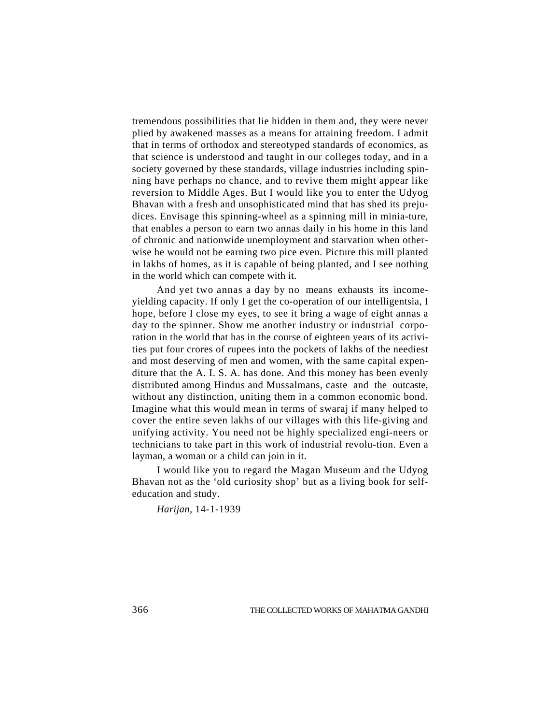tremendous possibilities that lie hidden in them and, they were never plied by awakened masses as a means for attaining freedom. I admit that in terms of orthodox and stereotyped standards of economics, as that science is understood and taught in our colleges today, and in a society governed by these standards, village industries including spinning have perhaps no chance, and to revive them might appear like reversion to Middle Ages. But I would like you to enter the Udyog Bhavan with a fresh and unsophisticated mind that has shed its prejudices. Envisage this spinning-wheel as a spinning mill in minia-ture, that enables a person to earn two annas daily in his home in this land of chronic and nationwide unemployment and starvation when otherwise he would not be earning two pice even. Picture this mill planted in lakhs of homes, as it is capable of being planted, and I see nothing in the world which can compete with it.

And yet two annas a day by no means exhausts its incomeyielding capacity. If only I get the co-operation of our intelligentsia, I hope, before I close my eyes, to see it bring a wage of eight annas a day to the spinner. Show me another industry or industrial corporation in the world that has in the course of eighteen years of its activities put four crores of rupees into the pockets of lakhs of the neediest and most deserving of men and women, with the same capital expenditure that the A. I. S. A. has done. And this money has been evenly distributed among Hindus and Mussalmans, caste and the outcaste, without any distinction, uniting them in a common economic bond. Imagine what this would mean in terms of swaraj if many helped to cover the entire seven lakhs of our villages with this life-giving and unifying activity. You need not be highly specialized engi-neers or technicians to take part in this work of industrial revolu-tion. Even a layman, a woman or a child can join in it.

I would like you to regard the Magan Museum and the Udyog Bhavan not as the 'old curiosity shop' but as a living book for selfeducation and study.

*Harijan,* 14-1-1939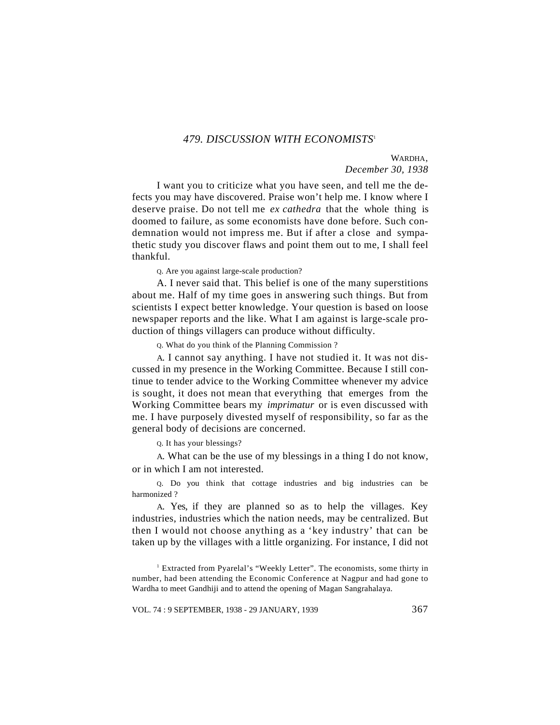## *479. DISCUSSION WITH ECONOMISTS*<sup>1</sup>

WARDHA, *December 30, 1938*

I want you to criticize what you have seen, and tell me the defects you may have discovered. Praise won't help me. I know where I deserve praise. Do not tell me *ex cathedra* that the whole thing is doomed to failure, as some economists have done before. Such condemnation would not impress me. But if after a close and sympathetic study you discover flaws and point them out to me, I shall feel thankful.

Q. Are you against large-scale production?

A. I never said that. This belief is one of the many superstitions about me. Half of my time goes in answering such things. But from scientists I expect better knowledge. Your question is based on loose newspaper reports and the like. What I am against is large-scale production of things villagers can produce without difficulty.

Q. What do you think of the Planning Commission ?

A. I cannot say anything. I have not studied it. It was not discussed in my presence in the Working Committee. Because I still continue to tender advice to the Working Committee whenever my advice is sought, it does not mean that everything that emerges from the Working Committee bears my *imprimatur* or is even discussed with me. I have purposely divested myself of responsibility, so far as the general body of decisions are concerned.

Q. It has your blessings?

A. What can be the use of my blessings in a thing I do not know, or in which I am not interested.

Q. Do you think that cottage industries and big industries can be harmonized ?

A. Yes, if they are planned so as to help the villages. Key industries, industries which the nation needs, may be centralized. But then I would not choose anything as a 'key industry' that can be taken up by the villages with a little organizing. For instance, I did not

<sup>1</sup> Extracted from Pyarelal's "Weekly Letter". The economists, some thirty in number, had been attending the Economic Conference at Nagpur and had gone to Wardha to meet Gandhiji and to attend the opening of Magan Sangrahalaya.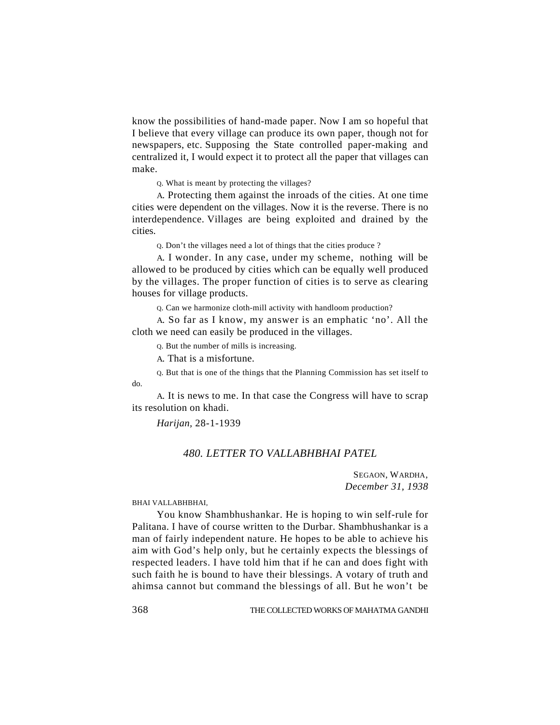know the possibilities of hand-made paper. Now I am so hopeful that I believe that every village can produce its own paper, though not for newspapers, etc. Supposing the State controlled paper-making and centralized it, I would expect it to protect all the paper that villages can make.

Q. What is meant by protecting the villages?

A. Protecting them against the inroads of the cities. At one time cities were dependent on the villages. Now it is the reverse. There is no interdependence. Villages are being exploited and drained by the cities.

Q. Don't the villages need a lot of things that the cities produce ?

A. I wonder. In any case, under my scheme, nothing will be allowed to be produced by cities which can be equally well produced by the villages. The proper function of cities is to serve as clearing houses for village products.

Q. Can we harmonize cloth-mill activity with handloom production?

A. So far as I know, my answer is an emphatic 'no'. All the cloth we need can easily be produced in the villages.

Q. But the number of mills is increasing.

A. That is a misfortune.

Q. But that is one of the things that the Planning Commission has set itself to do.

A. It is news to me. In that case the Congress will have to scrap its resolution on khadi.

*Harijan,* 28-1-1939

# *480. LETTER TO VALLABHBHAI PATEL*

SEGAON, WARDHA, *December 31, 1938*

BHAI VALLABHBHAI,

You know Shambhushankar. He is hoping to win self-rule for Palitana. I have of course written to the Durbar. Shambhushankar is a man of fairly independent nature. He hopes to be able to achieve his aim with God's help only, but he certainly expects the blessings of respected leaders. I have told him that if he can and does fight with such faith he is bound to have their blessings. A votary of truth and ahimsa cannot but command the blessings of all. But he won't be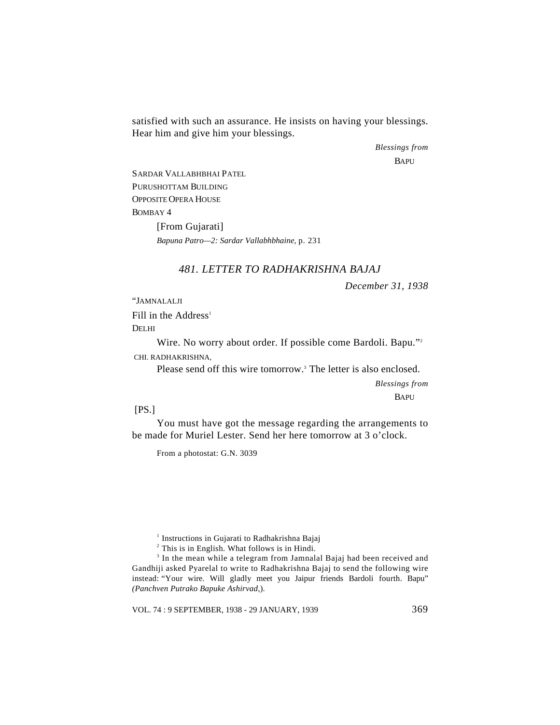satisfied with such an assurance. He insists on having your blessings. Hear him and give him your blessings.

> *Blessings from* **BAPU**

SARDAR VALLABHBHAI PATEL PURUSHOTTAM BUILDING OPPOSITE OPERA HOUSE BOMBAY 4

[From Gujarati] *Bapuna Patro—2: Sardar Vallabhbhaine,* p. 231

# *481. LETTER TO RADHAKRISHNA BAJAJ*

*December 31, 1938*

"JAMNALALJI Fill in the  $Address<sup>1</sup>$ DELHI

Wire. No worry about order. If possible come Bardoli. Bapu."<sup>2</sup> CHI. RADHAKRISHNA,

Please send off this wire tomorrow.<sup>3</sup> The letter is also enclosed.

*Blessings from*

BAPU

## [PS.]

You must have got the message regarding the arrangements to be made for Muriel Lester. Send her here tomorrow at 3 o'clock.

From a photostat: G.N. 3039

<sup>&</sup>lt;sup>1</sup> Instructions in Gujarati to Radhakrishna Bajaj

<sup>&</sup>lt;sup>2</sup> This is in English. What follows is in Hindi.

<sup>&</sup>lt;sup>3</sup> In the mean while a telegram from Jamnalal Bajaj had been received and Gandhiji asked Pyarelal to write to Radhakrishna Bajaj to send the following wire instead: "Your wire. Will gladly meet you Jaipur friends Bardoli fourth. Bapu" *(Panchven Putrako Bapuke Ashirvad,*).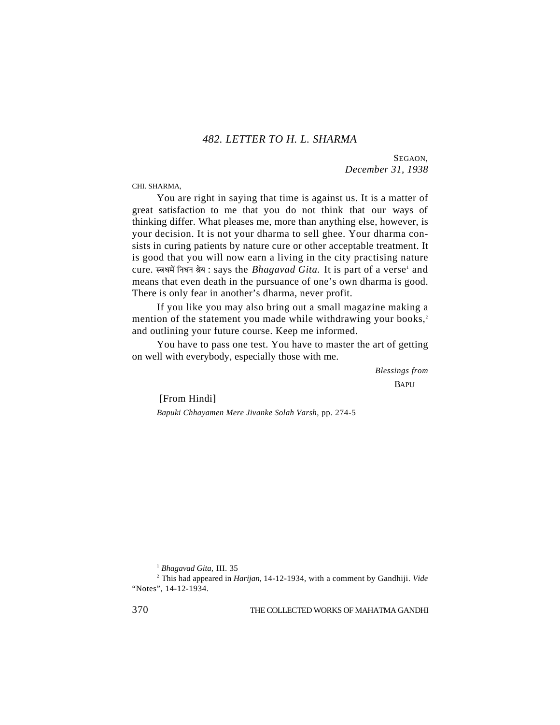# *482. LETTER TO H. L. SHARMA*

SEGAON, *December 31, 1938*

CHI. SHARMA,

You are right in saying that time is against us. It is a matter of great satisfaction to me that you do not think that our ways of thinking differ. What pleases me, more than anything else, however, is your decision. It is not your dharma to sell ghee. Your dharma consists in curing patients by nature cure or other acceptable treatment. It is good that you will now earn a living in the city practising nature cure. स्वधर्में निधन श्रेय : says the *Bhagavad Gita*. It is part of a verse<sup>1</sup> and means that even death in the pursuance of one's own dharma is good. There is only fear in another's dharma, never profit.

If you like you may also bring out a small magazine making a mention of the statement you made while withdrawing your books,<sup>2</sup> and outlining your future course. Keep me informed.

You have to pass one test. You have to master the art of getting on well with everybody, especially those with me.

> *Blessings from* BAPU

[From Hindi]

*Bapuki Chhayamen Mere Jivanke Solah Varsh*, pp. 274-5

<sup>1</sup> *Bhagavad Gita,* III. 35

2 This had appeared in *Harijan,* 14-12-1934, with a comment by Gandhiji. *Vide* "Notes", 14-12-1934.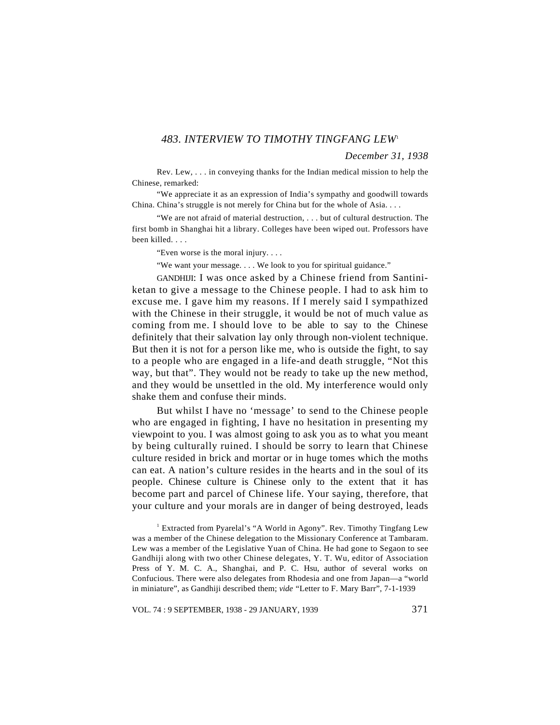## *483. INTERVIEW TO TIMOTHY TINGFANG LEW*<sup>1</sup>

#### *December 31, 1938*

Rev. Lew, . . . in conveying thanks for the Indian medical mission to help the Chinese, remarked:

"We appreciate it as an expression of India's sympathy and goodwill towards China. China's struggle is not merely for China but for the whole of Asia. . . .

"We are not afraid of material destruction, . . . but of cultural destruction. The first bomb in Shanghai hit a library. Colleges have been wiped out. Professors have been killed. . . .

"Even worse is the moral injury. . . .

"We want your message. . . . We look to you for spiritual guidance."

GANDHIJI: I was once asked by a Chinese friend from Santiniketan to give a message to the Chinese people. I had to ask him to excuse me. I gave him my reasons. If I merely said I sympathized with the Chinese in their struggle, it would be not of much value as coming from me. I should love to be able to say to the Chinese definitely that their salvation lay only through non-violent technique. But then it is not for a person like me, who is outside the fight, to say to a people who are engaged in a life-and death struggle, "Not this way, but that". They would not be ready to take up the new method, and they would be unsettled in the old. My interference would only shake them and confuse their minds.

But whilst I have no 'message' to send to the Chinese people who are engaged in fighting, I have no hesitation in presenting my viewpoint to you. I was almost going to ask you as to what you meant by being culturally ruined. I should be sorry to learn that Chinese culture resided in brick and mortar or in huge tomes which the moths can eat. A nation's culture resides in the hearts and in the soul of its people. Chinese culture is Chinese only to the extent that it has become part and parcel of Chinese life. Your saying, therefore, that your culture and your morals are in danger of being destroyed, leads

<sup>1</sup> Extracted from Pyarelal's "A World in Agony". Rev. Timothy Tingfang Lew was a member of the Chinese delegation to the Missionary Conference at Tambaram. Lew was a member of the Legislative Yuan of China. He had gone to Segaon to see Gandhiji along with two other Chinese delegates, Y. T. Wu, editor of Association Press of Y. M. C. A., Shanghai, and P. C. Hsu, author of several works on Confucious. There were also delegates from Rhodesia and one from Japan—a "world in miniature", as Gandhiji described them; *vide* "Letter to F. Mary Barr", 7-1-1939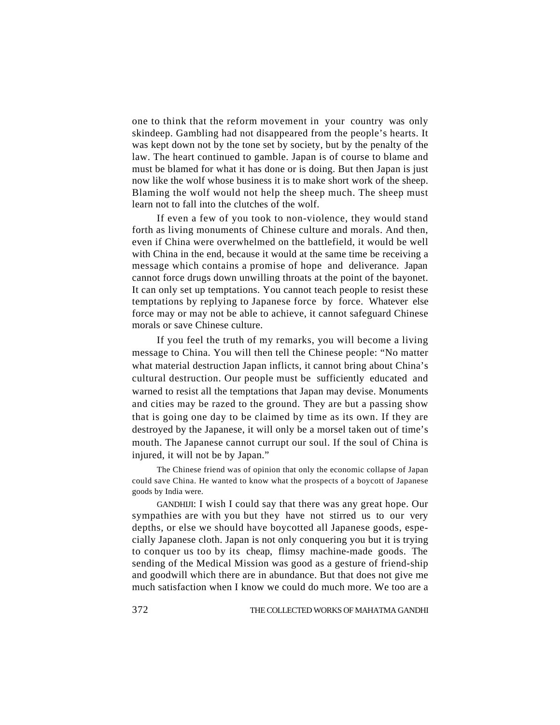one to think that the reform movement in your country was only skindeep. Gambling had not disappeared from the people's hearts. It was kept down not by the tone set by society, but by the penalty of the law. The heart continued to gamble. Japan is of course to blame and must be blamed for what it has done or is doing. But then Japan is just now like the wolf whose business it is to make short work of the sheep. Blaming the wolf would not help the sheep much. The sheep must learn not to fall into the clutches of the wolf.

If even a few of you took to non-violence, they would stand forth as living monuments of Chinese culture and morals. And then, even if China were overwhelmed on the battlefield, it would be well with China in the end, because it would at the same time be receiving a message which contains a promise of hope and deliverance. Japan cannot force drugs down unwilling throats at the point of the bayonet. It can only set up temptations. You cannot teach people to resist these temptations by replying to Japanese force by force. Whatever else force may or may not be able to achieve, it cannot safeguard Chinese morals or save Chinese culture.

If you feel the truth of my remarks, you will become a living message to China. You will then tell the Chinese people: "No matter what material destruction Japan inflicts, it cannot bring about China's cultural destruction. Our people must be sufficiently educated and warned to resist all the temptations that Japan may devise. Monuments and cities may be razed to the ground. They are but a passing show that is going one day to be claimed by time as its own. If they are destroyed by the Japanese, it will only be a morsel taken out of time's mouth. The Japanese cannot currupt our soul. If the soul of China is injured, it will not be by Japan."

The Chinese friend was of opinion that only the economic collapse of Japan could save China. He wanted to know what the prospects of a boycott of Japanese goods by India were.

GANDHIJI: I wish I could say that there was any great hope. Our sympathies are with you but they have not stirred us to our very depths, or else we should have boycotted all Japanese goods, especially Japanese cloth. Japan is not only conquering you but it is trying to conquer us too by its cheap, flimsy machine-made goods. The sending of the Medical Mission was good as a gesture of friend-ship and goodwill which there are in abundance. But that does not give me much satisfaction when I know we could do much more. We too are a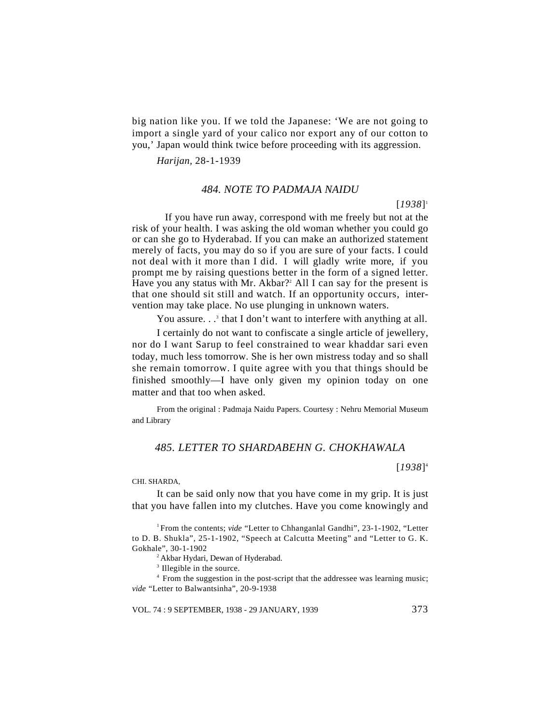big nation like you. If we told the Japanese: 'We are not going to import a single yard of your calico nor export any of our cotton to you,' Japan would think twice before proceeding with its aggression.

*Harijan,* 28-1-1939

#### *484. NOTE TO PADMAJA NAIDU*

[*1938*] 1

If you have run away, correspond with me freely but not at the risk of your health. I was asking the old woman whether you could go or can she go to Hyderabad. If you can make an authorized statement merely of facts, you may do so if you are sure of your facts. I could not deal with it more than I did. I will gladly write more, if you prompt me by raising questions better in the form of a signed letter. Have you any status with Mr. Akbar?<sup>2</sup> All I can say for the present is that one should sit still and watch. If an opportunity occurs, intervention may take place. No use plunging in unknown waters.

You assure. . .<sup>3</sup> that I don't want to interfere with anything at all.

I certainly do not want to confiscate a single article of jewellery, nor do I want Sarup to feel constrained to wear khaddar sari even today, much less tomorrow. She is her own mistress today and so shall she remain tomorrow. I quite agree with you that things should be finished smoothly—I have only given my opinion today on one matter and that too when asked.

From the original : Padmaja Naidu Papers. Courtesy : Nehru Memorial Museum and Library

#### *485. LETTER TO SHARDABEHN G. CHOKHAWALA*

[*1938*] 4

CHI. SHARDA,

It can be said only now that you have come in my grip. It is just that you have fallen into my clutches. Have you come knowingly and

<sup>1</sup> From the contents; *vide* "Letter to Chhanganlal Gandhi", 23-1-1902, "Letter to D. B. Shukla", 25-1-1902, "Speech at Calcutta Meeting" and "Letter to G. K. Gokhale", 30-1-1902

<sup>2</sup> Akbar Hydari, Dewan of Hyderabad.

<sup>3</sup> Illegible in the source.

<sup>4</sup> From the suggestion in the post-script that the addressee was learning music; *vide* "Letter to Balwantsinha", 20-9-1938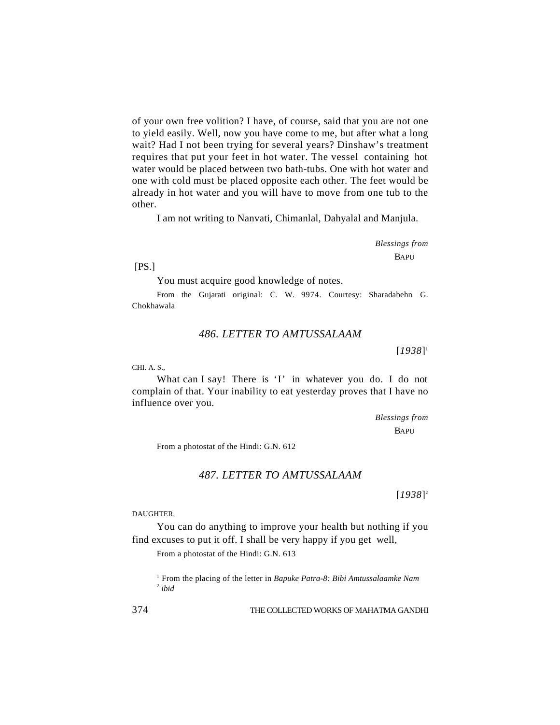of your own free volition? I have, of course, said that you are not one to yield easily. Well, now you have come to me, but after what a long wait? Had I not been trying for several years? Dinshaw's treatment requires that put your feet in hot water. The vessel containing hot water would be placed between two bath-tubs. One with hot water and one with cold must be placed opposite each other. The feet would be already in hot water and you will have to move from one tub to the other.

I am not writing to Nanvati, Chimanlal, Dahyalal and Manjula.

*Blessings from* **BAPU** 

 $[PS.]$ 

You must acquire good knowledge of notes.

From the Gujarati original: C. W. 9974. Courtesy: Sharadabehn G. Chokhawala

# *486. LETTER TO AMTUSSALAAM*

[*1938*] 1

CHI. A. S.,

What can I say! There is 'I' in whatever you do. I do not complain of that. Your inability to eat yesterday proves that I have no influence over you.

> *Blessings from* **BAPU**

From a photostat of the Hindi: G.N. 612

## *487. LETTER TO AMTUSSALAAM*

[*1938*] 2

DAUGHTER,

You can do anything to improve your health but nothing if you find excuses to put it off. I shall be very happy if you get well,

From a photostat of the Hindi: G.N. 613

<sup>1</sup> From the placing of the letter in *Bapuke Patra-8: Bibi Amtussalaamke Nam* 2 *ibid*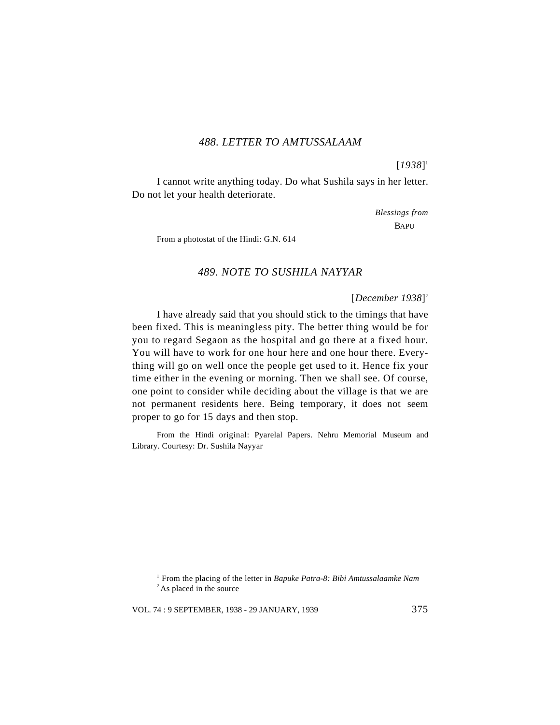#### *488. LETTER TO AMTUSSALAAM*

[*1938*] 1

I cannot write anything today. Do what Sushila says in her letter. Do not let your health deteriorate.

> *Blessings from* **BAPU**

From a photostat of the Hindi: G.N. 614

# *489. NOTE TO SUSHILA NAYYAR*

[*December 1938*] 2

I have already said that you should stick to the timings that have been fixed. This is meaningless pity. The better thing would be for you to regard Segaon as the hospital and go there at a fixed hour. You will have to work for one hour here and one hour there. Everything will go on well once the people get used to it. Hence fix your time either in the evening or morning. Then we shall see. Of course, one point to consider while deciding about the village is that we are not permanent residents here. Being temporary, it does not seem proper to go for 15 days and then stop.

From the Hindi original: Pyarelal Papers. Nehru Memorial Museum and Library. Courtesy: Dr. Sushila Nayyar

<sup>&</sup>lt;sup>1</sup> From the placing of the letter in *Bapuke Patra-8: Bibi Amtussalaamke Nam*  $2$ As placed in the source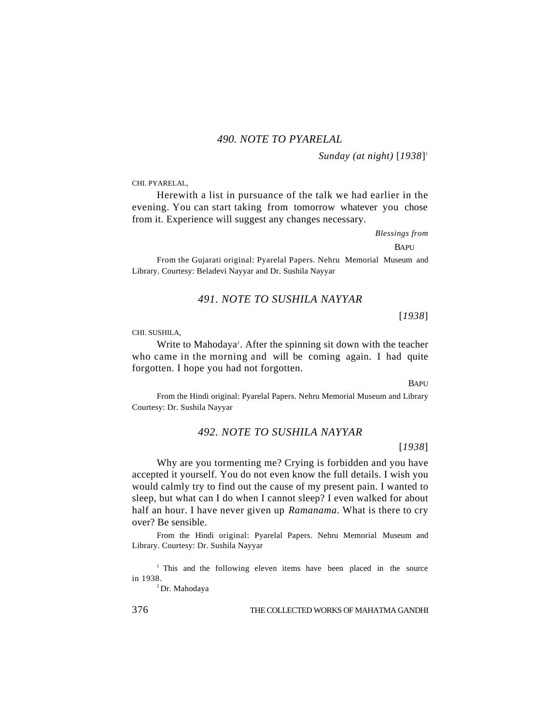## *490. NOTE TO PYARELAL*

*Sunday (at night)* [*1938*] 1

CHI. PYARELAL,

Herewith a list in pursuance of the talk we had earlier in the evening. You can start taking from tomorrow whatever you chose from it. Experience will suggest any changes necessary.

*Blessings from*

BAPU

From the Gujarati original: Pyarelal Papers. Nehru Memorial Museum and Library. Courtesy: Beladevi Nayyar and Dr. Sushila Nayyar

# *491. NOTE TO SUSHILA NAYYAR*

[*1938*]

CHI. SUSHILA,

Write to Mahodaya<sup>2</sup>. After the spinning sit down with the teacher who came in the morning and will be coming again. I had quite forgotten. I hope you had not forgotten.

**BAPU** 

From the Hindi original: Pyarelal Papers. Nehru Memorial Museum and Library Courtesy: Dr. Sushila Nayyar

## *492. NOTE TO SUSHILA NAYYAR*

[*1938*]

Why are you tormenting me? Crying is forbidden and you have accepted it yourself. You do not even know the full details. I wish you would calmly try to find out the cause of my present pain. I wanted to sleep, but what can I do when I cannot sleep? I even walked for about half an hour. I have never given up *Ramanama*. What is there to cry over? Be sensible.

From the Hindi original: Pyarelal Papers. Nehru Memorial Museum and Library. Courtesy: Dr. Sushila Nayyar

<sup>1</sup> This and the following eleven items have been placed in the source in 1938.

2 Dr. Mahodaya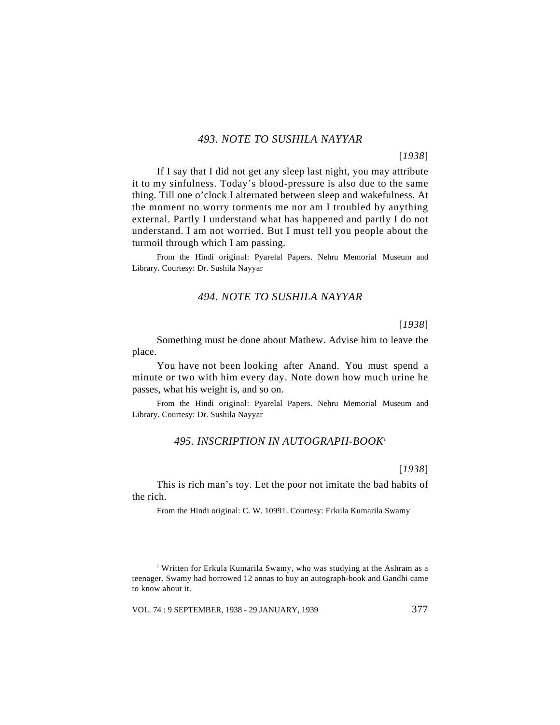## *493. NOTE TO SUSHILA NAYYAR*

#### [*1938*]

If I say that I did not get any sleep last night, you may attribute it to my sinfulness. Today's blood-pressure is also due to the same thing. Till one o'clock I alternated between sleep and wakefulness. At the moment no worry torments me nor am I troubled by anything external. Partly I understand what has happened and partly I do not understand. I am not worried. But I must tell you people about the turmoil through which I am passing.

From the Hindi original: Pyarelal Papers. Nehru Memorial Museum and Library. Courtesy: Dr. Sushila Nayyar

## *494. NOTE TO SUSHILA NAYYAR*

[*1938*]

Something must be done about Mathew. Advise him to leave the place.

You have not been looking after Anand. You must spend a minute or two with him every day. Note down how much urine he passes, what his weight is, and so on.

From the Hindi original: Pyarelal Papers. Nehru Memorial Museum and Library. Courtesy: Dr. Sushila Nayyar

### *495. INSCRIPTION IN AUTOGRAPH-BOOK*<sup>1</sup>

[*1938*]

This is rich man's toy. Let the poor not imitate the bad habits of the rich.

From the Hindi original: C. W. 10991. Courtesy: Erkula Kumarila Swamy

<sup>1</sup> Written for Erkula Kumarila Swamy, who was studying at the Ashram as a teenager. Swamy had borrowed 12 annas to buy an autograph-book and Gandhi came to know about it.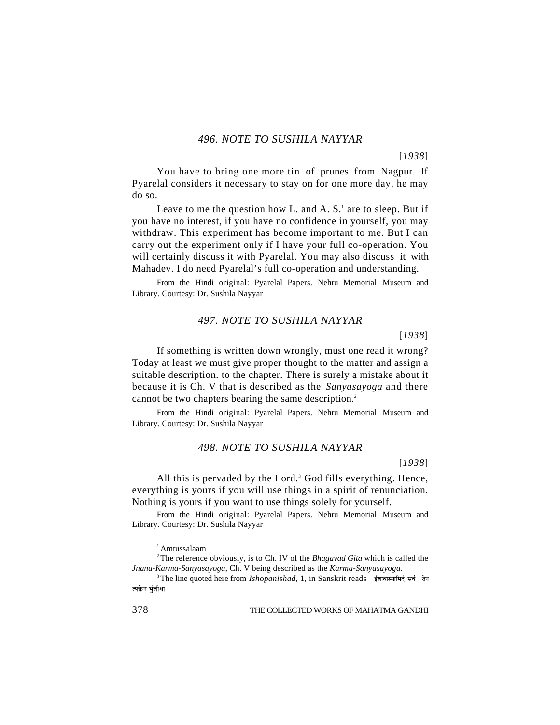### *496. NOTE TO SUSHILA NAYYAR*

You have to bring one more tin of prunes from Nagpur. If Pyarelal considers it necessary to stay on for one more day, he may do so.

Leave to me the question how L. and A.  $S<sup>1</sup>$  are to sleep. But if you have no interest, if you have no confidence in yourself, you may withdraw. This experiment has become important to me. But I can carry out the experiment only if I have your full co-operation. You will certainly discuss it with Pyarelal. You may also discuss it with Mahadev. I do need Pyarelal's full co-operation and understanding.

From the Hindi original: Pyarelal Papers. Nehru Memorial Museum and Library. Courtesy: Dr. Sushila Nayyar

### *497. NOTE TO SUSHILA NAYYAR*

[*1938*]

If something is written down wrongly, must one read it wrong? Today at least we must give proper thought to the matter and assign a suitable description. to the chapter. There is surely a mistake about it because it is Ch. V that is described as the *Sanyasayoga* and there cannot be two chapters bearing the same description.<sup>2</sup>

From the Hindi original: Pyarelal Papers. Nehru Memorial Museum and Library. Courtesy: Dr. Sushila Nayyar

#### *498. NOTE TO SUSHILA NAYYAR*

[*1938*]

All this is pervaded by the Lord.<sup>3</sup> God fills everything. Hence, everything is yours if you will use things in a spirit of renunciation. Nothing is yours if you want to use things solely for yourself.

From the Hindi original: Pyarelal Papers. Nehru Memorial Museum and Library. Courtesy: Dr. Sushila Nayyar

 $<sup>1</sup>$ Amtussalaam</sup>

<sup>2</sup>The reference obviously, is to Ch. IV of the *Bhagavad Gita* which is called the *Jnana-Karma-Sanyasayoga*, Ch. V being described as the *Karma-Sanyasayoga.*

<sup>3</sup> The line quoted here from *Ishopanishad*, 1, in Sanskrit reads ईशावास्यामिदं सर्व तेन त्यक्तेन भुंजीथा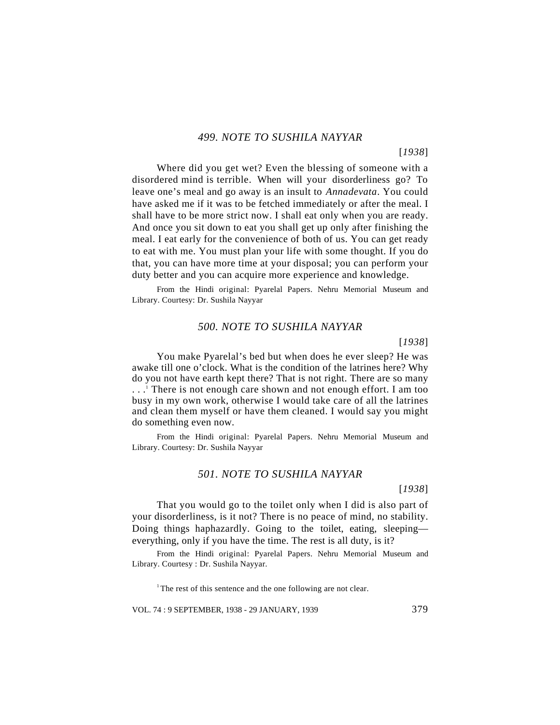## *499. NOTE TO SUSHILA NAYYAR*

[*1938*]

Where did you get wet? Even the blessing of someone with a disordered mind is terrible. When will your disorderliness go? To leave one's meal and go away is an insult to *Annadevata*. You could have asked me if it was to be fetched immediately or after the meal. I shall have to be more strict now. I shall eat only when you are ready. And once you sit down to eat you shall get up only after finishing the meal. I eat early for the convenience of both of us. You can get ready to eat with me. You must plan your life with some thought. If you do that, you can have more time at your disposal; you can perform your duty better and you can acquire more experience and knowledge.

From the Hindi original: Pyarelal Papers. Nehru Memorial Museum and Library. Courtesy: Dr. Sushila Nayyar

## *500. NOTE TO SUSHILA NAYYAR*

[*1938*]

You make Pyarelal's bed but when does he ever sleep? He was awake till one o'clock. What is the condition of the latrines here? Why do you not have earth kept there? That is not right. There are so many ...<sup>1</sup> There is not enough care shown and not enough effort. I am too busy in my own work, otherwise I would take care of all the latrines and clean them myself or have them cleaned. I would say you might do something even now.

From the Hindi original: Pyarelal Papers. Nehru Memorial Museum and Library. Courtesy: Dr. Sushila Nayyar

#### *501. NOTE TO SUSHILA NAYYAR*

[*1938*]

That you would go to the toilet only when I did is also part of your disorderliness, is it not? There is no peace of mind, no stability. Doing things haphazardly. Going to the toilet, eating, sleeping everything, only if you have the time. The rest is all duty, is it?

From the Hindi original: Pyarelal Papers. Nehru Memorial Museum and Library. Courtesy : Dr. Sushila Nayyar.

 $1$ <sup>1</sup> The rest of this sentence and the one following are not clear.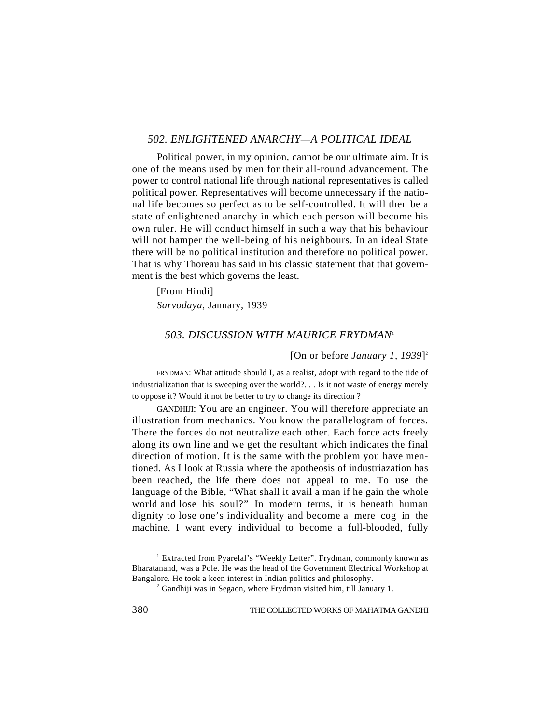# *502. ENLIGHTENED ANARCHY—A POLITICAL IDEAL*

Political power, in my opinion, cannot be our ultimate aim. It is one of the means used by men for their all-round advancement. The power to control national life through national representatives is called political power. Representatives will become unnecessary if the national life becomes so perfect as to be self-controlled. It will then be a state of enlightened anarchy in which each person will become his own ruler. He will conduct himself in such a way that his behaviour will not hamper the well-being of his neighbours. In an ideal State there will be no political institution and therefore no political power. That is why Thoreau has said in his classic statement that that government is the best which governs the least.

[From Hindi] *Sarvodaya,* January, 1939

## *503. DISCUSSION WITH MAURICE FRYDMAN*<sup>1</sup>

#### [On or before *January 1, 1939*] 2

FRYDMAN: What attitude should I, as a realist, adopt with regard to the tide of industrialization that is sweeping over the world?. . . Is it not waste of energy merely to oppose it? Would it not be better to try to change its direction ?

GANDHIJI: You are an engineer. You will therefore appreciate an illustration from mechanics. You know the parallelogram of forces. There the forces do not neutralize each other. Each force acts freely along its own line and we get the resultant which indicates the final direction of motion. It is the same with the problem you have mentioned. As I look at Russia where the apotheosis of industriazation has been reached, the life there does not appeal to me. To use the language of the Bible, "What shall it avail a man if he gain the whole world and lose his soul?" In modern terms, it is beneath human dignity to lose one's individuality and become a mere cog in the machine. I want every individual to become a full-blooded, fully

<sup>&</sup>lt;sup>1</sup> Extracted from Pyarelal's "Weekly Letter". Frydman, commonly known as Bharatanand, was a Pole. He was the head of the Government Electrical Workshop at Bangalore. He took a keen interest in Indian politics and philosophy.

 $2^2$  Gandhiji was in Segaon, where Frydman visited him, till January 1.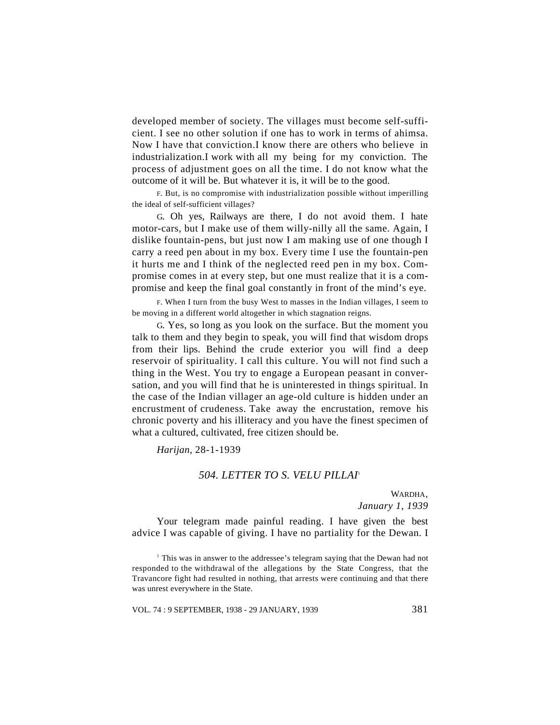developed member of society. The villages must become self-sufficient. I see no other solution if one has to work in terms of ahimsa. Now I have that conviction.I know there are others who believe in industrialization.I work with all my being for my conviction. The process of adjustment goes on all the time. I do not know what the outcome of it will be. But whatever it is, it will be to the good.

F. But, is no compromise with industrialization possible without imperilling the ideal of self-sufficient villages?

G. Oh yes, Railways are there, I do not avoid them. I hate motor-cars, but I make use of them willy-nilly all the same. Again, I dislike fountain-pens, but just now I am making use of one though I carry a reed pen about in my box. Every time I use the fountain-pen it hurts me and I think of the neglected reed pen in my box. Compromise comes in at every step, but one must realize that it is a compromise and keep the final goal constantly in front of the mind's eye.

F. When I turn from the busy West to masses in the Indian villages, I seem to be moving in a different world altogether in which stagnation reigns.

G. Yes, so long as you look on the surface. But the moment you talk to them and they begin to speak, you will find that wisdom drops from their lips. Behind the crude exterior you will find a deep reservoir of spirituality. I call this culture. You will not find such a thing in the West. You try to engage a European peasant in conversation, and you will find that he is uninterested in things spiritual. In the case of the Indian villager an age-old culture is hidden under an encrustment of crudeness. Take away the encrustation, remove his chronic poverty and his illiteracy and you have the finest specimen of what a cultured, cultivated, free citizen should be.

*Harijan,* 28-1-1939

## *504. LETTER TO S. VELU PILLAI*<sup>1</sup>

WARDHA, *January 1, 1939*

Your telegram made painful reading. I have given the best advice I was capable of giving. I have no partiality for the Dewan. I

<sup>1</sup> This was in answer to the addressee's telegram saying that the Dewan had not responded to the withdrawal of the allegations by the State Congress, that the Travancore fight had resulted in nothing, that arrests were continuing and that there was unrest everywhere in the State.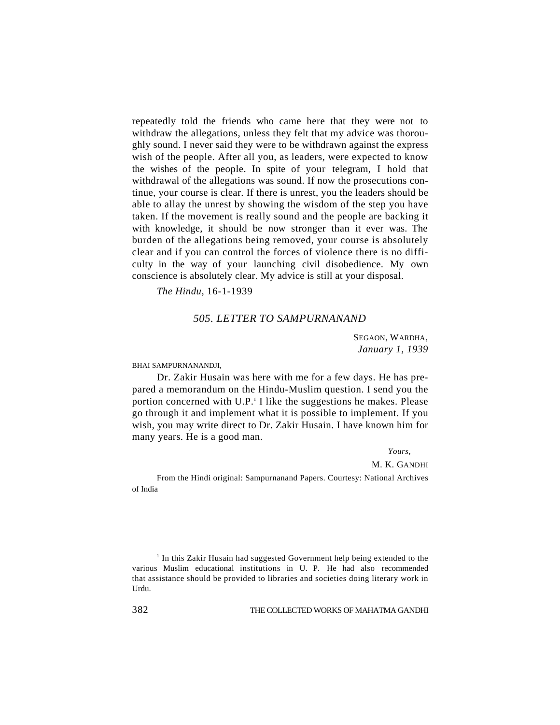repeatedly told the friends who came here that they were not to withdraw the allegations, unless they felt that my advice was thoroughly sound. I never said they were to be withdrawn against the express wish of the people. After all you, as leaders, were expected to know the wishes of the people. In spite of your telegram, I hold that withdrawal of the allegations was sound. If now the prosecutions continue, your course is clear. If there is unrest, you the leaders should be able to allay the unrest by showing the wisdom of the step you have taken. If the movement is really sound and the people are backing it with knowledge, it should be now stronger than it ever was. The burden of the allegations being removed, your course is absolutely clear and if you can control the forces of violence there is no difficulty in the way of your launching civil disobedience. My own conscience is absolutely clear. My advice is still at your disposal.

*The Hindu,* 16-1-1939

# *505. LETTER TO SAMPURNANAND*

SEGAON, WARDHA, *January 1, 1939*

#### BHAI SAMPURNANANDJI,

Dr. Zakir Husain was here with me for a few days. He has prepared a memorandum on the Hindu-Muslim question. I send you the portion concerned with U.P.<sup>1</sup> I like the suggestions he makes. Please go through it and implement what it is possible to implement. If you wish, you may write direct to Dr. Zakir Husain. I have known him for many years. He is a good man.

*Yours,*

M. K. GANDHI

From the Hindi original: Sampurnanand Papers. Courtesy: National Archives of India

<sup>1</sup> In this Zakir Husain had suggested Government help being extended to the various Muslim educational institutions in U. P. He had also recommended that assistance should be provided to libraries and societies doing literary work in Urdu.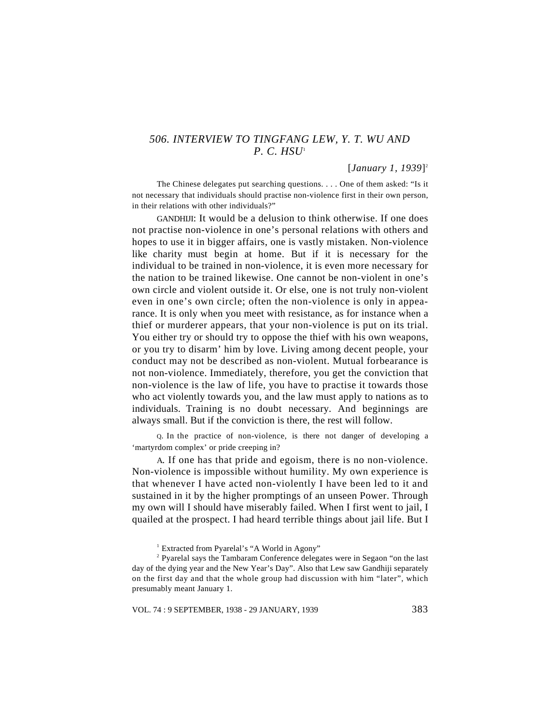# *506. INTERVIEW TO TINGFANG LEW, Y. T. WU AND P. C. HSU*<sup>1</sup>

#### [*January 1, 1939*] 2

The Chinese delegates put searching questions. . . . One of them asked: "Is it not necessary that individuals should practise non-violence first in their own person, in their relations with other individuals?"

GANDHIJI: It would be a delusion to think otherwise. If one does not practise non-violence in one's personal relations with others and hopes to use it in bigger affairs, one is vastly mistaken. Non-violence like charity must begin at home. But if it is necessary for the individual to be trained in non-violence, it is even more necessary for the nation to be trained likewise. One cannot be non-violent in one's own circle and violent outside it. Or else, one is not truly non-violent even in one's own circle; often the non-violence is only in appearance. It is only when you meet with resistance, as for instance when a thief or murderer appears, that your non-violence is put on its trial. You either try or should try to oppose the thief with his own weapons, or you try to disarm' him by love. Living among decent people, your conduct may not be described as non-violent. Mutual forbearance is not non-violence. Immediately, therefore, you get the conviction that non-violence is the law of life, you have to practise it towards those who act violently towards you, and the law must apply to nations as to individuals. Training is no doubt necessary. And beginnings are always small. But if the conviction is there, the rest will follow.

Q. In the practice of non-violence, is there not danger of developing a 'martyrdom complex' or pride creeping in?

A. If one has that pride and egoism, there is no non-violence. Non-violence is impossible without humility. My own experience is that whenever I have acted non-violently I have been led to it and sustained in it by the higher promptings of an unseen Power. Through my own will I should have miserably failed. When I first went to jail, I quailed at the prospect. I had heard terrible things about jail life. But I

<sup>&</sup>lt;sup>1</sup> Extracted from Pyarelal's "A World in Agony"

<sup>&</sup>lt;sup>2</sup> Pyarelal says the Tambaram Conference delegates were in Segaon "on the last day of the dying year and the New Year's Day". Also that Lew saw Gandhiji separately on the first day and that the whole group had discussion with him "later", which presumably meant January 1.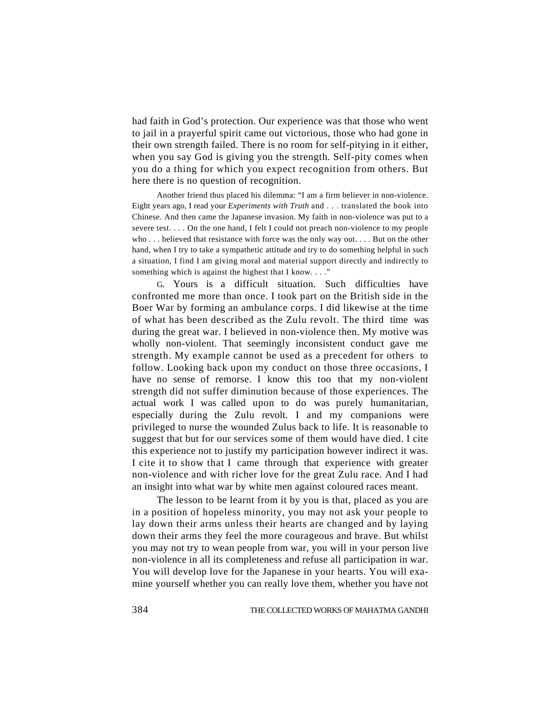had faith in God's protection. Our experience was that those who went to jail in a prayerful spirit came out victorious, those who had gone in their own strength failed. There is no room for self-pitying in it either, when you say God is giving you the strength. Self-pity comes when you do a thing for which you expect recognition from others. But here there is no question of recognition.

Another friend thus placed his dilemma: "I am a firm believer in non-violence. Eight years ago, I read your *Experiments with Truth* and . . . translated the book into Chinese. And then came the Japanese invasion. My faith in non-violence was put to a severe test. . . . On the one hand, I felt I could not preach non-violence to my people who . . . believed that resistance with force was the only way out. . . . But on the other hand, when I try to take a sympathetic attitude and try to do something helpful in such a situation, I find I am giving moral and material support directly and indirectly to something which is against the highest that I know. . . ."

G. Yours is a difficult situation. Such difficulties have confronted me more than once. I took part on the British side in the Boer War by forming an ambulance corps. I did likewise at the time of what has been described as the Zulu revolt. The third time was during the great war. I believed in non-violence then. My motive was wholly non-violent. That seemingly inconsistent conduct gave me strength. My example cannot be used as a precedent for others to follow. Looking back upon my conduct on those three occasions, I have no sense of remorse. I know this too that my non-violent strength did not suffer diminution because of those experiences. The actual work I was called upon to do was purely humanitarian, especially during the Zulu revolt. I and my companions were privileged to nurse the wounded Zulus back to life. It is reasonable to suggest that but for our services some of them would have died. I cite this experience not to justify my participation however indirect it was. I cite it to show that I came through that experience with greater non-violence and with richer love for the great Zulu race. And I had an insight into what war by white men against coloured races meant.

The lesson to be learnt from it by you is that, placed as you are in a position of hopeless minority, you may not ask your people to lay down their arms unless their hearts are changed and by laying down their arms they feel the more courageous and brave. But whilst you may not try to wean people from war, you will in your person live non-violence in all its completeness and refuse all participation in war. You will develop love for the Japanese in your hearts. You will examine yourself whether you can really love them, whether you have not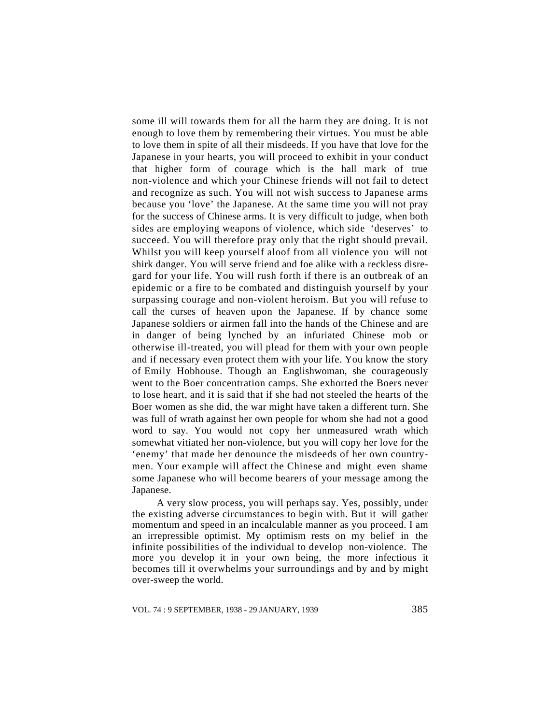some ill will towards them for all the harm they are doing. It is not enough to love them by remembering their virtues. You must be able to love them in spite of all their misdeeds. If you have that love for the Japanese in your hearts, you will proceed to exhibit in your conduct that higher form of courage which is the hall mark of true non-violence and which your Chinese friends will not fail to detect and recognize as such. You will not wish success to Japanese arms because you 'love' the Japanese. At the same time you will not pray for the success of Chinese arms. It is very difficult to judge, when both sides are employing weapons of violence, which side 'deserves' to succeed. You will therefore pray only that the right should prevail. Whilst you will keep yourself aloof from all violence you will not shirk danger. You will serve friend and foe alike with a reckless disregard for your life. You will rush forth if there is an outbreak of an epidemic or a fire to be combated and distinguish yourself by your surpassing courage and non-violent heroism. But you will refuse to call the curses of heaven upon the Japanese. If by chance some Japanese soldiers or airmen fall into the hands of the Chinese and are in danger of being lynched by an infuriated Chinese mob or otherwise ill-treated, you will plead for them with your own people and if necessary even protect them with your life. You know the story of Emily Hobhouse. Though an Englishwoman, she courageously went to the Boer concentration camps. She exhorted the Boers never to lose heart, and it is said that if she had not steeled the hearts of the Boer women as she did, the war might have taken a different turn. She was full of wrath against her own people for whom she had not a good word to say. You would not copy her unmeasured wrath which somewhat vitiated her non-violence, but you will copy her love for the 'enemy' that made her denounce the misdeeds of her own countrymen. Your example will affect the Chinese and might even shame some Japanese who will become bearers of your message among the Japanese.

A very slow process, you will perhaps say. Yes, possibly, under the existing adverse circumstances to begin with. But it will gather momentum and speed in an incalculable manner as you proceed. I am an irrepressible optimist. My optimism rests on my belief in the infinite possibilities of the individual to develop non-violence. The more you develop it in your own being, the more infectious it becomes till it overwhelms your surroundings and by and by might over-sweep the world.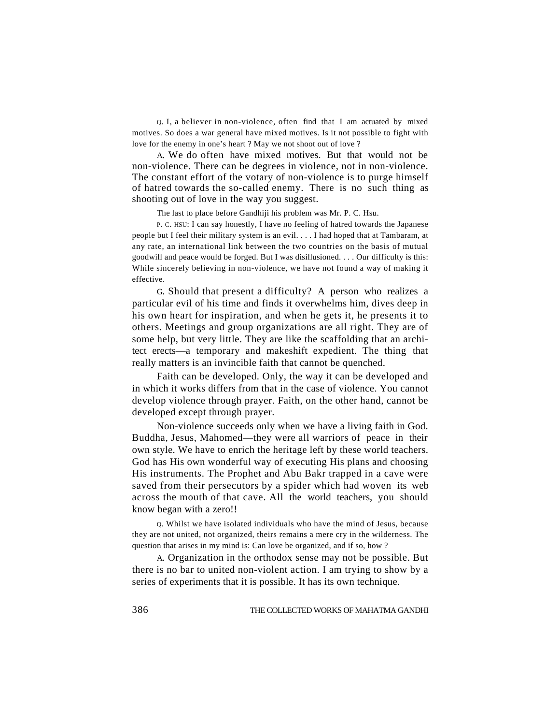Q. I, a believer in non-violence, often find that I am actuated by mixed motives. So does a war general have mixed motives. Is it not possible to fight with love for the enemy in one's heart ? May we not shoot out of love ?

A. We do often have mixed motives. But that would not be non-violence. There can be degrees in violence, not in non-violence. The constant effort of the votary of non-violence is to purge himself of hatred towards the so-called enemy. There is no such thing as shooting out of love in the way you suggest.

The last to place before Gandhiji his problem was Mr. P. C. Hsu.

P. C. HSU: I can say honestly, I have no feeling of hatred towards the Japanese people but I feel their military system is an evil. . . . I had hoped that at Tambaram, at any rate, an international link between the two countries on the basis of mutual goodwill and peace would be forged. But I was disillusioned. . . . Our difficulty is this: While sincerely believing in non-violence, we have not found a way of making it effective.

G. Should that present a difficulty? A person who realizes a particular evil of his time and finds it overwhelms him, dives deep in his own heart for inspiration, and when he gets it, he presents it to others. Meetings and group organizations are all right. They are of some help, but very little. They are like the scaffolding that an architect erects—a temporary and makeshift expedient. The thing that really matters is an invincible faith that cannot be quenched.

Faith can be developed. Only, the way it can be developed and in which it works differs from that in the case of violence. You cannot develop violence through prayer. Faith, on the other hand, cannot be developed except through prayer.

Non-violence succeeds only when we have a living faith in God. Buddha, Jesus, Mahomed—they were all warriors of peace in their own style. We have to enrich the heritage left by these world teachers. God has His own wonderful way of executing His plans and choosing His instruments. The Prophet and Abu Bakr trapped in a cave were saved from their persecutors by a spider which had woven its web across the mouth of that cave. All the world teachers, you should know began with a zero!!

Q. Whilst we have isolated individuals who have the mind of Jesus, because they are not united, not organized, theirs remains a mere cry in the wilderness. The question that arises in my mind is: Can love be organized, and if so, how ?

A. Organization in the orthodox sense may not be possible. But there is no bar to united non-violent action. I am trying to show by a series of experiments that it is possible. It has its own technique.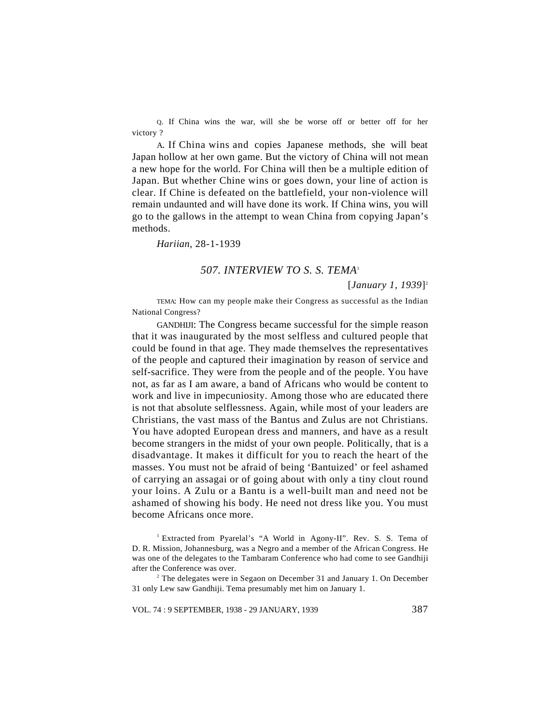Q. If China wins the war, will she be worse off or better off for her victory ?

A. If China wins and copies Japanese methods, she will beat Japan hollow at her own game. But the victory of China will not mean a new hope for the world. For China will then be a multiple edition of Japan. But whether Chine wins or goes down, your line of action is clear. If Chine is defeated on the battlefield, your non-violence will remain undaunted and will have done its work. If China wins, you will go to the gallows in the attempt to wean China from copying Japan's methods.

*Hariian,* 28-1-1939

#### *507. INTERVIEW TO S. S. TEMA*<sup>1</sup>

[*January 1, 1939*] 2

TEMA: How can my people make their Congress as successful as the Indian National Congress?

GANDHIJI: The Congress became successful for the simple reason that it was inaugurated by the most selfless and cultured people that could be found in that age. They made themselves the representatives of the people and captured their imagination by reason of service and self-sacrifice. They were from the people and of the people. You have not, as far as I am aware, a band of Africans who would be content to work and live in impecuniosity. Among those who are educated there is not that absolute selflessness. Again, while most of your leaders are Christians, the vast mass of the Bantus and Zulus are not Christians. You have adopted European dress and manners, and have as a result become strangers in the midst of your own people. Politically, that is a disadvantage. It makes it difficult for you to reach the heart of the masses. You must not be afraid of being 'Bantuized' or feel ashamed of carrying an assagai or of going about with only a tiny clout round your loins. A Zulu or a Bantu is a well-built man and need not be ashamed of showing his body. He need not dress like you. You must become Africans once more.

<sup>1</sup> Extracted from Pyarelal's "A World in Agony-II". Rev. S. S. Tema of D. R. Mission, Johannesburg, was a Negro and a member of the African Congress. He was one of the delegates to the Tambaram Conference who had come to see Gandhiji after the Conference was over.

<sup>2</sup> The delegates were in Segaon on December 31 and January 1. On December 31 only Lew saw Gandhiji. Tema presumably met him on January 1.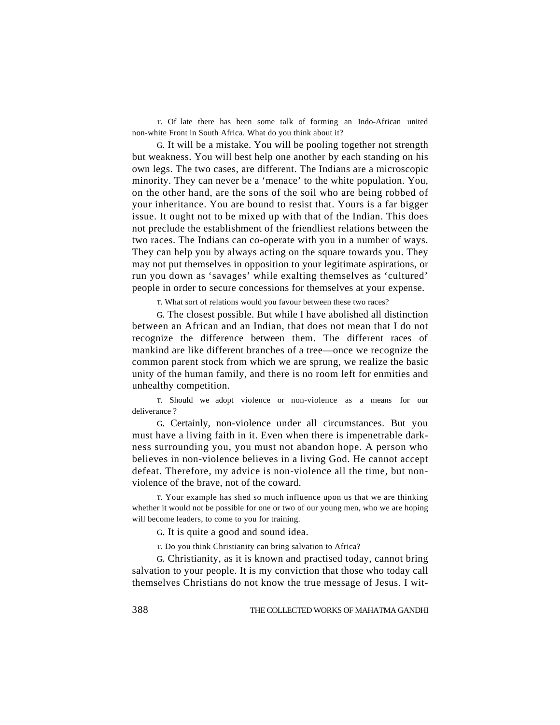T. Of late there has been some talk of forming an Indo-African united non-white Front in South Africa. What do you think about it?

G. It will be a mistake. You will be pooling together not strength but weakness. You will best help one another by each standing on his own legs. The two cases, are different. The Indians are a microscopic minority. They can never be a 'menace' to the white population. You, on the other hand, are the sons of the soil who are being robbed of your inheritance. You are bound to resist that. Yours is a far bigger issue. It ought not to be mixed up with that of the Indian. This does not preclude the establishment of the friendliest relations between the two races. The Indians can co-operate with you in a number of ways. They can help you by always acting on the square towards you. They may not put themselves in opposition to your legitimate aspirations, or run you down as 'savages' while exalting themselves as 'cultured' people in order to secure concessions for themselves at your expense.

T. What sort of relations would you favour between these two races?

G. The closest possible. But while I have abolished all distinction between an African and an Indian, that does not mean that I do not recognize the difference between them. The different races of mankind are like different branches of a tree—once we recognize the common parent stock from which we are sprung, we realize the basic unity of the human family, and there is no room left for enmities and unhealthy competition.

T. Should we adopt violence or non-violence as a means for our deliverance ?

G. Certainly, non-violence under all circumstances. But you must have a living faith in it. Even when there is impenetrable darkness surrounding you, you must not abandon hope. A person who believes in non-violence believes in a living God. He cannot accept defeat. Therefore, my advice is non-violence all the time, but nonviolence of the brave, not of the coward.

T. Your example has shed so much influence upon us that we are thinking whether it would not be possible for one or two of our young men, who we are hoping will become leaders, to come to you for training.

G. It is quite a good and sound idea.

T. Do you think Christianity can bring salvation to Africa?

G. Christianity, as it is known and practised today, cannot bring salvation to your people. It is my conviction that those who today call themselves Christians do not know the true message of Jesus. I wit-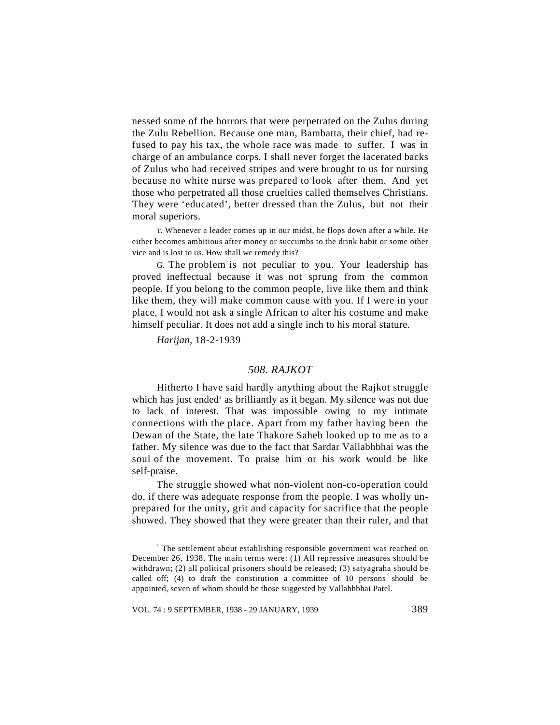nessed some of the horrors that were perpetrated on the Zulus during the Zulu Rebellion. Because one man, Bambatta, their chief, had refused to pay his tax, the whole race was made to suffer. I was in charge of an ambulance corps. I shall never forget the lacerated backs of Zulus who had received stripes and were brought to us for nursing because no white nurse was prepared to look after them. And yet those who perpetrated all those cruelties called themselves Christians. They were 'educated', better dressed than the Zulus, but not their moral superiors.

T. Whenever a leader comes up in our midst, he flops down after a while. He either becomes ambitious after money or succumbs to the drink habit or some other vice and is lost to us. How shall we remedy this?

G. The problem is not peculiar to you. Your leadership has proved ineffectual because it was not sprung from the common people. If you belong to the common people, live like them and think like them, they will make common cause with you. If I were in your place, I would not ask a single African to alter his costume and make himself peculiar. It does not add a single inch to his moral stature.

*Harijan,* 18-2-1939

# *508. RAJKOT*

Hitherto I have said hardly anything about the Rajkot struggle which has just ended<sup>1</sup> as brilliantly as it began. My silence was not due to lack of interest. That was impossible owing to my intimate connections with the place. Apart from my father having been the Dewan of the State, the late Thakore Saheb looked up to me as to a father. My silence was due to the fact that Sardar Vallabhbhai was the soul of the movement. To praise him or his work would be like self-praise.

The struggle showed what non-violent non-co-operation could do, if there was adequate response from the people. I was wholly unprepared for the unity, grit and capacity for sacrifice that the people showed. They showed that they were greater than their ruler, and that

<sup>1</sup> The settlement about establishing responsible government was reached on December 26, 1938. The main terms were: (1) All repressive measures should be withdrawn; (2) all political prisoners should be released; (3) satyagraha should be called off; (4) to draft the constitution a committee of 10 persons should be appointed, seven of whom should be those suggested by Vallabhbhai Patel.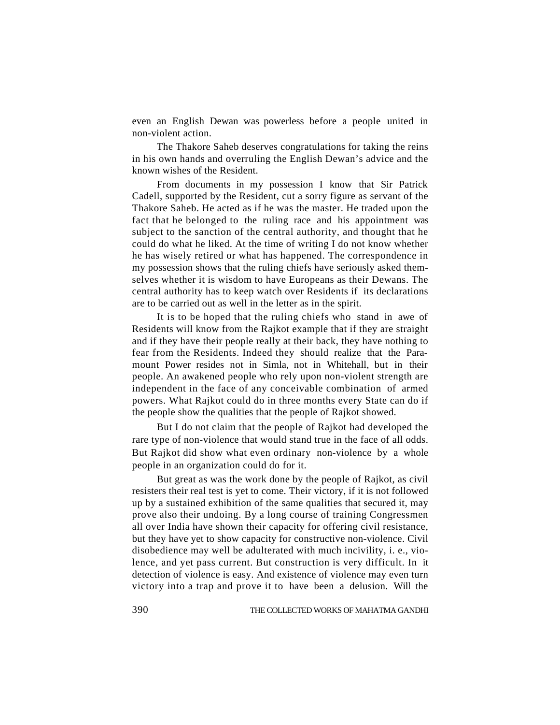even an English Dewan was powerless before a people united in non-violent action.

The Thakore Saheb deserves congratulations for taking the reins in his own hands and overruling the English Dewan's advice and the known wishes of the Resident.

From documents in my possession I know that Sir Patrick Cadell, supported by the Resident, cut a sorry figure as servant of the Thakore Saheb. He acted as if he was the master. He traded upon the fact that he belonged to the ruling race and his appointment was subject to the sanction of the central authority, and thought that he could do what he liked. At the time of writing I do not know whether he has wisely retired or what has happened. The correspondence in my possession shows that the ruling chiefs have seriously asked themselves whether it is wisdom to have Europeans as their Dewans. The central authority has to keep watch over Residents if its declarations are to be carried out as well in the letter as in the spirit.

It is to be hoped that the ruling chiefs who stand in awe of Residents will know from the Rajkot example that if they are straight and if they have their people really at their back, they have nothing to fear from the Residents. Indeed they should realize that the Paramount Power resides not in Simla, not in Whitehall, but in their people. An awakened people who rely upon non-violent strength are independent in the face of any conceivable combination of armed powers. What Rajkot could do in three months every State can do if the people show the qualities that the people of Rajkot showed.

But I do not claim that the people of Rajkot had developed the rare type of non-violence that would stand true in the face of all odds. But Rajkot did show what even ordinary non-violence by a whole people in an organization could do for it.

But great as was the work done by the people of Rajkot, as civil resisters their real test is yet to come. Their victory, if it is not followed up by a sustained exhibition of the same qualities that secured it, may prove also their undoing. By a long course of training Congressmen all over India have shown their capacity for offering civil resistance, but they have yet to show capacity for constructive non-violence. Civil disobedience may well be adulterated with much incivility, i. e., violence, and yet pass current. But construction is very difficult. In it detection of violence is easy. And existence of violence may even turn victory into a trap and prove it to have been a delusion. Will the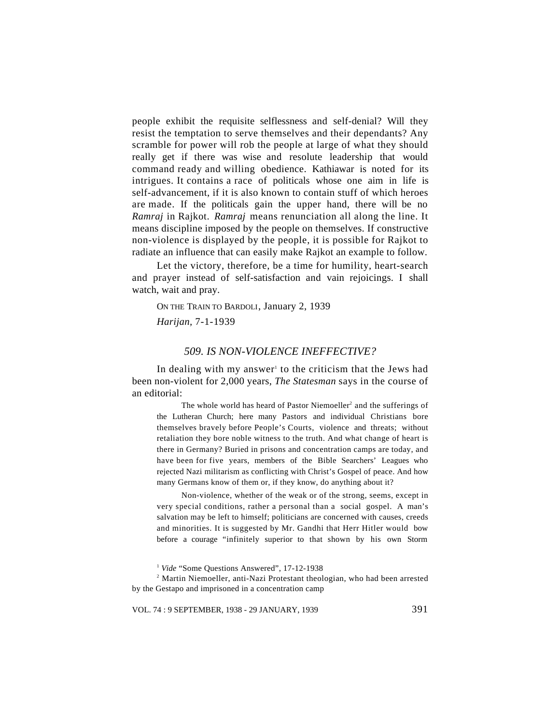people exhibit the requisite selflessness and self-denial? Will they resist the temptation to serve themselves and their dependants? Any scramble for power will rob the people at large of what they should really get if there was wise and resolute leadership that would command ready and willing obedience. Kathiawar is noted for its intrigues. It contains a race of politicals whose one aim in life is self-advancement, if it is also known to contain stuff of which heroes are made. If the politicals gain the upper hand, there will be no *Ramraj* in Rajkot. *Ramraj* means renunciation all along the line. It means discipline imposed by the people on themselves. If constructive non-violence is displayed by the people, it is possible for Rajkot to radiate an influence that can easily make Rajkot an example to follow.

Let the victory, therefore, be a time for humility, heart-search and prayer instead of self-satisfaction and vain rejoicings. I shall watch, wait and pray.

ON THE TRAIN TO BARDOLI, January 2, 1939 *Harijan,* 7-1-1939

#### *509. IS NON-VIOLENCE INEFFECTIVE?*

In dealing with my answer<sup>1</sup> to the criticism that the Jews had been non-violent for 2,000 years, *The Statesman* says in the course of an editorial:

The whole world has heard of Pastor Niemoeller<sup>2</sup> and the sufferings of the Lutheran Church; here many Pastors and individual Christians bore themselves bravely before People's Courts, violence and threats; without retaliation they bore noble witness to the truth. And what change of heart is there in Germany? Buried in prisons and concentration camps are today, and have been for five years, members of the Bible Searchers' Leagues who rejected Nazi militarism as conflicting with Christ's Gospel of peace. And how many Germans know of them or, if they know, do anything about it?

Non-violence, whether of the weak or of the strong, seems, except in very special conditions, rather a personal than a social gospel. A man's salvation may be left to himself; politicians are concerned with causes, creeds and minorities. It is suggested by Mr. Gandhi that Herr Hitler would bow before a courage "infinitely superior to that shown by his own Storm

<sup>1</sup> Vide "Some Questions Answered", 17-12-1938

<sup>2</sup> Martin Niemoeller, anti-Nazi Protestant theologian, who had been arrested by the Gestapo and imprisoned in a concentration camp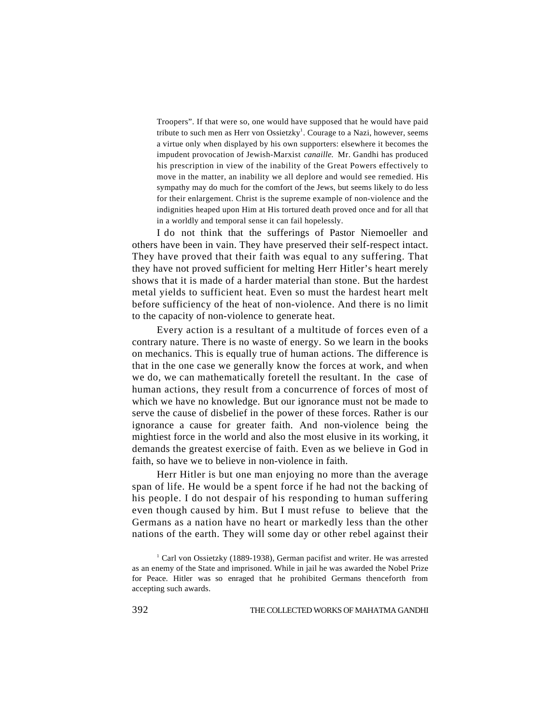Troopers". If that were so, one would have supposed that he would have paid tribute to such men as Herr von Ossietzky<sup>1</sup>. Courage to a Nazi, however, seems a virtue only when displayed by his own supporters: elsewhere it becomes the impudent provocation of Jewish-Marxist *canaille.* Mr. Gandhi has produced his prescription in view of the inability of the Great Powers effectively to move in the matter, an inability we all deplore and would see remedied. His sympathy may do much for the comfort of the Jews, but seems likely to do less for their enlargement. Christ is the supreme example of non-violence and the indignities heaped upon Him at His tortured death proved once and for all that in a worldly and temporal sense it can fail hopelessly.

I do not think that the sufferings of Pastor Niemoeller and others have been in vain. They have preserved their self-respect intact. They have proved that their faith was equal to any suffering. That they have not proved sufficient for melting Herr Hitler's heart merely shows that it is made of a harder material than stone. But the hardest metal yields to sufficient heat. Even so must the hardest heart melt before sufficiency of the heat of non-violence. And there is no limit to the capacity of non-violence to generate heat.

Every action is a resultant of a multitude of forces even of a contrary nature. There is no waste of energy. So we learn in the books on mechanics. This is equally true of human actions. The difference is that in the one case we generally know the forces at work, and when we do, we can mathematically foretell the resultant. In the case of human actions, they result from a concurrence of forces of most of which we have no knowledge. But our ignorance must not be made to serve the cause of disbelief in the power of these forces. Rather is our ignorance a cause for greater faith. And non-violence being the mightiest force in the world and also the most elusive in its working, it demands the greatest exercise of faith. Even as we believe in God in faith, so have we to believe in non-violence in faith.

Herr Hitler is but one man enjoying no more than the average span of life. He would be a spent force if he had not the backing of his people. I do not despair of his responding to human suffering even though caused by him. But I must refuse to believe that the Germans as a nation have no heart or markedly less than the other nations of the earth. They will some day or other rebel against their

<sup>1</sup> Carl von Ossietzky (1889-1938), German pacifist and writer. He was arrested as an enemy of the State and imprisoned. While in jail he was awarded the Nobel Prize for Peace. Hitler was so enraged that he prohibited Germans thenceforth from accepting such awards.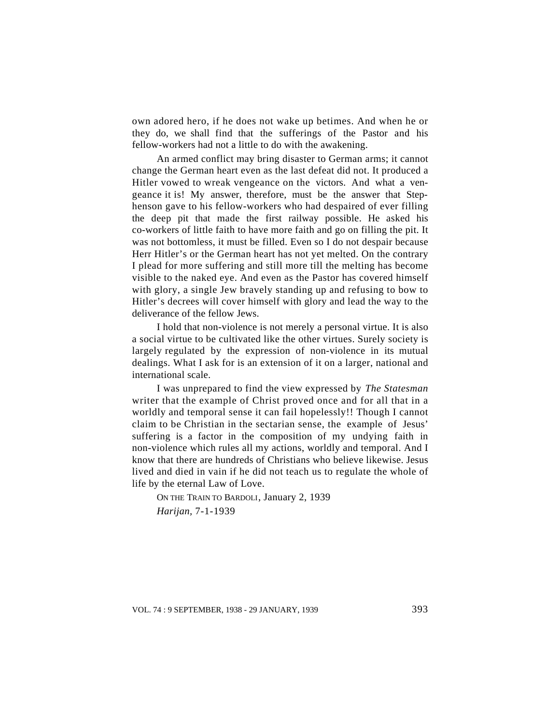own adored hero, if he does not wake up betimes. And when he or they do, we shall find that the sufferings of the Pastor and his fellow-workers had not a little to do with the awakening.

An armed conflict may bring disaster to German arms; it cannot change the German heart even as the last defeat did not. It produced a Hitler vowed to wreak vengeance on the victors. And what a vengeance it is! My answer, therefore, must be the answer that Stephenson gave to his fellow-workers who had despaired of ever filling the deep pit that made the first railway possible. He asked his co-workers of little faith to have more faith and go on filling the pit. It was not bottomless, it must be filled. Even so I do not despair because Herr Hitler's or the German heart has not yet melted. On the contrary I plead for more suffering and still more till the melting has become visible to the naked eye. And even as the Pastor has covered himself with glory, a single Jew bravely standing up and refusing to bow to Hitler's decrees will cover himself with glory and lead the way to the deliverance of the fellow Jews.

I hold that non-violence is not merely a personal virtue. It is also a social virtue to be cultivated like the other virtues. Surely society is largely regulated by the expression of non-violence in its mutual dealings. What I ask for is an extension of it on a larger, national and international scale.

I was unprepared to find the view expressed by *The Statesman* writer that the example of Christ proved once and for all that in a worldly and temporal sense it can fail hopelessly!! Though I cannot claim to be Christian in the sectarian sense, the example of Jesus' suffering is a factor in the composition of my undying faith in non-violence which rules all my actions, worldly and temporal. And I know that there are hundreds of Christians who believe likewise. Jesus lived and died in vain if he did not teach us to regulate the whole of life by the eternal Law of Love.

ON THE TRAIN TO BARDOLI, January 2, 1939 *Harijan,* 7-1-1939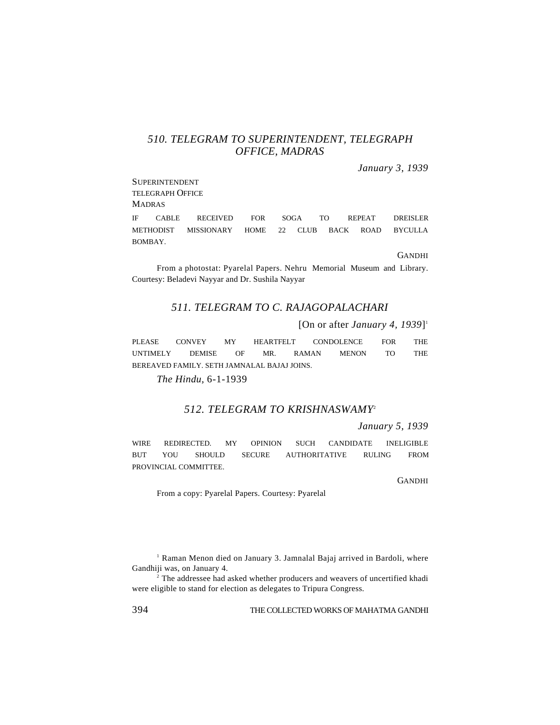# *510. TELEGRAM TO SUPERINTENDENT, TELEGRAPH OFFICE, MADRAS*

*January 3, 1939*

**SUPERINTENDENT** TELEGRAPH OFFICE MADRAS

IF CABLE RECEIVED FOR SOGA TO REPEAT DREISLER METHODIST MISSIONARY HOME 22 CLUB BACK ROAD BYCULLA BOMBAY.

GANDHI

From a photostat: Pyarelal Papers. Nehru Memorial Museum and Library. Courtesy: Beladevi Nayyar and Dr. Sushila Nayyar

# *511. TELEGRAM TO C. RAJAGOPALACHARI*

[On or after *January 4, 1939*] 1

PLEASE CONVEY MY HEARTFELT CONDOLENCE FOR THE UNTIMELY DEMISE OF MR. RAMAN MENON TO THE BEREAVED FAMILY. SETH JAMNALAL BAJAJ JOINS.

*The Hindu,* 6-1-1939

#### *512. TELEGRAM TO KRISHNASWAMY*<sup>2</sup>

*January 5, 1939*

WIRE REDIRECTED. MY OPINION SUCH CANDIDATE INELIGIBLE BUT YOU SHOULD SECURE AUTHORITATIVE RULING FROM PROVINCIAL COMMITTEE.

GANDHI

From a copy: Pyarelal Papers. Courtesy: Pyarelal

<sup>1</sup> Raman Menon died on January 3. Jamnalal Bajaj arrived in Bardoli, where Gandhiji was, on January 4.

2 The addressee had asked whether producers and weavers of uncertified khadi were eligible to stand for election as delegates to Tripura Congress.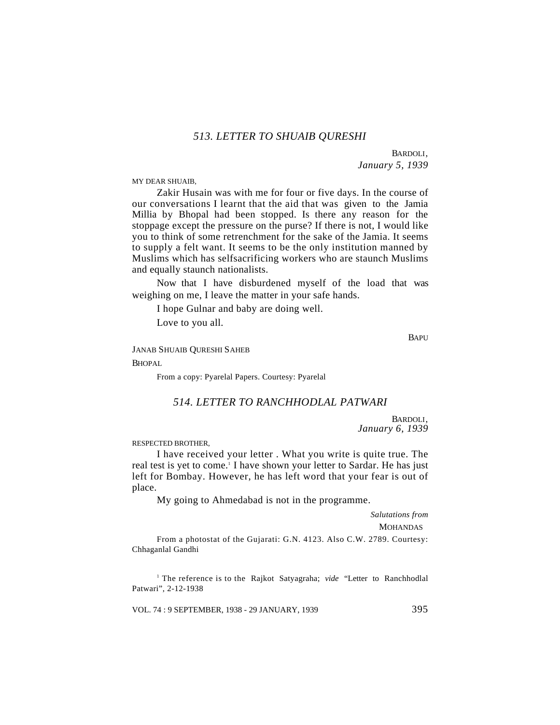## *513. LETTER TO SHUAIB QURESHI*

BARDOLI, *January 5, 1939*

MY DEAR SHUAIB,

Zakir Husain was with me for four or five days. In the course of our conversations I learnt that the aid that was given to the Jamia Millia by Bhopal had been stopped. Is there any reason for the stoppage except the pressure on the purse? If there is not, I would like you to think of some retrenchment for the sake of the Jamia. It seems to supply a felt want. It seems to be the only institution manned by Muslims which has selfsacrificing workers who are staunch Muslims and equally staunch nationalists.

Now that I have disburdened myself of the load that was weighing on me, I leave the matter in your safe hands.

I hope Gulnar and baby are doing well.

Love to you all.

JANAB SHUAIB QURESHI SAHEB

**BHOPAL** 

From a copy: Pyarelal Papers. Courtesy: Pyarelal

#### *514. LETTER TO RANCHHODLAL PATWARI*

BARDOLI, *January 6, 1939*

RESPECTED BROTHER,

I have received your letter . What you write is quite true. The real test is yet to come.<sup>1</sup> I have shown your letter to Sardar. He has just left for Bombay. However, he has left word that your fear is out of place.

My going to Ahmedabad is not in the programme.

*Salutations from*

**MOHANDAS** 

From a photostat of the Gujarati: G.N. 4123. Also C.W. 2789. Courtesy: Chhaganlal Gandhi

<sup>1</sup> The reference is to the Rajkot Satyagraha; *vide* "Letter to Ranchhodlal Patwari", 2-12-1938

VOL. 74 : 9 SEPTEMBER, 1938 - 29 JANUARY, 1939 395

**BAPU**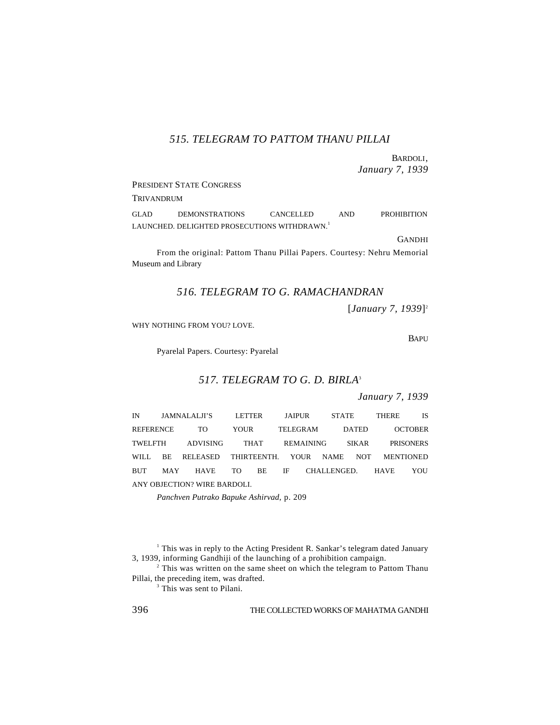# *515. TELEGRAM TO PATTOM THANU PILLAI*

BARDOLI, *January 7, 1939*

PRESIDENT STATE CONGRESS

TRIVANDRUM

GLAD DEMONSTRATIONS CANCELLED AND PROHIBITION LAUNCHED. DELIGHTED PROSECUTIONS WITHDRAWN.<sup>1</sup>

GANDHI

From the original: Pattom Thanu Pillai Papers. Courtesy: Nehru Memorial Museum and Library

#### *516. TELEGRAM TO G. RAMACHANDRAN*

[*January 7, 1939*] 2

WHY NOTHING FROM YOU? LOVE.

**BAPU** 

Pyarelal Papers. Courtesy: Pyarelal

## *517. TELEGRAM TO G. D. BIRLA*<sup>3</sup>

*January 7, 1939*

IN JAMNALALJI'S LETTER JAIPUR STATE THERE IS REFERENCE TO YOUR TELEGRAM DATED OCTOBER TWELFTH ADVISING THAT REMAINING SIKAR PRISONERS WILL BE RELEASED THIRTEENTH. YOUR NAME NOT MENTIONED BUT MAY HAVE TO BE IF CHALLENGED. HAVE YOU ANY OBJECTION? WIRE BARDOLI.

*Panchven Putrako Bapuke Ashirvad*, p. 209

<sup>&</sup>lt;sup>1</sup> This was in reply to the Acting President R. Sankar's telegram dated January 3, 1939, informing Gandhiji of the launching of a prohibition campaign.

 $2$ <sup>2</sup> This was written on the same sheet on which the telegram to Pattom Thanu Pillai, the preceding item, was drafted.

<sup>&</sup>lt;sup>3</sup> This was sent to Pilani.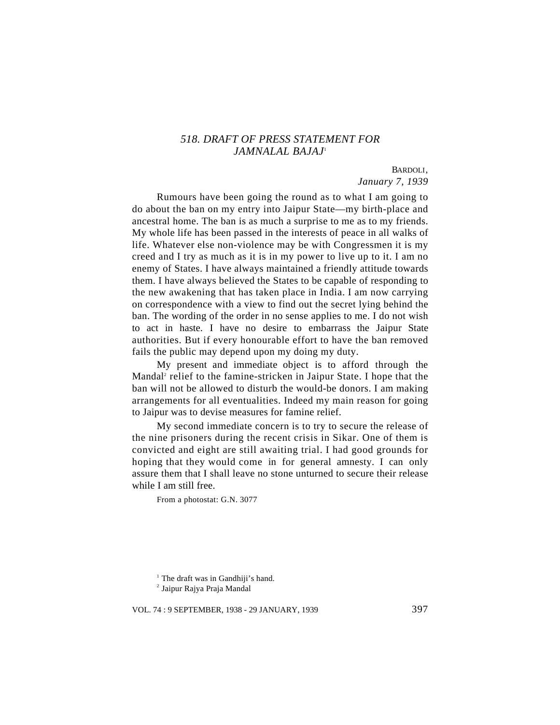## *518. DRAFT OF PRESS STATEMENT FOR JAMNALAL BAJAJ*<sup>1</sup>

BARDOLI, *January 7, 1939*

Rumours have been going the round as to what I am going to do about the ban on my entry into Jaipur State—my birth-place and ancestral home. The ban is as much a surprise to me as to my friends. My whole life has been passed in the interests of peace in all walks of life. Whatever else non-violence may be with Congressmen it is my creed and I try as much as it is in my power to live up to it. I am no enemy of States. I have always maintained a friendly attitude towards them. I have always believed the States to be capable of responding to the new awakening that has taken place in India. I am now carrying on correspondence with a view to find out the secret lying behind the ban. The wording of the order in no sense applies to me. I do not wish to act in haste. I have no desire to embarrass the Jaipur State authorities. But if every honourable effort to have the ban removed fails the public may depend upon my doing my duty.

My present and immediate object is to afford through the Mandal<sup>2</sup> relief to the famine-stricken in Jaipur State. I hope that the ban will not be allowed to disturb the would-be donors. I am making arrangements for all eventualities. Indeed my main reason for going to Jaipur was to devise measures for famine relief.

My second immediate concern is to try to secure the release of the nine prisoners during the recent crisis in Sikar. One of them is convicted and eight are still awaiting trial. I had good grounds for hoping that they would come in for general amnesty. I can only assure them that I shall leave no stone unturned to secure their release while I am still free.

From a photostat: G.N. 3077

<sup>&</sup>lt;sup>1</sup> The draft was in Gandhiji's hand.

<sup>&</sup>lt;sup>2</sup> Jaipur Rajya Praja Mandal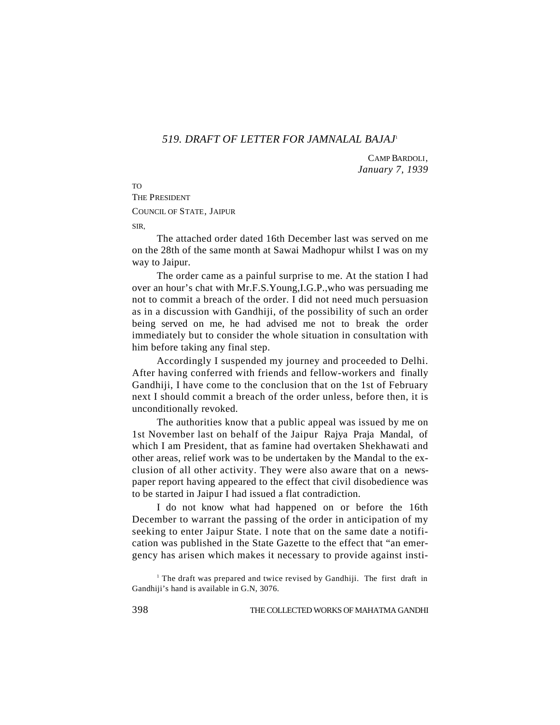# *519. DRAFT OF LETTER FOR JAMNALAL BAJAJ*<sup>1</sup>

CAMP BARDOLI, *January 7, 1939*

TO THE PRESIDENT COUNCIL OF STATE, JAIPUR

SIR,

The attached order dated 16th December last was served on me on the 28th of the same month at Sawai Madhopur whilst I was on my way to Jaipur.

The order came as a painful surprise to me. At the station I had over an hour's chat with Mr.F.S.Young,I.G.P.,who was persuading me not to commit a breach of the order. I did not need much persuasion as in a discussion with Gandhiji, of the possibility of such an order being served on me, he had advised me not to break the order immediately but to consider the whole situation in consultation with him before taking any final step.

Accordingly I suspended my journey and proceeded to Delhi. After having conferred with friends and fellow-workers and finally Gandhiji, I have come to the conclusion that on the 1st of February next I should commit a breach of the order unless, before then, it is unconditionally revoked.

The authorities know that a public appeal was issued by me on 1st November last on behalf of the Jaipur Rajya Praja Mandal, of which I am President, that as famine had overtaken Shekhawati and other areas, relief work was to be undertaken by the Mandal to the exclusion of all other activity. They were also aware that on a newspaper report having appeared to the effect that civil disobedience was to be started in Jaipur I had issued a flat contradiction.

I do not know what had happened on or before the 16th December to warrant the passing of the order in anticipation of my seeking to enter Jaipur State. I note that on the same date a notification was published in the State Gazette to the effect that "an emergency has arisen which makes it necessary to provide against insti-

<sup>&</sup>lt;sup>1</sup> The draft was prepared and twice revised by Gandhiji. The first draft in Gandhiji's hand is available in G.N, 3076.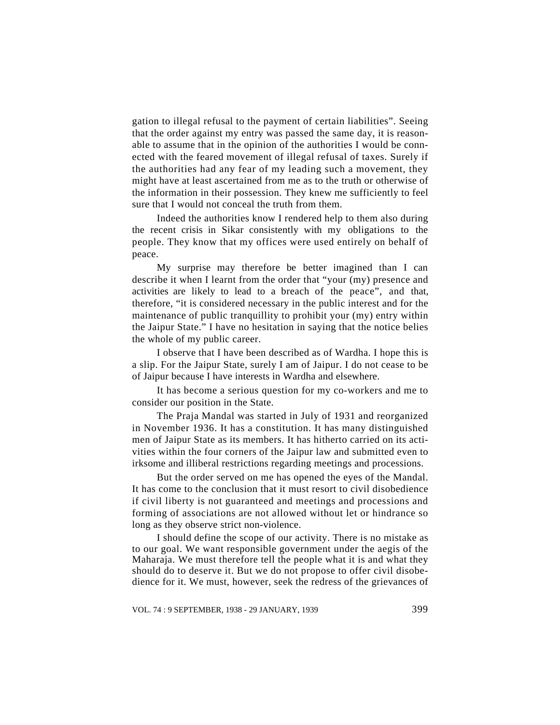gation to illegal refusal to the payment of certain liabilities". Seeing that the order against my entry was passed the same day, it is reasonable to assume that in the opinion of the authorities I would be connected with the feared movement of illegal refusal of taxes. Surely if the authorities had any fear of my leading such a movement, they might have at least ascertained from me as to the truth or otherwise of the information in their possession. They knew me sufficiently to feel sure that I would not conceal the truth from them.

Indeed the authorities know I rendered help to them also during the recent crisis in Sikar consistently with my obligations to the people. They know that my offices were used entirely on behalf of peace.

My surprise may therefore be better imagined than I can describe it when I learnt from the order that "your (my) presence and activities are likely to lead to a breach of the peace", and that, therefore, "it is considered necessary in the public interest and for the maintenance of public tranquillity to prohibit your (my) entry within the Jaipur State." I have no hesitation in saying that the notice belies the whole of my public career.

I observe that I have been described as of Wardha. I hope this is a slip. For the Jaipur State, surely I am of Jaipur. I do not cease to be of Jaipur because I have interests in Wardha and elsewhere.

It has become a serious question for my co-workers and me to consider our position in the State.

The Praja Mandal was started in July of 1931 and reorganized in November 1936. It has a constitution. It has many distinguished men of Jaipur State as its members. It has hitherto carried on its activities within the four corners of the Jaipur law and submitted even to irksome and illiberal restrictions regarding meetings and processions.

But the order served on me has opened the eyes of the Mandal. It has come to the conclusion that it must resort to civil disobedience if civil liberty is not guaranteed and meetings and processions and forming of associations are not allowed without let or hindrance so long as they observe strict non-violence.

I should define the scope of our activity. There is no mistake as to our goal. We want responsible government under the aegis of the Maharaja. We must therefore tell the people what it is and what they should do to deserve it. But we do not propose to offer civil disobedience for it. We must, however, seek the redress of the grievances of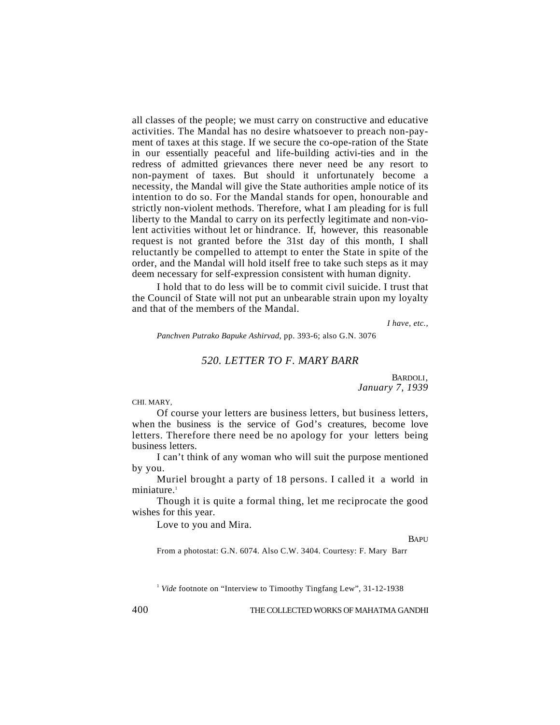all classes of the people; we must carry on constructive and educative activities. The Mandal has no desire whatsoever to preach non-payment of taxes at this stage. If we secure the co-ope-ration of the State in our essentially peaceful and life-building activi-ties and in the redress of admitted grievances there never need be any resort to non-payment of taxes. But should it unfortunately become a necessity, the Mandal will give the State authorities ample notice of its intention to do so. For the Mandal stands for open, honourable and strictly non-violent methods. Therefore, what I am pleading for is full liberty to the Mandal to carry on its perfectly legitimate and non-violent activities without let or hindrance. If, however, this reasonable request is not granted before the 31st day of this month, I shall reluctantly be compelled to attempt to enter the State in spite of the order, and the Mandal will hold itself free to take such steps as it may deem necessary for self-expression consistent with human dignity.

I hold that to do less will be to commit civil suicide. I trust that the Council of State will not put an unbearable strain upon my loyalty and that of the members of the Mandal.

*I have, etc.,*

*Panchven Putrako Bapuke Ashirvad*, pp. 393-6; also G.N. 3076

## *520. LETTER TO F. MARY BARR*

BARDOLI, *January 7, 1939*

CHI. MARY,

Of course your letters are business letters, but business letters, when the business is the service of God's creatures, become love letters. Therefore there need be no apology for your letters being business letters.

I can't think of any woman who will suit the purpose mentioned by you.

Muriel brought a party of 18 persons. I called it a world in miniature.<sup>1</sup>

Though it is quite a formal thing, let me reciprocate the good wishes for this year.

Love to you and Mira.

**BAPU** 

From a photostat: G.N. 6074. Also C.W. 3404. Courtesy: F. Mary Barr

<sup>1</sup> *Vide* footnote on "Interview to Timoothy Tingfang Lew", 31-12-1938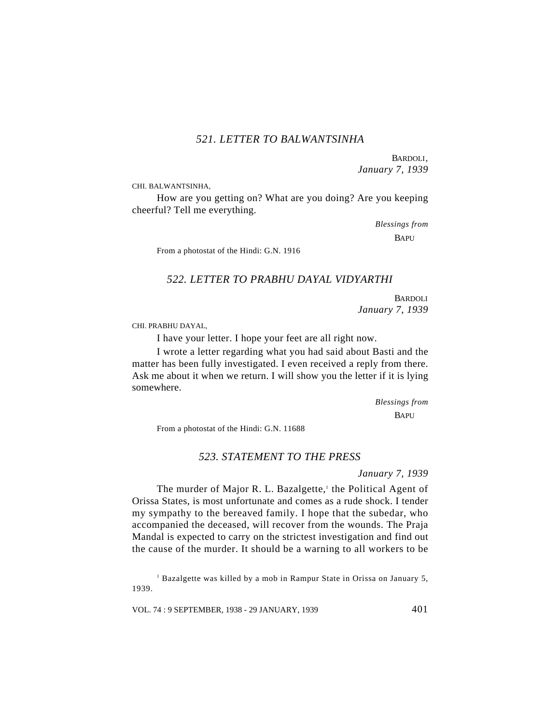## *521. LETTER TO BALWANTSINHA*

BARDOLI, *January 7, 1939*

CHI. BALWANTSINHA,

How are you getting on? What are you doing? Are you keeping cheerful? Tell me everything.

> *Blessings from* **BAPU**

From a photostat of the Hindi: G.N. 1916

## *522. LETTER TO PRABHU DAYAL VIDYARTHI*

**BARDOLI** *January 7, 1939*

CHI. PRABHU DAYAL,

I have your letter. I hope your feet are all right now.

I wrote a letter regarding what you had said about Basti and the matter has been fully investigated. I even received a reply from there. Ask me about it when we return. I will show you the letter if it is lying somewhere.

> *Blessings from* **BAPU**

From a photostat of the Hindi: G.N. 11688

#### *523. STATEMENT TO THE PRESS*

*January 7, 1939*

The murder of Major R. L. Bazalgette,<sup>1</sup> the Political Agent of Orissa States, is most unfortunate and comes as a rude shock. I tender my sympathy to the bereaved family. I hope that the subedar, who accompanied the deceased, will recover from the wounds. The Praja Mandal is expected to carry on the strictest investigation and find out the cause of the murder. It should be a warning to all workers to be

<sup>&</sup>lt;sup>1</sup> Bazalgette was killed by a mob in Rampur State in Orissa on January 5, 1939.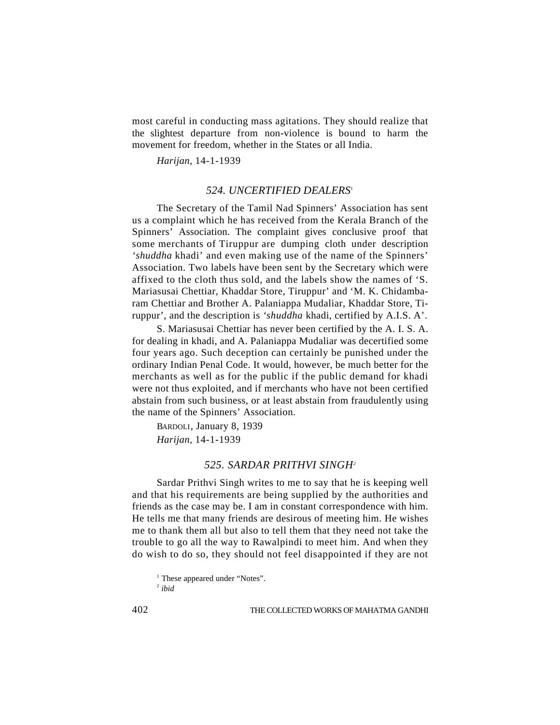most careful in conducting mass agitations. They should realize that the slightest departure from non-violence is bound to harm the movement for freedom, whether in the States or all India.

*Harijan,* 14-1-1939

## *524. UNCERTIFIED DEALERS*<sup>1</sup>

The Secretary of the Tamil Nad Spinners' Association has sent us a complaint which he has received from the Kerala Branch of the Spinners' Association. The complaint gives conclusive proof that some merchants of Tiruppur are dumping cloth under description *'shuddha* khadi' and even making use of the name of the Spinners' Association. Two labels have been sent by the Secretary which were affixed to the cloth thus sold, and the labels show the names of 'S. Mariasusai Chettiar, Khaddar Store, Tiruppur' and 'M. K. Chidambaram Chettiar and Brother A. Palaniappa Mudaliar, Khaddar Store, Tiruppur', and the description is *'shuddha* khadi, certified by A.I.S. A'.

S. Mariasusai Chettiar has never been certified by the A. I. S. A. for dealing in khadi, and A. Palaniappa Mudaliar was decertified some four years ago. Such deception can certainly be punished under the ordinary Indian Penal Code. It would, however, be much better for the merchants as well as for the public if the public demand for khadi were not thus exploited, and if merchants who have not been certified abstain from such business, or at least abstain from fraudulently using the name of the Spinners' Association.

BARDOLI, January 8, 1939 *Harijan,* 14-1-1939

## *525. SARDAR PRITHVI SINGH<sup>2</sup>*

Sardar Prithvi Singh writes to me to say that he is keeping well and that his requirements are being supplied by the authorities and friends as the case may be. I am in constant correspondence with him. He tells me that many friends are desirous of meeting him. He wishes me to thank them all but also to tell them that they need not take the trouble to go all the way to Rawalpindi to meet him. And when they do wish to do so, they should not feel disappointed if they are not

2 *ibid*

<sup>&</sup>lt;sup>1</sup> These appeared under "Notes".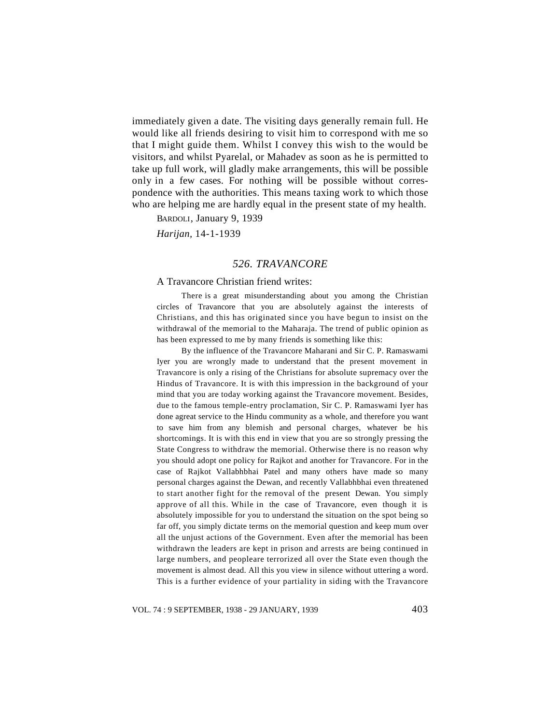immediately given a date. The visiting days generally remain full. He would like all friends desiring to visit him to correspond with me so that I might guide them. Whilst I convey this wish to the would be visitors, and whilst Pyarelal, or Mahadev as soon as he is permitted to take up full work, will gladly make arrangements, this will be possible only in a few cases. For nothing will be possible without correspondence with the authorities. This means taxing work to which those who are helping me are hardly equal in the present state of my health.

BARDOLI, January 9, 1939

*Harijan,* 14-1-1939

#### *526. TRAVANCORE*

A Travancore Christian friend writes:

There is a great misunderstanding about you among the Christian circles of Travancore that you are absolutely against the interests of Christians, and this has originated since you have begun to insist on the withdrawal of the memorial to the Maharaja. The trend of public opinion as has been expressed to me by many friends is something like this:

By the influence of the Travancore Maharani and Sir C. P. Ramaswami Iyer you are wrongly made to understand that the present movement in Travancore is only a rising of the Christians for absolute supremacy over the Hindus of Travancore. It is with this impression in the background of your mind that you are today working against the Travancore movement. Besides, due to the famous temple-entry proclamation, Sir C. P. Ramaswami Iyer has done agreat service to the Hindu community as a whole, and therefore you want to save him from any blemish and personal charges, whatever be his shortcomings. It is with this end in view that you are so strongly pressing the State Congress to withdraw the memorial. Otherwise there is no reason why you should adopt one policy for Rajkot and another for Travancore. For in the case of Rajkot Vallabhbhai Patel and many others have made so many personal charges against the Dewan, and recently Vallabhbhai even threatened to start another fight for the removal of the present Dewan. You simply approve of all this. While in the case of Travancore, even though it is absolutely impossible for you to understand the situation on the spot being so far off, you simply dictate terms on the memorial question and keep mum over all the unjust actions of the Government. Even after the memorial has been withdrawn the leaders are kept in prison and arrests are being continued in large numbers, and peopleare terrorized all over the State even though the movement is almost dead. All this you view in silence without uttering a word. This is a further evidence of your partiality in siding with the Travancore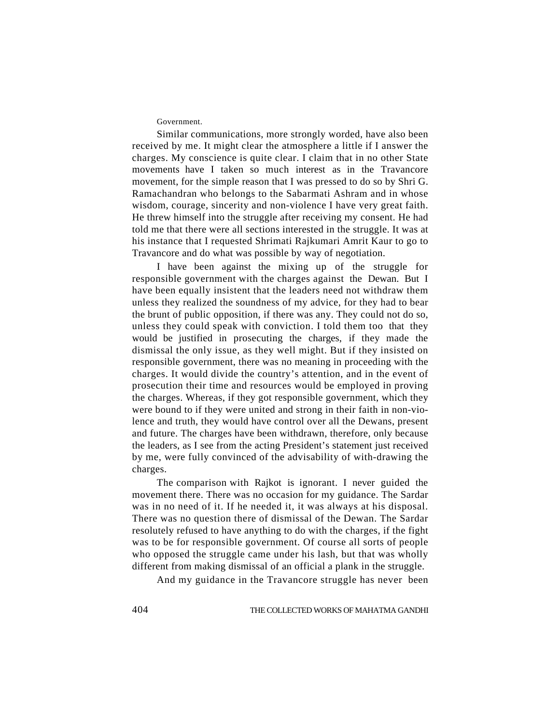Government.

Similar communications, more strongly worded, have also been received by me. It might clear the atmosphere a little if I answer the charges. My conscience is quite clear. I claim that in no other State movements have I taken so much interest as in the Travancore movement, for the simple reason that I was pressed to do so by Shri G. Ramachandran who belongs to the Sabarmati Ashram and in whose wisdom, courage, sincerity and non-violence I have very great faith. He threw himself into the struggle after receiving my consent. He had told me that there were all sections interested in the struggle. It was at his instance that I requested Shrimati Rajkumari Amrit Kaur to go to Travancore and do what was possible by way of negotiation.

I have been against the mixing up of the struggle for responsible government with the charges against the Dewan. But I have been equally insistent that the leaders need not withdraw them unless they realized the soundness of my advice, for they had to bear the brunt of public opposition, if there was any. They could not do so, unless they could speak with conviction. I told them too that they would be justified in prosecuting the charges, if they made the dismissal the only issue, as they well might. But if they insisted on responsible government, there was no meaning in proceeding with the charges. It would divide the country's attention, and in the event of prosecution their time and resources would be employed in proving the charges. Whereas, if they got responsible government, which they were bound to if they were united and strong in their faith in non-violence and truth, they would have control over all the Dewans, present and future. The charges have been withdrawn, therefore, only because the leaders, as I see from the acting President's statement just received by me, were fully convinced of the advisability of with-drawing the charges.

The comparison with Rajkot is ignorant. I never guided the movement there. There was no occasion for my guidance. The Sardar was in no need of it. If he needed it, it was always at his disposal. There was no question there of dismissal of the Dewan. The Sardar resolutely refused to have anything to do with the charges, if the fight was to be for responsible government. Of course all sorts of people who opposed the struggle came under his lash, but that was wholly different from making dismissal of an official a plank in the struggle.

And my guidance in the Travancore struggle has never been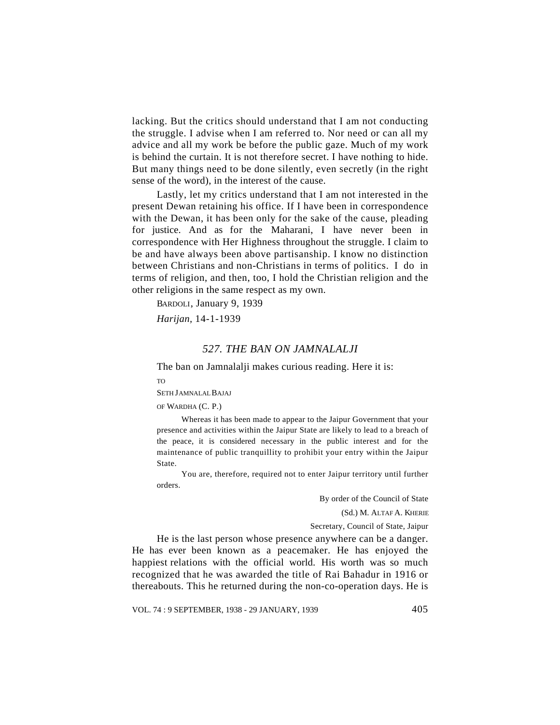lacking. But the critics should understand that I am not conducting the struggle. I advise when I am referred to. Nor need or can all my advice and all my work be before the public gaze. Much of my work is behind the curtain. It is not therefore secret. I have nothing to hide. But many things need to be done silently, even secretly (in the right sense of the word), in the interest of the cause.

Lastly, let my critics understand that I am not interested in the present Dewan retaining his office. If I have been in correspondence with the Dewan, it has been only for the sake of the cause, pleading for justice. And as for the Maharani, I have never been in correspondence with Her Highness throughout the struggle. I claim to be and have always been above partisanship. I know no distinction between Christians and non-Christians in terms of politics. I do in terms of religion, and then, too, I hold the Christian religion and the other religions in the same respect as my own.

BARDOLI, January 9, 1939

*Harijan,* 14-1-1939

## *527. THE BAN ON JAMNALALJI*

The ban on Jamnalalji makes curious reading. Here it is:

TO

SETH JAMNALAL BAJAJ

OF WARDHA (C. P.)

Whereas it has been made to appear to the Jaipur Government that your presence and activities within the Jaipur State are likely to lead to a breach of the peace, it is considered necessary in the public interest and for the maintenance of public tranquillity to prohibit your entry within the Jaipur State.

You are, therefore, required not to enter Jaipur territory until further orders.

By order of the Council of State

(Sd.) M. ALTAF A. KHERIE

Secretary, Council of State, Jaipur

He is the last person whose presence anywhere can be a danger. He has ever been known as a peacemaker. He has enjoyed the happiest relations with the official world. His worth was so much recognized that he was awarded the title of Rai Bahadur in 1916 or thereabouts. This he returned during the non-co-operation days. He is

VOL. 74 : 9 SEPTEMBER, 1938 - 29 JANUARY, 1939 405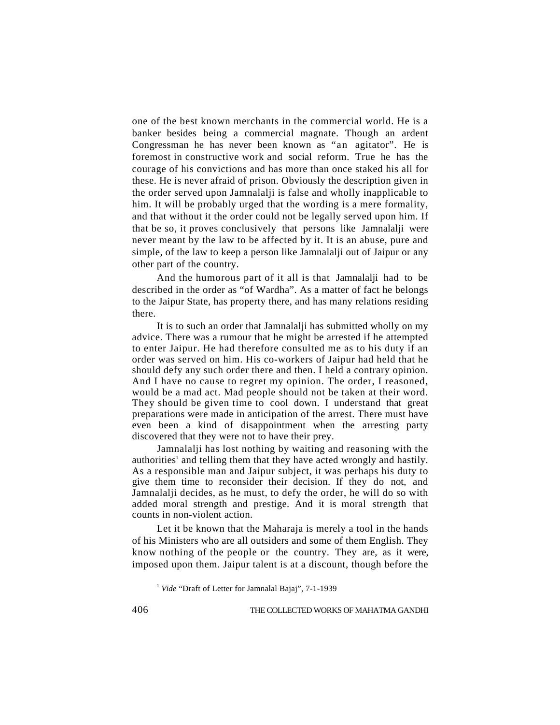one of the best known merchants in the commercial world. He is a banker besides being a commercial magnate. Though an ardent Congressman he has never been known as "an agitator". He is foremost in constructive work and social reform. True he has the courage of his convictions and has more than once staked his all for these. He is never afraid of prison. Obviously the description given in the order served upon Jamnalalji is false and wholly inapplicable to him. It will be probably urged that the wording is a mere formality, and that without it the order could not be legally served upon him. If that be so, it proves conclusively that persons like Jamnalalji were never meant by the law to be affected by it. It is an abuse, pure and simple, of the law to keep a person like Jamnalalji out of Jaipur or any other part of the country.

And the humorous part of it all is that Jamnalalji had to be described in the order as "of Wardha". As a matter of fact he belongs to the Jaipur State, has property there, and has many relations residing there.

It is to such an order that Jamnalalji has submitted wholly on my advice. There was a rumour that he might be arrested if he attempted to enter Jaipur. He had therefore consulted me as to his duty if an order was served on him. His co-workers of Jaipur had held that he should defy any such order there and then. I held a contrary opinion. And I have no cause to regret my opinion. The order, I reasoned, would be a mad act. Mad people should not be taken at their word. They should be given time to cool down. I understand that great preparations were made in anticipation of the arrest. There must have even been a kind of disappointment when the arresting party discovered that they were not to have their prey.

Jamnalalji has lost nothing by waiting and reasoning with the authorities<sup>1</sup> and telling them that they have acted wrongly and hastily. As a responsible man and Jaipur subject, it was perhaps his duty to give them time to reconsider their decision. If they do not, and Jamnalalji decides, as he must, to defy the order, he will do so with added moral strength and prestige. And it is moral strength that counts in non-violent action.

Let it be known that the Maharaja is merely a tool in the hands of his Ministers who are all outsiders and some of them English. They know nothing of the people or the country. They are, as it were, imposed upon them. Jaipur talent is at a discount, though before the

<sup>1</sup> *Vide* "Draft of Letter for Jamnalal Bajaj", 7-1-1939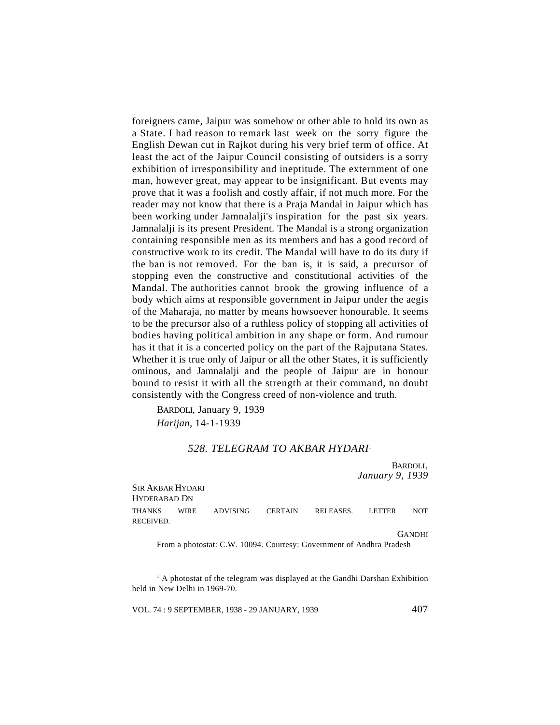foreigners came, Jaipur was somehow or other able to hold its own as a State. I had reason to remark last week on the sorry figure the English Dewan cut in Rajkot during his very brief term of office. At least the act of the Jaipur Council consisting of outsiders is a sorry exhibition of irresponsibility and ineptitude. The externment of one man, however great, may appear to be insignificant. But events may prove that it was a foolish and costly affair, if not much more. For the reader may not know that there is a Praja Mandal in Jaipur which has been working under Jamnalalji's inspiration for the past six years. Jamnalalji is its present President. The Mandal is a strong organization containing responsible men as its members and has a good record of constructive work to its credit. The Mandal will have to do its duty if the ban is not removed. For the ban is, it is said, a precursor of stopping even the constructive and constitutional activities of the Mandal. The authorities cannot brook the growing influence of a body which aims at responsible government in Jaipur under the aegis of the Maharaja, no matter by means howsoever honourable. It seems to be the precursor also of a ruthless policy of stopping all activities of bodies having political ambition in any shape or form. And rumour has it that it is a concerted policy on the part of the Rajputana States. Whether it is true only of Jaipur or all the other States, it is sufficiently ominous, and Jamnalalji and the people of Jaipur are in honour bound to resist it with all the strength at their command, no doubt consistently with the Congress creed of non-violence and truth.

BARDOLI, January 9, 1939 *Harijan,* 14-1-1939

## *528. TELEGRAM TO AKBAR HYDARI*<sup>1</sup>

BARDOLI, *January 9, 1939*

SIR AKBAR HYDARI HYDERABAD DN THANKS WIRE ADVISING CERTAIN RELEASES. LETTER NOT RECEIVED.

GANDHI

From a photostat: C.W. 10094. Courtesy: Government of Andhra Pradesh

<sup>1</sup> A photostat of the telegram was displayed at the Gandhi Darshan Exhibition held in New Delhi in 1969-70.

VOL. 74 : 9 SEPTEMBER, 1938 - 29 JANUARY, 1939 407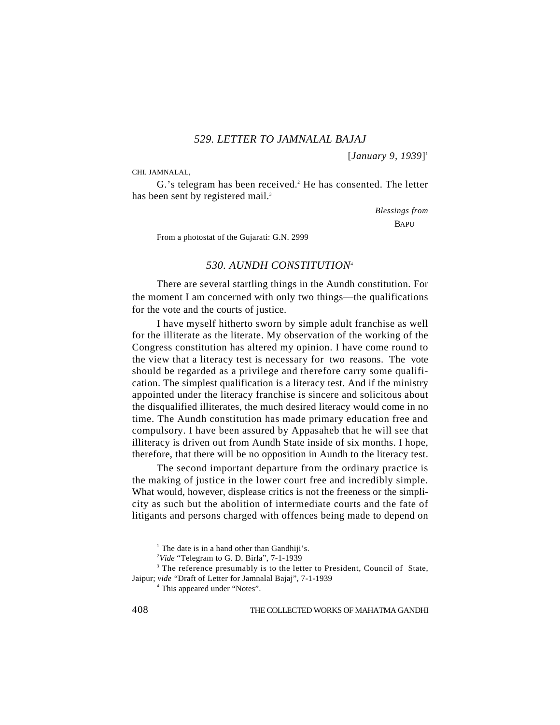[*January 9, 1939*] 1

CHI. JAMNALAL,

G.'s telegram has been received.<sup>2</sup> He has consented. The letter has been sent by registered mail.<sup>3</sup>

> *Blessings from* **BAPU**

From a photostat of the Gujarati: G.N. 2999

#### *530. AUNDH CONSTITUTION*<sup>4</sup>

There are several startling things in the Aundh constitution. For the moment I am concerned with only two things—the qualifications for the vote and the courts of justice.

I have myself hitherto sworn by simple adult franchise as well for the illiterate as the literate. My observation of the working of the Congress constitution has altered my opinion. I have come round to the view that a literacy test is necessary for two reasons. The vote should be regarded as a privilege and therefore carry some qualification. The simplest qualification is a literacy test. And if the ministry appointed under the literacy franchise is sincere and solicitous about the disqualified illiterates, the much desired literacy would come in no time. The Aundh constitution has made primary education free and compulsory. I have been assured by Appasaheb that he will see that illiteracy is driven out from Aundh State inside of six months. I hope, therefore, that there will be no opposition in Aundh to the literacy test.

The second important departure from the ordinary practice is the making of justice in the lower court free and incredibly simple. What would, however, displease critics is not the freeness or the simplicity as such but the abolition of intermediate courts and the fate of litigants and persons charged with offences being made to depend on

<sup>3</sup> The reference presumably is to the letter to President, Council of State, Jaipur; *vide* "Draft of Letter for Jamnalal Bajaj", 7-1-1939

<sup>4</sup> This appeared under "Notes".

<sup>&</sup>lt;sup>1</sup> The date is in a hand other than Gandhiji's.

<sup>2</sup>*Vide* "Telegram to G. D. Birla", 7-1-1939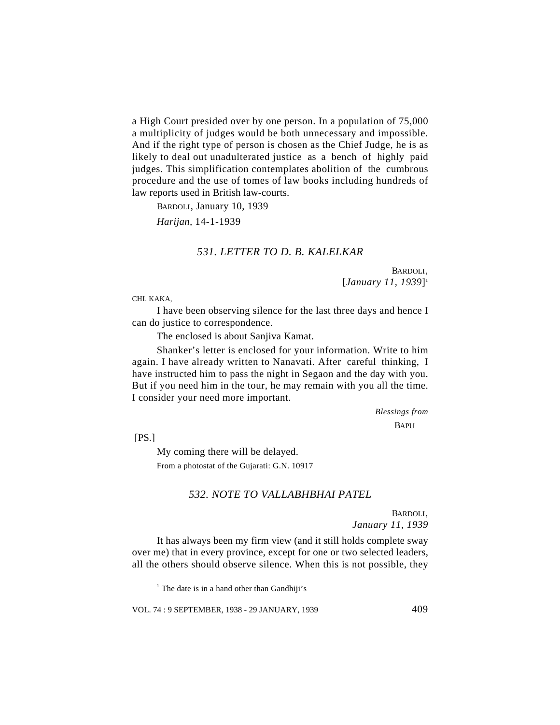a High Court presided over by one person. In a population of 75,000 a multiplicity of judges would be both unnecessary and impossible. And if the right type of person is chosen as the Chief Judge, he is as likely to deal out unadulterated justice as a bench of highly paid judges. This simplification contemplates abolition of the cumbrous procedure and the use of tomes of law books including hundreds of law reports used in British law-courts.

BARDOLI, January 10, 1939

*Harijan,* 14-1-1939

## *531. LETTER TO D. B. KALELKAR*

BARDOLI, [*January 11, 1939*] 1

CHI. KAKA,

I have been observing silence for the last three days and hence I can do justice to correspondence.

The enclosed is about Sanjiva Kamat.

Shanker's letter is enclosed for your information. Write to him again. I have already written to Nanavati. After careful thinking, I have instructed him to pass the night in Segaon and the day with you. But if you need him in the tour, he may remain with you all the time. I consider your need more important.

> *Blessings from* **BAPU**

 $[PS.]$ 

My coming there will be delayed.

From a photostat of the Gujarati: G.N. 10917

#### *532. NOTE TO VALLABHBHAI PATEL*

BARDOLI, *January 11, 1939*

It has always been my firm view (and it still holds complete sway over me) that in every province, except for one or two selected leaders, all the others should observe silence. When this is not possible, they

<sup>1</sup> The date is in a hand other than Gandhiji's

VOL. 74 : 9 SEPTEMBER, 1938 - 29 JANUARY, 1939 409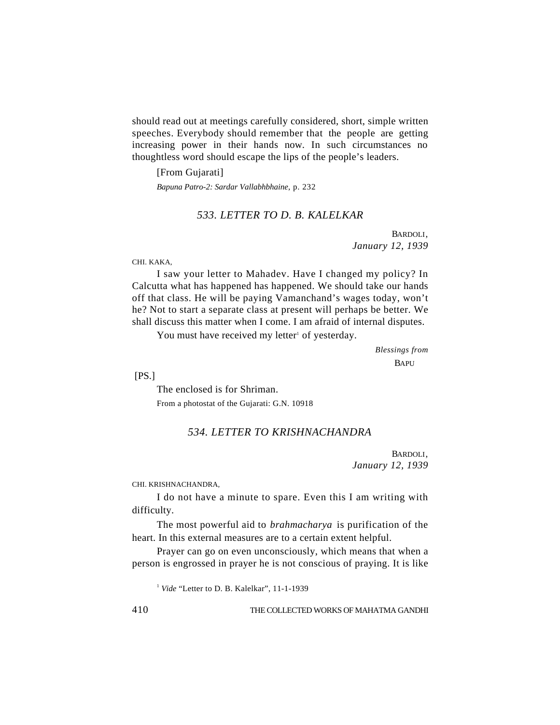should read out at meetings carefully considered, short, simple written speeches. Everybody should remember that the people are getting increasing power in their hands now. In such circumstances no thoughtless word should escape the lips of the people's leaders.

[From Gujarati] *Bapuna Patro-2: Sardar Vallabhbhaine,* p. 232

# *533. LETTER TO D. B. KALELKAR*

BARDOLI, *January 12, 1939*

#### CHI. KAKA,

I saw your letter to Mahadev. Have I changed my policy? In Calcutta what has happened has happened. We should take our hands off that class. He will be paying Vamanchand's wages today, won't he? Not to start a separate class at present will perhaps be better. We shall discuss this matter when I come. I am afraid of internal disputes.

You must have received my letter<sup>1</sup> of yesterday.

*Blessings from* **BAPU** 

 $[PS.]$ 

The enclosed is for Shriman.

From a photostat of the Gujarati: G.N. 10918

# *534. LETTER TO KRISHNACHANDRA*

BARDOLI, *January 12, 1939*

CHI. KRISHNACHANDRA,

I do not have a minute to spare. Even this I am writing with difficulty.

The most powerful aid to *brahmacharya* is purification of the heart. In this external measures are to a certain extent helpful.

Prayer can go on even unconsciously, which means that when a person is engrossed in prayer he is not conscious of praying. It is like

<sup>1</sup> *Vide* "Letter to D. B. Kalelkar", 11-1-1939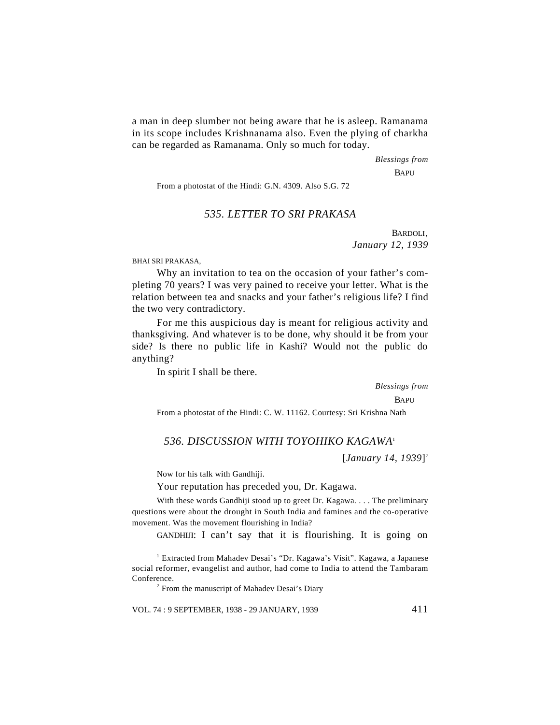a man in deep slumber not being aware that he is asleep. Ramanama in its scope includes Krishnanama also. Even the plying of charkha can be regarded as Ramanama. Only so much for today.

> *Blessings from* **BAPU**

From a photostat of the Hindi: G.N. 4309. Also S.G. 72

# *535. LETTER TO SRI PRAKASA*

BARDOLI, *January 12, 1939*

BHAI SRI PRAKASA,

Why an invitation to tea on the occasion of your father's completing 70 years? I was very pained to receive your letter. What is the relation between tea and snacks and your father's religious life? I find the two very contradictory.

For me this auspicious day is meant for religious activity and thanksgiving. And whatever is to be done, why should it be from your side? Is there no public life in Kashi? Would not the public do anything?

In spirit I shall be there.

*Blessings from*

BAPU

From a photostat of the Hindi: C. W. 11162. Courtesy: Sri Krishna Nath

#### *536. DISCUSSION WITH TOYOHIKO KAGAWA*<sup>1</sup>

[*January 14, 1939*] 2

Now for his talk with Gandhiji.

Your reputation has preceded you, Dr. Kagawa.

With these words Gandhiji stood up to greet Dr. Kagawa. . . . The preliminary questions were about the drought in South India and famines and the co-operative movement. Was the movement flourishing in India?

GANDHIJI: I can't say that it is flourishing. It is going on

<sup>1</sup> Extracted from Mahadev Desai's "Dr. Kagawa's Visit". Kagawa, a Japanese social reformer, evangelist and author, had come to India to attend the Tambaram Conference.

<sup>2</sup> From the manuscript of Mahadev Desai's Diary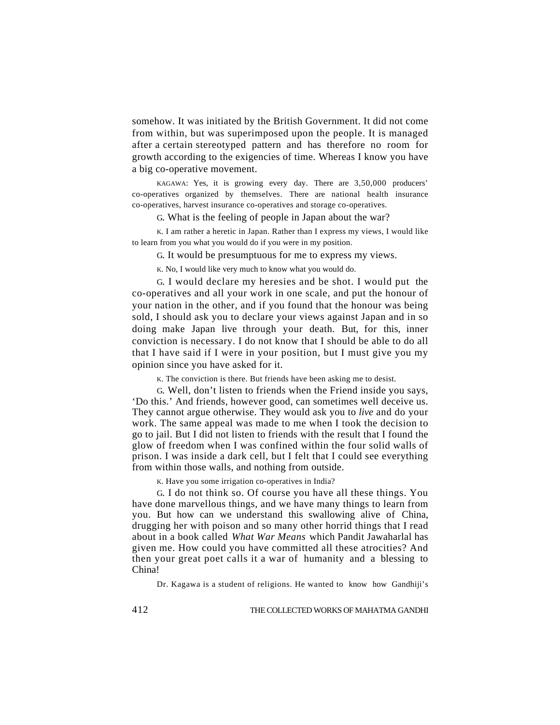somehow. It was initiated by the British Government. It did not come from within, but was superimposed upon the people. It is managed after a certain stereotyped pattern and has therefore no room for growth according to the exigencies of time. Whereas I know you have a big co-operative movement.

KAGAWA: Yes, it is growing every day. There are 3,50,000 producers' co-operatives organized by themselves. There are national health insurance co-operatives, harvest insurance co-operatives and storage co-operatives.

G. What is the feeling of people in Japan about the war?

K. I am rather a heretic in Japan. Rather than I express my views, I would like to learn from you what you would do if you were in my position.

G. It would be presumptuous for me to express my views.

K. No, I would like very much to know what you would do.

G. I would declare my heresies and be shot. I would put the co-operatives and all your work in one scale, and put the honour of your nation in the other, and if you found that the honour was being sold, I should ask you to declare your views against Japan and in so doing make Japan live through your death. But, for this, inner conviction is necessary. I do not know that I should be able to do all that I have said if I were in your position, but I must give you my opinion since you have asked for it.

K. The conviction is there. But friends have been asking me to desist.

G. Well, don't listen to friends when the Friend inside you says, 'Do this.' And friends, however good, can sometimes well deceive us. They cannot argue otherwise. They would ask you to *live* and do your work. The same appeal was made to me when I took the decision to go to jail. But I did not listen to friends with the result that I found the glow of freedom when I was confined within the four solid walls of prison. I was inside a dark cell, but I felt that I could see everything from within those walls, and nothing from outside.

K. Have you some irrigation co-operatives in India?

G. I do not think so. Of course you have all these things. You have done marvellous things, and we have many things to learn from you. But how can we understand this swallowing alive of China, drugging her with poison and so many other horrid things that I read about in a book called *What War Means* which Pandit Jawaharlal has given me. How could you have committed all these atrocities? And then your great poet calls it a war of humanity and a blessing to China!

Dr. Kagawa is a student of religions. He wanted to know how Gandhiji's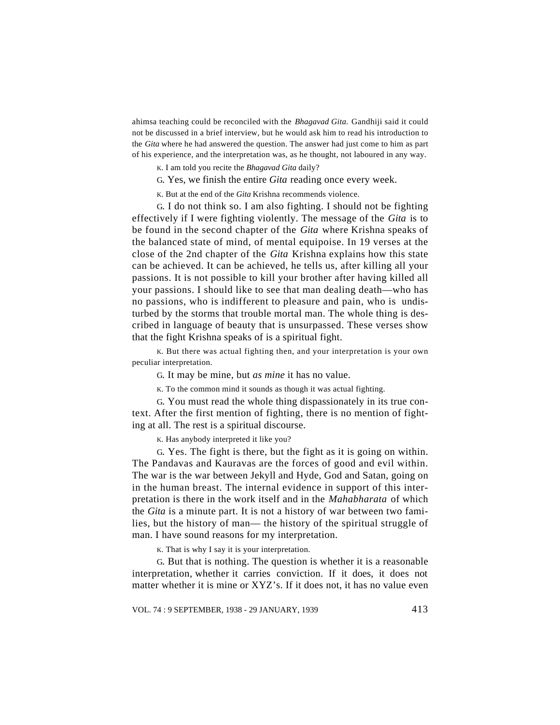ahimsa teaching could be reconciled with the *Bhagavad Gita.* Gandhiji said it could not be discussed in a brief interview, but he would ask him to read his introduction to the *Gita* where he had answered the question. The answer had just come to him as part of his experience, and the interpretation was, as he thought, not laboured in any way.

K. I am told you recite the *Bhagavad Gita* daily?

G. Yes, we finish the entire *Gita* reading once every week.

K. But at the end of the *Gita* Krishna recommends violence.

G. I do not think so. I am also fighting. I should not be fighting effectively if I were fighting violently. The message of the *Gita* is to be found in the second chapter of the *Gita* where Krishna speaks of the balanced state of mind, of mental equipoise. In 19 verses at the close of the 2nd chapter of the *Gita* Krishna explains how this state can be achieved. It can be achieved, he tells us, after killing all your passions. It is not possible to kill your brother after having killed all your passions. I should like to see that man dealing death—who has no passions, who is indifferent to pleasure and pain, who is undisturbed by the storms that trouble mortal man. The whole thing is described in language of beauty that is unsurpassed. These verses show that the fight Krishna speaks of is a spiritual fight.

K. But there was actual fighting then, and your interpretation is your own peculiar interpretation.

G. It may be mine, but *as mine* it has no value.

K. To the common mind it sounds as though it was actual fighting.

G. You must read the whole thing dispassionately in its true context. After the first mention of fighting, there is no mention of fighting at all. The rest is a spiritual discourse.

K. Has anybody interpreted it like you?

G. Yes. The fight is there, but the fight as it is going on within. The Pandavas and Kauravas are the forces of good and evil within. The war is the war between Jekyll and Hyde, God and Satan, going on in the human breast. The internal evidence in support of this interpretation is there in the work itself and in the *Mahabharata* of which the *Gita* is a minute part. It is not a history of war between two families, but the history of man— the history of the spiritual struggle of man. I have sound reasons for my interpretation.

K. That is why I say it is your interpretation.

G. But that is nothing. The question is whether it is a reasonable interpretation, whether it carries conviction. If it does, it does not matter whether it is mine or XYZ's. If it does not, it has no value even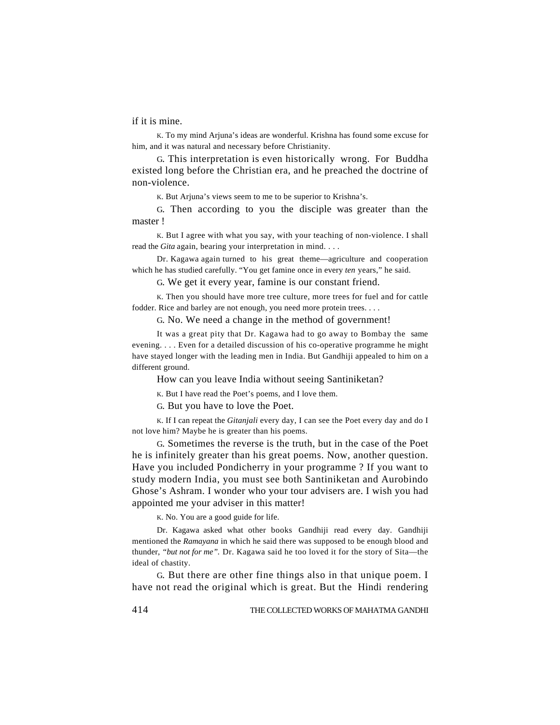if it is mine.

K. To my mind Arjuna's ideas are wonderful. Krishna has found some excuse for him, and it was natural and necessary before Christianity.

G. This interpretation is even historically wrong. For Buddha existed long before the Christian era, and he preached the doctrine of non-violence.

K. But Arjuna's views seem to me to be superior to Krishna's.

G. Then according to you the disciple was greater than the master !

K. But I agree with what you say, with your teaching of non-violence. I shall read the *Gita* again, bearing your interpretation in mind. . . .

Dr. Kagawa again turned to his great theme—agriculture and cooperation which he has studied carefully. "You get famine once in every *ten* years," he said.

G. We get it every year, famine is our constant friend.

K. Then you should have more tree culture, more trees for fuel and for cattle fodder. Rice and barley are not enough, you need more protein trees. . . .

G. No. We need a change in the method of government!

It was a great pity that Dr. Kagawa had to go away to Bombay the same evening. . . . Even for a detailed discussion of his co-operative programme he might have stayed longer with the leading men in India. But Gandhiji appealed to him on a different ground.

How can you leave India without seeing Santiniketan?

K. But I have read the Poet's poems, and I love them.

G. But you have to love the Poet.

K. If I can repeat the *Gitanjali* every day, I can see the Poet every day and do I not love him? Maybe he is greater than his poems.

G. Sometimes the reverse is the truth, but in the case of the Poet he is infinitely greater than his great poems. Now, another question. Have you included Pondicherry in your programme ? If you want to study modern India, you must see both Santiniketan and Aurobindo Ghose's Ashram. I wonder who your tour advisers are. I wish you had appointed me your adviser in this matter!

K. No. You are a good guide for life.

Dr. Kagawa asked what other books Gandhiji read every day. Gandhiji mentioned the *Ramayana* in which he said there was supposed to be enough blood and thunder, *"but not for me".* Dr. Kagawa said he too loved it for the story of Sita—the ideal of chastity.

G. But there are other fine things also in that unique poem. I have not read the original which is great. But the Hindi rendering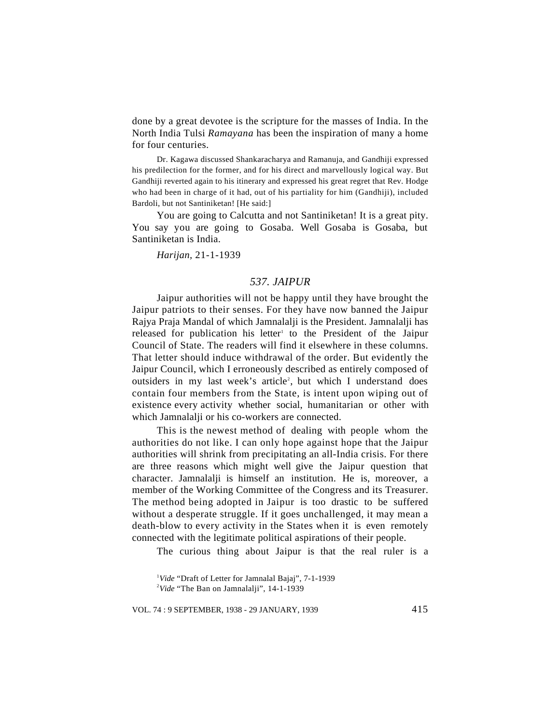done by a great devotee is the scripture for the masses of India. In the North India Tulsi *Ramayana* has been the inspiration of many a home for four centuries.

Dr. Kagawa discussed Shankaracharya and Ramanuja, and Gandhiji expressed his predilection for the former, and for his direct and marvellously logical way. But Gandhiji reverted again to his itinerary and expressed his great regret that Rev. Hodge who had been in charge of it had, out of his partiality for him (Gandhiji), included Bardoli, but not Santiniketan! [He said:]

You are going to Calcutta and not Santiniketan! It is a great pity. You say you are going to Gosaba. Well Gosaba is Gosaba, but Santiniketan is India.

*Harijan,* 21-1-1939

## *537. JAIPUR*

Jaipur authorities will not be happy until they have brought the Jaipur patriots to their senses. For they have now banned the Jaipur Rajya Praja Mandal of which Jamnalalji is the President. Jamnalalji has released for publication his letter<sup>1</sup> to the President of the Jaipur Council of State. The readers will find it elsewhere in these columns. That letter should induce withdrawal of the order. But evidently the Jaipur Council, which I erroneously described as entirely composed of outsiders in my last week's article<sup>2</sup>, but which I understand does contain four members from the State, is intent upon wiping out of existence every activity whether social, humanitarian or other with which Jamnalalji or his co-workers are connected.

This is the newest method of dealing with people whom the authorities do not like. I can only hope against hope that the Jaipur authorities will shrink from precipitating an all-India crisis. For there are three reasons which might well give the Jaipur question that character. Jamnalalji is himself an institution. He is, moreover, a member of the Working Committee of the Congress and its Treasurer. The method being adopted in Jaipur is too drastic to be suffered without a desperate struggle. If it goes unchallenged, it may mean a death-blow to every activity in the States when it is even remotely connected with the legitimate political aspirations of their people.

The curious thing about Jaipur is that the real ruler is a

<sup>&</sup>lt;sup>1</sup>Vide "Draft of Letter for Jamnalal Bajaj", 7-1-1939

<sup>2</sup>*Vide* "The Ban on Jamnalalji", 14-1-1939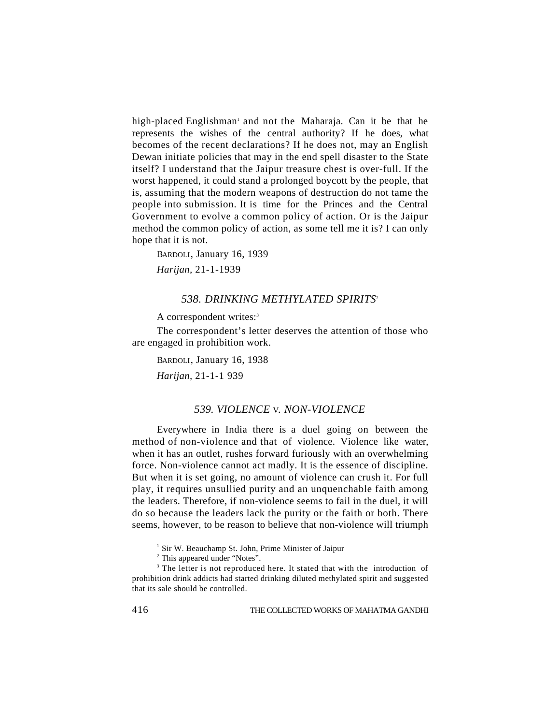high-placed Englishman<sup>1</sup> and not the Maharaja. Can it be that he represents the wishes of the central authority? If he does, what becomes of the recent declarations? If he does not, may an English Dewan initiate policies that may in the end spell disaster to the State itself? I understand that the Jaipur treasure chest is over-full. If the worst happened, it could stand a prolonged boycott by the people, that is, assuming that the modern weapons of destruction do not tame the people into submission. It is time for the Princes and the Central Government to evolve a common policy of action. Or is the Jaipur method the common policy of action, as some tell me it is? I can only hope that it is not.

BARDOLI, January 16, 1939 *Harijan,* 21-1-1939

## *538. DRINKING METHYLATED SPIRITS*<sup>2</sup>

A correspondent writes:<sup>3</sup>

The correspondent's letter deserves the attention of those who are engaged in prohibition work.

BARDOLI, January 16, 1938 *Harijan,* 21-1-1 939

## *539. VIOLENCE* V*. NON-VIOLENCE*

Everywhere in India there is a duel going on between the method of non-violence and that of violence. Violence like water, when it has an outlet, rushes forward furiously with an overwhelming force. Non-violence cannot act madly. It is the essence of discipline. But when it is set going, no amount of violence can crush it. For full play, it requires unsullied purity and an unquenchable faith among the leaders. Therefore, if non-violence seems to fail in the duel, it will do so because the leaders lack the purity or the faith or both. There seems, however, to be reason to believe that non-violence will triumph

<sup>1</sup> Sir W. Beauchamp St. John, Prime Minister of Jaipur

<sup>2</sup> This appeared under "Notes".

<sup>3</sup> The letter is not reproduced here. It stated that with the introduction of prohibition drink addicts had started drinking diluted methylated spirit and suggested that its sale should be controlled.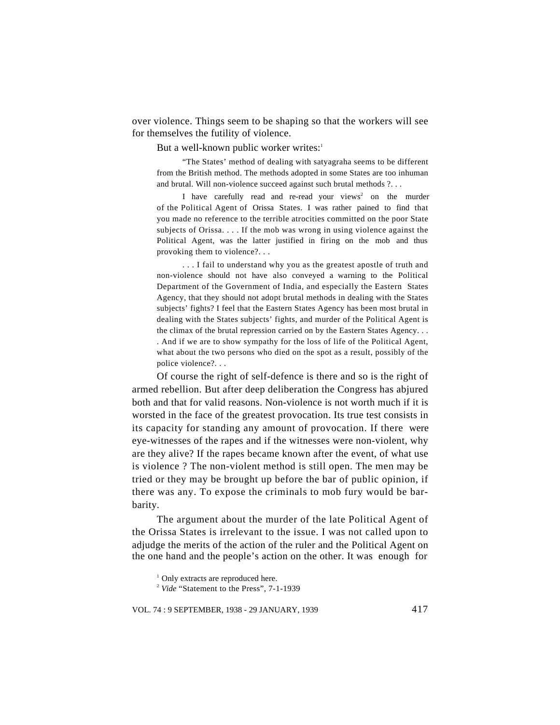over violence. Things seem to be shaping so that the workers will see for themselves the futility of violence.

But a well-known public worker writes:<sup>1</sup>

"The States' method of dealing with satyagraha seems to be different from the British method. The methods adopted in some States are too inhuman and brutal. Will non-violence succeed against such brutal methods ?. . .

I have carefully read and re-read your views<sup>2</sup> on the murder of the Political Agent of Orissa States. I was rather pained to find that you made no reference to the terrible atrocities committed on the poor State subjects of Orissa. . . . If the mob was wrong in using violence against the Political Agent, was the latter justified in firing on the mob and thus provoking them to violence?. . .

. . . I fail to understand why you as the greatest apostle of truth and non-violence should not have also conveyed a warning to the Political Department of the Government of India, and especially the Eastern States Agency, that they should not adopt brutal methods in dealing with the States subjects' fights? I feel that the Eastern States Agency has been most brutal in dealing with the States subjects' fights, and murder of the Political Agent is the climax of the brutal repression carried on by the Eastern States Agency. . . . And if we are to show sympathy for the loss of life of the Political Agent, what about the two persons who died on the spot as a result, possibly of the police violence?. . .

Of course the right of self-defence is there and so is the right of armed rebellion. But after deep deliberation the Congress has abjured both and that for valid reasons. Non-violence is not worth much if it is worsted in the face of the greatest provocation. Its true test consists in its capacity for standing any amount of provocation. If there were eye-witnesses of the rapes and if the witnesses were non-violent, why are they alive? If the rapes became known after the event, of what use is violence ? The non-violent method is still open. The men may be tried or they may be brought up before the bar of public opinion, if there was any. To expose the criminals to mob fury would be barbarity.

The argument about the murder of the late Political Agent of the Orissa States is irrelevant to the issue. I was not called upon to adjudge the merits of the action of the ruler and the Political Agent on the one hand and the people's action on the other. It was enough for

<sup>&</sup>lt;sup>1</sup> Only extracts are reproduced here.

<sup>2</sup> *Vide* "Statement to the Press", 7-1-1939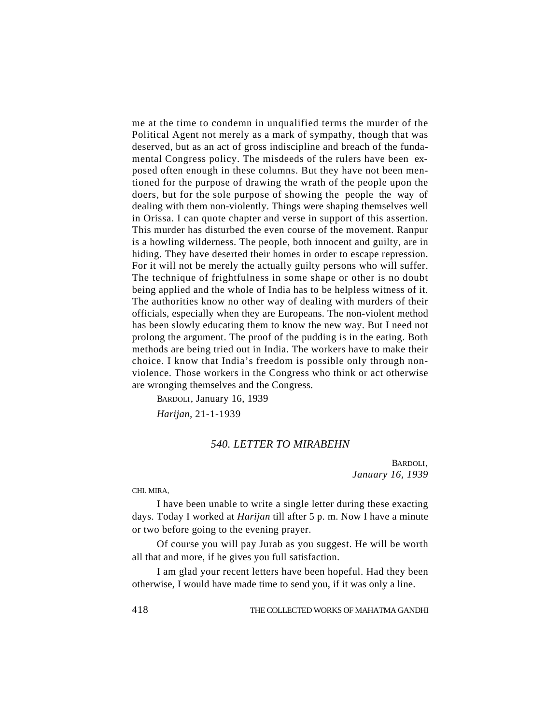me at the time to condemn in unqualified terms the murder of the Political Agent not merely as a mark of sympathy, though that was deserved, but as an act of gross indiscipline and breach of the fundamental Congress policy. The misdeeds of the rulers have been exposed often enough in these columns. But they have not been mentioned for the purpose of drawing the wrath of the people upon the doers, but for the sole purpose of showing the people the way of dealing with them non-violently. Things were shaping themselves well in Orissa. I can quote chapter and verse in support of this assertion. This murder has disturbed the even course of the movement. Ranpur is a howling wilderness. The people, both innocent and guilty, are in hiding. They have deserted their homes in order to escape repression. For it will not be merely the actually guilty persons who will suffer. The technique of frightfulness in some shape or other is no doubt being applied and the whole of India has to be helpless witness of it. The authorities know no other way of dealing with murders of their officials, especially when they are Europeans. The non-violent method has been slowly educating them to know the new way. But I need not prolong the argument. The proof of the pudding is in the eating. Both methods are being tried out in India. The workers have to make their choice. I know that India's freedom is possible only through nonviolence. Those workers in the Congress who think or act otherwise are wronging themselves and the Congress.

BARDOLI, January 16, 1939

*Harijan,* 21-1-1939

## *540. LETTER TO MIRABEHN*

BARDOLI, *January 16, 1939*

CHI. MIRA,

I have been unable to write a single letter during these exacting days. Today I worked at *Harijan* till after 5 p. m. Now I have a minute or two before going to the evening prayer.

Of course you will pay Jurab as you suggest. He will be worth all that and more, if he gives you full satisfaction.

I am glad your recent letters have been hopeful. Had they been otherwise, I would have made time to send you, if it was only a line.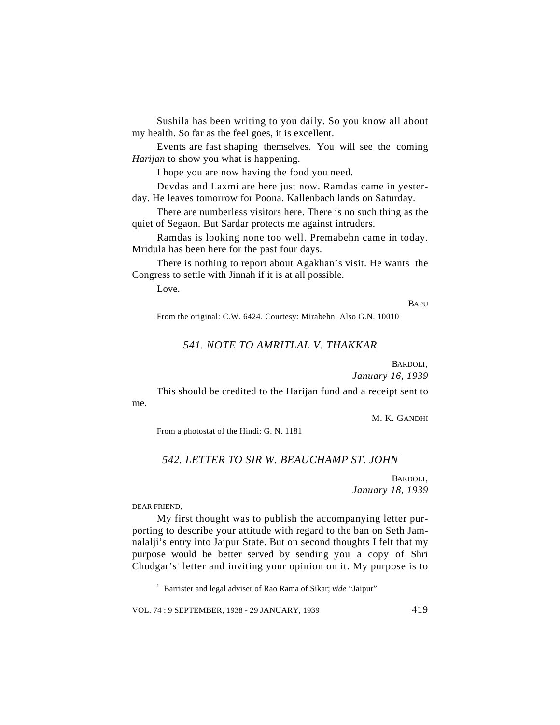Sushila has been writing to you daily. So you know all about my health. So far as the feel goes, it is excellent.

Events are fast shaping themselves. You will see the coming *Harijan* to show you what is happening.

I hope you are now having the food you need.

Devdas and Laxmi are here just now. Ramdas came in yesterday. He leaves tomorrow for Poona. Kallenbach lands on Saturday.

There are numberless visitors here. There is no such thing as the quiet of Segaon. But Sardar protects me against intruders.

Ramdas is looking none too well. Premabehn came in today. Mridula has been here for the past four days.

There is nothing to report about Agakhan's visit. He wants the Congress to settle with Jinnah if it is at all possible.

Love.

**BAPU** 

From the original: C.W. 6424. Courtesy: Mirabehn. Also G.N. 10010

## *541. NOTE TO AMRITLAL V. THAKKAR*

BARDOLI, *January 16, 1939*

This should be credited to the Harijan fund and a receipt sent to me.

M. K. GANDHI

From a photostat of the Hindi: G. N. 1181

#### *542. LETTER TO SIR W. BEAUCHAMP ST. JOHN*

BARDOLI, *January 18, 1939*

DEAR FRIEND,

My first thought was to publish the accompanying letter purporting to describe your attitude with regard to the ban on Seth Jamnalalji's entry into Jaipur State. But on second thoughts I felt that my purpose would be better served by sending you a copy of Shri Chudgar's<sup>1</sup> letter and inviting your opinion on it. My purpose is to

<sup>1</sup> Barrister and legal adviser of Rao Rama of Sikar; *vide* "Jaipur"

VOL. 74 : 9 SEPTEMBER, 1938 - 29 JANUARY, 1939 419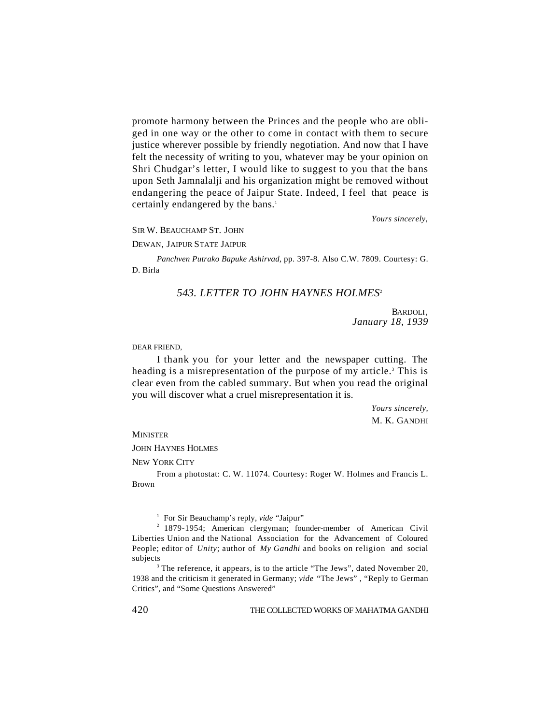promote harmony between the Princes and the people who are obliged in one way or the other to come in contact with them to secure justice wherever possible by friendly negotiation. And now that I have felt the necessity of writing to you, whatever may be your opinion on Shri Chudgar's letter, I would like to suggest to you that the bans upon Seth Jamnalalji and his organization might be removed without endangering the peace of Jaipur State. Indeed, I feel that peace is certainly endangered by the bans.<sup>1</sup>

*Yours sincerely*,

SIR W. BEAUCHAMP ST. JOHN DEWAN, JAIPUR STATE JAIPUR

*Panchven Putrako Bapuke Ashirvad,* pp. 397-8. Also C.W. 7809. Courtesy: G. D. Birla

# *543. LETTER TO JOHN HAYNES HOLMES*<sup>2</sup>

BARDOLI, *January 18, 1939*

DEAR FRIEND,

I thank you for your letter and the newspaper cutting. The heading is a misrepresentation of the purpose of my article.<sup>3</sup> This is clear even from the cabled summary. But when you read the original you will discover what a cruel misrepresentation it is.

> *Yours sincerely,* M. K. GANDHI

**MINISTER** 

JOHN HAYNES HOLMES

NEW YORK CITY

From a photostat: C. W. 11074. Courtesy: Roger W. Holmes and Francis L. Brown

<sup>1</sup> For Sir Beauchamp's reply, *vide* "Jaipur"

<sup>2</sup> 1879-1954; American clergyman; founder-member of American Civil Liberties Union and the National Association for the Advancement of Coloured People; editor of *Unity*; author of *My Gandhi* and books on religion and social subjects

 $3$  The reference, it appears, is to the article "The Jews", dated November 20, 1938 and the criticism it generated in Germany; *vide* "The Jews" , "Reply to German Critics", and "Some Questions Answered"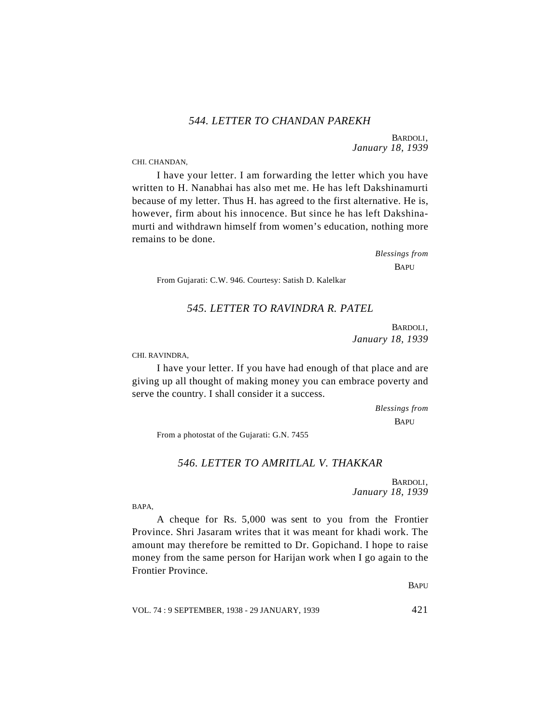## *544. LETTER TO CHANDAN PAREKH*

BARDOLI, *January 18, 1939*

CHI. CHANDAN,

I have your letter. I am forwarding the letter which you have written to H. Nanabhai has also met me. He has left Dakshinamurti because of my letter. Thus H. has agreed to the first alternative. He is, however, firm about his innocence. But since he has left Dakshinamurti and withdrawn himself from women's education, nothing more remains to be done.

> *Blessings from* **BAPU**

From Gujarati: C.W. 946. Courtesy: Satish D. Kalelkar

#### *545. LETTER TO RAVINDRA R. PATEL*

BARDOLI, *January 18, 1939*

CHI. RAVINDRA,

I have your letter. If you have had enough of that place and are giving up all thought of making money you can embrace poverty and serve the country. I shall consider it a success.

> *Blessings from* **BAPU**

From a photostat of the Gujarati: G.N. 7455

#### *546. LETTER TO AMRITLAL V. THAKKAR*

BARDOLI, *January 18, 1939*

BAPA,

A cheque for Rs. 5,000 was sent to you from the Frontier Province. Shri Jasaram writes that it was meant for khadi work. The amount may therefore be remitted to Dr. Gopichand. I hope to raise money from the same person for Harijan work when I go again to the Frontier Province.

**BAPU**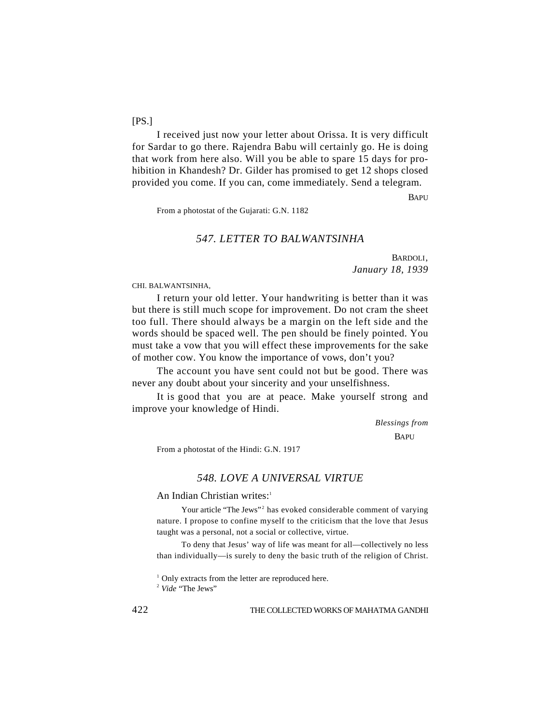[PS.]

I received just now your letter about Orissa. It is very difficult for Sardar to go there. Rajendra Babu will certainly go. He is doing that work from here also. Will you be able to spare 15 days for prohibition in Khandesh? Dr. Gilder has promised to get 12 shops closed provided you come. If you can, come immediately. Send a telegram.

**BAPU** 

From a photostat of the Gujarati: G.N. 1182

#### *547. LETTER TO BALWANTSINHA*

BARDOLI, *January 18, 1939*

CHI. BALWANTSINHA,

I return your old letter. Your handwriting is better than it was but there is still much scope for improvement. Do not cram the sheet too full. There should always be a margin on the left side and the words should be spaced well. The pen should be finely pointed. You must take a vow that you will effect these improvements for the sake of mother cow. You know the importance of vows, don't you?

The account you have sent could not but be good. There was never any doubt about your sincerity and your unselfishness.

It is good that you are at peace. Make yourself strong and improve your knowledge of Hindi.

> *Blessings from* **BAPU**

From a photostat of the Hindi: G.N. 1917

#### *548. LOVE A UNIVERSAL VIRTUE*

An Indian Christian writes:<sup>1</sup>

Your article "The Jews"<sup>2</sup> has evoked considerable comment of varying nature. I propose to confine myself to the criticism that the love that Jesus taught was a personal, not a social or collective, virtue.

To deny that Jesus' way of life was meant for all—collectively no less than individually—is surely to deny the basic truth of the religion of Christ.

<sup>1</sup> Only extracts from the letter are reproduced here.

<sup>2</sup> *Vide* "The Jews"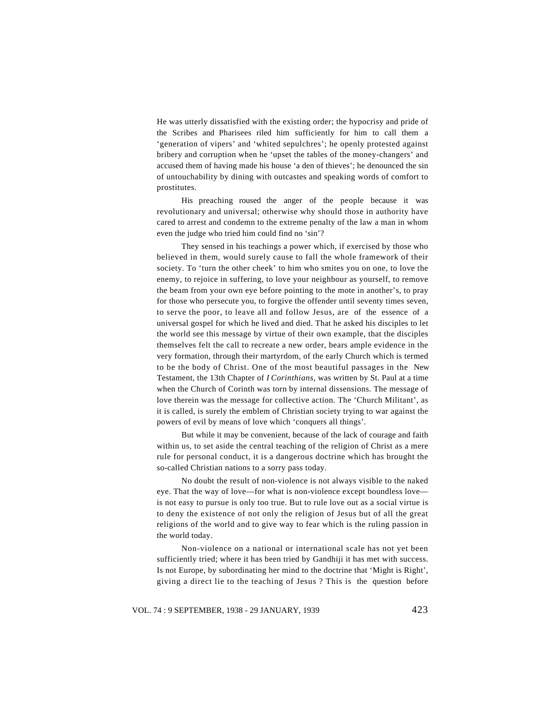He was utterly dissatisfied with the existing order; the hypocrisy and pride of the Scribes and Pharisees riled him sufficiently for him to call them a 'generation of vipers' and 'whited sepulchres'; he openly protested against bribery and corruption when he 'upset the tables of the money-changers' and accused them of having made his house 'a den of thieves'; he denounced the sin of untouchability by dining with outcastes and speaking words of comfort to prostitutes.

His preaching roused the anger of the people because it was revolutionary and universal; otherwise why should those in authority have cared to arrest and condemn to the extreme penalty of the law a man in whom even the judge who tried him could find no 'sin'?

They sensed in his teachings a power which, if exercised by those who believed in them, would surely cause to fall the whole framework of their society. To 'turn the other cheek' to him who smites you on one, to love the enemy, to rejoice in suffering, to love your neighbour as yourself, to remove the beam from your own eye before pointing to the mote in another's, to pray for those who persecute you, to forgive the offender until seventy times seven, to serve the poor, to leave all and follow Jesus, are of the essence of a universal gospel for which he lived and died. That he asked his disciples to let the world see this message by virtue of their own example, that the disciples themselves felt the call to recreate a new order, bears ample evidence in the very formation, through their martyrdom, of the early Church which is termed to be the body of Christ. One of the most beautiful passages in the New Testament, the 13th Chapter of *I Corinthians,* was written by St. Paul at a time when the Church of Corinth was torn by internal dissensions. The message of love therein was the message for collective action. The 'Church Militant', as it is called, is surely the emblem of Christian society trying to war against the powers of evil by means of love which 'conquers all things'.

But while it may be convenient, because of the lack of courage and faith within us, to set aside the central teaching of the religion of Christ as a mere rule for personal conduct, it is a dangerous doctrine which has brought the so-called Christian nations to a sorry pass today.

No doubt the result of non-violence is not always visible to the naked eye. That the way of love—for what is non-violence except boundless love is not easy to pursue is only too true. But to rule love out as a social virtue is to deny the existence of not only the religion of Jesus but of all the great religions of the world and to give way to fear which is the ruling passion in the world today.

Non-violence on a national or international scale has not yet been sufficiently tried; where it has been tried by Gandhiji it has met with success. Is not Europe, by subordinating her mind to the doctrine that 'Might is Right', giving a direct lie to the teaching of Jesus ? This is the question before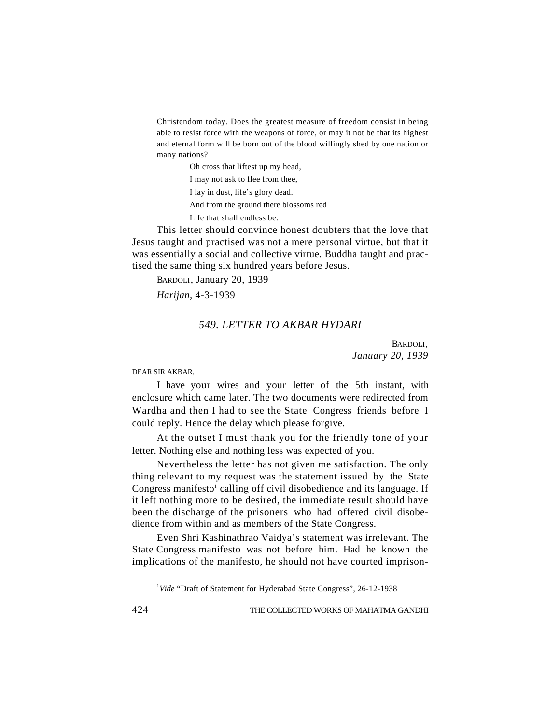Christendom today. Does the greatest measure of freedom consist in being able to resist force with the weapons of force, or may it not be that its highest and eternal form will be born out of the blood willingly shed by one nation or many nations?

> Oh cross that liftest up my head, I may not ask to flee from thee, I lay in dust, life's glory dead. And from the ground there blossoms red Life that shall endless be.

This letter should convince honest doubters that the love that Jesus taught and practised was not a mere personal virtue, but that it was essentially a social and collective virtue. Buddha taught and practised the same thing six hundred years before Jesus.

BARDOLI, January 20, 1939

*Harijan,* 4-3-1939

# *549. LETTER TO AKBAR HYDARI*

BARDOLI, *January 20, 1939*

DEAR SIR AKBAR,

I have your wires and your letter of the 5th instant, with enclosure which came later. The two documents were redirected from Wardha and then I had to see the State Congress friends before I could reply. Hence the delay which please forgive.

At the outset I must thank you for the friendly tone of your letter. Nothing else and nothing less was expected of you.

Nevertheless the letter has not given me satisfaction. The only thing relevant to my request was the statement issued by the State Congress manifesto<sup>1</sup> calling off civil disobedience and its language. If it left nothing more to be desired, the immediate result should have been the discharge of the prisoners who had offered civil disobedience from within and as members of the State Congress.

Even Shri Kashinathrao Vaidya's statement was irrelevant. The State Congress manifesto was not before him. Had he known the implications of the manifesto, he should not have courted imprison-

<sup>1</sup>Vide "Draft of Statement for Hyderabad State Congress", 26-12-1938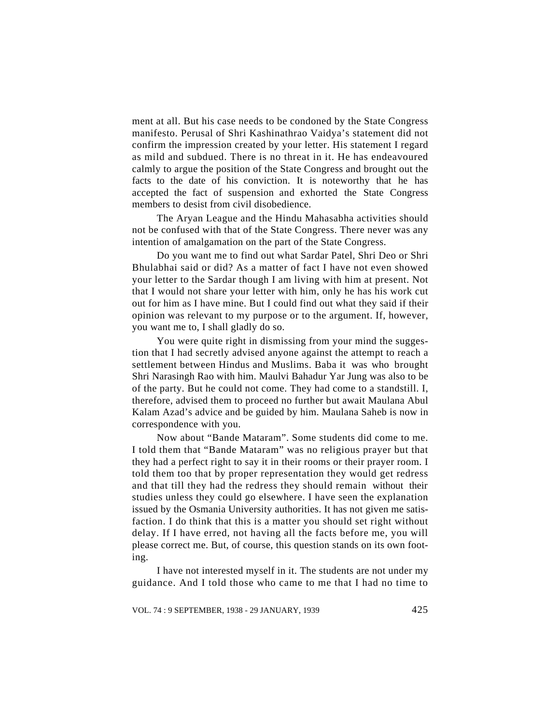ment at all. But his case needs to be condoned by the State Congress manifesto. Perusal of Shri Kashinathrao Vaidya's statement did not confirm the impression created by your letter. His statement I regard as mild and subdued. There is no threat in it. He has endeavoured calmly to argue the position of the State Congress and brought out the facts to the date of his conviction. It is noteworthy that he has accepted the fact of suspension and exhorted the State Congress members to desist from civil disobedience.

The Aryan League and the Hindu Mahasabha activities should not be confused with that of the State Congress. There never was any intention of amalgamation on the part of the State Congress.

Do you want me to find out what Sardar Patel, Shri Deo or Shri Bhulabhai said or did? As a matter of fact I have not even showed your letter to the Sardar though I am living with him at present. Not that I would not share your letter with him, only he has his work cut out for him as I have mine. But I could find out what they said if their opinion was relevant to my purpose or to the argument. If, however, you want me to, I shall gladly do so.

You were quite right in dismissing from your mind the suggestion that I had secretly advised anyone against the attempt to reach a settlement between Hindus and Muslims. Baba it was who brought Shri Narasingh Rao with him. Maulvi Bahadur Yar Jung was also to be of the party. But he could not come. They had come to a standstill. I, therefore, advised them to proceed no further but await Maulana Abul Kalam Azad's advice and be guided by him. Maulana Saheb is now in correspondence with you.

Now about "Bande Mataram". Some students did come to me. I told them that "Bande Mataram" was no religious prayer but that they had a perfect right to say it in their rooms or their prayer room. I told them too that by proper representation they would get redress and that till they had the redress they should remain without their studies unless they could go elsewhere. I have seen the explanation issued by the Osmania University authorities. It has not given me satisfaction. I do think that this is a matter you should set right without delay. If I have erred, not having all the facts before me, you will please correct me. But, of course, this question stands on its own footing.

I have not interested myself in it. The students are not under my guidance. And I told those who came to me that I had no time to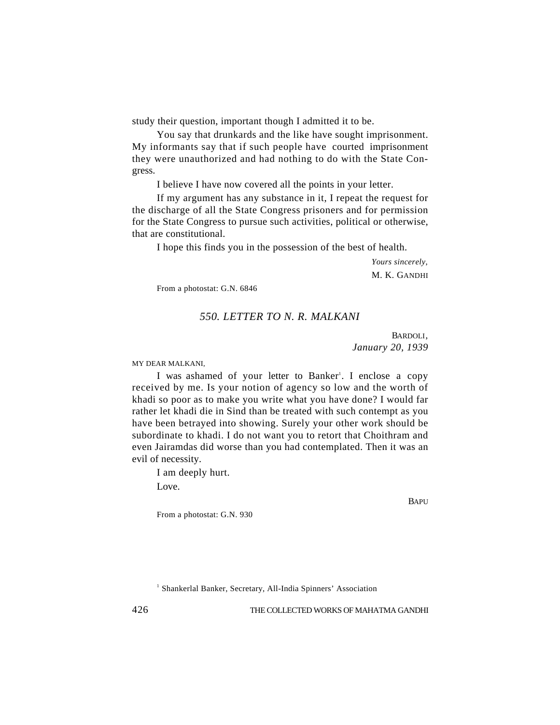study their question, important though I admitted it to be.

You say that drunkards and the like have sought imprisonment. My informants say that if such people have courted imprisonment they were unauthorized and had nothing to do with the State Congress.

I believe I have now covered all the points in your letter.

If my argument has any substance in it, I repeat the request for the discharge of all the State Congress prisoners and for permission for the State Congress to pursue such activities, political or otherwise, that are constitutional.

I hope this finds you in the possession of the best of health.

*Yours sincerely*, M. K. GANDHI

From a photostat: G.N. 6846

## *550. LETTER TO N. R. MALKANI*

BARDOLI, *January 20, 1939*

MY DEAR MALKANI,

I was ashamed of your letter to Banker<sup>1</sup>. I enclose a copy received by me. Is your notion of agency so low and the worth of khadi so poor as to make you write what you have done? I would far rather let khadi die in Sind than be treated with such contempt as you have been betrayed into showing. Surely your other work should be subordinate to khadi. I do not want you to retort that Choithram and even Jairamdas did worse than you had contemplated. Then it was an evil of necessity.

I am deeply hurt. Love.

From a photostat: G.N. 930

<sup>1</sup> Shankerlal Banker, Secretary, All-India Spinners' Association

**BAPU**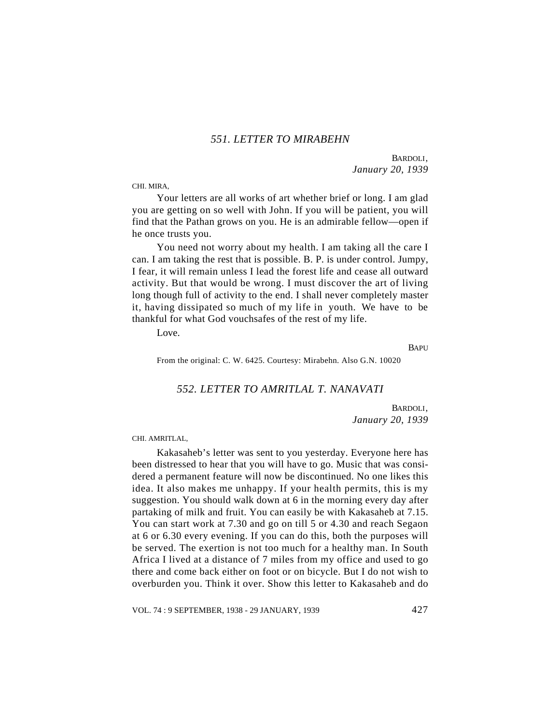BARDOLI, *January 20, 1939*

CHI. MIRA,

Your letters are all works of art whether brief or long. I am glad you are getting on so well with John. If you will be patient, you will find that the Pathan grows on you. He is an admirable fellow—open if he once trusts you.

You need not worry about my health. I am taking all the care I can. I am taking the rest that is possible. B. P. is under control. Jumpy, I fear, it will remain unless I lead the forest life and cease all outward activity. But that would be wrong. I must discover the art of living long though full of activity to the end. I shall never completely master it, having dissipated so much of my life in youth. We have to be thankful for what God vouchsafes of the rest of my life.

Love.

**BAPU** 

From the original: C. W. 6425. Courtesy: Mirabehn. Also G.N. 10020

#### *552. LETTER TO AMRITLAL T. NANAVATI*

BARDOLI, *January 20, 1939*

CHI. AMRITLAL,

Kakasaheb's letter was sent to you yesterday. Everyone here has been distressed to hear that you will have to go. Music that was considered a permanent feature will now be discontinued. No one likes this idea. It also makes me unhappy. If your health permits, this is my suggestion. You should walk down at 6 in the morning every day after partaking of milk and fruit. You can easily be with Kakasaheb at 7.15. You can start work at 7.30 and go on till 5 or 4.30 and reach Segaon at 6 or 6.30 every evening. If you can do this, both the purposes will be served. The exertion is not too much for a healthy man. In South Africa I lived at a distance of 7 miles from my office and used to go there and come back either on foot or on bicycle. But I do not wish to overburden you. Think it over. Show this letter to Kakasaheb and do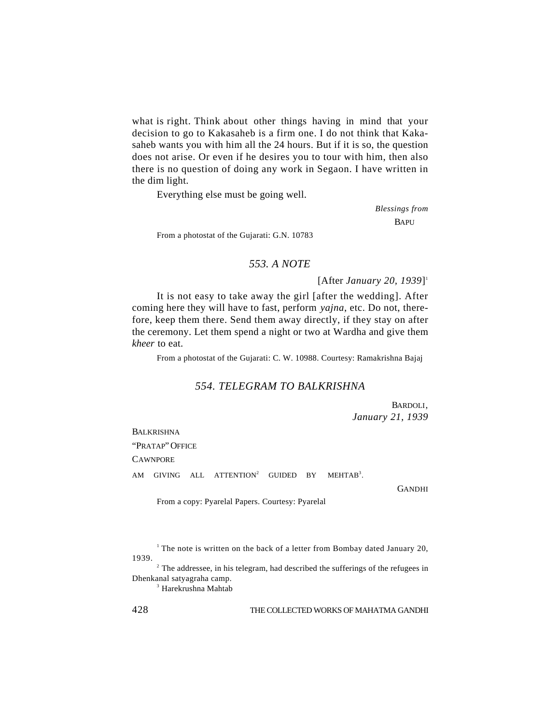what is right. Think about other things having in mind that your decision to go to Kakasaheb is a firm one. I do not think that Kakasaheb wants you with him all the 24 hours. But if it is so, the question does not arise. Or even if he desires you to tour with him, then also there is no question of doing any work in Segaon. I have written in the dim light.

Everything else must be going well.

*Blessings from* **BAPU** 

From a photostat of the Gujarati: G.N. 10783

#### *553. A NOTE*

[After *January 20, 1939*] 1

It is not easy to take away the girl [after the wedding]. After coming here they will have to fast, perform *yajna*, etc. Do not, therefore, keep them there. Send them away directly, if they stay on after the ceremony. Let them spend a night or two at Wardha and give them *kheer* to eat.

From a photostat of the Gujarati: C. W. 10988. Courtesy: Ramakrishna Bajaj

## *554. TELEGRAM TO BALKRISHNA*

BARDOLI, *January 21, 1939*

BALKRISHNA

"PRATAP" OFFICE

CAWNPORE

 $AM$  GIVING ALL ATTENTION $^2$  GUIDED BY MEHTAB $^3$ .

**GANDHI** 

From a copy: Pyarelal Papers. Courtesy: Pyarelal

 $1$ <sup>1</sup> The note is written on the back of a letter from Bombay dated January 20, 1939.

 $2$  The addressee, in his telegram, had described the sufferings of the refugees in Dhenkanal satyagraha camp.

3 Harekrushna Mahtab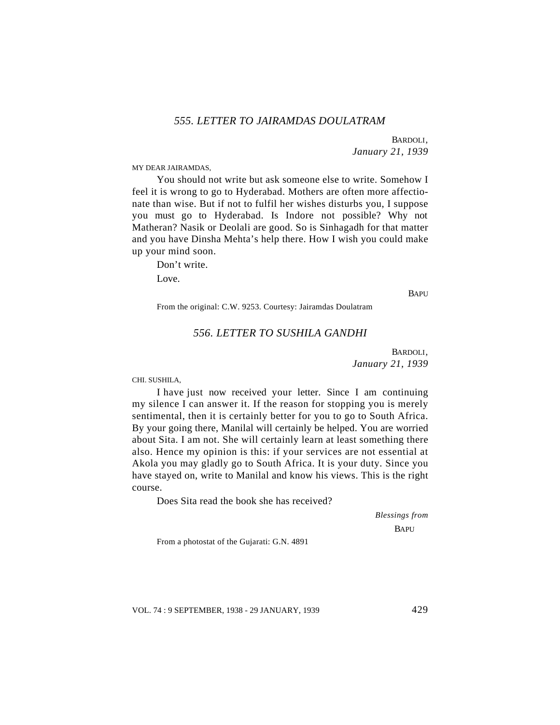## *555. LETTER TO JAIRAMDAS DOULATRAM*

BARDOLI, *January 21, 1939*

MY DEAR JAIRAMDAS,

You should not write but ask someone else to write. Somehow I feel it is wrong to go to Hyderabad. Mothers are often more affectionate than wise. But if not to fulfil her wishes disturbs you, I suppose you must go to Hyderabad. Is Indore not possible? Why not Matheran? Nasik or Deolali are good. So is Sinhagadh for that matter and you have Dinsha Mehta's help there. How I wish you could make up your mind soon.

Don't write.

Love.

**BAPU** 

From the original: C.W. 9253. Courtesy: Jairamdas Doulatram

#### *556. LETTER TO SUSHILA GANDHI*

BARDOLI, *January 21, 1939*

CHI. SUSHILA,

I have just now received your letter. Since I am continuing my silence I can answer it. If the reason for stopping you is merely sentimental, then it is certainly better for you to go to South Africa. By your going there, Manilal will certainly be helped. You are worried about Sita. I am not. She will certainly learn at least something there also. Hence my opinion is this: if your services are not essential at Akola you may gladly go to South Africa. It is your duty. Since you have stayed on, write to Manilal and know his views. This is the right course.

Does Sita read the book she has received?

*Blessings from* **BAPU** 

From a photostat of the Gujarati: G.N. 4891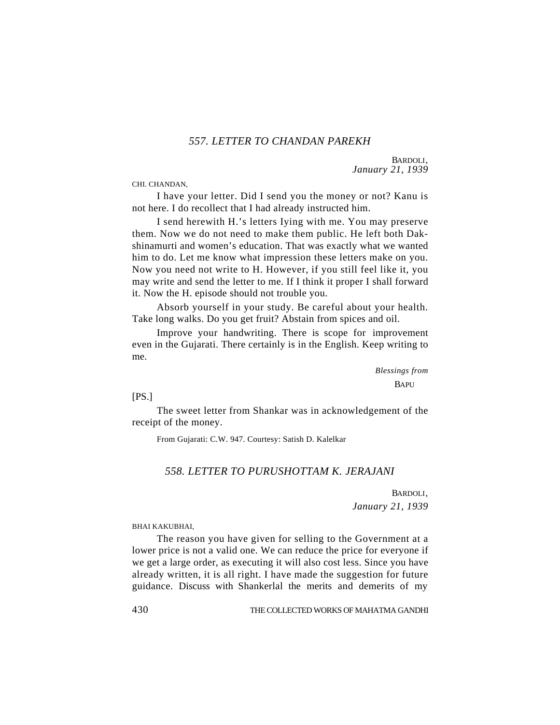## *557. LETTER TO CHANDAN PAREKH*

BARDOLI, *January 21, 1939*

CHI. CHANDAN,

I have your letter. Did I send you the money or not? Kanu is not here. I do recollect that I had already instructed him.

I send herewith H.'s letters Iying with me. You may preserve them. Now we do not need to make them public. He left both Dakshinamurti and women's education. That was exactly what we wanted him to do. Let me know what impression these letters make on you. Now you need not write to H. However, if you still feel like it, you may write and send the letter to me. If I think it proper I shall forward it. Now the H. episode should not trouble you.

Absorb yourself in your study. Be careful about your health. Take long walks. Do you get fruit? Abstain from spices and oil.

Improve your handwriting. There is scope for improvement even in the Gujarati. There certainly is in the English. Keep writing to me.

> *Blessings from* BAPU

[PS.]

The sweet letter from Shankar was in acknowledgement of the receipt of the money.

From Gujarati: C.W. 947. Courtesy: Satish D. Kalelkar

## *558. LETTER TO PURUSHOTTAM K. JERAJANI*

BARDOLI, *January 21, 1939*

BHAI KAKUBHAI,

The reason you have given for selling to the Government at a lower price is not a valid one. We can reduce the price for everyone if we get a large order, as executing it will also cost less. Since you have already written, it is all right. I have made the suggestion for future guidance. Discuss with Shankerlal the merits and demerits of my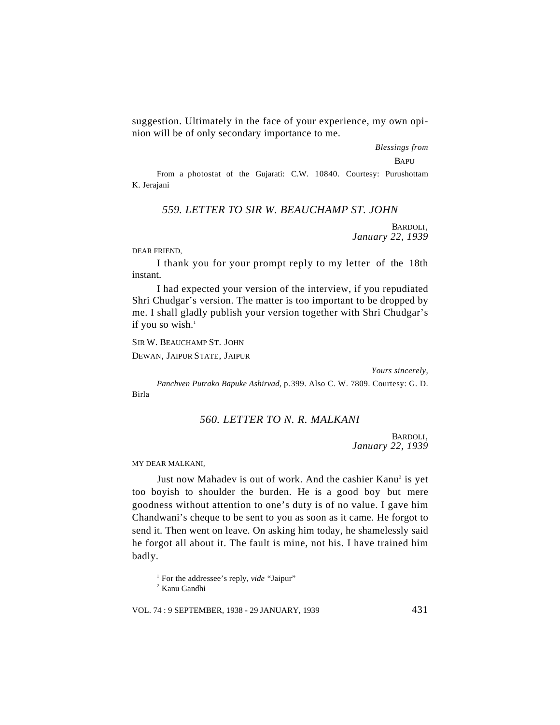suggestion. Ultimately in the face of your experience, my own opinion will be of only secondary importance to me.

*Blessings from*

**BAPU** 

From a photostat of the Gujarati: C.W. 10840. Courtesy: Purushottam K. Jerajani

#### *559. LETTER TO SIR W. BEAUCHAMP ST. JOHN*

BARDOLI, *January 22, 1939*

DEAR FRIEND,

I thank you for your prompt reply to my letter of the 18th instant.

I had expected your version of the interview, if you repudiated Shri Chudgar's version. The matter is too important to be dropped by me. I shall gladly publish your version together with Shri Chudgar's if you so wish. $1$ 

SIR W. BEAUCHAMP ST. JOHN DEWAN, JAIPUR STATE, JAIPUR

*Yours sincerely,*

*Panchven Putrako Bapuke Ashirvad,* p*.*399. Also C. W. 7809. Courtesy: G. D. Birla

#### *560. LETTER TO N. R. MALKANI*

BARDOLI, *January 22, 1939*

MY DEAR MALKANI,

Just now Mahadev is out of work. And the cashier Kanu<sup>2</sup> is yet too boyish to shoulder the burden. He is a good boy but mere goodness without attention to one's duty is of no value. I gave him Chandwani's cheque to be sent to you as soon as it came. He forgot to send it. Then went on leave. On asking him today, he shamelessly said he forgot all about it. The fault is mine, not his. I have trained him badly.

<sup>1</sup> For the addressee's reply, *vide* "Jaipur"

2 Kanu Gandhi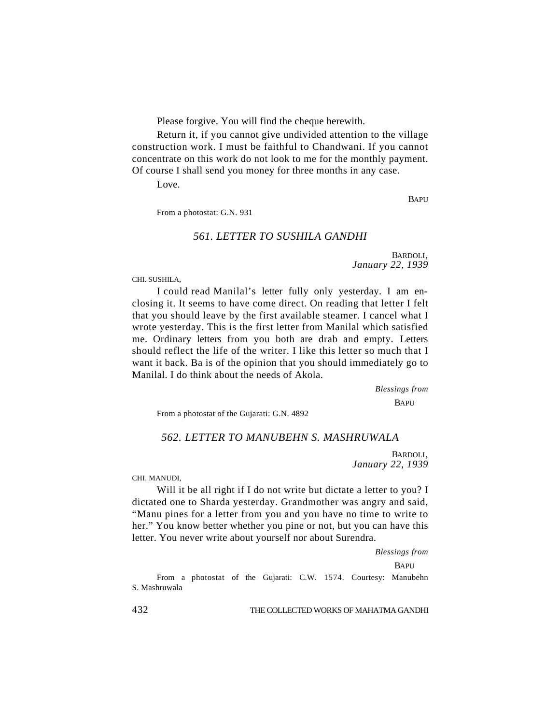Please forgive. You will find the cheque herewith.

Return it, if you cannot give undivided attention to the village construction work. I must be faithful to Chandwani. If you cannot concentrate on this work do not look to me for the monthly payment. Of course I shall send you money for three months in any case.

Love.

From a photostat: G.N. 931

## *561. LETTER TO SUSHILA GANDHI*

BARDOLI, *January 22, 1939*

**BAPU** 

CHI. SUSHILA,

I could read Manilal's letter fully only yesterday. I am enclosing it. It seems to have come direct. On reading that letter I felt that you should leave by the first available steamer. I cancel what I wrote yesterday. This is the first letter from Manilal which satisfied me. Ordinary letters from you both are drab and empty. Letters should reflect the life of the writer. I like this letter so much that I want it back. Ba is of the opinion that you should immediately go to Manilal. I do think about the needs of Akola.

> *Blessings from* **BAPU**

From a photostat of the Gujarati: G.N. 4892

#### *562. LETTER TO MANUBEHN S. MASHRUWALA*

BARDOLI, *January 22, 1939*

CHI. MANUDI,

Will it be all right if I do not write but dictate a letter to you? I dictated one to Sharda yesterday. Grandmother was angry and said, "Manu pines for a letter from you and you have no time to write to her." You know better whether you pine or not, but you can have this letter. You never write about yourself nor about Surendra.

*Blessings from*

BAPU

From a photostat of the Gujarati: C.W. 1574. Courtesy: Manubehn S. Mashruwala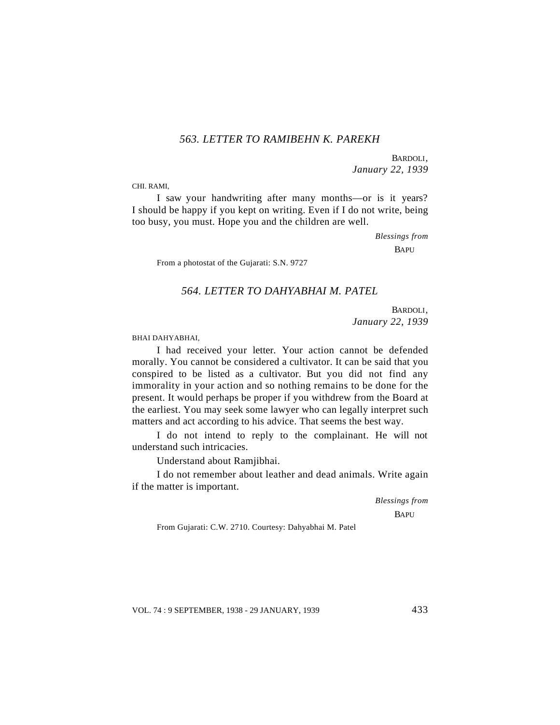BARDOLI, *January 22, 1939*

CHI. RAMI,

I saw your handwriting after many months—or is it years? I should be happy if you kept on writing. Even if I do not write, being too busy, you must. Hope you and the children are well.

*Blessings from*

BAPU

From a photostat of the Gujarati: S.N. 9727

### *564. LETTER TO DAHYABHAI M. PATEL*

BARDOLI, *January 22, 1939*

BHAI DAHYABHAI,

I had received your letter. Your action cannot be defended morally. You cannot be considered a cultivator. It can be said that you conspired to be listed as a cultivator. But you did not find any immorality in your action and so nothing remains to be done for the present. It would perhaps be proper if you withdrew from the Board at the earliest. You may seek some lawyer who can legally interpret such matters and act according to his advice. That seems the best way.

I do not intend to reply to the complainant. He will not understand such intricacies.

Understand about Ramjibhai.

I do not remember about leather and dead animals. Write again if the matter is important.

> *Blessings from* **BAPU**

From Gujarati: C.W. 2710. Courtesy: Dahyabhai M. Patel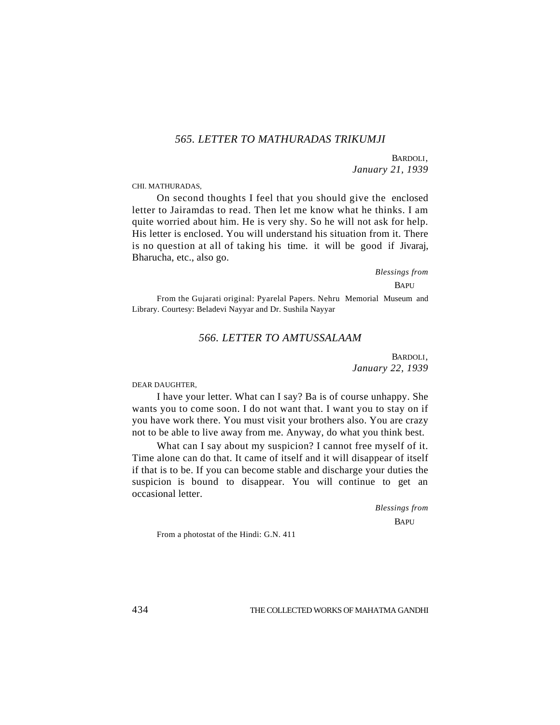BARDOLI, *January 21, 1939*

#### CHI. MATHURADAS,

On second thoughts I feel that you should give the enclosed letter to Jairamdas to read. Then let me know what he thinks. I am quite worried about him. He is very shy. So he will not ask for help. His letter is enclosed. You will understand his situation from it. There is no question at all of taking his time. it will be good if Jivaraj, Bharucha, etc., also go.

*Blessings from*

BAPU

From the Gujarati original: Pyarelal Papers. Nehru Memorial Museum and Library. Courtesy: Beladevi Nayyar and Dr. Sushila Nayyar

### *566. LETTER TO AMTUSSALAAM*

BARDOLI, *January 22, 1939*

DEAR DAUGHTER,

I have your letter. What can I say? Ba is of course unhappy. She wants you to come soon. I do not want that. I want you to stay on if you have work there. You must visit your brothers also. You are crazy not to be able to live away from me. Anyway, do what you think best.

What can I say about my suspicion? I cannot free myself of it. Time alone can do that. It came of itself and it will disappear of itself if that is to be. If you can become stable and discharge your duties the suspicion is bound to disappear. You will continue to get an occasional letter.

> *Blessings from* **BAPU**

From a photostat of the Hindi: G.N. 411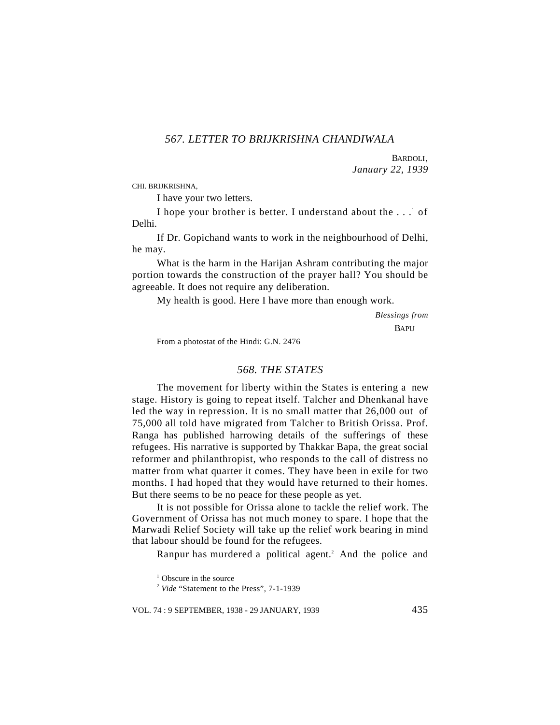BARDOLI, *January 22, 1939*

CHI. BRIJKRISHNA,

I have your two letters.

I hope your brother is better. I understand about the . . .<sup>1</sup> of Delhi.

If Dr. Gopichand wants to work in the neighbourhood of Delhi, he may.

What is the harm in the Harijan Ashram contributing the major portion towards the construction of the prayer hall? You should be agreeable. It does not require any deliberation.

My health is good. Here I have more than enough work.

*Blessings from*

BAPU

From a photostat of the Hindi: G.N. 2476

### *568. THE STATES*

The movement for liberty within the States is entering a new stage. History is going to repeat itself. Talcher and Dhenkanal have led the way in repression. It is no small matter that 26,000 out of 75,000 all told have migrated from Talcher to British Orissa. Prof. Ranga has published harrowing details of the sufferings of these refugees. His narrative is supported by Thakkar Bapa, the great social reformer and philanthropist, who responds to the call of distress no matter from what quarter it comes. They have been in exile for two months. I had hoped that they would have returned to their homes. But there seems to be no peace for these people as yet.

It is not possible for Orissa alone to tackle the relief work. The Government of Orissa has not much money to spare. I hope that the Marwadi Relief Society will take up the relief work bearing in mind that labour should be found for the refugees.

Ranpur has murdered a political agent.<sup>2</sup> And the police and

<sup>&</sup>lt;sup>1</sup> Obscure in the source

<sup>2</sup> *Vide* "Statement to the Press", 7-1-1939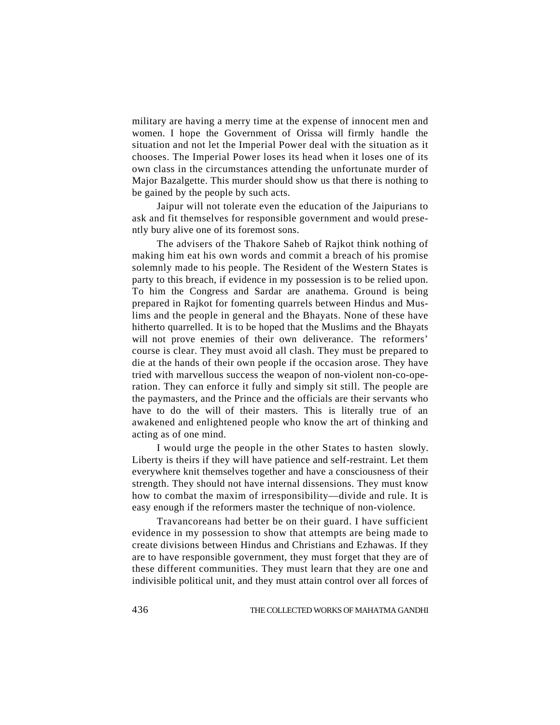military are having a merry time at the expense of innocent men and women. I hope the Government of Orissa will firmly handle the situation and not let the Imperial Power deal with the situation as it chooses. The Imperial Power loses its head when it loses one of its own class in the circumstances attending the unfortunate murder of Major Bazalgette. This murder should show us that there is nothing to be gained by the people by such acts.

Jaipur will not tolerate even the education of the Jaipurians to ask and fit themselves for responsible government and would presently bury alive one of its foremost sons.

The advisers of the Thakore Saheb of Rajkot think nothing of making him eat his own words and commit a breach of his promise solemnly made to his people. The Resident of the Western States is party to this breach, if evidence in my possession is to be relied upon. To him the Congress and Sardar are anathema. Ground is being prepared in Rajkot for fomenting quarrels between Hindus and Muslims and the people in general and the Bhayats. None of these have hitherto quarrelled. It is to be hoped that the Muslims and the Bhayats will not prove enemies of their own deliverance. The reformers' course is clear. They must avoid all clash. They must be prepared to die at the hands of their own people if the occasion arose. They have tried with marvellous success the weapon of non-violent non-co-operation. They can enforce it fully and simply sit still. The people are the paymasters, and the Prince and the officials are their servants who have to do the will of their masters. This is literally true of an awakened and enlightened people who know the art of thinking and acting as of one mind.

I would urge the people in the other States to hasten slowly. Liberty is theirs if they will have patience and self-restraint. Let them everywhere knit themselves together and have a consciousness of their strength. They should not have internal dissensions. They must know how to combat the maxim of irresponsibility—divide and rule. It is easy enough if the reformers master the technique of non-violence.

Travancoreans had better be on their guard. I have sufficient evidence in my possession to show that attempts are being made to create divisions between Hindus and Christians and Ezhawas. If they are to have responsible government, they must forget that they are of these different communities. They must learn that they are one and indivisible political unit, and they must attain control over all forces of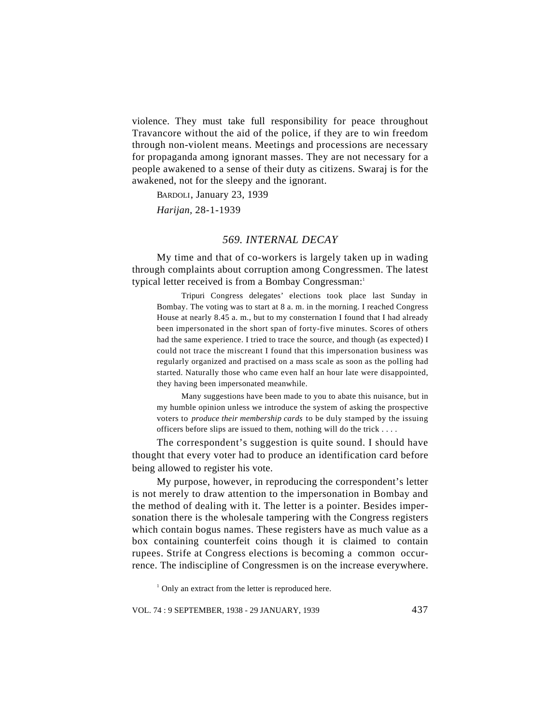violence. They must take full responsibility for peace throughout Travancore without the aid of the police, if they are to win freedom through non-violent means. Meetings and processions are necessary for propaganda among ignorant masses. They are not necessary for a people awakened to a sense of their duty as citizens. Swaraj is for the awakened, not for the sleepy and the ignorant.

BARDOLI, January 23, 1939

*Harijan,* 28-1-1939

# *569. INTERNAL DECAY*

My time and that of co-workers is largely taken up in wading through complaints about corruption among Congressmen. The latest typical letter received is from a Bombay Congressman:<sup>1</sup>

Tripuri Congress delegates' elections took place last Sunday in Bombay. The voting was to start at 8 a. m. in the morning. I reached Congress House at nearly 8.45 a. m., but to my consternation I found that I had already been impersonated in the short span of forty-five minutes. Scores of others had the same experience. I tried to trace the source, and though (as expected) I could not trace the miscreant I found that this impersonation business was regularly organized and practised on a mass scale as soon as the polling had started. Naturally those who came even half an hour late were disappointed, they having been impersonated meanwhile.

Many suggestions have been made to you to abate this nuisance, but in my humble opinion unless we introduce the system of asking the prospective voters to *produce their membership cards* to be duly stamped by the issuing officers before slips are issued to them, nothing will do the trick . . . .

The correspondent's suggestion is quite sound. I should have thought that every voter had to produce an identification card before being allowed to register his vote.

My purpose, however, in reproducing the correspondent's letter is not merely to draw attention to the impersonation in Bombay and the method of dealing with it. The letter is a pointer. Besides impersonation there is the wholesale tampering with the Congress registers which contain bogus names. These registers have as much value as a box containing counterfeit coins though it is claimed to contain rupees. Strife at Congress elections is becoming a common occurrence. The indiscipline of Congressmen is on the increase everywhere.

<sup>1</sup> Only an extract from the letter is reproduced here.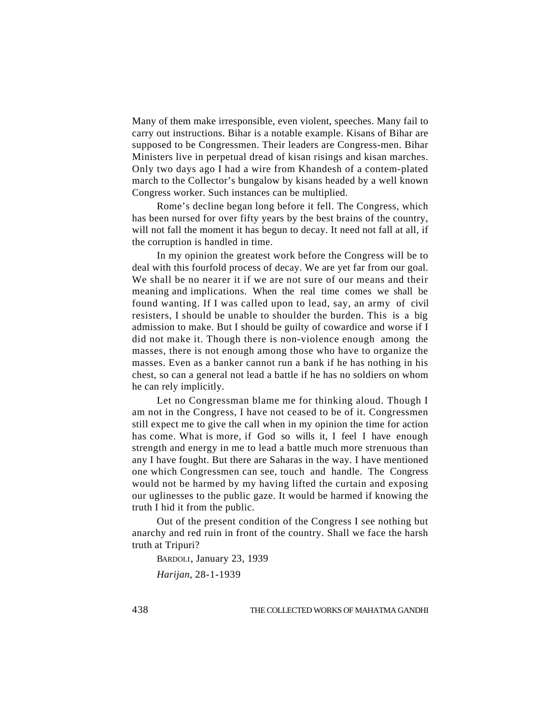Many of them make irresponsible, even violent, speeches. Many fail to carry out instructions. Bihar is a notable example. Kisans of Bihar are supposed to be Congressmen. Their leaders are Congress-men. Bihar Ministers live in perpetual dread of kisan risings and kisan marches. Only two days ago I had a wire from Khandesh of a contem-plated march to the Collector's bungalow by kisans headed by a well known Congress worker. Such instances can be multiplied.

Rome's decline began long before it fell. The Congress, which has been nursed for over fifty years by the best brains of the country, will not fall the moment it has begun to decay. It need not fall at all, if the corruption is handled in time.

In my opinion the greatest work before the Congress will be to deal with this fourfold process of decay. We are yet far from our goal. We shall be no nearer it if we are not sure of our means and their meaning and implications. When the real time comes we shall be found wanting. If I was called upon to lead, say, an army of civil resisters, I should be unable to shoulder the burden. This is a big admission to make. But I should be guilty of cowardice and worse if I did not make it. Though there is non-violence enough among the masses, there is not enough among those who have to organize the masses. Even as a banker cannot run a bank if he has nothing in his chest, so can a general not lead a battle if he has no soldiers on whom he can rely implicitly.

Let no Congressman blame me for thinking aloud. Though I am not in the Congress, I have not ceased to be of it. Congressmen still expect me to give the call when in my opinion the time for action has come. What is more, if God so wills it, I feel I have enough strength and energy in me to lead a battle much more strenuous than any I have fought. But there are Saharas in the way. I have mentioned one which Congressmen can see, touch and handle. The Congress would not be harmed by my having lifted the curtain and exposing our uglinesses to the public gaze. It would be harmed if knowing the truth I hid it from the public.

Out of the present condition of the Congress I see nothing but anarchy and red ruin in front of the country. Shall we face the harsh truth at Tripuri?

BARDOLI, January 23, 1939 *Harijan,* 28-1-1939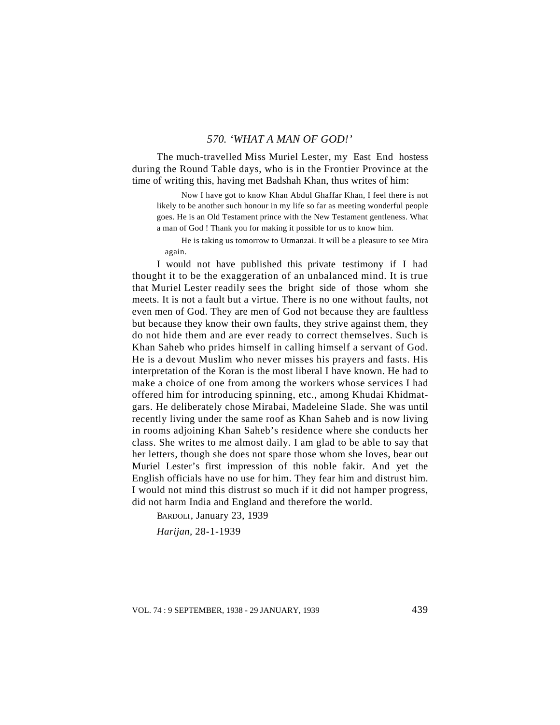# *570. 'WHAT A MAN OF GOD!'*

The much-travelled Miss Muriel Lester, my East End hostess during the Round Table days, who is in the Frontier Province at the time of writing this, having met Badshah Khan, thus writes of him:

Now I have got to know Khan Abdul Ghaffar Khan, I feel there is not likely to be another such honour in my life so far as meeting wonderful people goes. He is an Old Testament prince with the New Testament gentleness. What a man of God ! Thank you for making it possible for us to know him.

He is taking us tomorrow to Utmanzai. It will be a pleasure to see Mira again.

I would not have published this private testimony if I had thought it to be the exaggeration of an unbalanced mind. It is true that Muriel Lester readily sees the bright side of those whom she meets. It is not a fault but a virtue. There is no one without faults, not even men of God. They are men of God not because they are faultless but because they know their own faults, they strive against them, they do not hide them and are ever ready to correct themselves. Such is Khan Saheb who prides himself in calling himself a servant of God. He is a devout Muslim who never misses his prayers and fasts. His interpretation of the Koran is the most liberal I have known. He had to make a choice of one from among the workers whose services I had offered him for introducing spinning, etc., among Khudai Khidmatgars. He deliberately chose Mirabai, Madeleine Slade. She was until recently living under the same roof as Khan Saheb and is now living in rooms adjoining Khan Saheb's residence where she conducts her class. She writes to me almost daily. I am glad to be able to say that her letters, though she does not spare those whom she loves, bear out Muriel Lester's first impression of this noble fakir. And yet the English officials have no use for him. They fear him and distrust him. I would not mind this distrust so much if it did not hamper progress, did not harm India and England and therefore the world.

BARDOLI, January 23, 1939

*Harijan,* 28-1-1939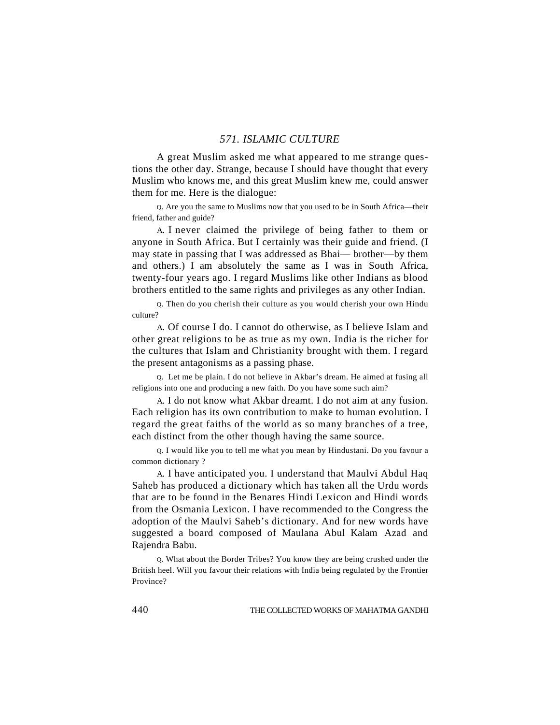# *571. ISLAMIC CULTURE*

A great Muslim asked me what appeared to me strange questions the other day. Strange, because I should have thought that every Muslim who knows me, and this great Muslim knew me, could answer them for me. Here is the dialogue:

Q. Are you the same to Muslims now that you used to be in South Africa—their friend, father and guide?

A. I never claimed the privilege of being father to them or anyone in South Africa. But I certainly was their guide and friend. (I may state in passing that I was addressed as Bhai— brother—by them and others.) I am absolutely the same as I was in South Africa, twenty-four years ago. I regard Muslims like other Indians as blood brothers entitled to the same rights and privileges as any other Indian.

Q. Then do you cherish their culture as you would cherish your own Hindu culture?

A. Of course I do. I cannot do otherwise, as I believe Islam and other great religions to be as true as my own. India is the richer for the cultures that Islam and Christianity brought with them. I regard the present antagonisms as a passing phase.

Q. Let me be plain. I do not believe in Akbar's dream. He aimed at fusing all religions into one and producing a new faith. Do you have some such aim?

A. I do not know what Akbar dreamt. I do not aim at any fusion. Each religion has its own contribution to make to human evolution. I regard the great faiths of the world as so many branches of a tree, each distinct from the other though having the same source.

Q. I would like you to tell me what you mean by Hindustani. Do you favour a common dictionary ?

A. I have anticipated you. I understand that Maulvi Abdul Haq Saheb has produced a dictionary which has taken all the Urdu words that are to be found in the Benares Hindi Lexicon and Hindi words from the Osmania Lexicon. I have recommended to the Congress the adoption of the Maulvi Saheb's dictionary. And for new words have suggested a board composed of Maulana Abul Kalam Azad and Rajendra Babu.

Q. What about the Border Tribes? You know they are being crushed under the British heel. Will you favour their relations with India being regulated by the Frontier Province?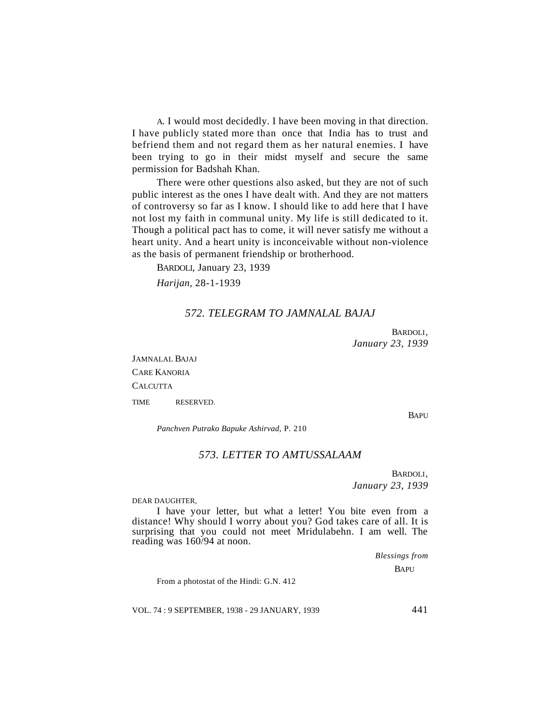A. I would most decidedly. I have been moving in that direction. I have publicly stated more than once that India has to trust and befriend them and not regard them as her natural enemies. I have been trying to go in their midst myself and secure the same permission for Badshah Khan.

There were other questions also asked, but they are not of such public interest as the ones I have dealt with. And they are not matters of controversy so far as I know. I should like to add here that I have not lost my faith in communal unity. My life is still dedicated to it. Though a political pact has to come, it will never satisfy me without a heart unity. And a heart unity is inconceivable without non-violence as the basis of permanent friendship or brotherhood.

BARDOLI, January 23, 1939 *Harijan,* 28-1-1939

# *572. TELEGRAM TO JAMNALAL BAJAJ*

BARDOLI, *January 23, 1939*

JAMNALAL BAJAJ CARE KANORIA **CALCUTTA** TIME RESERVED.

**BAPU** 

*Panchven Putrako Bapuke Ashirvad*, P. 210

# *573. LETTER TO AMTUSSALAAM*

BARDOLI, *January 23, 1939*

DEAR DAUGHTER,

I have your letter, but what a letter! You bite even from a distance! Why should I worry about you? God takes care of all. It is surprising that you could not meet Mridulabehn. I am well. The reading was 160/94 at noon.

*Blessings from*

**BAPU** 

From a photostat of the Hindi: G.N. 412

VOL. 74 : 9 SEPTEMBER, 1938 - 29 JANUARY, 1939 441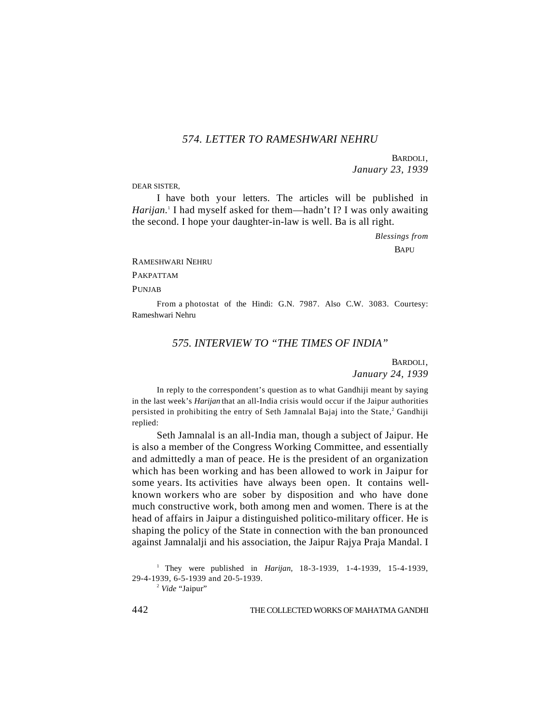# *574. LETTER TO RAMESHWARI NEHRU*

BARDOLI, *January 23, 1939*

DEAR SISTER,

I have both your letters. The articles will be published in Harijan.<sup>1</sup> I had myself asked for them—hadn't I? I was only awaiting the second. I hope your daughter-in-law is well. Ba is all right.

> *Blessings from* BAPU

#### RAMESHWARI NEHRU

PAKPATTAM

#### PUNJAB

From a photostat of the Hindi: G.N. 7987. Also C.W. 3083. Courtesy: Rameshwari Nehru

### *575. INTERVIEW TO "THE TIMES OF INDIA"*

BARDOLI, *January 24, 1939*

In reply to the correspondent's question as to what Gandhiji meant by saying in the last week's *Harijan* that an all-India crisis would occur if the Jaipur authorities persisted in prohibiting the entry of Seth Jamnalal Bajaj into the State,<sup>2</sup> Gandhiji replied:

Seth Jamnalal is an all-India man, though a subject of Jaipur. He is also a member of the Congress Working Committee, and essentially and admittedly a man of peace. He is the president of an organization which has been working and has been allowed to work in Jaipur for some years. Its activities have always been open. It contains wellknown workers who are sober by disposition and who have done much constructive work, both among men and women. There is at the head of affairs in Jaipur a distinguished politico-military officer. He is shaping the policy of the State in connection with the ban pronounced against Jamnalalji and his association, the Jaipur Rajya Praja Mandal. I

<sup>1</sup> They were published in *Harijan,* 18-3-1939, 1-4-1939, 15-4-1939, 29-4-1939, 6-5-1939 and 20-5-1939.

<sup>2</sup> *Vide* "Jaipur"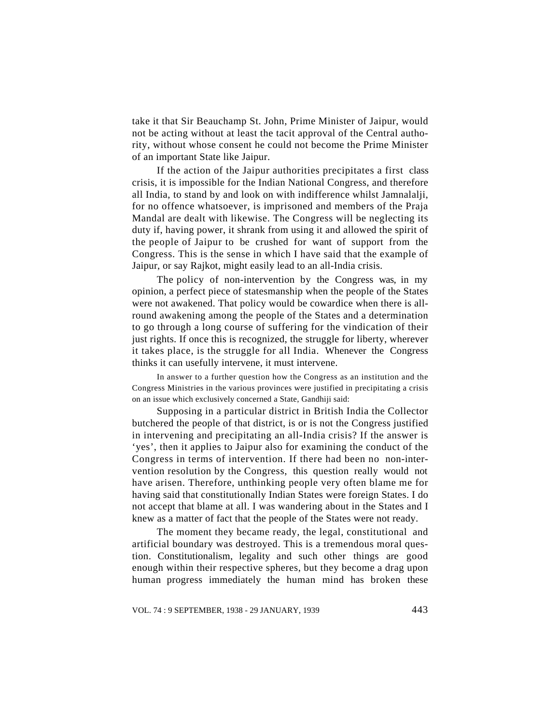take it that Sir Beauchamp St. John, Prime Minister of Jaipur, would not be acting without at least the tacit approval of the Central authority, without whose consent he could not become the Prime Minister of an important State like Jaipur.

If the action of the Jaipur authorities precipitates a first class crisis, it is impossible for the Indian National Congress, and therefore all India, to stand by and look on with indifference whilst Jamnalalji, for no offence whatsoever, is imprisoned and members of the Praja Mandal are dealt with likewise. The Congress will be neglecting its duty if, having power, it shrank from using it and allowed the spirit of the people of Jaipur to be crushed for want of support from the Congress. This is the sense in which I have said that the example of Jaipur, or say Rajkot, might easily lead to an all-India crisis.

The policy of non-intervention by the Congress was, in my opinion, a perfect piece of statesmanship when the people of the States were not awakened. That policy would be cowardice when there is allround awakening among the people of the States and a determination to go through a long course of suffering for the vindication of their just rights. If once this is recognized, the struggle for liberty, wherever it takes place, is the struggle for all India. Whenever the Congress thinks it can usefully intervene, it must intervene.

In answer to a further question how the Congress as an institution and the Congress Ministries in the various provinces were justified in precipitating a crisis on an issue which exclusively concerned a State, Gandhiji said:

Supposing in a particular district in British India the Collector butchered the people of that district, is or is not the Congress justified in intervening and precipitating an all-India crisis? If the answer is 'yes', then it applies to Jaipur also for examining the conduct of the Congress in terms of intervention. If there had been no non-intervention resolution by the Congress, this question really would not have arisen. Therefore, unthinking people very often blame me for having said that constitutionally Indian States were foreign States. I do not accept that blame at all. I was wandering about in the States and I knew as a matter of fact that the people of the States were not ready.

The moment they became ready, the legal, constitutional and artificial boundary was destroyed. This is a tremendous moral question. Constitutionalism, legality and such other things are good enough within their respective spheres, but they become a drag upon human progress immediately the human mind has broken these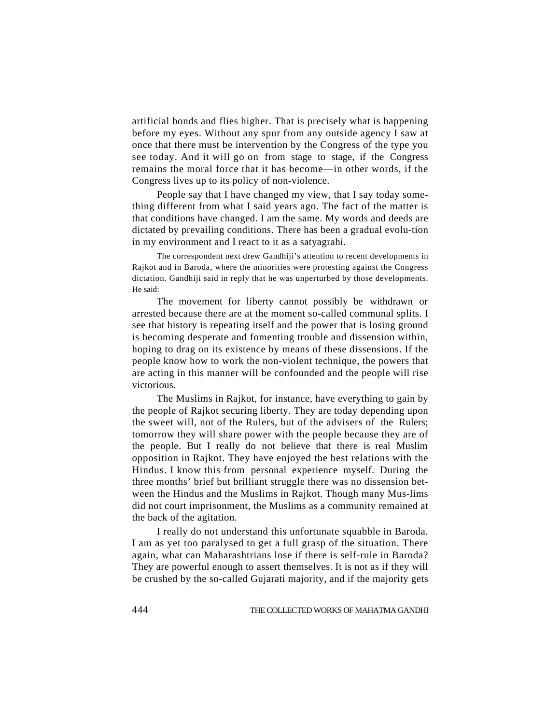artificial bonds and flies higher. That is precisely what is happening before my eyes. Without any spur from any outside agency I saw at once that there must be intervention by the Congress of the type you see today. And it will go on from stage to stage, if the Congress remains the moral force that it has become—in other words, if the Congress lives up to its policy of non-violence.

People say that I have changed my view, that I say today something different from what I said years ago. The fact of the matter is that conditions have changed. I am the same. My words and deeds are dictated by prevailing conditions. There has been a gradual evolu-tion in my environment and I react to it as a satyagrahi.

The correspondent next drew Gandhiji's attention to recent developments in Rajkot and in Baroda, where the minorities were protesting against the Congress dictation. Gandhiji said in reply that he was unperturbed by those developments. He said:

The movement for liberty cannot possibly be withdrawn or arrested because there are at the moment so-called communal splits. I see that history is repeating itself and the power that is losing ground is becoming desperate and fomenting trouble and dissension within, hoping to drag on its existence by means of these dissensions. If the people know how to work the non-violent technique, the powers that are acting in this manner will be confounded and the people will rise victorious.

The Muslims in Rajkot, for instance, have everything to gain by the people of Rajkot securing liberty. They are today depending upon the sweet will, not of the Rulers, but of the advisers of the Rulers; tomorrow they will share power with the people because they are of the people. But I really do not believe that there is real Muslim opposition in Rajkot. They have enjoyed the best relations with the Hindus. I know this from personal experience myself. During the three months' brief but brilliant struggle there was no dissension between the Hindus and the Muslims in Rajkot. Though many Mus-lims did not court imprisonment, the Muslims as a community remained at the back of the agitation.

I really do not understand this unfortunate squabble in Baroda. I am as yet too paralysed to get a full grasp of the situation. There again, what can Maharashtrians lose if there is self-rule in Baroda? They are powerful enough to assert themselves. It is not as if they will be crushed by the so-called Gujarati majority, and if the majority gets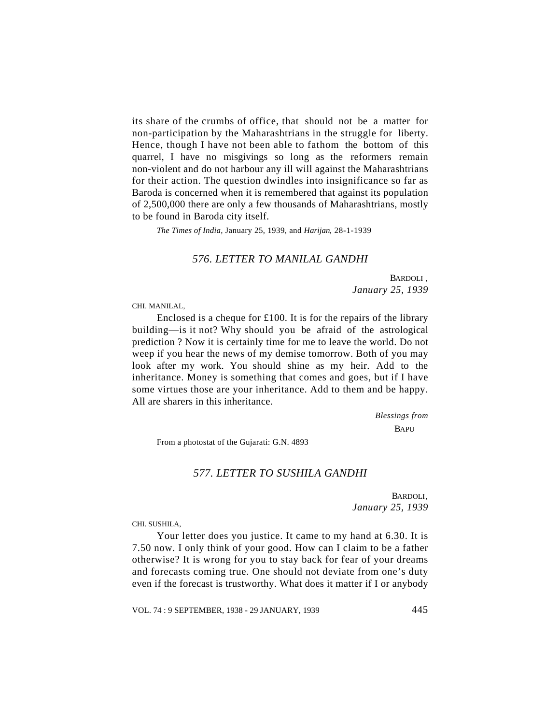its share of the crumbs of office, that should not be a matter for non-participation by the Maharashtrians in the struggle for liberty. Hence, though I have not been able to fathom the bottom of this quarrel, I have no misgivings so long as the reformers remain non-violent and do not harbour any ill will against the Maharashtrians for their action. The question dwindles into insignificance so far as Baroda is concerned when it is remembered that against its population of 2,500,000 there are only a few thousands of Maharashtrians, mostly to be found in Baroda city itself.

*The Times of India*, January 25, 1939, and *Harijan*, 28-1-1939

# *576. LETTER TO MANILAL GANDHI*

BARDOLI , *January 25, 1939*

CHI. MANILAL,

Enclosed is a cheque for £100. It is for the repairs of the library building—is it not? Why should you be afraid of the astrological prediction ? Now it is certainly time for me to leave the world. Do not weep if you hear the news of my demise tomorrow. Both of you may look after my work. You should shine as my heir. Add to the inheritance. Money is something that comes and goes, but if I have some virtues those are your inheritance. Add to them and be happy. All are sharers in this inheritance.

> *Blessings from* **BAPU**

From a photostat of the Gujarati: G.N. 4893

#### *577. LETTER TO SUSHILA GANDHI*

BARDOLI, *January 25, 1939*

CHI. SUSHILA,

Your letter does you justice. It came to my hand at 6.30. It is 7.50 now. I only think of your good. How can I claim to be a father otherwise? It is wrong for you to stay back for fear of your dreams and forecasts coming true. One should not deviate from one's duty even if the forecast is trustworthy. What does it matter if I or anybody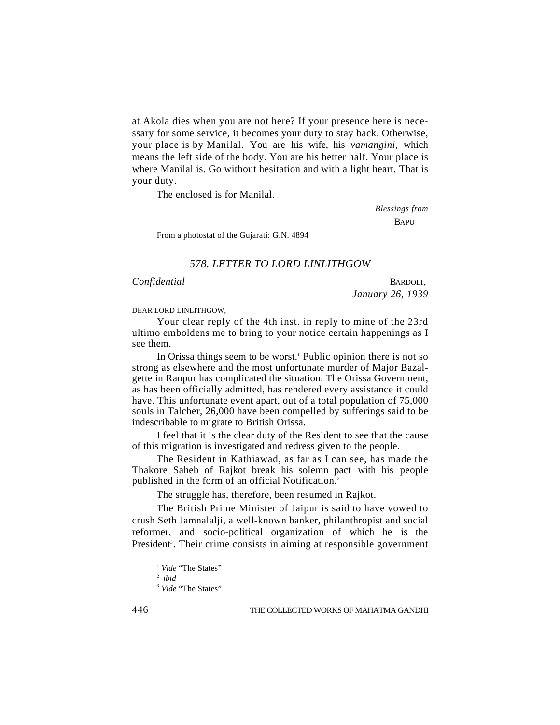at Akola dies when you are not here? If your presence here is necessary for some service, it becomes your duty to stay back. Otherwise, your place is by Manilal. You are his wife, his *vamangini,* which means the left side of the body. You are his better half. Your place is where Manilal is. Go without hesitation and with a light heart. That is your duty.

The enclosed is for Manilal.

*Blessings from* **BAPU** 

From a photostat of the Gujarati: G.N. 4894

### *578. LETTER TO LORD LINLITHGOW*

*Confidential* BARDOLI, *January 26, 1939*

DEAR LORD LINLITHGOW,

Your clear reply of the 4th inst. in reply to mine of the 23rd ultimo emboldens me to bring to your notice certain happenings as I see them.

In Orissa things seem to be worst.<sup>1</sup> Public opinion there is not so strong as elsewhere and the most unfortunate murder of Major Bazalgette in Ranpur has complicated the situation. The Orissa Government, as has been officially admitted, has rendered every assistance it could have. This unfortunate event apart, out of a total population of 75,000 souls in Talcher, 26,000 have been compelled by sufferings said to be indescribable to migrate to British Orissa.

I feel that it is the clear duty of the Resident to see that the cause of this migration is investigated and redress given to the people.

The Resident in Kathiawad, as far as I can see, has made the Thakore Saheb of Rajkot break his solemn pact with his people published in the form of an official Notification.<sup>2</sup>

The struggle has, therefore, been resumed in Rajkot.

The British Prime Minister of Jaipur is said to have vowed to crush Seth Jamnalalji, a well-known banker, philanthropist and social reformer, and socio-political organization of which he is the President<sup>3</sup>. Their crime consists in aiming at responsible government

<sup>1</sup> *Vide* "The States" 2 *ibid* <sup>3</sup> *Vide* "The States"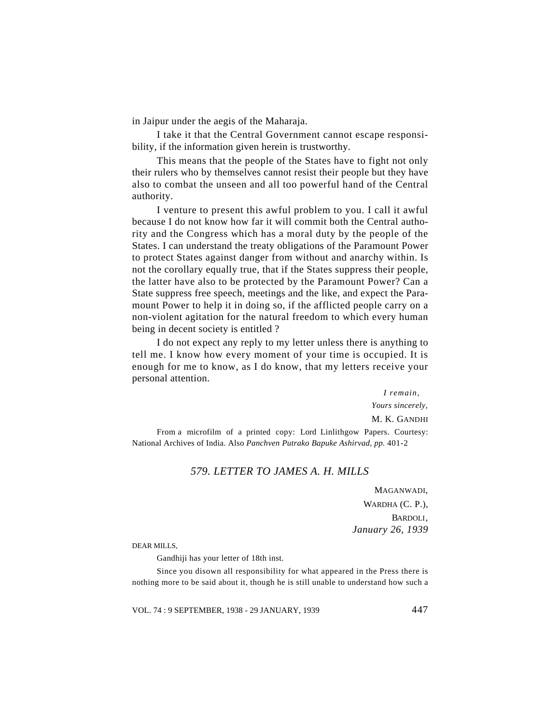in Jaipur under the aegis of the Maharaja.

I take it that the Central Government cannot escape responsibility, if the information given herein is trustworthy.

This means that the people of the States have to fight not only their rulers who by themselves cannot resist their people but they have also to combat the unseen and all too powerful hand of the Central authority.

I venture to present this awful problem to you. I call it awful because I do not know how far it will commit both the Central authority and the Congress which has a moral duty by the people of the States. I can understand the treaty obligations of the Paramount Power to protect States against danger from without and anarchy within. Is not the corollary equally true, that if the States suppress their people, the latter have also to be protected by the Paramount Power? Can a State suppress free speech, meetings and the like, and expect the Paramount Power to help it in doing so, if the afflicted people carry on a non-violent agitation for the natural freedom to which every human being in decent society is entitled ?

I do not expect any reply to my letter unless there is anything to tell me. I know how every moment of your time is occupied. It is enough for me to know, as I do know, that my letters receive your personal attention.

> *I remain, Yours sincerely*, M. K. GANDHI

From a microfilm of a printed copy: Lord Linlithgow Papers. Courtesy: National Archives of India. Also *Panchven Putrako Bapuke Ashirvad, pp.* 401-2

# *579. LETTER TO JAMES A. H. MILLS*

MAGANWADI, WARDHA (C. P.), BARDOLI, *January 26, 1939*

DEAR MILLS,

Gandhiji has your letter of 18th inst.

Since you disown all responsibility for what appeared in the Press there is nothing more to be said about it, though he is still unable to understand how such a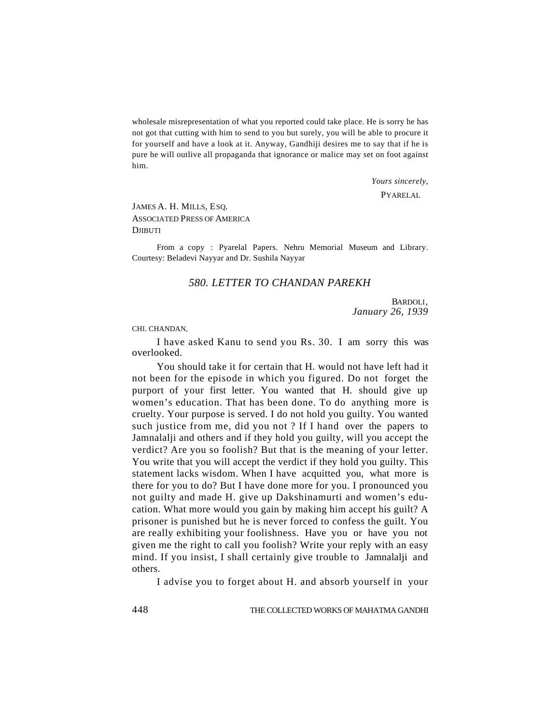wholesale misrepresentation of what you reported could take place. He is sorry he has not got that cutting with him to send to you but surely, you will be able to procure it for yourself and have a look at it. Anyway, Gandhiji desires me to say that if he is pure he will outlive all propaganda that ignorance or malice may set on foot against him.

> *Yours sincerely,* PYARELAL

JAMES A. H. MILLS, ESQ. ASSOCIATED PRESS OF AMERICA **DIIBUTI** 

From a copy : Pyarelal Papers. Nehru Memorial Museum and Library. Courtesy: Beladevi Nayyar and Dr. Sushila Nayyar

# *580. LETTER TO CHANDAN PAREKH*

BARDOLI, *January 26, 1939*

CHI. CHANDAN,

I have asked Kanu to send you Rs. 30. I am sorry this was overlooked.

You should take it for certain that H. would not have left had it not been for the episode in which you figured. Do not forget the purport of your first letter. You wanted that H. should give up women's education. That has been done. To do anything more is cruelty. Your purpose is served. I do not hold you guilty. You wanted such justice from me, did you not ? If I hand over the papers to Jamnalalji and others and if they hold you guilty, will you accept the verdict? Are you so foolish? But that is the meaning of your letter. You write that you will accept the verdict if they hold you guilty. This statement lacks wisdom. When I have acquitted you, what more is there for you to do? But I have done more for you. I pronounced you not guilty and made H. give up Dakshinamurti and women's education. What more would you gain by making him accept his guilt? A prisoner is punished but he is never forced to confess the guilt. You are really exhibiting your foolishness. Have you or have you not given me the right to call you foolish? Write your reply with an easy mind. If you insist, I shall certainly give trouble to Jamnalalji and others.

I advise you to forget about H. and absorb yourself in your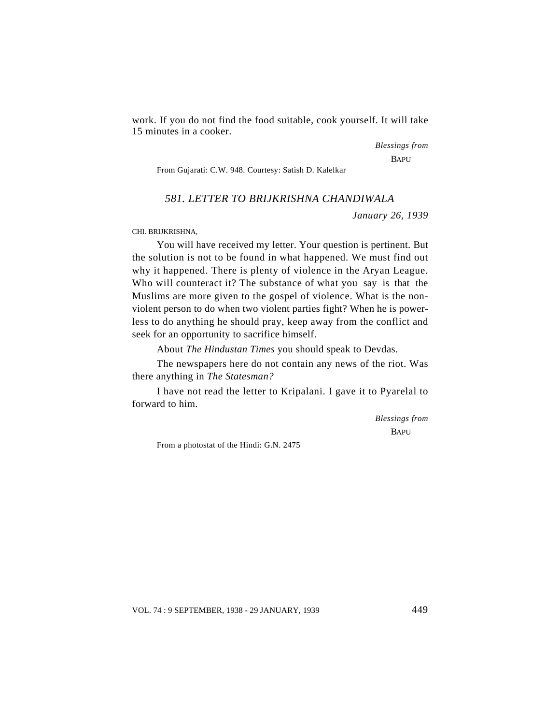work. If you do not find the food suitable, cook yourself. It will take 15 minutes in a cooker.

> *Blessings from* **BAPU**

From Gujarati: C.W. 948. Courtesy: Satish D. Kalelkar

# *581. LETTER TO BRIJKRISHNA CHANDIWALA*

*January 26, 1939*

CHI. BRIJKRISHNA,

You will have received my letter. Your question is pertinent. But the solution is not to be found in what happened. We must find out why it happened. There is plenty of violence in the Aryan League. Who will counteract it? The substance of what you say is that the Muslims are more given to the gospel of violence. What is the nonviolent person to do when two violent parties fight? When he is powerless to do anything he should pray, keep away from the conflict and seek for an opportunity to sacrifice himself.

About *The Hindustan Times* you should speak to Devdas.

The newspapers here do not contain any news of the riot. Was there anything in *The Statesman?*

I have not read the letter to Kripalani. I gave it to Pyarelal to forward to him.

> *Blessings from* **BAPU**

From a photostat of the Hindi: G.N. 2475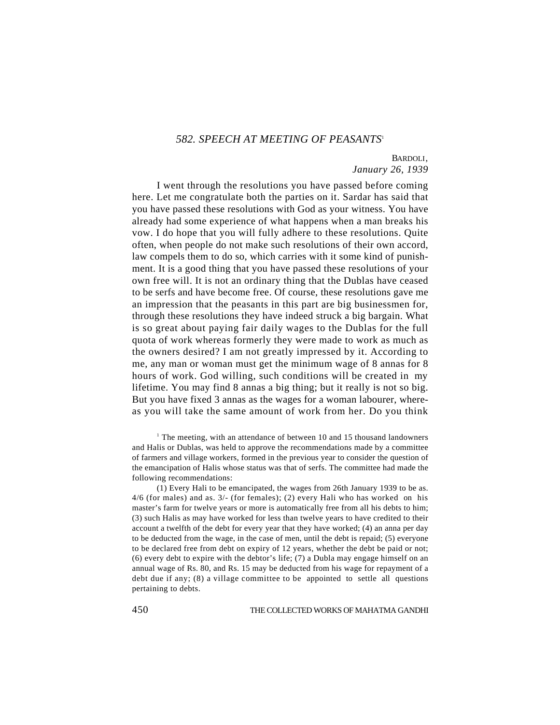# *582. SPEECH AT MEETING OF PEASANTS*<sup>1</sup>

BARDOLI, *January 26, 1939*

I went through the resolutions you have passed before coming here. Let me congratulate both the parties on it. Sardar has said that you have passed these resolutions with God as your witness. You have already had some experience of what happens when a man breaks his vow. I do hope that you will fully adhere to these resolutions. Quite often, when people do not make such resolutions of their own accord, law compels them to do so, which carries with it some kind of punishment. It is a good thing that you have passed these resolutions of your own free will. It is not an ordinary thing that the Dublas have ceased to be serfs and have become free. Of course, these resolutions gave me an impression that the peasants in this part are big businessmen for, through these resolutions they have indeed struck a big bargain. What is so great about paying fair daily wages to the Dublas for the full quota of work whereas formerly they were made to work as much as the owners desired? I am not greatly impressed by it. According to me, any man or woman must get the minimum wage of 8 annas for 8 hours of work. God willing, such conditions will be created in my lifetime. You may find 8 annas a big thing; but it really is not so big. But you have fixed 3 annas as the wages for a woman labourer, whereas you will take the same amount of work from her. Do you think

<sup>1</sup> The meeting, with an attendance of between 10 and 15 thousand landowners and Halis or Dublas, was held to approve the recommendations made by a committee of farmers and village workers, formed in the previous year to consider the question of the emancipation of Halis whose status was that of serfs. The committee had made the following recommendations:

(1) Every Hali to be emancipated, the wages from 26th January 1939 to be as. 4/6 (for males) and as. 3/- (for females); (2) every Hali who has worked on his master's farm for twelve years or more is automatically free from all his debts to him; (3) such Halis as may have worked for less than twelve years to have credited to their account a twelfth of the debt for every year that they have worked; (4) an anna per day to be deducted from the wage, in the case of men, until the debt is repaid; (5) everyone to be declared free from debt on expiry of 12 years, whether the debt be paid or not; (6) every debt to expire with the debtor's life; (7) a Dubla may engage himself on an annual wage of Rs. 80, and Rs. 15 may be deducted from his wage for repayment of a debt due if any; (8) a village committee to be appointed to settle all questions pertaining to debts.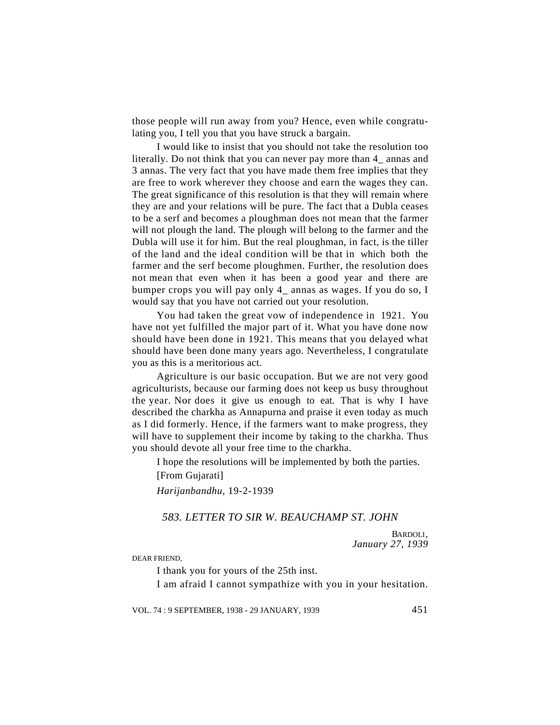those people will run away from you? Hence, even while congratulating you, I tell you that you have struck a bargain.

I would like to insist that you should not take the resolution too literally. Do not think that you can never pay more than 4\_ annas and 3 annas. The very fact that you have made them free implies that they are free to work wherever they choose and earn the wages they can. The great significance of this resolution is that they will remain where they are and your relations will be pure. The fact that a Dubla ceases to be a serf and becomes a ploughman does not mean that the farmer will not plough the land. The plough will belong to the farmer and the Dubla will use it for him. But the real ploughman, in fact, is the tiller of the land and the ideal condition will be that in which both the farmer and the serf become ploughmen. Further, the resolution does not mean that even when it has been a good year and there are bumper crops you will pay only 4\_ annas as wages. If you do so, I would say that you have not carried out your resolution.

You had taken the great vow of independence in 1921. You have not yet fulfilled the major part of it. What you have done now should have been done in 1921. This means that you delayed what should have been done many years ago. Nevertheless, I congratulate you as this is a meritorious act.

Agriculture is our basic occupation. But we are not very good agriculturists, because our farming does not keep us busy throughout the year. Nor does it give us enough to eat. That is why I have described the charkha as Annapurna and praise it even today as much as I did formerly. Hence, if the farmers want to make progress, they will have to supplement their income by taking to the charkha. Thus you should devote all your free time to the charkha.

I hope the resolutions will be implemented by both the parties.

[From Gujarati]

*Harijanbandhu,* 19-2-1939

*583. LETTER TO SIR W. BEAUCHAMP ST. JOHN*

BARDOLI, *January 27, 1939*

DEAR FRIEND,

I thank you for yours of the 25th inst.

I am afraid I cannot sympathize with you in your hesitation.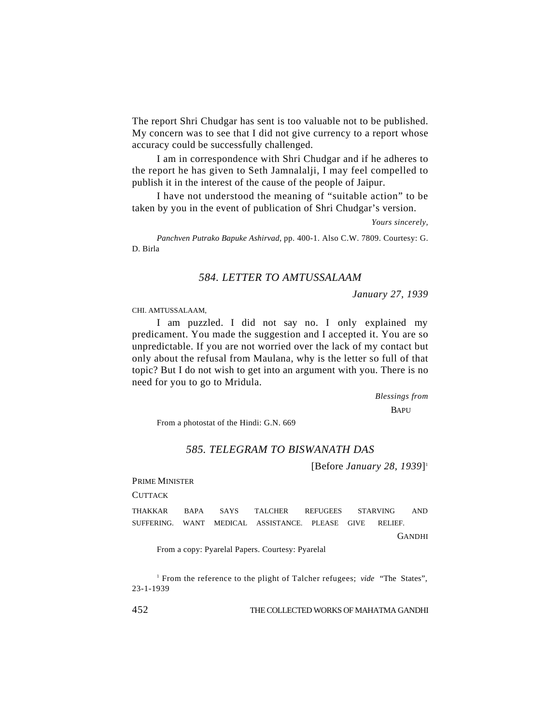The report Shri Chudgar has sent is too valuable not to be published. My concern was to see that I did not give currency to a report whose accuracy could be successfully challenged.

I am in correspondence with Shri Chudgar and if he adheres to the report he has given to Seth Jamnalalji, I may feel compelled to publish it in the interest of the cause of the people of Jaipur.

I have not understood the meaning of "suitable action" to be taken by you in the event of publication of Shri Chudgar's version.

*Yours sincerely,*

*Panchven Putrako Bapuke Ashirvad,* pp. 400-1. Also C.W. 7809. Courtesy: G. D. Birla

# *584. LETTER TO AMTUSSALAAM*

*January 27, 1939*

CHI. AMTUSSALAAM,

I am puzzled. I did not say no. I only explained my predicament. You made the suggestion and I accepted it. You are so unpredictable. If you are not worried over the lack of my contact but only about the refusal from Maulana, why is the letter so full of that topic? But I do not wish to get into an argument with you. There is no need for you to go to Mridula.

> *Blessings from* **BAPU**

From a photostat of the Hindi: G.N. 669

# *585. TELEGRAM TO BISWANATH DAS*

[Before *January 28, 1939*] 1

PRIME MINISTER

**CUTTACK** 

THAKKAR BAPA SAYS TALCHER REFUGEES STARVING AND SUFFERING. WANT MEDICAL ASSISTANCE. PLEASE GIVE RELIEF.

GANDHI

From a copy: Pyarelal Papers. Courtesy: Pyarelal

<sup>1</sup> From the reference to the plight of Talcher refugees; *vide* "The States", 23-1-1939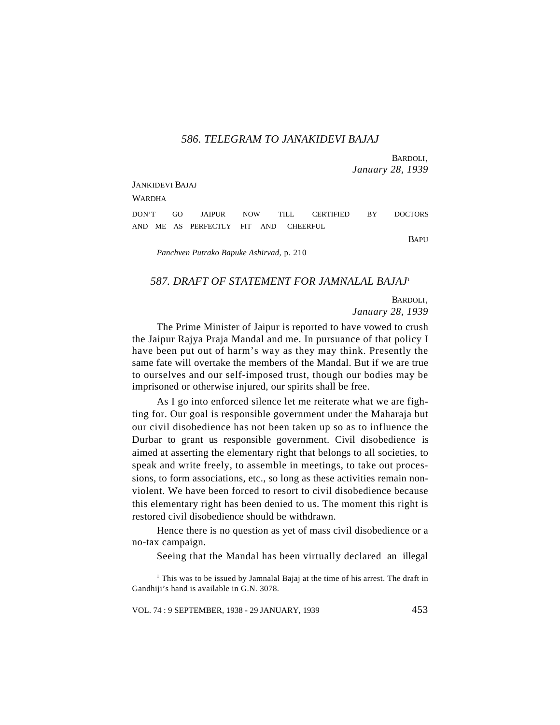# *586. TELEGRAM TO JANAKIDEVI BAJAJ*

BARDOLI, *January 28, 1939*

JANKIDEVI BAJAJ

**WARDHA** 

DON'T GO JAIPUR NOW TILL CERTIFIED BY DOCTORS AND ME AS PERFECTLY FIT AND CHEERFUL

**BAPU** 

*Panchven Putrako Bapuke Ashirvad*, p. 210

### *587. DRAFT OF STATEMENT FOR JAMNALAL BAJAJ*<sup>1</sup>

BARDOLI, *January 28, 1939*

The Prime Minister of Jaipur is reported to have vowed to crush the Jaipur Rajya Praja Mandal and me. In pursuance of that policy I have been put out of harm's way as they may think. Presently the same fate will overtake the members of the Mandal. But if we are true to ourselves and our self-imposed trust, though our bodies may be imprisoned or otherwise injured, our spirits shall be free.

As I go into enforced silence let me reiterate what we are fighting for. Our goal is responsible government under the Maharaja but our civil disobedience has not been taken up so as to influence the Durbar to grant us responsible government. Civil disobedience is aimed at asserting the elementary right that belongs to all societies, to speak and write freely, to assemble in meetings, to take out processions, to form associations, etc., so long as these activities remain nonviolent. We have been forced to resort to civil disobedience because this elementary right has been denied to us. The moment this right is restored civil disobedience should be withdrawn.

Hence there is no question as yet of mass civil disobedience or a no-tax campaign.

Seeing that the Mandal has been virtually declared an illegal

<sup>1</sup> This was to be issued by Jamnalal Bajaj at the time of his arrest. The draft in Gandhiji's hand is available in G.N. 3078.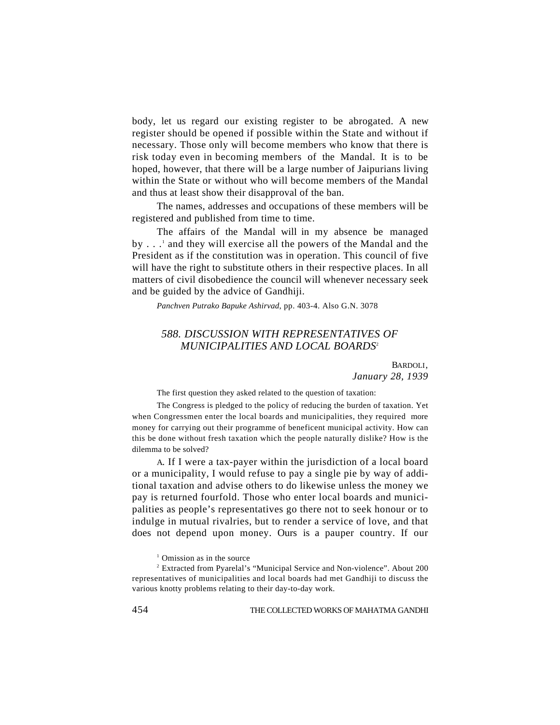body, let us regard our existing register to be abrogated. A new register should be opened if possible within the State and without if necessary. Those only will become members who know that there is risk today even in becoming members of the Mandal. It is to be hoped, however, that there will be a large number of Jaipurians living within the State or without who will become members of the Mandal and thus at least show their disapproval of the ban.

The names, addresses and occupations of these members will be registered and published from time to time.

The affairs of the Mandal will in my absence be managed by . . .<sup>1</sup> and they will exercise all the powers of the Mandal and the President as if the constitution was in operation. This council of five will have the right to substitute others in their respective places. In all matters of civil disobedience the council will whenever necessary seek and be guided by the advice of Gandhiji.

*Panchven Putrako Bapuke Ashirvad*, pp. 403-4. Also G.N. 3078

# *588. DISCUSSION WITH REPRESENTATIVES OF MUNICIPALITIES AND LOCAL BOARDS*<sup>2</sup>

BARDOLI, *January 28, 1939*

The first question they asked related to the question of taxation:

The Congress is pledged to the policy of reducing the burden of taxation. Yet when Congressmen enter the local boards and municipalities, they required more money for carrying out their programme of beneficent municipal activity. How can this be done without fresh taxation which the people naturally dislike? How is the dilemma to be solved?

A. If I were a tax-payer within the jurisdiction of a local board or a municipality, I would refuse to pay a single pie by way of additional taxation and advise others to do likewise unless the money we pay is returned fourfold. Those who enter local boards and municipalities as people's representatives go there not to seek honour or to indulge in mutual rivalries, but to render a service of love, and that does not depend upon money. Ours is a pauper country. If our

<sup>1</sup> Omission as in the source

<sup>2</sup> Extracted from Pyarelal's "Municipal Service and Non-violence". About 200 representatives of municipalities and local boards had met Gandhiji to discuss the various knotty problems relating to their day-to-day work.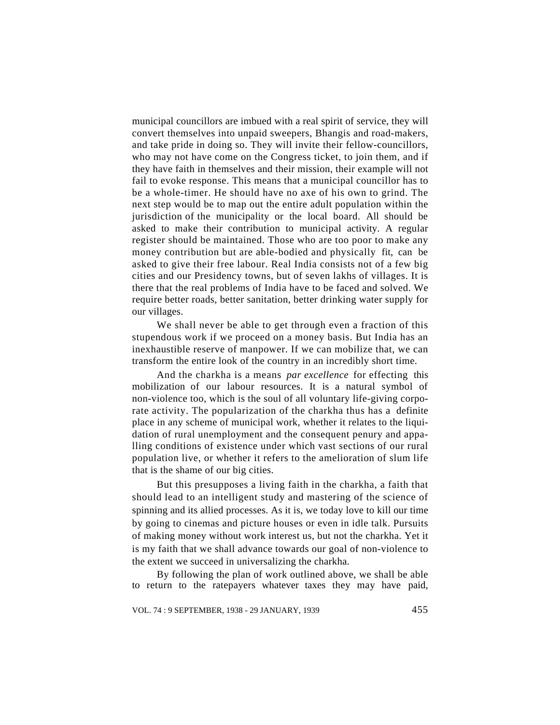municipal councillors are imbued with a real spirit of service, they will convert themselves into unpaid sweepers, Bhangis and road-makers, and take pride in doing so. They will invite their fellow-councillors, who may not have come on the Congress ticket, to join them, and if they have faith in themselves and their mission, their example will not fail to evoke response. This means that a municipal councillor has to be a whole-timer. He should have no axe of his own to grind. The next step would be to map out the entire adult population within the jurisdiction of the municipality or the local board. All should be asked to make their contribution to municipal activity. A regular register should be maintained. Those who are too poor to make any money contribution but are able-bodied and physically fit, can be asked to give their free labour. Real India consists not of a few big cities and our Presidency towns, but of seven lakhs of villages. It is there that the real problems of India have to be faced and solved. We require better roads, better sanitation, better drinking water supply for our villages.

We shall never be able to get through even a fraction of this stupendous work if we proceed on a money basis. But India has an inexhaustible reserve of manpower. If we can mobilize that, we can transform the entire look of the country in an incredibly short time.

And the charkha is a means *par excellence* for effecting this mobilization of our labour resources. It is a natural symbol of non-violence too, which is the soul of all voluntary life-giving corporate activity. The popularization of the charkha thus has a definite place in any scheme of municipal work, whether it relates to the liquidation of rural unemployment and the consequent penury and appalling conditions of existence under which vast sections of our rural population live, or whether it refers to the amelioration of slum life that is the shame of our big cities.

But this presupposes a living faith in the charkha, a faith that should lead to an intelligent study and mastering of the science of spinning and its allied processes. As it is, we today love to kill our time by going to cinemas and picture houses or even in idle talk. Pursuits of making money without work interest us, but not the charkha. Yet it is my faith that we shall advance towards our goal of non-violence to the extent we succeed in universalizing the charkha.

By following the plan of work outlined above, we shall be able to return to the ratepayers whatever taxes they may have paid,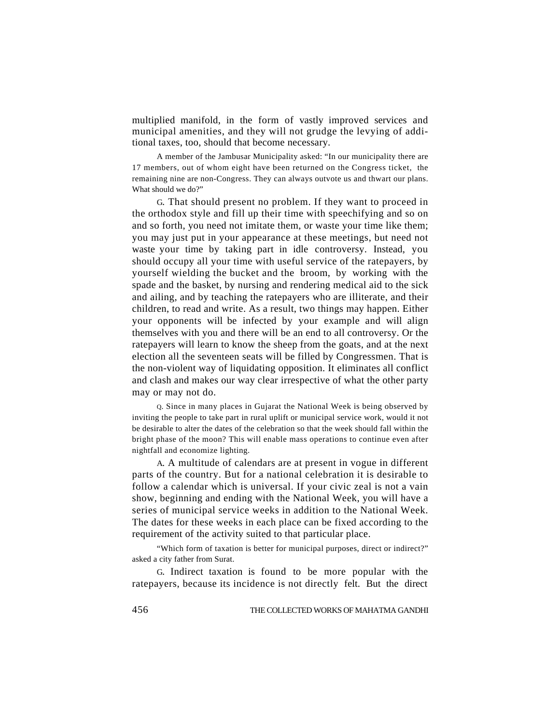multiplied manifold, in the form of vastly improved services and municipal amenities, and they will not grudge the levying of additional taxes, too, should that become necessary.

A member of the Jambusar Municipality asked: "In our municipality there are 17 members, out of whom eight have been returned on the Congress ticket, the remaining nine are non-Congress. They can always outvote us and thwart our plans. What should we do?"

G. That should present no problem. If they want to proceed in the orthodox style and fill up their time with speechifying and so on and so forth, you need not imitate them, or waste your time like them; you may just put in your appearance at these meetings, but need not waste your time by taking part in idle controversy. Instead, you should occupy all your time with useful service of the ratepayers, by yourself wielding the bucket and the broom, by working with the spade and the basket, by nursing and rendering medical aid to the sick and ailing, and by teaching the ratepayers who are illiterate, and their children, to read and write. As a result, two things may happen. Either your opponents will be infected by your example and will align themselves with you and there will be an end to all controversy. Or the ratepayers will learn to know the sheep from the goats, and at the next election all the seventeen seats will be filled by Congressmen. That is the non-violent way of liquidating opposition. It eliminates all conflict and clash and makes our way clear irrespective of what the other party may or may not do.

Q. Since in many places in Gujarat the National Week is being observed by inviting the people to take part in rural uplift or municipal service work, would it not be desirable to alter the dates of the celebration so that the week should fall within the bright phase of the moon? This will enable mass operations to continue even after nightfall and economize lighting.

A. A multitude of calendars are at present in vogue in different parts of the country. But for a national celebration it is desirable to follow a calendar which is universal. If your civic zeal is not a vain show, beginning and ending with the National Week, you will have a series of municipal service weeks in addition to the National Week. The dates for these weeks in each place can be fixed according to the requirement of the activity suited to that particular place.

"Which form of taxation is better for municipal purposes, direct or indirect?" asked a city father from Surat.

G. Indirect taxation is found to be more popular with the ratepayers, because its incidence is not directly felt. But the direct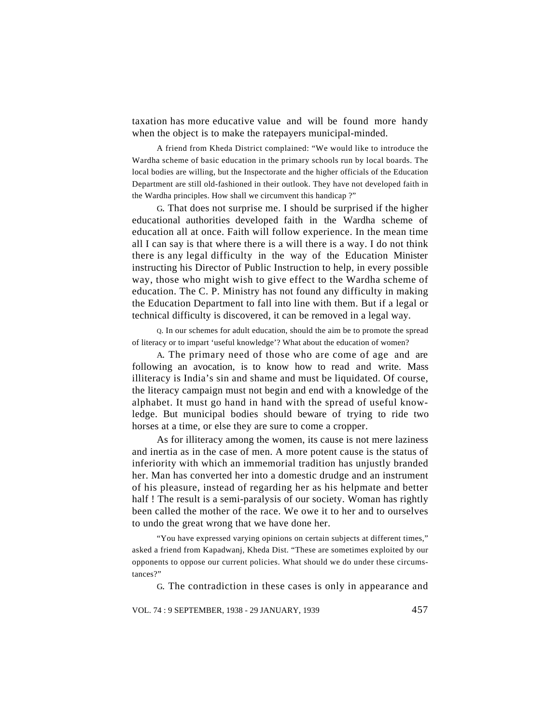taxation has more educative value and will be found more handy when the object is to make the ratepayers municipal-minded.

A friend from Kheda District complained: "We would like to introduce the Wardha scheme of basic education in the primary schools run by local boards. The local bodies are willing, but the Inspectorate and the higher officials of the Education Department are still old-fashioned in their outlook. They have not developed faith in the Wardha principles. How shall we circumvent this handicap ?"

G. That does not surprise me. I should be surprised if the higher educational authorities developed faith in the Wardha scheme of education all at once. Faith will follow experience. In the mean time all I can say is that where there is a will there is a way. I do not think there is any legal difficulty in the way of the Education Minister instructing his Director of Public Instruction to help, in every possible way, those who might wish to give effect to the Wardha scheme of education. The C. P. Ministry has not found any difficulty in making the Education Department to fall into line with them. But if a legal or technical difficulty is discovered, it can be removed in a legal way.

Q. In our schemes for adult education, should the aim be to promote the spread of literacy or to impart 'useful knowledge'? What about the education of women?

A. The primary need of those who are come of age and are following an avocation, is to know how to read and write. Mass illiteracy is India's sin and shame and must be liquidated. Of course, the literacy campaign must not begin and end with a knowledge of the alphabet. It must go hand in hand with the spread of useful knowledge. But municipal bodies should beware of trying to ride two horses at a time, or else they are sure to come a cropper.

As for illiteracy among the women, its cause is not mere laziness and inertia as in the case of men. A more potent cause is the status of inferiority with which an immemorial tradition has unjustly branded her. Man has converted her into a domestic drudge and an instrument of his pleasure, instead of regarding her as his helpmate and better half ! The result is a semi-paralysis of our society. Woman has rightly been called the mother of the race. We owe it to her and to ourselves to undo the great wrong that we have done her.

"You have expressed varying opinions on certain subjects at different times," asked a friend from Kapadwanj, Kheda Dist. "These are sometimes exploited by our opponents to oppose our current policies. What should we do under these circumstances?"

G. The contradiction in these cases is only in appearance and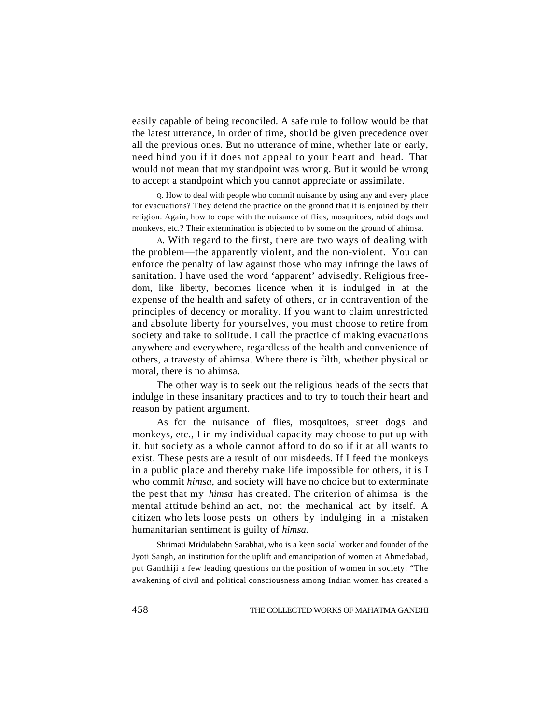easily capable of being reconciled. A safe rule to follow would be that the latest utterance, in order of time, should be given precedence over all the previous ones. But no utterance of mine, whether late or early, need bind you if it does not appeal to your heart and head. That would not mean that my standpoint was wrong. But it would be wrong to accept a standpoint which you cannot appreciate or assimilate.

Q. How to deal with people who commit nuisance by using any and every place for evacuations? They defend the practice on the ground that it is enjoined by their religion. Again, how to cope with the nuisance of flies, mosquitoes, rabid dogs and monkeys, etc.? Their extermination is objected to by some on the ground of ahimsa.

A. With regard to the first, there are two ways of dealing with the problem—the apparently violent, and the non-violent. You can enforce the penalty of law against those who may infringe the laws of sanitation. I have used the word 'apparent' advisedly. Religious freedom, like liberty, becomes licence when it is indulged in at the expense of the health and safety of others, or in contravention of the principles of decency or morality. If you want to claim unrestricted and absolute liberty for yourselves, you must choose to retire from society and take to solitude. I call the practice of making evacuations anywhere and everywhere, regardless of the health and convenience of others, a travesty of ahimsa. Where there is filth, whether physical or moral, there is no ahimsa.

The other way is to seek out the religious heads of the sects that indulge in these insanitary practices and to try to touch their heart and reason by patient argument.

As for the nuisance of flies, mosquitoes, street dogs and monkeys, etc., I in my individual capacity may choose to put up with it, but society as a whole cannot afford to do so if it at all wants to exist. These pests are a result of our misdeeds. If I feed the monkeys in a public place and thereby make life impossible for others, it is I who commit *himsa,* and society will have no choice but to exterminate the pest that my *himsa* has created. The criterion of ahimsa is the mental attitude behind an act, not the mechanical act by itself. A citizen who lets loose pests on others by indulging in a mistaken humanitarian sentiment is guilty of *himsa.*

Shrimati Mridulabehn Sarabhai, who is a keen social worker and founder of the Jyoti Sangh, an institution for the uplift and emancipation of women at Ahmedabad, put Gandhiji a few leading questions on the position of women in society: "The awakening of civil and political consciousness among Indian women has created a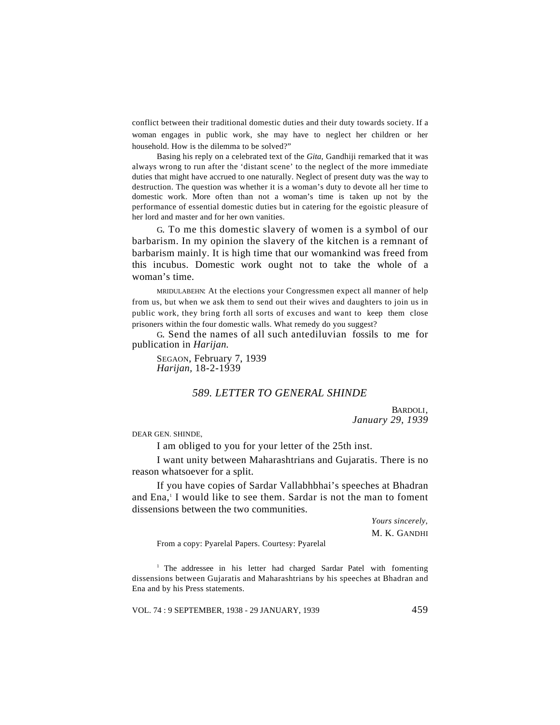conflict between their traditional domestic duties and their duty towards society. If a woman engages in public work, she may have to neglect her children or her household. How is the dilemma to be solved?"

Basing his reply on a celebrated text of the *Gita,* Gandhiji remarked that it was always wrong to run after the 'distant scene' to the neglect of the more immediate duties that might have accrued to one naturally. Neglect of present duty was the way to destruction. The question was whether it is a woman's duty to devote all her time to domestic work. More often than not a woman's time is taken up not by the performance of essential domestic duties but in catering for the egoistic pleasure of her lord and master and for her own vanities.

G. To me this domestic slavery of women is a symbol of our barbarism. In my opinion the slavery of the kitchen is a remnant of barbarism mainly. It is high time that our womankind was freed from this incubus. Domestic work ought not to take the whole of a woman's time.

MRIDULABEHN: At the elections your Congressmen expect all manner of help from us, but when we ask them to send out their wives and daughters to join us in public work, they bring forth all sorts of excuses and want to keep them close prisoners within the four domestic walls. What remedy do you suggest?

G. Send the names of all such antediluvian fossils to me for publication in *Harijan.*

SEGAON, February 7, 1939 *Harijan,* 18-2-1939

# *589. LETTER TO GENERAL SHINDE*

BARDOLI, *January 29, 1939*

DEAR GEN. SHINDE,

I am obliged to you for your letter of the 25th inst.

I want unity between Maharashtrians and Gujaratis. There is no reason whatsoever for a split.

If you have copies of Sardar Vallabhbhai's speeches at Bhadran and Ena,<sup>1</sup> I would like to see them. Sardar is not the man to foment dissensions between the two communities.

> *Yours sincerely*, M. K. GANDHI

From a copy: Pyarelal Papers. Courtesy: Pyarelal

<sup>1</sup> The addressee in his letter had charged Sardar Patel with fomenting dissensions between Gujaratis and Maharashtrians by his speeches at Bhadran and Ena and by his Press statements.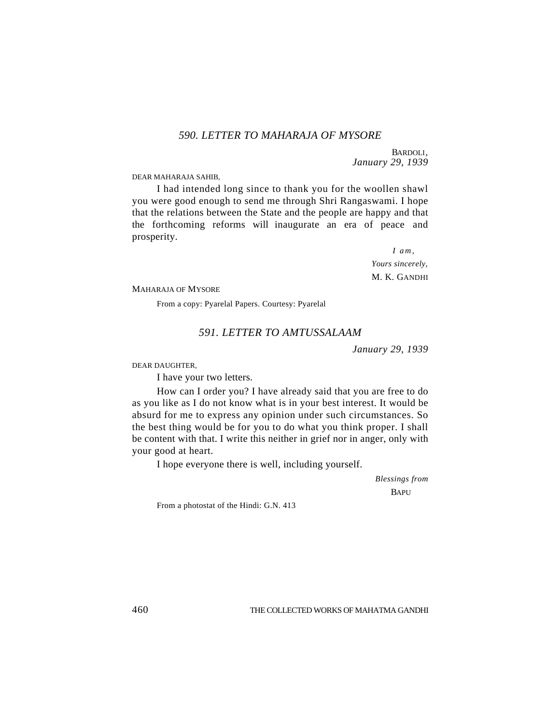# *590. LETTER TO MAHARAJA OF MYSORE*

BARDOLI, *January 29, 1939*

#### DEAR MAHARAJA SAHIB,

I had intended long since to thank you for the woollen shawl you were good enough to send me through Shri Rangaswami. I hope that the relations between the State and the people are happy and that the forthcoming reforms will inaugurate an era of peace and prosperity.

> *I am, Yours sincerely*, M. K. GANDHI

#### MAHARAJA OF MYSORE

From a copy: Pyarelal Papers. Courtesy: Pyarelal

# *591. LETTER TO AMTUSSALAAM*

*January 29, 1939*

DEAR DAUGHTER,

I have your two letters.

How can I order you? I have already said that you are free to do as you like as I do not know what is in your best interest. It would be absurd for me to express any opinion under such circumstances. So the best thing would be for you to do what you think proper. I shall be content with that. I write this neither in grief nor in anger, only with your good at heart.

I hope everyone there is well, including yourself.

*Blessings from* **BAPU** 

From a photostat of the Hindi: G.N. 413